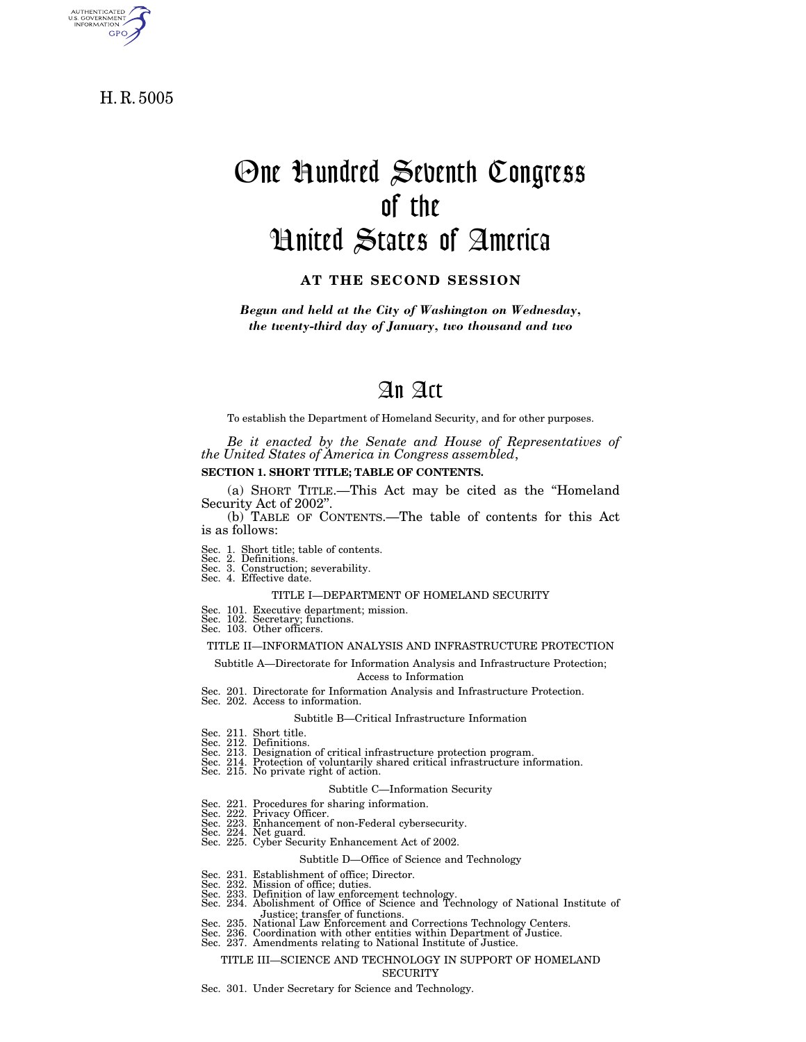H. R. 5005

AUTHENTICATED

GPO<sub>2</sub>

# One Hundred Seventh Congress of the United States of America

### **AT THE SECOND SESSION**

*Begun and held at the City of Washington on Wednesday, the twenty-third day of January, two thousand and two*

## An Act

To establish the Department of Homeland Security, and for other purposes.

*Be it enacted by the Senate and House of Representatives of the United States of America in Congress assembled*,

### **SECTION 1. SHORT TITLE; TABLE OF CONTENTS.**

(a) SHORT TITLE.—This Act may be cited as the ''Homeland Security Act of 2002''.

(b) TABLE OF CONTENTS.—The table of contents for this Act is as follows:

- Sec. 1. Short title; table of contents. Sec. 2. Definitions. Sec. 3. Construction; severability. Sec. 4. Effective date.
- 

### TITLE I—DEPARTMENT OF HOMELAND SECURITY

- Sec. 101. Executive department; mission. Sec. 102. Secretary; functions. Sec. 103. Other officers.
- 
- 

### TITLE II—INFORMATION ANALYSIS AND INFRASTRUCTURE PROTECTION

Subtitle A—Directorate for Information Analysis and Infrastructure Protection; Access to Information

- Sec. 201. Directorate for Information Analysis and Infrastructure Protection. Sec. 202. Access to information.
- 

### Subtitle B—Critical Infrastructure Information

- 
- 
- Sec. 211. Short title.<br>Sec. 212. Definitions.<br>Sec. 213. Designation of critical infrastructure protection program.<br>Sec. 214. Protection of voluntarily shared critical infrastructure information.<br>Sec. 215. No private right
- 

### Subtitle C—Information Security

- 
- -
- Sec. 221. Procedures for sharing information. Sec. 222. Privacy Officer. Sec. 223. Enhancement of non-Federal cybersecurity. Sec. 224. Net guard. Sec. 225. Cyber Security Enhancement Act of 2002.

### Subtitle D—Office of Science and Technology

- Sec. 231. Establishment of office; Director.
- 
- Sec. 232. Mission of office; duties. Sec. 233. Definition of law enforcement technology. Sec. 234. Abolishment of Office of Science and Technology of National Institute of
- Justice; transfer of functions. Sec. 235. National Law Enforcement and Corrections Technology Centers.
- Sec. 236. Coordination with other entities within Department of Justice. Sec. 237. Amendments relating to National Institute of Justice.
- 

### TITLE III—SCIENCE AND TECHNOLOGY IN SUPPORT OF HOMELAND **SECURITY**

Sec. 301. Under Secretary for Science and Technology.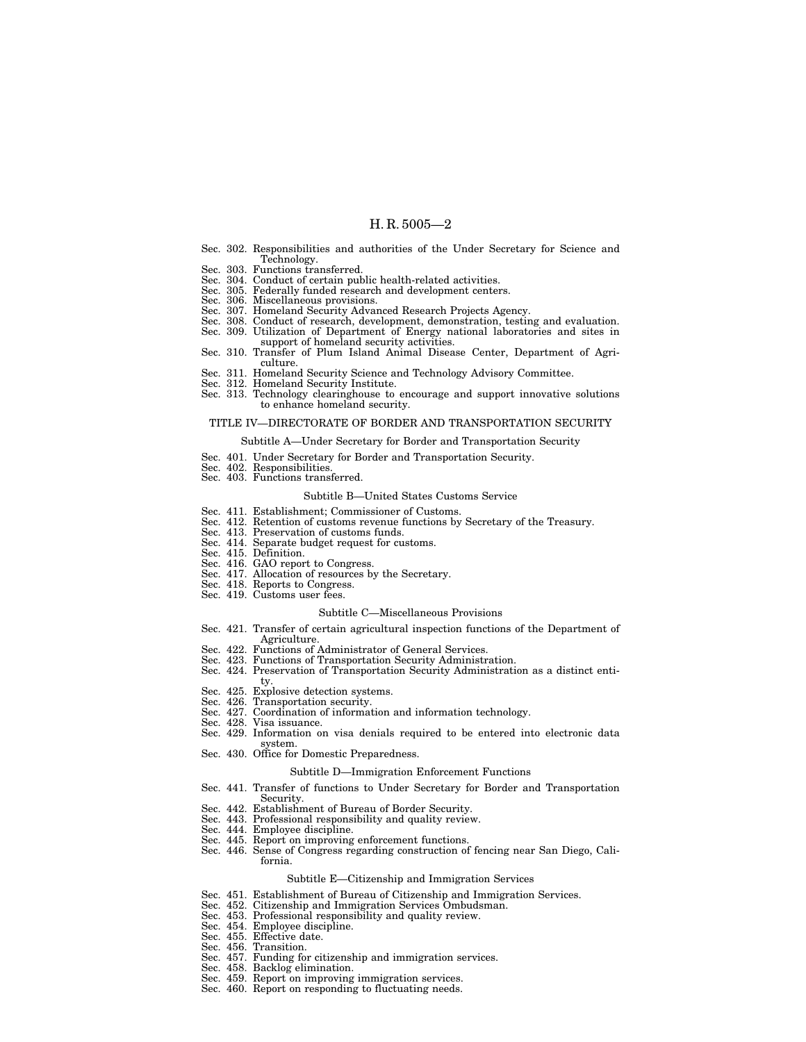- Sec. 302. Responsibilities and authorities of the Under Secretary for Science and Technology. Sec. 303. Functions transferred.
	-
- Sec. 304. Conduct of certain public health-related activities.
- Sec. 305. Federally funded research and development centers.
- Sec. 306. Miscellaneous provisions.
- Sec. 307. Homeland Security Advanced Research Projects Agency.
- Sec. 308. Conduct of research, development, demonstration, testing and evaluation. Sec. 309. Utilization of Department of Energy national laboratories and sites in support of homeland security activities.
- Sec. 310. Transfer of Plum Island Animal Disease Center, Department of Agriculture.
- Sec. 311. Homeland Security Science and Technology Advisory Committee.
- 
- Sec. 312. Homeland Security Institute. Sec. 313. Technology clearinghouse to encourage and support innovative solutions to enhance homeland security.

### TITLE IV—DIRECTORATE OF BORDER AND TRANSPORTATION SECURITY

### Subtitle A—Under Secretary for Border and Transportation Security

- Sec. 401. Under Secretary for Border and Transportation Security.
- Sec. 402. Responsibilities.
- Sec. 403. Functions transferred.

#### Subtitle B—United States Customs Service

- Sec. 411. Establishment; Commissioner of Customs.
- Sec. 412. Retention of customs revenue functions by Secretary of the Treasury. Sec. 413. Preservation of customs funds.
- 
- Sec. 414. Separate budget request for customs. Sec. 415. Definition.
- 
- Sec. 416. GAO report to Congress. Sec. 417. Allocation of resources by the Secretary.
- Sec. 418. Reports to Congress.
- Sec. 419. Customs user fees.

### Subtitle C—Miscellaneous Provisions

- Sec. 421. Transfer of certain agricultural inspection functions of the Department of **Agriculture**
- Sec. 422. Functions of Administrator of General Services.
- Sec. 423. Functions of Transportation Security Administration.
- Sec. 424. Preservation of Transportation Security Administration as a distinct entity.
- Sec. 425. Explosive detection systems.
- 
- Sec. 426. Transportation security. Sec. 427. Coordination of information and information technology.
- Sec. 428. Visa issuance.
- Sec. 429. Information on visa denials required to be entered into electronic data system.
- Sec. 430. Office for Domestic Preparedness.

### Subtitle D—Immigration Enforcement Functions

- Sec. 441. Transfer of functions to Under Secretary for Border and Transportation Security.
- Sec. 442. Establishment of Bureau of Border Security.
- Sec. 443. Professional responsibility and quality review.
- Sec. 444. Employee discipline.
- Sec. 445. Report on improving enforcement functions.
- Sec. 446. Sense of Congress regarding construction of fencing near San Diego, California.

### Subtitle E—Citizenship and Immigration Services

- Sec. 451. Establishment of Bureau of Citizenship and Immigration Services.
- Sec. 452. Citizenship and Immigration Services Ombudsman.
- Sec. 453. Professional responsibility and quality review.
- Sec. 454. Employee discipline.
- Sec. 455. Effective date.
- Sec. 456. Transition.
- Sec. 457. Funding for citizenship and immigration services.
- Sec. 458. Backlog elimination.
- Sec. 459. Report on improving immigration services.
- Sec. 460. Report on responding to fluctuating needs.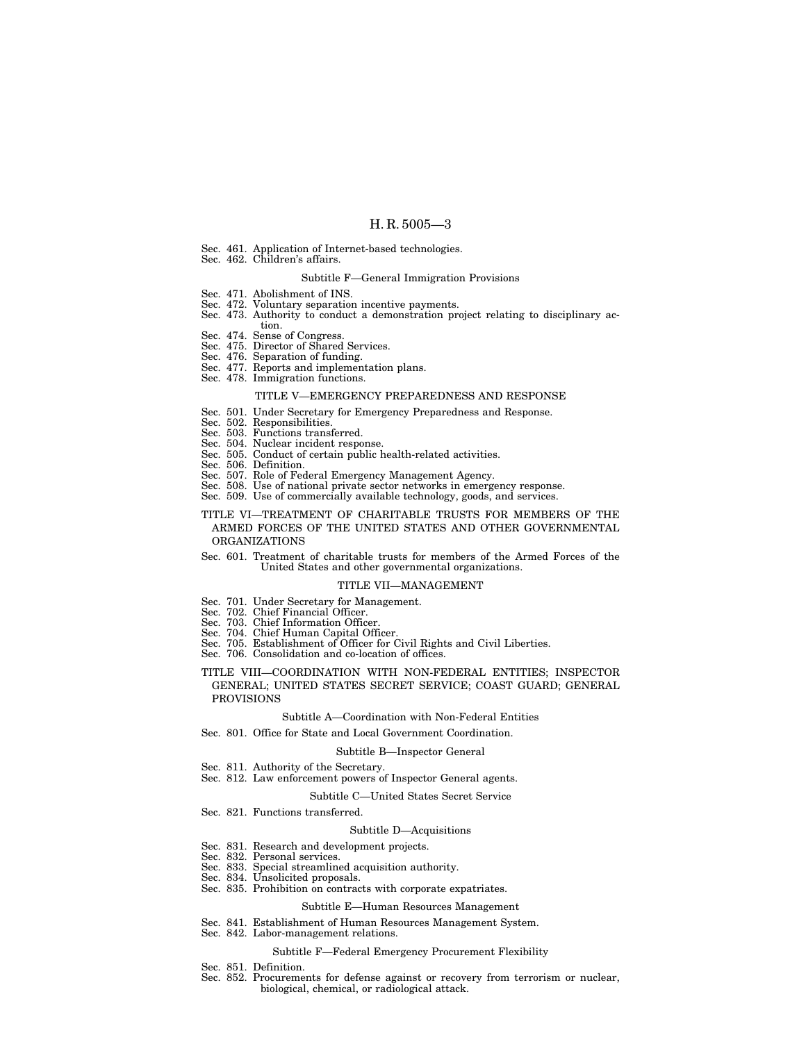- Sec. 461. Application of Internet-based technologies.
- Sec. 462. Children's affairs.

### Subtitle F—General Immigration Provisions

- Sec. 471. Abolishment of INS.
- Sec. 472. Voluntary separation incentive payments.
- Sec. 473. Authority to conduct a demonstration project relating to disciplinary ac-
- tion.
- Sec. 474. Sense of Congress.
- Sec. 475. Director of Shared Services.
- Sec. 476. Separation of funding. Sec. 477. Reports and implementation plans.
- Sec. 478. Immigration functions.
- 

### LE V—EMERGENCY PREPAREDNESS AND RESPONSE

- Sec. 501. Under Secretary for Emergency Preparedness and Response.
- Sec. 502. Responsibilities.
- Sec. 503. Functions transferred.
- Sec. 504. Nuclear incident response.
- Sec. 505. Conduct of certain public health-related activities.
- Sec. 506. Definition.
- Sec. 507. Role of Federal Emergency Management Agency.
- Sec. 508. Use of national private sector networks in emergency response.
- Sec. 509. Use of commercially available technology, goods, and services.

### TITLE VI—TREATMENT OF CHARITABLE TRUSTS FOR MEMBERS OF THE ARMED FORCES OF THE UNITED STATES AND OTHER GOVERNMENTAL ORGANIZATIONS

### Sec. 601. Treatment of charitable trusts for members of the Armed Forces of the United States and other governmental organizations.

### TITLE VII—MANAGEMENT

- Sec. 701. Under Secretary for Management.
- Sec. 702. Chief Financial Officer.
- Sec. 703. Chief Information Officer.
- Sec. 704. Chief Human Capital Officer.
- Sec. 705. Establishment of Officer for Civil Rights and Civil Liberties.
- Sec. 706. Consolidation and co-location of offices.

### TITLE VIII—COORDINATION WITH NON-FEDERAL ENTITIES; INSPECTOR GENERAL; UNITED STATES SECRET SERVICE; COAST GUARD; GENERAL PROVISIONS

#### Subtitle A—Coordination with Non-Federal Entities

Sec. 801. Office for State and Local Government Coordination.

### Subtitle B—Inspector General

- Sec. 811. Authority of the Secretary.
- Sec. 812. Law enforcement powers of Inspector General agents.

### Subtitle C—United States Secret Service

Sec. 821. Functions transferred.

### Subtitle D—Acquisitions

- Sec. 831. Research and development projects.
- Sec. 832. Personal services.
- Sec. 833. Special streamlined acquisition authority. Sec. 834. Unsolicited proposals.
- 
- Sec. 835. Prohibition on contracts with corporate expatriates.

### Subtitle E—Human Resources Management

- Sec. 841. Establishment of Human Resources Management System.
- Sec. 842. Labor-management relations.

### Subtitle F—Federal Emergency Procurement Flexibility

- Sec. 851. Definition.
- Sec. 852. Procurements for defense against or recovery from terrorism or nuclear, biological, chemical, or radiological attack.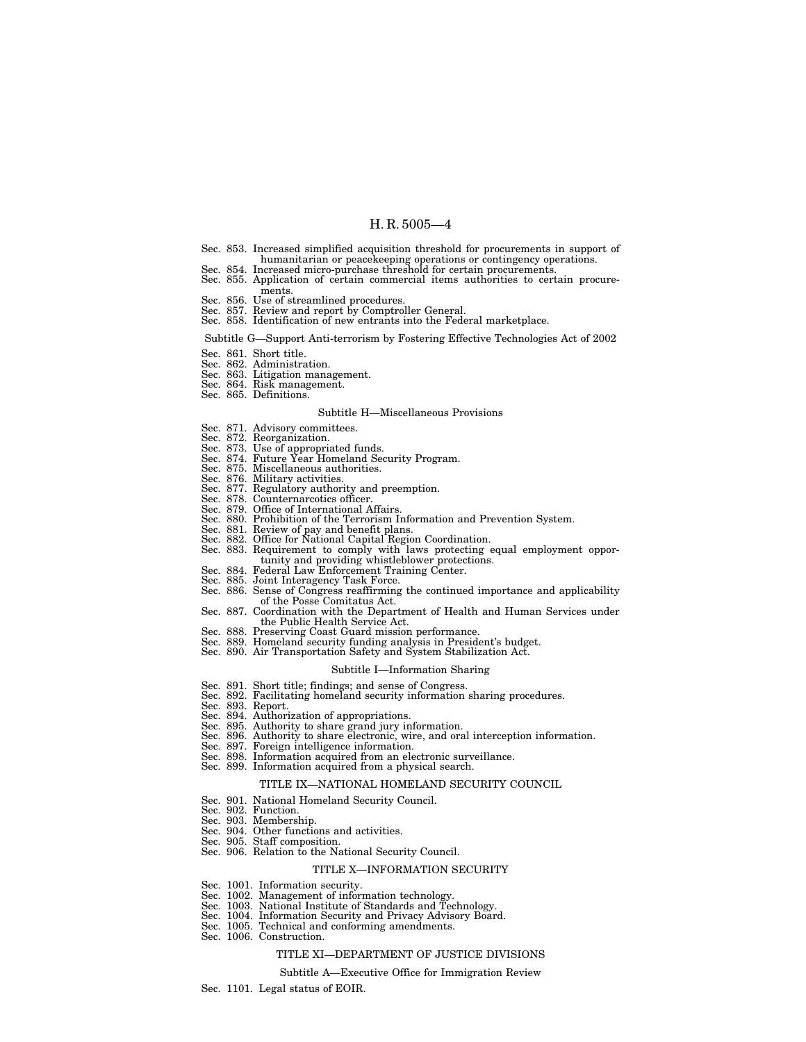- Sec. 853. Increased simplified acquisition threshold for procurements in support of humanitarian or peacekeeping operations or contingency operations. Sec. 854. Increased micro-purchase threshold for certain procurements.
- 
- Sec. 855. Application of certain commercial items authorities to certain procurements.
- Sec. 856. Use of streamlined procedures.
- Sec. 857. Review and report by Comptroller General.
- Sec. 858. Identification of new entrants into the Federal marketplace.

### Subtitle G—Support Anti-terrorism by Fostering Effective Technologies Act of 2002

- Sec. 861. Short title.
- 
- Sec. 862. Administration. Sec. 863. Litigation management.
- Sec. 864. Risk management.
- Sec. 865. Definitions.

### Subtitle H—Miscellaneous Provisions

- Sec. 871. Advisory committees.
- 
- 
- Sec. 872. Reorganization. Sec. 873. Use of appropriated funds. Sec. 874. Future Year Homeland Security Program.
- Sec. 875. Miscellaneous authorities.
- Sec. 876. Military activities.
- Sec. 877. Regulatory authority and preemption.
- Sec. 878. Counternarcotics officer.
- Sec. 879. Office of International Affairs. Sec. 880. Prohibition of the Terrorism Information and Prevention System. Sec. 881. Review of pay and benefit plans. Sec. 882. Office for National Capital Region Coordination.
- 
- 
- Sec. 883. Requirement to comply with laws protecting equal employment opportunity and providing whistleblower protections.
- Sec. 884. Federal Law Enforcement Training Center. Sec. 885. Joint Interagency Task Force.
- 
- Sec. 886. Sense of Congress reaffirming the continued importance and applicability of the Posse Comitatus Act.
- Sec. 887. Coordination with the Department of Health and Human Services under the Public Health Service Act.
- 
- Sec. 888. Preserving Coast Guard mission performance. Sec. 889. Homeland security funding analysis in President's budget.
- Sec. 890. Air Transportation Safety and System Stabilization Act.

### Subtitle I—Information Sharing

- Sec. 891. Short title; findings; and sense of Congress.
- Sec. 892. Facilitating homeland security information sharing procedures. Sec. 893. Report.
- 
- Sec. 894. Authorization of appropriations. Sec. 895. Authority to share grand jury information.
- 
- Sec. 896. Authority to share electronic, wire, and oral interception information.
- Sec. 897. Foreign intelligence information.
- Sec. 898. Information acquired from an electronic surveillance.
- Sec. 899. Information acquired from a physical search.

### TITLE IX—NATIONAL HOMELAND SECURITY COUNCIL

- Sec. 901. National Homeland Security Council. Sec. 902. Function.
- 
- Sec. 903. Membership.
- Sec. 904. Other functions and activities.
- Sec. 905. Staff composition.
- Sec. 906. Relation to the National Security Council.

### TITLE X—INFORMATION SECURITY

- Sec. 1001. Information security.
- Sec. 1002. Management of information technology.
- Sec. 1003. National Institute of Standards and Technology.
- Sec. 1004. Information Security and Privacy Advisory Board.
- Sec. 1005. Technical and conforming amendments.
- Sec. 1006. Construction.

### TITLE XI—DEPARTMENT OF JUSTICE DIVISIONS

### Subtitle A—Executive Office for Immigration Review

Sec. 1101. Legal status of EOIR.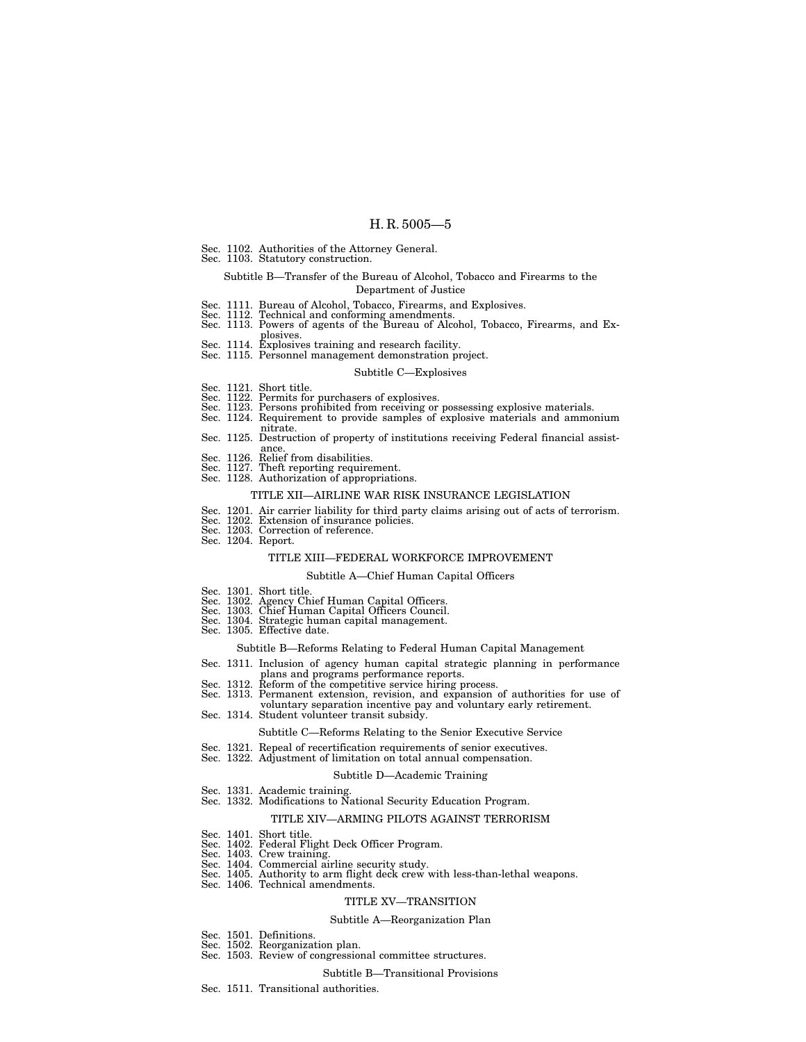### Sec. 1102. Authorities of the Attorney General.

### Sec. 1103. Statutory construction.

### Subtitle B—Transfer of the Bureau of Alcohol, Tobacco and Firearms to the Department of Justice

- Sec. 1111. Bureau of Alcohol, Tobacco, Firearms, and Explosives.
- 
- Sec. 1112. Technical and conforming amendments. Sec. 1113. Powers of agents of the Bureau of Alcohol, Tobacco, Firearms, and Explosives. Sec. 1114. Explosives training and research facility.
- 
- Sec. 1115. Personnel management demonstration project.

#### Subtitle C—Explosives

- Sec. 1121. Short title.
- 
- Sec. 1122. Permits for purchasers of explosives. Sec. 1123. Persons prohibited from receiving or possessing explosive materials. Sec. 1124. Requirement to provide samples of explosive materials and ammonium
- nitrate.
- Sec. 1125. Destruction of property of institutions receiving Federal financial assistance.<br>Sec. 1126. Relief from disabilities.
- 
- Sec. 1127. Theft reporting requirement.
- Sec. 1128. Authorization of appropriations.

### TITLE XII—AIRLINE WAR RISK INSURANCE LEGISLATION

- Sec. 1201. Air carrier liability for third party claims arising out of acts of terrorism.
- Sec. 1202. Extension of insurance policies.
- Sec. 1203. Correction of reference. Sec. 1204. Report.

### TITLE XIII—FEDERAL WORKFORCE IMPROVEMENT

#### Subtitle A—Chief Human Capital Officers

- 
- Sec. 1301. Short title. Sec. 1302. Agency Chief Human Capital Officers. Sec. 1303. Chief Human Capital Officers Council.
- 
- Sec. 1304. Strategic human capital management.
- Sec. 1305. Effective date.

### Subtitle B—Reforms Relating to Federal Human Capital Management

- Sec. 1311. Inclusion of agency human capital strategic planning in performance plans and programs performance reports. Sec. 1312. Reform of the competitive service hiring process. Sec. 1313. Permanent extension, revision, and expansion of authorities for use of
	-
- voluntary separation incentive pay and voluntary early retirement.
- Sec. 1314. Student volunteer transit subsidy.

### Subtitle C—Reforms Relating to the Senior Executive Service

- Sec. 1321. Repeal of recertification requirements of senior executives.
- Sec. 1322. Adjustment of limitation on total annual compensation.

### Subtitle D—Academic Training

- 
- Sec. 1331. Academic training. Sec. 1332. Modifications to National Security Education Program.

### TITLE XIV—ARMING PILOTS AGAINST TERRORISM

- Sec. 1401. Short title.
- Sec. 1402. Federal Flight Deck Officer Program.
- Sec. 1403. Crew training.
- Sec. 1404. Commercial airline security study.
- Sec. 1405. Authority to arm flight deck crew with less-than-lethal weapons.
- Sec. 1406. Technical amendments.

### TITLE XV—TRANSITION

### Subtitle A—Reorganization Plan

- Sec. 1501. Definitions.
- Sec. 1502. Reorganization plan.
- Sec. 1503. Review of congressional committee structures.
	- Subtitle B—Transitional Provisions
- Sec. 1511. Transitional authorities.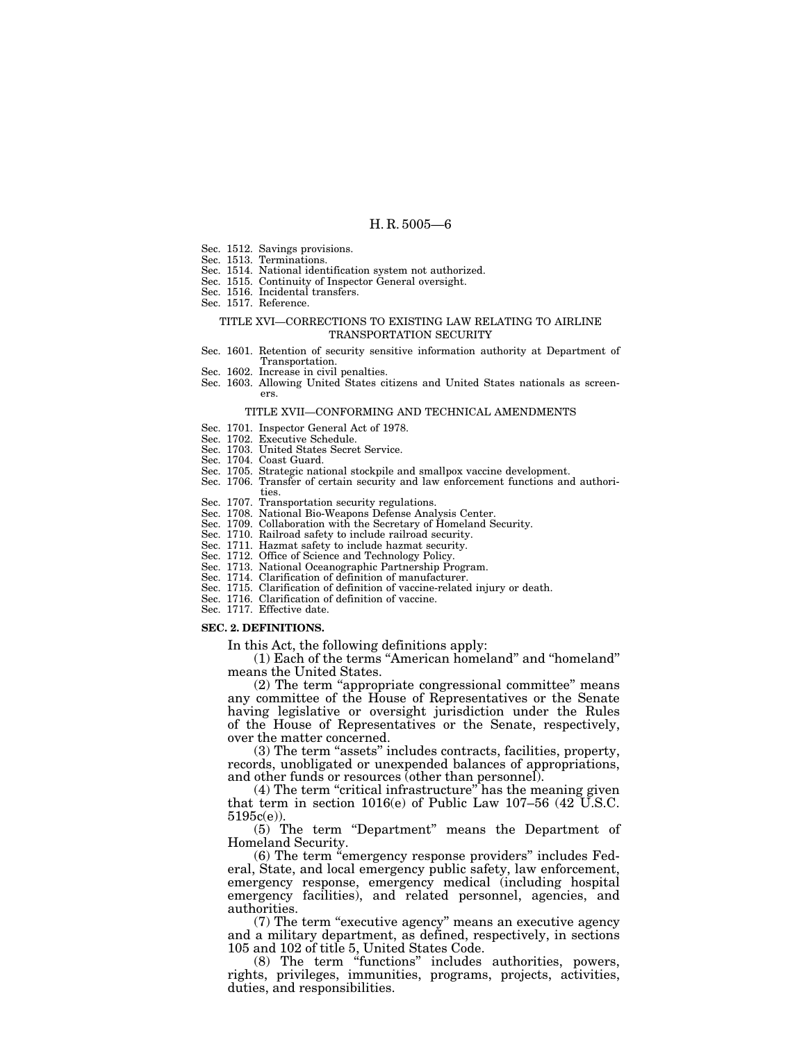- Sec. 1512. Savings provisions.
- Sec. 1513. Terminations.
- Sec. 1514. National identification system not authorized.
- Sec. 1515. Continuity of Inspector General oversight.
- Sec. 1516. Incidental transfers.
- Sec. 1517. Reference.

### TITLE XVI—CORRECTIONS TO EXISTING LAW RELATING TO AIRLINE TRANSPORTATION SECURITY

- Sec. 1601. Retention of security sensitive information authority at Department of Transportation.
- Sec. 1602. Increase in civil penalties.
- Sec. 1603. Allowing United States citizens and United States nationals as screeners.

### TITLE XVII—CONFORMING AND TECHNICAL AMENDMENTS

- Sec. 1701. Inspector General Act of 1978.
- Sec. 1702. Executive Schedule.
- Sec. 1703. United States Secret Service.
- Sec. 1704. Coast Guard.
- Sec. 1705. Strategic national stockpile and smallpox vaccine development.
- Sec. 1706. Transfer of certain security and law enforcement functions and authorities.
- Sec. 1707. Transportation security regulations.
- Sec. 1708. National Bio-Weapons Defense Analysis Center.
- Sec. 1709. Collaboration with the Secretary of Homeland Security.
- Sec. 1710. Railroad safety to include railroad security.
- Sec. 1711. Hazmat safety to include hazmat security.
- Sec. 1712. Office of Science and Technology Policy.
- Sec. 1713. National Oceanographic Partnership Program. Sec. 1714. Clarification of definition of manufacturer.
- 
- Sec. 1715. Clarification of definition of vaccine-related injury or death.
- Sec. 1716. Clarification of definition of vaccine. Sec. 1717. Effective date.

### **SEC. 2. DEFINITIONS.**

In this Act, the following definitions apply:

(1) Each of the terms ''American homeland'' and ''homeland'' means the United States.

(2) The term ''appropriate congressional committee'' means any committee of the House of Representatives or the Senate having legislative or oversight jurisdiction under the Rules of the House of Representatives or the Senate, respectively, over the matter concerned.

(3) The term ''assets'' includes contracts, facilities, property, records, unobligated or unexpended balances of appropriations, and other funds or resources (other than personnel).

(4) The term ''critical infrastructure'' has the meaning given that term in section 1016(e) of Public Law 107–56 (42  $\check{U}$ .S.C. 5195c(e)).

(5) The term ''Department'' means the Department of Homeland Security.

(6) The term ''emergency response providers'' includes Federal, State, and local emergency public safety, law enforcement, emergency response, emergency medical (including hospital emergency facilities), and related personnel, agencies, and authorities.

(7) The term ''executive agency'' means an executive agency and a military department, as defined, respectively, in sections 105 and 102 of title 5, United States Code.

(8) The term ''functions'' includes authorities, powers, rights, privileges, immunities, programs, projects, activities, duties, and responsibilities.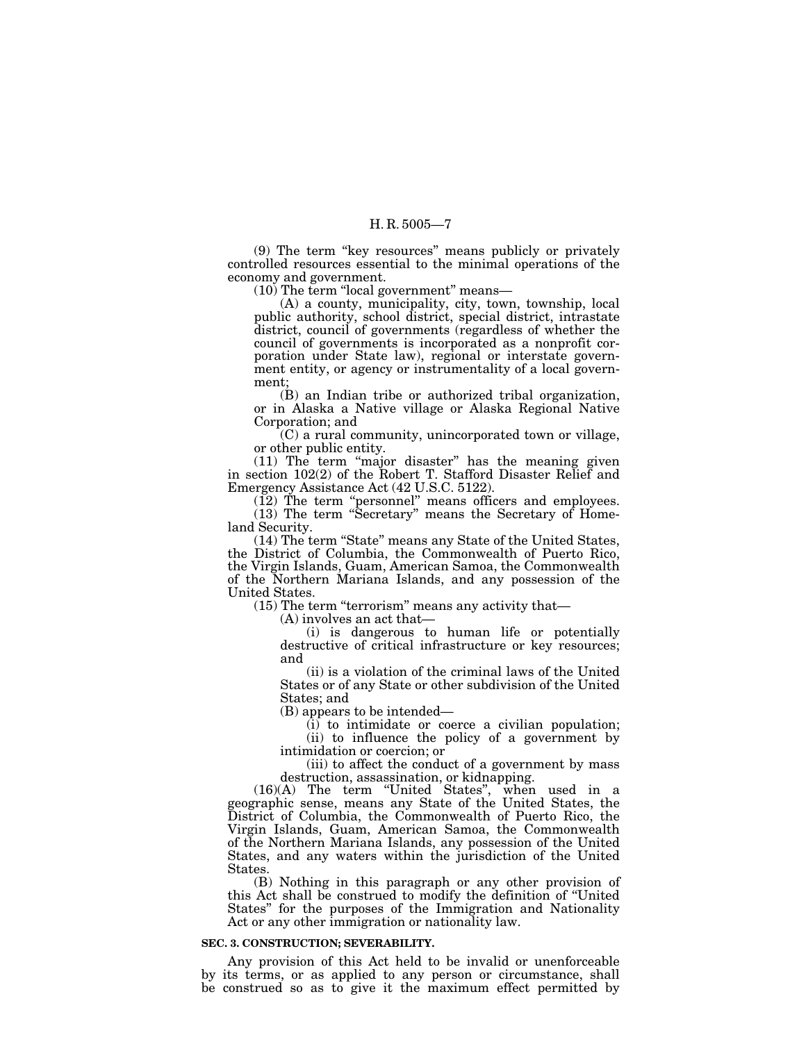(9) The term ''key resources'' means publicly or privately controlled resources essential to the minimal operations of the economy and government.

 $(10)$  The term "local government" means—

(A) a county, municipality, city, town, township, local public authority, school district, special district, intrastate district, council of governments (regardless of whether the council of governments is incorporated as a nonprofit corporation under State law), regional or interstate government entity, or agency or instrumentality of a local government;

(B) an Indian tribe or authorized tribal organization, or in Alaska a Native village or Alaska Regional Native Corporation; and

(C) a rural community, unincorporated town or village, or other public entity.

(11) The term "major disaster" has the meaning given in section 102(2) of the Robert T. Stafford Disaster Relief and Emergency Assistance Act (42 U.S.C. 5122).

(12) The term ''personnel'' means officers and employees. (13) The term ''Secretary'' means the Secretary of Homeland Security.

(14) The term ''State'' means any State of the United States, the District of Columbia, the Commonwealth of Puerto Rico, the Virgin Islands, Guam, American Samoa, the Commonwealth of the Northern Mariana Islands, and any possession of the United States.<br>(15) The term "terrorism" means any activity that—

(A) involves an act that— (i) is dangerous to human life or potentially destructive of critical infrastructure or key resources; and

(ii) is a violation of the criminal laws of the United States or of any State or other subdivision of the United States; and

(B) appears to be intended— (i) to intimidate or coerce a civilian population; (ii) to influence the policy of a government by intimidation or coercion; or

(iii) to affect the conduct of a government by mass destruction, assassination, or kidnapping.

(16)(A) The term ''United States'', when used in a geographic sense, means any State of the United States, the District of Columbia, the Commonwealth of Puerto Rico, the Virgin Islands, Guam, American Samoa, the Commonwealth of the Northern Mariana Islands, any possession of the United States, and any waters within the jurisdiction of the United States.

(B) Nothing in this paragraph or any other provision of this Act shall be construed to modify the definition of ''United States'' for the purposes of the Immigration and Nationality Act or any other immigration or nationality law.

### **SEC. 3. CONSTRUCTION; SEVERABILITY.**

Any provision of this Act held to be invalid or unenforceable by its terms, or as applied to any person or circumstance, shall be construed so as to give it the maximum effect permitted by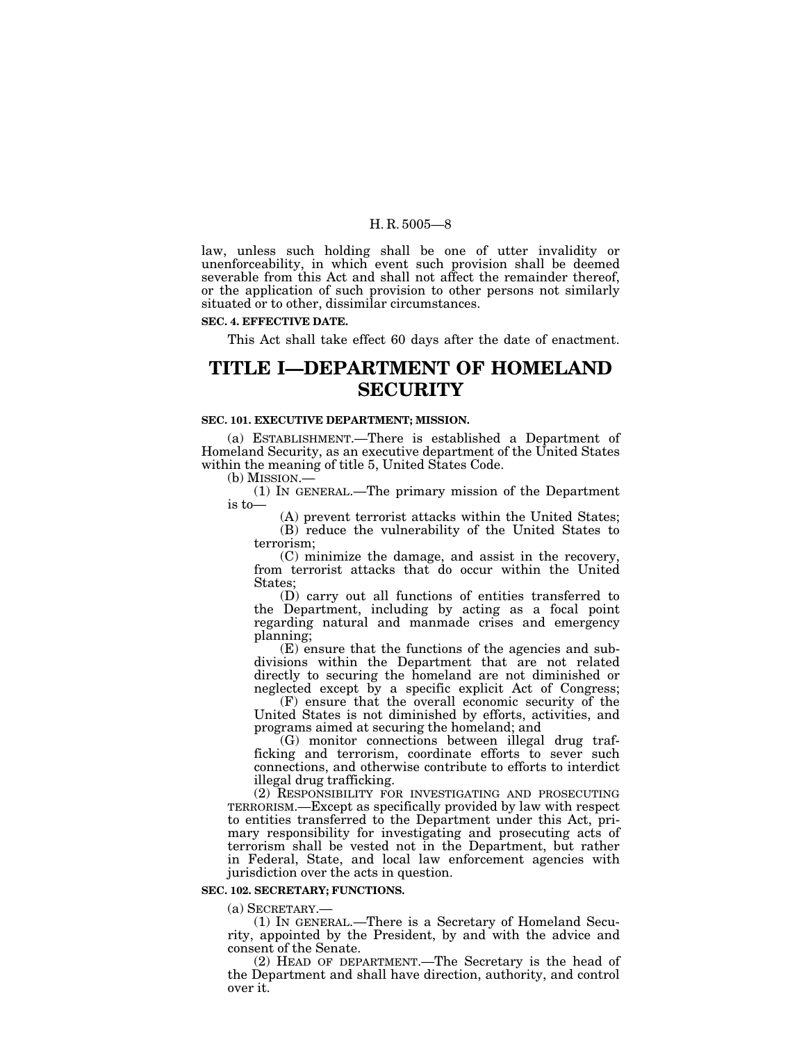law, unless such holding shall be one of utter invalidity or unenforceability, in which event such provision shall be deemed severable from this Act and shall not affect the remainder thereof, or the application of such provision to other persons not similarly situated or to other, dissimilar circumstances.

### **SEC. 4. EFFECTIVE DATE.**

This Act shall take effect 60 days after the date of enactment.

### **TITLE I—DEPARTMENT OF HOMELAND SECURITY**

### **SEC. 101. EXECUTIVE DEPARTMENT; MISSION.**

(a) ESTABLISHMENT.—There is established a Department of Homeland Security, as an executive department of the United States within the meaning of title 5, United States Code.

(b) MISSION.—

(1) IN GENERAL.—The primary mission of the Department is to—

(A) prevent terrorist attacks within the United States; (B) reduce the vulnerability of the United States to terrorism;

(C) minimize the damage, and assist in the recovery, from terrorist attacks that do occur within the United States;

(D) carry out all functions of entities transferred to the Department, including by acting as a focal point regarding natural and manmade crises and emergency planning;

(E) ensure that the functions of the agencies and subdivisions within the Department that are not related directly to securing the homeland are not diminished or neglected except by a specific explicit Act of Congress;

(F) ensure that the overall economic security of the United States is not diminished by efforts, activities, and programs aimed at securing the homeland; and

(G) monitor connections between illegal drug trafficking and terrorism, coordinate efforts to sever such connections, and otherwise contribute to efforts to interdict illegal drug trafficking.

(2) RESPONSIBILITY FOR INVESTIGATING AND PROSECUTING TERRORISM.—Except as specifically provided by law with respect to entities transferred to the Department under this Act, primary responsibility for investigating and prosecuting acts of terrorism shall be vested not in the Department, but rather in Federal, State, and local law enforcement agencies with jurisdiction over the acts in question.

### **SEC. 102. SECRETARY; FUNCTIONS.**

(a) SECRETARY.—

(1) IN GENERAL.—There is a Secretary of Homeland Security, appointed by the President, by and with the advice and consent of the Senate.

(2) HEAD OF DEPARTMENT.—The Secretary is the head of the Department and shall have direction, authority, and control over it.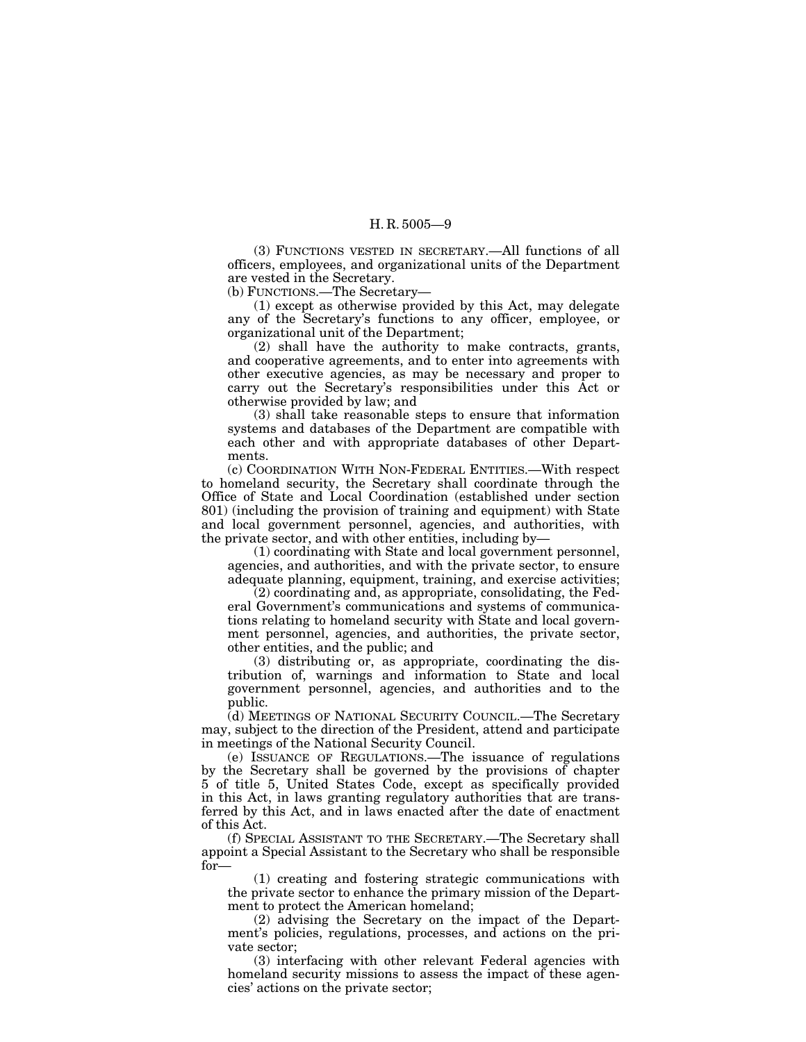(3) FUNCTIONS VESTED IN SECRETARY.—All functions of all officers, employees, and organizational units of the Department are vested in the Secretary.

(b) FUNCTIONS.—The Secretary—

(1) except as otherwise provided by this Act, may delegate any of the Secretary's functions to any officer, employee, or organizational unit of the Department;

(2) shall have the authority to make contracts, grants, and cooperative agreements, and to enter into agreements with other executive agencies, as may be necessary and proper to carry out the Secretary's responsibilities under this Act or otherwise provided by law; and

(3) shall take reasonable steps to ensure that information systems and databases of the Department are compatible with each other and with appropriate databases of other Departments.

(c) COORDINATION WITH NON-FEDERAL ENTITIES.—With respect to homeland security, the Secretary shall coordinate through the Office of State and Local Coordination (established under section 801) (including the provision of training and equipment) with State and local government personnel, agencies, and authorities, with the private sector, and with other entities, including by—

(1) coordinating with State and local government personnel, agencies, and authorities, and with the private sector, to ensure adequate planning, equipment, training, and exercise activities;

(2) coordinating and, as appropriate, consolidating, the Federal Government's communications and systems of communications relating to homeland security with State and local government personnel, agencies, and authorities, the private sector, other entities, and the public; and

(3) distributing or, as appropriate, coordinating the distribution of, warnings and information to State and local government personnel, agencies, and authorities and to the public.

(d) MEETINGS OF NATIONAL SECURITY COUNCIL.—The Secretary may, subject to the direction of the President, attend and participate in meetings of the National Security Council.

(e) ISSUANCE OF REGULATIONS.—The issuance of regulations by the Secretary shall be governed by the provisions of chapter 5 of title 5, United States Code, except as specifically provided in this Act, in laws granting regulatory authorities that are transferred by this Act, and in laws enacted after the date of enactment of this Act.

(f) SPECIAL ASSISTANT TO THE SECRETARY.—The Secretary shall appoint a Special Assistant to the Secretary who shall be responsible for—

(1) creating and fostering strategic communications with the private sector to enhance the primary mission of the Department to protect the American homeland;

(2) advising the Secretary on the impact of the Department's policies, regulations, processes, and actions on the private sector;

(3) interfacing with other relevant Federal agencies with homeland security missions to assess the impact of these agencies' actions on the private sector;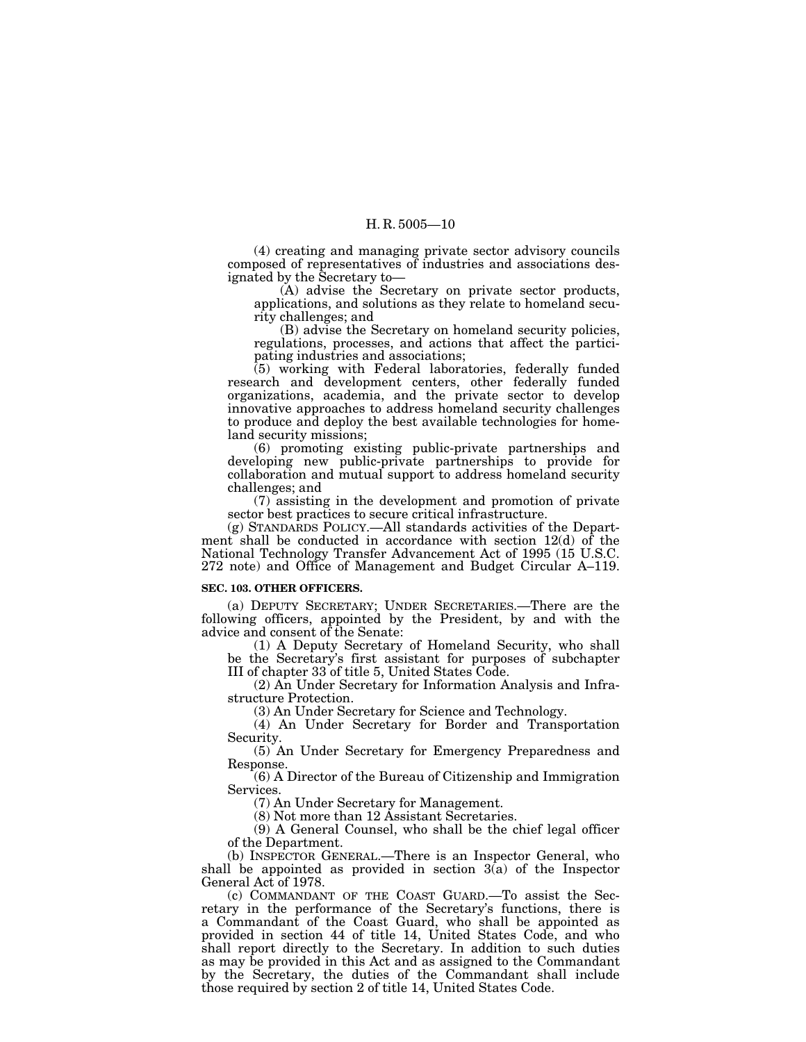(4) creating and managing private sector advisory councils composed of representatives of industries and associations designated by the Secretary to—

(A) advise the Secretary on private sector products, applications, and solutions as they relate to homeland security challenges; and

(B) advise the Secretary on homeland security policies, regulations, processes, and actions that affect the participating industries and associations;

(5) working with Federal laboratories, federally funded research and development centers, other federally funded organizations, academia, and the private sector to develop innovative approaches to address homeland security challenges to produce and deploy the best available technologies for homeland security missions;

(6) promoting existing public-private partnerships and developing new public-private partnerships to provide for collaboration and mutual support to address homeland security challenges; and

(7) assisting in the development and promotion of private sector best practices to secure critical infrastructure.

(g) STANDARDS POLICY.—All standards activities of the Department shall be conducted in accordance with section 12(d) of the National Technology Transfer Advancement Act of 1995 (15 U.S.C. 272 note) and Office of Management and Budget Circular A–119.

### **SEC. 103. OTHER OFFICERS.**

(a) DEPUTY SECRETARY; UNDER SECRETARIES.—There are the following officers, appointed by the President, by and with the advice and consent of the Senate:

(1) A Deputy Secretary of Homeland Security, who shall be the Secretary's first assistant for purposes of subchapter III of chapter 33 of title 5, United States Code.

(2) An Under Secretary for Information Analysis and Infrastructure Protection.

(3) An Under Secretary for Science and Technology.

(4) An Under Secretary for Border and Transportation Security.

(5) An Under Secretary for Emergency Preparedness and Response.

(6) A Director of the Bureau of Citizenship and Immigration Services.

(7) An Under Secretary for Management.

(8) Not more than 12 Assistant Secretaries.

(9) A General Counsel, who shall be the chief legal officer of the Department.

(b) INSPECTOR GENERAL.—There is an Inspector General, who shall be appointed as provided in section  $3(a)$  of the Inspector General Act of 1978.

(c) COMMANDANT OF THE COAST GUARD.—To assist the Secretary in the performance of the Secretary's functions, there is a Commandant of the Coast Guard, who shall be appointed as provided in section 44 of title 14, United States Code, and who shall report directly to the Secretary. In addition to such duties as may be provided in this Act and as assigned to the Commandant by the Secretary, the duties of the Commandant shall include those required by section 2 of title 14, United States Code.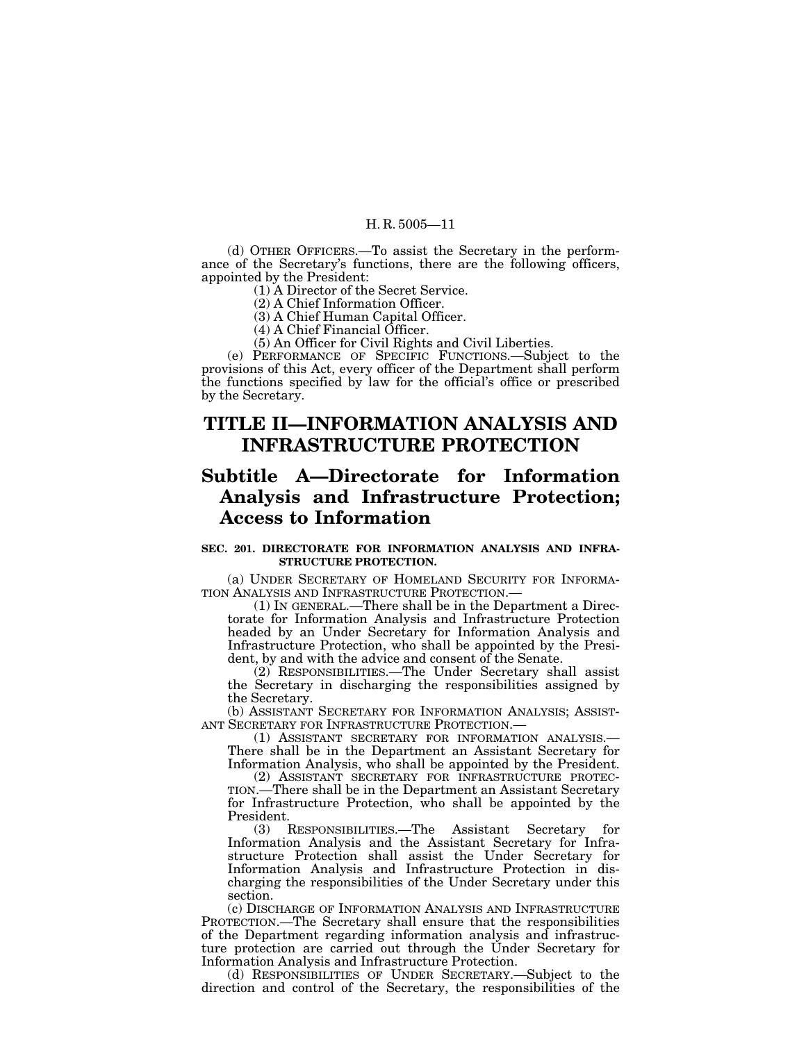(d) OTHER OFFICERS.—To assist the Secretary in the performance of the Secretary's functions, there are the following officers, appointed by the President:

(1) A Director of the Secret Service.

(2) A Chief Information Officer.

(3) A Chief Human Capital Officer.

(4) A Chief Financial Officer.

(5) An Officer for Civil Rights and Civil Liberties.

(e) PERFORMANCE OF SPECIFIC FUNCTIONS.—Subject to the provisions of this Act, every officer of the Department shall perform the functions specified by law for the official's office or prescribed by the Secretary.

### **TITLE II—INFORMATION ANALYSIS AND INFRASTRUCTURE PROTECTION**

### **Subtitle A—Directorate for Information Analysis and Infrastructure Protection; Access to Information**

### **SEC. 201. DIRECTORATE FOR INFORMATION ANALYSIS AND INFRA-STRUCTURE PROTECTION.**

(a) UNDER SECRETARY OF HOMELAND SECURITY FOR INFORMA-TION ANALYSIS AND INFRASTRUCTURE PROTECTION.—

(1) IN GENERAL.—There shall be in the Department a Directorate for Information Analysis and Infrastructure Protection headed by an Under Secretary for Information Analysis and Infrastructure Protection, who shall be appointed by the President, by and with the advice and consent of the Senate.

(2) RESPONSIBILITIES.—The Under Secretary shall assist the Secretary in discharging the responsibilities assigned by the Secretary.

(b) ASSISTANT SECRETARY FOR INFORMATION ANALYSIS; ASSIST-ANT SECRETARY FOR INFRASTRUCTURE PROTECTION.—

(1) ASSISTANT SECRETARY FOR INFORMATION ANALYSIS.— There shall be in the Department an Assistant Secretary for Information Analysis, who shall be appointed by the President.

(2) ASSISTANT SECRETARY FOR INFRASTRUCTURE PROTEC-TION.—There shall be in the Department an Assistant Secretary for Infrastructure Protection, who shall be appointed by the President.

(3) RESPONSIBILITIES.—The Assistant Secretary for Information Analysis and the Assistant Secretary for Infrastructure Protection shall assist the Under Secretary for Information Analysis and Infrastructure Protection in discharging the responsibilities of the Under Secretary under this section.

(c) DISCHARGE OF INFORMATION ANALYSIS AND INFRASTRUCTURE PROTECTION.—The Secretary shall ensure that the responsibilities of the Department regarding information analysis and infrastructure protection are carried out through the Under Secretary for Information Analysis and Infrastructure Protection.

(d) RESPONSIBILITIES OF UNDER SECRETARY.—Subject to the direction and control of the Secretary, the responsibilities of the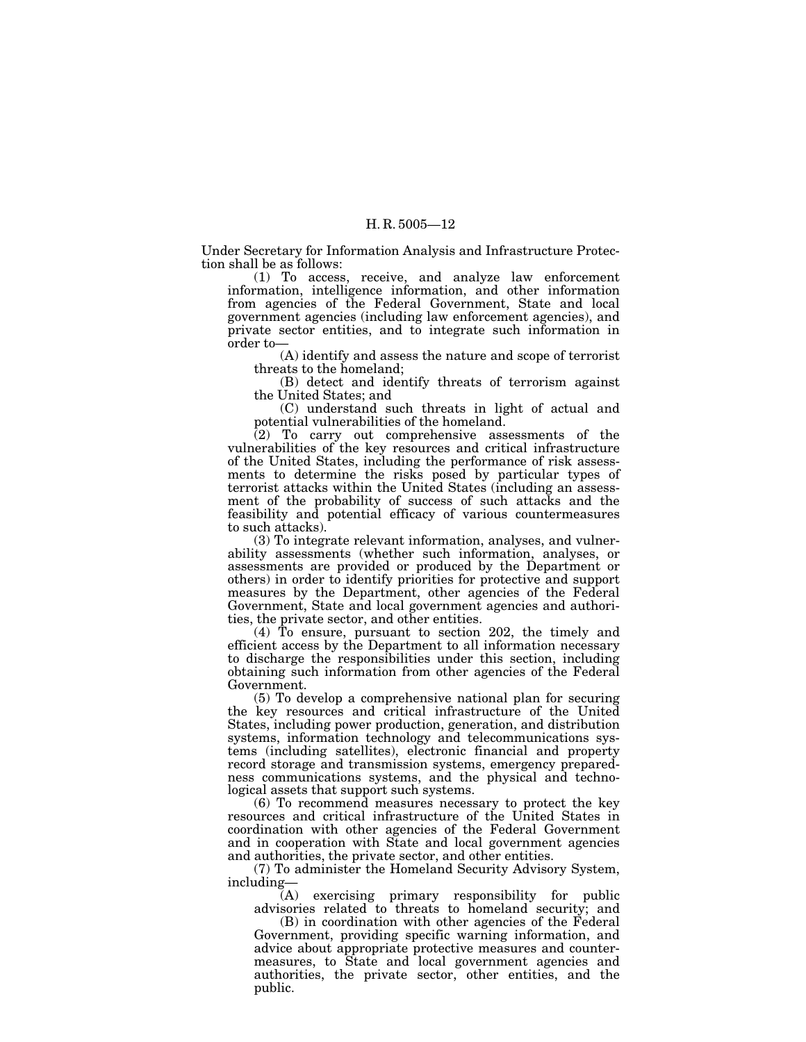Under Secretary for Information Analysis and Infrastructure Protection shall be as follows:

(1) To access, receive, and analyze law enforcement information, intelligence information, and other information from agencies of the Federal Government, State and local government agencies (including law enforcement agencies), and private sector entities, and to integrate such information in order to—

(A) identify and assess the nature and scope of terrorist threats to the homeland;

(B) detect and identify threats of terrorism against the United States; and

(C) understand such threats in light of actual and potential vulnerabilities of the homeland.

 $(2)$  To carry out comprehensive assessments of the vulnerabilities of the key resources and critical infrastructure of the United States, including the performance of risk assessments to determine the risks posed by particular types of terrorist attacks within the United States (including an assessment of the probability of success of such attacks and the feasibility and potential efficacy of various countermeasures to such attacks).

(3) To integrate relevant information, analyses, and vulnerability assessments (whether such information, analyses, or assessments are provided or produced by the Department or others) in order to identify priorities for protective and support measures by the Department, other agencies of the Federal Government, State and local government agencies and authorities, the private sector, and other entities.

(4) To ensure, pursuant to section 202, the timely and efficient access by the Department to all information necessary to discharge the responsibilities under this section, including obtaining such information from other agencies of the Federal Government.

(5) To develop a comprehensive national plan for securing the key resources and critical infrastructure of the United States, including power production, generation, and distribution systems, information technology and telecommunications systems (including satellites), electronic financial and property record storage and transmission systems, emergency preparedness communications systems, and the physical and technological assets that support such systems.

(6) To recommend measures necessary to protect the key resources and critical infrastructure of the United States in coordination with other agencies of the Federal Government and in cooperation with State and local government agencies and authorities, the private sector, and other entities.

(7) To administer the Homeland Security Advisory System, including—

(A) exercising primary responsibility for public advisories related to threats to homeland security; and

(B) in coordination with other agencies of the Federal Government, providing specific warning information, and advice about appropriate protective measures and countermeasures, to State and local government agencies and authorities, the private sector, other entities, and the public.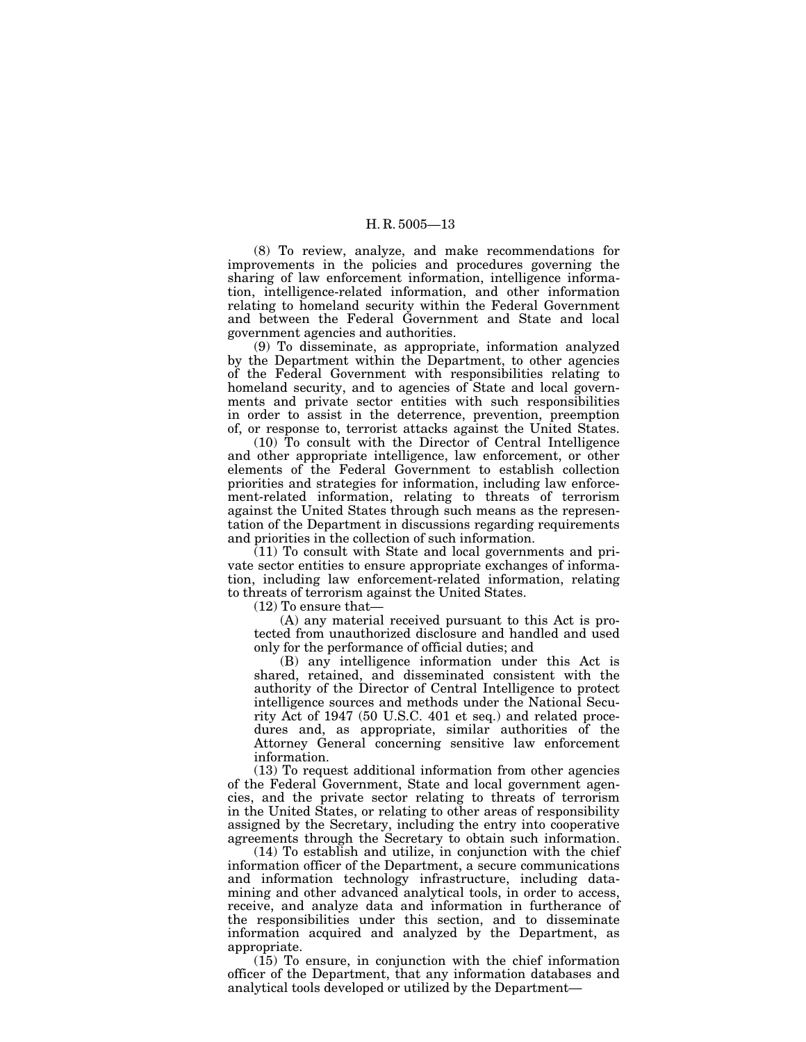(8) To review, analyze, and make recommendations for improvements in the policies and procedures governing the sharing of law enforcement information, intelligence information, intelligence-related information, and other information relating to homeland security within the Federal Government and between the Federal Government and State and local government agencies and authorities.

(9) To disseminate, as appropriate, information analyzed by the Department within the Department, to other agencies of the Federal Government with responsibilities relating to homeland security, and to agencies of State and local governments and private sector entities with such responsibilities in order to assist in the deterrence, prevention, preemption of, or response to, terrorist attacks against the United States.

(10) To consult with the Director of Central Intelligence and other appropriate intelligence, law enforcement, or other elements of the Federal Government to establish collection priorities and strategies for information, including law enforcement-related information, relating to threats of terrorism against the United States through such means as the representation of the Department in discussions regarding requirements and priorities in the collection of such information.

(11) To consult with State and local governments and private sector entities to ensure appropriate exchanges of information, including law enforcement-related information, relating to threats of terrorism against the United States.

(12) To ensure that—

(A) any material received pursuant to this Act is protected from unauthorized disclosure and handled and used only for the performance of official duties; and

(B) any intelligence information under this Act is shared, retained, and disseminated consistent with the authority of the Director of Central Intelligence to protect intelligence sources and methods under the National Security Act of 1947 (50 U.S.C. 401 et seq.) and related procedures and, as appropriate, similar authorities of the Attorney General concerning sensitive law enforcement information.

(13) To request additional information from other agencies of the Federal Government, State and local government agencies, and the private sector relating to threats of terrorism in the United States, or relating to other areas of responsibility assigned by the Secretary, including the entry into cooperative agreements through the Secretary to obtain such information.

(14) To establish and utilize, in conjunction with the chief information officer of the Department, a secure communications and information technology infrastructure, including datamining and other advanced analytical tools, in order to access, receive, and analyze data and information in furtherance of the responsibilities under this section, and to disseminate information acquired and analyzed by the Department, as appropriate.

(15) To ensure, in conjunction with the chief information officer of the Department, that any information databases and analytical tools developed or utilized by the Department—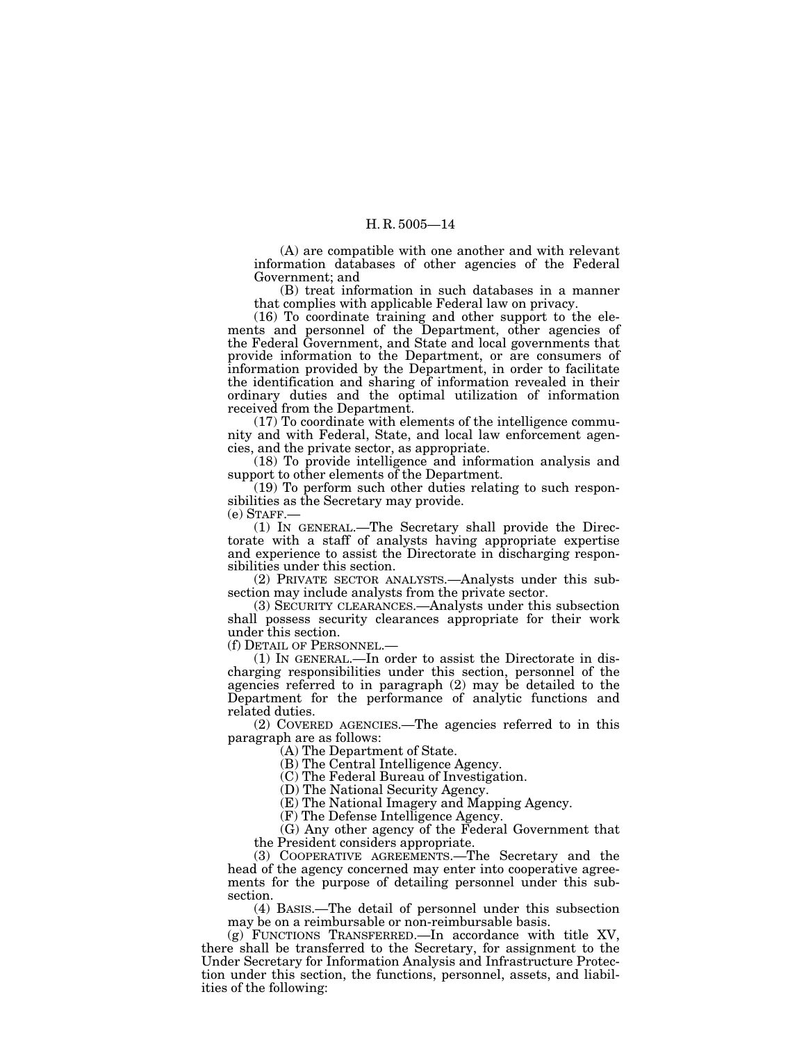(A) are compatible with one another and with relevant information databases of other agencies of the Federal Government; and

(B) treat information in such databases in a manner that complies with applicable Federal law on privacy.

(16) To coordinate training and other support to the elements and personnel of the Department, other agencies of the Federal Government, and State and local governments that provide information to the Department, or are consumers of information provided by the Department, in order to facilitate the identification and sharing of information revealed in their ordinary duties and the optimal utilization of information received from the Department.

(17) To coordinate with elements of the intelligence community and with Federal, State, and local law enforcement agencies, and the private sector, as appropriate.

(18) To provide intelligence and information analysis and support to other elements of the Department.

(19) To perform such other duties relating to such responsibilities as the Secretary may provide.

(e) STAFF.—

(1) IN GENERAL.—The Secretary shall provide the Directorate with a staff of analysts having appropriate expertise and experience to assist the Directorate in discharging responsibilities under this section.

(2) PRIVATE SECTOR ANALYSTS.—Analysts under this subsection may include analysts from the private sector.

(3) SECURITY CLEARANCES.—Analysts under this subsection shall possess security clearances appropriate for their work under this section.

(f) DETAIL OF PERSONNEL.—

(1) IN GENERAL.—In order to assist the Directorate in discharging responsibilities under this section, personnel of the agencies referred to in paragraph (2) may be detailed to the Department for the performance of analytic functions and related duties.

(2) COVERED AGENCIES.—The agencies referred to in this paragraph are as follows:

(A) The Department of State.

(B) The Central Intelligence Agency.

(C) The Federal Bureau of Investigation.

(D) The National Security Agency.

(E) The National Imagery and Mapping Agency.

(F) The Defense Intelligence Agency.

(G) Any other agency of the Federal Government that the President considers appropriate.

(3) COOPERATIVE AGREEMENTS.—The Secretary and the head of the agency concerned may enter into cooperative agreements for the purpose of detailing personnel under this subsection.

(4) BASIS.—The detail of personnel under this subsection may be on a reimbursable or non-reimbursable basis.

(g) FUNCTIONS TRANSFERRED.—In accordance with title XV, there shall be transferred to the Secretary, for assignment to the Under Secretary for Information Analysis and Infrastructure Protection under this section, the functions, personnel, assets, and liabilities of the following: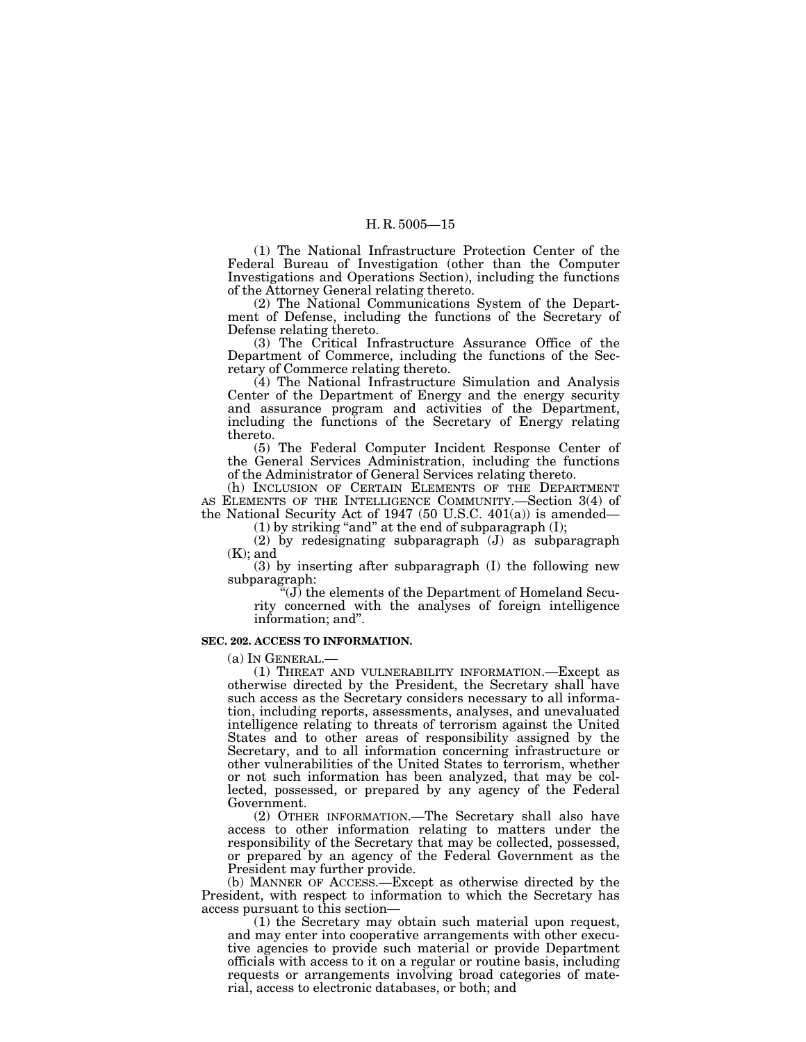(1) The National Infrastructure Protection Center of the Federal Bureau of Investigation (other than the Computer Investigations and Operations Section), including the functions of the Attorney General relating thereto.

(2) The National Communications System of the Department of Defense, including the functions of the Secretary of Defense relating thereto.

(3) The Critical Infrastructure Assurance Office of the Department of Commerce, including the functions of the Secretary of Commerce relating thereto.

(4) The National Infrastructure Simulation and Analysis Center of the Department of Energy and the energy security and assurance program and activities of the Department, including the functions of the Secretary of Energy relating thereto.

(5) The Federal Computer Incident Response Center of the General Services Administration, including the functions of the Administrator of General Services relating thereto.

(h) INCLUSION OF CERTAIN ELEMENTS OF THE DEPARTMENT AS ELEMENTS OF THE INTELLIGENCE COMMUNITY.—Section 3(4) of the National Security Act of 1947 (50 U.S.C. 401(a)) is amended—

 $(1)$  by striking "and" at the end of subparagraph  $(I)$ ;

(2) by redesignating subparagraph (J) as subparagraph  $(K)$ ; and

(3) by inserting after subparagraph (I) the following new subparagraph:

 $\mathbf{H}(\mathbf{J})$  the elements of the Department of Homeland Security concerned with the analyses of foreign intelligence information; and''.

### **SEC. 202. ACCESS TO INFORMATION.**

(a) IN GENERAL.—

(1) THREAT AND VULNERABILITY INFORMATION.—Except as otherwise directed by the President, the Secretary shall have such access as the Secretary considers necessary to all information, including reports, assessments, analyses, and unevaluated intelligence relating to threats of terrorism against the United States and to other areas of responsibility assigned by the Secretary, and to all information concerning infrastructure or other vulnerabilities of the United States to terrorism, whether or not such information has been analyzed, that may be collected, possessed, or prepared by any agency of the Federal Government.

(2) OTHER INFORMATION.—The Secretary shall also have access to other information relating to matters under the responsibility of the Secretary that may be collected, possessed, or prepared by an agency of the Federal Government as the President may further provide.

(b) MANNER OF ACCESS.—Except as otherwise directed by the President, with respect to information to which the Secretary has access pursuant to this section—

(1) the Secretary may obtain such material upon request, and may enter into cooperative arrangements with other executive agencies to provide such material or provide Department officials with access to it on a regular or routine basis, including requests or arrangements involving broad categories of material, access to electronic databases, or both; and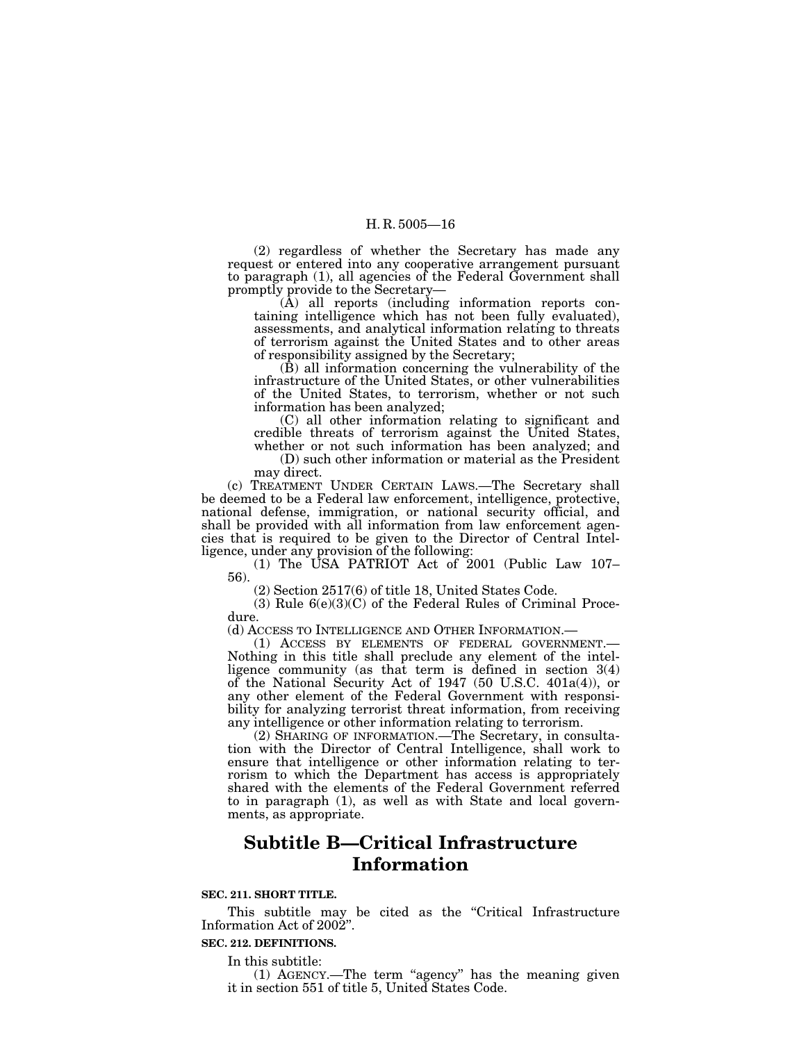(2) regardless of whether the Secretary has made any request or entered into any cooperative arrangement pursuant to paragraph (1), all agencies of the Federal Government shall promptly provide to the Secretary—

 $\rho(\mathbf{\hat{A}})$  all reports (including information reports containing intelligence which has not been fully evaluated), assessments, and analytical information relating to threats of terrorism against the United States and to other areas of responsibility assigned by the Secretary;

(B) all information concerning the vulnerability of the infrastructure of the United States, or other vulnerabilities of the United States, to terrorism, whether or not such information has been analyzed;

(C) all other information relating to significant and credible threats of terrorism against the United States, whether or not such information has been analyzed; and

(D) such other information or material as the President may direct.

(c) TREATMENT UNDER CERTAIN LAWS.—The Secretary shall be deemed to be a Federal law enforcement, intelligence, protective, national defense, immigration, or national security official, and shall be provided with all information from law enforcement agencies that is required to be given to the Director of Central Intelligence, under any provision of the following:

(1) The USA PATRIOT Act of 2001 (Public Law 107– 56).

(2) Section 2517(6) of title 18, United States Code.

(3) Rule 6(e)(3)(C) of the Federal Rules of Criminal Procedure.<br>(d) Access to Intelligence and Other Information.—

(1) ACCESS BY ELEMENTS OF FEDERAL GOVERNMENT.— Nothing in this title shall preclude any element of the intelligence community (as that term is defined in section 3(4) of the National Security Act of 1947 (50 U.S.C. 401a(4)), or any other element of the Federal Government with responsibility for analyzing terrorist threat information, from receiving any intelligence or other information relating to terrorism.

(2) SHARING OF INFORMATION.—The Secretary, in consultation with the Director of Central Intelligence, shall work to ensure that intelligence or other information relating to terrorism to which the Department has access is appropriately shared with the elements of the Federal Government referred to in paragraph (1), as well as with State and local governments, as appropriate.

### **Subtitle B—Critical Infrastructure Information**

### **SEC. 211. SHORT TITLE.**

This subtitle may be cited as the "Critical Infrastructure Information Act of 2002''.

### **SEC. 212. DEFINITIONS.**

In this subtitle:

(1) AGENCY.—The term ''agency'' has the meaning given it in section 551 of title 5, United States Code.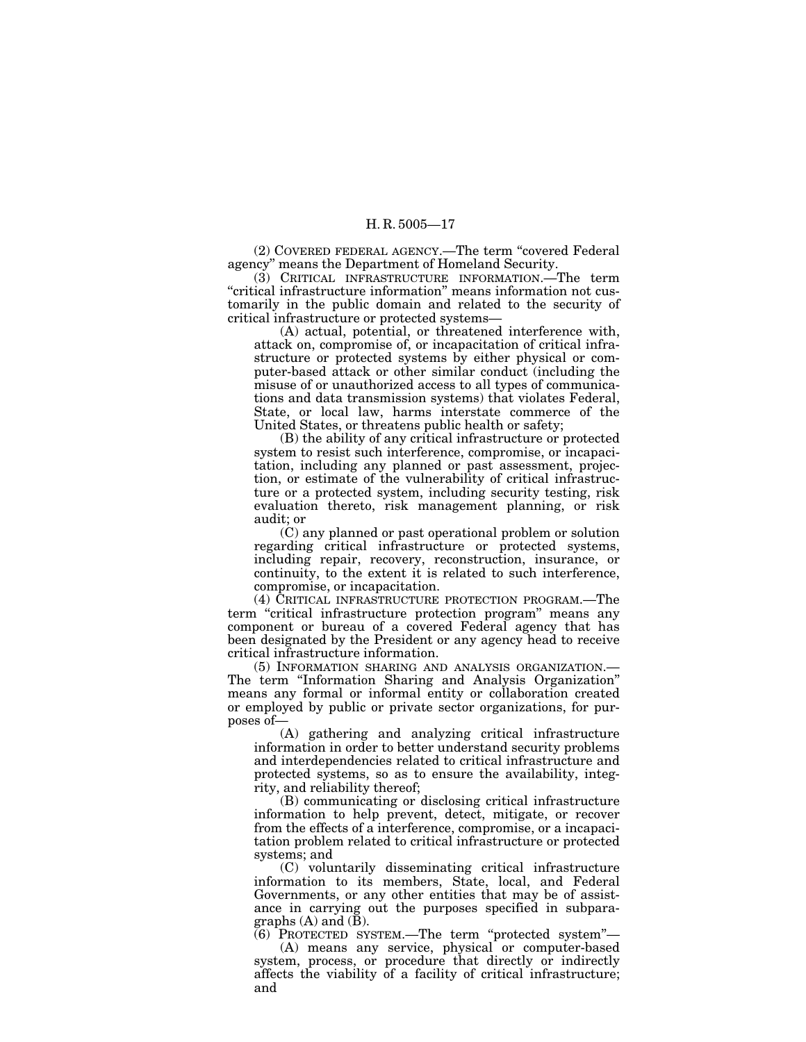(2) COVERED FEDERAL AGENCY.—The term ''covered Federal agency'' means the Department of Homeland Security.

(3) CRITICAL INFRASTRUCTURE INFORMATION.—The term ''critical infrastructure information'' means information not customarily in the public domain and related to the security of critical infrastructure or protected systems—

(A) actual, potential, or threatened interference with, attack on, compromise of, or incapacitation of critical infrastructure or protected systems by either physical or computer-based attack or other similar conduct (including the misuse of or unauthorized access to all types of communications and data transmission systems) that violates Federal, State, or local law, harms interstate commerce of the United States, or threatens public health or safety;

(B) the ability of any critical infrastructure or protected system to resist such interference, compromise, or incapacitation, including any planned or past assessment, projection, or estimate of the vulnerability of critical infrastructure or a protected system, including security testing, risk evaluation thereto, risk management planning, or risk audit; or

(C) any planned or past operational problem or solution regarding critical infrastructure or protected systems, including repair, recovery, reconstruction, insurance, or continuity, to the extent it is related to such interference, compromise, or incapacitation.

(4) CRITICAL INFRASTRUCTURE PROTECTION PROGRAM.—The term "critical infrastructure protection program" means any component or bureau of a covered Federal agency that has been designated by the President or any agency head to receive critical infrastructure information.

(5) INFORMATION SHARING AND ANALYSIS ORGANIZATION.— The term ''Information Sharing and Analysis Organization'' means any formal or informal entity or collaboration created or employed by public or private sector organizations, for purposes of—

(A) gathering and analyzing critical infrastructure information in order to better understand security problems and interdependencies related to critical infrastructure and protected systems, so as to ensure the availability, integrity, and reliability thereof;

(B) communicating or disclosing critical infrastructure information to help prevent, detect, mitigate, or recover from the effects of a interference, compromise, or a incapacitation problem related to critical infrastructure or protected systems; and

(C) voluntarily disseminating critical infrastructure information to its members, State, local, and Federal Governments, or any other entities that may be of assistance in carrying out the purposes specified in subparagraphs  $(A)$  and  $(\bar{B})$ .

 $(6)$  PROTECTED SYSTEM.—The term "protected system"—

(A) means any service, physical or computer-based system, process, or procedure that directly or indirectly affects the viability of a facility of critical infrastructure; and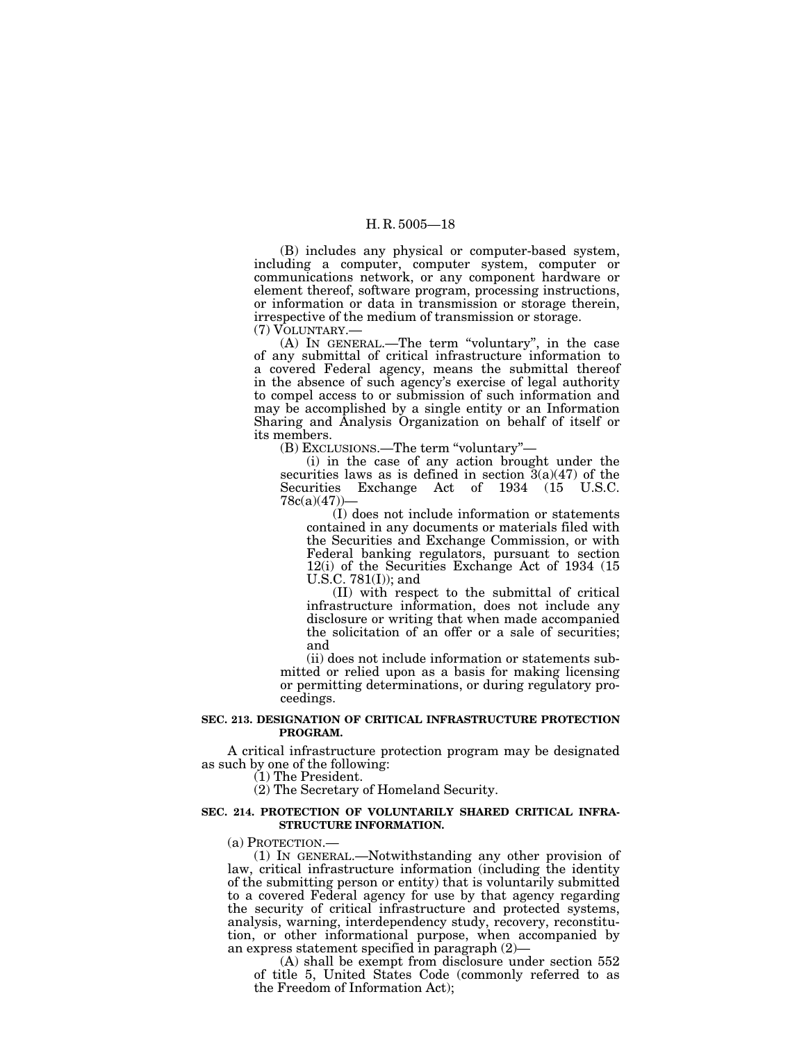(B) includes any physical or computer-based system, including a computer, computer system, computer or communications network, or any component hardware or element thereof, software program, processing instructions, or information or data in transmission or storage therein, irrespective of the medium of transmission or storage.

(7) VOLUNTARY.—

(A) IN GENERAL.—The term ''voluntary'', in the case of any submittal of critical infrastructure information to a covered Federal agency, means the submittal thereof in the absence of such agency's exercise of legal authority to compel access to or submission of such information and may be accomplished by a single entity or an Information Sharing and Analysis Organization on behalf of itself or its members.

(B) EXCLUSIONS.—The term ''voluntary''—

(i) in the case of any action brought under the securities laws as is defined in section  $3(a)(47)$  of the Securities Exchange Act of 1934 (15 U.S.C.  $78c(a)(47)$ 

(I) does not include information or statements contained in any documents or materials filed with the Securities and Exchange Commission, or with Federal banking regulators, pursuant to section 12(i) of the Securities Exchange Act of 1934 (15 U.S.C. 781(I)); and

(II) with respect to the submittal of critical infrastructure information, does not include any disclosure or writing that when made accompanied the solicitation of an offer or a sale of securities; and

(ii) does not include information or statements submitted or relied upon as a basis for making licensing or permitting determinations, or during regulatory proceedings.

### **SEC. 213. DESIGNATION OF CRITICAL INFRASTRUCTURE PROTECTION PROGRAM.**

A critical infrastructure protection program may be designated as such by one of the following:

(1) The President.

(2) The Secretary of Homeland Security.

### **SEC. 214. PROTECTION OF VOLUNTARILY SHARED CRITICAL INFRA-STRUCTURE INFORMATION.**

(a) PROTECTION.—

(1) IN GENERAL.—Notwithstanding any other provision of law, critical infrastructure information (including the identity of the submitting person or entity) that is voluntarily submitted to a covered Federal agency for use by that agency regarding the security of critical infrastructure and protected systems, analysis, warning, interdependency study, recovery, reconstitution, or other informational purpose, when accompanied by an express statement specified in paragraph (2)—

(A) shall be exempt from disclosure under section 552 of title 5, United States Code (commonly referred to as the Freedom of Information Act);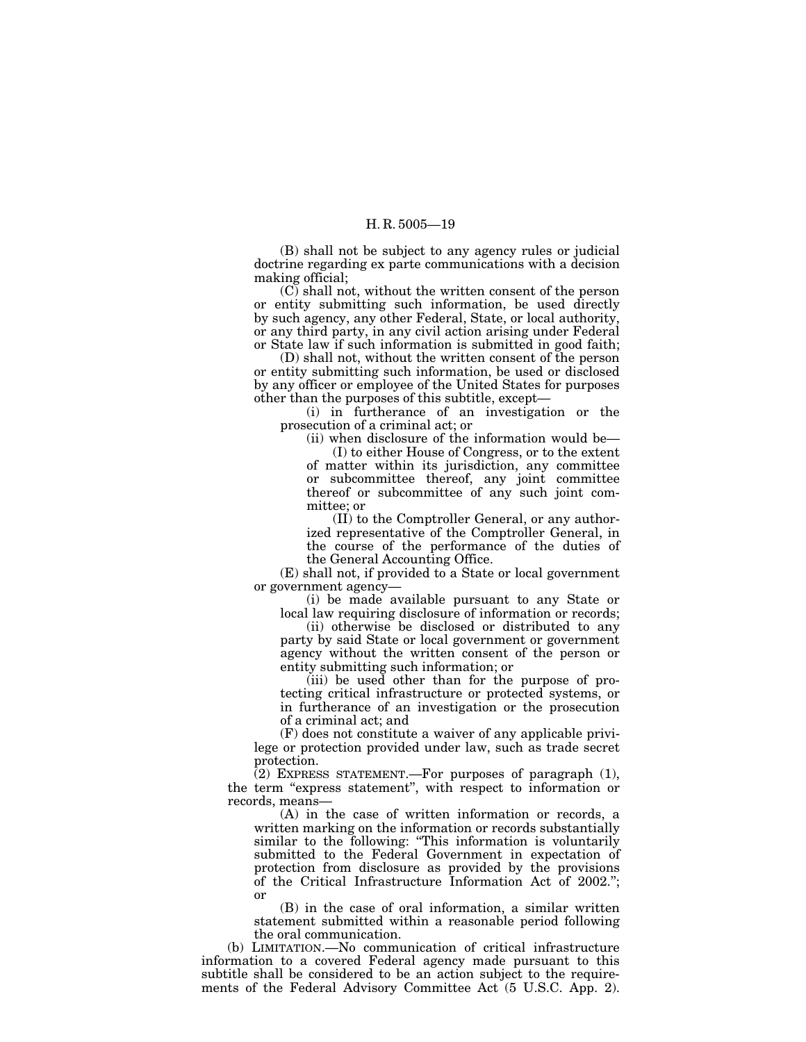(B) shall not be subject to any agency rules or judicial doctrine regarding ex parte communications with a decision making official;

 $(C)$  shall not, without the written consent of the person or entity submitting such information, be used directly by such agency, any other Federal, State, or local authority, or any third party, in any civil action arising under Federal or State law if such information is submitted in good faith;

(D) shall not, without the written consent of the person or entity submitting such information, be used or disclosed by any officer or employee of the United States for purposes other than the purposes of this subtitle, except—

(i) in furtherance of an investigation or the prosecution of a criminal act; or

(ii) when disclosure of the information would be—

(I) to either House of Congress, or to the extent of matter within its jurisdiction, any committee or subcommittee thereof, any joint committee thereof or subcommittee of any such joint committee; or

(II) to the Comptroller General, or any authorized representative of the Comptroller General, in the course of the performance of the duties of the General Accounting Office.

(E) shall not, if provided to a State or local government or government agency—

(i) be made available pursuant to any State or local law requiring disclosure of information or records;

(ii) otherwise be disclosed or distributed to any party by said State or local government or government agency without the written consent of the person or entity submitting such information; or

(iii) be used other than for the purpose of protecting critical infrastructure or protected systems, or in furtherance of an investigation or the prosecution of a criminal act; and

(F) does not constitute a waiver of any applicable privilege or protection provided under law, such as trade secret protection.

 $(2)$  EXPRESS STATEMENT.—For purposes of paragraph  $(1)$ , the term ''express statement'', with respect to information or records, means—

(A) in the case of written information or records, a written marking on the information or records substantially similar to the following: "This information is voluntarily submitted to the Federal Government in expectation of protection from disclosure as provided by the provisions of the Critical Infrastructure Information Act of 2002.''; or

(B) in the case of oral information, a similar written statement submitted within a reasonable period following the oral communication.

(b) LIMITATION.—No communication of critical infrastructure information to a covered Federal agency made pursuant to this subtitle shall be considered to be an action subject to the requirements of the Federal Advisory Committee Act (5 U.S.C. App. 2).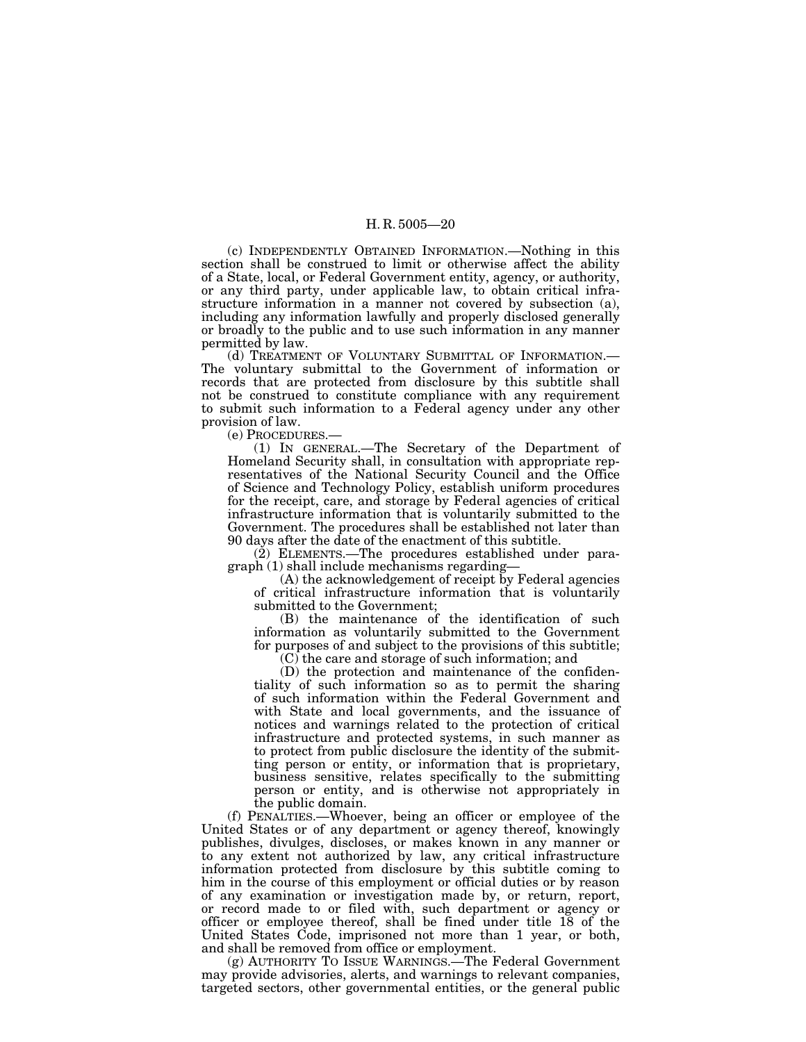(c) INDEPENDENTLY OBTAINED INFORMATION.—Nothing in this section shall be construed to limit or otherwise affect the ability of a State, local, or Federal Government entity, agency, or authority, or any third party, under applicable law, to obtain critical infrastructure information in a manner not covered by subsection (a), including any information lawfully and properly disclosed generally or broadly to the public and to use such information in any manner permitted by law.<br>(d) TREATMENT OF VOLUNTARY SUBMITTAL OF INFORMATION.—

The voluntary submittal to the Government of information or records that are protected from disclosure by this subtitle shall not be construed to constitute compliance with any requirement to submit such information to a Federal agency under any other provision of law.

(e) PROCEDURES.—

(1) IN GENERAL.—The Secretary of the Department of Homeland Security shall, in consultation with appropriate representatives of the National Security Council and the Office of Science and Technology Policy, establish uniform procedures for the receipt, care, and storage by Federal agencies of critical infrastructure information that is voluntarily submitted to the Government. The procedures shall be established not later than 90 days after the date of the enactment of this subtitle.

(2) ELEMENTS.—The procedures established under paragraph (1) shall include mechanisms regarding—

(A) the acknowledgement of receipt by Federal agencies of critical infrastructure information that is voluntarily submitted to the Government;

(B) the maintenance of the identification of such information as voluntarily submitted to the Government for purposes of and subject to the provisions of this subtitle;

(C) the care and storage of such information; and

(D) the protection and maintenance of the confidentiality of such information so as to permit the sharing of such information within the Federal Government and with State and local governments, and the issuance of notices and warnings related to the protection of critical infrastructure and protected systems, in such manner as to protect from public disclosure the identity of the submitting person or entity, or information that is proprietary, business sensitive, relates specifically to the submitting person or entity, and is otherwise not appropriately in the public domain.

(f) PENALTIES.—Whoever, being an officer or employee of the United States or of any department or agency thereof, knowingly publishes, divulges, discloses, or makes known in any manner or to any extent not authorized by law, any critical infrastructure information protected from disclosure by this subtitle coming to him in the course of this employment or official duties or by reason of any examination or investigation made by, or return, report, or record made to or filed with, such department or agency or officer or employee thereof, shall be fined under title 18 of the United States Code, imprisoned not more than 1 year, or both, and shall be removed from office or employment.

(g) AUTHORITY TO ISSUE WARNINGS.—The Federal Government may provide advisories, alerts, and warnings to relevant companies, targeted sectors, other governmental entities, or the general public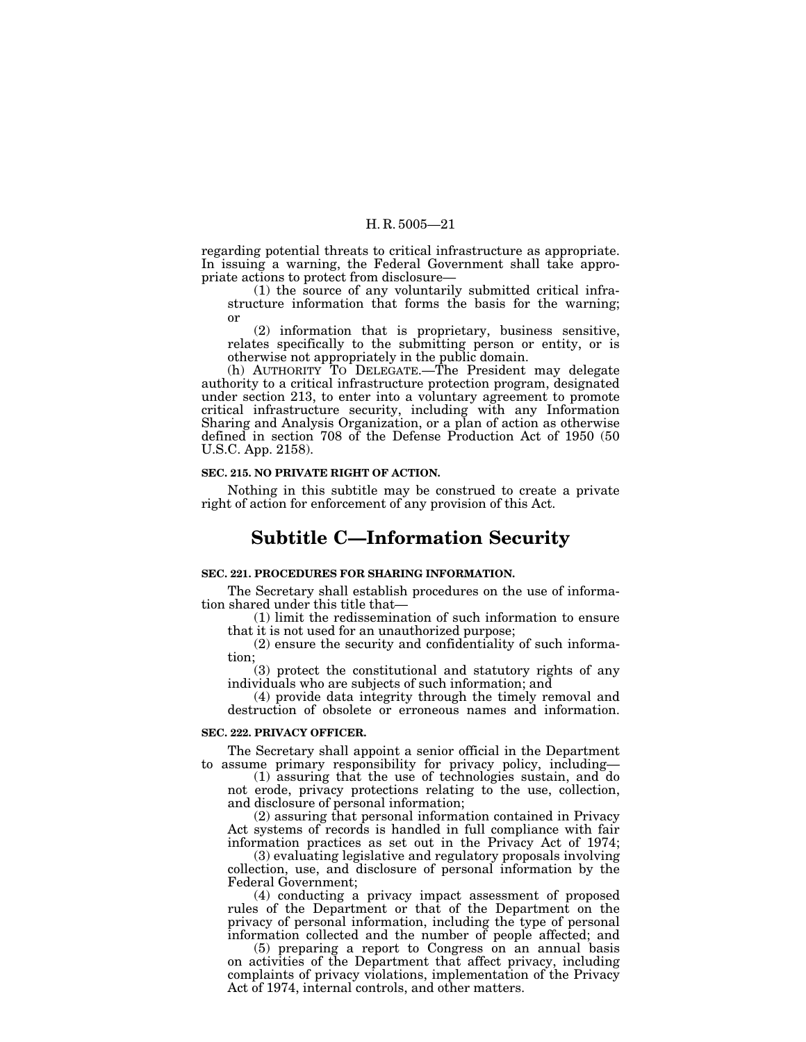regarding potential threats to critical infrastructure as appropriate. In issuing a warning, the Federal Government shall take appropriate actions to protect from disclosure—

(1) the source of any voluntarily submitted critical infrastructure information that forms the basis for the warning; or

(2) information that is proprietary, business sensitive, relates specifically to the submitting person or entity, or is otherwise not appropriately in the public domain.

(h) AUTHORITY TO DELEGATE.—The President may delegate authority to a critical infrastructure protection program, designated under section 213, to enter into a voluntary agreement to promote critical infrastructure security, including with any Information Sharing and Analysis Organization, or a plan of action as otherwise defined in section 708 of the Defense Production Act of 1950 (50 U.S.C. App. 2158).

### **SEC. 215. NO PRIVATE RIGHT OF ACTION.**

Nothing in this subtitle may be construed to create a private right of action for enforcement of any provision of this Act.

### **Subtitle C—Information Security**

### **SEC. 221. PROCEDURES FOR SHARING INFORMATION.**

The Secretary shall establish procedures on the use of information shared under this title that—

 $(1)$  limit the redissemination of such information to ensure that it is not used for an unauthorized purpose;

(2) ensure the security and confidentiality of such information;

(3) protect the constitutional and statutory rights of any individuals who are subjects of such information; and

(4) provide data integrity through the timely removal and destruction of obsolete or erroneous names and information.

### **SEC. 222. PRIVACY OFFICER.**

The Secretary shall appoint a senior official in the Department to assume primary responsibility for privacy policy, including—

(1) assuring that the use of technologies sustain, and do not erode, privacy protections relating to the use, collection, and disclosure of personal information;

(2) assuring that personal information contained in Privacy Act systems of records is handled in full compliance with fair information practices as set out in the Privacy Act of 1974;

(3) evaluating legislative and regulatory proposals involving collection, use, and disclosure of personal information by the Federal Government;

(4) conducting a privacy impact assessment of proposed rules of the Department or that of the Department on the privacy of personal information, including the type of personal information collected and the number of people affected; and

(5) preparing a report to Congress on an annual basis on activities of the Department that affect privacy, including complaints of privacy violations, implementation of the Privacy Act of 1974, internal controls, and other matters.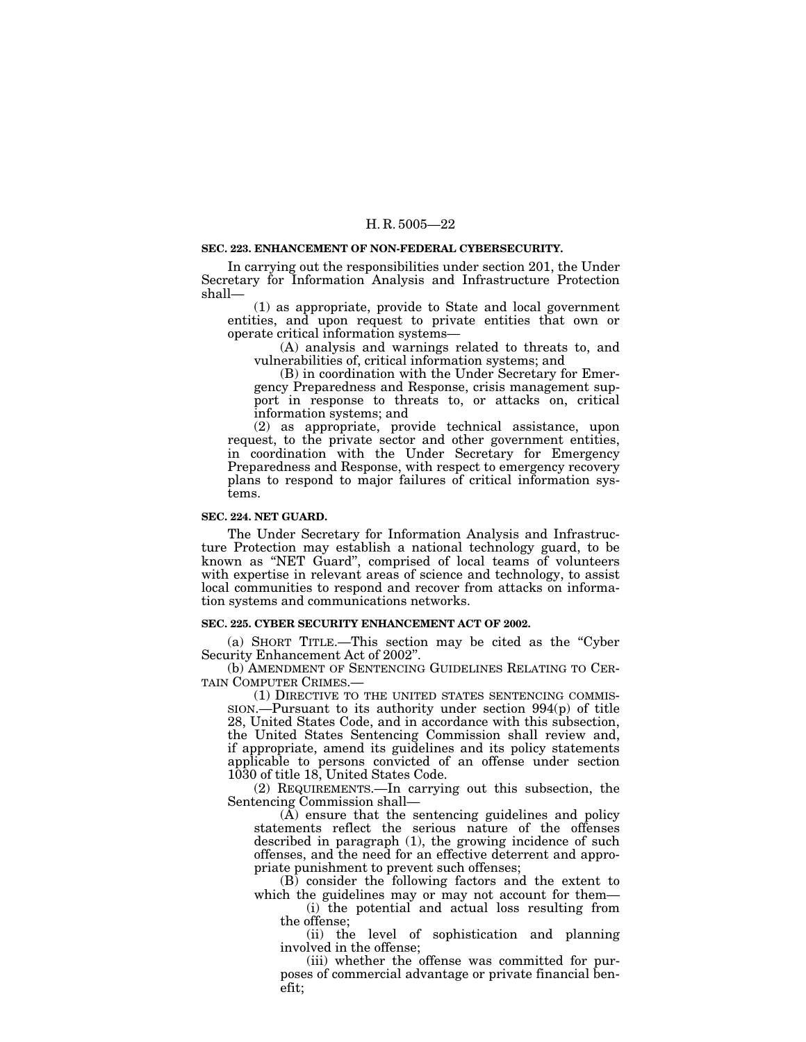### **SEC. 223. ENHANCEMENT OF NON-FEDERAL CYBERSECURITY.**

In carrying out the responsibilities under section 201, the Under Secretary for Information Analysis and Infrastructure Protection shall—

(1) as appropriate, provide to State and local government entities, and upon request to private entities that own or operate critical information systems—

(A) analysis and warnings related to threats to, and vulnerabilities of, critical information systems; and

(B) in coordination with the Under Secretary for Emergency Preparedness and Response, crisis management support in response to threats to, or attacks on, critical information systems; and

(2) as appropriate, provide technical assistance, upon request, to the private sector and other government entities, in coordination with the Under Secretary for Emergency Preparedness and Response, with respect to emergency recovery plans to respond to major failures of critical information systems.

### **SEC. 224. NET GUARD.**

The Under Secretary for Information Analysis and Infrastructure Protection may establish a national technology guard, to be known as "NET Guard", comprised of local teams of volunteers with expertise in relevant areas of science and technology, to assist local communities to respond and recover from attacks on information systems and communications networks.

### **SEC. 225. CYBER SECURITY ENHANCEMENT ACT OF 2002.**

(a) SHORT TITLE.—This section may be cited as the ''Cyber Security Enhancement Act of 2002''.

(b) AMENDMENT OF SENTENCING GUIDELINES RELATING TO CER-TAIN COMPUTER CRIMES.—

(1) DIRECTIVE TO THE UNITED STATES SENTENCING COMMIS-SION.—Pursuant to its authority under section 994(p) of title 28, United States Code, and in accordance with this subsection, the United States Sentencing Commission shall review and, if appropriate, amend its guidelines and its policy statements applicable to persons convicted of an offense under section 1030 of title 18, United States Code.

(2) REQUIREMENTS.—In carrying out this subsection, the Sentencing Commission shall—

 $(A)$  ensure that the sentencing guidelines and policy statements reflect the serious nature of the offenses described in paragraph (1), the growing incidence of such offenses, and the need for an effective deterrent and appropriate punishment to prevent such offenses;

(B) consider the following factors and the extent to which the guidelines may or may not account for them—

(i) the potential and actual loss resulting from the offense;

(ii) the level of sophistication and planning involved in the offense;

(iii) whether the offense was committed for purposes of commercial advantage or private financial benefit;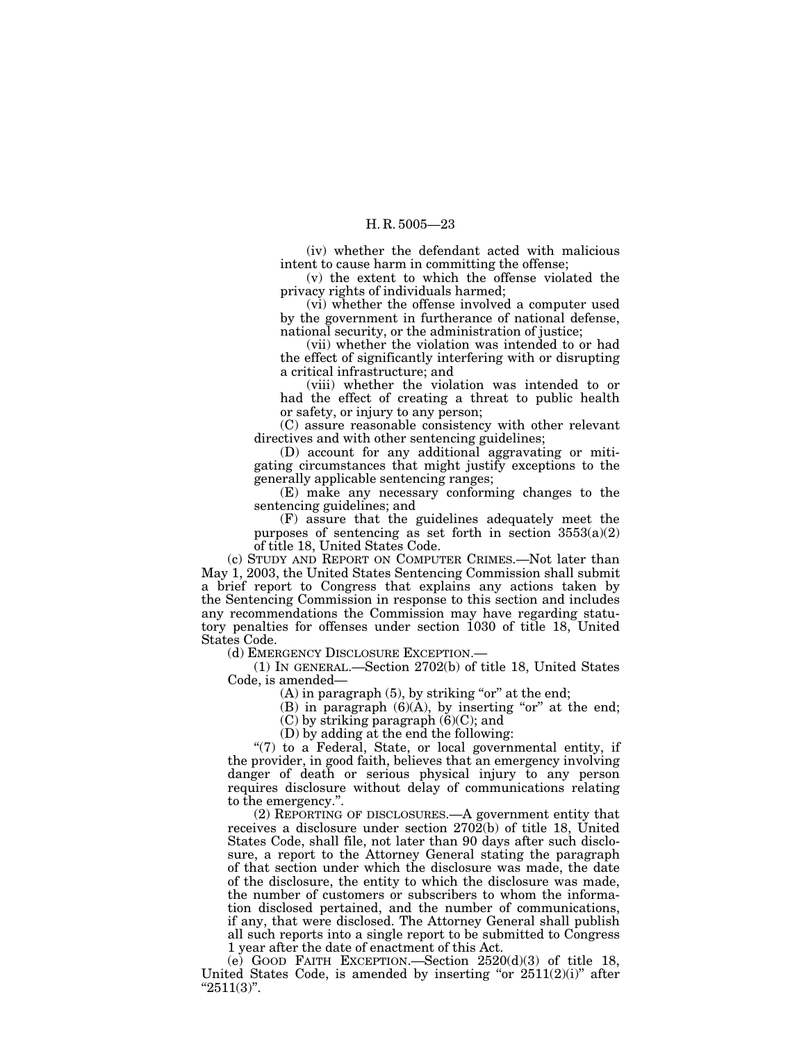(iv) whether the defendant acted with malicious intent to cause harm in committing the offense;

(v) the extent to which the offense violated the privacy rights of individuals harmed;

(vi) whether the offense involved a computer used by the government in furtherance of national defense, national security, or the administration of justice;

(vii) whether the violation was intended to or had the effect of significantly interfering with or disrupting a critical infrastructure; and

(viii) whether the violation was intended to or had the effect of creating a threat to public health or safety, or injury to any person;

(C) assure reasonable consistency with other relevant directives and with other sentencing guidelines;

(D) account for any additional aggravating or mitigating circumstances that might justify exceptions to the generally applicable sentencing ranges;

(E) make any necessary conforming changes to the sentencing guidelines; and

(F) assure that the guidelines adequately meet the purposes of sentencing as set forth in section  $3553(a)(2)$ of title 18, United States Code.

(c) STUDY AND REPORT ON COMPUTER CRIMES.—Not later than May 1, 2003, the United States Sentencing Commission shall submit a brief report to Congress that explains any actions taken by the Sentencing Commission in response to this section and includes any recommendations the Commission may have regarding statutory penalties for offenses under section 1030 of title 18, United States Code.

(d) EMERGENCY DISCLOSURE EXCEPTION.—

(1) IN GENERAL.—Section 2702(b) of title 18, United States Code, is amended—

 $(A)$  in paragraph  $(5)$ , by striking "or" at the end;

(B) in paragraph  $(6)(A)$ , by inserting "or" at the end;

(C) by striking paragraph  $(6)(C)$ ; and

(D) by adding at the end the following:

"(7) to a Federal, State, or local governmental entity, if the provider, in good faith, believes that an emergency involving danger of death or serious physical injury to any person requires disclosure without delay of communications relating to the emergency.''.

(2) REPORTING OF DISCLOSURES.—A government entity that receives a disclosure under section 2702(b) of title 18, United States Code, shall file, not later than 90 days after such disclosure, a report to the Attorney General stating the paragraph of that section under which the disclosure was made, the date of the disclosure, the entity to which the disclosure was made, the number of customers or subscribers to whom the information disclosed pertained, and the number of communications, if any, that were disclosed. The Attorney General shall publish all such reports into a single report to be submitted to Congress 1 year after the date of enactment of this Act.

(e) GOOD FAITH EXCEPTION.—Section 2520(d)(3) of title 18, United States Code, is amended by inserting "or  $2511(2)(i)$ " after  $"2511(3)"$ .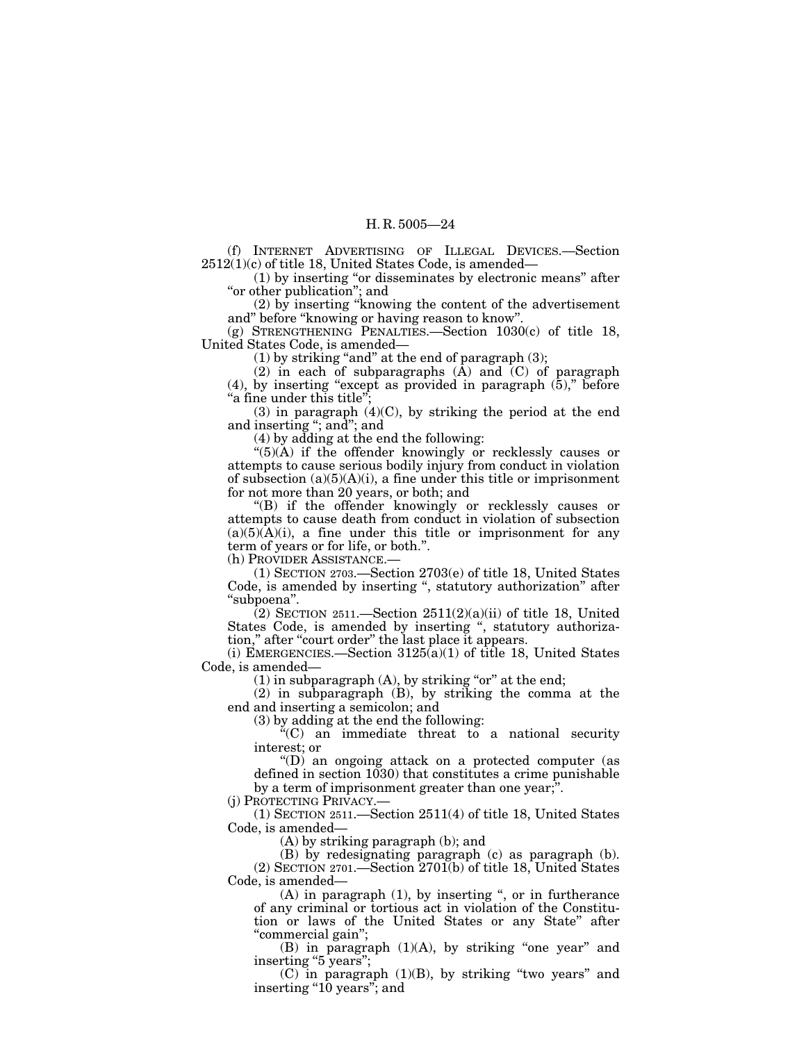(f) INTERNET ADVERTISING OF ILLEGAL DEVICES.—Section 2512(1)(c) of title 18, United States Code, is amended—

(1) by inserting "or disseminates by electronic means" after "or other publication"; and

(2) by inserting ''knowing the content of the advertisement and'' before ''knowing or having reason to know''.

(g) STRENGTHENING PENALTIES.—Section 1030(c) of title 18, United States Code, is amended—

 $(1)$  by striking "and" at the end of paragraph  $(3)$ ;

(2) in each of subparagraphs  $(\overline{A})$  and  $(\overline{C})$  of paragraph  $(4)$ , by inserting "except as provided in paragraph  $(5)$ ," before "a fine under this title";

(3) in paragraph  $(4)(C)$ , by striking the period at the end and inserting ''; and''; and

(4) by adding at the end the following:

''(5)(A) if the offender knowingly or recklessly causes or attempts to cause serious bodily injury from conduct in violation of subsection  $(a)(5)(A)(i)$ , a fine under this title or imprisonment for not more than 20 years, or both; and

''(B) if the offender knowingly or recklessly causes or attempts to cause death from conduct in violation of subsection  $(a)(5)(\overline{A})(i)$ , a fine under this title or imprisonment for any term of years or for life, or both.''.

(h) PROVIDER ASSISTANCE.—

(1) SECTION 2703.—Section 2703(e) of title 18, United States Code, is amended by inserting ", statutory authorization" after ''subpoena''.

 $(2)$  SECTION 2511.—Section 2511(2)(a)(ii) of title 18, United States Code, is amended by inserting ", statutory authorization," after "court order" the last place it appears.

(i) EMERGENCIES.—Section  $3125(a)(1)$  of title 18, United States Code, is amended—

 $(1)$  in subparagraph  $(A)$ , by striking "or" at the end;

(2) in subparagraph (B), by striking the comma at the end and inserting a semicolon; and

(3) by adding at the end the following:

''(C) an immediate threat to a national security interest; or

''(D) an ongoing attack on a protected computer (as defined in section 1030) that constitutes a crime punishable by a term of imprisonment greater than one year;''.

(j) PROTECTING PRIVACY.—

(1) SECTION 2511.—Section 2511(4) of title 18, United States Code, is amended—

(A) by striking paragraph (b); and

(B) by redesignating paragraph (c) as paragraph (b). (2) SECTION 2701.—Section 2701(b) of title 18, United States Code, is amended—

 $(A)$  in paragraph  $(1)$ , by inserting ", or in furtherance of any criminal or tortious act in violation of the Constitution or laws of the United States or any State'' after ''commercial gain'';

 $(B)$  in paragraph  $(1)(A)$ , by striking "one year" and inserting "5 years";

 $(C)$  in paragraph  $(1)(B)$ , by striking "two years" and inserting "10 years"; and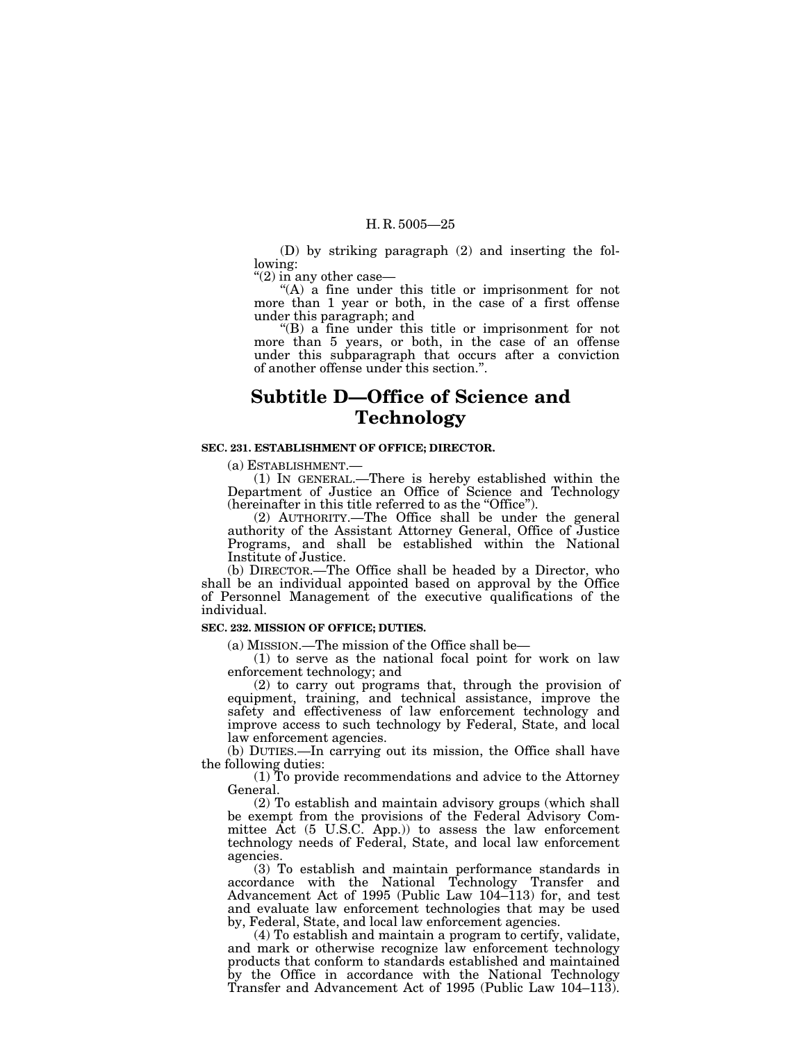(D) by striking paragraph (2) and inserting the following:

"(2) in any other case—<br>"(A) a fine under this title or imprisonment for not more than 1 year or both, in the case of a first offense under this paragraph; and

 $f(B)$  a fine under this title or imprisonment for not more than 5 years, or both, in the case of an offense under this subparagraph that occurs after a conviction of another offense under this section.''.

### **Subtitle D—Office of Science and Technology**

### **SEC. 231. ESTABLISHMENT OF OFFICE; DIRECTOR.**

(a) ESTABLISHMENT.— (1) IN GENERAL.—There is hereby established within the Department of Justice an Office of Science and Technology (hereinafter in this title referred to as the "Office").

(2) AUTHORITY.—The Office shall be under the general authority of the Assistant Attorney General, Office of Justice Programs, and shall be established within the National Institute of Justice.

(b) DIRECTOR.—The Office shall be headed by a Director, who shall be an individual appointed based on approval by the Office of Personnel Management of the executive qualifications of the individual.

### **SEC. 232. MISSION OF OFFICE; DUTIES.**

(a) MISSION.—The mission of the Office shall be—

(1) to serve as the national focal point for work on law enforcement technology; and

(2) to carry out programs that, through the provision of equipment, training, and technical assistance, improve the safety and effectiveness of law enforcement technology and improve access to such technology by Federal, State, and local law enforcement agencies.

(b) DUTIES.—In carrying out its mission, the Office shall have the following duties:

(1) To provide recommendations and advice to the Attorney General.

(2) To establish and maintain advisory groups (which shall be exempt from the provisions of the Federal Advisory Committee Act (5 U.S.C. App.)) to assess the law enforcement technology needs of Federal, State, and local law enforcement agencies.

(3) To establish and maintain performance standards in accordance with the National Technology Transfer and Advancement Act of 1995 (Public Law 104–113) for, and test and evaluate law enforcement technologies that may be used by, Federal, State, and local law enforcement agencies.

(4) To establish and maintain a program to certify, validate, and mark or otherwise recognize law enforcement technology products that conform to standards established and maintained by the Office in accordance with the National Technology Transfer and Advancement Act of 1995 (Public Law 104–113).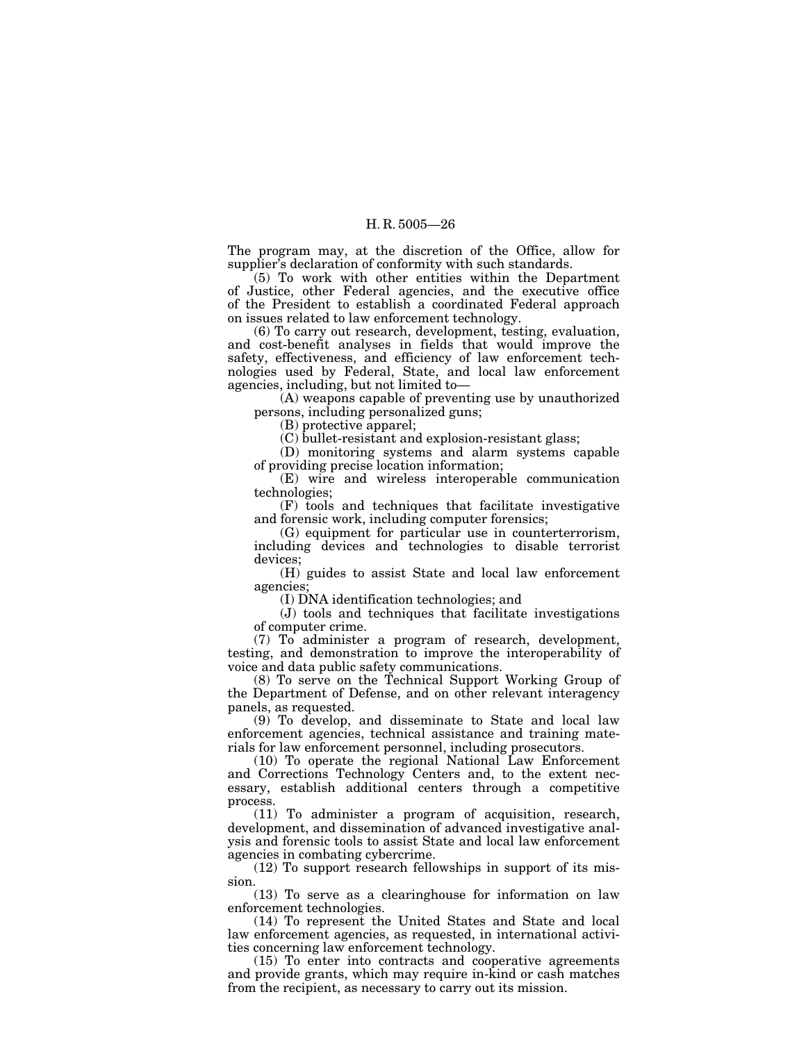The program may, at the discretion of the Office, allow for supplier's declaration of conformity with such standards.

(5) To work with other entities within the Department of Justice, other Federal agencies, and the executive office of the President to establish a coordinated Federal approach on issues related to law enforcement technology.

(6) To carry out research, development, testing, evaluation, and cost-benefit analyses in fields that would improve the safety, effectiveness, and efficiency of law enforcement technologies used by Federal, State, and local law enforcement agencies, including, but not limited to—

(A) weapons capable of preventing use by unauthorized persons, including personalized guns;

(B) protective apparel;

(C) bullet-resistant and explosion-resistant glass;

(D) monitoring systems and alarm systems capable of providing precise location information;

(E) wire and wireless interoperable communication technologies;

(F) tools and techniques that facilitate investigative and forensic work, including computer forensics;

(G) equipment for particular use in counterterrorism, including devices and technologies to disable terrorist devices;

(H) guides to assist State and local law enforcement agencies;

(I) DNA identification technologies; and

(J) tools and techniques that facilitate investigations of computer crime.

(7) To administer a program of research, development, testing, and demonstration to improve the interoperability of voice and data public safety communications.

(8) To serve on the Technical Support Working Group of the Department of Defense, and on other relevant interagency panels, as requested.

(9) To develop, and disseminate to State and local law enforcement agencies, technical assistance and training materials for law enforcement personnel, including prosecutors.

(10) To operate the regional National Law Enforcement and Corrections Technology Centers and, to the extent necessary, establish additional centers through a competitive process.

(11) To administer a program of acquisition, research, development, and dissemination of advanced investigative analysis and forensic tools to assist State and local law enforcement agencies in combating cybercrime.

(12) To support research fellowships in support of its mission.

(13) To serve as a clearinghouse for information on law enforcement technologies.

(14) To represent the United States and State and local law enforcement agencies, as requested, in international activities concerning law enforcement technology.

(15) To enter into contracts and cooperative agreements and provide grants, which may require in-kind or cash matches from the recipient, as necessary to carry out its mission.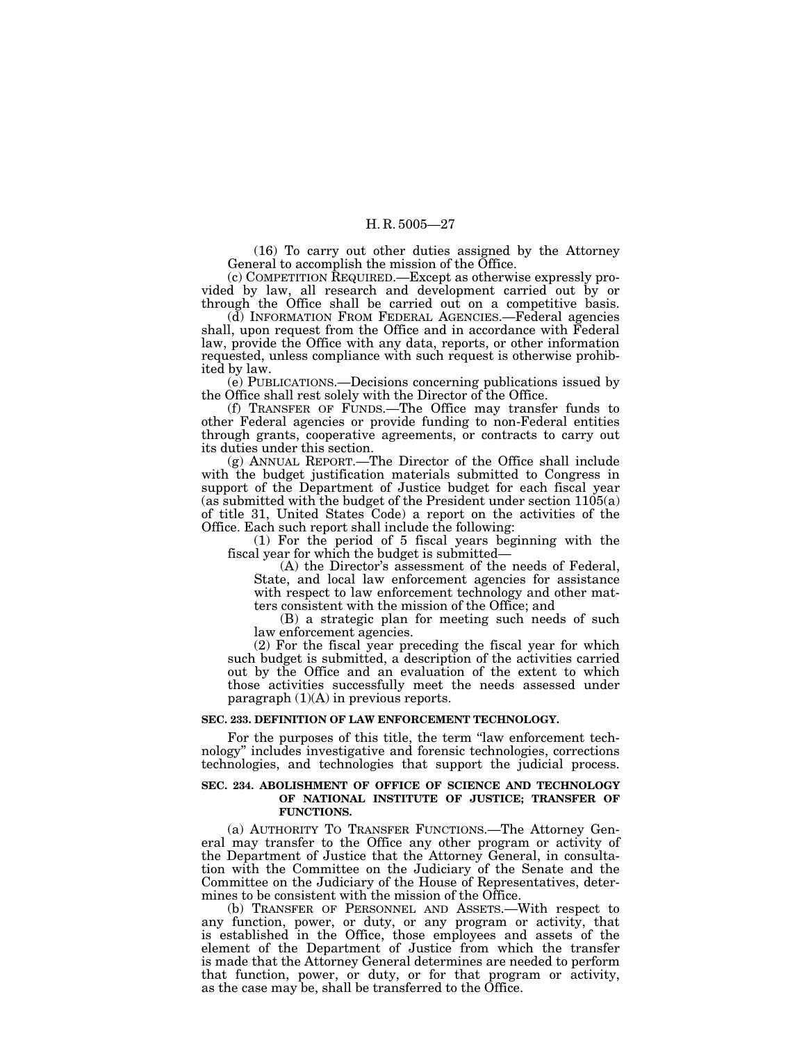(16) To carry out other duties assigned by the Attorney General to accomplish the mission of the Office.

(c) COMPETITION REQUIRED.—Except as otherwise expressly provided by law, all research and development carried out by or through the Office shall be carried out on a competitive basis.

(d) INFORMATION FROM FEDERAL AGENCIES.—Federal agencies shall, upon request from the Office and in accordance with Federal law, provide the Office with any data, reports, or other information requested, unless compliance with such request is otherwise prohibited by law.

(e) PUBLICATIONS.—Decisions concerning publications issued by the Office shall rest solely with the Director of the Office.

(f) TRANSFER OF FUNDS.—The Office may transfer funds to other Federal agencies or provide funding to non-Federal entities through grants, cooperative agreements, or contracts to carry out its duties under this section.

(g) ANNUAL REPORT.—The Director of the Office shall include with the budget justification materials submitted to Congress in support of the Department of Justice budget for each fiscal year (as submitted with the budget of the President under section 1105(a) of title 31, United States Code) a report on the activities of the Office. Each such report shall include the following:

(1) For the period of 5 fiscal years beginning with the fiscal year for which the budget is submitted—

(A) the Director's assessment of the needs of Federal, State, and local law enforcement agencies for assistance with respect to law enforcement technology and other matters consistent with the mission of the Office; and

(B) a strategic plan for meeting such needs of such law enforcement agencies.

(2) For the fiscal year preceding the fiscal year for which such budget is submitted, a description of the activities carried out by the Office and an evaluation of the extent to which those activities successfully meet the needs assessed under paragraph (1)(A) in previous reports.

### **SEC. 233. DEFINITION OF LAW ENFORCEMENT TECHNOLOGY.**

For the purposes of this title, the term "law enforcement technology'' includes investigative and forensic technologies, corrections technologies, and technologies that support the judicial process.

### **SEC. 234. ABOLISHMENT OF OFFICE OF SCIENCE AND TECHNOLOGY OF NATIONAL INSTITUTE OF JUSTICE; TRANSFER OF FUNCTIONS.**

(a) AUTHORITY TO TRANSFER FUNCTIONS.—The Attorney General may transfer to the Office any other program or activity of the Department of Justice that the Attorney General, in consultation with the Committee on the Judiciary of the Senate and the Committee on the Judiciary of the House of Representatives, determines to be consistent with the mission of the Office.

(b) TRANSFER OF PERSONNEL AND ASSETS.—With respect to any function, power, or duty, or any program or activity, that is established in the Office, those employees and assets of the element of the Department of Justice from which the transfer is made that the Attorney General determines are needed to perform that function, power, or duty, or for that program or activity, as the case may be, shall be transferred to the Office.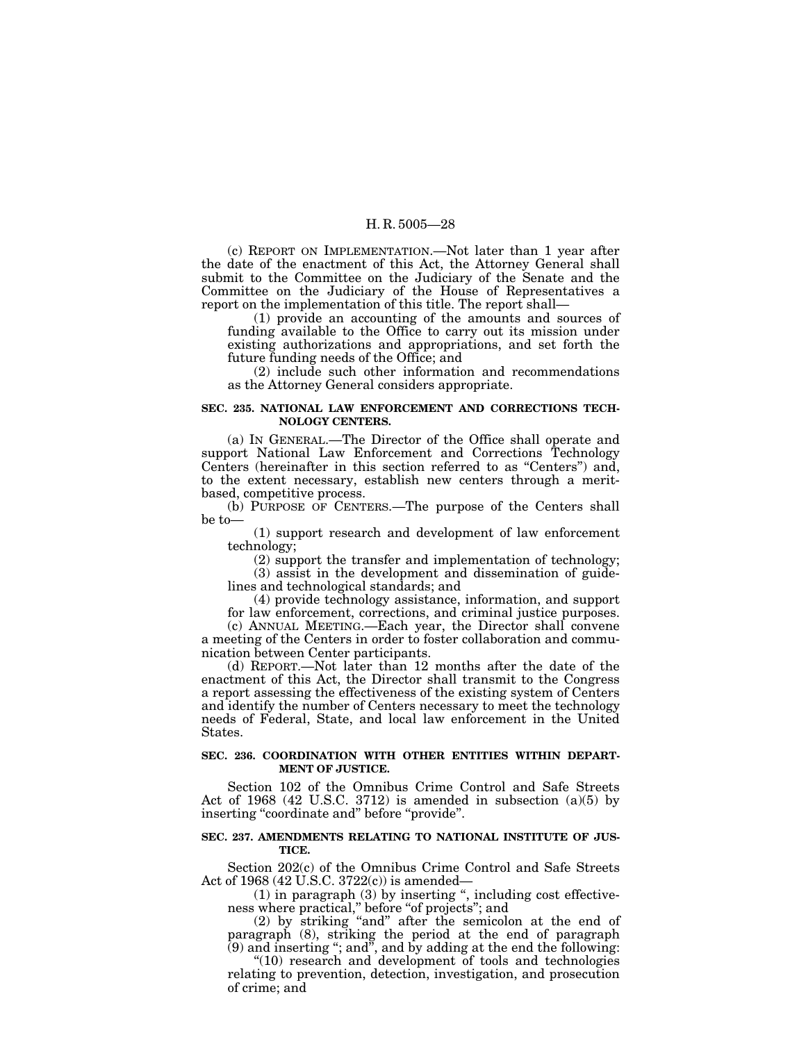(c) REPORT ON IMPLEMENTATION.—Not later than 1 year after the date of the enactment of this Act, the Attorney General shall submit to the Committee on the Judiciary of the Senate and the Committee on the Judiciary of the House of Representatives a report on the implementation of this title. The report shall—

(1) provide an accounting of the amounts and sources of funding available to the Office to carry out its mission under existing authorizations and appropriations, and set forth the future funding needs of the Office; and

(2) include such other information and recommendations as the Attorney General considers appropriate.

### **SEC. 235. NATIONAL LAW ENFORCEMENT AND CORRECTIONS TECH-NOLOGY CENTERS.**

(a) IN GENERAL.—The Director of the Office shall operate and support National Law Enforcement and Corrections Technology Centers (hereinafter in this section referred to as ''Centers'') and, to the extent necessary, establish new centers through a meritbased, competitive process.

(b) PURPOSE OF CENTERS.—The purpose of the Centers shall be to—

(1) support research and development of law enforcement technology;

(2) support the transfer and implementation of technology; (3) assist in the development and dissemination of guide-

lines and technological standards; and (4) provide technology assistance, information, and support

for law enforcement, corrections, and criminal justice purposes.

(c) ANNUAL MEETING.—Each year, the Director shall convene a meeting of the Centers in order to foster collaboration and communication between Center participants.

(d) REPORT.—Not later than 12 months after the date of the enactment of this Act, the Director shall transmit to the Congress a report assessing the effectiveness of the existing system of Centers and identify the number of Centers necessary to meet the technology needs of Federal, State, and local law enforcement in the United States.

### **SEC. 236. COORDINATION WITH OTHER ENTITIES WITHIN DEPART-MENT OF JUSTICE.**

Section 102 of the Omnibus Crime Control and Safe Streets Act of 1968 (42 U.S.C. 3712) is amended in subsection (a)(5) by inserting "coordinate and" before "provide".

### **SEC. 237. AMENDMENTS RELATING TO NATIONAL INSTITUTE OF JUS-TICE.**

Section 202(c) of the Omnibus Crime Control and Safe Streets Act of 1968 (42 U.S.C. 3722(c)) is amended—

(1) in paragraph (3) by inserting ", including cost effectiveness where practical,'' before ''of projects''; and

(2) by striking "and" after the semicolon at the end of paragraph (8), striking the period at the end of paragraph  $(9)$  and inserting "; and", and by adding at the end the following:

''(10) research and development of tools and technologies relating to prevention, detection, investigation, and prosecution of crime; and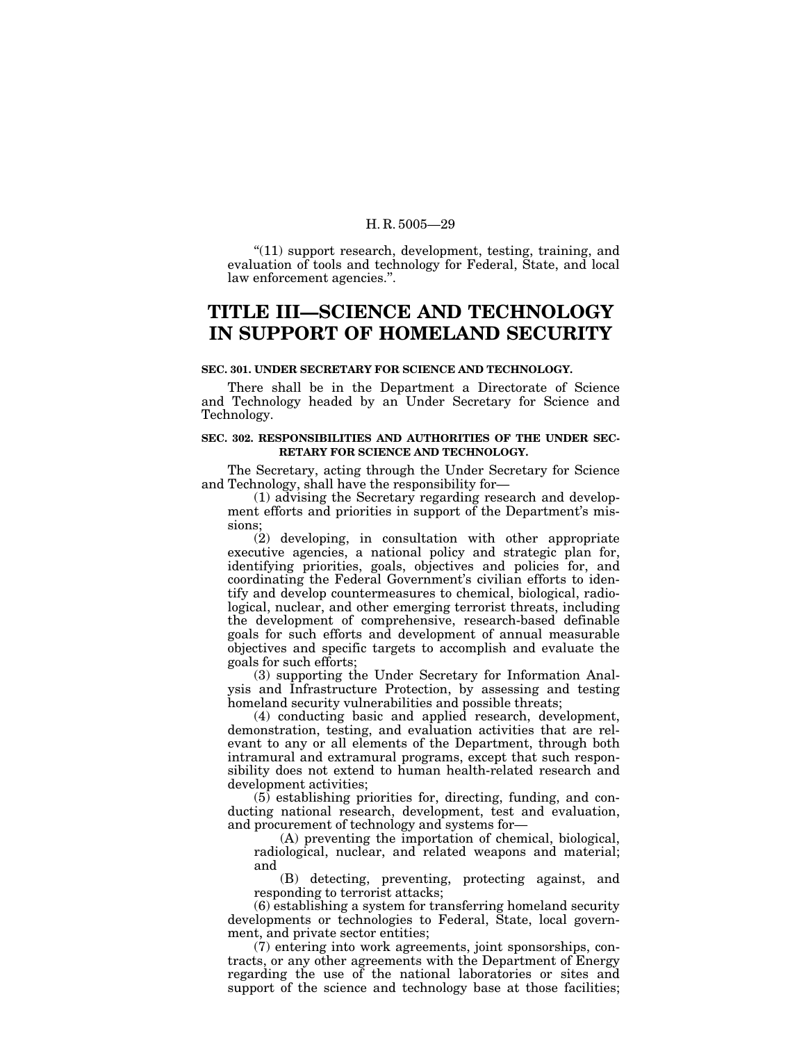"(11) support research, development, testing, training, and evaluation of tools and technology for Federal, State, and local law enforcement agencies.''.

### **TITLE III—SCIENCE AND TECHNOLOGY IN SUPPORT OF HOMELAND SECURITY**

### **SEC. 301. UNDER SECRETARY FOR SCIENCE AND TECHNOLOGY.**

There shall be in the Department a Directorate of Science and Technology headed by an Under Secretary for Science and Technology.

### **SEC. 302. RESPONSIBILITIES AND AUTHORITIES OF THE UNDER SEC-RETARY FOR SCIENCE AND TECHNOLOGY.**

The Secretary, acting through the Under Secretary for Science and Technology, shall have the responsibility for—

(1) advising the Secretary regarding research and development efforts and priorities in support of the Department's missions;

(2) developing, in consultation with other appropriate executive agencies, a national policy and strategic plan for, identifying priorities, goals, objectives and policies for, and coordinating the Federal Government's civilian efforts to identify and develop countermeasures to chemical, biological, radiological, nuclear, and other emerging terrorist threats, including the development of comprehensive, research-based definable goals for such efforts and development of annual measurable objectives and specific targets to accomplish and evaluate the goals for such efforts;

(3) supporting the Under Secretary for Information Analysis and Infrastructure Protection, by assessing and testing homeland security vulnerabilities and possible threats;

(4) conducting basic and applied research, development, demonstration, testing, and evaluation activities that are relevant to any or all elements of the Department, through both intramural and extramural programs, except that such responsibility does not extend to human health-related research and development activities;

 $(5)$  establishing priorities for, directing, funding, and conducting national research, development, test and evaluation, and procurement of technology and systems for—

(A) preventing the importation of chemical, biological, radiological, nuclear, and related weapons and material; and

(B) detecting, preventing, protecting against, and responding to terrorist attacks;

(6) establishing a system for transferring homeland security developments or technologies to Federal, State, local government, and private sector entities;

(7) entering into work agreements, joint sponsorships, contracts, or any other agreements with the Department of Energy regarding the use of the national laboratories or sites and support of the science and technology base at those facilities;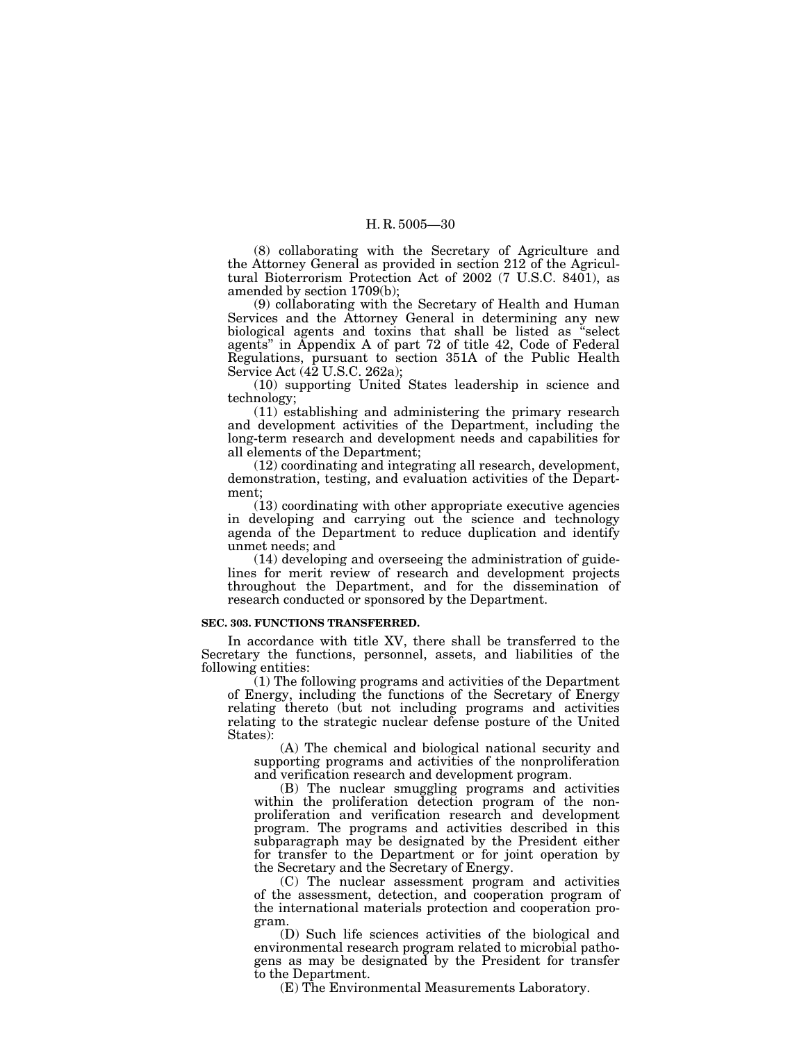(8) collaborating with the Secretary of Agriculture and the Attorney General as provided in section 212 of the Agricultural Bioterrorism Protection Act of 2002 (7 U.S.C. 8401), as amended by section 1709(b);

(9) collaborating with the Secretary of Health and Human Services and the Attorney General in determining any new biological agents and toxins that shall be listed as ''select agents'' in Appendix A of part 72 of title 42, Code of Federal Regulations, pursuant to section 351A of the Public Health Service Act (42 U.S.C. 262a);

(10) supporting United States leadership in science and technology;

(11) establishing and administering the primary research and development activities of the Department, including the long-term research and development needs and capabilities for all elements of the Department;

(12) coordinating and integrating all research, development, demonstration, testing, and evaluation activities of the Department;

(13) coordinating with other appropriate executive agencies in developing and carrying out the science and technology agenda of the Department to reduce duplication and identify unmet needs; and

(14) developing and overseeing the administration of guidelines for merit review of research and development projects throughout the Department, and for the dissemination of research conducted or sponsored by the Department.

### **SEC. 303. FUNCTIONS TRANSFERRED.**

In accordance with title XV, there shall be transferred to the Secretary the functions, personnel, assets, and liabilities of the following entities:

(1) The following programs and activities of the Department of Energy, including the functions of the Secretary of Energy relating thereto (but not including programs and activities relating to the strategic nuclear defense posture of the United States):

(A) The chemical and biological national security and supporting programs and activities of the nonproliferation and verification research and development program.

(B) The nuclear smuggling programs and activities within the proliferation detection program of the nonproliferation and verification research and development program. The programs and activities described in this subparagraph may be designated by the President either for transfer to the Department or for joint operation by the Secretary and the Secretary of Energy.

(C) The nuclear assessment program and activities of the assessment, detection, and cooperation program of the international materials protection and cooperation program.

(D) Such life sciences activities of the biological and environmental research program related to microbial pathogens as may be designated by the President for transfer to the Department.

(E) The Environmental Measurements Laboratory.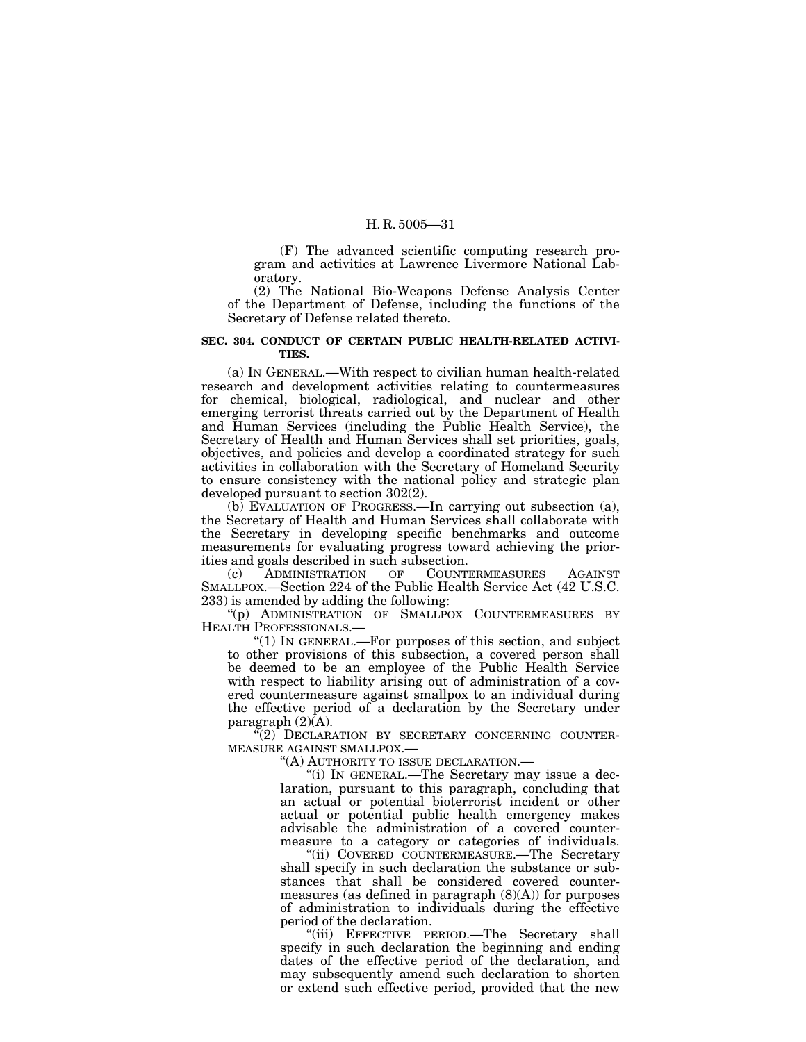(F) The advanced scientific computing research program and activities at Lawrence Livermore National Laboratory.

(2) The National Bio-Weapons Defense Analysis Center of the Department of Defense, including the functions of the Secretary of Defense related thereto.

### **SEC. 304. CONDUCT OF CERTAIN PUBLIC HEALTH-RELATED ACTIVI-TIES.**

(a) IN GENERAL.—With respect to civilian human health-related research and development activities relating to countermeasures for chemical, biological, radiological, and nuclear and other emerging terrorist threats carried out by the Department of Health and Human Services (including the Public Health Service), the Secretary of Health and Human Services shall set priorities, goals, objectives, and policies and develop a coordinated strategy for such activities in collaboration with the Secretary of Homeland Security to ensure consistency with the national policy and strategic plan developed pursuant to section 302(2).

(b) EVALUATION OF PROGRESS.—In carrying out subsection (a), the Secretary of Health and Human Services shall collaborate with the Secretary in developing specific benchmarks and outcome measurements for evaluating progress toward achieving the priorities and goals described in such subsection.

(c) ADMINISTRATION OF COUNTERMEASURES AGAINST SMALLPOX.—Section 224 of the Public Health Service Act (42 U.S.C. 233) is amended by adding the following:

''(p) ADMINISTRATION OF SMALLPOX COUNTERMEASURES BY HEALTH PROFESSIONALS.—

" $(1)$  In GENERAL.—For purposes of this section, and subject to other provisions of this subsection, a covered person shall be deemed to be an employee of the Public Health Service with respect to liability arising out of administration of a covered countermeasure against smallpox to an individual during the effective period of a declaration by the Secretary under paragraph  $(2)(A)$ .

 $(2)$  DECLARATION BY SECRETARY CONCERNING COUNTER-MEASURE AGAINST SMALLPOX.—

''(A) AUTHORITY TO ISSUE DECLARATION.—

''(i) IN GENERAL.—The Secretary may issue a declaration, pursuant to this paragraph, concluding that an actual or potential bioterrorist incident or other actual or potential public health emergency makes advisable the administration of a covered countermeasure to a category or categories of individuals.

''(ii) COVERED COUNTERMEASURE.—The Secretary shall specify in such declaration the substance or substances that shall be considered covered countermeasures (as defined in paragraph (8)(A)) for purposes of administration to individuals during the effective period of the declaration.

''(iii) EFFECTIVE PERIOD.—The Secretary shall specify in such declaration the beginning and ending dates of the effective period of the declaration, and may subsequently amend such declaration to shorten or extend such effective period, provided that the new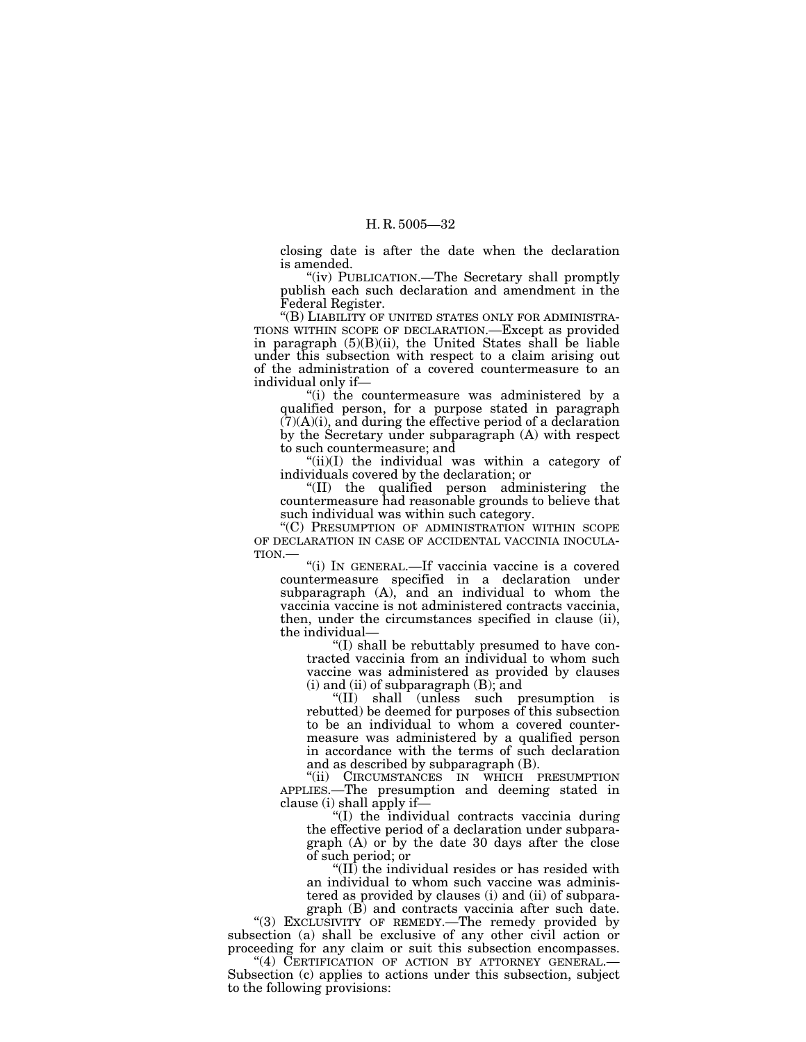closing date is after the date when the declaration is amended.

''(iv) PUBLICATION.—The Secretary shall promptly publish each such declaration and amendment in the Federal Register.

''(B) LIABILITY OF UNITED STATES ONLY FOR ADMINISTRA-TIONS WITHIN SCOPE OF DECLARATION.—Except as provided in paragraph  $(5)(B)(ii)$ , the United States shall be liable under this subsection with respect to a claim arising out of the administration of a covered countermeasure to an individual only if—

''(i) the countermeasure was administered by a qualified person, for a purpose stated in paragraph  $(7)(A)(i)$ , and during the effective period of a declaration by the Secretary under subparagraph (A) with respect to such countermeasure; and

 $\frac{f''(ii)}{I}$  the individual was within a category of individuals covered by the declaration; or

''(II) the qualified person administering the countermeasure had reasonable grounds to believe that such individual was within such category.

''(C) PRESUMPTION OF ADMINISTRATION WITHIN SCOPE OF DECLARATION IN CASE OF ACCIDENTAL VACCINIA INOCULA-TION.—

''(i) IN GENERAL.—If vaccinia vaccine is a covered countermeasure specified in a declaration under subparagraph  $(A)$ , and an individual to whom the vaccinia vaccine is not administered contracts vaccinia, then, under the circumstances specified in clause (ii), the individual—

''(I) shall be rebuttably presumed to have contracted vaccinia from an individual to whom such vaccine was administered as provided by clauses (i) and (ii) of subparagraph (B); and

''(II) shall (unless such presumption is rebutted) be deemed for purposes of this subsection to be an individual to whom a covered countermeasure was administered by a qualified person in accordance with the terms of such declaration and as described by subparagraph (B).

"(ii) CIRCUMSTANCES IN WHICH PRESUMPTION APPLIES.—The presumption and deeming stated in clause (i) shall apply if—

''(I) the individual contracts vaccinia during the effective period of a declaration under subparagraph (A) or by the date 30 days after the close of such period; or

''(II) the individual resides or has resided with an individual to whom such vaccine was administered as provided by clauses (i) and (ii) of subparagraph (B) and contracts vaccinia after such date.

"(3) EXCLUSIVITY OF REMEDY.—The remedy provided by subsection (a) shall be exclusive of any other civil action or proceeding for any claim or suit this subsection encompasses. "(4) CERTIFICATION OF ACTION BY ATTORNEY GENERAL.—

Subsection (c) applies to actions under this subsection, subject to the following provisions: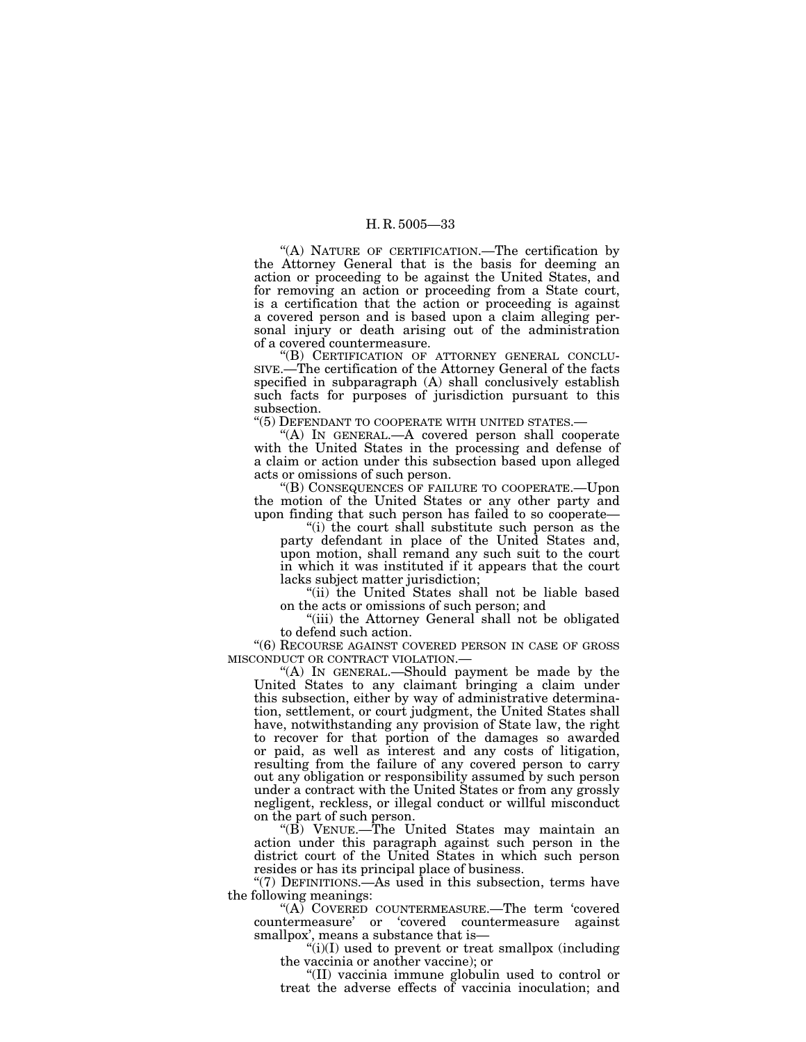''(A) NATURE OF CERTIFICATION.—The certification by the Attorney General that is the basis for deeming an action or proceeding to be against the United States, and for removing an action or proceeding from a State court, is a certification that the action or proceeding is against a covered person and is based upon a claim alleging personal injury or death arising out of the administration of a covered countermeasure.

''(B) CERTIFICATION OF ATTORNEY GENERAL CONCLU-SIVE.—The certification of the Attorney General of the facts specified in subparagraph (A) shall conclusively establish such facts for purposes of jurisdiction pursuant to this subsection.

''(5) DEFENDANT TO COOPERATE WITH UNITED STATES.—

''(A) IN GENERAL.—A covered person shall cooperate with the United States in the processing and defense of a claim or action under this subsection based upon alleged acts or omissions of such person.

''(B) CONSEQUENCES OF FAILURE TO COOPERATE.—Upon the motion of the United States or any other party and upon finding that such person has failed to so cooperate—

''(i) the court shall substitute such person as the party defendant in place of the United States and, upon motion, shall remand any such suit to the court in which it was instituted if it appears that the court lacks subject matter jurisdiction;

''(ii) the United States shall not be liable based on the acts or omissions of such person; and

"(iii) the Attorney General shall not be obligated to defend such action.

''(6) RECOURSE AGAINST COVERED PERSON IN CASE OF GROSS MISCONDUCT OR CONTRACT VIOLATION.—

''(A) IN GENERAL.—Should payment be made by the United States to any claimant bringing a claim under this subsection, either by way of administrative determination, settlement, or court judgment, the United States shall have, notwithstanding any provision of State law, the right to recover for that portion of the damages so awarded or paid, as well as interest and any costs of litigation, resulting from the failure of any covered person to carry out any obligation or responsibility assumed by such person under a contract with the United States or from any grossly negligent, reckless, or illegal conduct or willful misconduct on the part of such person.

''(B) VENUE.—The United States may maintain an action under this paragraph against such person in the district court of the United States in which such person resides or has its principal place of business.

"(7) DEFINITIONS.—As used in this subsection, terms have the following meanings:

 $H(A)$  COVERED COUNTERMEASURE.—The term 'covered countermeasure' or 'covered countermeasure against smallpox', means a substance that is—

 $\mathcal{L}(i)(I)$  used to prevent or treat smallpox (including the vaccinia or another vaccine); or

''(II) vaccinia immune globulin used to control or treat the adverse effects of vaccinia inoculation; and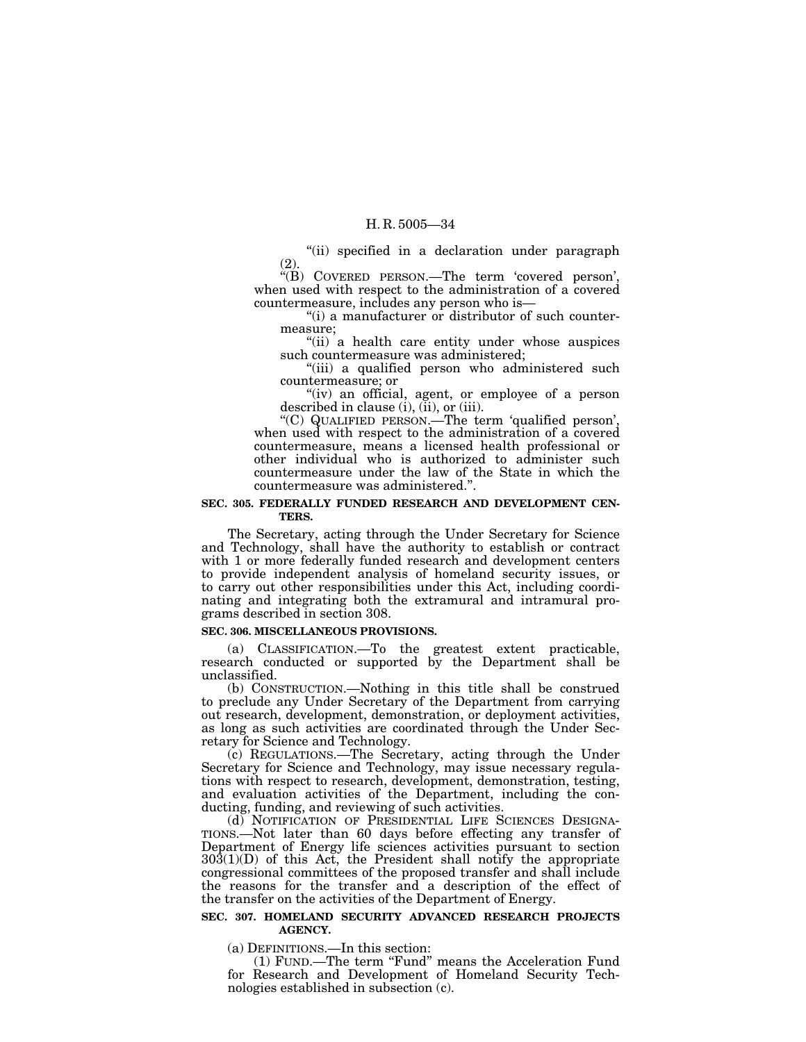''(ii) specified in a declaration under paragraph

(2).<br>"(B) COVERED PERSON.—The term 'covered person'<sub>;</sub> when used with respect to the administration of a covered countermeasure, includes any person who is—<br>"(i) a manufacturer or distributor of such counter-

measure;<br>"(ii) a health care entity under whose auspices<br>such countermeasure was administered;

"(iii) a qualified person who administered such countermeasure; or

"(iv) an official, agent, or employee of a person described in clause (i), (ii), or (iii).<br>"(C) QUALIFIED PERSON.—The term 'qualified person',

when used with respect to the administration of a covered countermeasure, means a licensed health professional or other individual who is authorized to administer such countermeasure under the law of the State in which the countermeasure was administered.''.

### **SEC. 305. FEDERALLY FUNDED RESEARCH AND DEVELOPMENT CEN-TERS.**

The Secretary, acting through the Under Secretary for Science and Technology, shall have the authority to establish or contract with 1 or more federally funded research and development centers to provide independent analysis of homeland security issues, or to carry out other responsibilities under this Act, including coordinating and integrating both the extramural and intramural programs described in section 308.

### **SEC. 306. MISCELLANEOUS PROVISIONS.**

(a) CLASSIFICATION.—To the greatest extent practicable, research conducted or supported by the Department shall be unclassified.

(b) CONSTRUCTION.—Nothing in this title shall be construed to preclude any Under Secretary of the Department from carrying out research, development, demonstration, or deployment activities, as long as such activities are coordinated through the Under Secretary for Science and Technology.

(c) REGULATIONS.—The Secretary, acting through the Under Secretary for Science and Technology, may issue necessary regulations with respect to research, development, demonstration, testing, and evaluation activities of the Department, including the conducting, funding, and reviewing of such activities.

(d) NOTIFICATION OF PRESIDENTIAL LIFE SCIENCES DESIGNA-TIONS.—Not later than 60 days before effecting any transfer of Department of Energy life sciences activities pursuant to section  $30\overline{3}(1)(D)$  of this Act, the President shall notify the appropriate congressional committees of the proposed transfer and shall include the reasons for the transfer and a description of the effect of the transfer on the activities of the Department of Energy.

### **SEC. 307. HOMELAND SECURITY ADVANCED RESEARCH PROJECTS AGENCY.**

(a) DEFINITIONS.—In this section:

(1) FUND.—The term ''Fund'' means the Acceleration Fund for Research and Development of Homeland Security Technologies established in subsection (c).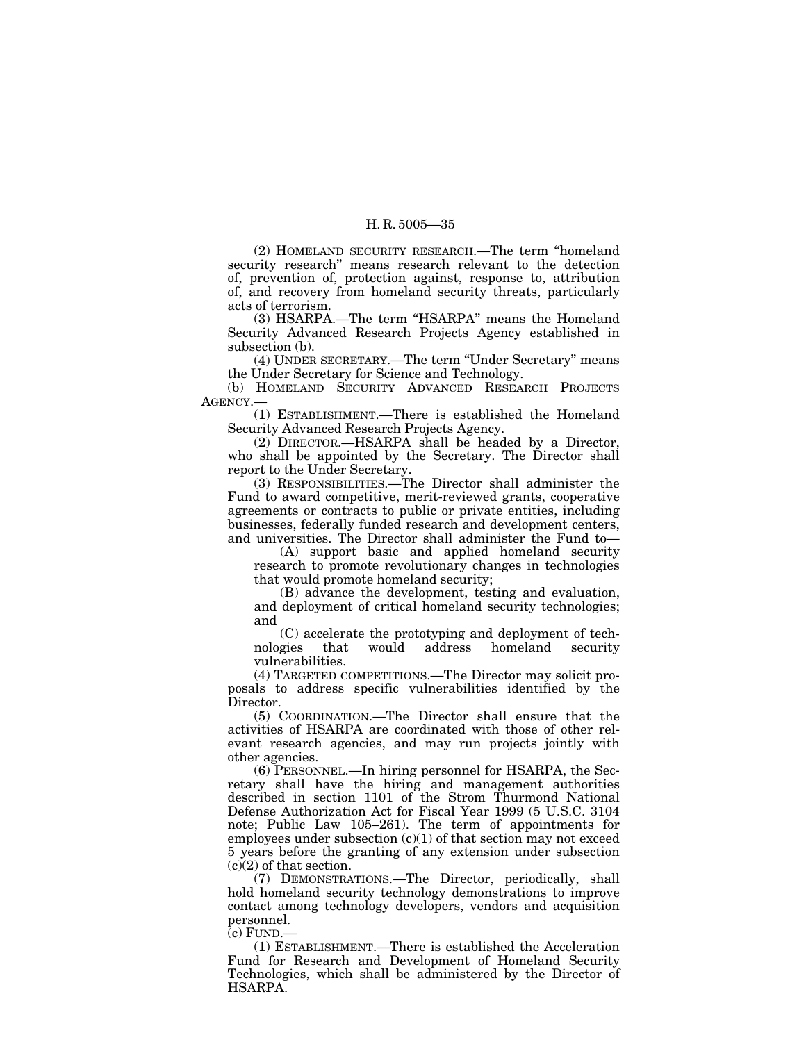(2) HOMELAND SECURITY RESEARCH.—The term ''homeland security research'' means research relevant to the detection of, prevention of, protection against, response to, attribution of, and recovery from homeland security threats, particularly acts of terrorism.

(3) HSARPA.—The term ''HSARPA'' means the Homeland Security Advanced Research Projects Agency established in subsection (b).

(4) UNDER SECRETARY.—The term ''Under Secretary'' means the Under Secretary for Science and Technology.

(b) HOMELAND SECURITY ADVANCED RESEARCH PROJECTS AGENCY.—

(1) ESTABLISHMENT.—There is established the Homeland Security Advanced Research Projects Agency.

(2) DIRECTOR.—HSARPA shall be headed by a Director, who shall be appointed by the Secretary. The Director shall report to the Under Secretary.

(3) RESPONSIBILITIES.—The Director shall administer the Fund to award competitive, merit-reviewed grants, cooperative agreements or contracts to public or private entities, including businesses, federally funded research and development centers, and universities. The Director shall administer the Fund to—

(A) support basic and applied homeland security research to promote revolutionary changes in technologies that would promote homeland security;

(B) advance the development, testing and evaluation, and deployment of critical homeland security technologies; and

(C) accelerate the prototyping and deployment of technologies that would address homeland security vulnerabilities.

(4) TARGETED COMPETITIONS.—The Director may solicit proposals to address specific vulnerabilities identified by the Director.

(5) COORDINATION.—The Director shall ensure that the activities of HSARPA are coordinated with those of other relevant research agencies, and may run projects jointly with other agencies.

(6) PERSONNEL.—In hiring personnel for HSARPA, the Secretary shall have the hiring and management authorities described in section 1101 of the Strom Thurmond National Defense Authorization Act for Fiscal Year 1999 (5 U.S.C. 3104 note; Public Law 105–261). The term of appointments for employees under subsection (c)(1) of that section may not exceed 5 years before the granting of any extension under subsection (c)(2) of that section.

(7) DEMONSTRATIONS.—The Director, periodically, shall hold homeland security technology demonstrations to improve contact among technology developers, vendors and acquisition personnel.

 $(c)$  FUND. $-$ 

(1) ESTABLISHMENT.—There is established the Acceleration Fund for Research and Development of Homeland Security Technologies, which shall be administered by the Director of HSARPA.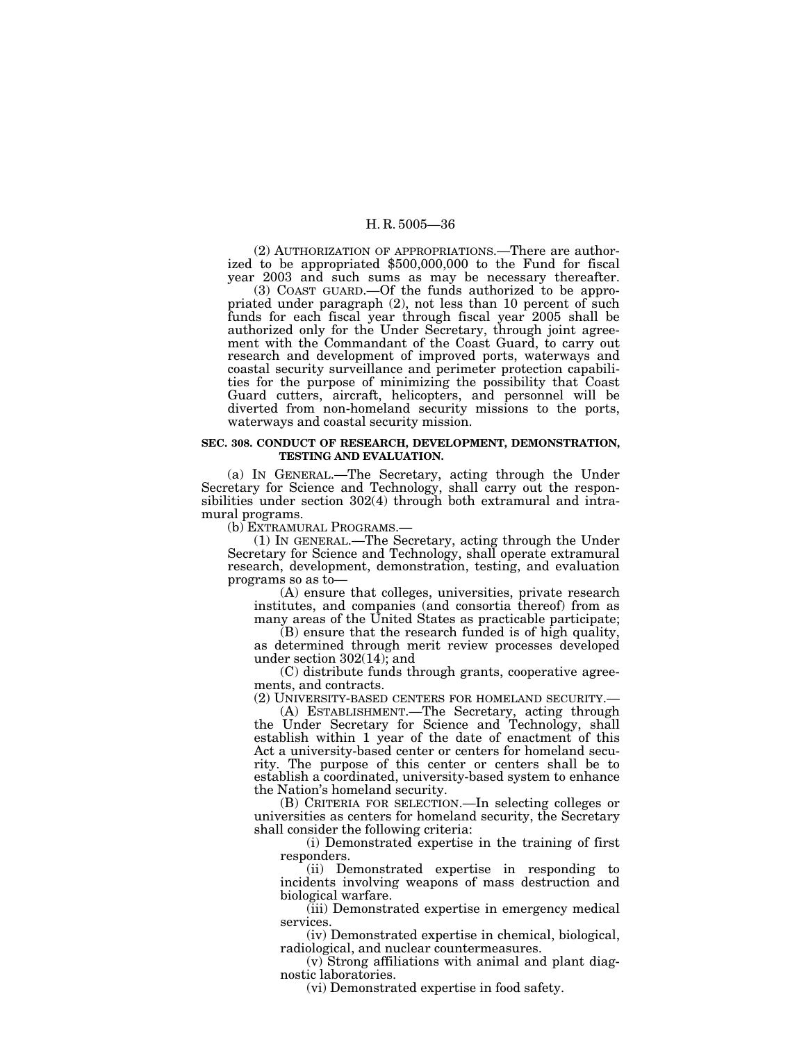(2) AUTHORIZATION OF APPROPRIATIONS.—There are authorized to be appropriated \$500,000,000 to the Fund for fiscal year 2003 and such sums as may be necessary thereafter.

(3) COAST GUARD.—Of the funds authorized to be appropriated under paragraph (2), not less than 10 percent of such funds for each fiscal year through fiscal year 2005 shall be authorized only for the Under Secretary, through joint agreement with the Commandant of the Coast Guard, to carry out research and development of improved ports, waterways and coastal security surveillance and perimeter protection capabilities for the purpose of minimizing the possibility that Coast Guard cutters, aircraft, helicopters, and personnel will be diverted from non-homeland security missions to the ports, waterways and coastal security mission.

### **SEC. 308. CONDUCT OF RESEARCH, DEVELOPMENT, DEMONSTRATION, TESTING AND EVALUATION.**

(a) IN GENERAL.—The Secretary, acting through the Under Secretary for Science and Technology, shall carry out the responsibilities under section 302(4) through both extramural and intramural programs.

(b) EXTRAMURAL PROGRAMS.—

(1) IN GENERAL.—The Secretary, acting through the Under Secretary for Science and Technology, shall operate extramural research, development, demonstration, testing, and evaluation programs so as to—

(A) ensure that colleges, universities, private research institutes, and companies (and consortia thereof) from as many areas of the United States as practicable participate;

(B) ensure that the research funded is of high quality, as determined through merit review processes developed under section 302(14); and

(C) distribute funds through grants, cooperative agreements, and contracts.

(2) UNIVERSITY-BASED CENTERS FOR HOMELAND SECURITY.—

(A) ESTABLISHMENT.—The Secretary, acting through the Under Secretary for Science and Technology, shall establish within 1 year of the date of enactment of this Act a university-based center or centers for homeland security. The purpose of this center or centers shall be to establish a coordinated, university-based system to enhance the Nation's homeland security.

(B) CRITERIA FOR SELECTION.—In selecting colleges or universities as centers for homeland security, the Secretary shall consider the following criteria:

(i) Demonstrated expertise in the training of first responders.

(ii) Demonstrated expertise in responding to incidents involving weapons of mass destruction and biological warfare.

(iii) Demonstrated expertise in emergency medical services.

(iv) Demonstrated expertise in chemical, biological, radiological, and nuclear countermeasures.

(v) Strong affiliations with animal and plant diagnostic laboratories.

(vi) Demonstrated expertise in food safety.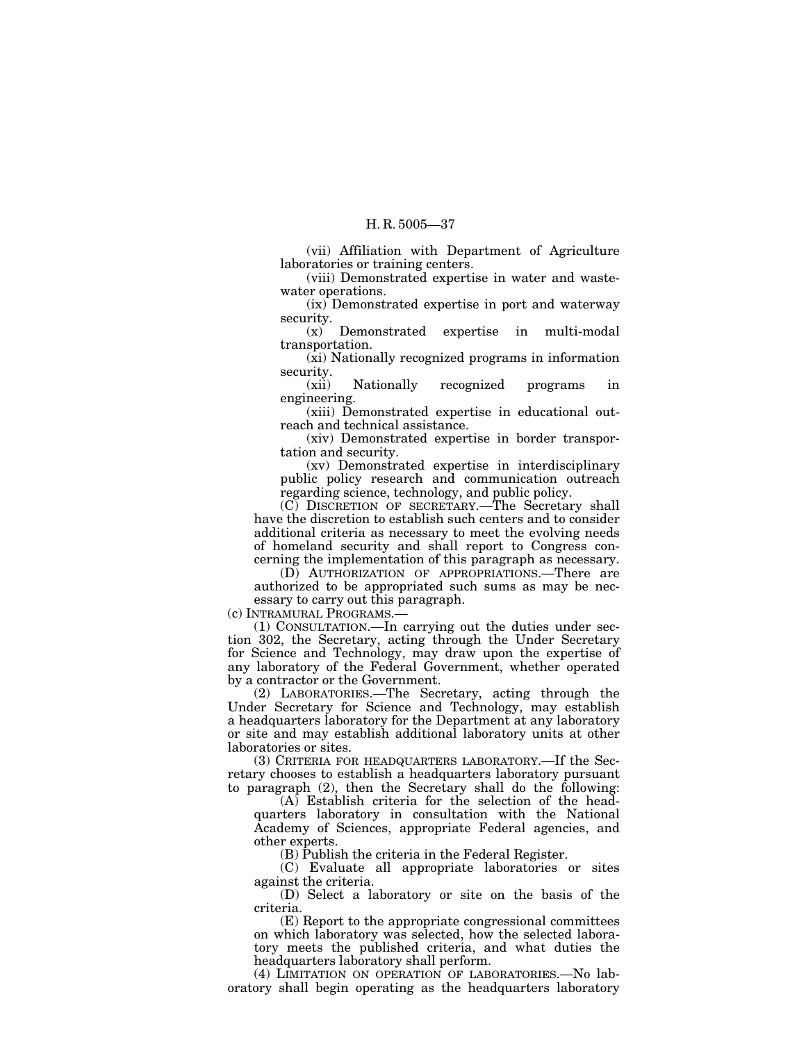(vii) Affiliation with Department of Agriculture laboratories or training centers.

(viii) Demonstrated expertise in water and wastewater operations.

(ix) Demonstrated expertise in port and waterway security.

(x) Demonstrated expertise in multi-modal transportation.

(xi) Nationally recognized programs in information security.

(xii) Nationally recognized programs in engineering.

(xiii) Demonstrated expertise in educational outreach and technical assistance.

(xiv) Demonstrated expertise in border transportation and security.

(xv) Demonstrated expertise in interdisciplinary public policy research and communication outreach regarding science, technology, and public policy.

(C) DISCRETION OF SECRETARY.—The Secretary shall have the discretion to establish such centers and to consider additional criteria as necessary to meet the evolving needs of homeland security and shall report to Congress concerning the implementation of this paragraph as necessary.

(D) AUTHORIZATION OF APPROPRIATIONS.—There are authorized to be appropriated such sums as may be necessary to carry out this paragraph.

(c) INTRAMURAL PROGRAMS.—

(1) CONSULTATION.—In carrying out the duties under section 302, the Secretary, acting through the Under Secretary for Science and Technology, may draw upon the expertise of any laboratory of the Federal Government, whether operated by a contractor or the Government.

(2) LABORATORIES.—The Secretary, acting through the Under Secretary for Science and Technology, may establish a headquarters laboratory for the Department at any laboratory or site and may establish additional laboratory units at other laboratories or sites.

(3) CRITERIA FOR HEADQUARTERS LABORATORY.—If the Secretary chooses to establish a headquarters laboratory pursuant to paragraph (2), then the Secretary shall do the following:

(A) Establish criteria for the selection of the headquarters laboratory in consultation with the National Academy of Sciences, appropriate Federal agencies, and other experts.

(B) Publish the criteria in the Federal Register.

(C) Evaluate all appropriate laboratories or sites against the criteria.

(D) Select a laboratory or site on the basis of the criteria.

(E) Report to the appropriate congressional committees on which laboratory was selected, how the selected laboratory meets the published criteria, and what duties the headquarters laboratory shall perform.

(4) LIMITATION ON OPERATION OF LABORATORIES.—No laboratory shall begin operating as the headquarters laboratory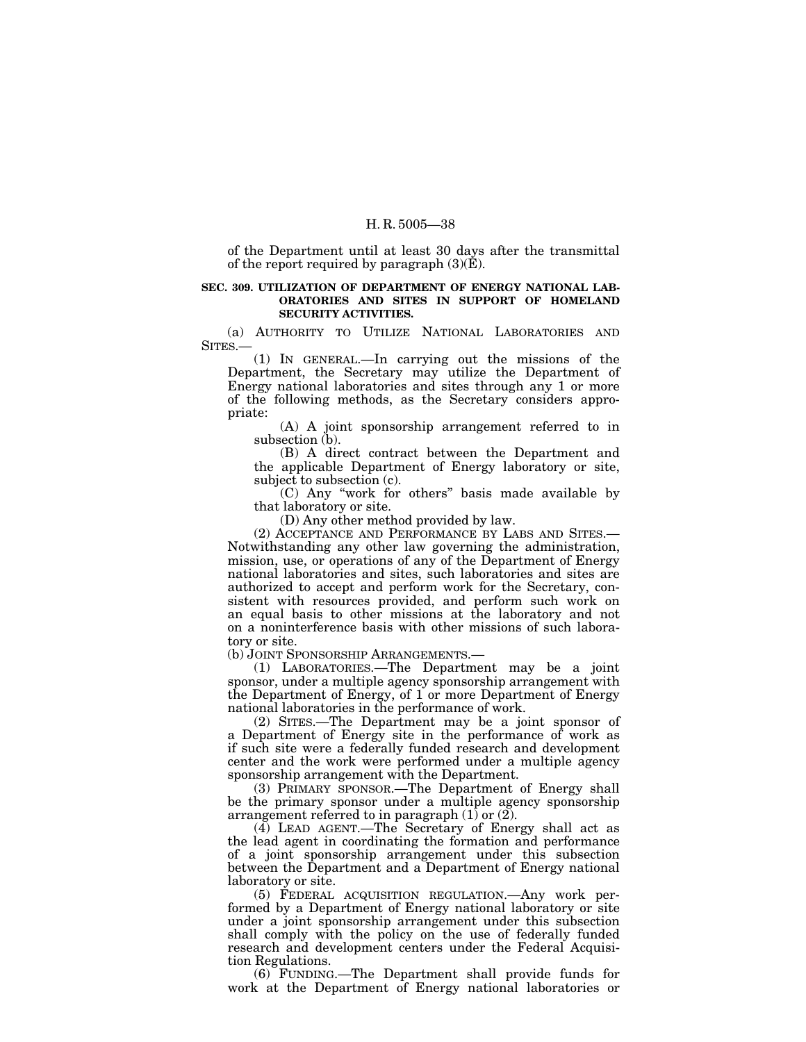of the Department until at least 30 days after the transmittal of the report required by paragraph  $(3)(\overline{E})$ .

### **SEC. 309. UTILIZATION OF DEPARTMENT OF ENERGY NATIONAL LAB-ORATORIES AND SITES IN SUPPORT OF HOMELAND SECURITY ACTIVITIES.**

(a) AUTHORITY TO UTILIZE NATIONAL LABORATORIES AND SITES.—

(1) IN GENERAL.—In carrying out the missions of the Department, the Secretary may utilize the Department of Energy national laboratories and sites through any 1 or more of the following methods, as the Secretary considers appropriate:

(A) A joint sponsorship arrangement referred to in subsection  $(b)$ .

(B) A direct contract between the Department and the applicable Department of Energy laboratory or site, subject to subsection (c).

(C) Any ''work for others'' basis made available by that laboratory or site.

(D) Any other method provided by law.

(2) ACCEPTANCE AND PERFORMANCE BY LABS AND SITES.— Notwithstanding any other law governing the administration, mission, use, or operations of any of the Department of Energy national laboratories and sites, such laboratories and sites are authorized to accept and perform work for the Secretary, consistent with resources provided, and perform such work on an equal basis to other missions at the laboratory and not on a noninterference basis with other missions of such laboratory or site.

(b) JOINT SPONSORSHIP ARRANGEMENTS.—

(1) LABORATORIES.—The Department may be a joint sponsor, under a multiple agency sponsorship arrangement with the Department of Energy, of 1 or more Department of Energy national laboratories in the performance of work.

(2) SITES.—The Department may be a joint sponsor of a Department of Energy site in the performance of work as if such site were a federally funded research and development center and the work were performed under a multiple agency sponsorship arrangement with the Department.

(3) PRIMARY SPONSOR.—The Department of Energy shall be the primary sponsor under a multiple agency sponsorship arrangement referred to in paragraph (1) or (2).

(4) LEAD AGENT.—The Secretary of Energy shall act as the lead agent in coordinating the formation and performance of a joint sponsorship arrangement under this subsection between the Department and a Department of Energy national laboratory or site.

(5) FEDERAL ACQUISITION REGULATION.—Any work performed by a Department of Energy national laboratory or site under a joint sponsorship arrangement under this subsection shall comply with the policy on the use of federally funded research and development centers under the Federal Acquisition Regulations.

(6) FUNDING.—The Department shall provide funds for work at the Department of Energy national laboratories or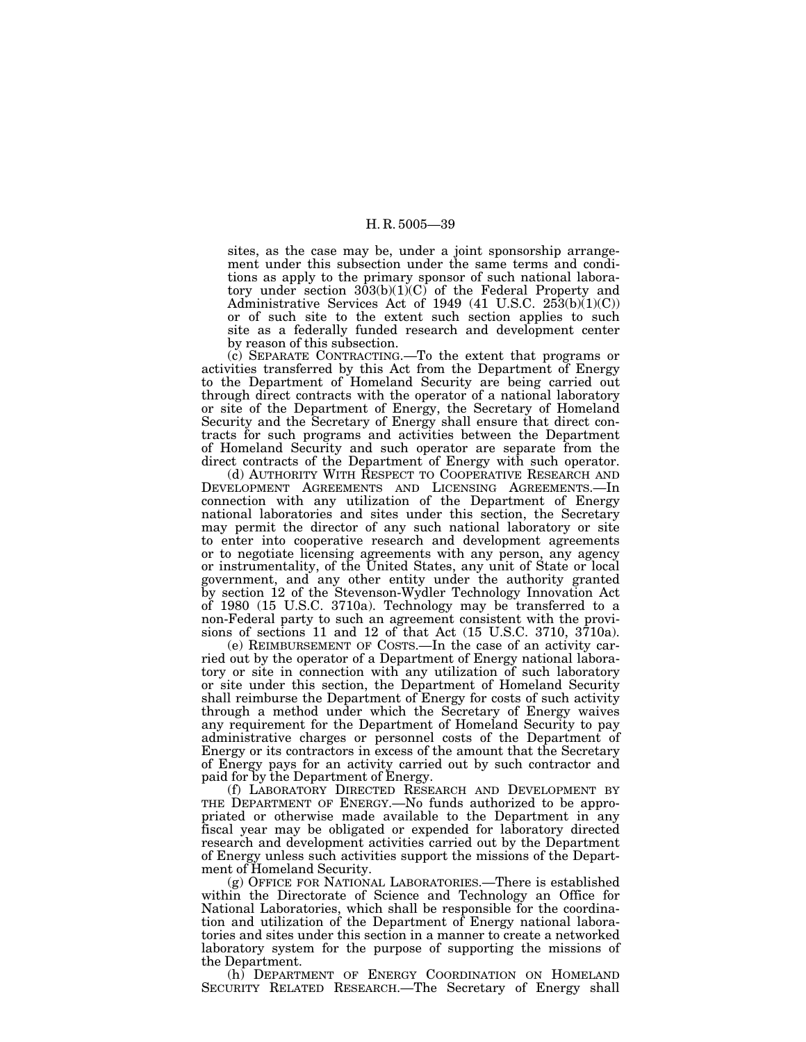sites, as the case may be, under a joint sponsorship arrangement under this subsection under the same terms and conditions as apply to the primary sponsor of such national laboratory under section 303(b)(1)(C) of the Federal Property and Administrative Services Act of 1949 (41 U.S.C. 253(b)(1)(C)) or of such site to the extent such section applies to such site as a federally funded research and development center by reason of this subsection.

(c) SEPARATE CONTRACTING.—To the extent that programs or activities transferred by this Act from the Department of Energy to the Department of Homeland Security are being carried out through direct contracts with the operator of a national laboratory or site of the Department of Energy, the Secretary of Homeland Security and the Secretary of Energy shall ensure that direct contracts for such programs and activities between the Department of Homeland Security and such operator are separate from the direct contracts of the Department of Energy with such operator.

(d) AUTHORITY WITH RESPECT TO COOPERATIVE RESEARCH AND DEVELOPMENT AGREEMENTS AND LICENSING AGREEMENTS.—In connection with any utilization of the Department of Energy national laboratories and sites under this section, the Secretary may permit the director of any such national laboratory or site to enter into cooperative research and development agreements or to negotiate licensing agreements with any person, any agency or instrumentality, of the United States, any unit of State or local government, and any other entity under the authority granted by section 12 of the Stevenson-Wydler Technology Innovation Act of 1980 (15 U.S.C. 3710a). Technology may be transferred to a non-Federal party to such an agreement consistent with the provisions of sections 11 and 12 of that Act (15 U.S.C. 3710, 3710a).

(e) REIMBURSEMENT OF COSTS.—In the case of an activity carried out by the operator of a Department of Energy national laboratory or site in connection with any utilization of such laboratory or site under this section, the Department of Homeland Security shall reimburse the Department of Energy for costs of such activity through a method under which the Secretary of Energy waives any requirement for the Department of Homeland Security to pay administrative charges or personnel costs of the Department of Energy or its contractors in excess of the amount that the Secretary of Energy pays for an activity carried out by such contractor and paid for by the Department of Energy.

(f) LABORATORY DIRECTED RESEARCH AND DEVELOPMENT BY THE DEPARTMENT OF ENERGY.—No funds authorized to be appropriated or otherwise made available to the Department in any fiscal year may be obligated or expended for laboratory directed research and development activities carried out by the Department of Energy unless such activities support the missions of the Department of Homeland Security.

(g) OFFICE FOR NATIONAL LABORATORIES.—There is established within the Directorate of Science and Technology an Office for National Laboratories, which shall be responsible for the coordination and utilization of the Department of Energy national laboratories and sites under this section in a manner to create a networked laboratory system for the purpose of supporting the missions of the Department.

(h) DEPARTMENT OF ENERGY COORDINATION ON HOMELAND SECURITY RELATED RESEARCH.—The Secretary of Energy shall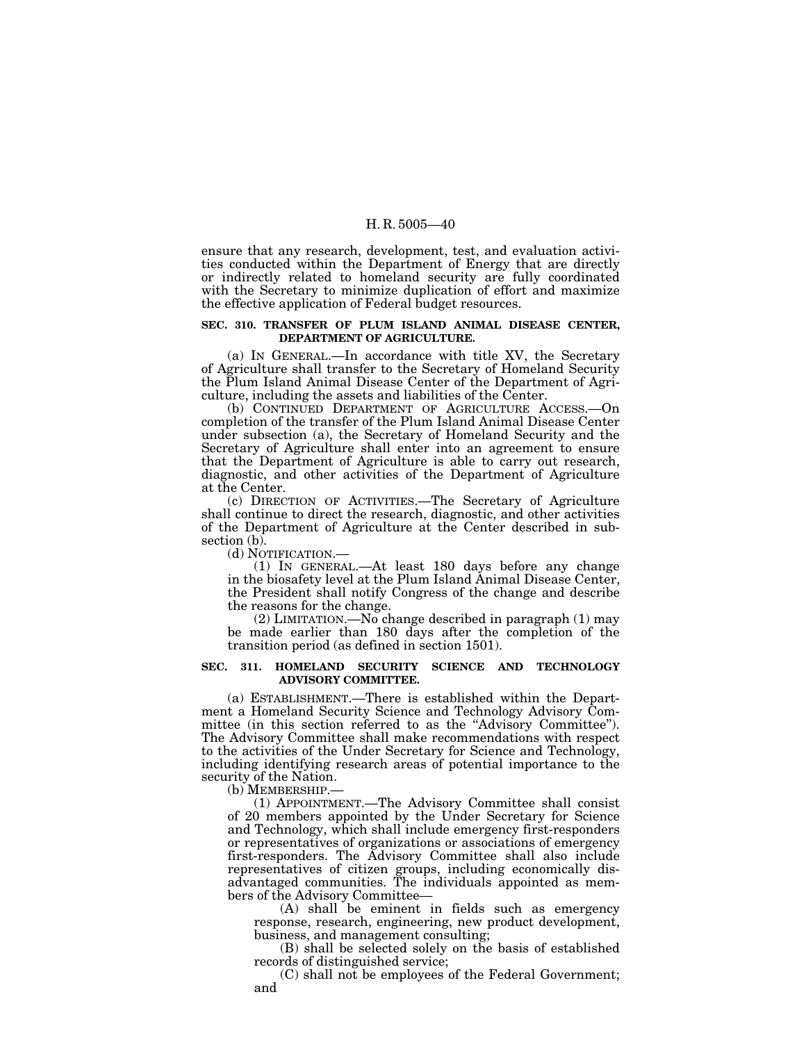ensure that any research, development, test, and evaluation activities conducted within the Department of Energy that are directly or indirectly related to homeland security are fully coordinated with the Secretary to minimize duplication of effort and maximize the effective application of Federal budget resources.

#### **SEC. 310. TRANSFER OF PLUM ISLAND ANIMAL DISEASE CENTER, DEPARTMENT OF AGRICULTURE.**

(a) IN GENERAL.—In accordance with title XV, the Secretary of Agriculture shall transfer to the Secretary of Homeland Security the Plum Island Animal Disease Center of the Department of Agriculture, including the assets and liabilities of the Center.

(b) CONTINUED DEPARTMENT OF AGRICULTURE ACCESS.—On completion of the transfer of the Plum Island Animal Disease Center under subsection (a), the Secretary of Homeland Security and the Secretary of Agriculture shall enter into an agreement to ensure that the Department of Agriculture is able to carry out research, diagnostic, and other activities of the Department of Agriculture at the Center.

(c) DIRECTION OF ACTIVITIES.—The Secretary of Agriculture shall continue to direct the research, diagnostic, and other activities of the Department of Agriculture at the Center described in subsection (b).

(d) NOTIFICATION.—

(1) IN GENERAL.—At least 180 days before any change in the biosafety level at the Plum Island Animal Disease Center, the President shall notify Congress of the change and describe the reasons for the change.

(2) LIMITATION.—No change described in paragraph (1) may be made earlier than 180 days after the completion of the transition period (as defined in section 1501).

## **SEC. 311. HOMELAND SECURITY SCIENCE AND TECHNOLOGY ADVISORY COMMITTEE.**

(a) ESTABLISHMENT.—There is established within the Department a Homeland Security Science and Technology Advisory Committee (in this section referred to as the "Advisory Committee"). The Advisory Committee shall make recommendations with respect to the activities of the Under Secretary for Science and Technology, including identifying research areas of potential importance to the security of the Nation.

(b) MEMBERSHIP.—

(1) APPOINTMENT.—The Advisory Committee shall consist of 20 members appointed by the Under Secretary for Science and Technology, which shall include emergency first-responders or representatives of organizations or associations of emergency first-responders. The Advisory Committee shall also include representatives of citizen groups, including economically disadvantaged communities. The individuals appointed as members of the Advisory Committee—

(A) shall be eminent in fields such as emergency response, research, engineering, new product development, business, and management consulting;

(B) shall be selected solely on the basis of established records of distinguished service;

(C) shall not be employees of the Federal Government; and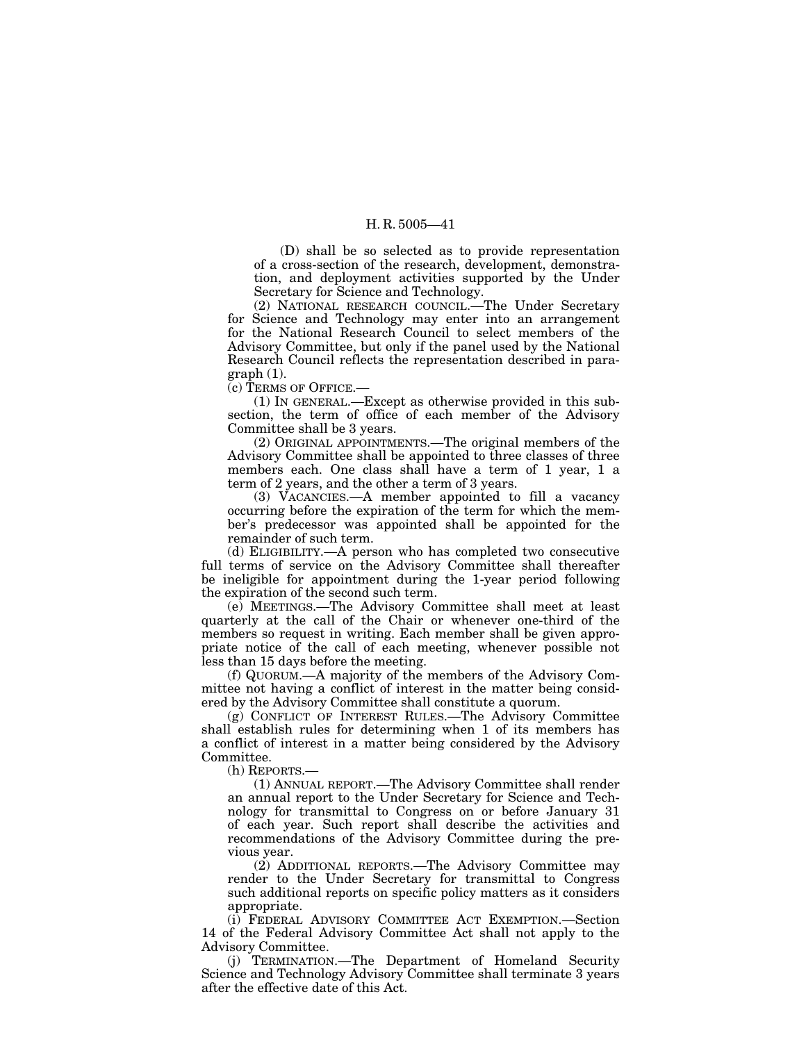(D) shall be so selected as to provide representation of a cross-section of the research, development, demonstration, and deployment activities supported by the Under Secretary for Science and Technology.

(2) NATIONAL RESEARCH COUNCIL.—The Under Secretary for Science and Technology may enter into an arrangement for the National Research Council to select members of the Advisory Committee, but only if the panel used by the National Research Council reflects the representation described in paragraph (1).

(c) TERMS OF OFFICE.—

(1) IN GENERAL.—Except as otherwise provided in this subsection, the term of office of each member of the Advisory Committee shall be 3 years.

(2) ORIGINAL APPOINTMENTS.—The original members of the Advisory Committee shall be appointed to three classes of three members each. One class shall have a term of 1 year, 1 a term of 2 years, and the other a term of 3 years.

(3) VACANCIES.—A member appointed to fill a vacancy occurring before the expiration of the term for which the member's predecessor was appointed shall be appointed for the remainder of such term.

(d) ELIGIBILITY.—A person who has completed two consecutive full terms of service on the Advisory Committee shall thereafter be ineligible for appointment during the 1-year period following the expiration of the second such term.

(e) MEETINGS.—The Advisory Committee shall meet at least quarterly at the call of the Chair or whenever one-third of the members so request in writing. Each member shall be given appropriate notice of the call of each meeting, whenever possible not less than 15 days before the meeting.

(f) QUORUM.—A majority of the members of the Advisory Committee not having a conflict of interest in the matter being considered by the Advisory Committee shall constitute a quorum.

(g) CONFLICT OF INTEREST RULES.—The Advisory Committee shall establish rules for determining when 1 of its members has a conflict of interest in a matter being considered by the Advisory Committee.

(h) REPORTS.—

(1) ANNUAL REPORT.—The Advisory Committee shall render an annual report to the Under Secretary for Science and Technology for transmittal to Congress on or before January 31 of each year. Such report shall describe the activities and recommendations of the Advisory Committee during the previous year.

(2) ADDITIONAL REPORTS.—The Advisory Committee may render to the Under Secretary for transmittal to Congress such additional reports on specific policy matters as it considers appropriate.

(i) FEDERAL ADVISORY COMMITTEE ACT EXEMPTION.—Section 14 of the Federal Advisory Committee Act shall not apply to the Advisory Committee.

(j) TERMINATION.—The Department of Homeland Security Science and Technology Advisory Committee shall terminate 3 years after the effective date of this Act.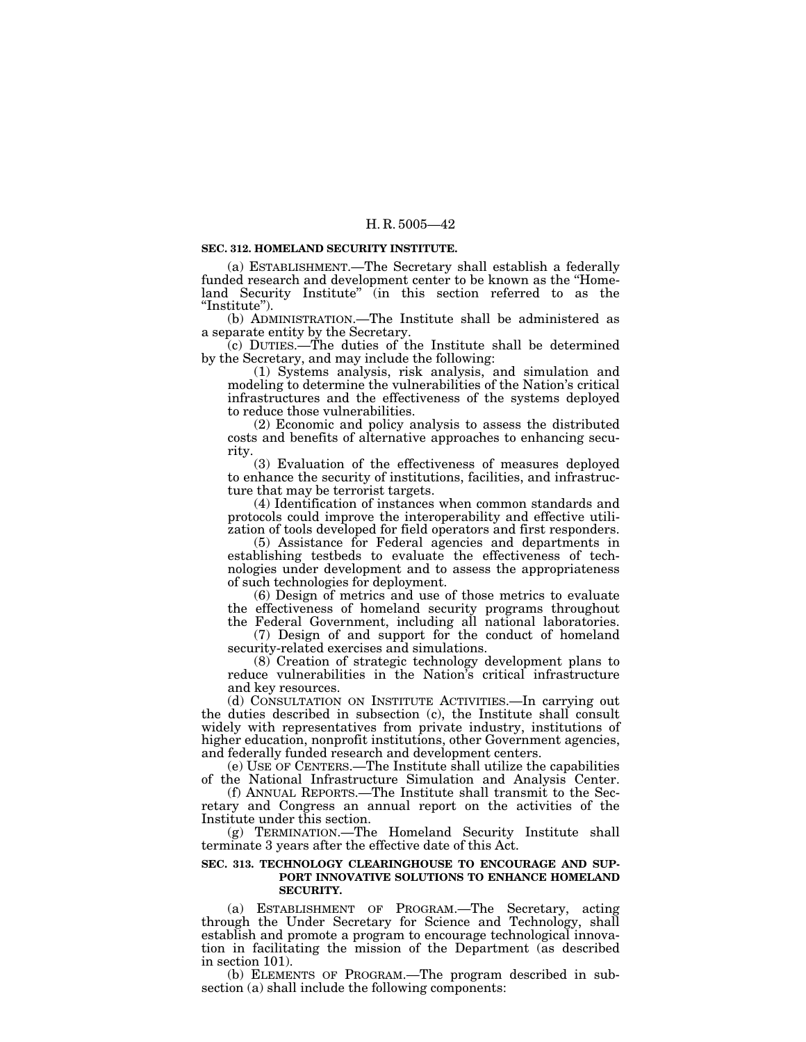## **SEC. 312. HOMELAND SECURITY INSTITUTE.**

(a) ESTABLISHMENT.—The Secretary shall establish a federally funded research and development center to be known as the ''Homeland Security Institute" (in this section referred to as the "Institute").

(b) ADMINISTRATION.—The Institute shall be administered as a separate entity by the Secretary.

(c) DUTIES.—The duties of the Institute shall be determined by the Secretary, and may include the following:

(1) Systems analysis, risk analysis, and simulation and modeling to determine the vulnerabilities of the Nation's critical infrastructures and the effectiveness of the systems deployed to reduce those vulnerabilities.

(2) Economic and policy analysis to assess the distributed costs and benefits of alternative approaches to enhancing security.

(3) Evaluation of the effectiveness of measures deployed to enhance the security of institutions, facilities, and infrastructure that may be terrorist targets.

(4) Identification of instances when common standards and protocols could improve the interoperability and effective utilization of tools developed for field operators and first responders.

(5) Assistance for Federal agencies and departments in establishing testbeds to evaluate the effectiveness of technologies under development and to assess the appropriateness of such technologies for deployment.

(6) Design of metrics and use of those metrics to evaluate the effectiveness of homeland security programs throughout the Federal Government, including all national laboratories.

(7) Design of and support for the conduct of homeland security-related exercises and simulations.

(8) Creation of strategic technology development plans to reduce vulnerabilities in the Nation's critical infrastructure and key resources.

(d) CONSULTATION ON INSTITUTE ACTIVITIES.—In carrying out the duties described in subsection (c), the Institute shall consult widely with representatives from private industry, institutions of higher education, nonprofit institutions, other Government agencies, and federally funded research and development centers.

(e) USE OF CENTERS.—The Institute shall utilize the capabilities of the National Infrastructure Simulation and Analysis Center.

(f) ANNUAL REPORTS.—The Institute shall transmit to the Secretary and Congress an annual report on the activities of the Institute under this section.

(g) TERMINATION.—The Homeland Security Institute shall terminate 3 years after the effective date of this Act.

#### **SEC. 313. TECHNOLOGY CLEARINGHOUSE TO ENCOURAGE AND SUP-PORT INNOVATIVE SOLUTIONS TO ENHANCE HOMELAND SECURITY.**

(a) ESTABLISHMENT OF PROGRAM.—The Secretary, acting through the Under Secretary for Science and Technology, shall establish and promote a program to encourage technological innovation in facilitating the mission of the Department (as described in section 101).

(b) ELEMENTS OF PROGRAM.—The program described in subsection (a) shall include the following components: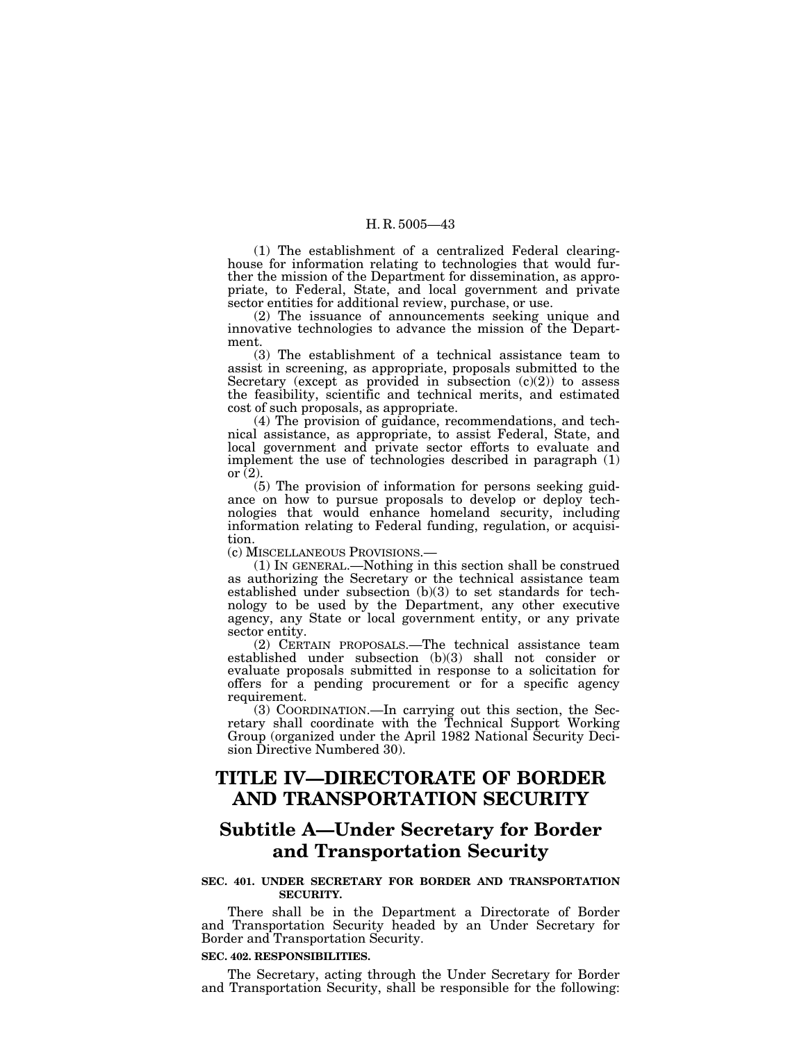(1) The establishment of a centralized Federal clearinghouse for information relating to technologies that would further the mission of the Department for dissemination, as appropriate, to Federal, State, and local government and private sector entities for additional review, purchase, or use.

(2) The issuance of announcements seeking unique and innovative technologies to advance the mission of the Department.

(3) The establishment of a technical assistance team to assist in screening, as appropriate, proposals submitted to the Secretary (except as provided in subsection (c)(2)) to assess the feasibility, scientific and technical merits, and estimated cost of such proposals, as appropriate.

(4) The provision of guidance, recommendations, and technical assistance, as appropriate, to assist Federal, State, and local government and private sector efforts to evaluate and implement the use of technologies described in paragraph (1) or  $(2)$ .

(5) The provision of information for persons seeking guidance on how to pursue proposals to develop or deploy technologies that would enhance homeland security, including information relating to Federal funding, regulation, or acquisition.

(c) MISCELLANEOUS PROVISIONS.—

(1) IN GENERAL.—Nothing in this section shall be construed as authorizing the Secretary or the technical assistance team established under subsection (b)(3) to set standards for technology to be used by the Department, any other executive agency, any State or local government entity, or any private sector entity.

(2) CERTAIN PROPOSALS.—The technical assistance team established under subsection (b)(3) shall not consider or evaluate proposals submitted in response to a solicitation for offers for a pending procurement or for a specific agency requirement.

(3) COORDINATION.—In carrying out this section, the Secretary shall coordinate with the Technical Support Working Group (organized under the April 1982 National Security Decision Directive Numbered 30).

# **TITLE IV—DIRECTORATE OF BORDER AND TRANSPORTATION SECURITY**

# **Subtitle A—Under Secretary for Border and Transportation Security**

# **SEC. 401. UNDER SECRETARY FOR BORDER AND TRANSPORTATION SECURITY.**

There shall be in the Department a Directorate of Border and Transportation Security headed by an Under Secretary for Border and Transportation Security.

#### **SEC. 402. RESPONSIBILITIES.**

The Secretary, acting through the Under Secretary for Border and Transportation Security, shall be responsible for the following: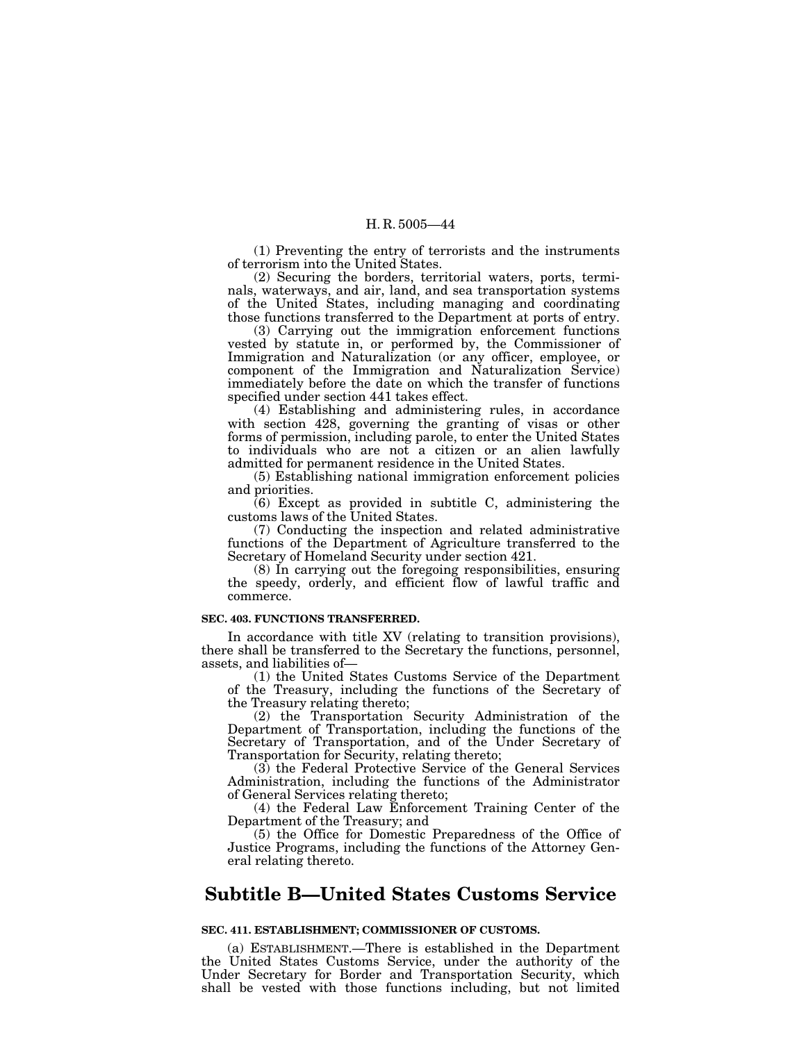(1) Preventing the entry of terrorists and the instruments of terrorism into the United States.

(2) Securing the borders, territorial waters, ports, terminals, waterways, and air, land, and sea transportation systems of the United States, including managing and coordinating those functions transferred to the Department at ports of entry.

(3) Carrying out the immigration enforcement functions vested by statute in, or performed by, the Commissioner of Immigration and Naturalization (or any officer, employee, or component of the Immigration and Naturalization Service) immediately before the date on which the transfer of functions specified under section 441 takes effect.

(4) Establishing and administering rules, in accordance with section 428, governing the granting of visas or other forms of permission, including parole, to enter the United States to individuals who are not a citizen or an alien lawfully admitted for permanent residence in the United States.

(5) Establishing national immigration enforcement policies and priorities.

(6) Except as provided in subtitle C, administering the customs laws of the United States.

(7) Conducting the inspection and related administrative functions of the Department of Agriculture transferred to the Secretary of Homeland Security under section 421.

(8) In carrying out the foregoing responsibilities, ensuring the speedy, orderly, and efficient flow of lawful traffic and commerce.

## **SEC. 403. FUNCTIONS TRANSFERRED.**

In accordance with title XV (relating to transition provisions), there shall be transferred to the Secretary the functions, personnel, assets, and liabilities of—

(1) the United States Customs Service of the Department of the Treasury, including the functions of the Secretary of the Treasury relating thereto;

(2) the Transportation Security Administration of the Department of Transportation, including the functions of the Secretary of Transportation, and of the Under Secretary of Transportation for Security, relating thereto;

(3) the Federal Protective Service of the General Services Administration, including the functions of the Administrator of General Services relating thereto;

(4) the Federal Law Enforcement Training Center of the Department of the Treasury; and

(5) the Office for Domestic Preparedness of the Office of Justice Programs, including the functions of the Attorney General relating thereto.

# **Subtitle B—United States Customs Service**

#### **SEC. 411. ESTABLISHMENT; COMMISSIONER OF CUSTOMS.**

(a) ESTABLISHMENT.—There is established in the Department the United States Customs Service, under the authority of the Under Secretary for Border and Transportation Security, which shall be vested with those functions including, but not limited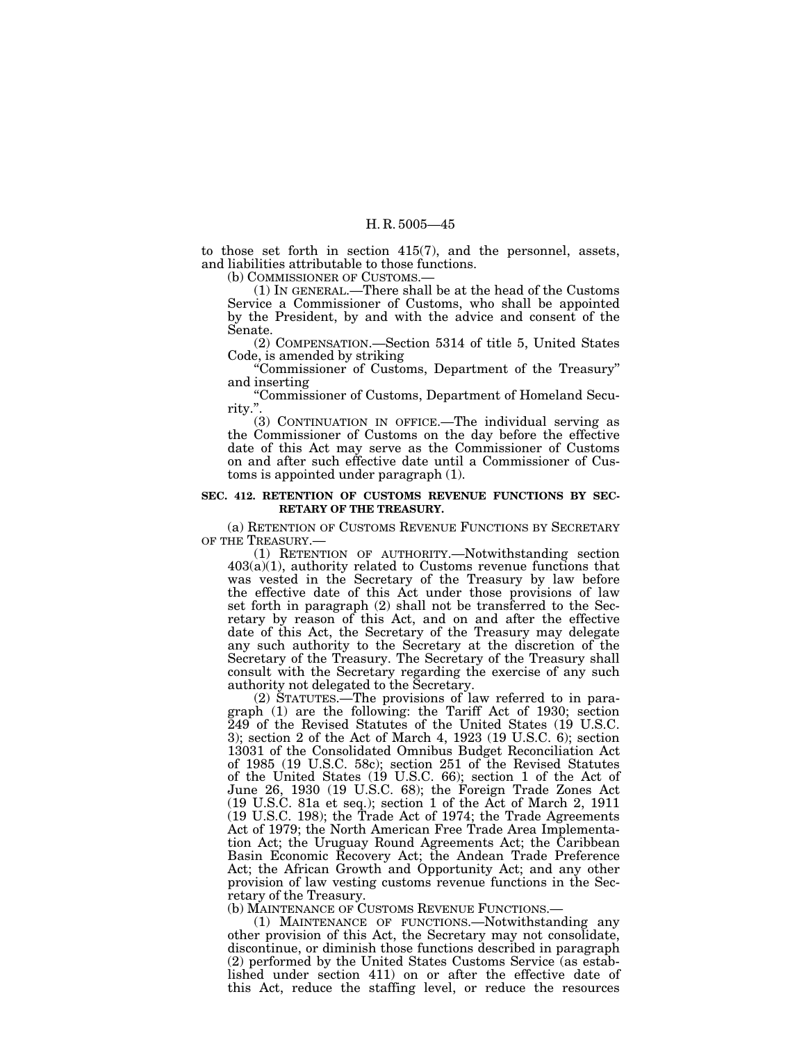to those set forth in section 415(7), and the personnel, assets, and liabilities attributable to those functions.

(b) COMMISSIONER OF CUSTOMS.—

(1) IN GENERAL.—There shall be at the head of the Customs Service a Commissioner of Customs, who shall be appointed by the President, by and with the advice and consent of the Senate.

(2) COMPENSATION.—Section 5314 of title 5, United States Code, is amended by striking

''Commissioner of Customs, Department of the Treasury'' and inserting

''Commissioner of Customs, Department of Homeland Security.''.

(3) CONTINUATION IN OFFICE.—The individual serving as the Commissioner of Customs on the day before the effective date of this Act may serve as the Commissioner of Customs on and after such effective date until a Commissioner of Customs is appointed under paragraph (1).

#### **SEC. 412. RETENTION OF CUSTOMS REVENUE FUNCTIONS BY SEC-RETARY OF THE TREASURY.**

(a) RETENTION OF CUSTOMS REVENUE FUNCTIONS BY SECRETARY OF THE TREASURY.—

(1) RETENTION OF AUTHORITY.—Notwithstanding section  $403(a)(1)$ , authority related to Customs revenue functions that was vested in the Secretary of the Treasury by law before the effective date of this Act under those provisions of law set forth in paragraph (2) shall not be transferred to the Secretary by reason of this Act, and on and after the effective date of this Act, the Secretary of the Treasury may delegate any such authority to the Secretary at the discretion of the Secretary of the Treasury. The Secretary of the Treasury shall consult with the Secretary regarding the exercise of any such authority not delegated to the Secretary.

(2) STATUTES.—The provisions of law referred to in paragraph (1) are the following: the Tariff Act of 1930; section 249 of the Revised Statutes of the United States (19 U.S.C. 3); section 2 of the Act of March 4, 1923 (19 U.S.C. 6); section 13031 of the Consolidated Omnibus Budget Reconciliation Act of 1985 (19 U.S.C. 58c); section 251 of the Revised Statutes of the United States (19 U.S.C. 66); section 1 of the Act of June 26, 1930 (19 U.S.C. 68); the Foreign Trade Zones Act (19 U.S.C. 81a et seq.); section 1 of the Act of March 2, 1911 (19 U.S.C. 198); the Trade Act of 1974; the Trade Agreements Act of 1979; the North American Free Trade Area Implementation Act; the Uruguay Round Agreements Act; the Caribbean Basin Economic Recovery Act; the Andean Trade Preference Act; the African Growth and Opportunity Act; and any other provision of law vesting customs revenue functions in the Secretary of the Treasury.

(b) MAINTENANCE OF CUSTOMS REVENUE FUNCTIONS.—

(1) MAINTENANCE OF FUNCTIONS.—Notwithstanding any other provision of this Act, the Secretary may not consolidate, discontinue, or diminish those functions described in paragraph (2) performed by the United States Customs Service (as established under section 411) on or after the effective date of this Act, reduce the staffing level, or reduce the resources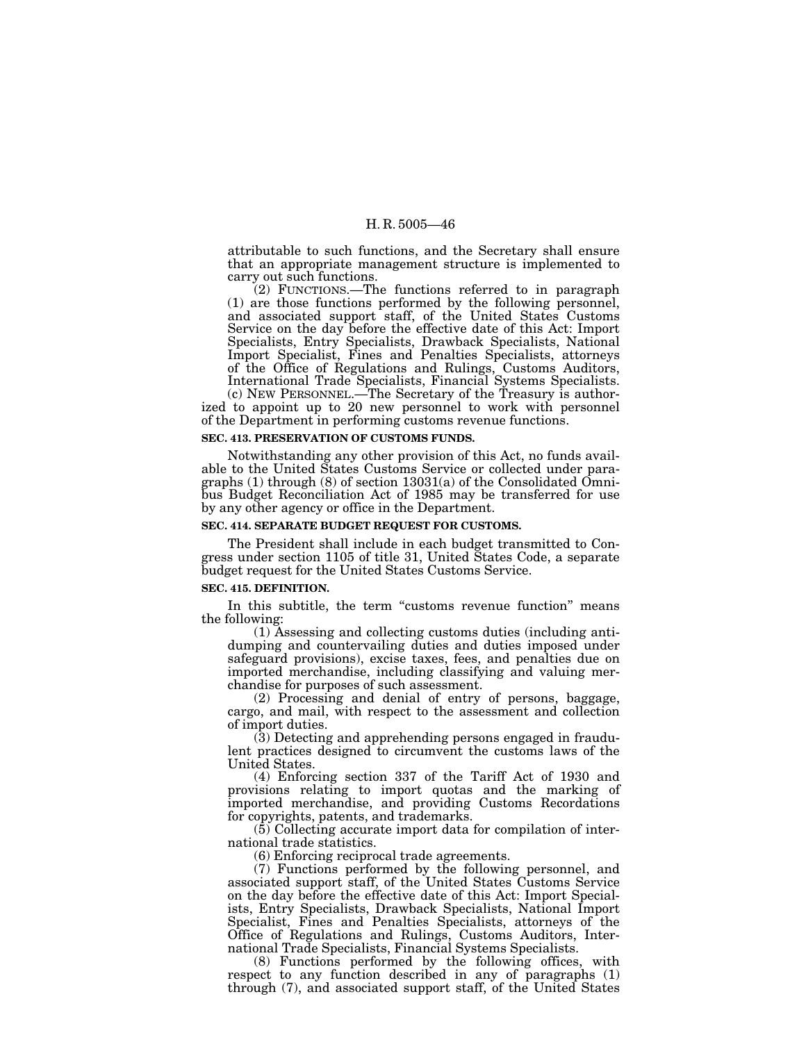attributable to such functions, and the Secretary shall ensure that an appropriate management structure is implemented to carry out such functions.

 $(2)$  FUNCTIONS.—The functions referred to in paragraph (1) are those functions performed by the following personnel, and associated support staff, of the United States Customs Service on the day before the effective date of this Act: Import Specialists, Entry Specialists, Drawback Specialists, National Import Specialist, Fines and Penalties Specialists, attorneys of the Office of Regulations and Rulings, Customs Auditors, International Trade Specialists, Financial Systems Specialists.

(c) NEW PERSONNEL.—The Secretary of the Treasury is authorized to appoint up to 20 new personnel to work with personnel of the Department in performing customs revenue functions.

### **SEC. 413. PRESERVATION OF CUSTOMS FUNDS.**

Notwithstanding any other provision of this Act, no funds available to the United States Customs Service or collected under paragraphs (1) through (8) of section 13031(a) of the Consolidated Omnibus Budget Reconciliation Act of 1985 may be transferred for use by any other agency or office in the Department.

## **SEC. 414. SEPARATE BUDGET REQUEST FOR CUSTOMS.**

The President shall include in each budget transmitted to Congress under section 1105 of title 31, United States Code, a separate budget request for the United States Customs Service.

## **SEC. 415. DEFINITION.**

In this subtitle, the term "customs revenue function" means the following:

(1) Assessing and collecting customs duties (including antidumping and countervailing duties and duties imposed under safeguard provisions), excise taxes, fees, and penalties due on imported merchandise, including classifying and valuing merchandise for purposes of such assessment.

(2) Processing and denial of entry of persons, baggage, cargo, and mail, with respect to the assessment and collection of import duties.

(3) Detecting and apprehending persons engaged in fraudulent practices designed to circumvent the customs laws of the United States.

(4) Enforcing section 337 of the Tariff Act of 1930 and provisions relating to import quotas and the marking of imported merchandise, and providing Customs Recordations for copyrights, patents, and trademarks.

 $(5)$  Collecting accurate import data for compilation of international trade statistics.

(6) Enforcing reciprocal trade agreements.

(7) Functions performed by the following personnel, and associated support staff, of the United States Customs Service on the day before the effective date of this Act: Import Specialists, Entry Specialists, Drawback Specialists, National Import Specialist, Fines and Penalties Specialists, attorneys of the Office of Regulations and Rulings, Customs Auditors, International Trade Specialists, Financial Systems Specialists.

(8) Functions performed by the following offices, with respect to any function described in any of paragraphs (1) through (7), and associated support staff, of the United States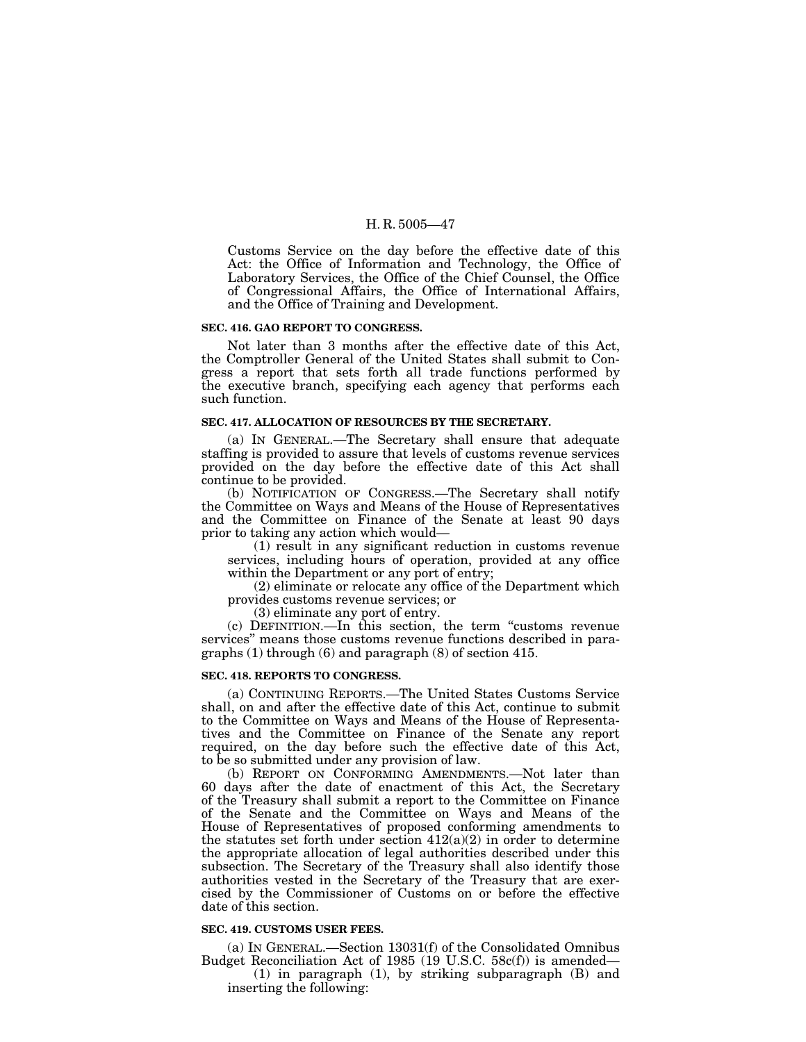Customs Service on the day before the effective date of this Act: the Office of Information and Technology, the Office of Laboratory Services, the Office of the Chief Counsel, the Office of Congressional Affairs, the Office of International Affairs, and the Office of Training and Development.

#### **SEC. 416. GAO REPORT TO CONGRESS.**

Not later than 3 months after the effective date of this Act, the Comptroller General of the United States shall submit to Congress a report that sets forth all trade functions performed by the executive branch, specifying each agency that performs each such function.

#### **SEC. 417. ALLOCATION OF RESOURCES BY THE SECRETARY.**

(a) IN GENERAL.—The Secretary shall ensure that adequate staffing is provided to assure that levels of customs revenue services provided on the day before the effective date of this Act shall continue to be provided.

(b) NOTIFICATION OF CONGRESS.—The Secretary shall notify the Committee on Ways and Means of the House of Representatives and the Committee on Finance of the Senate at least 90 days prior to taking any action which would—

(1) result in any significant reduction in customs revenue services, including hours of operation, provided at any office within the Department or any port of entry;

(2) eliminate or relocate any office of the Department which provides customs revenue services; or

(3) eliminate any port of entry.

(c) DEFINITION.—In this section, the term ''customs revenue services'' means those customs revenue functions described in paragraphs (1) through (6) and paragraph (8) of section 415.

#### **SEC. 418. REPORTS TO CONGRESS.**

(a) CONTINUING REPORTS.—The United States Customs Service shall, on and after the effective date of this Act, continue to submit to the Committee on Ways and Means of the House of Representatives and the Committee on Finance of the Senate any report required, on the day before such the effective date of this Act, to be so submitted under any provision of law.

(b) REPORT ON CONFORMING AMENDMENTS.—Not later than 60 days after the date of enactment of this Act, the Secretary of the Treasury shall submit a report to the Committee on Finance of the Senate and the Committee on Ways and Means of the House of Representatives of proposed conforming amendments to the statutes set forth under section  $412(a)(2)$  in order to determine the appropriate allocation of legal authorities described under this subsection. The Secretary of the Treasury shall also identify those authorities vested in the Secretary of the Treasury that are exercised by the Commissioner of Customs on or before the effective date of this section.

#### **SEC. 419. CUSTOMS USER FEES.**

(a) IN GENERAL.—Section 13031(f) of the Consolidated Omnibus Budget Reconciliation Act of 1985 (19 U.S.C. 58c(f)) is amended—

(1) in paragraph (1), by striking subparagraph (B) and inserting the following: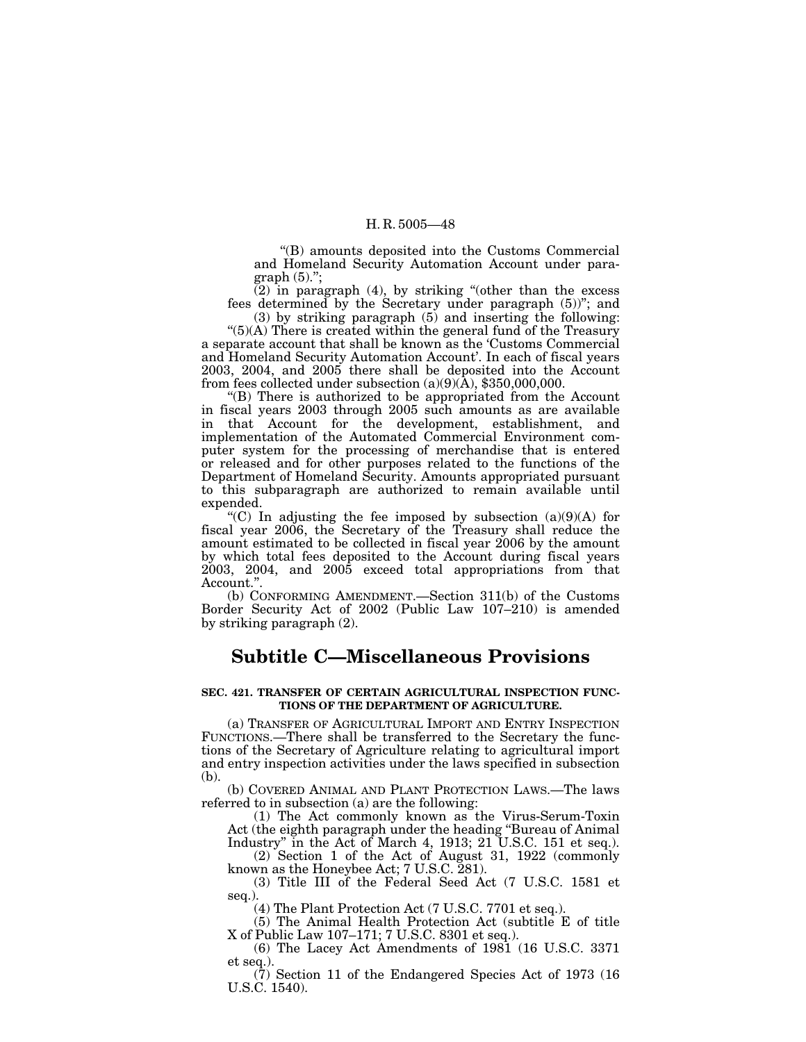''(B) amounts deposited into the Customs Commercial and Homeland Security Automation Account under paragraph (5).'';

 $(2)$  in paragraph (4), by striking "(other than the excess fees determined by the Secretary under paragraph (5))"; and (3) by striking paragraph (5) and inserting the following:

''(5)(A) There is created within the general fund of the Treasury a separate account that shall be known as the 'Customs Commercial and Homeland Security Automation Account'. In each of fiscal years 2003, 2004, and 2005 there shall be deposited into the Account from fees collected under subsection  $(a)(9)(\hat{A})$ , \$350,000,000.

''(B) There is authorized to be appropriated from the Account in fiscal years 2003 through 2005 such amounts as are available in that Account for the development, establishment, and implementation of the Automated Commercial Environment computer system for the processing of merchandise that is entered or released and for other purposes related to the functions of the Department of Homeland Security. Amounts appropriated pursuant to this subparagraph are authorized to remain available until expended.

"(C) In adjusting the fee imposed by subsection  $(a)(9)(A)$  for fiscal year 2006, the Secretary of the Treasury shall reduce the amount estimated to be collected in fiscal year 2006 by the amount by which total fees deposited to the Account during fiscal years 2003, 2004, and 2005 exceed total appropriations from that Account.''.

(b) CONFORMING AMENDMENT.—Section 311(b) of the Customs Border Security Act of 2002 (Public Law 107–210) is amended by striking paragraph (2).

# **Subtitle C—Miscellaneous Provisions**

# **SEC. 421. TRANSFER OF CERTAIN AGRICULTURAL INSPECTION FUNC-TIONS OF THE DEPARTMENT OF AGRICULTURE.**

(a) TRANSFER OF AGRICULTURAL IMPORT AND ENTRY INSPECTION FUNCTIONS.—There shall be transferred to the Secretary the functions of the Secretary of Agriculture relating to agricultural import and entry inspection activities under the laws specified in subsection (b).

(b) COVERED ANIMAL AND PLANT PROTECTION LAWS.—The laws referred to in subsection (a) are the following:

(1) The Act commonly known as the Virus-Serum-Toxin Act (the eighth paragraph under the heading ''Bureau of Animal Industry'' in the Act of March 4, 1913; 21 U.S.C. 151 et seq.).

(2) Section 1 of the Act of August 31, 1922 (commonly known as the Honeybee Act; 7 U.S.C. 281).

(3) Title III of the Federal Seed Act (7 U.S.C. 1581 et seq.).

(4) The Plant Protection Act (7 U.S.C. 7701 et seq.).

(5) The Animal Health Protection Act (subtitle E of title X of Public Law 107–171; 7 U.S.C. 8301 et seq.).

(6) The Lacey Act Amendments of 1981 (16 U.S.C. 3371 et seq.).

(7) Section 11 of the Endangered Species Act of 1973 (16 U.S.C. 1540).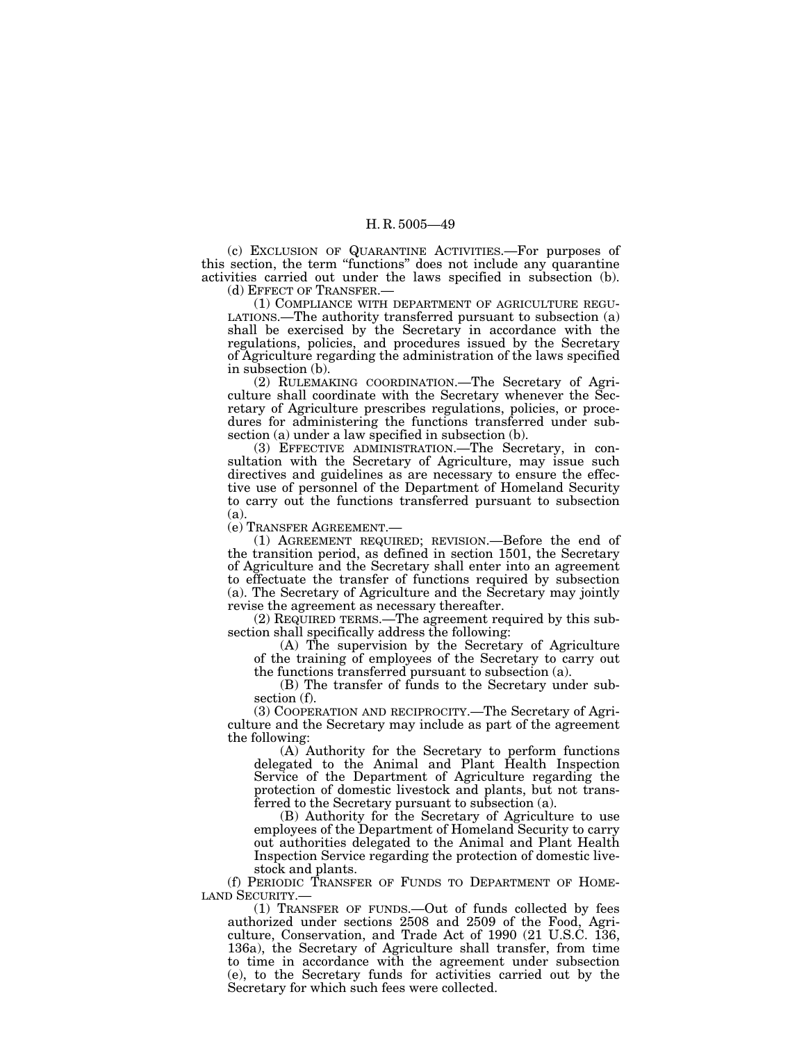(c) EXCLUSION OF QUARANTINE ACTIVITIES.—For purposes of this section, the term ''functions'' does not include any quarantine activities carried out under the laws specified in subsection (b).

(d) EFFECT OF TRANSFER.—

(1) COMPLIANCE WITH DEPARTMENT OF AGRICULTURE REGU-LATIONS.—The authority transferred pursuant to subsection (a) shall be exercised by the Secretary in accordance with the regulations, policies, and procedures issued by the Secretary of Agriculture regarding the administration of the laws specified in subsection (b).

(2) RULEMAKING COORDINATION.—The Secretary of Agriculture shall coordinate with the Secretary whenever the Secretary of Agriculture prescribes regulations, policies, or procedures for administering the functions transferred under subsection (a) under a law specified in subsection (b).

(3) EFFECTIVE ADMINISTRATION.—The Secretary, in consultation with the Secretary of Agriculture, may issue such directives and guidelines as are necessary to ensure the effective use of personnel of the Department of Homeland Security to carry out the functions transferred pursuant to subsection (a).

(e) TRANSFER AGREEMENT.—

(1) AGREEMENT REQUIRED; REVISION.—Before the end of the transition period, as defined in section 1501, the Secretary of Agriculture and the Secretary shall enter into an agreement to effectuate the transfer of functions required by subsection (a). The Secretary of Agriculture and the Secretary may jointly revise the agreement as necessary thereafter.

(2) REQUIRED TERMS.—The agreement required by this subsection shall specifically address the following:

(A) The supervision by the Secretary of Agriculture of the training of employees of the Secretary to carry out the functions transferred pursuant to subsection (a).

(B) The transfer of funds to the Secretary under subsection (f).

(3) COOPERATION AND RECIPROCITY.—The Secretary of Agriculture and the Secretary may include as part of the agreement the following:

(A) Authority for the Secretary to perform functions delegated to the Animal and Plant Health Inspection Service of the Department of Agriculture regarding the protection of domestic livestock and plants, but not transferred to the Secretary pursuant to subsection (a).

(B) Authority for the Secretary of Agriculture to use employees of the Department of Homeland Security to carry out authorities delegated to the Animal and Plant Health Inspection Service regarding the protection of domestic livestock and plants.

(f) PERIODIC TRANSFER OF FUNDS TO DEPARTMENT OF HOME-LAND SECURITY.—

(1) TRANSFER OF FUNDS.—Out of funds collected by fees authorized under sections 2508 and 2509 of the Food, Agriculture, Conservation, and Trade Act of 1990 (21 U.S.C. 136, 136a), the Secretary of Agriculture shall transfer, from time to time in accordance with the agreement under subsection (e), to the Secretary funds for activities carried out by the Secretary for which such fees were collected.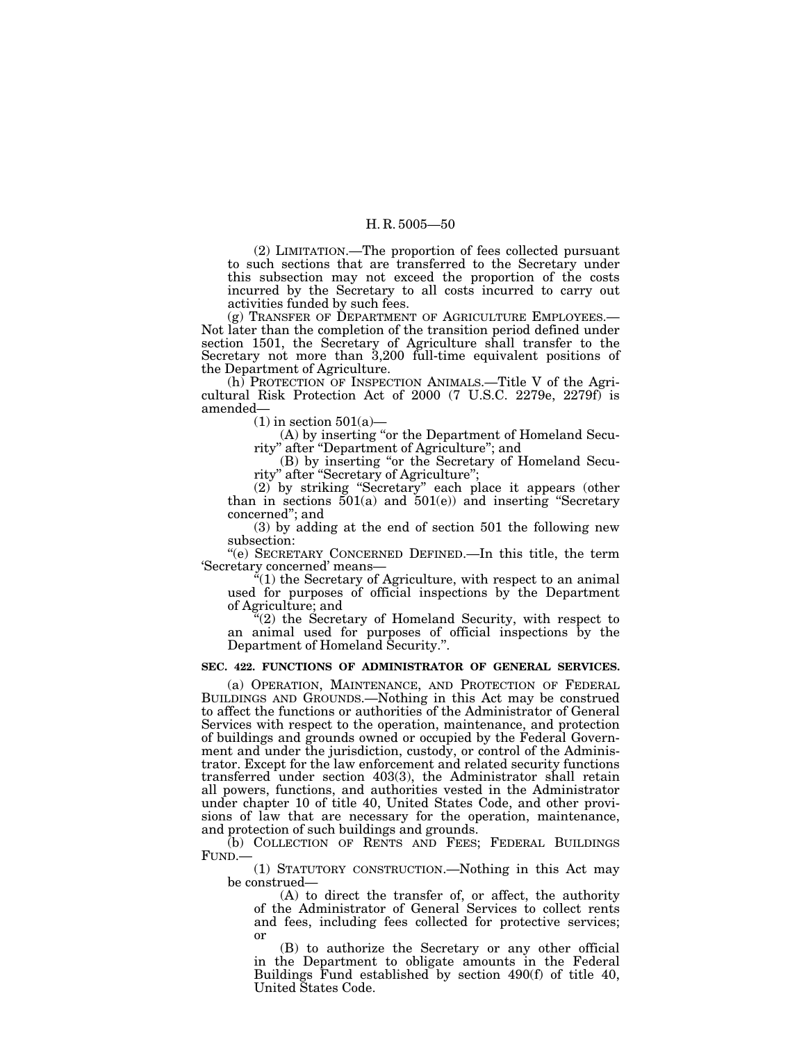(2) LIMITATION.—The proportion of fees collected pursuant to such sections that are transferred to the Secretary under this subsection may not exceed the proportion of the costs incurred by the Secretary to all costs incurred to carry out activities funded by such fees.

(g) TRANSFER OF DEPARTMENT OF AGRICULTURE EMPLOYEES.— Not later than the completion of the transition period defined under section 1501, the Secretary of Agriculture shall transfer to the Secretary not more than 3,200 full-time equivalent positions of the Department of Agriculture.

(h) PROTECTION OF INSPECTION ANIMALS.—Title V of the Agricultural Risk Protection Act of 2000 (7 U.S.C. 2279e, 2279f) is amended—

 $(1)$  in section 501(a)–

(A) by inserting ''or the Department of Homeland Security'' after ''Department of Agriculture''; and

(B) by inserting ''or the Secretary of Homeland Security'' after ''Secretary of Agriculture'';

(2) by striking ''Secretary'' each place it appears (other than in sections  $501(a)$  and  $501(e)$  and inserting "Secretary concerned''; and

(3) by adding at the end of section 501 the following new subsection:

''(e) SECRETARY CONCERNED DEFINED.—In this title, the term 'Secretary concerned' means—

 $\ddot{H}(1)$  the Secretary of Agriculture, with respect to an animal used for purposes of official inspections by the Department of Agriculture; and

 $\mathcal{F}(2)$  the Secretary of Homeland Security, with respect to an animal used for purposes of official inspections by the Department of Homeland Security.''.

# **SEC. 422. FUNCTIONS OF ADMINISTRATOR OF GENERAL SERVICES.**

(a) OPERATION, MAINTENANCE, AND PROTECTION OF FEDERAL BUILDINGS AND GROUNDS.—Nothing in this Act may be construed to affect the functions or authorities of the Administrator of General Services with respect to the operation, maintenance, and protection of buildings and grounds owned or occupied by the Federal Government and under the jurisdiction, custody, or control of the Administrator. Except for the law enforcement and related security functions transferred under section 403(3), the Administrator shall retain all powers, functions, and authorities vested in the Administrator under chapter 10 of title 40, United States Code, and other provisions of law that are necessary for the operation, maintenance, and protection of such buildings and grounds.

(b) COLLECTION OF RENTS AND FEES; FEDERAL BUILDINGS FUND.—

(1) STATUTORY CONSTRUCTION.—Nothing in this Act may be construed—

(A) to direct the transfer of, or affect, the authority of the Administrator of General Services to collect rents and fees, including fees collected for protective services; or

(B) to authorize the Secretary or any other official in the Department to obligate amounts in the Federal Buildings Fund established by section 490(f) of title 40, United States Code.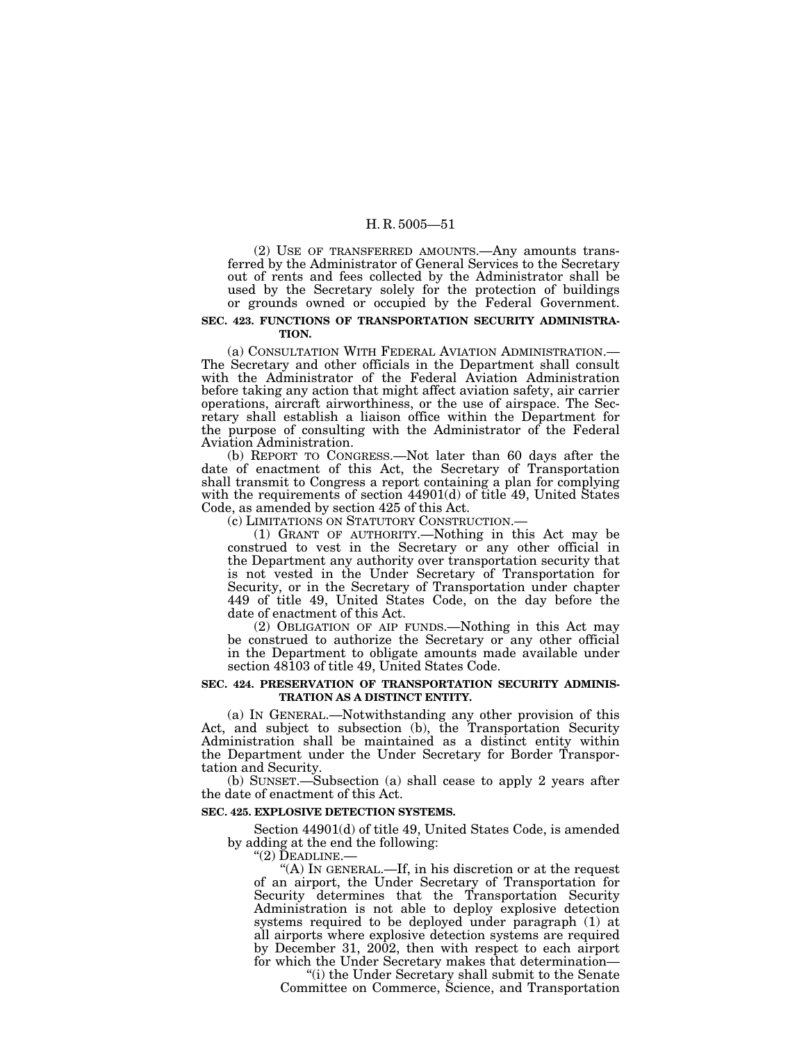(2) USE OF TRANSFERRED AMOUNTS.—Any amounts transferred by the Administrator of General Services to the Secretary out of rents and fees collected by the Administrator shall be used by the Secretary solely for the protection of buildings or grounds owned or occupied by the Federal Government.

#### **SEC. 423. FUNCTIONS OF TRANSPORTATION SECURITY ADMINISTRA-TION.**

(a) CONSULTATION WITH FEDERAL AVIATION ADMINISTRATION.— The Secretary and other officials in the Department shall consult with the Administrator of the Federal Aviation Administration before taking any action that might affect aviation safety, air carrier operations, aircraft airworthiness, or the use of airspace. The Secretary shall establish a liaison office within the Department for the purpose of consulting with the Administrator of the Federal Aviation Administration.

(b) REPORT TO CONGRESS.—Not later than 60 days after the date of enactment of this Act, the Secretary of Transportation shall transmit to Congress a report containing a plan for complying with the requirements of section 44901(d) of title 49, United States Code, as amended by section 425 of this Act.

(c) LIMITATIONS ON STATUTORY CONSTRUCTION.—

(1) GRANT OF AUTHORITY.—Nothing in this Act may be construed to vest in the Secretary or any other official in the Department any authority over transportation security that is not vested in the Under Secretary of Transportation for Security, or in the Secretary of Transportation under chapter 449 of title 49, United States Code, on the day before the date of enactment of this Act.

(2) OBLIGATION OF AIP FUNDS.—Nothing in this Act may be construed to authorize the Secretary or any other official in the Department to obligate amounts made available under section 48103 of title 49, United States Code.

#### **SEC. 424. PRESERVATION OF TRANSPORTATION SECURITY ADMINIS-TRATION AS A DISTINCT ENTITY.**

(a) IN GENERAL.—Notwithstanding any other provision of this Act, and subject to subsection (b), the Transportation Security Administration shall be maintained as a distinct entity within the Department under the Under Secretary for Border Transportation and Security.

(b) SUNSET.—Subsection (a) shall cease to apply 2 years after the date of enactment of this Act.

#### **SEC. 425. EXPLOSIVE DETECTION SYSTEMS.**

Section 44901(d) of title 49, United States Code, is amended by adding at the end the following:

''(2) DEADLINE.—

''(A) IN GENERAL.—If, in his discretion or at the request of an airport, the Under Secretary of Transportation for Security determines that the Transportation Security Administration is not able to deploy explosive detection systems required to be deployed under paragraph (1) at all airports where explosive detection systems are required by December 31, 2002, then with respect to each airport for which the Under Secretary makes that determination—

''(i) the Under Secretary shall submit to the Senate Committee on Commerce, Science, and Transportation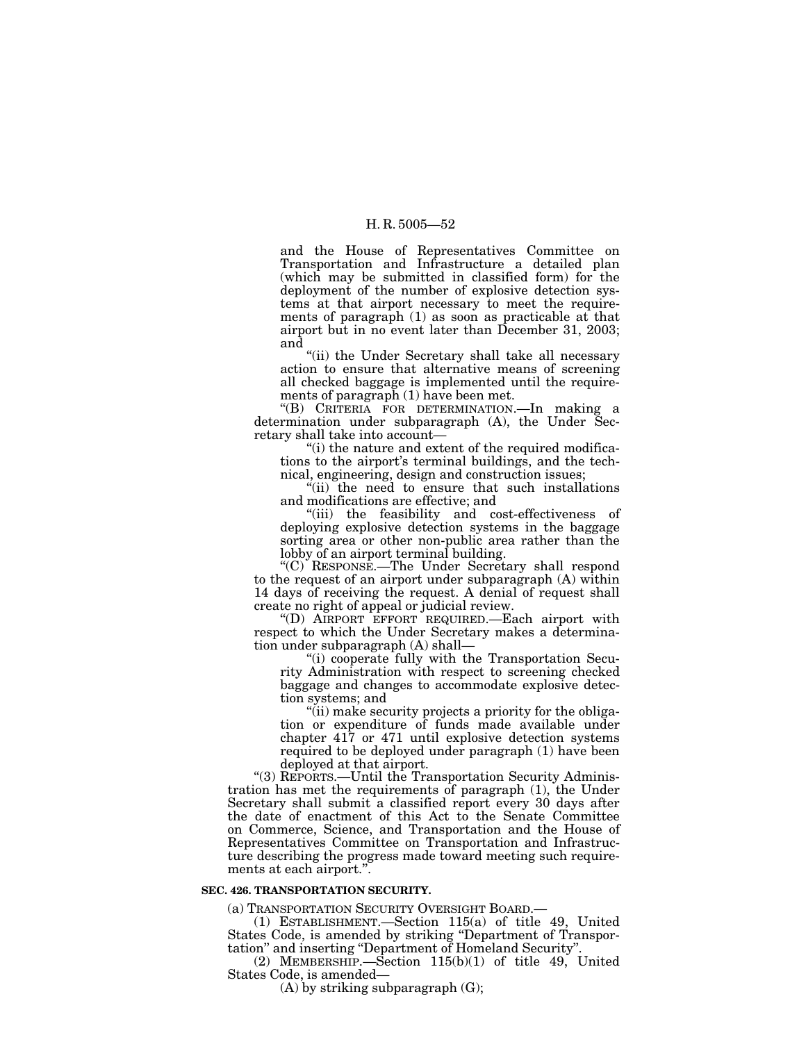and the House of Representatives Committee on Transportation and Infrastructure a detailed plan (which may be submitted in classified form) for the deployment of the number of explosive detection systems at that airport necessary to meet the requirements of paragraph (1) as soon as practicable at that airport but in no event later than December 31, 2003; and

''(ii) the Under Secretary shall take all necessary action to ensure that alternative means of screening all checked baggage is implemented until the requirements of paragraph (1) have been met.

''(B) CRITERIA FOR DETERMINATION.—In making a determination under subparagraph (A), the Under Secretary shall take into account—

"(i) the nature and extent of the required modifications to the airport's terminal buildings, and the technical, engineering, design and construction issues;

''(ii) the need to ensure that such installations and modifications are effective; and

''(iii) the feasibility and cost-effectiveness of deploying explosive detection systems in the baggage sorting area or other non-public area rather than the lobby of an airport terminal building.

"(C) RESPONSE.—The Under Secretary shall respond to the request of an airport under subparagraph (A) within 14 days of receiving the request. A denial of request shall create no right of appeal or judicial review.

''(D) AIRPORT EFFORT REQUIRED.—Each airport with respect to which the Under Secretary makes a determination under subparagraph (A) shall—

''(i) cooperate fully with the Transportation Security Administration with respect to screening checked baggage and changes to accommodate explosive detection systems; and

''(ii) make security projects a priority for the obligation or expenditure of funds made available under chapter 417 or 471 until explosive detection systems required to be deployed under paragraph (1) have been deployed at that airport.

''(3) REPORTS.—Until the Transportation Security Administration has met the requirements of paragraph (1), the Under Secretary shall submit a classified report every 30 days after the date of enactment of this Act to the Senate Committee on Commerce, Science, and Transportation and the House of Representatives Committee on Transportation and Infrastructure describing the progress made toward meeting such requirements at each airport.''.

### **SEC. 426. TRANSPORTATION SECURITY.**

(a) TRANSPORTATION SECURITY OVERSIGHT BOARD.—

(1) ESTABLISHMENT.—Section 115(a) of title 49, United States Code, is amended by striking ''Department of Transportation'' and inserting ''Department of Homeland Security''.

(2) MEMBERSHIP.—Section  $115(b)(1)$  of title 49, United States Code, is amended—

(A) by striking subparagraph (G);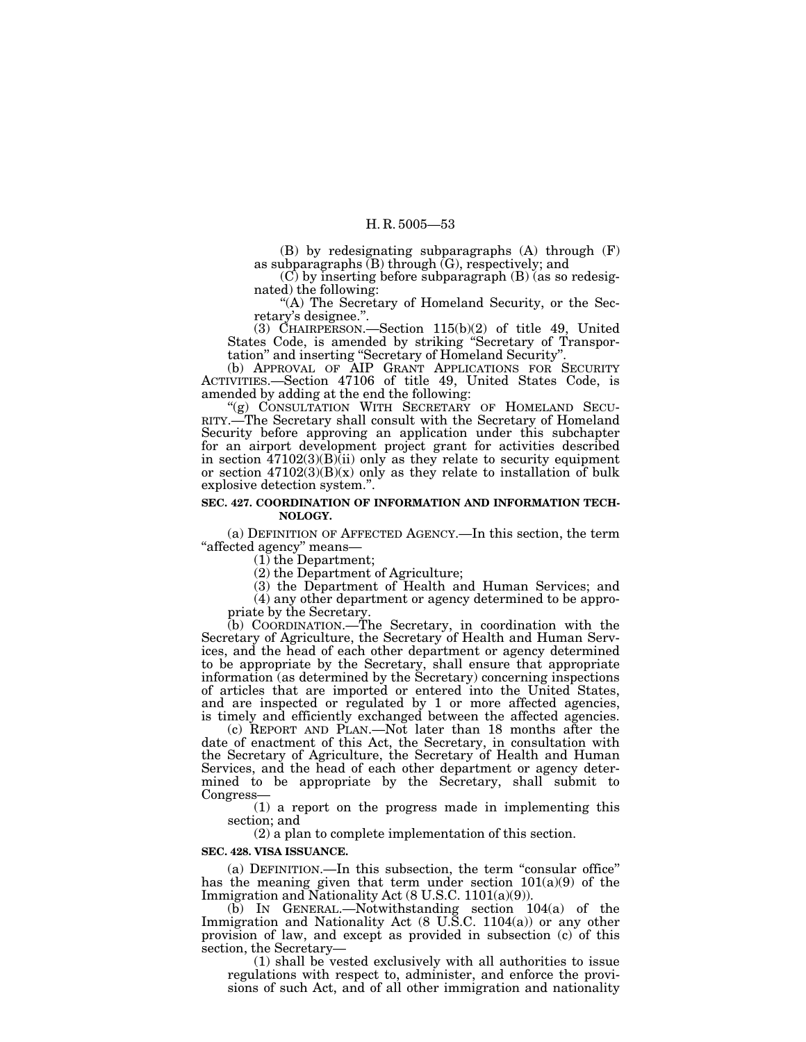(B) by redesignating subparagraphs (A) through (F) as subparagraphs  $(B)$  through  $(G)$ , respectively; and

(C) by inserting before subparagraph (B) (as so redesig-

"(A) The Secretary of Homeland Security, or the Secretary's designee.".

(3) CHAIRPERSON.—Section  $115(b)(2)$  of title 49, United States Code, is amended by striking ''Secretary of Transportation'' and inserting ''Secretary of Homeland Security''. (b) APPROVAL OF AIP GRANT APPLICATIONS FOR SECURITY

ACTIVITIES.—Section 47106 of title 49, United States Code, is

amended by adding at the end the following:<br>
"(g) CONSULTATION WITH SECRETARY OF HOMELAND SECU-<br>
RITY.—The Secretary shall consult with the Secretary of Homeland Security before approving an application under this subchapter for an airport development project grant for activities described in section 47102(3)(B)(ii) only as they relate to security equipment or section  $47102(3)(B)(x)$  only as they relate to installation of bulk explosive detection system.''.

#### **SEC. 427. COORDINATION OF INFORMATION AND INFORMATION TECH-NOLOGY.**

(a) DEFINITION OF AFFECTED AGENCY.—In this section, the term "affected agency" means—<br>(1) the Department;

(2) the Department of Agriculture;

(3) the Department of Health and Human Services; and

(4) any other department or agency determined to be appropriate by the Secretary.

(b) COORDINATION.—The Secretary, in coordination with the Secretary of Agriculture, the Secretary of Health and Human Services, and the head of each other department or agency determined to be appropriate by the Secretary, shall ensure that appropriate information (as determined by the Secretary) concerning inspections of articles that are imported or entered into the United States, and are inspected or regulated by 1 or more affected agencies, is timely and efficiently exchanged between the affected agencies.

(c) REPORT AND PLAN.—Not later than 18 months after the date of enactment of this Act, the Secretary, in consultation with the Secretary of Agriculture, the Secretary of Health and Human Services, and the head of each other department or agency determined to be appropriate by the Secretary, shall submit to Congress—

(1) a report on the progress made in implementing this section; and

(2) a plan to complete implementation of this section.

#### **SEC. 428. VISA ISSUANCE.**

(a) DEFINITION.—In this subsection, the term ''consular office'' has the meaning given that term under section 101(a)(9) of the Immigration and Nationality Act (8 U.S.C. 1101(a)(9)).

(b) IN GENERAL.—Notwithstanding section 104(a) of the Immigration and Nationality Act (8 U.S.C. 1104(a)) or any other provision of law, and except as provided in subsection (c) of this

 $(1)$  shall be vested exclusively with all authorities to issue regulations with respect to, administer, and enforce the provisions of such Act, and of all other immigration and nationality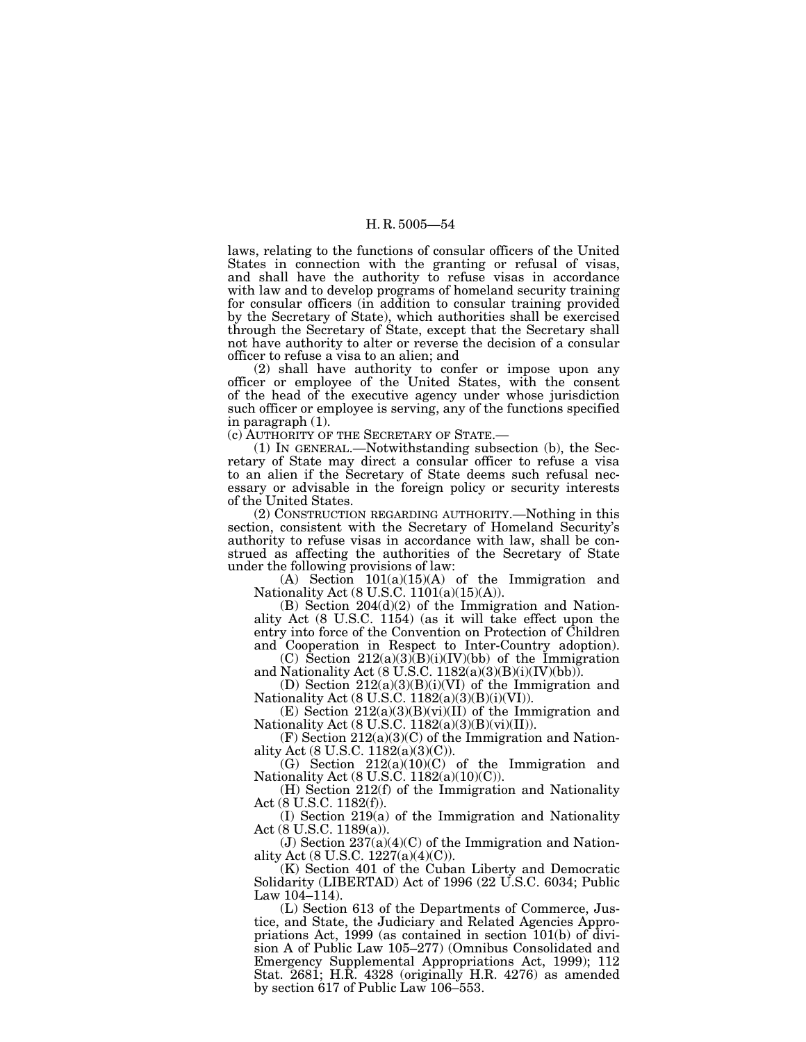laws, relating to the functions of consular officers of the United States in connection with the granting or refusal of visas, and shall have the authority to refuse visas in accordance with law and to develop programs of homeland security training for consular officers (in addition to consular training provided by the Secretary of State), which authorities shall be exercised through the Secretary of State, except that the Secretary shall not have authority to alter or reverse the decision of a consular officer to refuse a visa to an alien; and

(2) shall have authority to confer or impose upon any officer or employee of the United States, with the consent of the head of the executive agency under whose jurisdiction such officer or employee is serving, any of the functions specified in paragraph (1).

(c) AUTHORITY OF THE SECRETARY OF STATE.—

(1) IN GENERAL.—Notwithstanding subsection (b), the Secretary of State may direct a consular officer to refuse a visa to an alien if the Secretary of State deems such refusal necessary or advisable in the foreign policy or security interests of the United States.

(2) CONSTRUCTION REGARDING AUTHORITY.—Nothing in this section, consistent with the Secretary of Homeland Security's authority to refuse visas in accordance with law, shall be construed as affecting the authorities of the Secretary of State under the following provisions of law:

(A) Section 101(a)(15)(A) of the Immigration and Nationality Act (8 U.S.C. 1101(a)(15)(A)).

(B) Section 204(d)(2) of the Immigration and Nationality Act (8 U.S.C. 1154) (as it will take effect upon the entry into force of the Convention on Protection of Children and Cooperation in Respect to Inter-Country adoption).

(C) Section  $212(a)(3)(B)(i)(IV)(bb)$  of the Immigration and Nationality Act  $(8 \text{ U.S. C. } 1182(a)(3)(B)(i)(IV)(bb))$ .

(D) Section  $212(a)(3)(B)(i)(VI)$  of the Immigration and Nationality Act (8 U.S.C. 1182(a)(3)(B)(i)(VI)).

(E) Section  $212(a)(3)(B)(vi)(II)$  of the Immigration and Nationality Act (8 U.S.C.  $1182(a)(3)(B)(vi)(II)$ ).

(F) Section 212(a)(3)(C) of the Immigration and Nationality Act (8 U.S.C. 1182(a)(3)(C)).

(G) Section 212(a)(10)(C) of the Immigration and Nationality Act (8 U.S.C. 1182(a)(10)(C)).

(H) Section 212(f) of the Immigration and Nationality Act (8 U.S.C. 1182(f)).

(I) Section 219(a) of the Immigration and Nationality Act (8 U.S.C. 1189(a)).

(J) Section  $237(a)(4)(C)$  of the Immigration and Nationality Act (8 U.S.C. 1227(a)(4)(C)).

(K) Section 401 of the Cuban Liberty and Democratic Solidarity (LIBERTAD) Act of 1996 (22 U.S.C. 6034; Public Law 104–114).

(L) Section 613 of the Departments of Commerce, Justice, and State, the Judiciary and Related Agencies Appropriations Act, 1999 (as contained in section 101(b) of division A of Public Law 105–277) (Omnibus Consolidated and Emergency Supplemental Appropriations Act, 1999); 112 Stat. 2681; H.R. 4328 (originally H.R. 4276) as amended by section 617 of Public Law 106–553.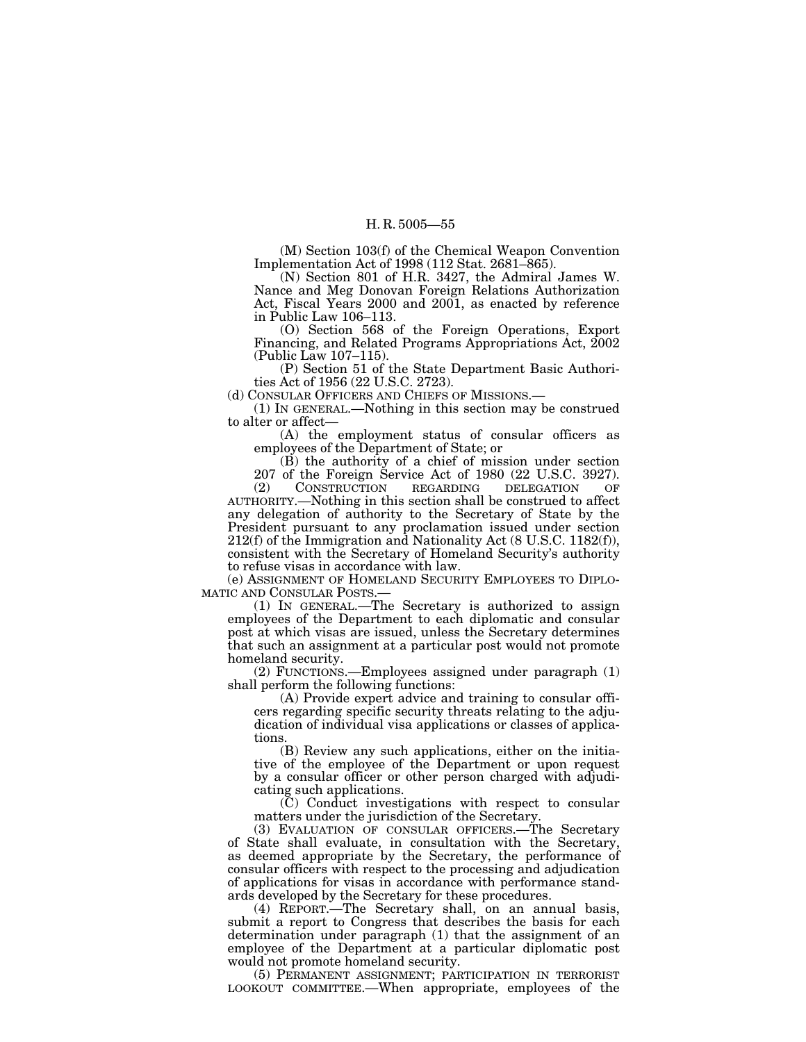(M) Section 103(f) of the Chemical Weapon Convention Implementation Act of 1998 (112 Stat. 2681–865).

(N) Section 801 of H.R. 3427, the Admiral James W. Nance and Meg Donovan Foreign Relations Authorization Act, Fiscal Years 2000 and 2001, as enacted by reference in Public Law 106–113.

(O) Section 568 of the Foreign Operations, Export Financing, and Related Programs Appropriations Act, 2002 (Public Law 107–115).

(P) Section 51 of the State Department Basic Authorities Act of 1956 (22 U.S.C. 2723).

(d) CONSULAR OFFICERS AND CHIEFS OF MISSIONS.—

(1) IN GENERAL.—Nothing in this section may be construed to alter or affect—

(A) the employment status of consular officers as employees of the Department of State; or

(B) the authority of a chief of mission under section

207 of the Foreign Service Act of 1980 (22 U.S.C. 3927).<br>
(2) CONSTRUCTION REGARDING DELEGATION OF (2) CONSTRUCTION REGARDING DELEGATION OF AUTHORITY.—Nothing in this section shall be construed to affect any delegation of authority to the Secretary of State by the President pursuant to any proclamation issued under section 212(f) of the Immigration and Nationality Act (8 U.S.C. 1182(f)), consistent with the Secretary of Homeland Security's authority to refuse visas in accordance with law.

(e) ASSIGNMENT OF HOMELAND SECURITY EMPLOYEES TO DIPLO-MATIC AND CONSULAR POSTS.—

(1) IN GENERAL.—The Secretary is authorized to assign employees of the Department to each diplomatic and consular post at which visas are issued, unless the Secretary determines that such an assignment at a particular post would not promote homeland security.

(2) FUNCTIONS.—Employees assigned under paragraph (1) shall perform the following functions:

(A) Provide expert advice and training to consular officers regarding specific security threats relating to the adjudication of individual visa applications or classes of applications.

(B) Review any such applications, either on the initiative of the employee of the Department or upon request by a consular officer or other person charged with adjudicating such applications.

(C) Conduct investigations with respect to consular matters under the jurisdiction of the Secretary.

(3) EVALUATION OF CONSULAR OFFICERS.—The Secretary of State shall evaluate, in consultation with the Secretary, as deemed appropriate by the Secretary, the performance of consular officers with respect to the processing and adjudication of applications for visas in accordance with performance standards developed by the Secretary for these procedures.

(4) REPORT.—The Secretary shall, on an annual basis, submit a report to Congress that describes the basis for each determination under paragraph (1) that the assignment of an employee of the Department at a particular diplomatic post would not promote homeland security.

(5) PERMANENT ASSIGNMENT; PARTICIPATION IN TERRORIST LOOKOUT COMMITTEE.—When appropriate, employees of the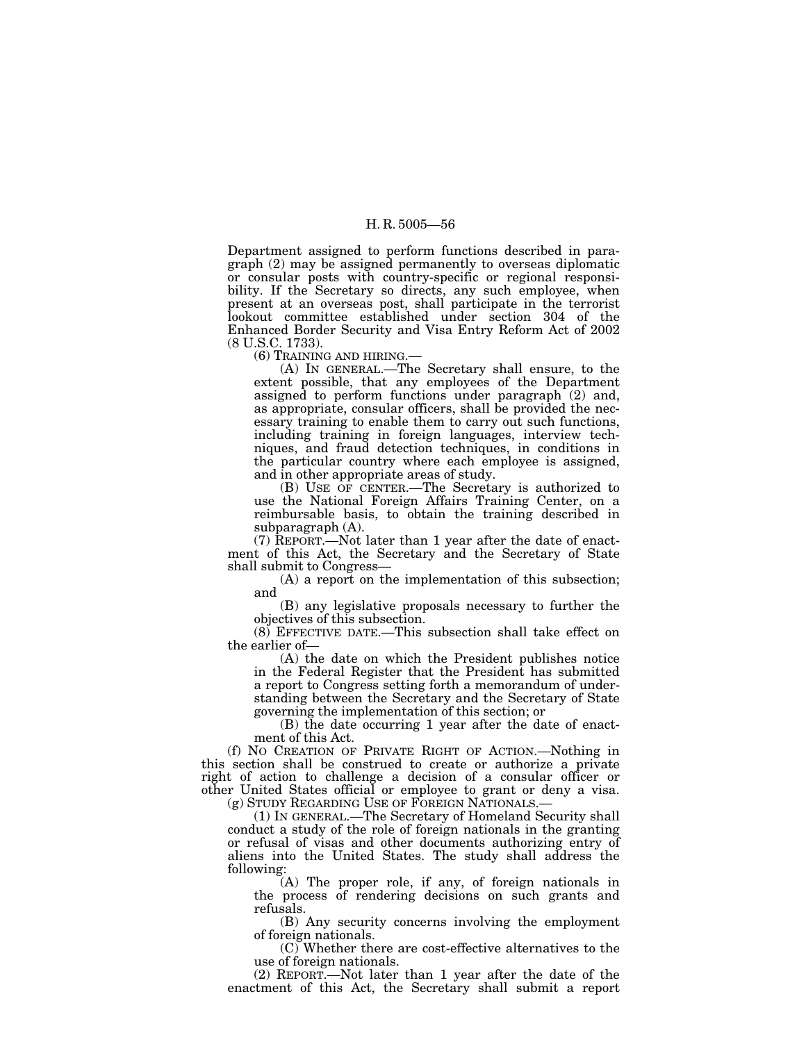Department assigned to perform functions described in paragraph (2) may be assigned permanently to overseas diplomatic or consular posts with country-specific or regional responsibility. If the Secretary so directs, any such employee, when present at an overseas post, shall participate in the terrorist lookout committee established under section 304 of the Enhanced Border Security and Visa Entry Reform Act of 2002 (8 U.S.C. 1733).

(6) TRAINING AND HIRING.— (A) IN GENERAL.—The Secretary shall ensure, to the extent possible, that any employees of the Department assigned to perform functions under paragraph (2) and, as appropriate, consular officers, shall be provided the necessary training to enable them to carry out such functions, including training in foreign languages, interview techniques, and fraud detection techniques, in conditions in the particular country where each employee is assigned, and in other appropriate areas of study.

(B) USE OF CENTER.—The Secretary is authorized to use the National Foreign Affairs Training Center, on a reimbursable basis, to obtain the training described in subparagraph (A).

(7) REPORT.—Not later than 1 year after the date of enactment of this Act, the Secretary and the Secretary of State shall submit to Congress—

(A) a report on the implementation of this subsection; and

(B) any legislative proposals necessary to further the objectives of this subsection.

(8) EFFECTIVE DATE.—This subsection shall take effect on the earlier of—

(A) the date on which the President publishes notice in the Federal Register that the President has submitted a report to Congress setting forth a memorandum of understanding between the Secretary and the Secretary of State governing the implementation of this section; or

(B) the date occurring 1 year after the date of enactment of this Act.

(f) NO CREATION OF PRIVATE RIGHT OF ACTION.—Nothing in this section shall be construed to create or authorize a private right of action to challenge a decision of a consular officer or other United States official or employee to grant or deny a visa. (g) STUDY REGARDING USE OF FOREIGN NATIONALS.—

(1) IN GENERAL.—The Secretary of Homeland Security shall conduct a study of the role of foreign nationals in the granting or refusal of visas and other documents authorizing entry of aliens into the United States. The study shall address the following:

(A) The proper role, if any, of foreign nationals in the process of rendering decisions on such grants and refusals.

(B) Any security concerns involving the employment of foreign nationals.

(C) Whether there are cost-effective alternatives to the use of foreign nationals.

(2) REPORT.—Not later than 1 year after the date of the enactment of this Act, the Secretary shall submit a report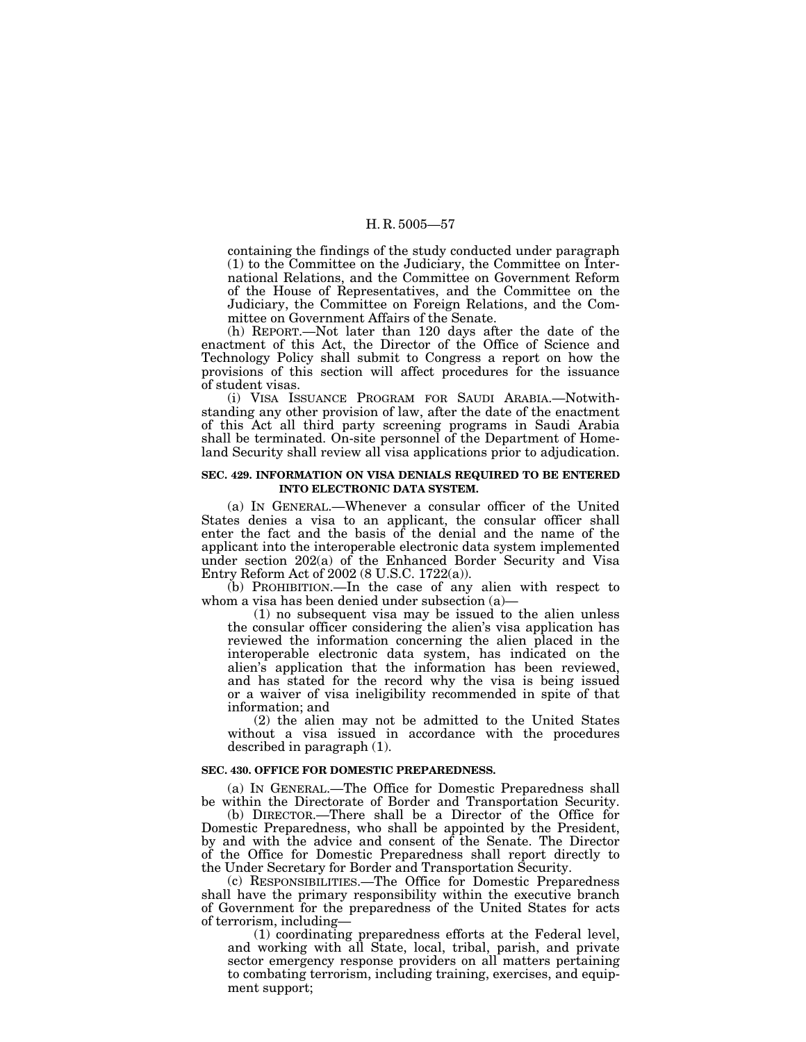containing the findings of the study conducted under paragraph (1) to the Committee on the Judiciary, the Committee on International Relations, and the Committee on Government Reform of the House of Representatives, and the Committee on the Judiciary, the Committee on Foreign Relations, and the Committee on Government Affairs of the Senate.

(h) REPORT.—Not later than 120 days after the date of the enactment of this Act, the Director of the Office of Science and Technology Policy shall submit to Congress a report on how the provisions of this section will affect procedures for the issuance of student visas.

(i) VISA ISSUANCE PROGRAM FOR SAUDI ARABIA.—Notwithstanding any other provision of law, after the date of the enactment of this Act all third party screening programs in Saudi Arabia shall be terminated. On-site personnel of the Department of Homeland Security shall review all visa applications prior to adjudication.

#### **SEC. 429. INFORMATION ON VISA DENIALS REQUIRED TO BE ENTERED INTO ELECTRONIC DATA SYSTEM.**

(a) IN GENERAL.—Whenever a consular officer of the United States denies a visa to an applicant, the consular officer shall enter the fact and the basis of the denial and the name of the applicant into the interoperable electronic data system implemented under section 202(a) of the Enhanced Border Security and Visa Entry Reform Act of 2002 (8 U.S.C. 1722(a)).

(b) PROHIBITION.—In the case of any alien with respect to whom a visa has been denied under subsection (a)—

(1) no subsequent visa may be issued to the alien unless the consular officer considering the alien's visa application has reviewed the information concerning the alien placed in the interoperable electronic data system, has indicated on the alien's application that the information has been reviewed, and has stated for the record why the visa is being issued or a waiver of visa ineligibility recommended in spite of that information; and

(2) the alien may not be admitted to the United States without a visa issued in accordance with the procedures described in paragraph (1).

#### **SEC. 430. OFFICE FOR DOMESTIC PREPAREDNESS.**

(a) IN GENERAL.—The Office for Domestic Preparedness shall be within the Directorate of Border and Transportation Security.

(b) DIRECTOR.—There shall be a Director of the Office for Domestic Preparedness, who shall be appointed by the President, by and with the advice and consent of the Senate. The Director of the Office for Domestic Preparedness shall report directly to the Under Secretary for Border and Transportation Security.

(c) RESPONSIBILITIES.—The Office for Domestic Preparedness shall have the primary responsibility within the executive branch of Government for the preparedness of the United States for acts of terrorism, including—

(1) coordinating preparedness efforts at the Federal level, and working with all State, local, tribal, parish, and private sector emergency response providers on all matters pertaining to combating terrorism, including training, exercises, and equipment support;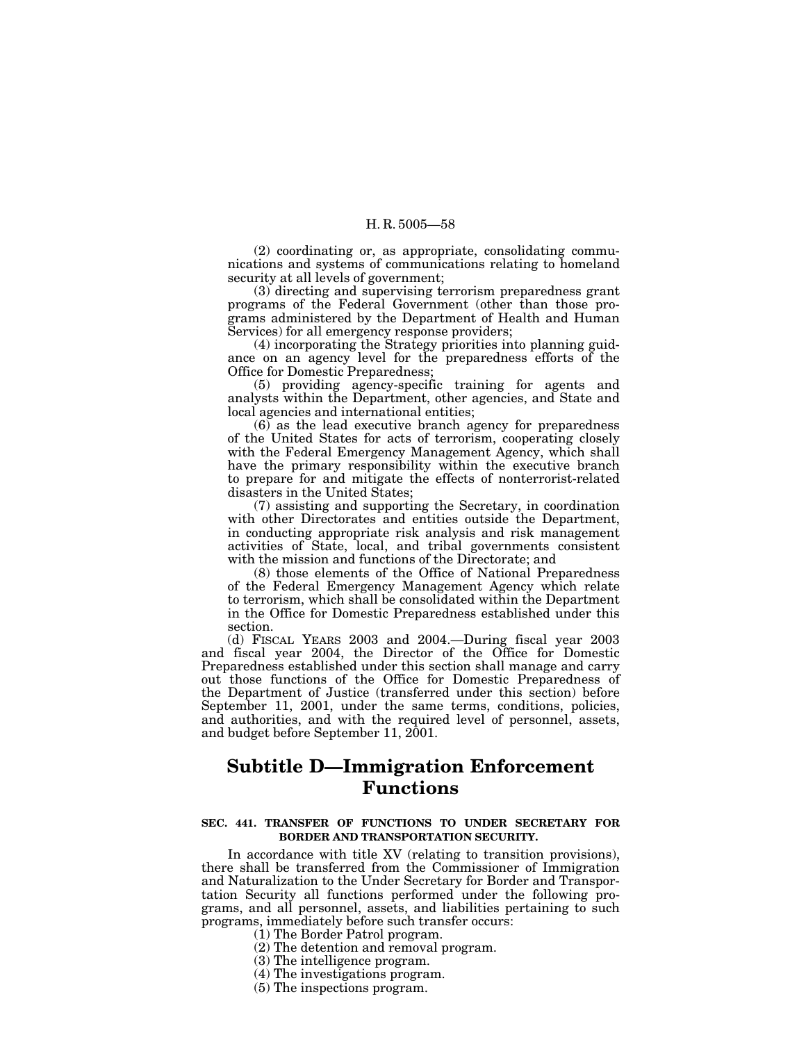(2) coordinating or, as appropriate, consolidating communications and systems of communications relating to homeland security at all levels of government;

(3) directing and supervising terrorism preparedness grant programs of the Federal Government (other than those programs administered by the Department of Health and Human Services) for all emergency response providers;

(4) incorporating the Strategy priorities into planning guidance on an agency level for the preparedness efforts of the Office for Domestic Preparedness;

(5) providing agency-specific training for agents and analysts within the Department, other agencies, and State and local agencies and international entities;

 $(6)$  as the lead executive branch agency for preparedness of the United States for acts of terrorism, cooperating closely with the Federal Emergency Management Agency, which shall have the primary responsibility within the executive branch to prepare for and mitigate the effects of nonterrorist-related disasters in the United States;

(7) assisting and supporting the Secretary, in coordination with other Directorates and entities outside the Department, in conducting appropriate risk analysis and risk management activities of State, local, and tribal governments consistent with the mission and functions of the Directorate; and

(8) those elements of the Office of National Preparedness of the Federal Emergency Management Agency which relate to terrorism, which shall be consolidated within the Department in the Office for Domestic Preparedness established under this section.

(d) FISCAL YEARS 2003 and 2004.—During fiscal year 2003 and fiscal year 2004, the Director of the Office for Domestic Preparedness established under this section shall manage and carry out those functions of the Office for Domestic Preparedness of the Department of Justice (transferred under this section) before September 11, 2001, under the same terms, conditions, policies, and authorities, and with the required level of personnel, assets, and budget before September 11, 2001.

# **Subtitle D—Immigration Enforcement Functions**

## **SEC. 441. TRANSFER OF FUNCTIONS TO UNDER SECRETARY FOR BORDER AND TRANSPORTATION SECURITY.**

In accordance with title XV (relating to transition provisions), there shall be transferred from the Commissioner of Immigration and Naturalization to the Under Secretary for Border and Transportation Security all functions performed under the following programs, and all personnel, assets, and liabilities pertaining to such programs, immediately before such transfer occurs:

(1) The Border Patrol program.

- (2) The detention and removal program.
- (3) The intelligence program.
- (4) The investigations program.
- (5) The inspections program.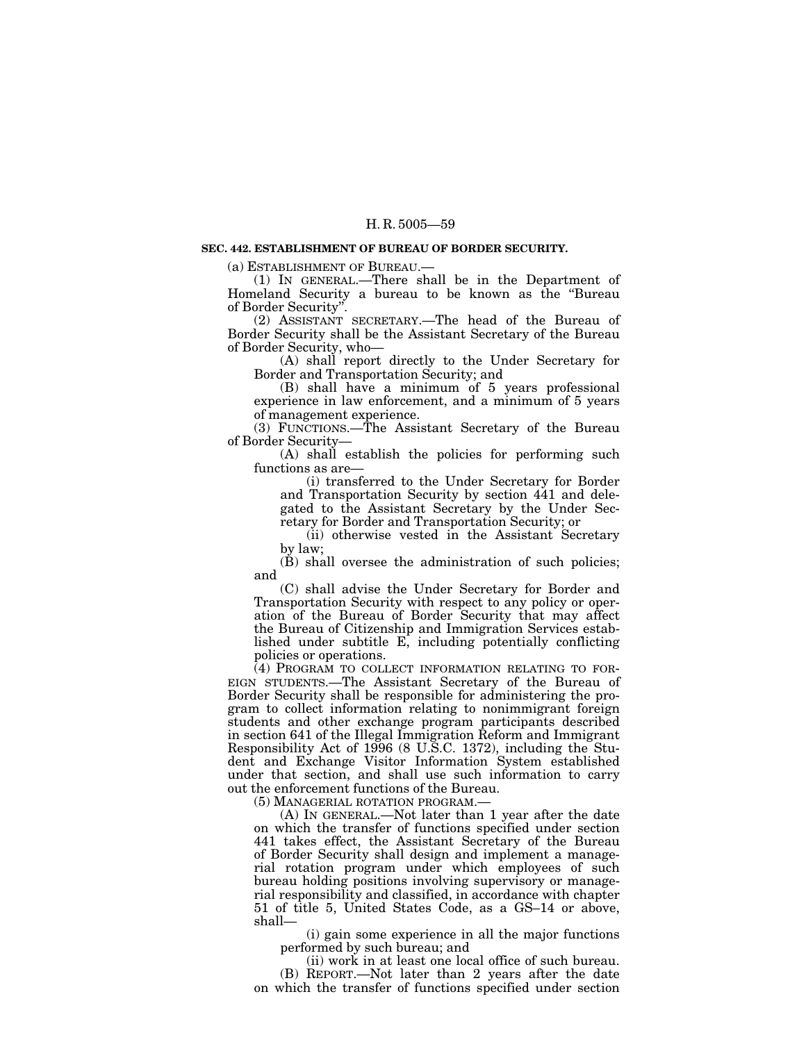#### **SEC. 442. ESTABLISHMENT OF BUREAU OF BORDER SECURITY.**

(a) ESTABLISHMENT OF BUREAU.—

(1) IN GENERAL.—There shall be in the Department of Homeland Security a bureau to be known as the ''Bureau of Border Security''.

(2) ASSISTANT SECRETARY.—The head of the Bureau of Border Security shall be the Assistant Secretary of the Bureau of Border Security, who—

(A) shall report directly to the Under Secretary for Border and Transportation Security; and

(B) shall have a minimum of 5 years professional experience in law enforcement, and a minimum of 5 years of management experience.

(3) FUNCTIONS.—The Assistant Secretary of the Bureau of Border Security—

(A) shall establish the policies for performing such functions as are—

(i) transferred to the Under Secretary for Border and Transportation Security by section 441 and delegated to the Assistant Secretary by the Under Secretary for Border and Transportation Security; or

(ii) otherwise vested in the Assistant Secretary by law;

(B) shall oversee the administration of such policies; and

(C) shall advise the Under Secretary for Border and Transportation Security with respect to any policy or operation of the Bureau of Border Security that may affect the Bureau of Citizenship and Immigration Services established under subtitle E, including potentially conflicting policies or operations.

(4) PROGRAM TO COLLECT INFORMATION RELATING TO FOR-EIGN STUDENTS.—The Assistant Secretary of the Bureau of Border Security shall be responsible for administering the program to collect information relating to nonimmigrant foreign students and other exchange program participants described in section 641 of the Illegal Immigration Reform and Immigrant Responsibility Act of 1996 (8 U.S.C. 1372), including the Student and Exchange Visitor Information System established under that section, and shall use such information to carry out the enforcement functions of the Bureau.

(5) MANAGERIAL ROTATION PROGRAM.—

(A) IN GENERAL.—Not later than 1 year after the date on which the transfer of functions specified under section 441 takes effect, the Assistant Secretary of the Bureau of Border Security shall design and implement a managerial rotation program under which employees of such bureau holding positions involving supervisory or managerial responsibility and classified, in accordance with chapter 51 of title 5, United States Code, as a GS–14 or above, shall—

(i) gain some experience in all the major functions performed by such bureau; and

(ii) work in at least one local office of such bureau. (B) REPORT.—Not later than 2 years after the date on which the transfer of functions specified under section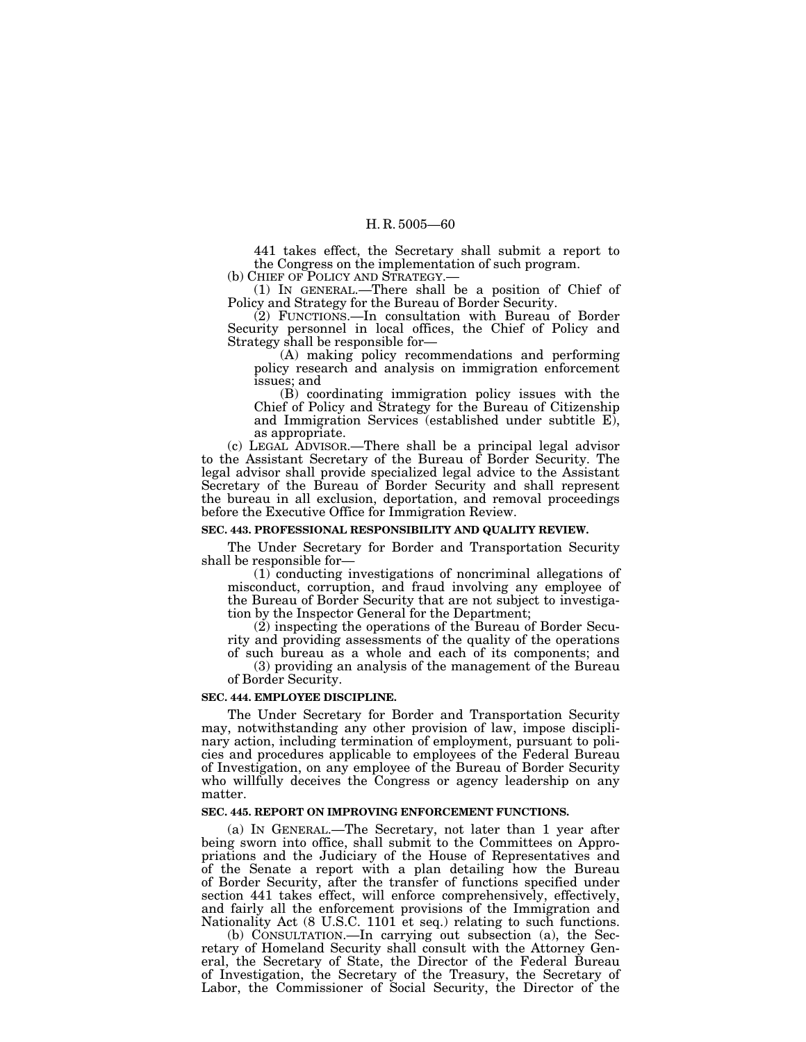441 takes effect, the Secretary shall submit a report to the Congress on the implementation of such program.

(b) CHIEF OF POLICY AND STRATEGY.— (1) IN GENERAL.—There shall be a position of Chief of Policy and Strategy for the Bureau of Border Security.

(2) FUNCTIONS.—In consultation with Bureau of Border Security personnel in local offices, the Chief of Policy and Strategy shall be responsible for—

(A) making policy recommendations and performing policy research and analysis on immigration enforcement issues; and

(B) coordinating immigration policy issues with the Chief of Policy and Strategy for the Bureau of Citizenship and Immigration Services (established under subtitle E), as appropriate.

(c) LEGAL ADVISOR.—There shall be a principal legal advisor to the Assistant Secretary of the Bureau of Border Security. The legal advisor shall provide specialized legal advice to the Assistant Secretary of the Bureau of Border Security and shall represent the bureau in all exclusion, deportation, and removal proceedings before the Executive Office for Immigration Review.

#### **SEC. 443. PROFESSIONAL RESPONSIBILITY AND QUALITY REVIEW.**

The Under Secretary for Border and Transportation Security shall be responsible for—

(1) conducting investigations of noncriminal allegations of misconduct, corruption, and fraud involving any employee of the Bureau of Border Security that are not subject to investigation by the Inspector General for the Department;

(2) inspecting the operations of the Bureau of Border Security and providing assessments of the quality of the operations

of such bureau as a whole and each of its components; and (3) providing an analysis of the management of the Bureau of Border Security.

#### **SEC. 444. EMPLOYEE DISCIPLINE.**

The Under Secretary for Border and Transportation Security may, notwithstanding any other provision of law, impose disciplinary action, including termination of employment, pursuant to policies and procedures applicable to employees of the Federal Bureau of Investigation, on any employee of the Bureau of Border Security who willfully deceives the Congress or agency leadership on any matter.

#### **SEC. 445. REPORT ON IMPROVING ENFORCEMENT FUNCTIONS.**

(a) IN GENERAL.—The Secretary, not later than 1 year after being sworn into office, shall submit to the Committees on Appropriations and the Judiciary of the House of Representatives and of the Senate a report with a plan detailing how the Bureau of Border Security, after the transfer of functions specified under section 441 takes effect, will enforce comprehensively, effectively, and fairly all the enforcement provisions of the Immigration and Nationality Act (8 U.S.C. 1101 et seq.) relating to such functions.

(b) CONSULTATION.—In carrying out subsection (a), the Secretary of Homeland Security shall consult with the Attorney General, the Secretary of State, the Director of the Federal Bureau of Investigation, the Secretary of the Treasury, the Secretary of Labor, the Commissioner of Social Security, the Director of the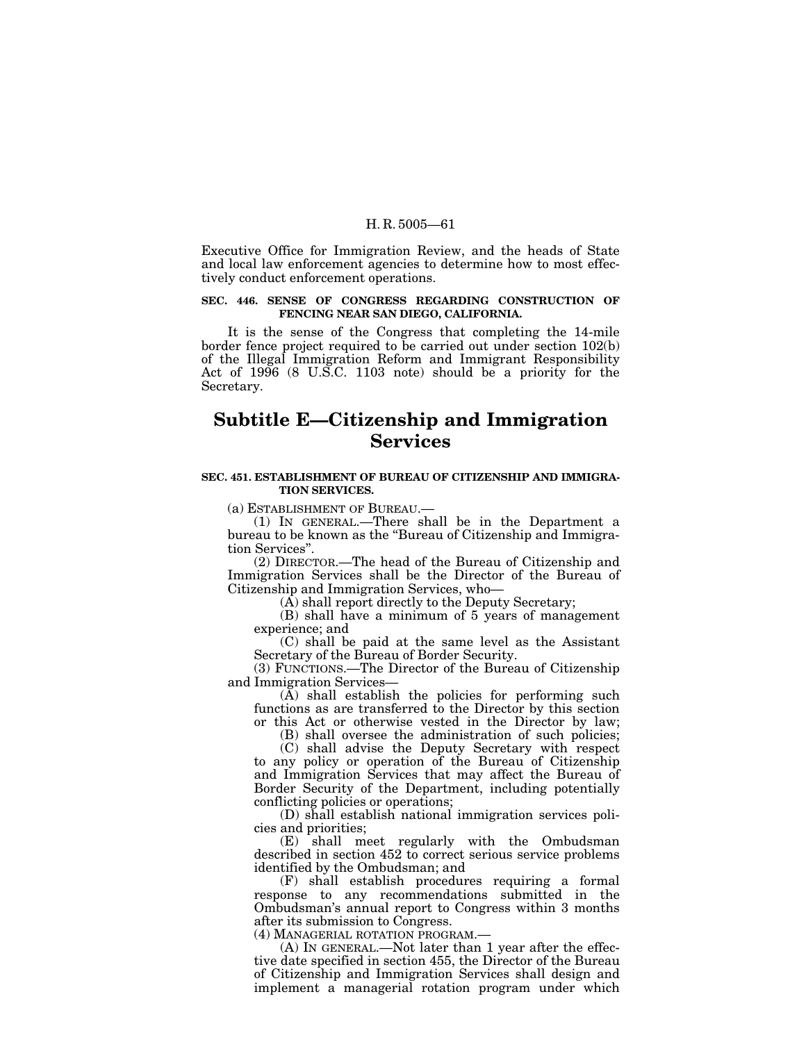Executive Office for Immigration Review, and the heads of State and local law enforcement agencies to determine how to most effectively conduct enforcement operations.

## **SEC. 446. SENSE OF CONGRESS REGARDING CONSTRUCTION OF FENCING NEAR SAN DIEGO, CALIFORNIA.**

It is the sense of the Congress that completing the 14-mile border fence project required to be carried out under section 102(b) of the Illegal Immigration Reform and Immigrant Responsibility Act of 1996 (8 U.S.C. 1103 note) should be a priority for the Secretary.

# **Subtitle E—Citizenship and Immigration Services**

## **SEC. 451. ESTABLISHMENT OF BUREAU OF CITIZENSHIP AND IMMIGRA-TION SERVICES.**

(a) ESTABLISHMENT OF BUREAU.—

(1) IN GENERAL.—There shall be in the Department a bureau to be known as the ''Bureau of Citizenship and Immigration Services''.

(2) DIRECTOR.—The head of the Bureau of Citizenship and Immigration Services shall be the Director of the Bureau of Citizenship and Immigration Services, who—

(A) shall report directly to the Deputy Secretary;

(B) shall have a minimum of 5 years of management experience; and

(C) shall be paid at the same level as the Assistant Secretary of the Bureau of Border Security.

(3) FUNCTIONS.—The Director of the Bureau of Citizenship and Immigration Services—

 $(A)$  shall establish the policies for performing such functions as are transferred to the Director by this section or this Act or otherwise vested in the Director by law;

(B) shall oversee the administration of such policies;

(C) shall advise the Deputy Secretary with respect to any policy or operation of the Bureau of Citizenship and Immigration Services that may affect the Bureau of Border Security of the Department, including potentially conflicting policies or operations;

(D) shall establish national immigration services policies and priorities;

(E) shall meet regularly with the Ombudsman described in section 452 to correct serious service problems identified by the Ombudsman; and

(F) shall establish procedures requiring a formal response to any recommendations submitted in the Ombudsman's annual report to Congress within 3 months after its submission to Congress.

(4) MANAGERIAL ROTATION PROGRAM.—

(A) IN GENERAL.—Not later than 1 year after the effective date specified in section 455, the Director of the Bureau of Citizenship and Immigration Services shall design and implement a managerial rotation program under which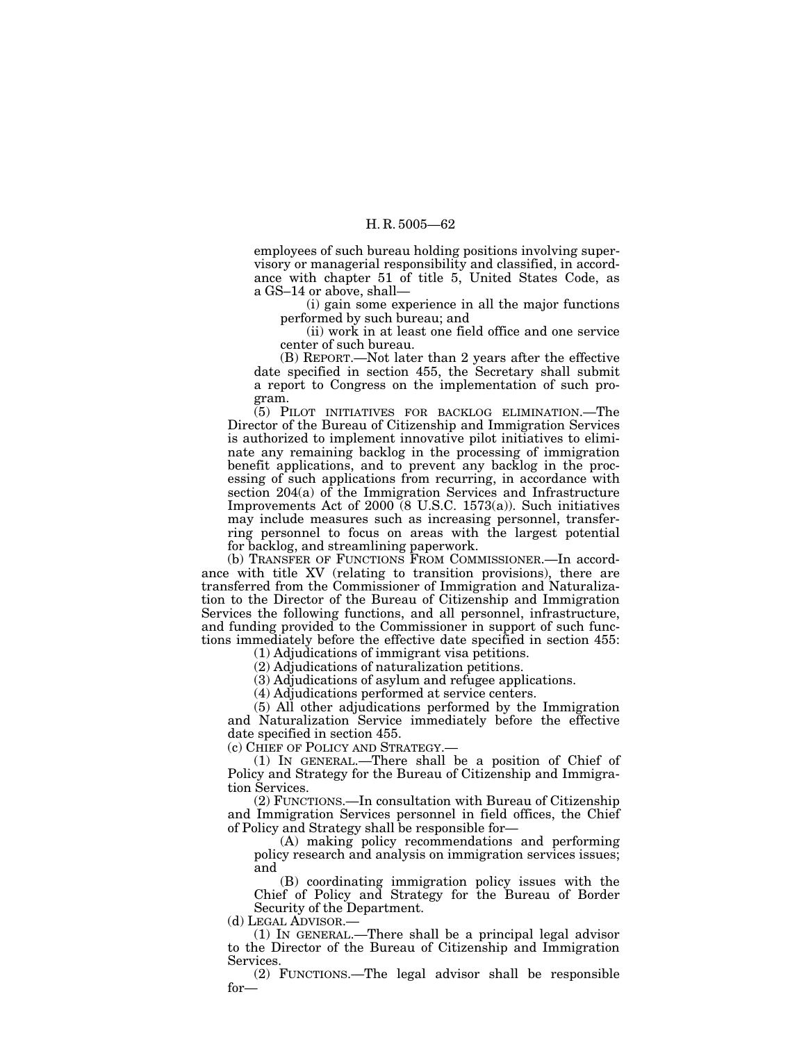employees of such bureau holding positions involving supervisory or managerial responsibility and classified, in accordance with chapter 51 of title 5, United States Code, as a GS–14 or above, shall—

(i) gain some experience in all the major functions performed by such bureau; and

(ii) work in at least one field office and one service center of such bureau.

(B) REPORT.—Not later than 2 years after the effective date specified in section 455, the Secretary shall submit a report to Congress on the implementation of such program.

(5) PILOT INITIATIVES FOR BACKLOG ELIMINATION.—The Director of the Bureau of Citizenship and Immigration Services is authorized to implement innovative pilot initiatives to eliminate any remaining backlog in the processing of immigration benefit applications, and to prevent any backlog in the processing of such applications from recurring, in accordance with section 204(a) of the Immigration Services and Infrastructure Improvements Act of 2000 (8 U.S.C. 1573(a)). Such initiatives may include measures such as increasing personnel, transferring personnel to focus on areas with the largest potential for backlog, and streamlining paperwork.

(b) TRANSFER OF FUNCTIONS FROM COMMISSIONER.—In accordance with title XV (relating to transition provisions), there are transferred from the Commissioner of Immigration and Naturalization to the Director of the Bureau of Citizenship and Immigration Services the following functions, and all personnel, infrastructure, and funding provided to the Commissioner in support of such functions immediately before the effective date specified in section 455:

(1) Adjudications of immigrant visa petitions.

(2) Adjudications of naturalization petitions.

(3) Adjudications of asylum and refugee applications.

(4) Adjudications performed at service centers.

(5) All other adjudications performed by the Immigration and Naturalization Service immediately before the effective date specified in section 455.

(c) CHIEF OF POLICY AND STRATEGY.—

(1) IN GENERAL.—There shall be a position of Chief of Policy and Strategy for the Bureau of Citizenship and Immigration Services.

(2) FUNCTIONS.—In consultation with Bureau of Citizenship and Immigration Services personnel in field offices, the Chief of Policy and Strategy shall be responsible for—

(A) making policy recommendations and performing policy research and analysis on immigration services issues; and

(B) coordinating immigration policy issues with the Chief of Policy and Strategy for the Bureau of Border Security of the Department.

(d) LEGAL ADVISOR.—

(1) IN GENERAL.—There shall be a principal legal advisor to the Director of the Bureau of Citizenship and Immigration **Services** 

(2) FUNCTIONS.—The legal advisor shall be responsible for—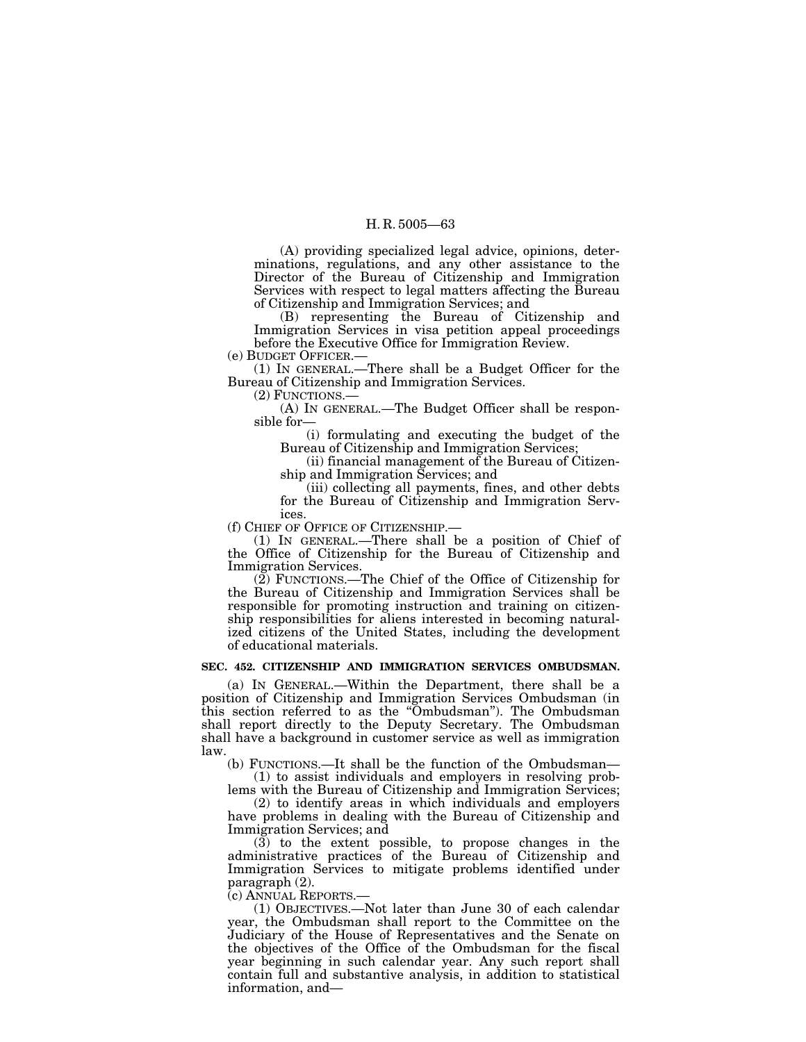(A) providing specialized legal advice, opinions, determinations, regulations, and any other assistance to the Director of the Bureau of Citizenship and Immigration Services with respect to legal matters affecting the Bureau of Citizenship and Immigration Services; and

(B) representing the Bureau of Citizenship and Immigration Services in visa petition appeal proceedings before the Executive Office for Immigration Review.

(e) BUDGET OFFICER.— (1) IN GENERAL.—There shall be a Budget Officer for the Bureau of Citizenship and Immigration Services.

(2) FUNCTIONS.—

(A) IN GENERAL.—The Budget Officer shall be responsible for—

(i) formulating and executing the budget of the Bureau of Citizenship and Immigration Services;

(ii) financial management of the Bureau of Citizenship and Immigration Services; and

(iii) collecting all payments, fines, and other debts for the Bureau of Citizenship and Immigration Services.

(f) CHIEF OF OFFICE OF CITIZENSHIP.—

(1) IN GENERAL.—There shall be a position of Chief of the Office of Citizenship for the Bureau of Citizenship and Immigration Services.

(2) FUNCTIONS.—The Chief of the Office of Citizenship for the Bureau of Citizenship and Immigration Services shall be responsible for promoting instruction and training on citizenship responsibilities for aliens interested in becoming naturalized citizens of the United States, including the development of educational materials.

## **SEC. 452. CITIZENSHIP AND IMMIGRATION SERVICES OMBUDSMAN.**

(a) IN GENERAL.—Within the Department, there shall be a position of Citizenship and Immigration Services Ombudsman (in this section referred to as the ''Ombudsman''). The Ombudsman shall report directly to the Deputy Secretary. The Ombudsman shall have a background in customer service as well as immigration law.

(b) FUNCTIONS.—It shall be the function of the Ombudsman— (1) to assist individuals and employers in resolving prob-

lems with the Bureau of Citizenship and Immigration Services; (2) to identify areas in which individuals and employers

have problems in dealing with the Bureau of Citizenship and Immigration Services; and

(3) to the extent possible, to propose changes in the administrative practices of the Bureau of Citizenship and Immigration Services to mitigate problems identified under paragraph (2).<br>(c) ANNUAL REPORTS.–

 $(1)$  OBJECTIVES.—Not later than June 30 of each calendar year, the Ombudsman shall report to the Committee on the Judiciary of the House of Representatives and the Senate on the objectives of the Office of the Ombudsman for the fiscal year beginning in such calendar year. Any such report shall contain full and substantive analysis, in addition to statistical information, and—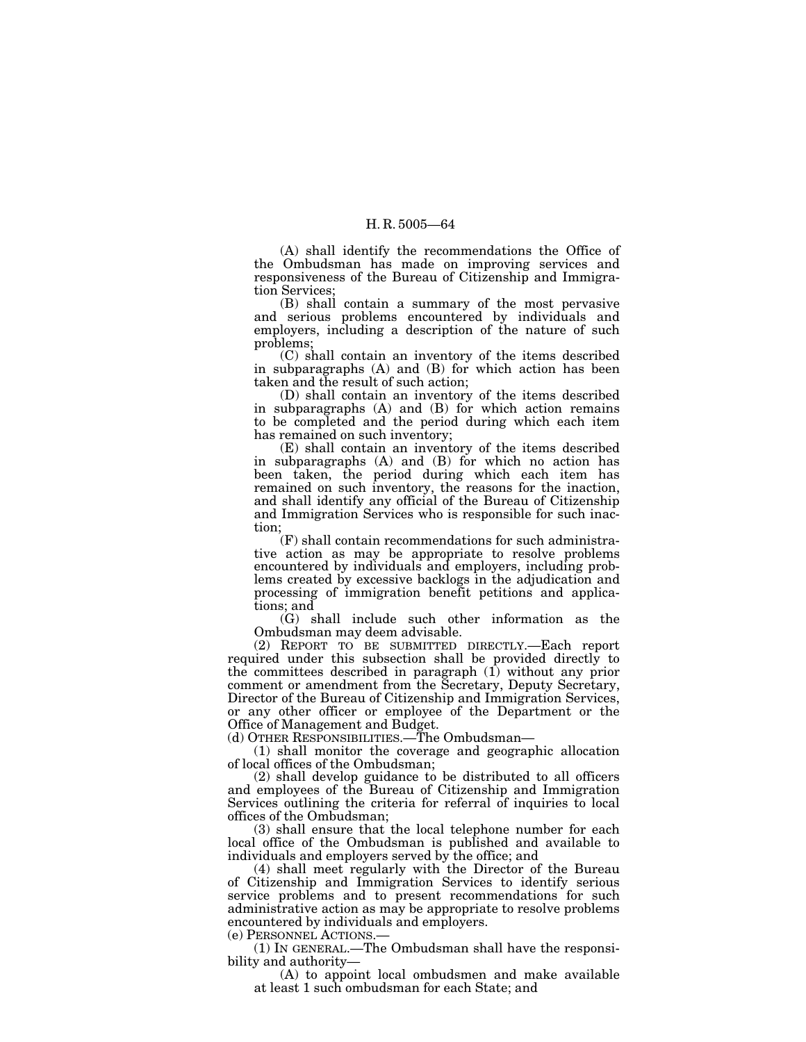(A) shall identify the recommendations the Office of the Ombudsman has made on improving services and responsiveness of the Bureau of Citizenship and Immigration Services;

(B) shall contain a summary of the most pervasive and serious problems encountered by individuals and employers, including a description of the nature of such problems;

(C) shall contain an inventory of the items described in subparagraphs (A) and (B) for which action has been taken and the result of such action;

(D) shall contain an inventory of the items described in subparagraphs (A) and (B) for which action remains to be completed and the period during which each item has remained on such inventory;

(E) shall contain an inventory of the items described in subparagraphs (A) and (B) for which no action has been taken, the period during which each item has remained on such inventory, the reasons for the inaction, and shall identify any official of the Bureau of Citizenship and Immigration Services who is responsible for such inaction;

(F) shall contain recommendations for such administrative action as may be appropriate to resolve problems encountered by individuals and employers, including problems created by excessive backlogs in the adjudication and processing of immigration benefit petitions and applications; and

(G) shall include such other information as the Ombudsman may deem advisable.

(2) REPORT TO BE SUBMITTED DIRECTLY.—Each report required under this subsection shall be provided directly to the committees described in paragraph  $(1)$  without any prior comment or amendment from the Secretary, Deputy Secretary, Director of the Bureau of Citizenship and Immigration Services, or any other officer or employee of the Department or the Office of Management and Budget.

(d) OTHER RESPONSIBILITIES.—The Ombudsman—

(1) shall monitor the coverage and geographic allocation of local offices of the Ombudsman;

(2) shall develop guidance to be distributed to all officers and employees of the Bureau of Citizenship and Immigration Services outlining the criteria for referral of inquiries to local offices of the Ombudsman;

(3) shall ensure that the local telephone number for each local office of the Ombudsman is published and available to individuals and employers served by the office; and

(4) shall meet regularly with the Director of the Bureau of Citizenship and Immigration Services to identify serious service problems and to present recommendations for such administrative action as may be appropriate to resolve problems encountered by individuals and employers.<br>(e) PERSONNEL ACTIONS.—

 $(1)$  In GENERAL.—The Ombudsman shall have the responsibility and authority—

(A) to appoint local ombudsmen and make available at least 1 such ombudsman for each State; and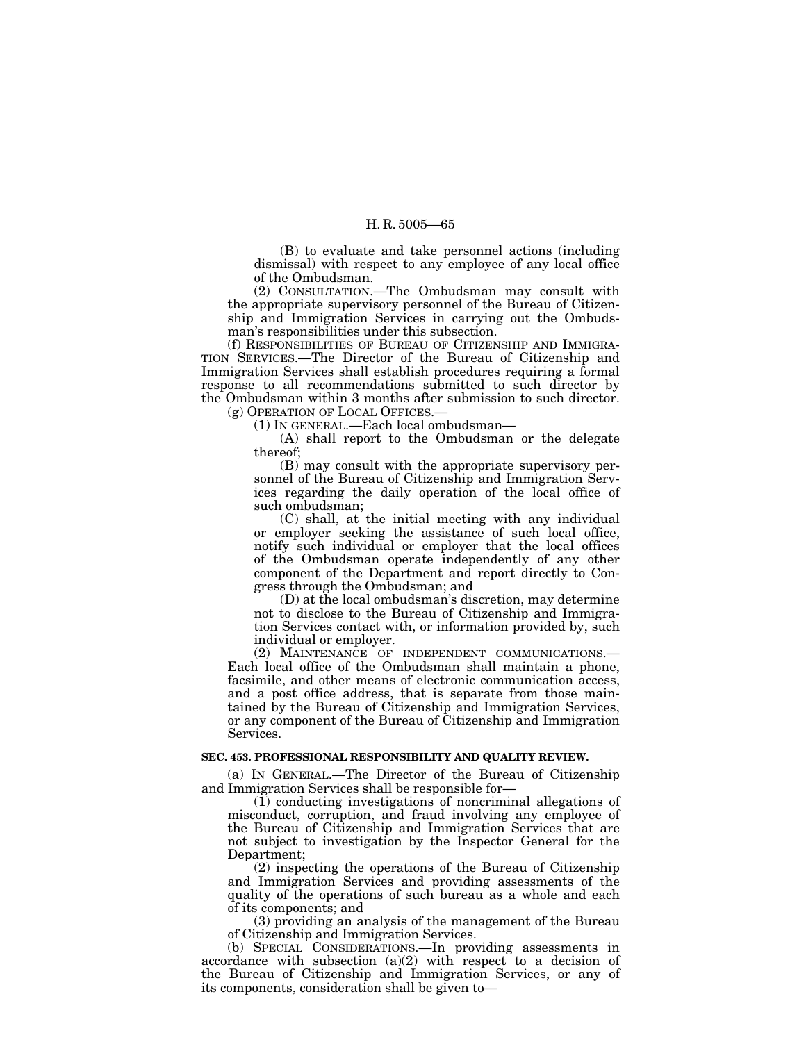(B) to evaluate and take personnel actions (including dismissal) with respect to any employee of any local office of the Ombudsman.

(2) CONSULTATION.—The Ombudsman may consult with the appropriate supervisory personnel of the Bureau of Citizenship and Immigration Services in carrying out the Ombudsman's responsibilities under this subsection.

(f) RESPONSIBILITIES OF BUREAU OF CITIZENSHIP AND IMMIGRA-TION SERVICES.—The Director of the Bureau of Citizenship and Immigration Services shall establish procedures requiring a formal response to all recommendations submitted to such director by the Ombudsman within 3 months after submission to such director. (g) OPERATION OF LOCAL OFFICES.—

(1) IN GENERAL.—Each local ombudsman—

(A) shall report to the Ombudsman or the delegate thereof;

(B) may consult with the appropriate supervisory personnel of the Bureau of Citizenship and Immigration Services regarding the daily operation of the local office of such ombudsman;

(C) shall, at the initial meeting with any individual or employer seeking the assistance of such local office, notify such individual or employer that the local offices of the Ombudsman operate independently of any other component of the Department and report directly to Congress through the Ombudsman; and

(D) at the local ombudsman's discretion, may determine not to disclose to the Bureau of Citizenship and Immigration Services contact with, or information provided by, such individual or employer.

(2) MAINTENANCE OF INDEPENDENT COMMUNICATIONS.— Each local office of the Ombudsman shall maintain a phone, facsimile, and other means of electronic communication access, and a post office address, that is separate from those maintained by the Bureau of Citizenship and Immigration Services, or any component of the Bureau of Citizenship and Immigration Services.

#### **SEC. 453. PROFESSIONAL RESPONSIBILITY AND QUALITY REVIEW.**

(a) IN GENERAL.—The Director of the Bureau of Citizenship and Immigration Services shall be responsible for—

(1) conducting investigations of noncriminal allegations of misconduct, corruption, and fraud involving any employee of the Bureau of Citizenship and Immigration Services that are not subject to investigation by the Inspector General for the Department;

(2) inspecting the operations of the Bureau of Citizenship and Immigration Services and providing assessments of the quality of the operations of such bureau as a whole and each of its components; and

(3) providing an analysis of the management of the Bureau of Citizenship and Immigration Services.

(b) SPECIAL CONSIDERATIONS.—In providing assessments in accordance with subsection  $(a)(2)$  with respect to a decision of the Bureau of Citizenship and Immigration Services, or any of its components, consideration shall be given to—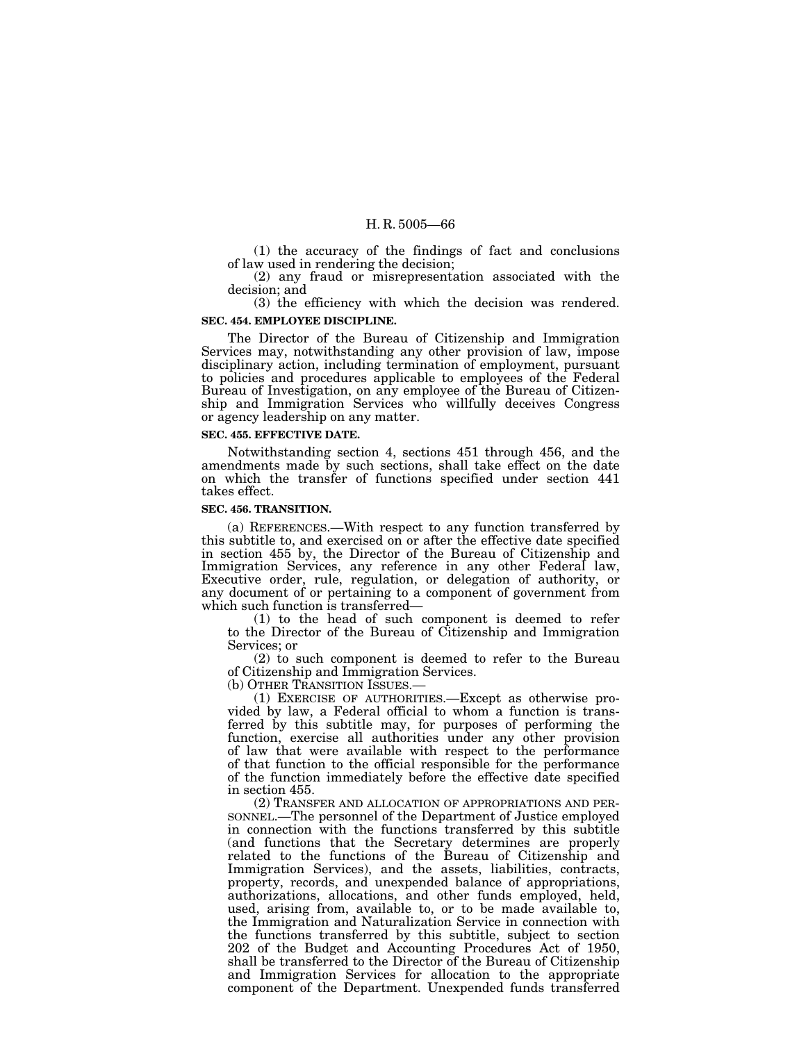(1) the accuracy of the findings of fact and conclusions of law used in rendering the decision;

(2) any fraud or misrepresentation associated with the decision; and

(3) the efficiency with which the decision was rendered.

# **SEC. 454. EMPLOYEE DISCIPLINE.**

The Director of the Bureau of Citizenship and Immigration Services may, notwithstanding any other provision of law, impose disciplinary action, including termination of employment, pursuant to policies and procedures applicable to employees of the Federal Bureau of Investigation, on any employee of the Bureau of Citizenship and Immigration Services who willfully deceives Congress or agency leadership on any matter.

## **SEC. 455. EFFECTIVE DATE.**

Notwithstanding section 4, sections 451 through 456, and the amendments made by such sections, shall take effect on the date on which the transfer of functions specified under section 441 takes effect.

#### **SEC. 456. TRANSITION.**

(a) REFERENCES.—With respect to any function transferred by this subtitle to, and exercised on or after the effective date specified in section 455 by, the Director of the Bureau of Citizenship and Immigration Services, any reference in any other Federal law, Executive order, rule, regulation, or delegation of authority, or any document of or pertaining to a component of government from which such function is transferred—

 $(1)$  to the head of such component is deemed to refer to the Director of the Bureau of Citizenship and Immigration Services; or

(2) to such component is deemed to refer to the Bureau of Citizenship and Immigration Services.

(b) OTHER TRANSITION ISSUES.—

(1) EXERCISE OF AUTHORITIES.—Except as otherwise provided by law, a Federal official to whom a function is transferred by this subtitle may, for purposes of performing the function, exercise all authorities under any other provision of law that were available with respect to the performance of that function to the official responsible for the performance of the function immediately before the effective date specified

in section 455.<br>(2) TRANSFER AND ALLOCATION OF APPROPRIATIONS AND PER-SONNEL.—The personnel of the Department of Justice employed in connection with the functions transferred by this subtitle (and functions that the Secretary determines are properly related to the functions of the Bureau of Citizenship and Immigration Services), and the assets, liabilities, contracts, property, records, and unexpended balance of appropriations, authorizations, allocations, and other funds employed, held, used, arising from, available to, or to be made available to, the Immigration and Naturalization Service in connection with the functions transferred by this subtitle, subject to section 202 of the Budget and Accounting Procedures Act of 1950, shall be transferred to the Director of the Bureau of Citizenship and Immigration Services for allocation to the appropriate component of the Department. Unexpended funds transferred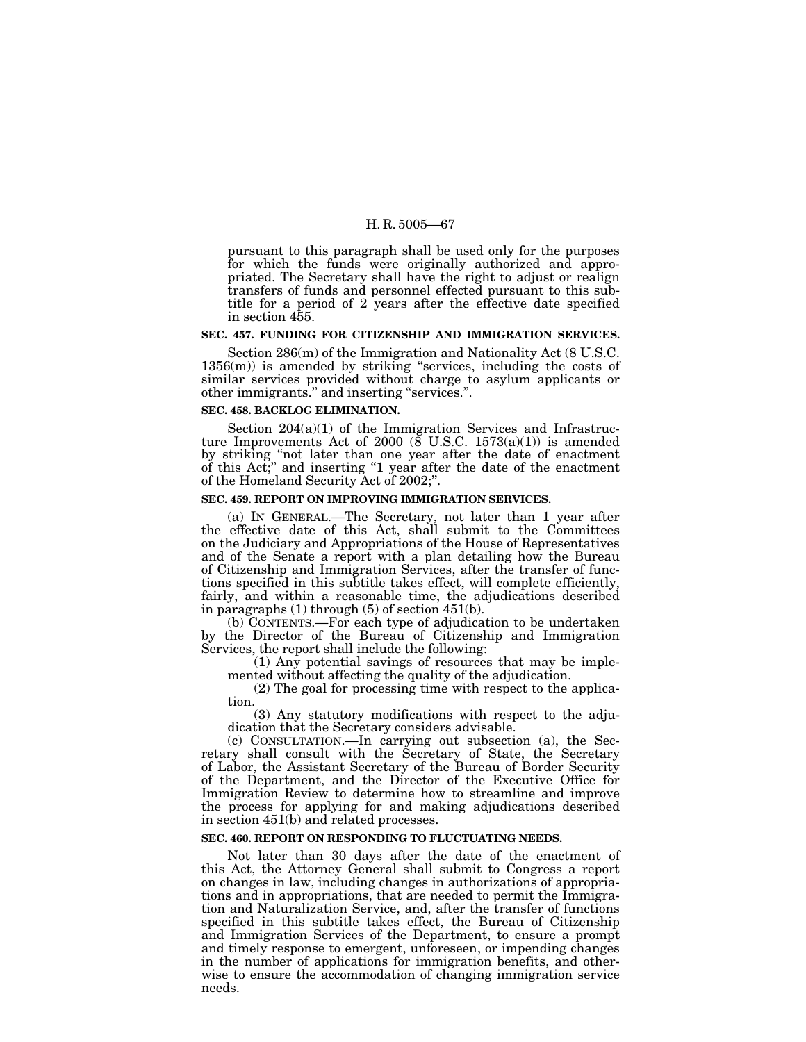pursuant to this paragraph shall be used only for the purposes for which the funds were originally authorized and appropriated. The Secretary shall have the right to adjust or realign transfers of funds and personnel effected pursuant to this subtitle for a period of  $2$  years after the effective date specified in section 455.

# **SEC. 457. FUNDING FOR CITIZENSHIP AND IMMIGRATION SERVICES.**

Section 286(m) of the Immigration and Nationality Act (8 U.S.C.  $1356(m)$ ) is amended by striking "services, including the costs of similar services provided without charge to asylum applicants or other immigrants.'' and inserting ''services.''.

### **SEC. 458. BACKLOG ELIMINATION.**

Section 204(a)(1) of the Immigration Services and Infrastructure Improvements Act of 2000 ( $\bar{8}$  U.S.C. 1573(a)(1)) is amended by striking ''not later than one year after the date of enactment of this Act;'' and inserting ''1 year after the date of the enactment of the Homeland Security Act of 2002;''.

### **SEC. 459. REPORT ON IMPROVING IMMIGRATION SERVICES.**

(a) IN GENERAL.—The Secretary, not later than 1 year after the effective date of this Act, shall submit to the Committees on the Judiciary and Appropriations of the House of Representatives and of the Senate a report with a plan detailing how the Bureau of Citizenship and Immigration Services, after the transfer of functions specified in this subtitle takes effect, will complete efficiently, fairly, and within a reasonable time, the adjudications described in paragraphs  $(1)$  through  $(5)$  of section 451(b).

(b) CONTENTS.—For each type of adjudication to be undertaken by the Director of the Bureau of Citizenship and Immigration Services, the report shall include the following:

(1) Any potential savings of resources that may be implemented without affecting the quality of the adjudication.

(2) The goal for processing time with respect to the application.

(3) Any statutory modifications with respect to the adjudication that the Secretary considers advisable.

(c) CONSULTATION.—In carrying out subsection (a), the Secretary shall consult with the Secretary of State, the Secretary of Labor, the Assistant Secretary of the Bureau of Border Security of the Department, and the Director of the Executive Office for Immigration Review to determine how to streamline and improve the process for applying for and making adjudications described in section 451(b) and related processes.

## **SEC. 460. REPORT ON RESPONDING TO FLUCTUATING NEEDS.**

Not later than 30 days after the date of the enactment of this Act, the Attorney General shall submit to Congress a report on changes in law, including changes in authorizations of appropriations and in appropriations, that are needed to permit the Immigration and Naturalization Service, and, after the transfer of functions specified in this subtitle takes effect, the Bureau of Citizenship and Immigration Services of the Department, to ensure a prompt and timely response to emergent, unforeseen, or impending changes in the number of applications for immigration benefits, and otherwise to ensure the accommodation of changing immigration service needs.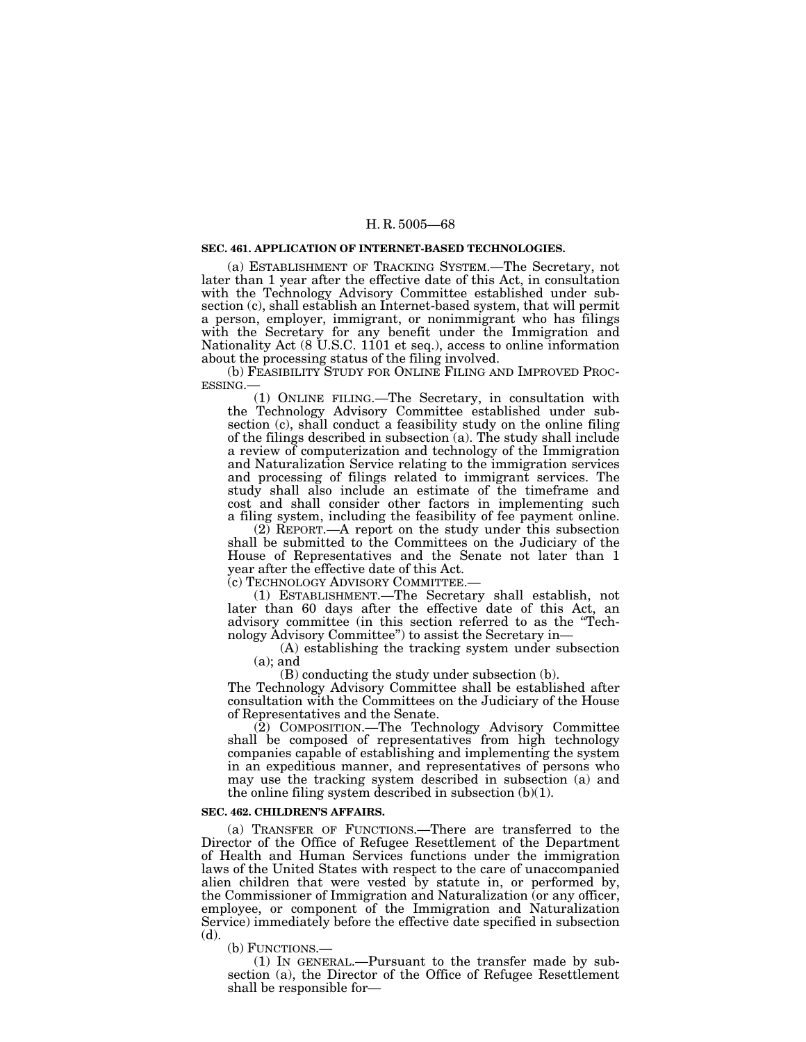## **SEC. 461. APPLICATION OF INTERNET-BASED TECHNOLOGIES.**

(a) ESTABLISHMENT OF TRACKING SYSTEM.—The Secretary, not later than 1 year after the effective date of this Act, in consultation with the Technology Advisory Committee established under subsection (c), shall establish an Internet-based system, that will permit a person, employer, immigrant, or nonimmigrant who has filings with the Secretary for any benefit under the Immigration and Nationality Act (8 U.S.C. 1101 et seq.), access to online information about the processing status of the filing involved.

(b) FEASIBILITY STUDY FOR ONLINE FILING AND IMPROVED PROC-ESSING.—

(1) ONLINE FILING.—The Secretary, in consultation with the Technology Advisory Committee established under subsection (c), shall conduct a feasibility study on the online filing of the filings described in subsection (a). The study shall include a review of computerization and technology of the Immigration and Naturalization Service relating to the immigration services and processing of filings related to immigrant services. The study shall also include an estimate of the timeframe and cost and shall consider other factors in implementing such a filing system, including the feasibility of fee payment online.

(2) REPORT.—A report on the study under this subsection shall be submitted to the Committees on the Judiciary of the House of Representatives and the Senate not later than 1 year after the effective date of this Act.

(c) TECHNOLOGY ADVISORY COMMITTEE.—

(1) ESTABLISHMENT.—The Secretary shall establish, not later than 60 days after the effective date of this Act, an advisory committee (in this section referred to as the "Technology Advisory Committee'') to assist the Secretary in—

(A) establishing the tracking system under subsection  $(a)$ ; and

(B) conducting the study under subsection (b).

The Technology Advisory Committee shall be established after consultation with the Committees on the Judiciary of the House of Representatives and the Senate.

(2) COMPOSITION.—The Technology Advisory Committee shall be composed of representatives from high technology companies capable of establishing and implementing the system in an expeditious manner, and representatives of persons who may use the tracking system described in subsection (a) and the online filing system described in subsection (b)(1).

#### **SEC. 462. CHILDREN'S AFFAIRS.**

(a) TRANSFER OF FUNCTIONS.—There are transferred to the Director of the Office of Refugee Resettlement of the Department of Health and Human Services functions under the immigration laws of the United States with respect to the care of unaccompanied alien children that were vested by statute in, or performed by, the Commissioner of Immigration and Naturalization (or any officer, employee, or component of the Immigration and Naturalization Service) immediately before the effective date specified in subsection (d).

(b) FUNCTIONS.—

(1) IN GENERAL.—Pursuant to the transfer made by subsection (a), the Director of the Office of Refugee Resettlement shall be responsible for—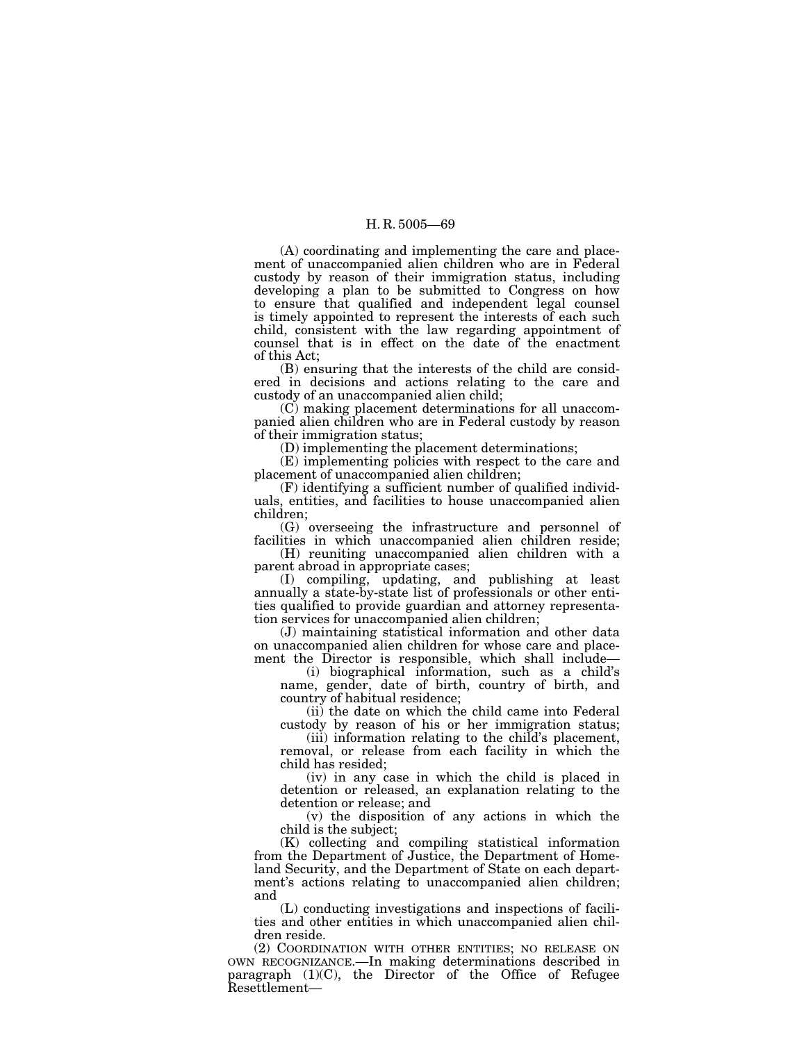(A) coordinating and implementing the care and placement of unaccompanied alien children who are in Federal custody by reason of their immigration status, including developing a plan to be submitted to Congress on how to ensure that qualified and independent legal counsel is timely appointed to represent the interests of each such child, consistent with the law regarding appointment of counsel that is in effect on the date of the enactment of this Act;

(B) ensuring that the interests of the child are considered in decisions and actions relating to the care and custody of an unaccompanied alien child;

(C) making placement determinations for all unaccompanied alien children who are in Federal custody by reason of their immigration status;

(D) implementing the placement determinations;

(E) implementing policies with respect to the care and placement of unaccompanied alien children;

(F) identifying a sufficient number of qualified individuals, entities, and facilities to house unaccompanied alien children;

(G) overseeing the infrastructure and personnel of facilities in which unaccompanied alien children reside;

(H) reuniting unaccompanied alien children with a parent abroad in appropriate cases;

(I) compiling, updating, and publishing at least annually a state-by-state list of professionals or other entities qualified to provide guardian and attorney representation services for unaccompanied alien children;

(J) maintaining statistical information and other data on unaccompanied alien children for whose care and placement the Director is responsible, which shall include—<br>(i) biographical information, such as a child's

name, gender, date of birth, country of birth, and country of habitual residence;

(ii) the date on which the child came into Federal custody by reason of his or her immigration status;

(iii) information relating to the child's placement, removal, or release from each facility in which the child has resided;

(iv) in any case in which the child is placed in detention or released, an explanation relating to the detention or release; and

(v) the disposition of any actions in which the child is the subject;

(K) collecting and compiling statistical information from the Department of Justice, the Department of Homeland Security, and the Department of State on each department's actions relating to unaccompanied alien children; and

(L) conducting investigations and inspections of facilities and other entities in which unaccompanied alien children reside.

(2) COORDINATION WITH OTHER ENTITIES; NO RELEASE ON OWN RECOGNIZANCE.—In making determinations described in paragraph (1)(C), the Director of the Office of Refugee Resettlement—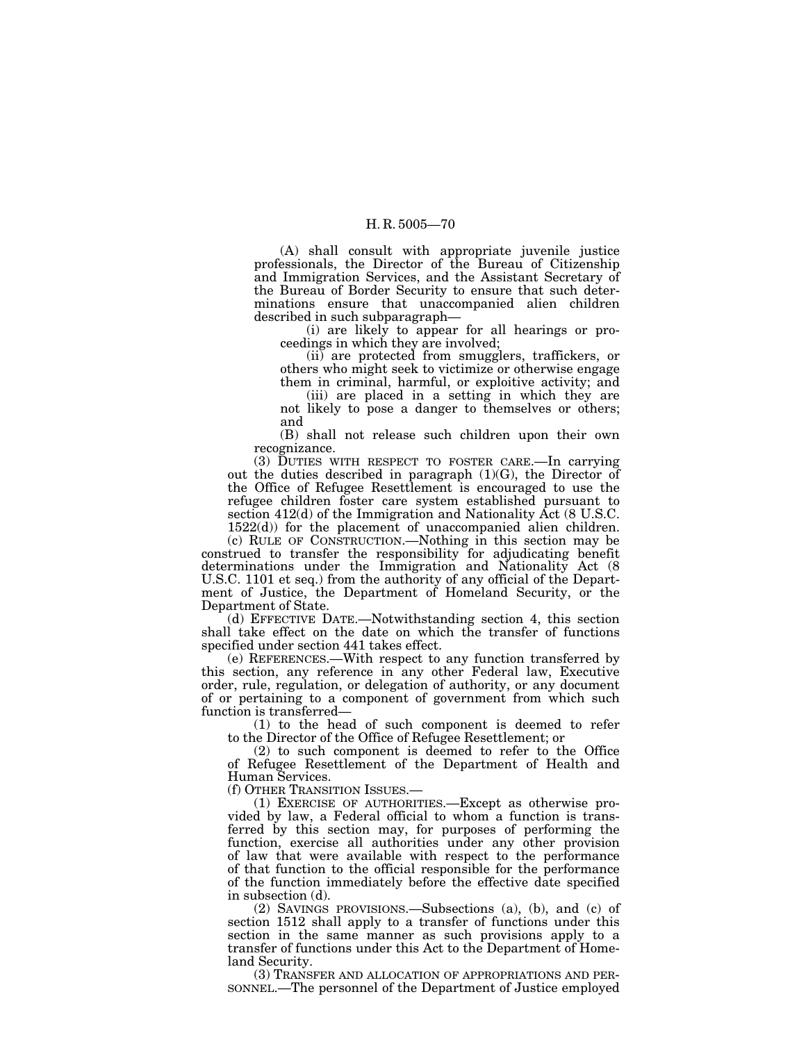(A) shall consult with appropriate juvenile justice professionals, the Director of the Bureau of Citizenship and Immigration Services, and the Assistant Secretary of the Bureau of Border Security to ensure that such determinations ensure that unaccompanied alien children described in such subparagraph—

(i) are likely to appear for all hearings or proceedings in which they are involved;

(ii) are protected from smugglers, traffickers, or others who might seek to victimize or otherwise engage them in criminal, harmful, or exploitive activity; and

(iii) are placed in a setting in which they are not likely to pose a danger to themselves or others; and

(B) shall not release such children upon their own recognizance.

(3) DUTIES WITH RESPECT TO FOSTER CARE.—In carrying out the duties described in paragraph  $(1)(G)$ , the Director of the Office of Refugee Resettlement is encouraged to use the refugee children foster care system established pursuant to section 412(d) of the Immigration and Nationality Act (8 U.S.C. 1522(d)) for the placement of unaccompanied alien children.

(c) RULE OF CONSTRUCTION.—Nothing in this section may be construed to transfer the responsibility for adjudicating benefit determinations under the Immigration and Nationality Act (8 U.S.C. 1101 et seq.) from the authority of any official of the Department of Justice, the Department of Homeland Security, or the Department of State.

(d) EFFECTIVE DATE.—Notwithstanding section 4, this section shall take effect on the date on which the transfer of functions specified under section 441 takes effect.

(e) REFERENCES.—With respect to any function transferred by this section, any reference in any other Federal law, Executive order, rule, regulation, or delegation of authority, or any document of or pertaining to a component of government from which such function is transferred—

(1) to the head of such component is deemed to refer to the Director of the Office of Refugee Resettlement; or

(2) to such component is deemed to refer to the Office of Refugee Resettlement of the Department of Health and Human Services.

(f) OTHER TRANSITION ISSUES.—

(1) EXERCISE OF AUTHORITIES.—Except as otherwise provided by law, a Federal official to whom a function is transferred by this section may, for purposes of performing the function, exercise all authorities under any other provision of law that were available with respect to the performance of that function to the official responsible for the performance of the function immediately before the effective date specified in subsection (d).

(2) SAVINGS PROVISIONS.—Subsections (a), (b), and (c) of section 1512 shall apply to a transfer of functions under this section in the same manner as such provisions apply to a transfer of functions under this Act to the Department of Home-

land Security.<br>(3) TRANSFER AND ALLOCATION OF APPROPRIATIONS AND PER-SONNEL.—The personnel of the Department of Justice employed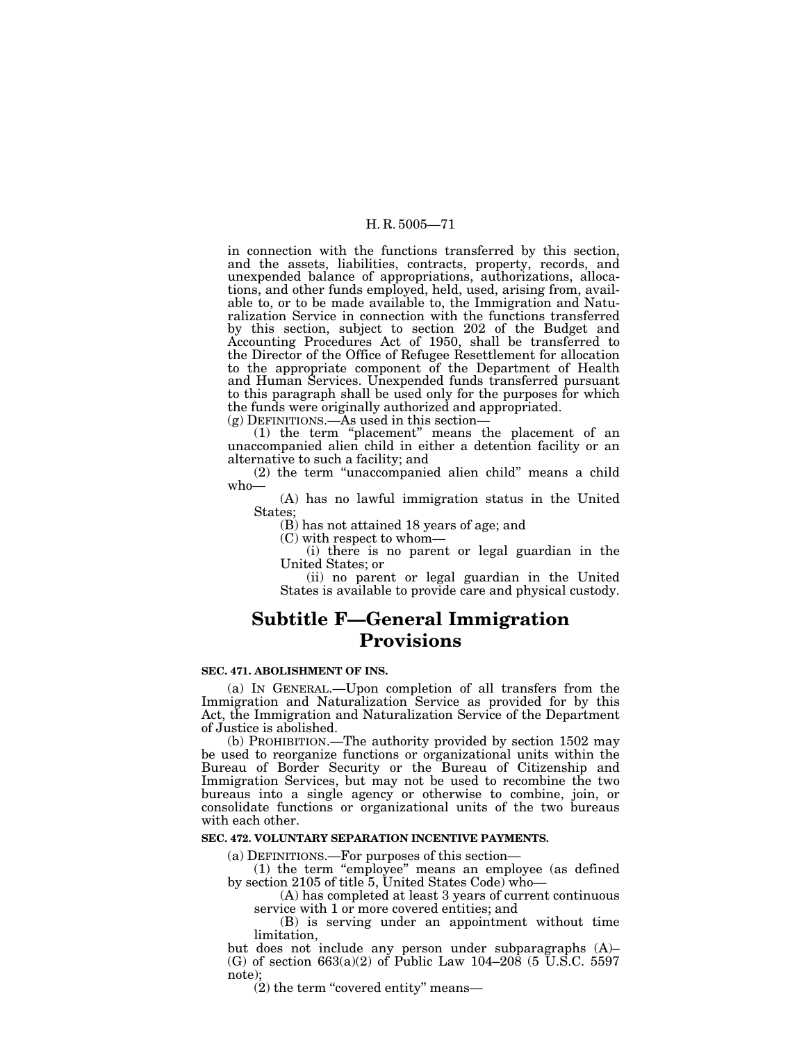in connection with the functions transferred by this section, and the assets, liabilities, contracts, property, records, and unexpended balance of appropriations, authorizations, allocations, and other funds employed, held, used, arising from, available to, or to be made available to, the Immigration and Naturalization Service in connection with the functions transferred by this section, subject to section 202 of the Budget and Accounting Procedures Act of 1950, shall be transferred to the Director of the Office of Refugee Resettlement for allocation to the appropriate component of the Department of Health and Human Services. Unexpended funds transferred pursuant to this paragraph shall be used only for the purposes for which the funds were originally authorized and appropriated.<br>(g) DEFINITIONS.—As used in this section—

 $(1)$  the term "placement" means the placement of an unaccompanied alien child in either a detention facility or an alternative to such a facility; and

(2) the term ''unaccompanied alien child'' means a child who—

(A) has no lawful immigration status in the United States;

(B) has not attained 18 years of age; and

(C) with respect to whom—

(i) there is no parent or legal guardian in the United States; or

(ii) no parent or legal guardian in the United States is available to provide care and physical custody.

# **Subtitle F—General Immigration Provisions**

## **SEC. 471. ABOLISHMENT OF INS.**

(a) IN GENERAL.—Upon completion of all transfers from the Immigration and Naturalization Service as provided for by this Act, the Immigration and Naturalization Service of the Department of Justice is abolished.

(b) PROHIBITION.—The authority provided by section 1502 may be used to reorganize functions or organizational units within the Bureau of Border Security or the Bureau of Citizenship and Immigration Services, but may not be used to recombine the two bureaus into a single agency or otherwise to combine, join, or consolidate functions or organizational units of the two bureaus with each other.

# **SEC. 472. VOLUNTARY SEPARATION INCENTIVE PAYMENTS.**

(a) DEFINITIONS.—For purposes of this section—

(1) the term ''employee'' means an employee (as defined by section 2105 of title 5, United States Code) who—

(A) has completed at least 3 years of current continuous service with 1 or more covered entities; and

(B) is serving under an appointment without time limitation,

but does not include any person under subparagraphs (A)– (G) of section  $663(a)(2)$  of Public Law  $104-208$  (5 U.S.C. 5597 note);

 $(2)$  the term "covered entity" means—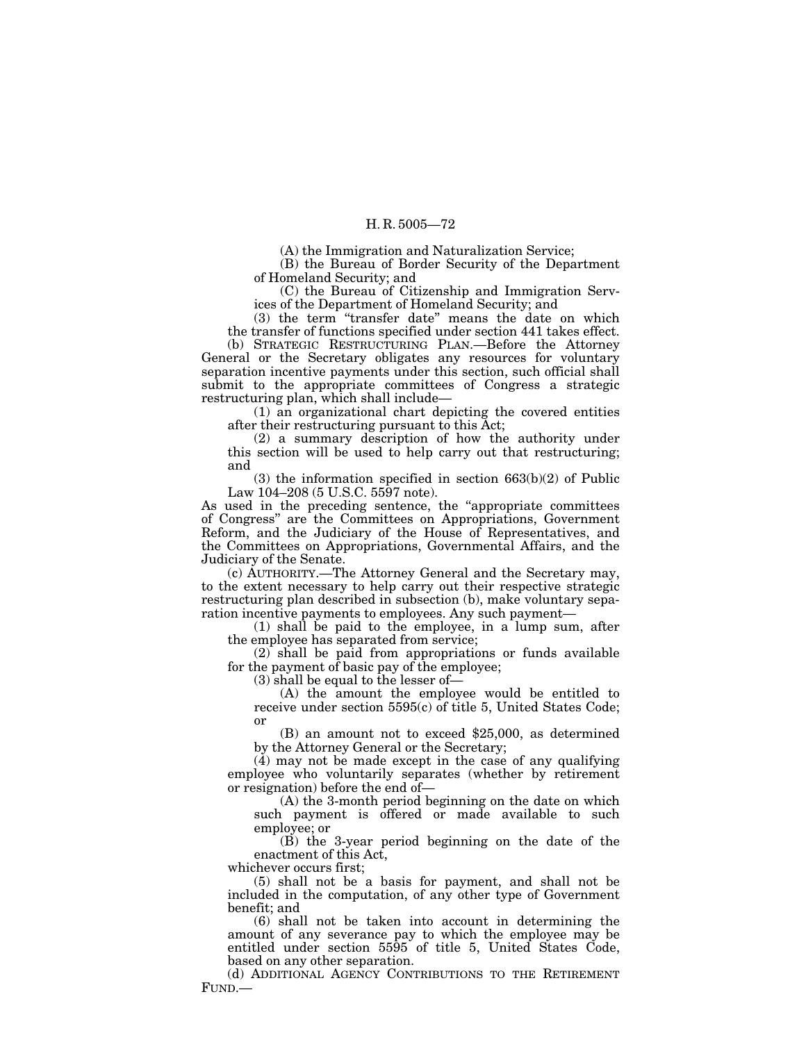(A) the Immigration and Naturalization Service;

(B) the Bureau of Border Security of the Department of Homeland Security; and

(C) the Bureau of Citizenship and Immigration Services of the Department of Homeland Security; and

(3) the term ''transfer date'' means the date on which the transfer of functions specified under section 441 takes effect.

(b) STRATEGIC RESTRUCTURING PLAN.—Before the Attorney General or the Secretary obligates any resources for voluntary separation incentive payments under this section, such official shall submit to the appropriate committees of Congress a strategic restructuring plan, which shall include—

(1) an organizational chart depicting the covered entities after their restructuring pursuant to this Act;

(2) a summary description of how the authority under this section will be used to help carry out that restructuring; and

(3) the information specified in section 663(b)(2) of Public Law 104–208 (5 U.S.C. 5597 note).

As used in the preceding sentence, the ''appropriate committees of Congress'' are the Committees on Appropriations, Government Reform, and the Judiciary of the House of Representatives, and the Committees on Appropriations, Governmental Affairs, and the Judiciary of the Senate.

(c) AUTHORITY.—The Attorney General and the Secretary may, to the extent necessary to help carry out their respective strategic restructuring plan described in subsection (b), make voluntary separation incentive payments to employees. Any such payment—

(1) shall be paid to the employee, in a lump sum, after the employee has separated from service;

(2) shall be paid from appropriations or funds available for the payment of basic pay of the employee;

(3) shall be equal to the lesser of—

(A) the amount the employee would be entitled to receive under section 5595(c) of title 5, United States Code; or

(B) an amount not to exceed \$25,000, as determined by the Attorney General or the Secretary;

(4) may not be made except in the case of any qualifying employee who voluntarily separates (whether by retirement or resignation) before the end of—

(A) the 3-month period beginning on the date on which such payment is offered or made available to such employee; or

(B) the 3-year period beginning on the date of the enactment of this Act,

whichever occurs first;

(5) shall not be a basis for payment, and shall not be included in the computation, of any other type of Government benefit; and

(6) shall not be taken into account in determining the amount of any severance pay to which the employee may be entitled under section 5595 of title 5, United States Code, based on any other separation.

(d) ADDITIONAL AGENCY CONTRIBUTIONS TO THE RETIREMENT FUND.—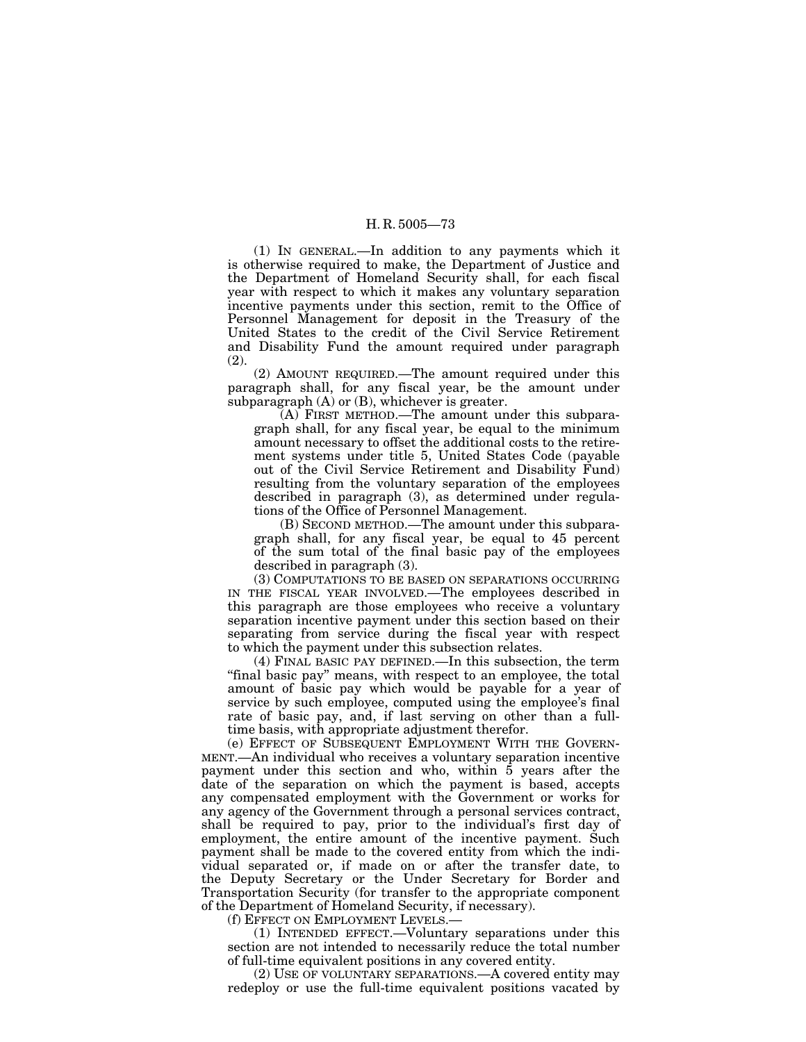(1) IN GENERAL.—In addition to any payments which it is otherwise required to make, the Department of Justice and the Department of Homeland Security shall, for each fiscal year with respect to which it makes any voluntary separation incentive payments under this section, remit to the Office of Personnel Management for deposit in the Treasury of the United States to the credit of the Civil Service Retirement and Disability Fund the amount required under paragraph (2).

(2) AMOUNT REQUIRED.—The amount required under this paragraph shall, for any fiscal year, be the amount under subparagraph (A) or (B), whichever is greater.

(A) FIRST METHOD.—The amount under this subparagraph shall, for any fiscal year, be equal to the minimum amount necessary to offset the additional costs to the retirement systems under title 5, United States Code (payable out of the Civil Service Retirement and Disability Fund) resulting from the voluntary separation of the employees described in paragraph (3), as determined under regulations of the Office of Personnel Management.

(B) SECOND METHOD.—The amount under this subparagraph shall, for any fiscal year, be equal to 45 percent of the sum total of the final basic pay of the employees described in paragraph (3).

(3) COMPUTATIONS TO BE BASED ON SEPARATIONS OCCURRING IN THE FISCAL YEAR INVOLVED.—The employees described in this paragraph are those employees who receive a voluntary separation incentive payment under this section based on their separating from service during the fiscal year with respect to which the payment under this subsection relates.

(4) FINAL BASIC PAY DEFINED.—In this subsection, the term "final basic pay" means, with respect to an employee, the total amount of basic pay which would be payable for a year of service by such employee, computed using the employee's final rate of basic pay, and, if last serving on other than a fulltime basis, with appropriate adjustment therefor.

(e) EFFECT OF SUBSEQUENT EMPLOYMENT WITH THE GOVERN-MENT.—An individual who receives a voluntary separation incentive payment under this section and who, within 5 years after the date of the separation on which the payment is based, accepts any compensated employment with the Government or works for any agency of the Government through a personal services contract, shall be required to pay, prior to the individual's first day of employment, the entire amount of the incentive payment. Such payment shall be made to the covered entity from which the individual separated or, if made on or after the transfer date, to the Deputy Secretary or the Under Secretary for Border and Transportation Security (for transfer to the appropriate component of the Department of Homeland Security, if necessary).

(f) EFFECT ON EMPLOYMENT LEVELS.—

(1) INTENDED EFFECT.—Voluntary separations under this section are not intended to necessarily reduce the total number of full-time equivalent positions in any covered entity.

(2) USE OF VOLUNTARY SEPARATIONS.—A covered entity may redeploy or use the full-time equivalent positions vacated by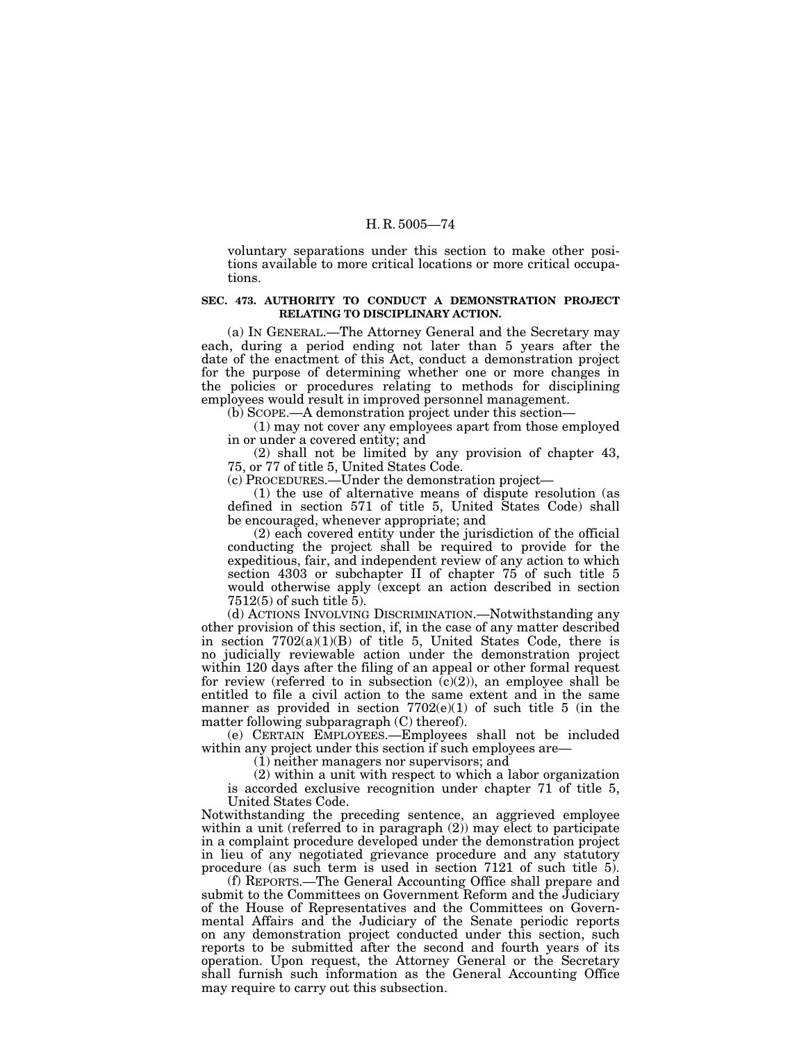voluntary separations under this section to make other positions available to more critical locations or more critical occupations.

#### **SEC. 473. AUTHORITY TO CONDUCT A DEMONSTRATION PROJECT RELATING TO DISCIPLINARY ACTION.**

(a) IN GENERAL.—The Attorney General and the Secretary may each, during a period ending not later than 5 years after the date of the enactment of this Act, conduct a demonstration project for the purpose of determining whether one or more changes in the policies or procedures relating to methods for disciplining employees would result in improved personnel management.

(b) SCOPE.—A demonstration project under this section—

(1) may not cover any employees apart from those employed in or under a covered entity; and

(2) shall not be limited by any provision of chapter 43, 75, or 77 of title 5, United States Code.

(c) PROCEDURES.—Under the demonstration project—

(1) the use of alternative means of dispute resolution (as defined in section 571 of title 5, United States Code) shall be encouraged, whenever appropriate; and

(2) each covered entity under the jurisdiction of the official conducting the project shall be required to provide for the expeditious, fair, and independent review of any action to which section 4303 or subchapter II of chapter 75 of such title 5 would otherwise apply (except an action described in section 7512(5) of such title 5).

(d) ACTIONS INVOLVING DISCRIMINATION.—Notwithstanding any other provision of this section, if, in the case of any matter described in section  $7702(a)(1)(B)$  of title 5, United States Code, there is no judicially reviewable action under the demonstration project within 120 days after the filing of an appeal or other formal request for review (referred to in subsection  $(c)(2)$ ), an employee shall be entitled to file a civil action to the same extent and in the same manner as provided in section 7702(e)(1) of such title 5 (in the matter following subparagraph (C) thereof).

(e) CERTAIN EMPLOYEES.—Employees shall not be included within any project under this section if such employees are—

 $(1)$  neither managers nor supervisors; and

(2) within a unit with respect to which a labor organization is accorded exclusive recognition under chapter 71 of title 5, United States Code.

Notwithstanding the preceding sentence, an aggrieved employee within a unit (referred to in paragraph (2)) may elect to participate in a complaint procedure developed under the demonstration project in lieu of any negotiated grievance procedure and any statutory procedure (as such term is used in section 7121 of such title 5).

(f) REPORTS.—The General Accounting Office shall prepare and submit to the Committees on Government Reform and the Judiciary of the House of Representatives and the Committees on Governmental Affairs and the Judiciary of the Senate periodic reports on any demonstration project conducted under this section, such reports to be submitted after the second and fourth years of its operation. Upon request, the Attorney General or the Secretary shall furnish such information as the General Accounting Office may require to carry out this subsection.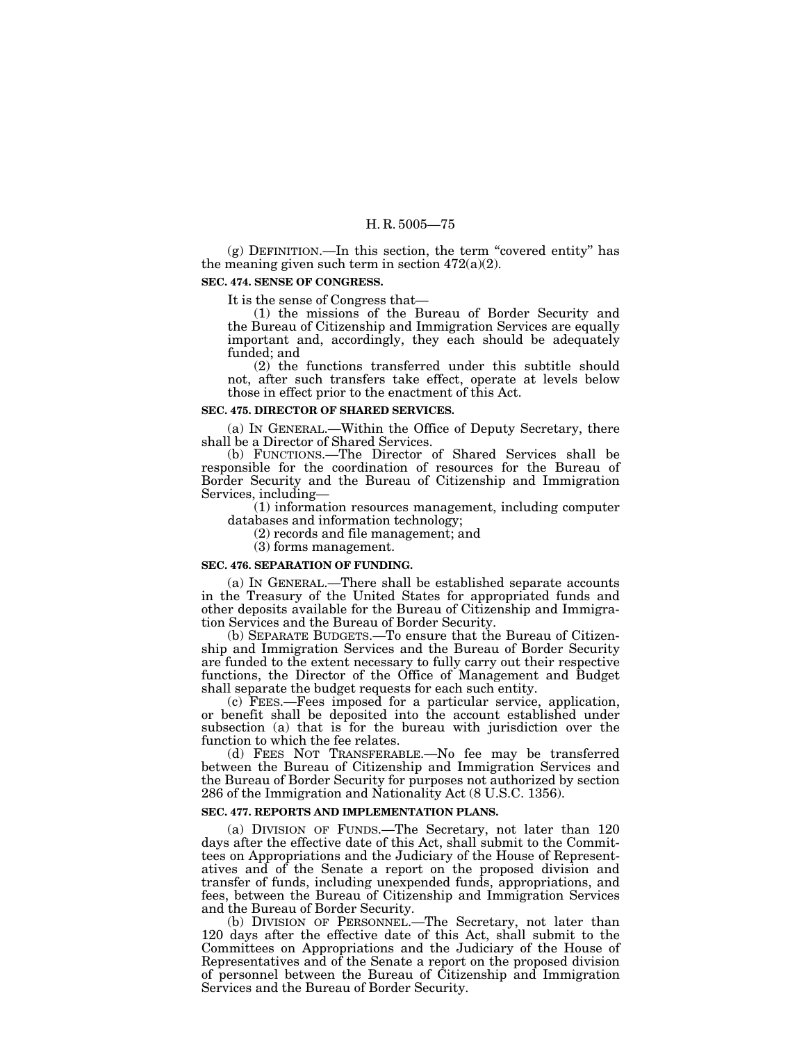(g) DEFINITION.—In this section, the term ''covered entity'' has the meaning given such term in section  $472(a)(2)$ .

#### **SEC. 474. SENSE OF CONGRESS.**

It is the sense of Congress that—

(1) the missions of the Bureau of Border Security and the Bureau of Citizenship and Immigration Services are equally important and, accordingly, they each should be adequately funded; and

(2) the functions transferred under this subtitle should not, after such transfers take effect, operate at levels below those in effect prior to the enactment of this Act.

### **SEC. 475. DIRECTOR OF SHARED SERVICES.**

(a) IN GENERAL.—Within the Office of Deputy Secretary, there shall be a Director of Shared Services.

(b) FUNCTIONS.—The Director of Shared Services shall be responsible for the coordination of resources for the Bureau of Border Security and the Bureau of Citizenship and Immigration Services, including—

(1) information resources management, including computer databases and information technology;

(2) records and file management; and

(3) forms management.

#### **SEC. 476. SEPARATION OF FUNDING.**

(a) IN GENERAL.—There shall be established separate accounts in the Treasury of the United States for appropriated funds and other deposits available for the Bureau of Citizenship and Immigration Services and the Bureau of Border Security.

(b) SEPARATE BUDGETS.—To ensure that the Bureau of Citizenship and Immigration Services and the Bureau of Border Security are funded to the extent necessary to fully carry out their respective functions, the Director of the Office of Management and Budget shall separate the budget requests for each such entity.

(c) FEES.—Fees imposed for a particular service, application, or benefit shall be deposited into the account established under subsection (a) that is for the bureau with jurisdiction over the function to which the fee relates.

(d) FEES NOT TRANSFERABLE.—No fee may be transferred between the Bureau of Citizenship and Immigration Services and the Bureau of Border Security for purposes not authorized by section 286 of the Immigration and Nationality Act (8 U.S.C. 1356).

#### **SEC. 477. REPORTS AND IMPLEMENTATION PLANS.**

(a) DIVISION OF FUNDS.—The Secretary, not later than 120 days after the effective date of this Act, shall submit to the Committees on Appropriations and the Judiciary of the House of Representatives and of the Senate a report on the proposed division and transfer of funds, including unexpended funds, appropriations, and fees, between the Bureau of Citizenship and Immigration Services and the Bureau of Border Security.

(b) DIVISION OF PERSONNEL.—The Secretary, not later than 120 days after the effective date of this Act, shall submit to the Committees on Appropriations and the Judiciary of the House of Representatives and of the Senate a report on the proposed division of personnel between the Bureau of Citizenship and Immigration Services and the Bureau of Border Security.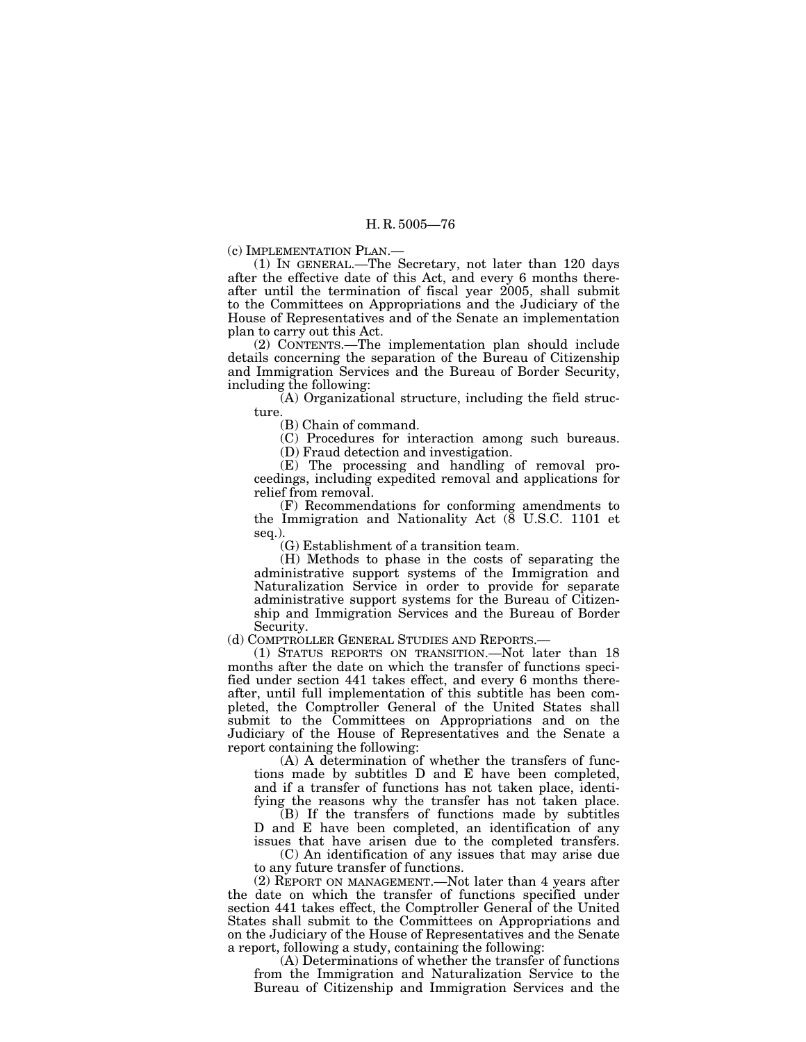(c) IMPLEMENTATION PLAN.—

(1) IN GENERAL.—The Secretary, not later than 120 days after the effective date of this Act, and every 6 months thereafter until the termination of fiscal year 2005, shall submit to the Committees on Appropriations and the Judiciary of the House of Representatives and of the Senate an implementation plan to carry out this Act.

(2) CONTENTS.—The implementation plan should include details concerning the separation of the Bureau of Citizenship and Immigration Services and the Bureau of Border Security, including the following:

(A) Organizational structure, including the field structure.

(B) Chain of command.

(C) Procedures for interaction among such bureaus.

(D) Fraud detection and investigation.

(E) The processing and handling of removal proceedings, including expedited removal and applications for relief from removal.

(F) Recommendations for conforming amendments to the Immigration and Nationality Act (8 U.S.C. 1101 et seq.).

(G) Establishment of a transition team.

(H) Methods to phase in the costs of separating the administrative support systems of the Immigration and Naturalization Service in order to provide for separate administrative support systems for the Bureau of Citizenship and Immigration Services and the Bureau of Border Security.

(d) COMPTROLLER GENERAL STUDIES AND REPORTS.—

(1) STATUS REPORTS ON TRANSITION.—Not later than 18 months after the date on which the transfer of functions specified under section 441 takes effect, and every 6 months thereafter, until full implementation of this subtitle has been completed, the Comptroller General of the United States shall submit to the Committees on Appropriations and on the Judiciary of the House of Representatives and the Senate a report containing the following:

(A) A determination of whether the transfers of functions made by subtitles D and E have been completed, and if a transfer of functions has not taken place, identifying the reasons why the transfer has not taken place.

(B) If the transfers of functions made by subtitles D and E have been completed, an identification of any issues that have arisen due to the completed transfers.

(C) An identification of any issues that may arise due to any future transfer of functions.

(2) REPORT ON MANAGEMENT.—Not later than 4 years after the date on which the transfer of functions specified under section 441 takes effect, the Comptroller General of the United States shall submit to the Committees on Appropriations and on the Judiciary of the House of Representatives and the Senate a report, following a study, containing the following:

(A) Determinations of whether the transfer of functions from the Immigration and Naturalization Service to the Bureau of Citizenship and Immigration Services and the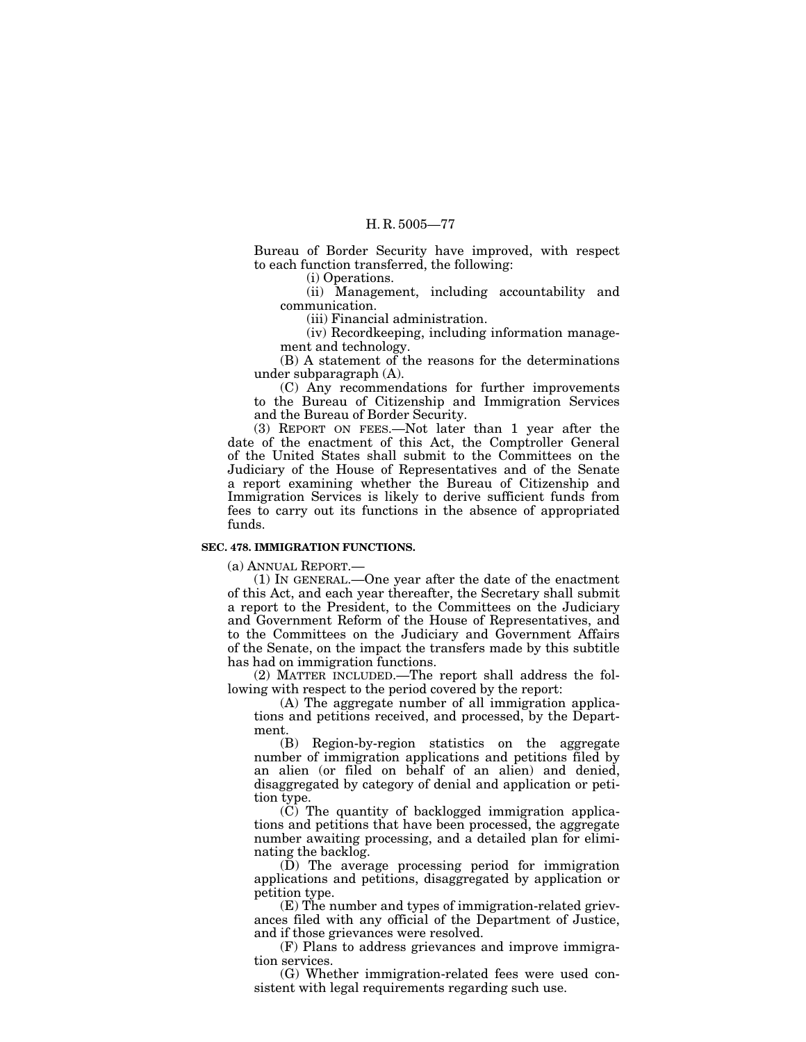Bureau of Border Security have improved, with respect to each function transferred, the following:

(i) Operations.

(ii) Management, including accountability and communication.

(iii) Financial administration.

(iv) Recordkeeping, including information management and technology.

(B) A statement of the reasons for the determinations under subparagraph (A).

(C) Any recommendations for further improvements to the Bureau of Citizenship and Immigration Services and the Bureau of Border Security.

(3) REPORT ON FEES.—Not later than 1 year after the date of the enactment of this Act, the Comptroller General of the United States shall submit to the Committees on the Judiciary of the House of Representatives and of the Senate a report examining whether the Bureau of Citizenship and Immigration Services is likely to derive sufficient funds from fees to carry out its functions in the absence of appropriated funds.

### **SEC. 478. IMMIGRATION FUNCTIONS.**

(a) ANNUAL REPORT.—

(1) IN GENERAL.—One year after the date of the enactment of this Act, and each year thereafter, the Secretary shall submit a report to the President, to the Committees on the Judiciary and Government Reform of the House of Representatives, and to the Committees on the Judiciary and Government Affairs of the Senate, on the impact the transfers made by this subtitle has had on immigration functions.

(2) MATTER INCLUDED.—The report shall address the following with respect to the period covered by the report:

(A) The aggregate number of all immigration applications and petitions received, and processed, by the Department.

(B) Region-by-region statistics on the aggregate number of immigration applications and petitions filed by an alien (or filed on behalf of an alien) and denied, disaggregated by category of denial and application or petition type.

 $(\tilde{C})$  The quantity of backlogged immigration applications and petitions that have been processed, the aggregate number awaiting processing, and a detailed plan for eliminating the backlog.

(D) The average processing period for immigration applications and petitions, disaggregated by application or petition type.

(E) The number and types of immigration-related grievances filed with any official of the Department of Justice, and if those grievances were resolved.

(F) Plans to address grievances and improve immigration services.

(G) Whether immigration-related fees were used consistent with legal requirements regarding such use.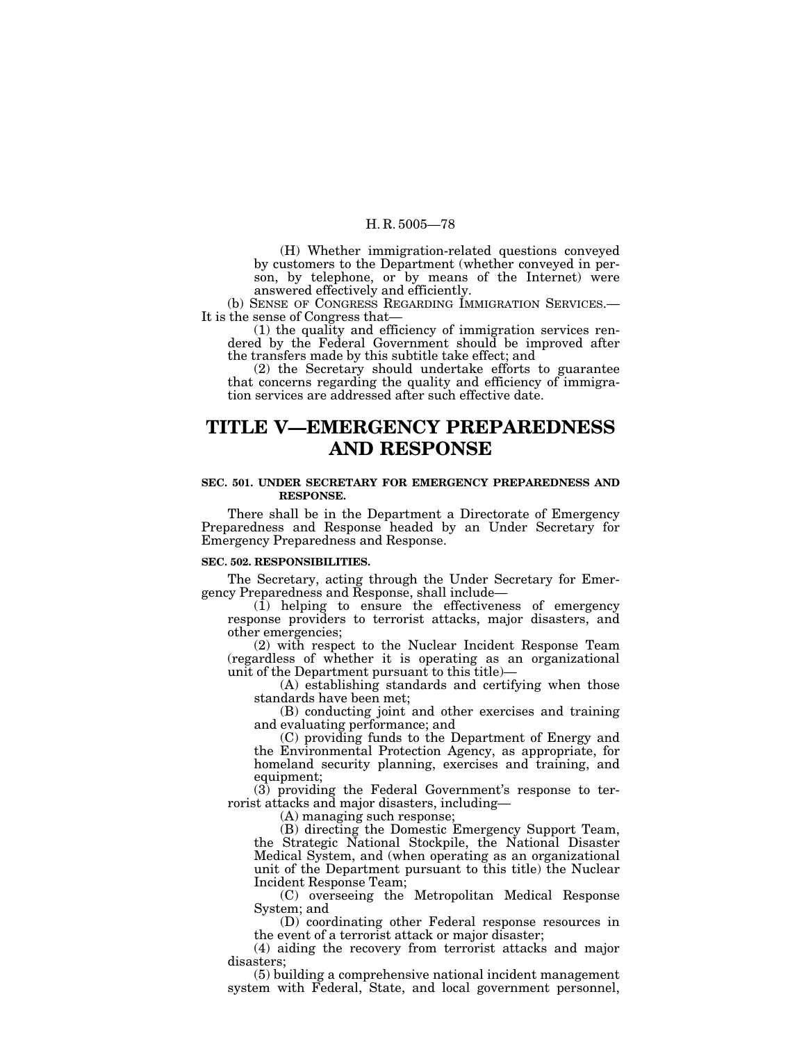(H) Whether immigration-related questions conveyed by customers to the Department (whether conveyed in person, by telephone, or by means of the Internet) were answered effectively and efficiently.

(b) SENSE OF CONGRESS REGARDING IMMIGRATION SERVICES. It is the sense of Congress that—

(1) the quality and efficiency of immigration services rendered by the Federal Government should be improved after the transfers made by this subtitle take effect; and

(2) the Secretary should undertake efforts to guarantee that concerns regarding the quality and efficiency of immigration services are addressed after such effective date.

## **TITLE V—EMERGENCY PREPAREDNESS AND RESPONSE**

#### **SEC. 501. UNDER SECRETARY FOR EMERGENCY PREPAREDNESS AND RESPONSE.**

There shall be in the Department a Directorate of Emergency Preparedness and Response headed by an Under Secretary for Emergency Preparedness and Response.

### **SEC. 502. RESPONSIBILITIES.**

The Secretary, acting through the Under Secretary for Emergency Preparedness and Response, shall include—

(1) helping to ensure the effectiveness of emergency response providers to terrorist attacks, major disasters, and other emergencies;

(2) with respect to the Nuclear Incident Response Team (regardless of whether it is operating as an organizational unit of the Department pursuant to this title)—

(A) establishing standards and certifying when those standards have been met;

(B) conducting joint and other exercises and training and evaluating performance; and

(C) providing funds to the Department of Energy and the Environmental Protection Agency, as appropriate, for homeland security planning, exercises and training, and equipment;

(3) providing the Federal Government's response to terrorist attacks and major disasters, including—

(A) managing such response;

(B) directing the Domestic Emergency Support Team, the Strategic National Stockpile, the National Disaster Medical System, and (when operating as an organizational unit of the Department pursuant to this title) the Nuclear Incident Response Team;

(C) overseeing the Metropolitan Medical Response System; and

(D) coordinating other Federal response resources in the event of a terrorist attack or major disaster;

(4) aiding the recovery from terrorist attacks and major disasters;

(5) building a comprehensive national incident management system with Federal, State, and local government personnel,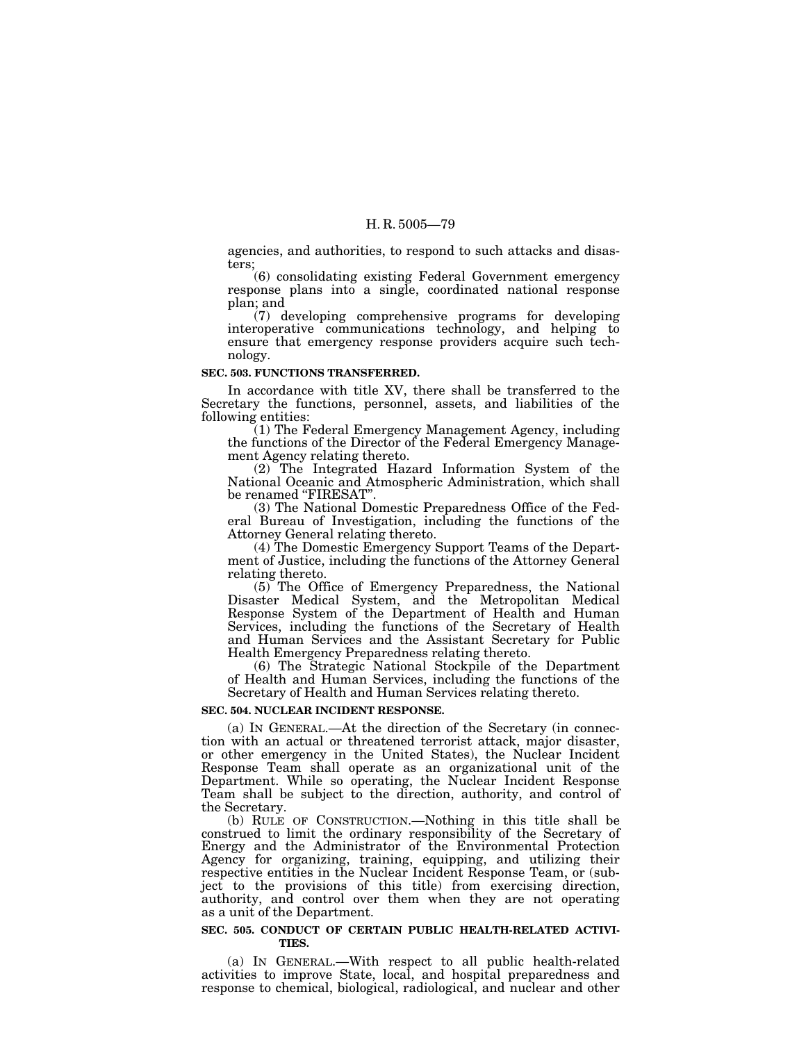agencies, and authorities, to respond to such attacks and disasters;

(6) consolidating existing Federal Government emergency response plans into a single, coordinated national response plan; and

(7) developing comprehensive programs for developing interoperative communications technology, and helping to ensure that emergency response providers acquire such technology.

#### **SEC. 503. FUNCTIONS TRANSFERRED.**

In accordance with title XV, there shall be transferred to the Secretary the functions, personnel, assets, and liabilities of the following entities:

(1) The Federal Emergency Management Agency, including the functions of the Director of the Federal Emergency Management Agency relating thereto.

(2) The Integrated Hazard Information System of the National Oceanic and Atmospheric Administration, which shall be renamed "FIRESAT".

(3) The National Domestic Preparedness Office of the Federal Bureau of Investigation, including the functions of the Attorney General relating thereto.

(4) The Domestic Emergency Support Teams of the Department of Justice, including the functions of the Attorney General relating thereto.

(5) The Office of Emergency Preparedness, the National Disaster Medical System, and the Metropolitan Medical Response System of the Department of Health and Human Services, including the functions of the Secretary of Health and Human Services and the Assistant Secretary for Public Health Emergency Preparedness relating thereto.

(6) The Strategic National Stockpile of the Department of Health and Human Services, including the functions of the Secretary of Health and Human Services relating thereto.

#### **SEC. 504. NUCLEAR INCIDENT RESPONSE.**

(a) IN GENERAL.—At the direction of the Secretary (in connection with an actual or threatened terrorist attack, major disaster, or other emergency in the United States), the Nuclear Incident Response Team shall operate as an organizational unit of the Department. While so operating, the Nuclear Incident Response Team shall be subject to the direction, authority, and control of the Secretary.

(b) RULE OF CONSTRUCTION.—Nothing in this title shall be construed to limit the ordinary responsibility of the Secretary of Energy and the Administrator of the Environmental Protection Agency for organizing, training, equipping, and utilizing their respective entities in the Nuclear Incident Response Team, or (subject to the provisions of this title) from exercising direction, authority, and control over them when they are not operating as a unit of the Department.

#### **SEC. 505. CONDUCT OF CERTAIN PUBLIC HEALTH-RELATED ACTIVI-TIES.**

(a) IN GENERAL.—With respect to all public health-related activities to improve State, local, and hospital preparedness and response to chemical, biological, radiological, and nuclear and other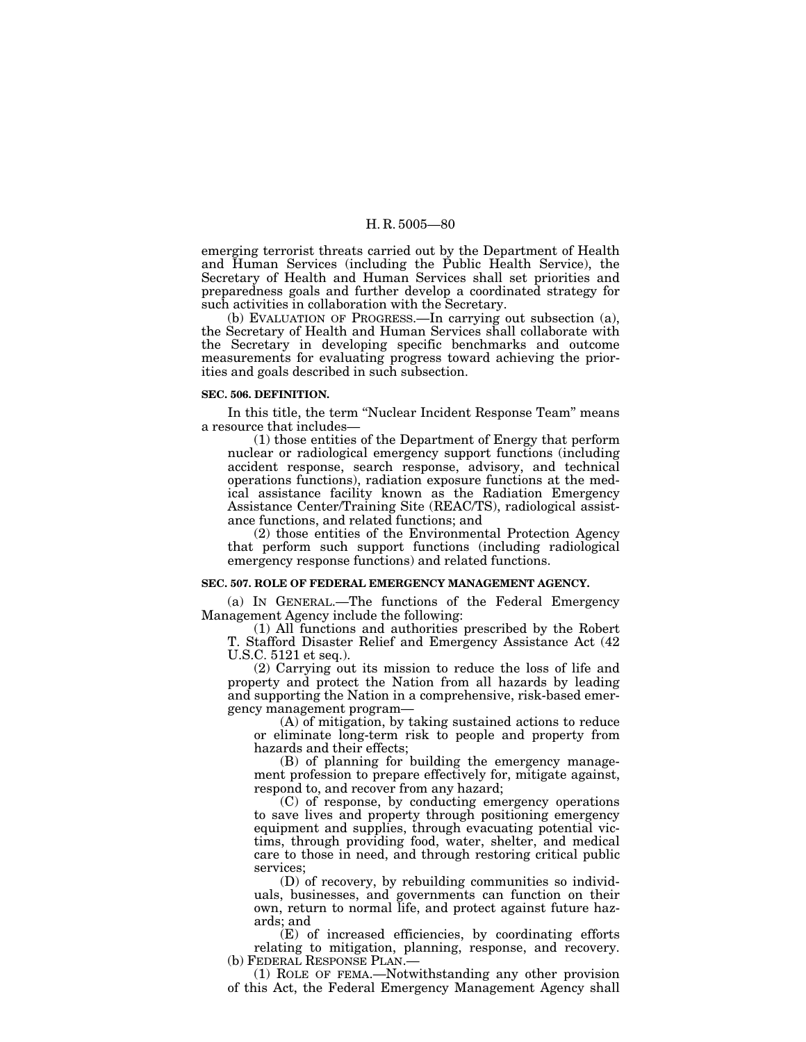emerging terrorist threats carried out by the Department of Health and Human Services (including the Public Health Service), the Secretary of Health and Human Services shall set priorities and preparedness goals and further develop a coordinated strategy for such activities in collaboration with the Secretary.

(b) EVALUATION OF PROGRESS.—In carrying out subsection (a), the Secretary of Health and Human Services shall collaborate with the Secretary in developing specific benchmarks and outcome measurements for evaluating progress toward achieving the priorities and goals described in such subsection.

#### **SEC. 506. DEFINITION.**

In this title, the term "Nuclear Incident Response Team" means a resource that includes—

(1) those entities of the Department of Energy that perform nuclear or radiological emergency support functions (including accident response, search response, advisory, and technical operations functions), radiation exposure functions at the medical assistance facility known as the Radiation Emergency Assistance Center/Training Site (REAC/TS), radiological assistance functions, and related functions; and

(2) those entities of the Environmental Protection Agency that perform such support functions (including radiological emergency response functions) and related functions.

## **SEC. 507. ROLE OF FEDERAL EMERGENCY MANAGEMENT AGENCY.**

(a) IN GENERAL.—The functions of the Federal Emergency Management Agency include the following:

(1) All functions and authorities prescribed by the Robert T. Stafford Disaster Relief and Emergency Assistance Act (42 U.S.C. 5121 et seq.).

(2) Carrying out its mission to reduce the loss of life and property and protect the Nation from all hazards by leading and supporting the Nation in a comprehensive, risk-based emergency management program—

(A) of mitigation, by taking sustained actions to reduce or eliminate long-term risk to people and property from hazards and their effects;

(B) of planning for building the emergency management profession to prepare effectively for, mitigate against, respond to, and recover from any hazard;

(C) of response, by conducting emergency operations to save lives and property through positioning emergency equipment and supplies, through evacuating potential victims, through providing food, water, shelter, and medical care to those in need, and through restoring critical public services;

(D) of recovery, by rebuilding communities so individuals, businesses, and governments can function on their own, return to normal life, and protect against future hazards; and

(E) of increased efficiencies, by coordinating efforts relating to mitigation, planning, response, and recovery. (b) FEDERAL RESPONSE PLAN.—

(1) ROLE OF FEMA.—Notwithstanding any other provision of this Act, the Federal Emergency Management Agency shall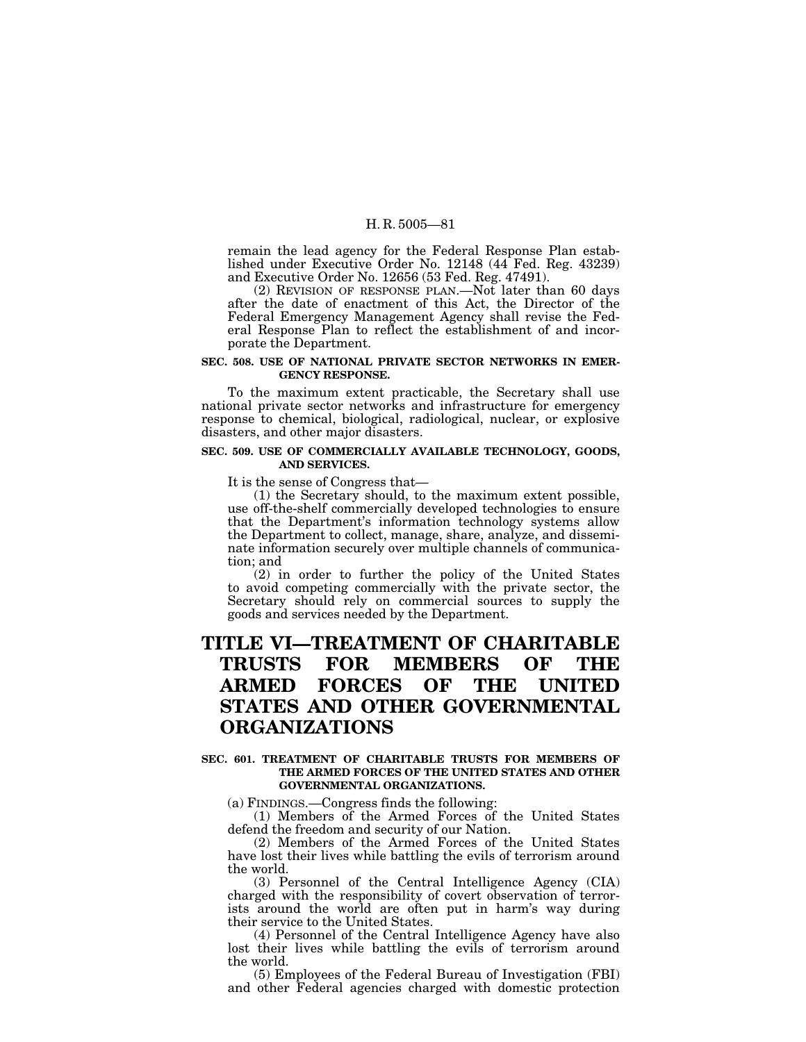remain the lead agency for the Federal Response Plan established under Executive Order No. 12148 (44 Fed. Reg. 43239) and Executive Order No. 12656 (53 Fed. Reg. 47491).

(2) REVISION OF RESPONSE PLAN.—Not later than 60 days after the date of enactment of this Act, the Director of the Federal Emergency Management Agency shall revise the Federal Response Plan to reflect the establishment of and incorporate the Department.

#### **SEC. 508. USE OF NATIONAL PRIVATE SECTOR NETWORKS IN EMER-GENCY RESPONSE.**

To the maximum extent practicable, the Secretary shall use national private sector networks and infrastructure for emergency response to chemical, biological, radiological, nuclear, or explosive disasters, and other major disasters.

#### **SEC. 509. USE OF COMMERCIALLY AVAILABLE TECHNOLOGY, GOODS, AND SERVICES.**

It is the sense of Congress that—

(1) the Secretary should, to the maximum extent possible, use off-the-shelf commercially developed technologies to ensure that the Department's information technology systems allow the Department to collect, manage, share, analyze, and disseminate information securely over multiple channels of communication; and

(2) in order to further the policy of the United States to avoid competing commercially with the private sector, the Secretary should rely on commercial sources to supply the goods and services needed by the Department.

# **TITLE VI—TREATMENT OF CHARITABLE TRUSTS FOR MEMBERS OF THE ARMED FORCES OF THE UNITED STATES AND OTHER GOVERNMENTAL ORGANIZATIONS**

#### **SEC. 601. TREATMENT OF CHARITABLE TRUSTS FOR MEMBERS OF THE ARMED FORCES OF THE UNITED STATES AND OTHER GOVERNMENTAL ORGANIZATIONS.**

(a) FINDINGS.—Congress finds the following:

(1) Members of the Armed Forces of the United States defend the freedom and security of our Nation.

(2) Members of the Armed Forces of the United States have lost their lives while battling the evils of terrorism around the world.

(3) Personnel of the Central Intelligence Agency (CIA) charged with the responsibility of covert observation of terrorists around the world are often put in harm's way during their service to the United States.

(4) Personnel of the Central Intelligence Agency have also lost their lives while battling the evils of terrorism around the world.

(5) Employees of the Federal Bureau of Investigation (FBI) and other Federal agencies charged with domestic protection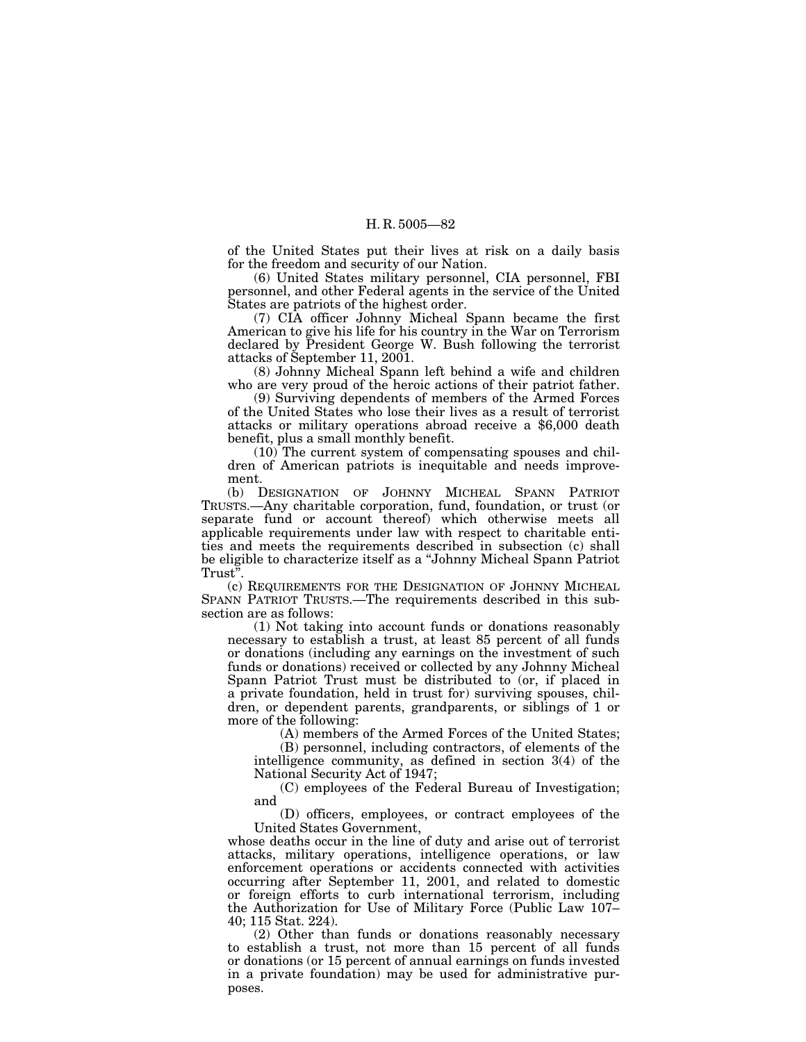of the United States put their lives at risk on a daily basis for the freedom and security of our Nation.

(6) United States military personnel, CIA personnel, FBI personnel, and other Federal agents in the service of the United States are patriots of the highest order.

(7) CIA officer Johnny Micheal Spann became the first American to give his life for his country in the War on Terrorism declared by President George W. Bush following the terrorist attacks of September 11, 2001.

(8) Johnny Micheal Spann left behind a wife and children who are very proud of the heroic actions of their patriot father.

(9) Surviving dependents of members of the Armed Forces of the United States who lose their lives as a result of terrorist attacks or military operations abroad receive a \$6,000 death benefit, plus a small monthly benefit.

(10) The current system of compensating spouses and children of American patriots is inequitable and needs improvement.

(b) DESIGNATION OF JOHNNY MICHEAL SPANN PATRIOT TRUSTS.—Any charitable corporation, fund, foundation, or trust (or separate fund or account thereof) which otherwise meets all applicable requirements under law with respect to charitable entities and meets the requirements described in subsection (c) shall be eligible to characterize itself as a ''Johnny Micheal Spann Patriot Trust''.

(c) REQUIREMENTS FOR THE DESIGNATION OF JOHNNY MICHEAL SPANN PATRIOT TRUSTS.—The requirements described in this subsection are as follows:

(1) Not taking into account funds or donations reasonably necessary to establish a trust, at least 85 percent of all funds or donations (including any earnings on the investment of such funds or donations) received or collected by any Johnny Micheal Spann Patriot Trust must be distributed to (or, if placed in a private foundation, held in trust for) surviving spouses, children, or dependent parents, grandparents, or siblings of 1 or more of the following:

(A) members of the Armed Forces of the United States;

(B) personnel, including contractors, of elements of the intelligence community, as defined in section 3(4) of the National Security Act of 1947;

(C) employees of the Federal Bureau of Investigation; and

(D) officers, employees, or contract employees of the United States Government,

whose deaths occur in the line of duty and arise out of terrorist attacks, military operations, intelligence operations, or law enforcement operations or accidents connected with activities occurring after September 11, 2001, and related to domestic or foreign efforts to curb international terrorism, including the Authorization for Use of Military Force (Public Law 107– 40; 115 Stat. 224).

(2) Other than funds or donations reasonably necessary to establish a trust, not more than 15 percent of all funds or donations (or 15 percent of annual earnings on funds invested in a private foundation) may be used for administrative purposes.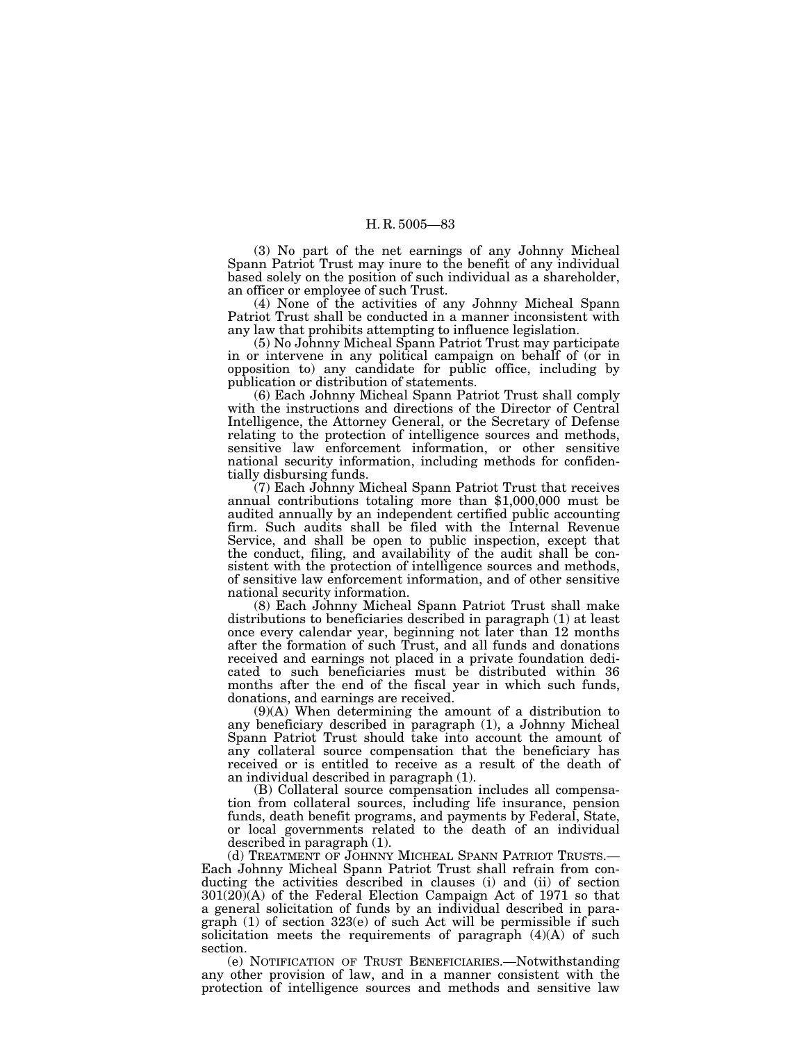(3) No part of the net earnings of any Johnny Micheal Spann Patriot Trust may inure to the benefit of any individual based solely on the position of such individual as a shareholder, an officer or employee of such Trust.

(4) None of the activities of any Johnny Micheal Spann Patriot Trust shall be conducted in a manner inconsistent with any law that prohibits attempting to influence legislation.

(5) No Johnny Micheal Spann Patriot Trust may participate in or intervene in any political campaign on behalf of (or in opposition to) any candidate for public office, including by publication or distribution of statements.

(6) Each Johnny Micheal Spann Patriot Trust shall comply with the instructions and directions of the Director of Central Intelligence, the Attorney General, or the Secretary of Defense relating to the protection of intelligence sources and methods, sensitive law enforcement information, or other sensitive national security information, including methods for confidentially disbursing funds.

(7) Each Johnny Micheal Spann Patriot Trust that receives annual contributions totaling more than \$1,000,000 must be audited annually by an independent certified public accounting firm. Such audits shall be filed with the Internal Revenue Service, and shall be open to public inspection, except that the conduct, filing, and availability of the audit shall be consistent with the protection of intelligence sources and methods, of sensitive law enforcement information, and of other sensitive national security information.

(8) Each Johnny Micheal Spann Patriot Trust shall make distributions to beneficiaries described in paragraph (1) at least once every calendar year, beginning not later than 12 months after the formation of such Trust, and all funds and donations received and earnings not placed in a private foundation dedicated to such beneficiaries must be distributed within 36 months after the end of the fiscal year in which such funds, donations, and earnings are received.

(9)(A) When determining the amount of a distribution to any beneficiary described in paragraph (1), a Johnny Micheal Spann Patriot Trust should take into account the amount of any collateral source compensation that the beneficiary has received or is entitled to receive as a result of the death of an individual described in paragraph (1).

(B) Collateral source compensation includes all compensation from collateral sources, including life insurance, pension funds, death benefit programs, and payments by Federal, State, or local governments related to the death of an individual described in paragraph (1).

(d) TREATMENT OF JOHNNY MICHEAL SPANN PATRIOT TRUSTS.— Each Johnny Micheal Spann Patriot Trust shall refrain from conducting the activities described in clauses (i) and (ii) of section 301(20)(A) of the Federal Election Campaign Act of 1971 so that a general solicitation of funds by an individual described in paragraph (1) of section 323(e) of such Act will be permissible if such solicitation meets the requirements of paragraph  $(4)(A)$  of such section.

(e) NOTIFICATION OF TRUST BENEFICIARIES.—Notwithstanding any other provision of law, and in a manner consistent with the protection of intelligence sources and methods and sensitive law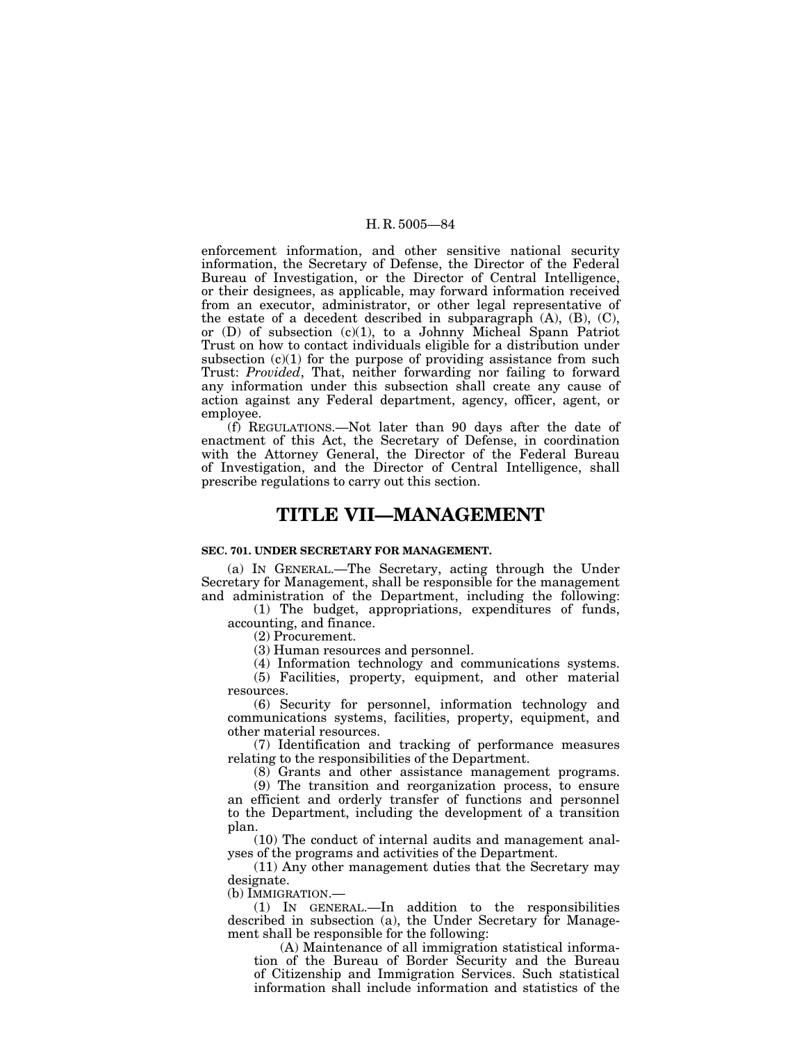enforcement information, and other sensitive national security information, the Secretary of Defense, the Director of the Federal Bureau of Investigation, or the Director of Central Intelligence, or their designees, as applicable, may forward information received from an executor, administrator, or other legal representative of the estate of a decedent described in subparagraph  $(A)$ ,  $(B)$ ,  $(C)$ , or (D) of subsection (c)(1), to a Johnny Micheal Spann Patriot Trust on how to contact individuals eligible for a distribution under subsection  $(c)(1)$  for the purpose of providing assistance from such Trust: *Provided*, That, neither forwarding nor failing to forward any information under this subsection shall create any cause of action against any Federal department, agency, officer, agent, or employee.

(f) REGULATIONS.—Not later than 90 days after the date of enactment of this Act, the Secretary of Defense, in coordination with the Attorney General, the Director of the Federal Bureau of Investigation, and the Director of Central Intelligence, shall prescribe regulations to carry out this section.

## **TITLE VII—MANAGEMENT**

## **SEC. 701. UNDER SECRETARY FOR MANAGEMENT.**

(a) IN GENERAL.—The Secretary, acting through the Under Secretary for Management, shall be responsible for the management and administration of the Department, including the following:

(1) The budget, appropriations, expenditures of funds, accounting, and finance.

(2) Procurement.

(3) Human resources and personnel.

(4) Information technology and communications systems.

(5) Facilities, property, equipment, and other material resources.

(6) Security for personnel, information technology and communications systems, facilities, property, equipment, and other material resources.

(7) Identification and tracking of performance measures relating to the responsibilities of the Department.

(8) Grants and other assistance management programs. (9) The transition and reorganization process, to ensure an efficient and orderly transfer of functions and personnel to the Department, including the development of a transition plan.

(10) The conduct of internal audits and management analyses of the programs and activities of the Department.

(11) Any other management duties that the Secretary may designate.

(b) IMMIGRATION.—

(1) IN GENERAL.—In addition to the responsibilities described in subsection (a), the Under Secretary for Management shall be responsible for the following:

(A) Maintenance of all immigration statistical information of the Bureau of Border Security and the Bureau of Citizenship and Immigration Services. Such statistical information shall include information and statistics of the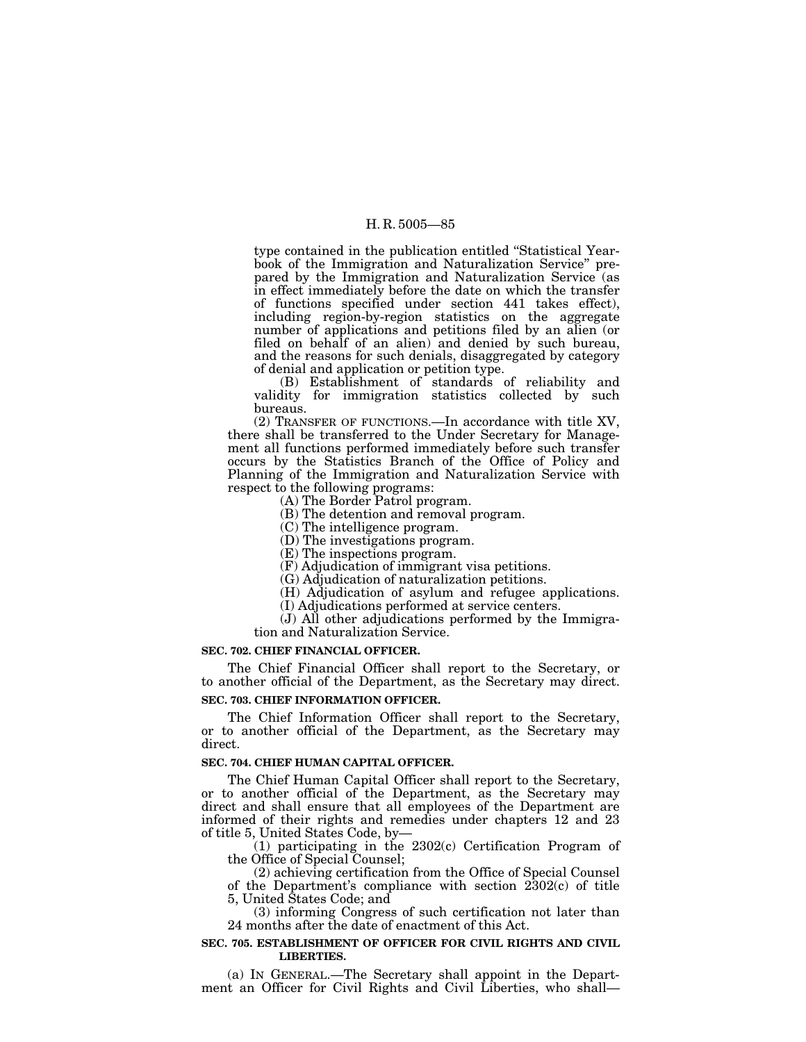type contained in the publication entitled ''Statistical Yearbook of the Immigration and Naturalization Service'' prepared by the Immigration and Naturalization Service (as in effect immediately before the date on which the transfer of functions specified under section 441 takes effect), including region-by-region statistics on the aggregate number of applications and petitions filed by an alien (or filed on behalf of an alien) and denied by such bureau, and the reasons for such denials, disaggregated by category of denial and application or petition type.

(B) Establishment of standards of reliability and validity for immigration statistics collected by such bureaus.

(2) TRANSFER OF FUNCTIONS.—In accordance with title XV, there shall be transferred to the Under Secretary for Management all functions performed immediately before such transfer occurs by the Statistics Branch of the Office of Policy and Planning of the Immigration and Naturalization Service with respect to the following programs:

(A) The Border Patrol program.

(B) The detention and removal program.

(C) The intelligence program.

(D) The investigations program.

(E) The inspections program.

(F) Adjudication of immigrant visa petitions.

(G) Adjudication of naturalization petitions.

(H) Adjudication of asylum and refugee applications.

(I) Adjudications performed at service centers.

(J) All other adjudications performed by the Immigration and Naturalization Service.

#### **SEC. 702. CHIEF FINANCIAL OFFICER.**

The Chief Financial Officer shall report to the Secretary, or to another official of the Department, as the Secretary may direct. **SEC. 703. CHIEF INFORMATION OFFICER.**

The Chief Information Officer shall report to the Secretary, or to another official of the Department, as the Secretary may direct.

#### **SEC. 704. CHIEF HUMAN CAPITAL OFFICER.**

The Chief Human Capital Officer shall report to the Secretary, or to another official of the Department, as the Secretary may direct and shall ensure that all employees of the Department are informed of their rights and remedies under chapters 12 and 23 of title 5, United States Code, by—

(1) participating in the 2302(c) Certification Program of the Office of Special Counsel;

(2) achieving certification from the Office of Special Counsel of the Department's compliance with section 2302(c) of title 5, United States Code; and

(3) informing Congress of such certification not later than 24 months after the date of enactment of this Act.

#### **SEC. 705. ESTABLISHMENT OF OFFICER FOR CIVIL RIGHTS AND CIVIL LIBERTIES.**

(a) IN GENERAL.—The Secretary shall appoint in the Department an Officer for Civil Rights and Civil Liberties, who shall—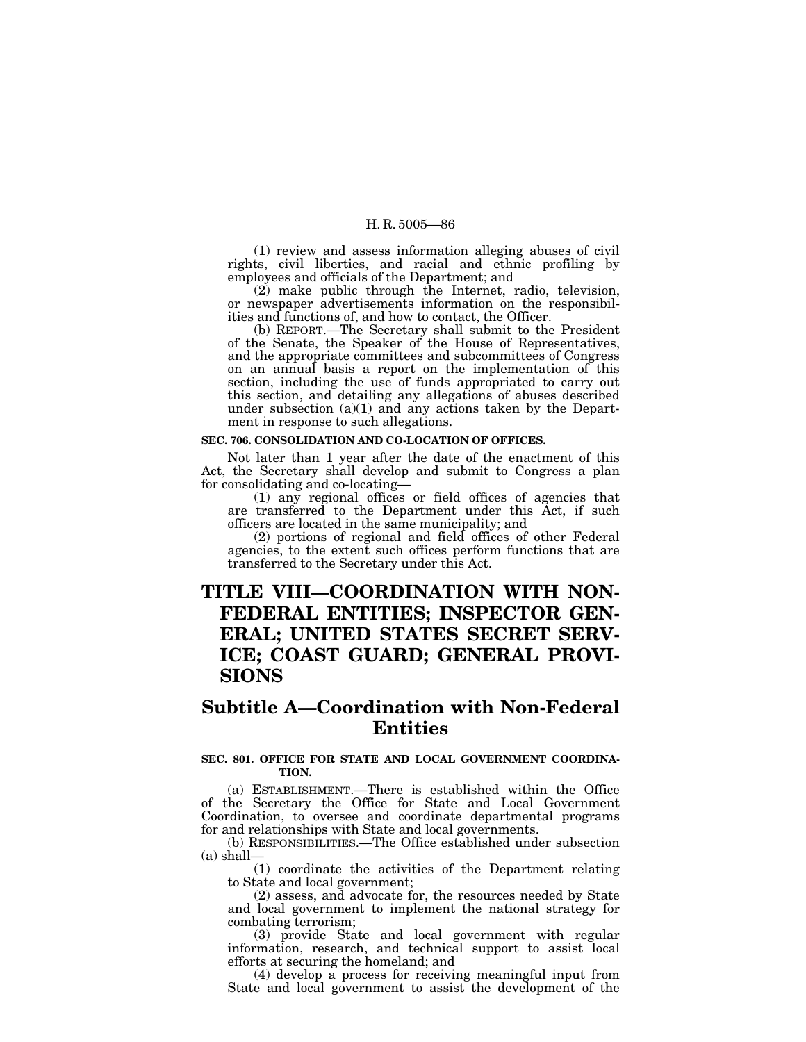(1) review and assess information alleging abuses of civil rights, civil liberties, and racial and ethnic profiling by employees and officials of the Department; and

(2) make public through the Internet, radio, television, or newspaper advertisements information on the responsibilities and functions of, and how to contact, the Officer.

(b) REPORT.—The Secretary shall submit to the President of the Senate, the Speaker of the House of Representatives, and the appropriate committees and subcommittees of Congress on an annual basis a report on the implementation of this section, including the use of funds appropriated to carry out this section, and detailing any allegations of abuses described under subsection  $(a)(1)$  and any actions taken by the Department in response to such allegations.

#### **SEC. 706. CONSOLIDATION AND CO-LOCATION OF OFFICES.**

Not later than 1 year after the date of the enactment of this Act, the Secretary shall develop and submit to Congress a plan for consolidating and co-locating—

(1) any regional offices or field offices of agencies that are transferred to the Department under this Act, if such officers are located in the same municipality; and

(2) portions of regional and field offices of other Federal agencies, to the extent such offices perform functions that are transferred to the Secretary under this Act.

# **TITLE VIII—COORDINATION WITH NON-FEDERAL ENTITIES; INSPECTOR GEN-ERAL; UNITED STATES SECRET SERV-ICE; COAST GUARD; GENERAL PROVI-SIONS**

# **Subtitle A—Coordination with Non-Federal Entities**

## **SEC. 801. OFFICE FOR STATE AND LOCAL GOVERNMENT COORDINA-TION.**

(a) ESTABLISHMENT.—There is established within the Office of the Secretary the Office for State and Local Government Coordination, to oversee and coordinate departmental programs for and relationships with State and local governments.

(b) RESPONSIBILITIES.—The Office established under subsection  $(a)$  shall—

(1) coordinate the activities of the Department relating to State and local government;

(2) assess, and advocate for, the resources needed by State and local government to implement the national strategy for combating terrorism;

(3) provide State and local government with regular information, research, and technical support to assist local efforts at securing the homeland; and

(4) develop a process for receiving meaningful input from State and local government to assist the development of the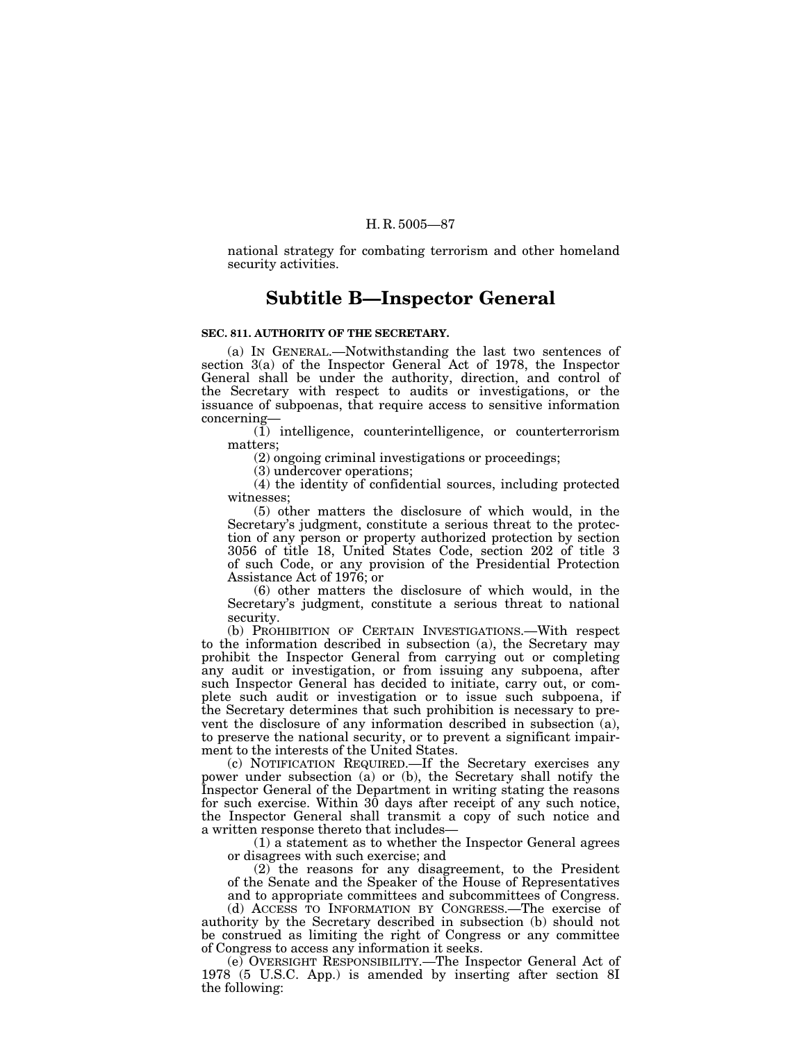national strategy for combating terrorism and other homeland security activities.

## **Subtitle B—Inspector General**

### **SEC. 811. AUTHORITY OF THE SECRETARY.**

(a) IN GENERAL.—Notwithstanding the last two sentences of section 3(a) of the Inspector General Act of 1978, the Inspector General shall be under the authority, direction, and control of the Secretary with respect to audits or investigations, or the issuance of subpoenas, that require access to sensitive information concerning—

(1) intelligence, counterintelligence, or counterterrorism matters;

(2) ongoing criminal investigations or proceedings;

(3) undercover operations;

(4) the identity of confidential sources, including protected witnesses;

(5) other matters the disclosure of which would, in the Secretary's judgment, constitute a serious threat to the protection of any person or property authorized protection by section 3056 of title 18, United States Code, section 202 of title 3 of such Code, or any provision of the Presidential Protection Assistance Act of 1976; or

(6) other matters the disclosure of which would, in the Secretary's judgment, constitute a serious threat to national security.

(b) PROHIBITION OF CERTAIN INVESTIGATIONS.—With respect to the information described in subsection (a), the Secretary may prohibit the Inspector General from carrying out or completing any audit or investigation, or from issuing any subpoena, after such Inspector General has decided to initiate, carry out, or complete such audit or investigation or to issue such subpoena, if the Secretary determines that such prohibition is necessary to prevent the disclosure of any information described in subsection (a), to preserve the national security, or to prevent a significant impairment to the interests of the United States.

(c) NOTIFICATION REQUIRED.—If the Secretary exercises any power under subsection (a) or (b), the Secretary shall notify the Inspector General of the Department in writing stating the reasons for such exercise. Within 30 days after receipt of any such notice, the Inspector General shall transmit a copy of such notice and a written response thereto that includes—

(1) a statement as to whether the Inspector General agrees or disagrees with such exercise; and

(2) the reasons for any disagreement, to the President of the Senate and the Speaker of the House of Representatives and to appropriate committees and subcommittees of Congress.

(d) ACCESS TO INFORMATION BY CONGRESS.—The exercise of authority by the Secretary described in subsection (b) should not be construed as limiting the right of Congress or any committee of Congress to access any information it seeks.

(e) OVERSIGHT RESPONSIBILITY.—The Inspector General Act of 1978 (5 U.S.C. App.) is amended by inserting after section 8I the following: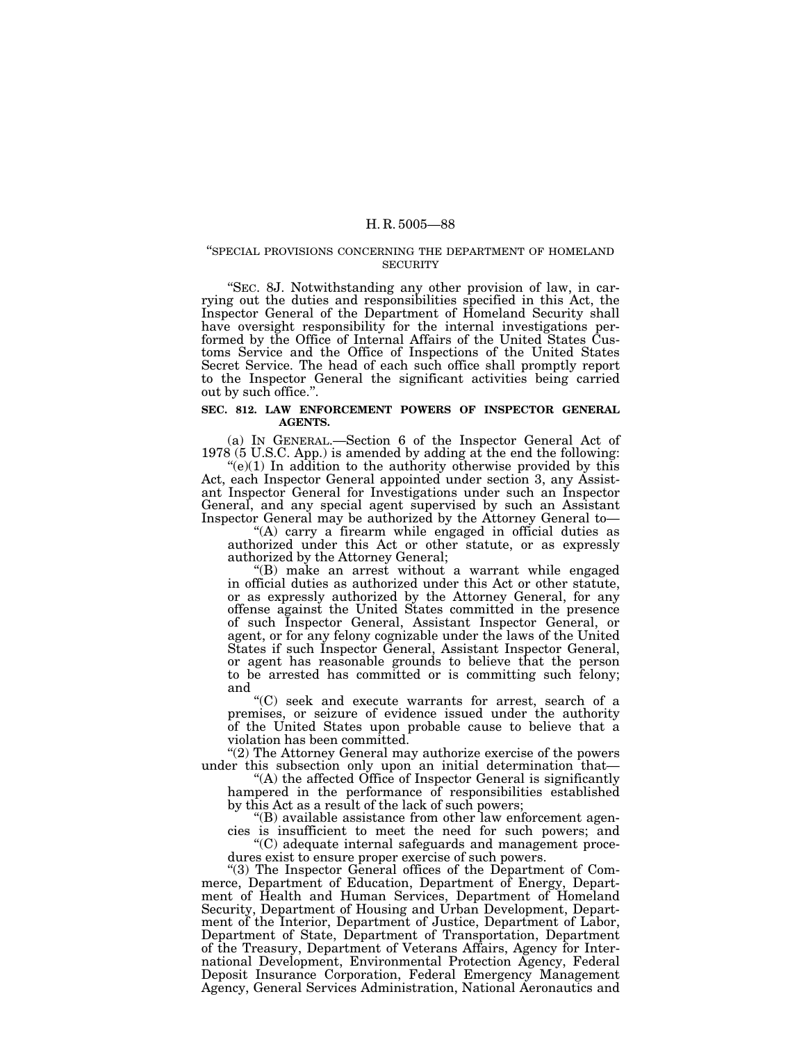#### ''SPECIAL PROVISIONS CONCERNING THE DEPARTMENT OF HOMELAND **SECURITY**

''SEC. 8J. Notwithstanding any other provision of law, in carrying out the duties and responsibilities specified in this Act, the Inspector General of the Department of Homeland Security shall have oversight responsibility for the internal investigations performed by the Office of Internal Affairs of the United States Customs Service and the Office of Inspections of the United States Secret Service. The head of each such office shall promptly report to the Inspector General the significant activities being carried out by such office.''.

#### **SEC. 812. LAW ENFORCEMENT POWERS OF INSPECTOR GENERAL AGENTS.**

(a) IN GENERAL.—Section 6 of the Inspector General Act of 1978 (5 U.S.C. App.) is amended by adding at the end the following:

" $(e)(1)$  In addition to the authority otherwise provided by this Act, each Inspector General appointed under section 3, any Assistant Inspector General for Investigations under such an Inspector General, and any special agent supervised by such an Assistant Inspector General may be authorized by the Attorney General to— ''(A) carry a firearm while engaged in official duties as

authorized under this Act or other statute, or as expressly

"(B) make an arrest without a warrant while engaged in official duties as authorized under this Act or other statute, or as expressly authorized by the Attorney General, for any offense against the United States committed in the presence of such Inspector General, Assistant Inspector General, or agent, or for any felony cognizable under the laws of the United States if such Inspector General, Assistant Inspector General, or agent has reasonable grounds to believe that the person to be arrested has committed or is committing such felony;

and ''(C) seek and execute warrants for arrest, search of a premises, or seizure of evidence issued under the authority of the United States upon probable cause to believe that a violation has been committed.

"(2) The Attorney General may authorize exercise of the powers

under this subsection only upon an initial determination that—<br>"(A) the affected Office of Inspector General is significantly hampered in the performance of responsibilities established<br>by this Act as a result of the lack of such powers;

"(B) available assistance from other law enforcement agencies is insufficient to meet the need for such powers; and ''(C) adequate internal safeguards and management proce-

dures exist to ensure proper exercise of such powers.

''(3) The Inspector General offices of the Department of Commerce, Department of Education, Department of Energy, Department of Health and Human Services, Department of Homeland Security, Department of Housing and Urban Development, Department of the Interior, Department of Justice, Department of Labor, Department of State, Department of Transportation, Department of the Treasury, Department of Veterans Affairs, Agency for International Development, Environmental Protection Agency, Federal Deposit Insurance Corporation, Federal Emergency Management Agency, General Services Administration, National Aeronautics and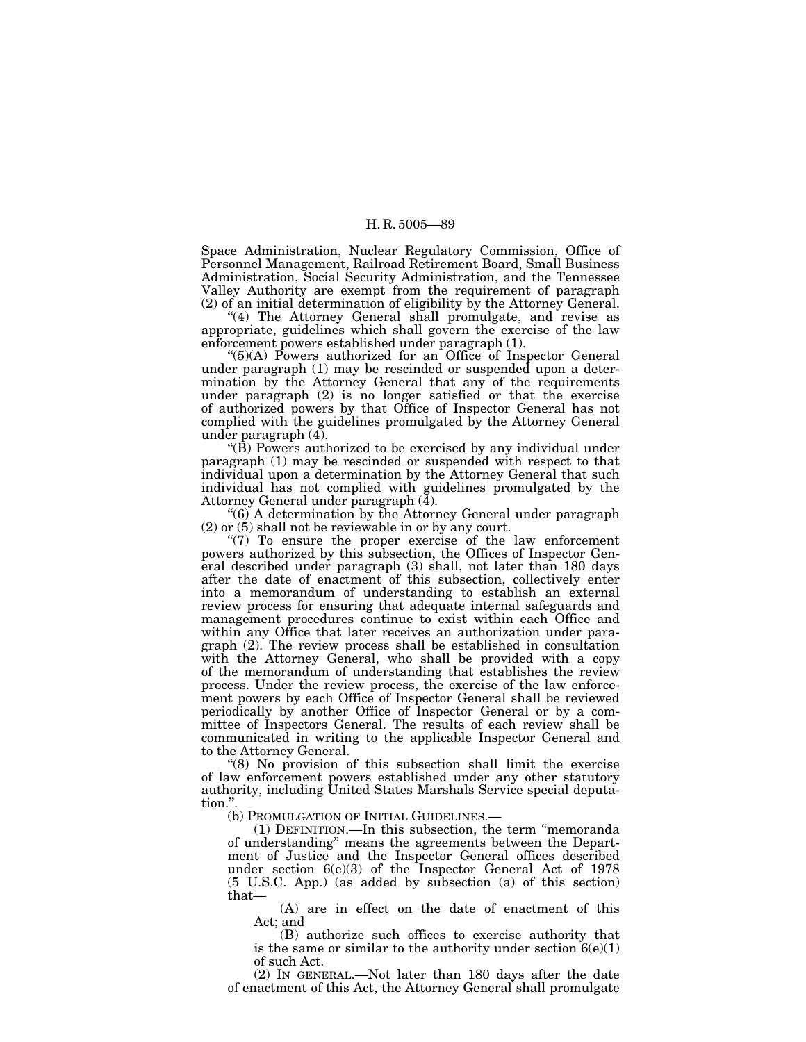Space Administration, Nuclear Regulatory Commission, Office of Personnel Management, Railroad Retirement Board, Small Business Administration, Social Security Administration, and the Tennessee Valley Authority are exempt from the requirement of paragraph (2) of an initial determination of eligibility by the Attorney General.

"(4) The Attorney General shall promulgate, and revise as appropriate, guidelines which shall govern the exercise of the law enforcement powers established under paragraph (1).

''(5)(A) Powers authorized for an Office of Inspector General under paragraph (1) may be rescinded or suspended upon a determination by the Attorney General that any of the requirements under paragraph (2) is no longer satisfied or that the exercise of authorized powers by that Office of Inspector General has not complied with the guidelines promulgated by the Attorney General under paragraph  $(4)$ .

''(B) Powers authorized to be exercised by any individual under paragraph (1) may be rescinded or suspended with respect to that individual upon a determination by the Attorney General that such individual has not complied with guidelines promulgated by the Attorney General under paragraph (4).

''(6) A determination by the Attorney General under paragraph (2) or (5) shall not be reviewable in or by any court.

"(7) To ensure the proper exercise of the law enforcement powers authorized by this subsection, the Offices of Inspector General described under paragraph (3) shall, not later than 180 days after the date of enactment of this subsection, collectively enter into a memorandum of understanding to establish an external review process for ensuring that adequate internal safeguards and management procedures continue to exist within each Office and within any Office that later receives an authorization under paragraph (2). The review process shall be established in consultation with the Attorney General, who shall be provided with a copy of the memorandum of understanding that establishes the review process. Under the review process, the exercise of the law enforcement powers by each Office of Inspector General shall be reviewed periodically by another Office of Inspector General or by a committee of Inspectors General. The results of each review shall be communicated in writing to the applicable Inspector General and

" $(8)$  No provision of this subsection shall limit the exercise of law enforcement powers established under any other statutory authority, including United States Marshals Service special deputation.''.

(b) PROMULGATION OF INITIAL GUIDELINES.—

(1) DEFINITION.—In this subsection, the term ''memoranda of understanding'' means the agreements between the Department of Justice and the Inspector General offices described under section 6(e)(3) of the Inspector General Act of 1978 (5 U.S.C. App.) (as added by subsection (a) of this section) that—

(A) are in effect on the date of enactment of this Act; and

(B) authorize such offices to exercise authority that is the same or similar to the authority under section  $6(e)(1)$ of such Act.

(2) IN GENERAL.—Not later than 180 days after the date of enactment of this Act, the Attorney General shall promulgate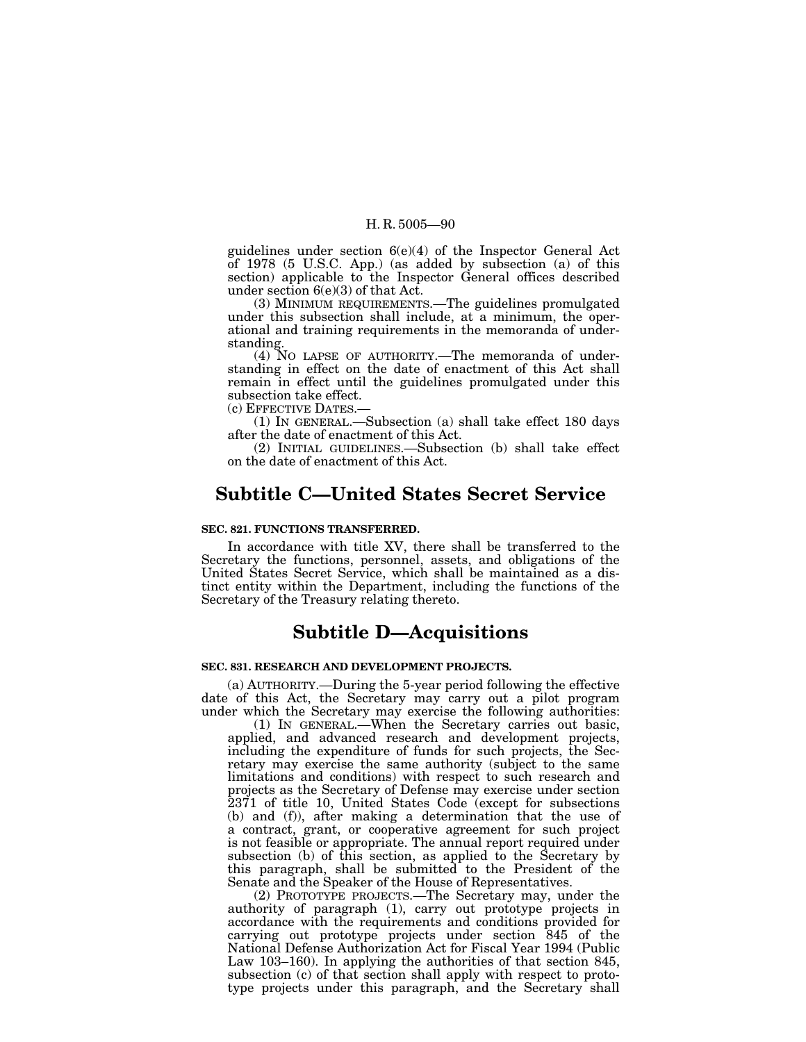guidelines under section 6(e)(4) of the Inspector General Act of 1978 (5 U.S.C. App.) (as added by subsection (a) of this section) applicable to the Inspector General offices described under section 6(e)(3) of that Act.

(3) MINIMUM REQUIREMENTS.—The guidelines promulgated under this subsection shall include, at a minimum, the operational and training requirements in the memoranda of understanding.

(4) NO LAPSE OF AUTHORITY.—The memoranda of understanding in effect on the date of enactment of this Act shall remain in effect until the guidelines promulgated under this subsection take effect.

(c) EFFECTIVE DATES.—

(1) IN GENERAL.—Subsection (a) shall take effect 180 days after the date of enactment of this Act.

(2) INITIAL GUIDELINES.—Subsection (b) shall take effect on the date of enactment of this Act.

## **Subtitle C—United States Secret Service**

### **SEC. 821. FUNCTIONS TRANSFERRED.**

In accordance with title XV, there shall be transferred to the Secretary the functions, personnel, assets, and obligations of the United States Secret Service, which shall be maintained as a distinct entity within the Department, including the functions of the Secretary of the Treasury relating thereto.

## **Subtitle D—Acquisitions**

## **SEC. 831. RESEARCH AND DEVELOPMENT PROJECTS.**

(a) AUTHORITY.—During the 5-year period following the effective date of this Act, the Secretary may carry out a pilot program under which the Secretary may exercise the following authorities:

(1) IN GENERAL.—When the Secretary carries out basic, applied, and advanced research and development projects, including the expenditure of funds for such projects, the Secretary may exercise the same authority (subject to the same limitations and conditions) with respect to such research and projects as the Secretary of Defense may exercise under section 2371 of title 10, United States Code (except for subsections (b) and (f)), after making a determination that the use of a contract, grant, or cooperative agreement for such project is not feasible or appropriate. The annual report required under subsection (b) of this section, as applied to the Secretary by this paragraph, shall be submitted to the President of the Senate and the Speaker of the House of Representatives.

(2) PROTOTYPE PROJECTS.—The Secretary may, under the authority of paragraph (1), carry out prototype projects in accordance with the requirements and conditions provided for carrying out prototype projects under section 845 of the National Defense Authorization Act for Fiscal Year 1994 (Public Law 103–160). In applying the authorities of that section 845, subsection (c) of that section shall apply with respect to prototype projects under this paragraph, and the Secretary shall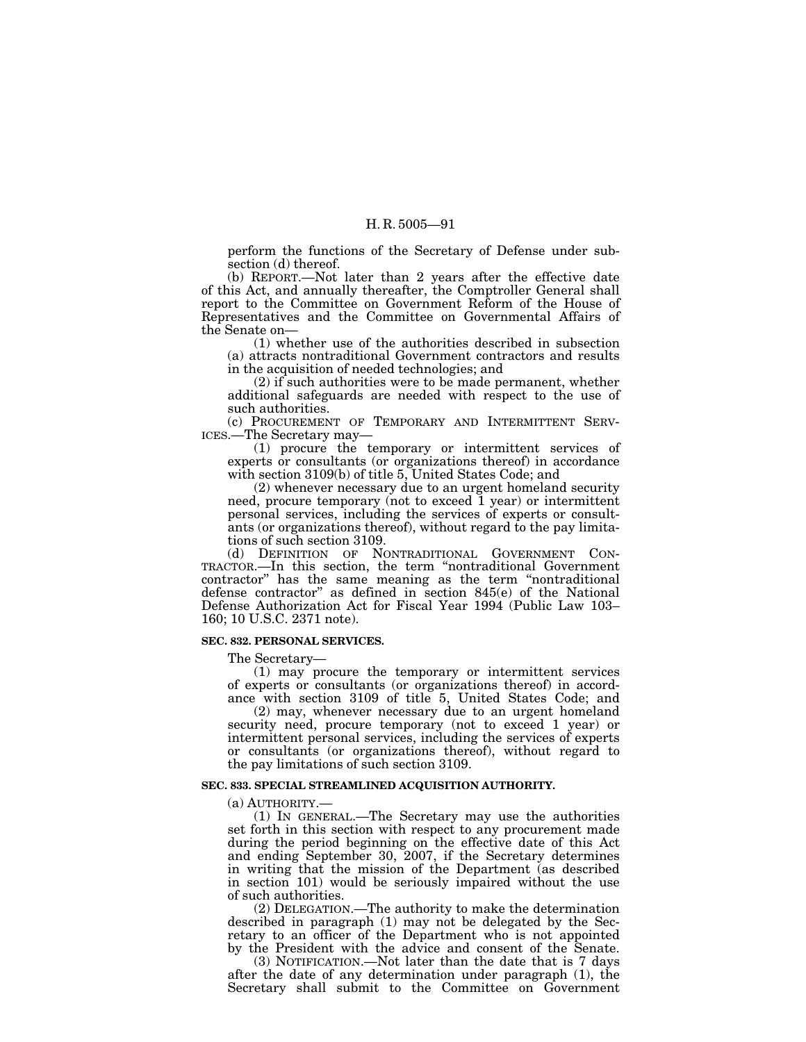perform the functions of the Secretary of Defense under subsection (d) thereof.

(b) REPORT.—Not later than 2 years after the effective date of this Act, and annually thereafter, the Comptroller General shall report to the Committee on Government Reform of the House of Representatives and the Committee on Governmental Affairs of the Senate on—

(1) whether use of the authorities described in subsection (a) attracts nontraditional Government contractors and results in the acquisition of needed technologies; and

(2) if such authorities were to be made permanent, whether additional safeguards are needed with respect to the use of such authorities.

(c) PROCUREMENT OF TEMPORARY AND INTERMITTENT SERV-ICES.—The Secretary may—

(1) procure the temporary or intermittent services of experts or consultants (or organizations thereof) in accordance with section 3109(b) of title 5, United States Code; and

(2) whenever necessary due to an urgent homeland security need, procure temporary (not to exceed 1 year) or intermittent personal services, including the services of experts or consultants (or organizations thereof), without regard to the pay limitations of such section 3109.

(d) DEFINITION OF NONTRADITIONAL GOVERNMENT CON-TRACTOR.—In this section, the term ''nontraditional Government contractor'' has the same meaning as the term ''nontraditional defense contractor'' as defined in section 845(e) of the National Defense Authorization Act for Fiscal Year 1994 (Public Law 103– 160; 10 U.S.C. 2371 note).

#### **SEC. 832. PERSONAL SERVICES.**

The Secretary—

(1) may procure the temporary or intermittent services of experts or consultants (or organizations thereof) in accordance with section 3109 of title 5, United States Code; and

(2) may, whenever necessary due to an urgent homeland security need, procure temporary (not to exceed 1 year) or intermittent personal services, including the services of experts or consultants (or organizations thereof), without regard to the pay limitations of such section 3109.

#### **SEC. 833. SPECIAL STREAMLINED ACQUISITION AUTHORITY.**

(a) AUTHORITY.—

(1) IN GENERAL.—The Secretary may use the authorities set forth in this section with respect to any procurement made during the period beginning on the effective date of this Act and ending September 30, 2007, if the Secretary determines in writing that the mission of the Department (as described in section 101) would be seriously impaired without the use of such authorities.

(2) DELEGATION.—The authority to make the determination described in paragraph (1) may not be delegated by the Secretary to an officer of the Department who is not appointed by the President with the advice and consent of the Senate.

(3) NOTIFICATION.—Not later than the date that is 7 days after the date of any determination under paragraph (1), the Secretary shall submit to the Committee on Government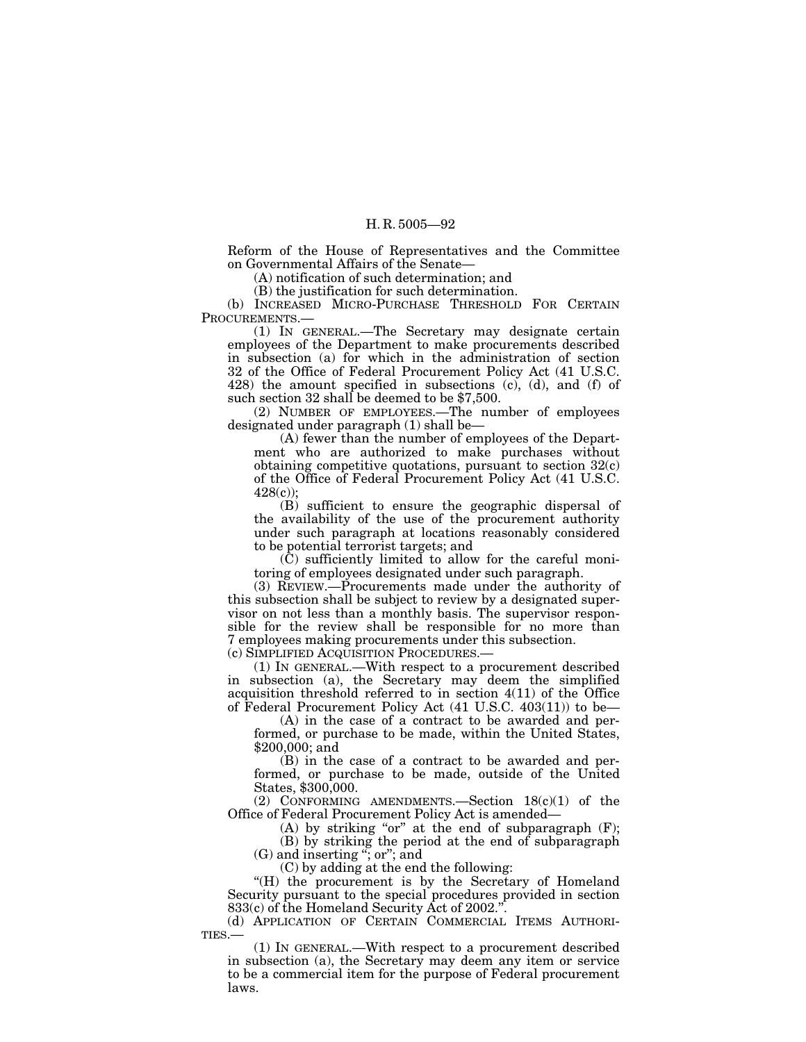Reform of the House of Representatives and the Committee on Governmental Affairs of the Senate—

(A) notification of such determination; and

(B) the justification for such determination.

(b) INCREASED MICRO-PURCHASE THRESHOLD FOR CERTAIN PROCUREMENTS.—

(1) IN GENERAL.—The Secretary may designate certain employees of the Department to make procurements described in subsection (a) for which in the administration of section 32 of the Office of Federal Procurement Policy Act (41 U.S.C. 428) the amount specified in subsections (c), (d), and (f) of such section 32 shall be deemed to be \$7,500.

(2) NUMBER OF EMPLOYEES.—The number of employees designated under paragraph (1) shall be—

(A) fewer than the number of employees of the Department who are authorized to make purchases without obtaining competitive quotations, pursuant to section 32(c) of the Office of Federal Procurement Policy Act (41 U.S.C. 428(c));

(B) sufficient to ensure the geographic dispersal of the availability of the use of the procurement authority under such paragraph at locations reasonably considered to be potential terrorist targets; and

 $(\tilde{C})$  sufficiently limited to allow for the careful monitoring of employees designated under such paragraph.

(3) REVIEW.—Procurements made under the authority of this subsection shall be subject to review by a designated supervisor on not less than a monthly basis. The supervisor responsible for the review shall be responsible for no more than 7 employees making procurements under this subsection.

(c) SIMPLIFIED ACQUISITION PROCEDURES.—

(1) IN GENERAL.—With respect to a procurement described in subsection (a), the Secretary may deem the simplified acquisition threshold referred to in section 4(11) of the Office of Federal Procurement Policy Act (41 U.S.C. 403(11)) to be—

(A) in the case of a contract to be awarded and performed, or purchase to be made, within the United States, \$200,000; and

(B) in the case of a contract to be awarded and performed, or purchase to be made, outside of the United States, \$300,000.

(2) CONFORMING AMENDMENTS.—Section 18(c)(1) of the Office of Federal Procurement Policy Act is amended—

(A) by striking "or" at the end of subparagraph  $(F)$ ;

(B) by striking the period at the end of subparagraph (G) and inserting ''; or''; and

(C) by adding at the end the following:

"(H) the procurement is by the Secretary of Homeland Security pursuant to the special procedures provided in section 833(c) of the Homeland Security Act of 2002."

(d) APPLICATION OF CERTAIN COMMERCIAL ITEMS AUTHORI-TIES.—

(1) IN GENERAL.—With respect to a procurement described in subsection (a), the Secretary may deem any item or service to be a commercial item for the purpose of Federal procurement laws.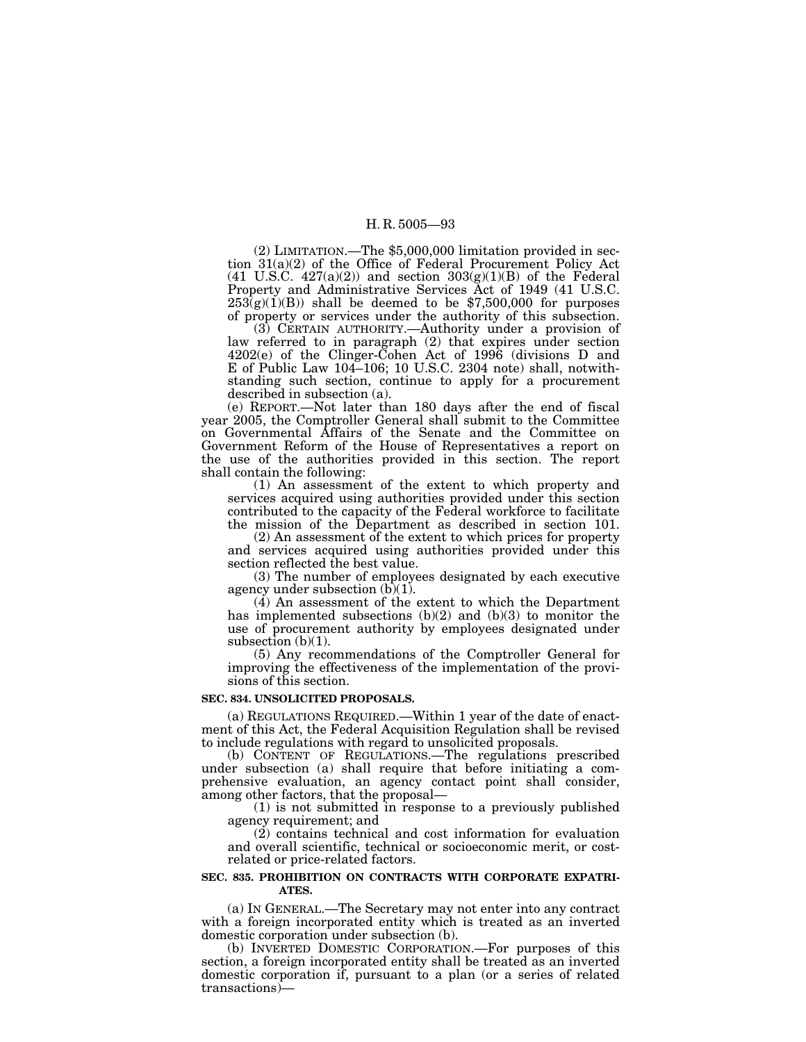(2) LIMITATION.—The \$5,000,000 limitation provided in section 31(a)(2) of the Office of Federal Procurement Policy Act (41 U.S.C. 427(a)(2)) and section  $303(g)(1)(B)$  of the Federal Property and Administrative Services Act of 1949 (41 U.S.C.  $253(g)(1)(B)$  shall be deemed to be \$7,500,000 for purposes of property or services under the authority of this subsection.

(3) CERTAIN AUTHORITY.—Authority under a provision of law referred to in paragraph (2) that expires under section 4202(e) of the Clinger-Cohen Act of 1996 (divisions D and E of Public Law 104–106; 10 U.S.C. 2304 note) shall, notwithstanding such section, continue to apply for a procurement described in subsection (a).

(e) REPORT.—Not later than 180 days after the end of fiscal year 2005, the Comptroller General shall submit to the Committee on Governmental Affairs of the Senate and the Committee on Government Reform of the House of Representatives a report on the use of the authorities provided in this section. The report shall contain the following:

(1) An assessment of the extent to which property and services acquired using authorities provided under this section contributed to the capacity of the Federal workforce to facilitate the mission of the Department as described in section 101.

(2) An assessment of the extent to which prices for property and services acquired using authorities provided under this section reflected the best value.

(3) The number of employees designated by each executive agency under subsection (b)(1).

(4) An assessment of the extent to which the Department has implemented subsections (b)(2) and (b)(3) to monitor the use of procurement authority by employees designated under subsection (b)(1).

(5) Any recommendations of the Comptroller General for improving the effectiveness of the implementation of the provisions of this section.

#### **SEC. 834. UNSOLICITED PROPOSALS.**

(a) REGULATIONS REQUIRED.—Within 1 year of the date of enactment of this Act, the Federal Acquisition Regulation shall be revised to include regulations with regard to unsolicited proposals.

(b) CONTENT OF REGULATIONS.—The regulations prescribed under subsection (a) shall require that before initiating a comprehensive evaluation, an agency contact point shall consider,

 $(1)$  is not submitted in response to a previously published agency requirement; and

(2) contains technical and cost information for evaluation and overall scientific, technical or socioeconomic merit, or costrelated or price-related factors.

## **SEC. 835. PROHIBITION ON CONTRACTS WITH CORPORATE EXPATRI-ATES.**

(a) IN GENERAL.—The Secretary may not enter into any contract with a foreign incorporated entity which is treated as an inverted domestic corporation under subsection (b).

(b) INVERTED DOMESTIC CORPORATION.—For purposes of this section, a foreign incorporated entity shall be treated as an inverted domestic corporation if, pursuant to a plan (or a series of related transactions)—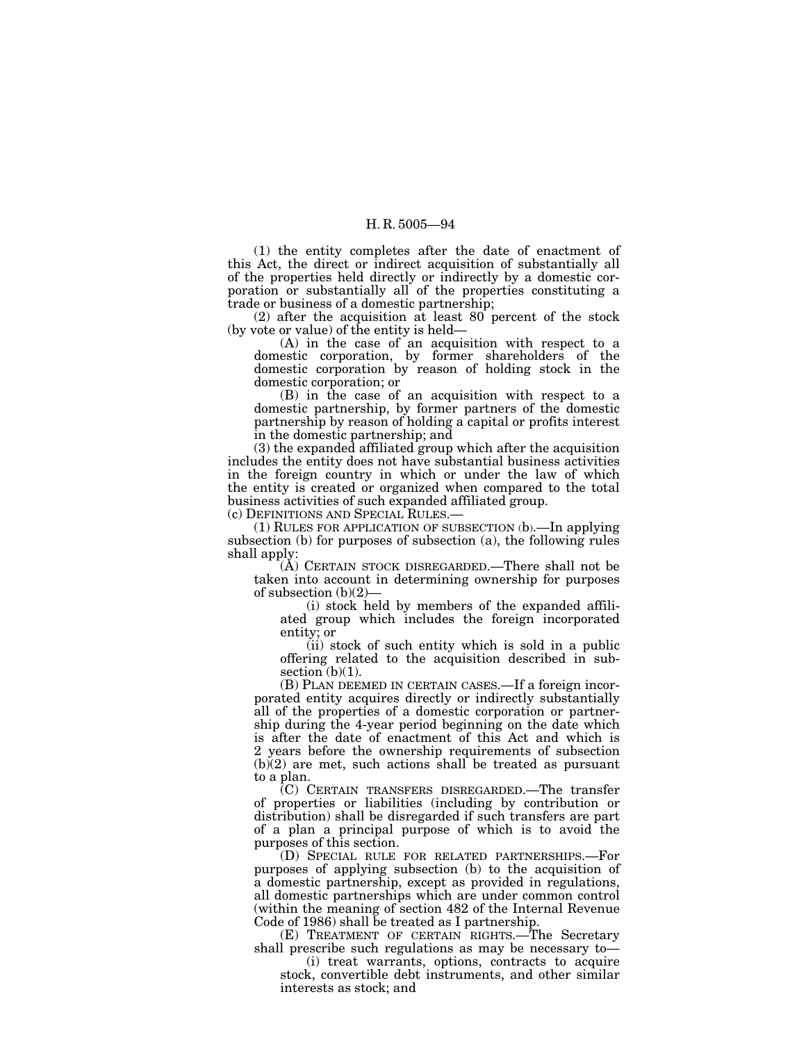(1) the entity completes after the date of enactment of this Act, the direct or indirect acquisition of substantially all of the properties held directly or indirectly by a domestic corporation or substantially all of the properties constituting a trade or business of a domestic partnership;

(2) after the acquisition at least 80 percent of the stock (by vote or value) of the entity is held—

(A) in the case of an acquisition with respect to a domestic corporation, by former shareholders of the domestic corporation by reason of holding stock in the domestic corporation; or

(B) in the case of an acquisition with respect to a domestic partnership, by former partners of the domestic partnership by reason of holding a capital or profits interest in the domestic partnership; and

(3) the expanded affiliated group which after the acquisition includes the entity does not have substantial business activities in the foreign country in which or under the law of which the entity is created or organized when compared to the total business activities of such expanded affiliated group.

(c) DEFINITIONS AND SPECIAL RULES.—

(1) RULES FOR APPLICATION OF SUBSECTION (b).—In applying subsection (b) for purposes of subsection (a), the following rules shall apply:

(A) CERTAIN STOCK DISREGARDED.—There shall not be taken into account in determining ownership for purposes of subsection  $(b)(2)$ –

(i) stock held by members of the expanded affiliated group which includes the foreign incorporated entity; or

(ii) stock of such entity which is sold in a public offering related to the acquisition described in sub $section(b)(1)$ .

(B) PLAN DEEMED IN CERTAIN CASES.—If a foreign incorporated entity acquires directly or indirectly substantially all of the properties of a domestic corporation or partnership during the 4-year period beginning on the date which is after the date of enactment of this Act and which is 2 years before the ownership requirements of subsection (b)(2) are met, such actions shall be treated as pursuant to a plan.

(C) CERTAIN TRANSFERS DISREGARDED.—The transfer of properties or liabilities (including by contribution or distribution) shall be disregarded if such transfers are part of a plan a principal purpose of which is to avoid the purposes of this section.

(D) SPECIAL RULE FOR RELATED PARTNERSHIPS.—For purposes of applying subsection (b) to the acquisition of a domestic partnership, except as provided in regulations, all domestic partnerships which are under common control (within the meaning of section 482 of the Internal Revenue Code of 1986) shall be treated as I partnership.

(E) TREATMENT OF CERTAIN RIGHTS.—The Secretary shall prescribe such regulations as may be necessary to— (i) treat warrants, options, contracts to acquire

stock, convertible debt instruments, and other similar interests as stock; and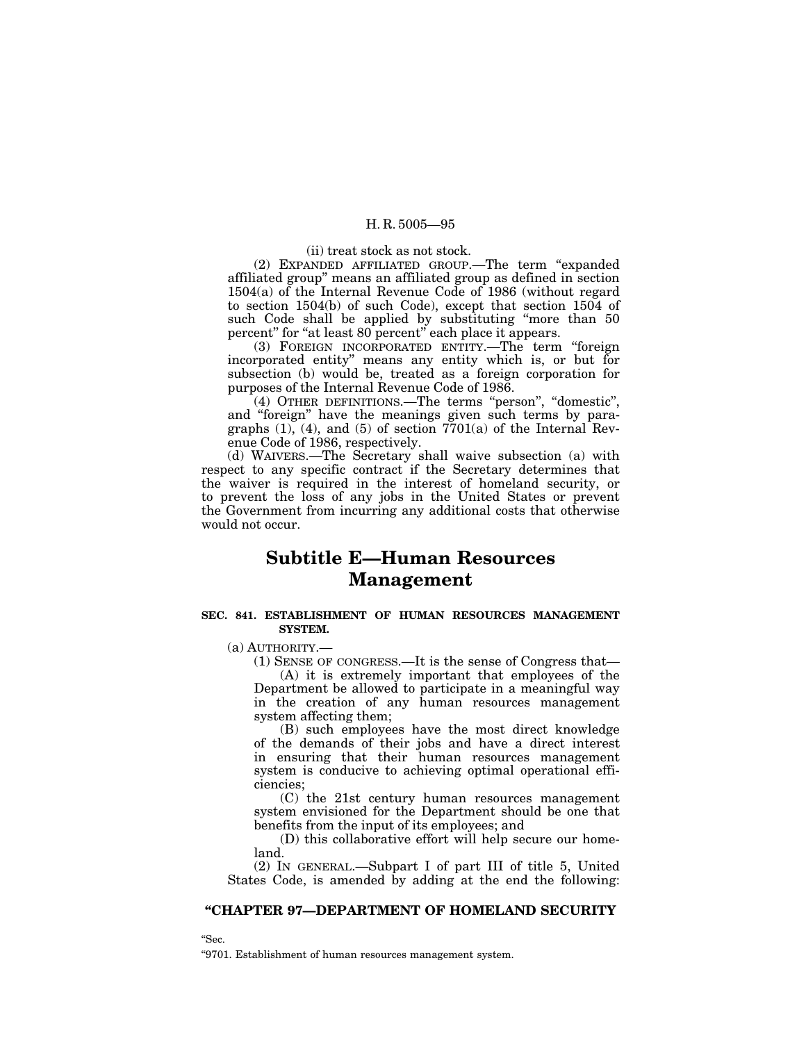(ii) treat stock as not stock.

(2) EXPANDED AFFILIATED GROUP.—The term ''expanded affiliated group'' means an affiliated group as defined in section 1504(a) of the Internal Revenue Code of 1986 (without regard to section 1504(b) of such Code), except that section 1504 of such Code shall be applied by substituting "more than 50 percent" for "at least 80 percent" each place it appears.

(3) FOREIGN INCORPORATED ENTITY.—The term ''foreign incorporated entity'' means any entity which is, or but for subsection (b) would be, treated as a foreign corporation for purposes of the Internal Revenue Code of 1986.

(4) OTHER DEFINITIONS.—The terms ''person'', ''domestic'', and ''foreign'' have the meanings given such terms by paragraphs  $(1)$ ,  $(4)$ , and  $(5)$  of section  $7701(a)$  of the Internal Revenue Code of 1986, respectively.

(d) WAIVERS.—The Secretary shall waive subsection (a) with respect to any specific contract if the Secretary determines that the waiver is required in the interest of homeland security, or to prevent the loss of any jobs in the United States or prevent the Government from incurring any additional costs that otherwise would not occur.

# **Subtitle E—Human Resources Management**

## **SEC. 841. ESTABLISHMENT OF HUMAN RESOURCES MANAGEMENT SYSTEM.**

(a) AUTHORITY.—

(1) SENSE OF CONGRESS.—It is the sense of Congress that—

(A) it is extremely important that employees of the Department be allowed to participate in a meaningful way in the creation of any human resources management system affecting them;

(B) such employees have the most direct knowledge of the demands of their jobs and have a direct interest in ensuring that their human resources management system is conducive to achieving optimal operational efficiencies;

(C) the 21st century human resources management system envisioned for the Department should be one that benefits from the input of its employees; and

(D) this collaborative effort will help secure our homeland.

(2) IN GENERAL.—Subpart I of part III of title 5, United States Code, is amended by adding at the end the following:

## **''CHAPTER 97—DEPARTMENT OF HOMELAND SECURITY**

''Sec.

''9701. Establishment of human resources management system.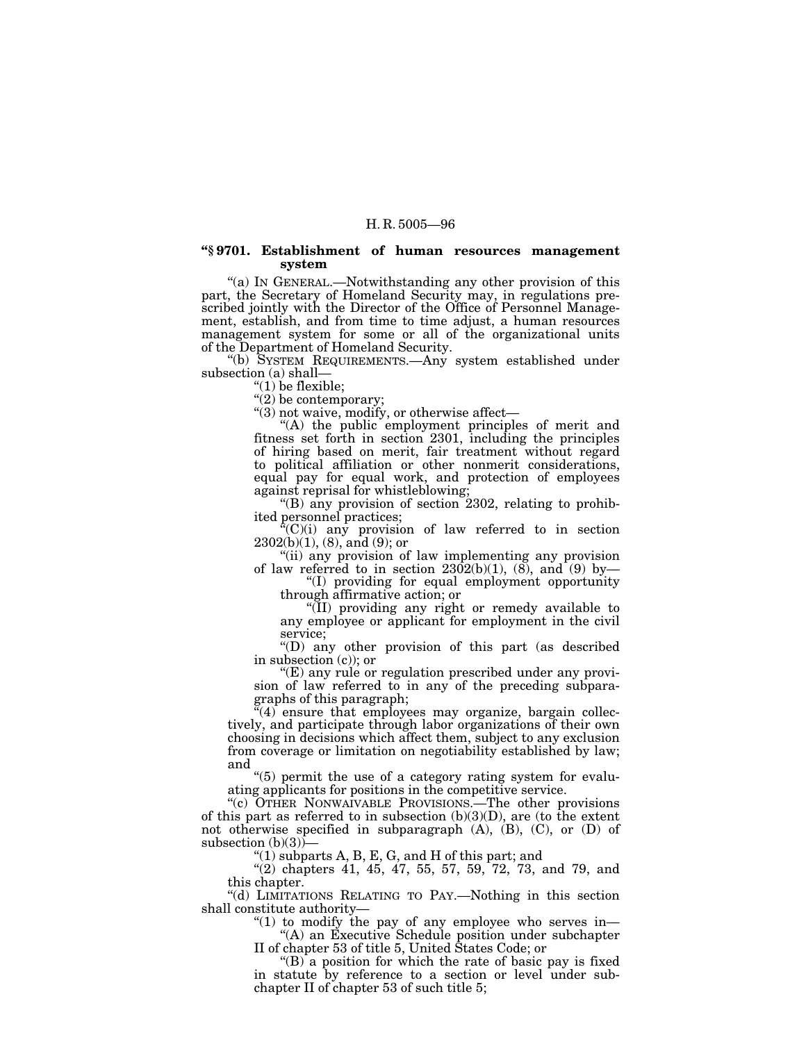## **''§ 9701. Establishment of human resources management system**

''(a) IN GENERAL.—Notwithstanding any other provision of this part, the Secretary of Homeland Security may, in regulations prescribed jointly with the Director of the Office of Personnel Management, establish, and from time to time adjust, a human resources management system for some or all of the organizational units of the Department of Homeland Security.

"(b) SYSTEM REQUIREMENTS.—Any system established under subsection (a) shall—<br>"(1) be flexible:

"(2) be contemporary;<br>"(3) not waive, modify, or otherwise affect—

''(3) not waive, modify, or otherwise affect— ''(A) the public employment principles of merit and fitness set forth in section 2301, including the principles of hiring based on merit, fair treatment without regard to political affiliation or other nonmerit considerations, equal pay for equal work, and protection of employees

against reprisal for whistleblowing;<br>"(B) any provision of section 2302, relating to prohib-

ited personnel practices;<br>"(C)(i) any provision of law referred to in section  $2302(b)(1)$ , (8), and (9); or  $2302(b)(1)$ , (8), and (9); or  $\degree$  ''(ii) any provision of law implementing any provision

of law referred to in section  $2302(b)(1)$ , (8), and (9) by—<br>"(I) providing for equal employment opportunity"

through affirmative action; or  $\frac{1}{2}$  (II) providing any right or remedy available to

any employee or applicant for employment in the civil service;

"(D) any other provision of this part (as described in subsection (c)); or

 $f(E)$  any rule or regulation prescribed under any provision of law referred to in any of the preceding subparagraphs of this paragraph;

 $(4)$  ensure that employees may organize, bargain collectively, and participate through labor organizations of their own choosing in decisions which affect them, subject to any exclusion from coverage or limitation on negotiability established by law; and  $\degree$ (5) permit the use of a category rating system for evalu-

ating applicants for positions in the competitive service.

''(c) OTHER NONWAIVABLE PROVISIONS.—The other provisions of this part as referred to in subsection  $(b)(3)(D)$ , are (to the extent not otherwise specified in subparagraph  $(A)$ ,  $(B)$ ,  $(C)$ , or  $(D)$  of subsection  $(b)(3)$ 

 $f(1)$  subparts A, B, E, G, and H of this part; and

''(2) chapters 41, 45, 47, 55, 57, 59, 72, 73, and 79, and this chapter.

''(d) LIMITATIONS RELATING TO PAY.—Nothing in this section shall constitute authority—

" $(1)$  to modify the pay of any employee who serves in-

''(A) an Executive Schedule position under subchapter II of chapter 53 of title 5, United States Code; or

" $(B)$  a position for which the rate of basic pay is fixed in statute by reference to a section or level under subchapter II of chapter 53 of such title 5;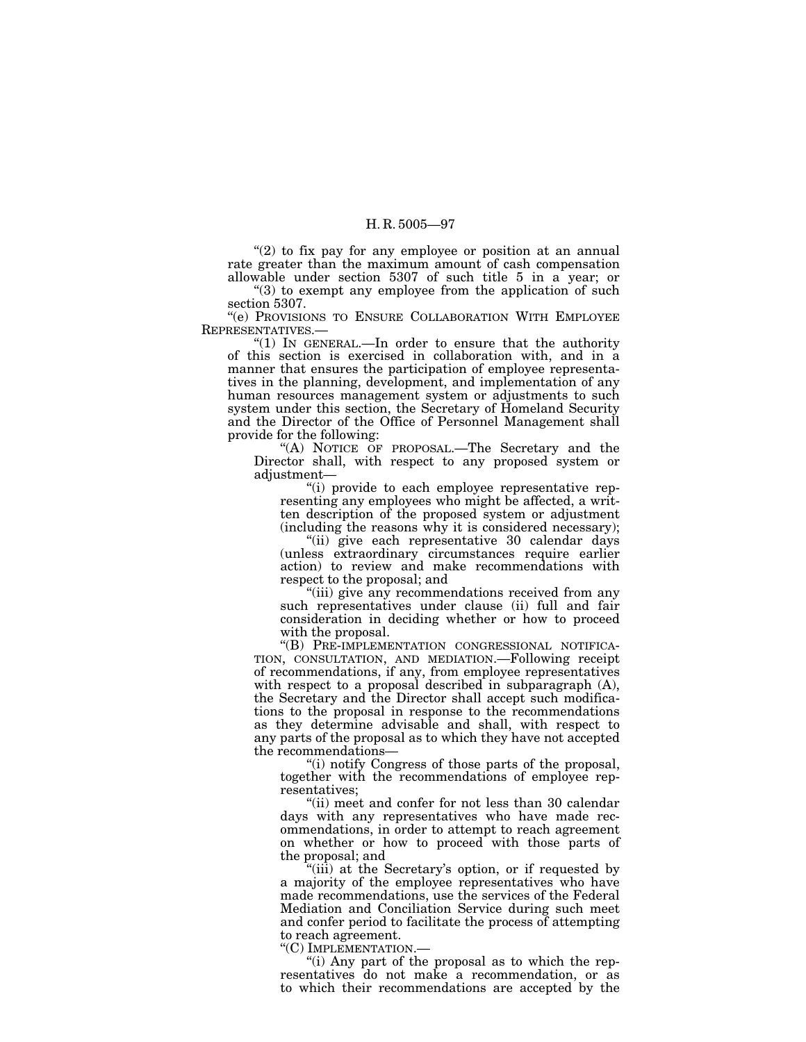" $(2)$  to fix pay for any employee or position at an annual rate greater than the maximum amount of cash compensation allowable under section 5307 of such title 5 in a year; or

 $\degree$ (3) to exempt any employee from the application of such section 5307.

''(e) PROVISIONS TO ENSURE COLLABORATION WITH EMPLOYEE REPRESENTATIVES.—

" $(1)$  In GENERAL.—In order to ensure that the authority of this section is exercised in collaboration with, and in a manner that ensures the participation of employee representatives in the planning, development, and implementation of any human resources management system or adjustments to such system under this section, the Secretary of Homeland Security and the Director of the Office of Personnel Management shall provide for the following:

''(A) NOTICE OF PROPOSAL.—The Secretary and the Director shall, with respect to any proposed system or adjustment—

''(i) provide to each employee representative representing any employees who might be affected, a written description of the proposed system or adjustment (including the reasons why it is considered necessary);

"(ii) give each representative 30 calendar days (unless extraordinary circumstances require earlier action) to review and make recommendations with respect to the proposal; and

"(iii) give any recommendations received from any such representatives under clause (ii) full and fair consideration in deciding whether or how to proceed with the proposal.

''(B) PRE-IMPLEMENTATION CONGRESSIONAL NOTIFICA-TION, CONSULTATION, AND MEDIATION.—Following receipt of recommendations, if any, from employee representatives with respect to a proposal described in subparagraph (A), the Secretary and the Director shall accept such modifications to the proposal in response to the recommendations as they determine advisable and shall, with respect to any parts of the proposal as to which they have not accepted the recommendations—

''(i) notify Congress of those parts of the proposal, together with the recommendations of employee representatives;

''(ii) meet and confer for not less than 30 calendar days with any representatives who have made recommendations, in order to attempt to reach agreement on whether or how to proceed with those parts of the proposal; and

"(iii) at the Secretary's option, or if requested by a majority of the employee representatives who have made recommendations, use the services of the Federal Mediation and Conciliation Service during such meet and confer period to facilitate the process of attempting to reach agreement.

''(C) IMPLEMENTATION.—

"(i) Any part of the proposal as to which the representatives do not make a recommendation, or as to which their recommendations are accepted by the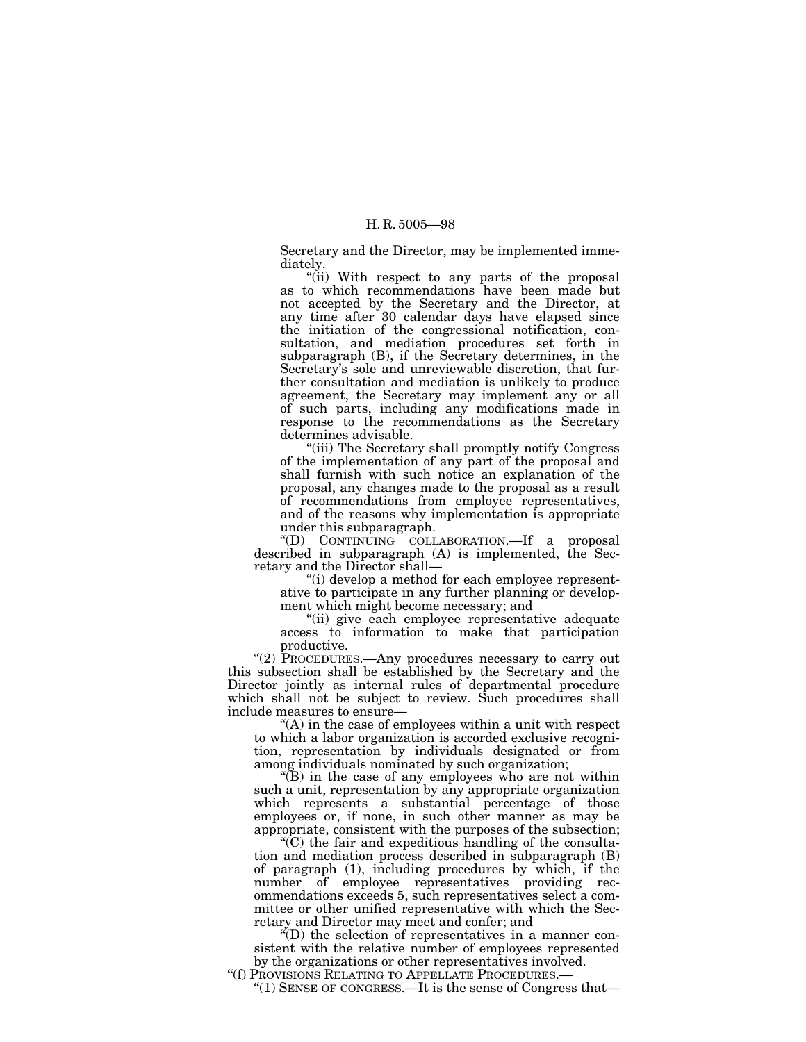Secretary and the Director, may be implemented immediately.

"(ii) With respect to any parts of the proposal as to which recommendations have been made but not accepted by the Secretary and the Director, at any time after 30 calendar days have elapsed since the initiation of the congressional notification, consultation, and mediation procedures set forth in subparagraph (B), if the Secretary determines, in the Secretary's sole and unreviewable discretion, that further consultation and mediation is unlikely to produce agreement, the Secretary may implement any or all of such parts, including any modifications made in response to the recommendations as the Secretary determines advisable.

''(iii) The Secretary shall promptly notify Congress of the implementation of any part of the proposal and shall furnish with such notice an explanation of the proposal, any changes made to the proposal as a result of recommendations from employee representatives, and of the reasons why implementation is appropriate under this subparagraph.

''(D) CONTINUING COLLABORATION.—If a proposal described in subparagraph (A) is implemented, the Secretary and the Director shall—

''(i) develop a method for each employee representative to participate in any further planning or development which might become necessary; and

''(ii) give each employee representative adequate access to information to make that participation productive.

''(2) PROCEDURES.—Any procedures necessary to carry out this subsection shall be established by the Secretary and the Director jointly as internal rules of departmental procedure which shall not be subject to review. Such procedures shall include measures to ensure—

 $f(A)$  in the case of employees within a unit with respect to which a labor organization is accorded exclusive recognition, representation by individuals designated or from among individuals nominated by such organization;

''(B) in the case of any employees who are not within such a unit, representation by any appropriate organization which represents a substantial percentage of those employees or, if none, in such other manner as may be appropriate, consistent with the purposes of the subsection;

 $C$ ) the fair and expeditious handling of the consultation and mediation process described in subparagraph (B) of paragraph (1), including procedures by which, if the number of employee representatives providing recommendations exceeds 5, such representatives select a committee or other unified representative with which the Sec-

 $\tilde{\rm F}(D)$  the selection of representatives in a manner consistent with the relative number of employees represented by the organizations or other representatives involved.<br>"(f) PROVISIONS RELATING TO APPELLATE PROCEDURES.—

"(1) SENSE OF CONGRESS.—It is the sense of Congress that—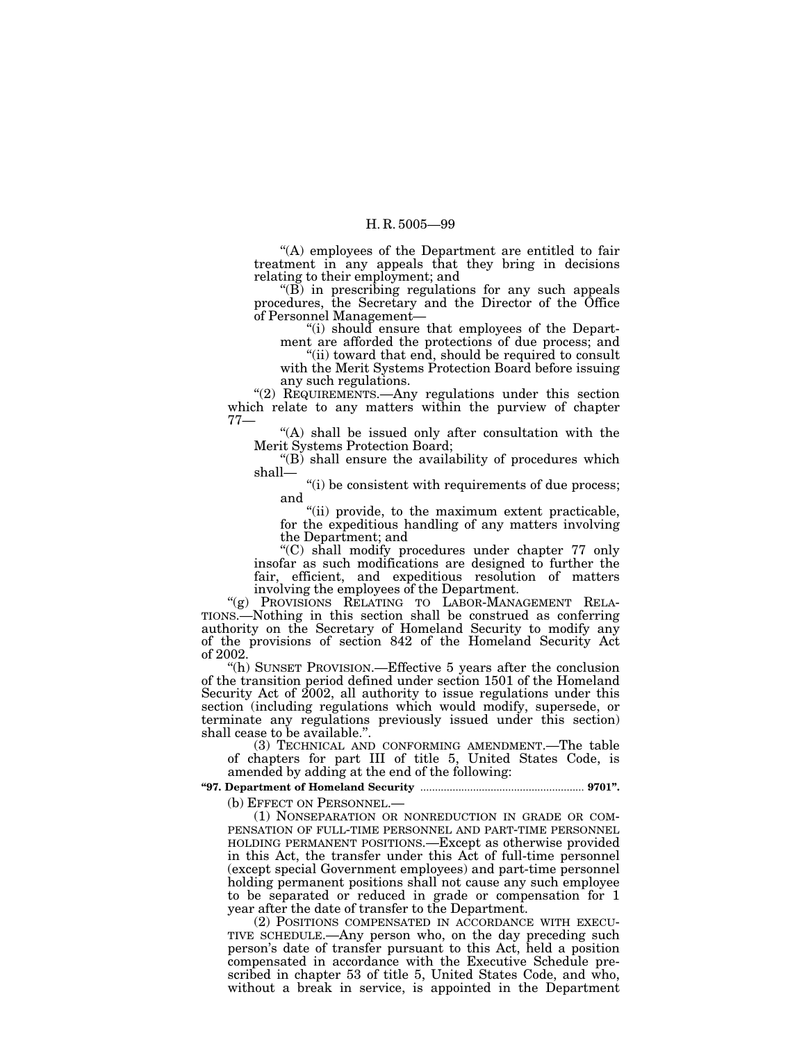''(A) employees of the Department are entitled to fair treatment in any appeals that they bring in decisions

" $(B)$  in prescribing regulations for any such appeals procedures, the Secretary and the Director of the Office

"(i) should ensure that employees of the Depart-<br>ment are afforded the protections of due process; and

"(ii) toward that end, should be required to consult with the Merit Systems Protection Board before issuing any such regulations.

"(2) REQUIREMENTS.—Any regulations under this section which relate to any matters within the purview of chapter  $77-$ 

"(A) shall be issued only after consultation with the Merit Systems Protection Board;

"(B) shall ensure the availability of procedures which shall  $-$ 

 $\lq\lq$  (i) be consistent with requirements of due process; and

"(ii) provide, to the maximum extent practicable, for the expeditious handling of any matters involving the Department; and

''(C) shall modify procedures under chapter 77 only insofar as such modifications are designed to further the fair, efficient, and expeditious resolution of matters involving the employees of the Department.

involving the employees of the Department. ''(g) PROVISIONS RELATING TO LABOR-MANAGEMENT RELA- TIONS.—Nothing in this section shall be construed as conferring authority on the Secretary of Homeland Security to modify any of the provisions of section 842 of the Homeland Security Act

"(h) SUNSET PROVISION.—Effective 5 years after the conclusion of the transition period defined under section 1501 of the Homeland Security Act of 2002, all authority to issue regulations under this section (including regulations which would modify, supersede, or terminate any regulations previously issued under this section)

(3) TECHNICAL AND CONFORMING AMENDMENT.—The table of chapters for part III of title 5, United States Code, is amended by adding at the end of the following:

## **''97. Department of Homeland Security** ........................................................ **9701''.**

(b) EFFECT ON PERSONNEL.—<br>(1) NONSEPARATION OR NONREDUCTION IN GRADE OR COM-<br>PENSATION OF FULL-TIME PERSONNEL AND PART-TIME PERSONNEL HOLDING PERMANENT POSITIONS.—Except as otherwise provided in this Act, the transfer under this Act of full-time personnel (except special Government employees) and part-time personnel holding permanent positions shall not cause any such employee to be separated or reduced in grade or compensation for 1 year after the date of transfer to the Department.

(2) POSITIONS COMPENSATED IN ACCORDANCE WITH EXECU-TIVE SCHEDULE.—Any person who, on the day preceding such person's date of transfer pursuant to this Act, held a position compensated in accordance with the Executive Schedule prescribed in chapter 53 of title 5, United States Code, and who, without a break in service, is appointed in the Department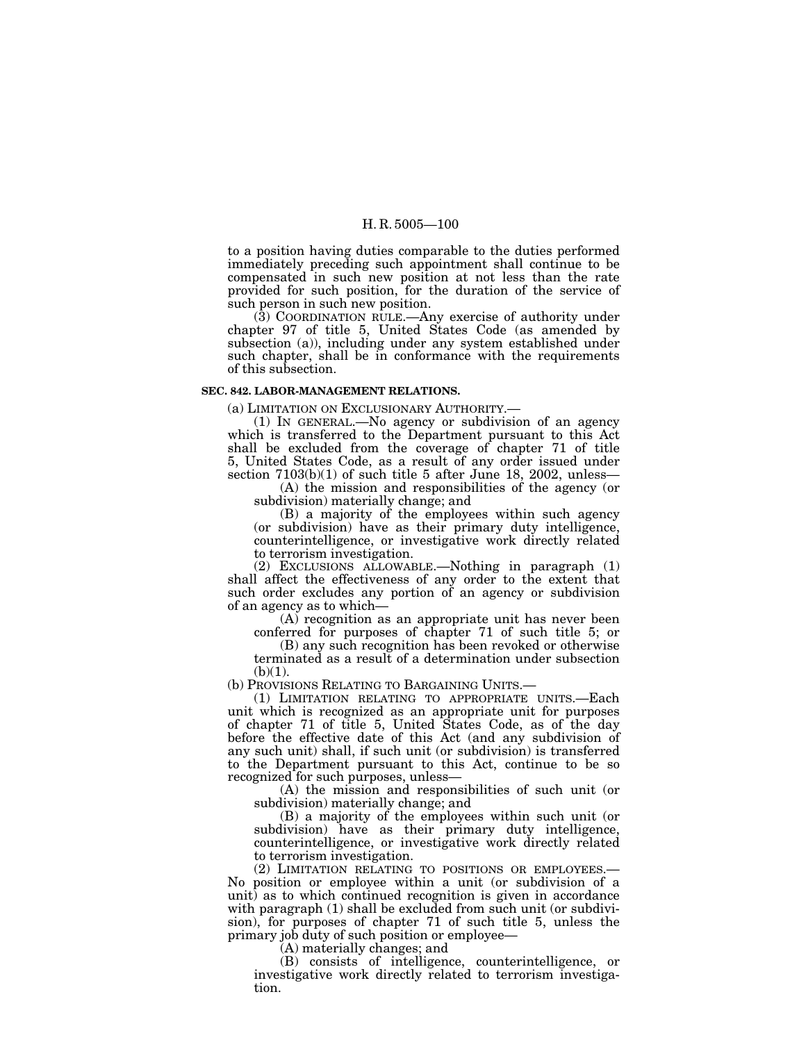to a position having duties comparable to the duties performed immediately preceding such appointment shall continue to be compensated in such new position at not less than the rate provided for such position, for the duration of the service of such person in such new position.

(3) COORDINATION RULE.—Any exercise of authority under chapter 97 of title 5, United States Code (as amended by subsection (a)), including under any system established under such chapter, shall be in conformance with the requirements of this subsection.

#### **SEC. 842. LABOR-MANAGEMENT RELATIONS.**

(a) LIMITATION ON EXCLUSIONARY AUTHORITY.—

(1) IN GENERAL.—No agency or subdivision of an agency which is transferred to the Department pursuant to this Act shall be excluded from the coverage of chapter 71 of title 5, United States Code, as a result of any order issued under section  $7103(b)(1)$  of such title 5 after June 18, 2002, unless—

(A) the mission and responsibilities of the agency (or subdivision) materially change; and

(B) a majority of the employees within such agency (or subdivision) have as their primary duty intelligence, counterintelligence, or investigative work directly related to terrorism investigation.

(2) EXCLUSIONS ALLOWABLE.—Nothing in paragraph (1) shall affect the effectiveness of any order to the extent that such order excludes any portion of an agency or subdivision of an agency as to which—

(A) recognition as an appropriate unit has never been conferred for purposes of chapter 71 of such title 5; or

(B) any such recognition has been revoked or otherwise terminated as a result of a determination under subsection  $(b)(1)$ .

(b) PROVISIONS RELATING TO BARGAINING UNITS.—

(1) LIMITATION RELATING TO APPROPRIATE UNITS.—Each unit which is recognized as an appropriate unit for purposes of chapter 71 of title 5, United States Code, as of the day before the effective date of this Act (and any subdivision of any such unit) shall, if such unit (or subdivision) is transferred to the Department pursuant to this Act, continue to be so recognized for such purposes, unless—

(A) the mission and responsibilities of such unit (or subdivision) materially change; and

(B) a majority of the employees within such unit (or subdivision) have as their primary duty intelligence, counterintelligence, or investigative work directly related to terrorism investigation.

(2) LIMITATION RELATING TO POSITIONS OR EMPLOYEES.— No position or employee within a unit (or subdivision of a unit) as to which continued recognition is given in accordance with paragraph (1) shall be excluded from such unit (or subdivision), for purposes of chapter 71 of such title 5, unless the primary job duty of such position or employee—

(A) materially changes; and

(B) consists of intelligence, counterintelligence, or investigative work directly related to terrorism investigation.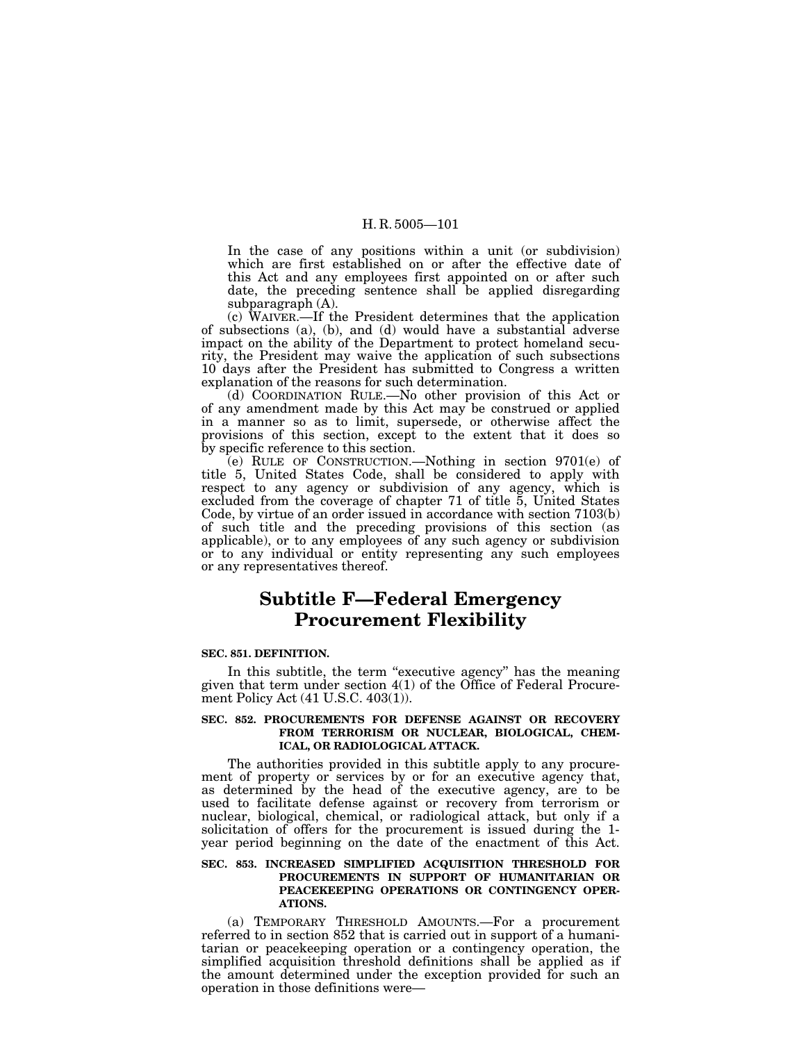In the case of any positions within a unit (or subdivision) which are first established on or after the effective date of this Act and any employees first appointed on or after such date, the preceding sentence shall be applied disregarding subparagraph (A).

(c) WAIVER.—If the President determines that the application of subsections (a), (b), and (d) would have a substantial adverse impact on the ability of the Department to protect homeland security, the President may waive the application of such subsections 10 days after the President has submitted to Congress a written explanation of the reasons for such determination.

(d) COORDINATION RULE.—No other provision of this Act or of any amendment made by this Act may be construed or applied in a manner so as to limit, supersede, or otherwise affect the provisions of this section, except to the extent that it does so by specific reference to this section.

(e) RULE OF CONSTRUCTION.—Nothing in section 9701(e) of title 5, United States Code, shall be considered to apply with respect to any agency or subdivision of any agency, which is excluded from the coverage of chapter 71 of title 5, United States Code, by virtue of an order issued in accordance with section 7103(b) of such title and the preceding provisions of this section (as applicable), or to any employees of any such agency or subdivision or to any individual or entity representing any such employees or any representatives thereof.

# **Subtitle F—Federal Emergency Procurement Flexibility**

## **SEC. 851. DEFINITION.**

In this subtitle, the term "executive agency" has the meaning given that term under section 4(1) of the Office of Federal Procurement Policy Act (41 U.S.C. 403(1)).

#### **SEC. 852. PROCUREMENTS FOR DEFENSE AGAINST OR RECOVERY FROM TERRORISM OR NUCLEAR, BIOLOGICAL, CHEM-ICAL, OR RADIOLOGICAL ATTACK.**

The authorities provided in this subtitle apply to any procurement of property or services by or for an executive agency that, as determined by the head of the executive agency, are to be used to facilitate defense against or recovery from terrorism or nuclear, biological, chemical, or radiological attack, but only if a solicitation of offers for the procurement is issued during the 1 year period beginning on the date of the enactment of this Act.

#### **SEC. 853. INCREASED SIMPLIFIED ACQUISITION THRESHOLD FOR PROCUREMENTS IN SUPPORT OF HUMANITARIAN OR PEACEKEEPING OPERATIONS OR CONTINGENCY OPER-ATIONS.**

(a) TEMPORARY THRESHOLD AMOUNTS.—For a procurement referred to in section 852 that is carried out in support of a humanitarian or peacekeeping operation or a contingency operation, the simplified acquisition threshold definitions shall be applied as if the amount determined under the exception provided for such an operation in those definitions were—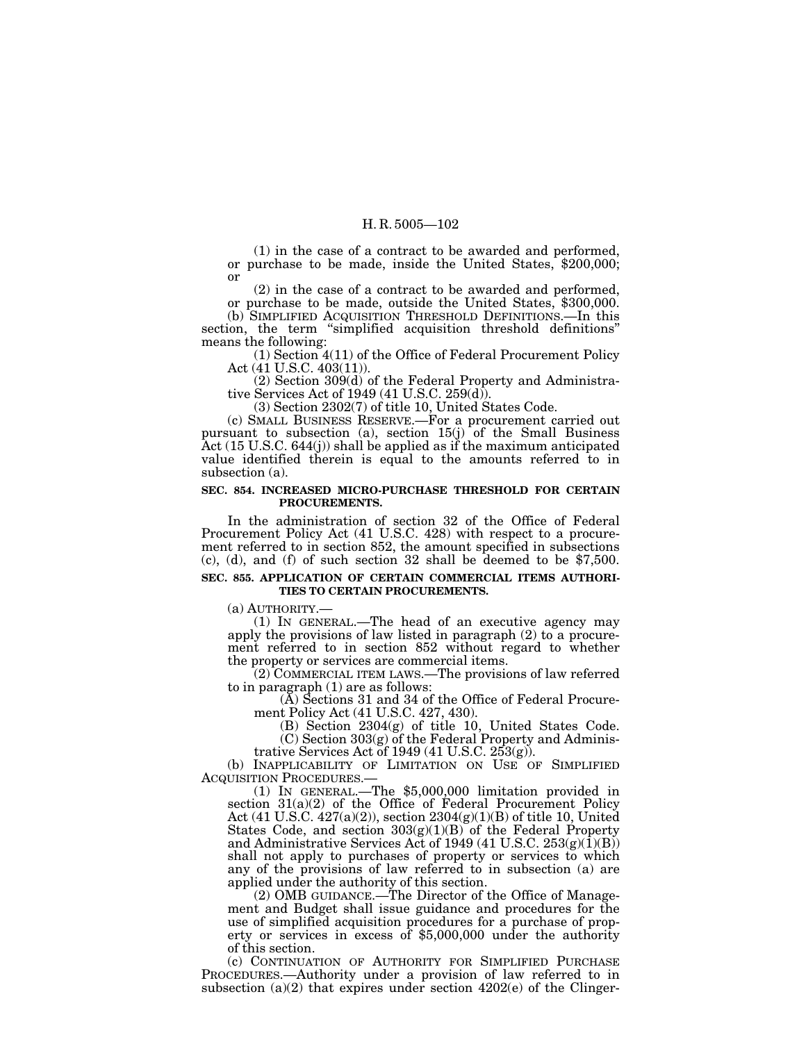(1) in the case of a contract to be awarded and performed, or purchase to be made, inside the United States, \$200,000; or

(2) in the case of a contract to be awarded and performed, or purchase to be made, outside the United States, \$300,000.

(b) SIMPLIFIED ACQUISITION THRESHOLD DEFINITIONS.—In this section, the term "simplified acquisition threshold definitions" means the following:

(1) Section 4(11) of the Office of Federal Procurement Policy Act (41 U.S.C. 403(11)).

(2) Section 309(d) of the Federal Property and Administrative Services Act of 1949 (41 U.S.C. 259(d)).

(3) Section 2302(7) of title 10, United States Code.

(c) SMALL BUSINESS RESERVE.—For a procurement carried out pursuant to subsection (a), section  $15(j)$  of the Small Business Act (15 U.S.C. 644(j)) shall be applied as if the maximum anticipated value identified therein is equal to the amounts referred to in subsection (a).

#### **SEC. 854. INCREASED MICRO-PURCHASE THRESHOLD FOR CERTAIN PROCUREMENTS.**

In the administration of section 32 of the Office of Federal Procurement Policy Act (41 U.S.C. 428) with respect to a procurement referred to in section 852, the amount specified in subsections (c), (d), and (f) of such section 32 shall be deemed to be \$7,500.

### **SEC. 855. APPLICATION OF CERTAIN COMMERCIAL ITEMS AUTHORI-TIES TO CERTAIN PROCUREMENTS.**

(a) AUTHORITY.— (1) IN GENERAL.—The head of an executive agency may apply the provisions of law listed in paragraph (2) to a procurement referred to in section 852 without regard to whether the property or services are commercial items.

(2) COMMERCIAL ITEM LAWS.—The provisions of law referred to in paragraph (1) are as follows:

(A) Sections 31 and 34 of the Office of Federal Procurement Policy Act (41 U.S.C. 427, 430).

(B) Section 2304(g) of title 10, United States Code. (C) Section 303(g) of the Federal Property and Adminis-

trative Services Act of 1949 (41 U.S.C. 253(g)). (b) INAPPLICABILITY OF LIMITATION ON USE OF SIMPLIFIED

ACQUISITION PROCEDURES.— (1) IN GENERAL.—The \$5,000,000 limitation provided in

section  $31(a)(2)$  of the Office of Federal Procurement Policy Act (41 U.S.C. 427(a)(2)), section 2304(g)(1)(B) of title 10, United States Code, and section  $303(g)(1)(B)$  of the Federal Property and Administrative Services Act of 1949 (41 U.S.C.  $253(g)(1)(B)$ ) shall not apply to purchases of property or services to which any of the provisions of law referred to in subsection (a) are applied under the authority of this section.

(2) OMB GUIDANCE.—The Director of the Office of Management and Budget shall issue guidance and procedures for the use of simplified acquisition procedures for a purchase of property or services in excess of \$5,000,000 under the authority of this section.

(c) CONTINUATION OF AUTHORITY FOR SIMPLIFIED PURCHASE PROCEDURES.—Authority under a provision of law referred to in subsection  $(a)(2)$  that expires under section  $4202(e)$  of the Clinger-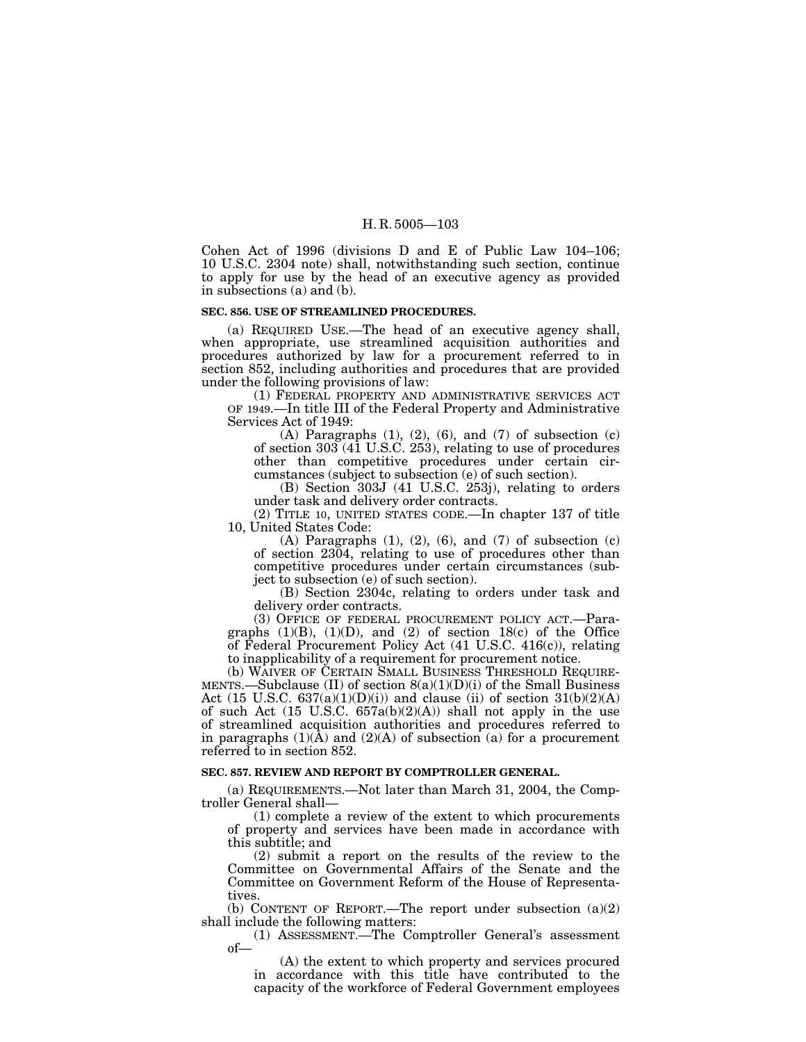Cohen Act of 1996 (divisions D and E of Public Law 104–106; 10 U.S.C. 2304 note) shall, notwithstanding such section, continue to apply for use by the head of an executive agency as provided in subsections (a) and (b).

## **SEC. 856. USE OF STREAMLINED PROCEDURES.**

(a) REQUIRED USE.—The head of an executive agency shall, when appropriate, use streamlined acquisition authorities and procedures authorized by law for a procurement referred to in section 852, including authorities and procedures that are provided under the following provisions of law:

(1) FEDERAL PROPERTY AND ADMINISTRATIVE SERVICES ACT OF 1949.—In title III of the Federal Property and Administrative Services Act of 1949:

(A) Paragraphs  $(1)$ ,  $(2)$ ,  $(6)$ , and  $(7)$  of subsection  $(c)$ of section 303 (41 U.S.C. 253), relating to use of procedures other than competitive procedures under certain circumstances (subject to subsection (e) of such section).

(B) Section 303J (41 U.S.C. 253j), relating to orders under task and delivery order contracts.

(2) TITLE 10, UNITED STATES CODE.—In chapter 137 of title 10, United States Code:

(A) Paragraphs  $(1)$ ,  $(2)$ ,  $(6)$ , and  $(7)$  of subsection  $(c)$ of section 2304, relating to use of procedures other than competitive procedures under certain circumstances (subject to subsection (e) of such section).

(B) Section 2304c, relating to orders under task and delivery order contracts.

(3) OFFICE OF FEDERAL PROCUREMENT POLICY ACT.—Paragraphs  $(1)(B)$ ,  $(1)(D)$ , and  $(2)$  of section  $18(c)$  of the Office of Federal Procurement Policy Act (41 U.S.C. 416(c)), relating to inapplicability of a requirement for procurement notice.

(b) WAIVER OF CERTAIN SMALL BUSINESS THRESHOLD REQUIRE-MENTS.—Subclause  $(II)$  of section  $8(a)(1)(D)(i)$  of the Small Business Act (15 U.S.C.  $637(a)(1)(D)(i)$ ) and clause (ii) of section  $31(b)(2)(A)$ of such Act (15 U.S.C.  $657a(b)(2)(A)$ ) shall not apply in the use of streamlined acquisition authorities and procedures referred to in paragraphs  $(1)(\hat{A})$  and  $(2)(A)$  of subsection  $(a)$  for a procurement referred to in section 852.

### **SEC. 857. REVIEW AND REPORT BY COMPTROLLER GENERAL.**

(a) REQUIREMENTS.—Not later than March 31, 2004, the Comptroller General shall—

(1) complete a review of the extent to which procurements of property and services have been made in accordance with this subtitle; and

(2) submit a report on the results of the review to the Committee on Governmental Affairs of the Senate and the Committee on Government Reform of the House of Representatives.

(b) CONTENT OF REPORT.—The report under subsection (a)(2) shall include the following matters:

(1) ASSESSMENT.—The Comptroller General's assessment of—

(A) the extent to which property and services procured in accordance with this title have contributed to the capacity of the workforce of Federal Government employees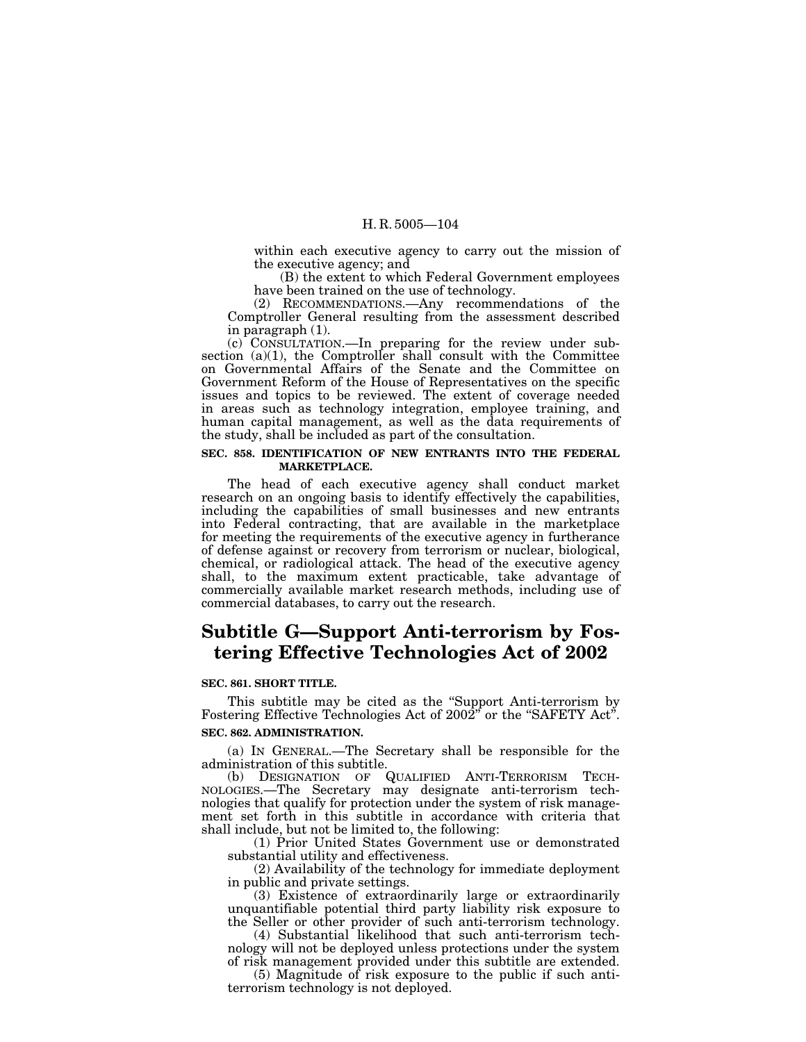within each executive agency to carry out the mission of the executive agency; and

(B) the extent to which Federal Government employees have been trained on the use of technology.

(2) RECOMMENDATIONS.—Any recommendations of the Comptroller General resulting from the assessment described in paragraph (1).

(c) CONSULTATION.—In preparing for the review under subsection  $(a)(1)$ , the Comptroller shall consult with the Committee on Governmental Affairs of the Senate and the Committee on Government Reform of the House of Representatives on the specific issues and topics to be reviewed. The extent of coverage needed in areas such as technology integration, employee training, and human capital management, as well as the data requirements of the study, shall be included as part of the consultation.

#### **SEC. 858. IDENTIFICATION OF NEW ENTRANTS INTO THE FEDERAL MARKETPLACE.**

The head of each executive agency shall conduct market research on an ongoing basis to identify effectively the capabilities, including the capabilities of small businesses and new entrants into Federal contracting, that are available in the marketplace for meeting the requirements of the executive agency in furtherance of defense against or recovery from terrorism or nuclear, biological, chemical, or radiological attack. The head of the executive agency shall, to the maximum extent practicable, take advantage of commercially available market research methods, including use of commercial databases, to carry out the research.

## **Subtitle G—Support Anti-terrorism by Fostering Effective Technologies Act of 2002**

#### **SEC. 861. SHORT TITLE.**

This subtitle may be cited as the ''Support Anti-terrorism by Fostering Effective Technologies Act of 2002" or the "SAFETY Act".

## **SEC. 862. ADMINISTRATION.**

(a) IN GENERAL.—The Secretary shall be responsible for the administration of this subtitle.

(b) DESIGNATION OF QUALIFIED ANTI-TERRORISM TECH-NOLOGIES.—The Secretary may designate anti-terrorism technologies that qualify for protection under the system of risk management set forth in this subtitle in accordance with criteria that shall include, but not be limited to, the following:

(1) Prior United States Government use or demonstrated substantial utility and effectiveness.

(2) Availability of the technology for immediate deployment in public and private settings.

(3) Existence of extraordinarily large or extraordinarily unquantifiable potential third party liability risk exposure to the Seller or other provider of such anti-terrorism technology.

(4) Substantial likelihood that such anti-terrorism technology will not be deployed unless protections under the system

of risk management provided under this subtitle are extended. (5) Magnitude of risk exposure to the public if such antiterrorism technology is not deployed.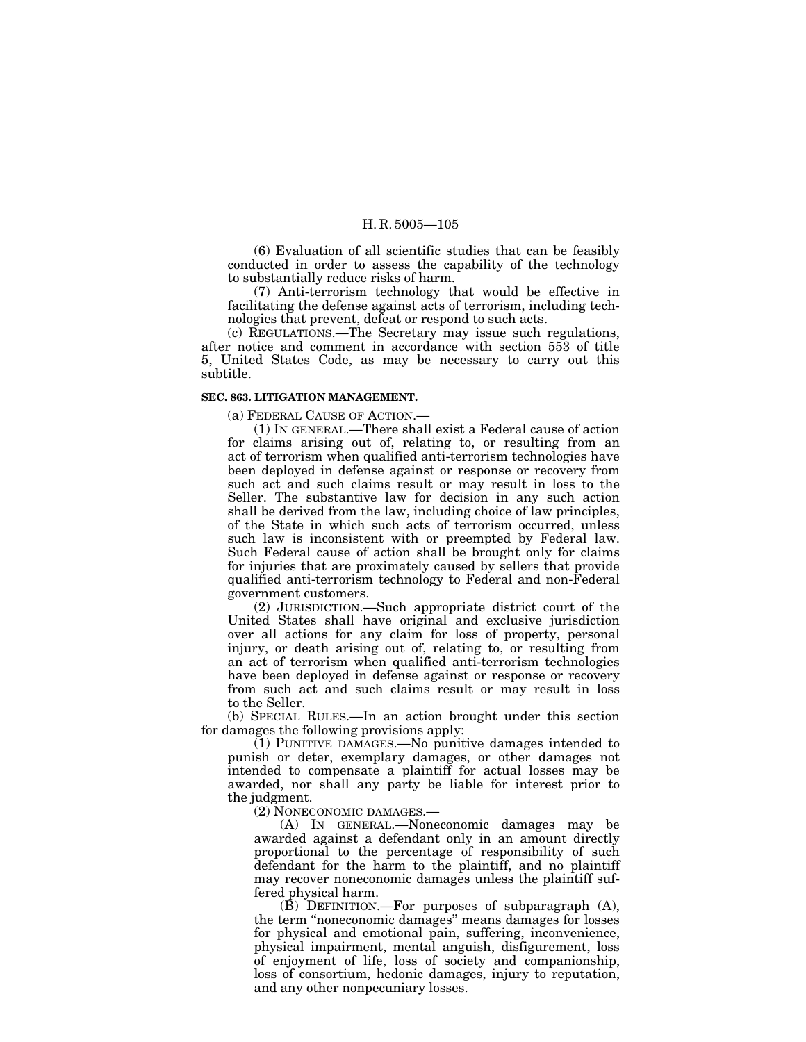(6) Evaluation of all scientific studies that can be feasibly conducted in order to assess the capability of the technology to substantially reduce risks of harm.

(7) Anti-terrorism technology that would be effective in facilitating the defense against acts of terrorism, including technologies that prevent, defeat or respond to such acts.

(c) REGULATIONS.—The Secretary may issue such regulations, after notice and comment in accordance with section 553 of title 5, United States Code, as may be necessary to carry out this subtitle.

#### **SEC. 863. LITIGATION MANAGEMENT.**

(a) FEDERAL CAUSE OF ACTION.—

(1) IN GENERAL.—There shall exist a Federal cause of action for claims arising out of, relating to, or resulting from an act of terrorism when qualified anti-terrorism technologies have been deployed in defense against or response or recovery from such act and such claims result or may result in loss to the Seller. The substantive law for decision in any such action shall be derived from the law, including choice of law principles, of the State in which such acts of terrorism occurred, unless such law is inconsistent with or preempted by Federal law. Such Federal cause of action shall be brought only for claims for injuries that are proximately caused by sellers that provide qualified anti-terrorism technology to Federal and non-Federal government customers.

(2) JURISDICTION.—Such appropriate district court of the United States shall have original and exclusive jurisdiction over all actions for any claim for loss of property, personal injury, or death arising out of, relating to, or resulting from an act of terrorism when qualified anti-terrorism technologies have been deployed in defense against or response or recovery from such act and such claims result or may result in loss to the Seller.

(b) SPECIAL RULES.—In an action brought under this section for damages the following provisions apply:

(1) PUNITIVE DAMAGES.—No punitive damages intended to punish or deter, exemplary damages, or other damages not intended to compensate a plaintiff for actual losses may be awarded, nor shall any party be liable for interest prior to the judgment.

(2) NONECONOMIC DAMAGES.—

(A) IN GENERAL.—Noneconomic damages may be awarded against a defendant only in an amount directly proportional to the percentage of responsibility of such defendant for the harm to the plaintiff, and no plaintiff may recover noneconomic damages unless the plaintiff suffered physical harm.

(B) DEFINITION.—For purposes of subparagraph (A), the term ''noneconomic damages'' means damages for losses for physical and emotional pain, suffering, inconvenience, physical impairment, mental anguish, disfigurement, loss of enjoyment of life, loss of society and companionship, loss of consortium, hedonic damages, injury to reputation, and any other nonpecuniary losses.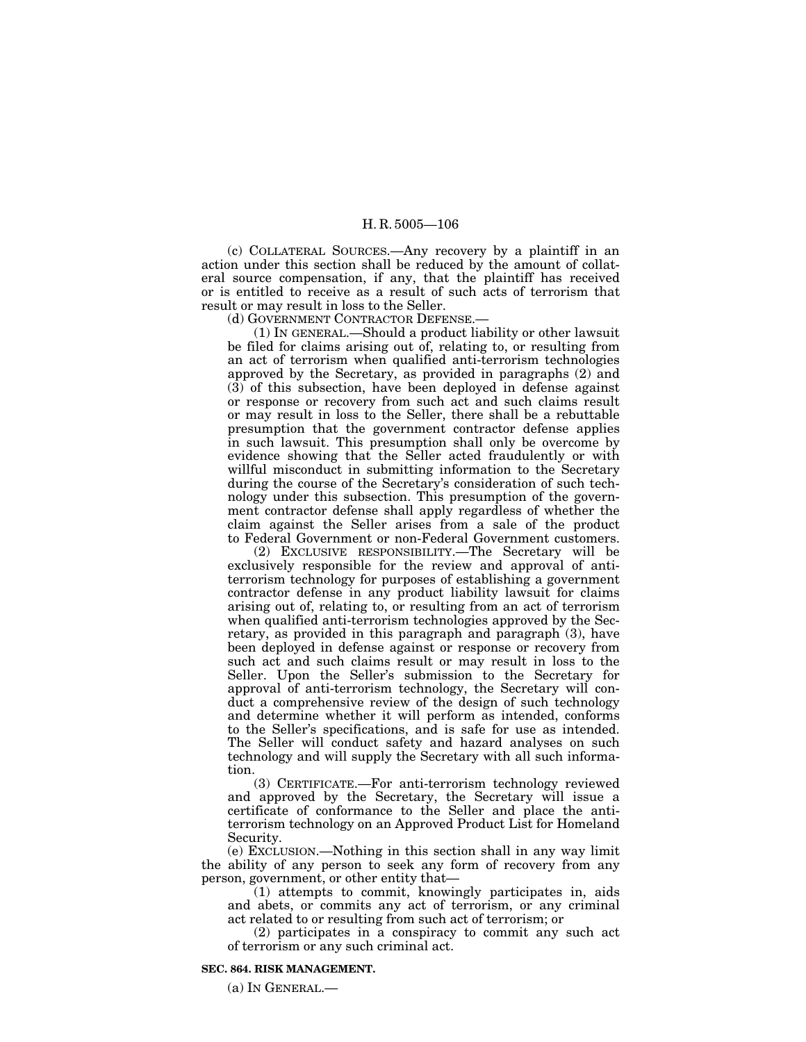(c) COLLATERAL SOURCES.—Any recovery by a plaintiff in an action under this section shall be reduced by the amount of collateral source compensation, if any, that the plaintiff has received or is entitled to receive as a result of such acts of terrorism that result or may result in loss to the Seller.

(d) GOVERNMENT CONTRACTOR DEFENSE.—

(1) IN GENERAL.—Should a product liability or other lawsuit be filed for claims arising out of, relating to, or resulting from an act of terrorism when qualified anti-terrorism technologies approved by the Secretary, as provided in paragraphs (2) and  $(3)$  of this subsection, have been deployed in defense against or response or recovery from such act and such claims result or may result in loss to the Seller, there shall be a rebuttable presumption that the government contractor defense applies in such lawsuit. This presumption shall only be overcome by evidence showing that the Seller acted fraudulently or with willful misconduct in submitting information to the Secretary during the course of the Secretary's consideration of such technology under this subsection. This presumption of the government contractor defense shall apply regardless of whether the claim against the Seller arises from a sale of the product to Federal Government or non-Federal Government customers.

(2) EXCLUSIVE RESPONSIBILITY.—The Secretary will be exclusively responsible for the review and approval of antiterrorism technology for purposes of establishing a government contractor defense in any product liability lawsuit for claims arising out of, relating to, or resulting from an act of terrorism when qualified anti-terrorism technologies approved by the Secretary, as provided in this paragraph and paragraph (3), have been deployed in defense against or response or recovery from such act and such claims result or may result in loss to the Seller. Upon the Seller's submission to the Secretary for approval of anti-terrorism technology, the Secretary will conduct a comprehensive review of the design of such technology and determine whether it will perform as intended, conforms to the Seller's specifications, and is safe for use as intended. The Seller will conduct safety and hazard analyses on such technology and will supply the Secretary with all such information.

(3) CERTIFICATE.—For anti-terrorism technology reviewed and approved by the Secretary, the Secretary will issue a certificate of conformance to the Seller and place the antiterrorism technology on an Approved Product List for Homeland Security.

(e) EXCLUSION.—Nothing in this section shall in any way limit the ability of any person to seek any form of recovery from any person, government, or other entity that—

(1) attempts to commit, knowingly participates in, aids and abets, or commits any act of terrorism, or any criminal act related to or resulting from such act of terrorism; or

(2) participates in a conspiracy to commit any such act of terrorism or any such criminal act.

#### **SEC. 864. RISK MANAGEMENT.**

(a) IN GENERAL.—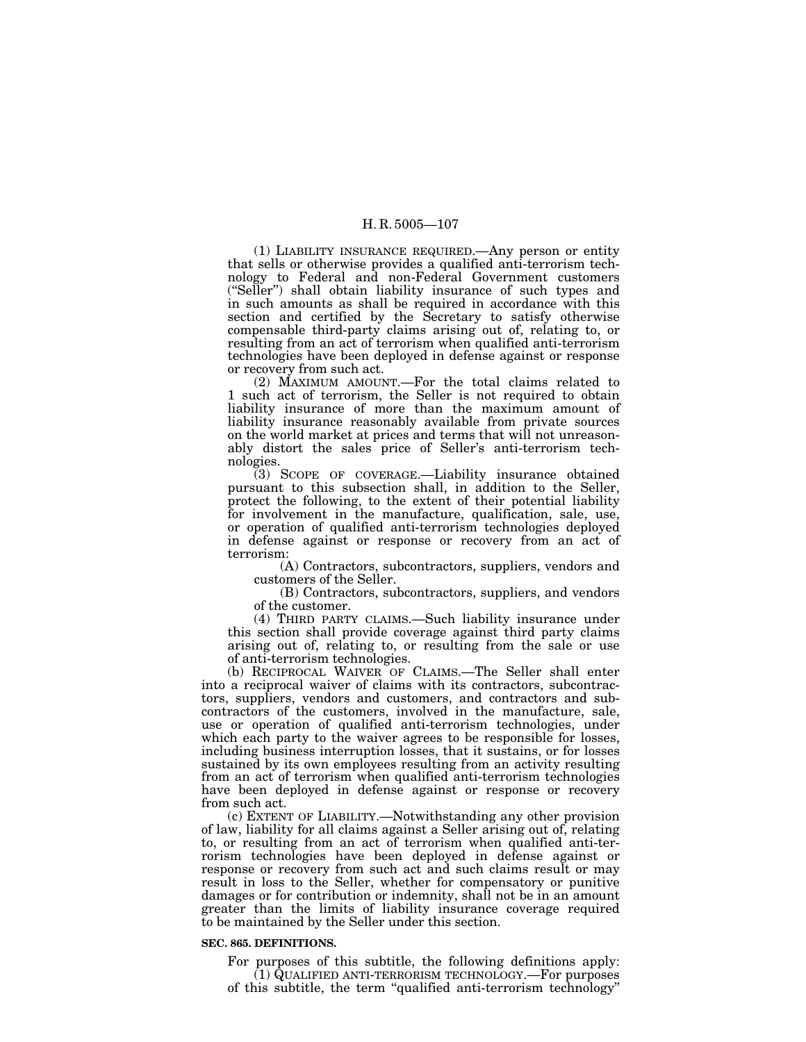(1) LIABILITY INSURANCE REQUIRED.—Any person or entity that sells or otherwise provides a qualified anti-terrorism technology to Federal and non-Federal Government customers (''Seller'') shall obtain liability insurance of such types and in such amounts as shall be required in accordance with this section and certified by the Secretary to satisfy otherwise compensable third-party claims arising out of, relating to, or resulting from an act of terrorism when qualified anti-terrorism technologies have been deployed in defense against or response or recovery from such act.

(2) MAXIMUM AMOUNT.—For the total claims related to 1 such act of terrorism, the Seller is not required to obtain liability insurance of more than the maximum amount of liability insurance reasonably available from private sources on the world market at prices and terms that will not unreasonably distort the sales price of Seller's anti-terrorism technologies.

(3) SCOPE OF COVERAGE.—Liability insurance obtained pursuant to this subsection shall, in addition to the Seller, protect the following, to the extent of their potential liability for involvement in the manufacture, qualification, sale, use, or operation of qualified anti-terrorism technologies deployed in defense against or response or recovery from an act of terrorism:

(A) Contractors, subcontractors, suppliers, vendors and customers of the Seller.

(B) Contractors, subcontractors, suppliers, and vendors of the customer.

(4) THIRD PARTY CLAIMS.—Such liability insurance under this section shall provide coverage against third party claims arising out of, relating to, or resulting from the sale or use of anti-terrorism technologies.

(b) RECIPROCAL WAIVER OF CLAIMS.—The Seller shall enter into a reciprocal waiver of claims with its contractors, subcontractors, suppliers, vendors and customers, and contractors and subcontractors of the customers, involved in the manufacture, sale, use or operation of qualified anti-terrorism technologies, under which each party to the waiver agrees to be responsible for losses, including business interruption losses, that it sustains, or for losses sustained by its own employees resulting from an activity resulting from an act of terrorism when qualified anti-terrorism technologies have been deployed in defense against or response or recovery from such act.

(c) EXTENT OF LIABILITY.—Notwithstanding any other provision of law, liability for all claims against a Seller arising out of, relating to, or resulting from an act of terrorism when qualified anti-terrorism technologies have been deployed in defense against or response or recovery from such act and such claims result or may result in loss to the Seller, whether for compensatory or punitive damages or for contribution or indemnity, shall not be in an amount greater than the limits of liability insurance coverage required to be maintained by the Seller under this section.

#### **SEC. 865. DEFINITIONS.**

For purposes of this subtitle, the following definitions apply: (1) QUALIFIED ANTI-TERRORISM TECHNOLOGY.—For purposes of this subtitle, the term ''qualified anti-terrorism technology''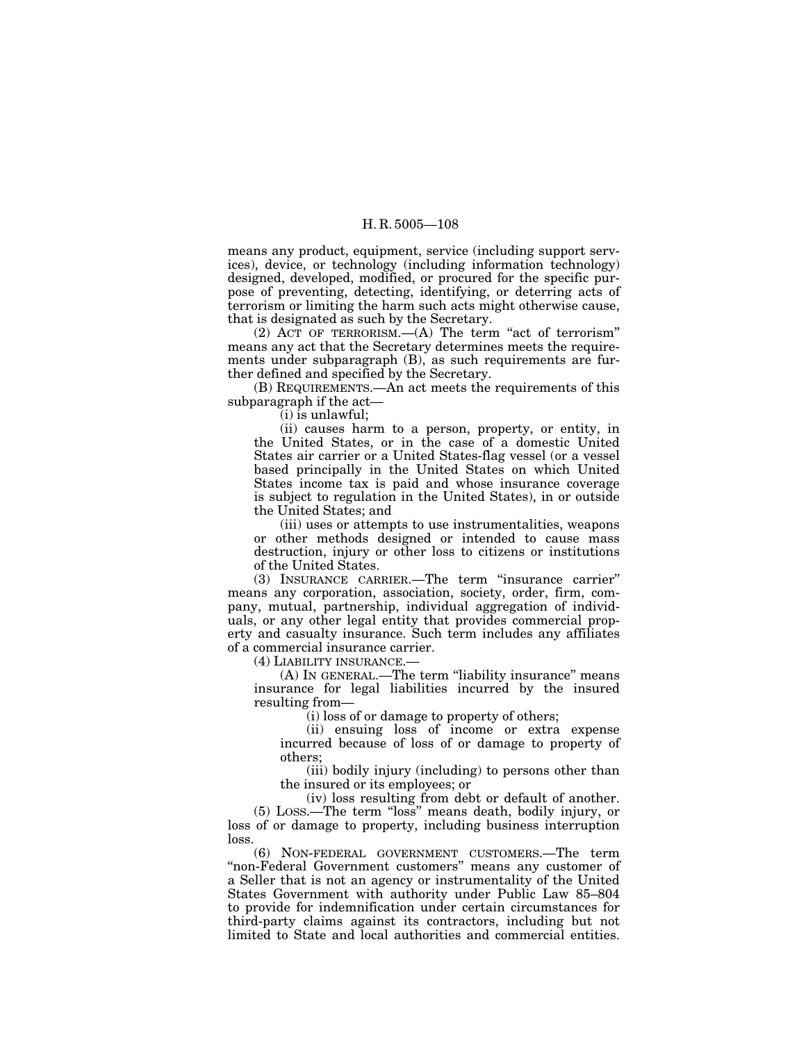means any product, equipment, service (including support services), device, or technology (including information technology) designed, developed, modified, or procured for the specific purpose of preventing, detecting, identifying, or deterring acts of terrorism or limiting the harm such acts might otherwise cause, that is designated as such by the Secretary.

(2) ACT OF TERRORISM.—(A) The term ''act of terrorism'' means any act that the Secretary determines meets the requirements under subparagraph (B), as such requirements are further defined and specified by the Secretary.

(B) REQUIREMENTS.—An act meets the requirements of this subparagraph if the act—

(i) is unlawful;

(ii) causes harm to a person, property, or entity, in the United States, or in the case of a domestic United States air carrier or a United States-flag vessel (or a vessel based principally in the United States on which United States income tax is paid and whose insurance coverage is subject to regulation in the United States), in or outside the United States; and

(iii) uses or attempts to use instrumentalities, weapons or other methods designed or intended to cause mass destruction, injury or other loss to citizens or institutions of the United States.

(3) INSURANCE CARRIER.—The term ''insurance carrier'' means any corporation, association, society, order, firm, company, mutual, partnership, individual aggregation of individuals, or any other legal entity that provides commercial property and casualty insurance. Such term includes any affiliates of a commercial insurance carrier.

(4) LIABILITY INSURANCE.—

(A) IN GENERAL.—The term ''liability insurance'' means insurance for legal liabilities incurred by the insured resulting from—

(i) loss of or damage to property of others;

(ii) ensuing loss of income or extra expense incurred because of loss of or damage to property of others;

(iii) bodily injury (including) to persons other than the insured or its employees; or

(iv) loss resulting from debt or default of another. (5) LOSS.—The term ''loss'' means death, bodily injury, or loss of or damage to property, including business interruption loss.

(6) NON-FEDERAL GOVERNMENT CUSTOMERS.—The term ''non-Federal Government customers'' means any customer of a Seller that is not an agency or instrumentality of the United States Government with authority under Public Law 85–804 to provide for indemnification under certain circumstances for third-party claims against its contractors, including but not limited to State and local authorities and commercial entities.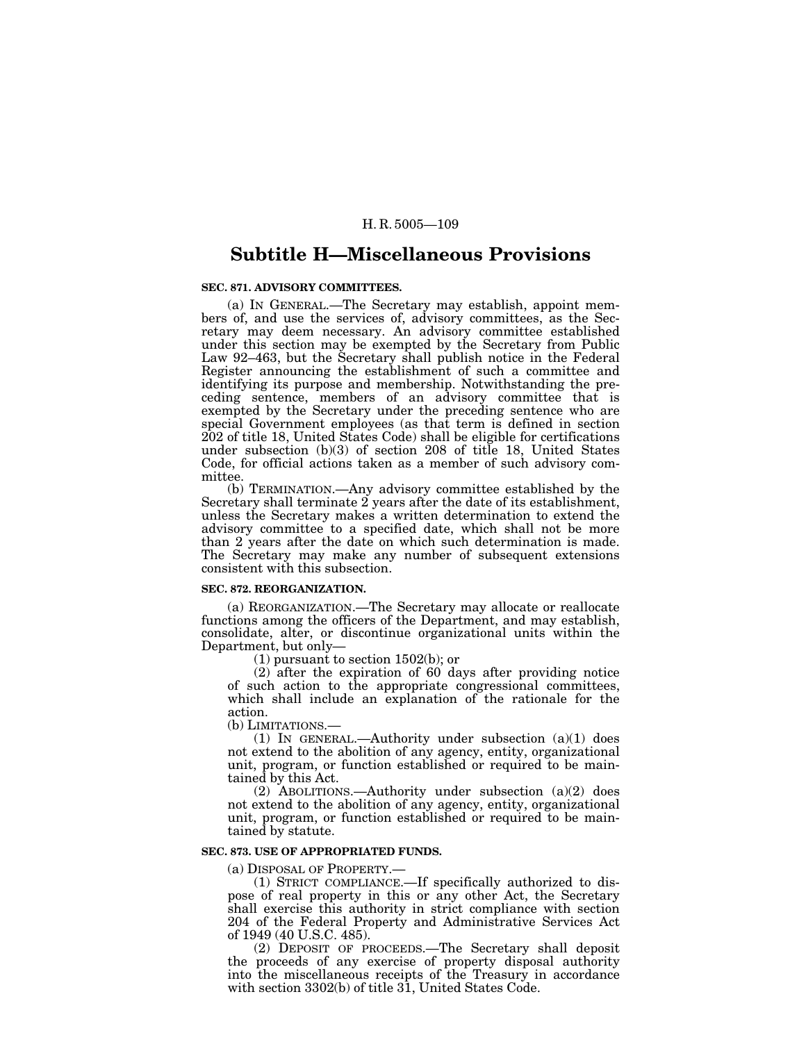## **Subtitle H—Miscellaneous Provisions**

## **SEC. 871. ADVISORY COMMITTEES.**

(a) IN GENERAL.—The Secretary may establish, appoint members of, and use the services of, advisory committees, as the Secretary may deem necessary. An advisory committee established under this section may be exempted by the Secretary from Public Law 92–463, but the Secretary shall publish notice in the Federal Register announcing the establishment of such a committee and identifying its purpose and membership. Notwithstanding the preceding sentence, members of an advisory committee that is exempted by the Secretary under the preceding sentence who are special Government employees (as that term is defined in section 202 of title 18, United States Code) shall be eligible for certifications under subsection (b)(3) of section 208 of title 18, United States Code, for official actions taken as a member of such advisory committee.

(b) TERMINATION.—Any advisory committee established by the Secretary shall terminate 2 years after the date of its establishment, unless the Secretary makes a written determination to extend the advisory committee to a specified date, which shall not be more than 2 years after the date on which such determination is made. The Secretary may make any number of subsequent extensions consistent with this subsection.

### **SEC. 872. REORGANIZATION.**

(a) REORGANIZATION.—The Secretary may allocate or reallocate functions among the officers of the Department, and may establish, consolidate, alter, or discontinue organizational units within the

 $(1)$  pursuant to section 1502(b); or

(2) after the expiration of 60 days after providing notice of such action to the appropriate congressional committees, which shall include an explanation of the rationale for the action.

(b) LIMITATIONS.—<br>(1) IN GENERAL.—Authority under subsection (a)(1) does not extend to the abolition of any agency, entity, organizational unit, program, or function established or required to be maintained by this Act.

(2) ABOLITIONS.—Authority under subsection (a)(2) does not extend to the abolition of any agency, entity, organizational unit, program, or function established or required to be maintained by statute.

### **SEC. 873. USE OF APPROPRIATED FUNDS.**

(a) DISPOSAL OF PROPERTY.—

(1) STRICT COMPLIANCE.—If specifically authorized to dispose of real property in this or any other Act, the Secretary shall exercise this authority in strict compliance with section 204 of the Federal Property and Administrative Services Act of 1949 (40 U.S.C. 485).

(2) DEPOSIT OF PROCEEDS.—The Secretary shall deposit the proceeds of any exercise of property disposal authority into the miscellaneous receipts of the Treasury in accordance with section 3302(b) of title 31, United States Code.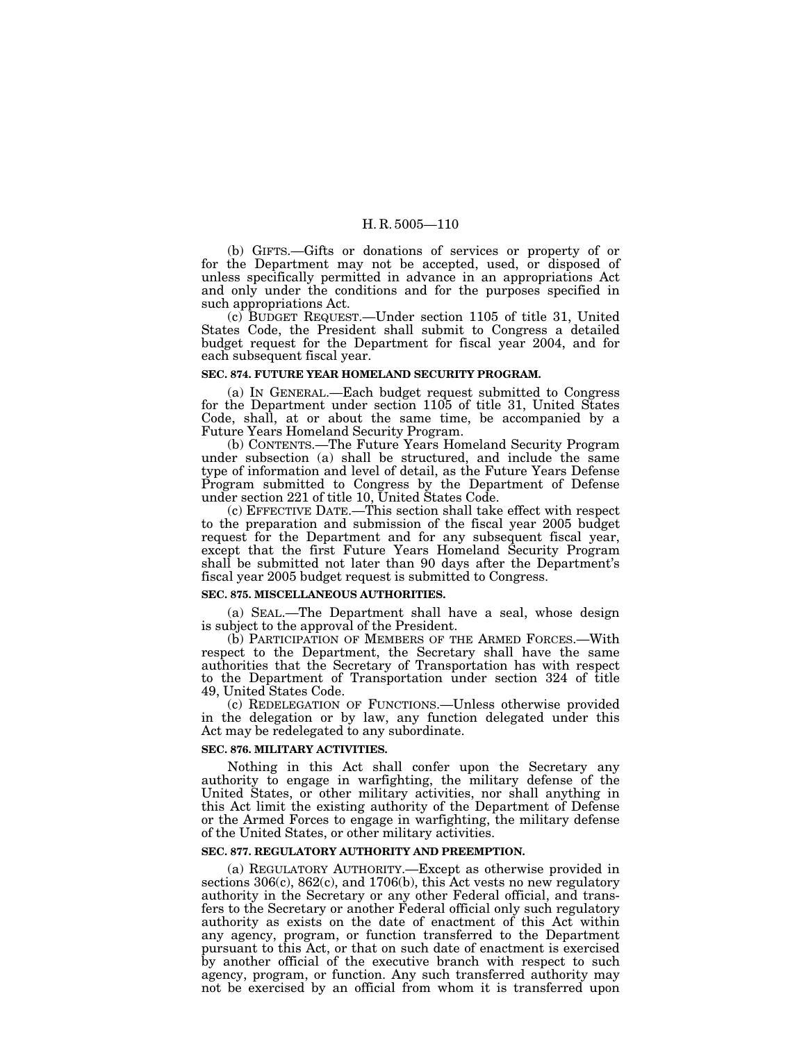(b) GIFTS.—Gifts or donations of services or property of or for the Department may not be accepted, used, or disposed of unless specifically permitted in advance in an appropriations Act and only under the conditions and for the purposes specified in such appropriations Act.

(c) BUDGET REQUEST.—Under section 1105 of title 31, United States Code, the President shall submit to Congress a detailed budget request for the Department for fiscal year 2004, and for each subsequent fiscal year.

#### **SEC. 874. FUTURE YEAR HOMELAND SECURITY PROGRAM.**

(a) IN GENERAL.—Each budget request submitted to Congress for the Department under section 1105 of title 31, United States Code, shall, at or about the same time, be accompanied by a Future Years Homeland Security Program.

(b) CONTENTS.—The Future Years Homeland Security Program under subsection (a) shall be structured, and include the same type of information and level of detail, as the Future Years Defense Program submitted to Congress by the Department of Defense under section 221 of title 10, United States Code.

(c) EFFECTIVE DATE.—This section shall take effect with respect to the preparation and submission of the fiscal year 2005 budget request for the Department and for any subsequent fiscal year, except that the first Future Years Homeland Security Program shall be submitted not later than 90 days after the Department's fiscal year 2005 budget request is submitted to Congress.

## **SEC. 875. MISCELLANEOUS AUTHORITIES.**

(a) SEAL.—The Department shall have a seal, whose design is subject to the approval of the President.

(b) PARTICIPATION OF MEMBERS OF THE ARMED FORCES.—With respect to the Department, the Secretary shall have the same authorities that the Secretary of Transportation has with respect to the Department of Transportation under section 324 of title 49, United States Code.

(c) REDELEGATION OF FUNCTIONS.—Unless otherwise provided in the delegation or by law, any function delegated under this Act may be redelegated to any subordinate.

## **SEC. 876. MILITARY ACTIVITIES.**

Nothing in this Act shall confer upon the Secretary any authority to engage in warfighting, the military defense of the United States, or other military activities, nor shall anything in this Act limit the existing authority of the Department of Defense or the Armed Forces to engage in warfighting, the military defense of the United States, or other military activities.

### **SEC. 877. REGULATORY AUTHORITY AND PREEMPTION.**

(a) REGULATORY AUTHORITY.—Except as otherwise provided in sections 306(c), 862(c), and 1706(b), this Act vests no new regulatory authority in the Secretary or any other Federal official, and transfers to the Secretary or another Federal official only such regulatory authority as exists on the date of enactment of this Act within any agency, program, or function transferred to the Department pursuant to this Act, or that on such date of enactment is exercised by another official of the executive branch with respect to such agency, program, or function. Any such transferred authority may not be exercised by an official from whom it is transferred upon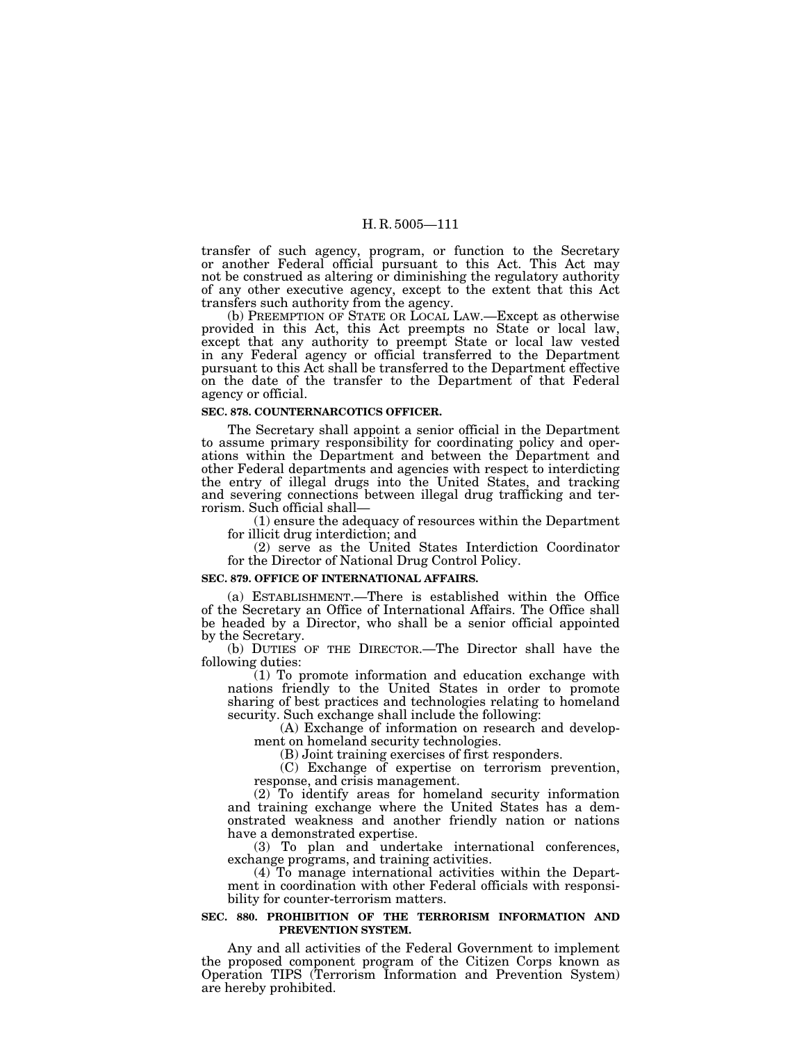transfer of such agency, program, or function to the Secretary or another Federal official pursuant to this Act. This Act may not be construed as altering or diminishing the regulatory authority of any other executive agency, except to the extent that this Act transfers such authority from the agency.

(b) PREEMPTION OF STATE OR LOCAL LAW.—Except as otherwise provided in this Act, this Act preempts no State or local law, except that any authority to preempt State or local law vested in any Federal agency or official transferred to the Department pursuant to this Act shall be transferred to the Department effective on the date of the transfer to the Department of that Federal agency or official.

### **SEC. 878. COUNTERNARCOTICS OFFICER.**

The Secretary shall appoint a senior official in the Department to assume primary responsibility for coordinating policy and operations within the Department and between the Department and other Federal departments and agencies with respect to interdicting the entry of illegal drugs into the United States, and tracking and severing connections between illegal drug trafficking and terrorism. Such official shall—

(1) ensure the adequacy of resources within the Department for illicit drug interdiction; and

(2) serve as the United States Interdiction Coordinator for the Director of National Drug Control Policy.

### **SEC. 879. OFFICE OF INTERNATIONAL AFFAIRS.**

(a) ESTABLISHMENT.—There is established within the Office of the Secretary an Office of International Affairs. The Office shall be headed by a Director, who shall be a senior official appointed by the Secretary.

(b) DUTIES OF THE DIRECTOR.—The Director shall have the following duties:

(1) To promote information and education exchange with nations friendly to the United States in order to promote sharing of best practices and technologies relating to homeland security. Such exchange shall include the following:

(A) Exchange of information on research and development on homeland security technologies.

(B) Joint training exercises of first responders.

(C) Exchange of expertise on terrorism prevention, response, and crisis management.

(2) To identify areas for homeland security information and training exchange where the United States has a demonstrated weakness and another friendly nation or nations have a demonstrated expertise.

(3) To plan and undertake international conferences, exchange programs, and training activities.

(4) To manage international activities within the Department in coordination with other Federal officials with responsibility for counter-terrorism matters.

### **SEC. 880. PROHIBITION OF THE TERRORISM INFORMATION AND PREVENTION SYSTEM.**

Any and all activities of the Federal Government to implement the proposed component program of the Citizen Corps known as Operation TIPS (Terrorism Information and Prevention System) are hereby prohibited.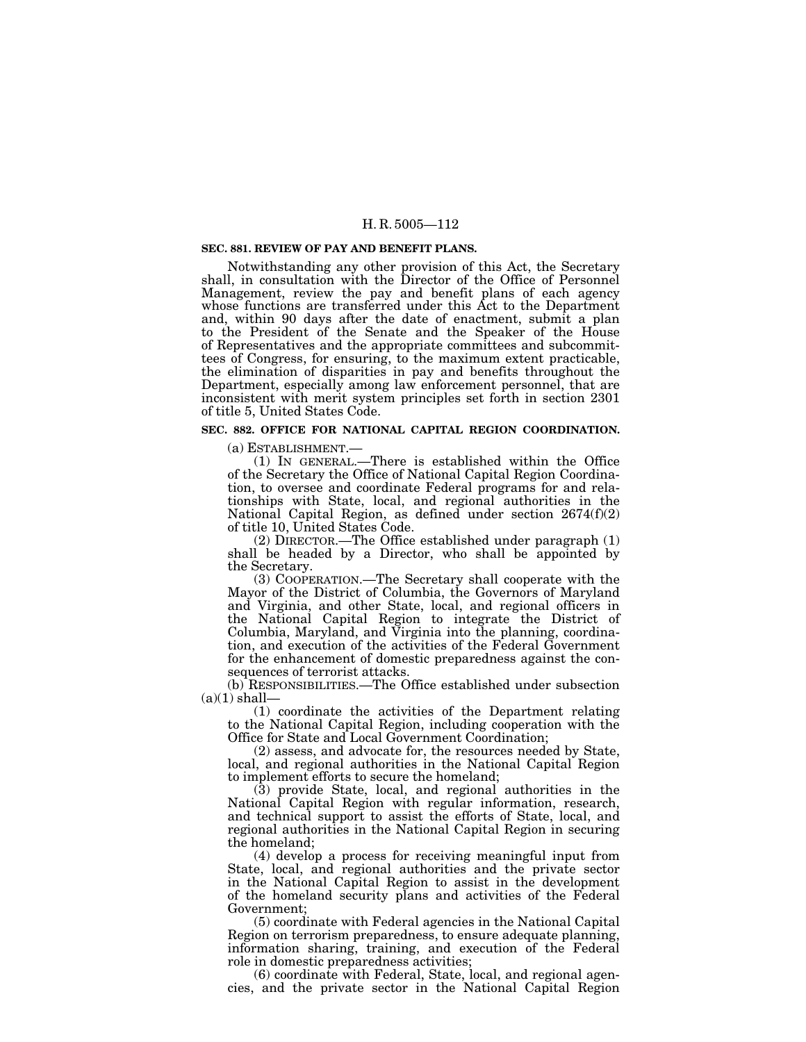### **SEC. 881. REVIEW OF PAY AND BENEFIT PLANS.**

Notwithstanding any other provision of this Act, the Secretary shall, in consultation with the Director of the Office of Personnel Management, review the pay and benefit plans of each agency whose functions are transferred under this Act to the Department and, within 90 days after the date of enactment, submit a plan to the President of the Senate and the Speaker of the House of Representatives and the appropriate committees and subcommittees of Congress, for ensuring, to the maximum extent practicable, the elimination of disparities in pay and benefits throughout the Department, especially among law enforcement personnel, that are inconsistent with merit system principles set forth in section 2301 of title 5, United States Code.

### **SEC. 882. OFFICE FOR NATIONAL CAPITAL REGION COORDINATION.**

(a) ESTABLISHMENT.—

(1) IN GENERAL.—There is established within the Office of the Secretary the Office of National Capital Region Coordination, to oversee and coordinate Federal programs for and relationships with State, local, and regional authorities in the National Capital Region, as defined under section 2674(f)(2) of title 10, United States Code.

(2) DIRECTOR.—The Office established under paragraph (1) shall be headed by a Director, who shall be appointed by the Secretary.

(3) COOPERATION.—The Secretary shall cooperate with the Mayor of the District of Columbia, the Governors of Maryland and Virginia, and other State, local, and regional officers in the National Capital Region to integrate the District of Columbia, Maryland, and Virginia into the planning, coordination, and execution of the activities of the Federal Government for the enhancement of domestic preparedness against the consequences of terrorist attacks.

(b) RESPONSIBILITIES.—The Office established under subsection  $(a)(1)$  shall-

(1) coordinate the activities of the Department relating to the National Capital Region, including cooperation with the Office for State and Local Government Coordination;

(2) assess, and advocate for, the resources needed by State, local, and regional authorities in the National Capital Region to implement efforts to secure the homeland;

(3) provide State, local, and regional authorities in the National Capital Region with regular information, research, and technical support to assist the efforts of State, local, and regional authorities in the National Capital Region in securing the homeland;

(4) develop a process for receiving meaningful input from State, local, and regional authorities and the private sector in the National Capital Region to assist in the development of the homeland security plans and activities of the Federal Government;

(5) coordinate with Federal agencies in the National Capital Region on terrorism preparedness, to ensure adequate planning, information sharing, training, and execution of the Federal role in domestic preparedness activities;

(6) coordinate with Federal, State, local, and regional agencies, and the private sector in the National Capital Region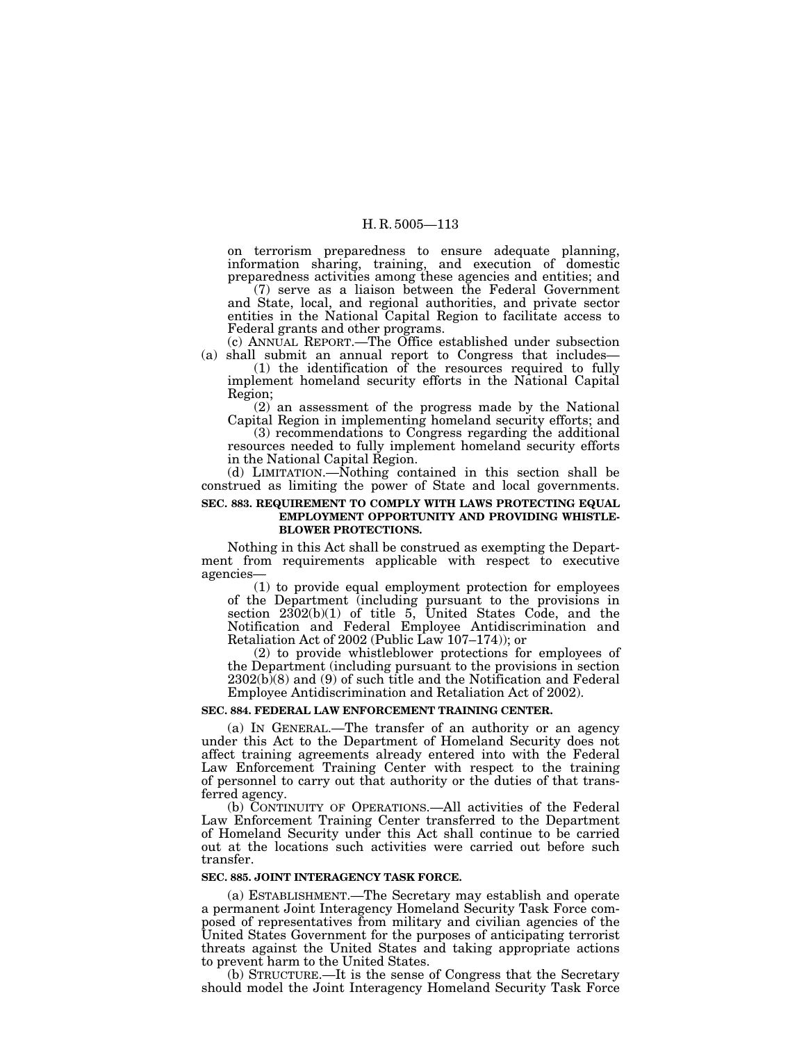on terrorism preparedness to ensure adequate planning, information sharing, training, and execution of domestic preparedness activities among these agencies and entities; and

(7) serve as a liaison between the Federal Government and State, local, and regional authorities, and private sector entities in the National Capital Region to facilitate access to Federal grants and other programs.

(c) ANNUAL REPORT.—The Office established under subsection (a) shall submit an annual report to Congress that includes— (1) the identification of the resources required to fully

implement homeland security efforts in the National Capital Region;

(2) an assessment of the progress made by the National Capital Region in implementing homeland security efforts; and

(3) recommendations to Congress regarding the additional resources needed to fully implement homeland security efforts in the National Capital Region.

(d) LIMITATION.—Nothing contained in this section shall be construed as limiting the power of State and local governments.

### **SEC. 883. REQUIREMENT TO COMPLY WITH LAWS PROTECTING EQUAL EMPLOYMENT OPPORTUNITY AND PROVIDING WHISTLE-BLOWER PROTECTIONS.**

Nothing in this Act shall be construed as exempting the Department from requirements applicable with respect to executive agencies—

(1) to provide equal employment protection for employees of the Department (including pursuant to the provisions in section  $2302(b)(1)$  of title 5, United States Code, and the Notification and Federal Employee Antidiscrimination and Retaliation Act of 2002 (Public Law 107–174)); or

(2) to provide whistleblower protections for employees of the Department (including pursuant to the provisions in section  $2302(b)(8)$  and (9) of such title and the Notification and Federal Employee Antidiscrimination and Retaliation Act of 2002).

### **SEC. 884. FEDERAL LAW ENFORCEMENT TRAINING CENTER.**

(a) IN GENERAL.—The transfer of an authority or an agency under this Act to the Department of Homeland Security does not affect training agreements already entered into with the Federal Law Enforcement Training Center with respect to the training of personnel to carry out that authority or the duties of that transferred agency.

(b) CONTINUITY OF OPERATIONS.—All activities of the Federal Law Enforcement Training Center transferred to the Department of Homeland Security under this Act shall continue to be carried out at the locations such activities were carried out before such transfer.

### **SEC. 885. JOINT INTERAGENCY TASK FORCE.**

(a) ESTABLISHMENT.—The Secretary may establish and operate a permanent Joint Interagency Homeland Security Task Force composed of representatives from military and civilian agencies of the United States Government for the purposes of anticipating terrorist threats against the United States and taking appropriate actions to prevent harm to the United States.

(b) STRUCTURE.—It is the sense of Congress that the Secretary should model the Joint Interagency Homeland Security Task Force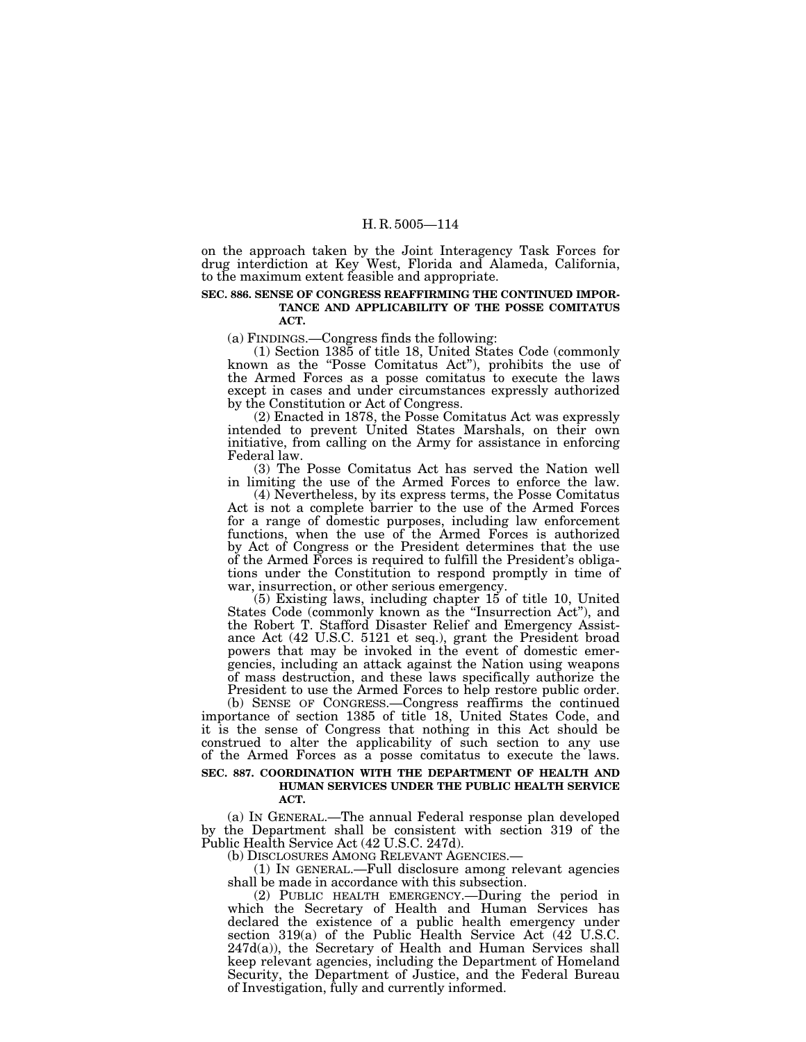on the approach taken by the Joint Interagency Task Forces for drug interdiction at Key West, Florida and Alameda, California, to the maximum extent feasible and appropriate.

### **SEC. 886. SENSE OF CONGRESS REAFFIRMING THE CONTINUED IMPOR-TANCE AND APPLICABILITY OF THE POSSE COMITATUS ACT.**

(a) FINDINGS.—Congress finds the following:

(1) Section 1385 of title 18, United States Code (commonly known as the ''Posse Comitatus Act''), prohibits the use of the Armed Forces as a posse comitatus to execute the laws except in cases and under circumstances expressly authorized by the Constitution or Act of Congress.

(2) Enacted in 1878, the Posse Comitatus Act was expressly intended to prevent United States Marshals, on their own initiative, from calling on the Army for assistance in enforcing Federal law.

(3) The Posse Comitatus Act has served the Nation well in limiting the use of the Armed Forces to enforce the law.

(4) Nevertheless, by its express terms, the Posse Comitatus Act is not a complete barrier to the use of the Armed Forces for a range of domestic purposes, including law enforcement functions, when the use of the Armed Forces is authorized by Act of Congress or the President determines that the use of the Armed Forces is required to fulfill the President's obligations under the Constitution to respond promptly in time of war, insurrection, or other serious emergency.

(5) Existing laws, including chapter 15 of title 10, United States Code (commonly known as the ''Insurrection Act''), and the Robert T. Stafford Disaster Relief and Emergency Assistance Act (42 U.S.C. 5121 et seq.), grant the President broad powers that may be invoked in the event of domestic emergencies, including an attack against the Nation using weapons of mass destruction, and these laws specifically authorize the President to use the Armed Forces to help restore public order.

(b) SENSE OF CONGRESS.—Congress reaffirms the continued importance of section 1385 of title 18, United States Code, and it is the sense of Congress that nothing in this Act should be construed to alter the applicability of such section to any use of the Armed Forces as a posse comitatus to execute the laws.

### **SEC. 887. COORDINATION WITH THE DEPARTMENT OF HEALTH AND HUMAN SERVICES UNDER THE PUBLIC HEALTH SERVICE ACT.**

(a) IN GENERAL.—The annual Federal response plan developed by the Department shall be consistent with section 319 of the Public Health Service Act (42 U.S.C. 247d).<br>(b) DISCLOSURES AMONG RELEVANT AGENCIES.—

(1) IN GENERAL.—Full disclosure among relevant agencies. shall be made in accordance with this subsection.

(2) PUBLIC HEALTH EMERGENCY.—During the period in which the Secretary of Health and Human Services has declared the existence of a public health emergency under section 319(a) of the Public Health Service Act (42 U.S.C.  $247d(a)$ , the Secretary of Health and Human Services shall keep relevant agencies, including the Department of Homeland Security, the Department of Justice, and the Federal Bureau of Investigation, fully and currently informed.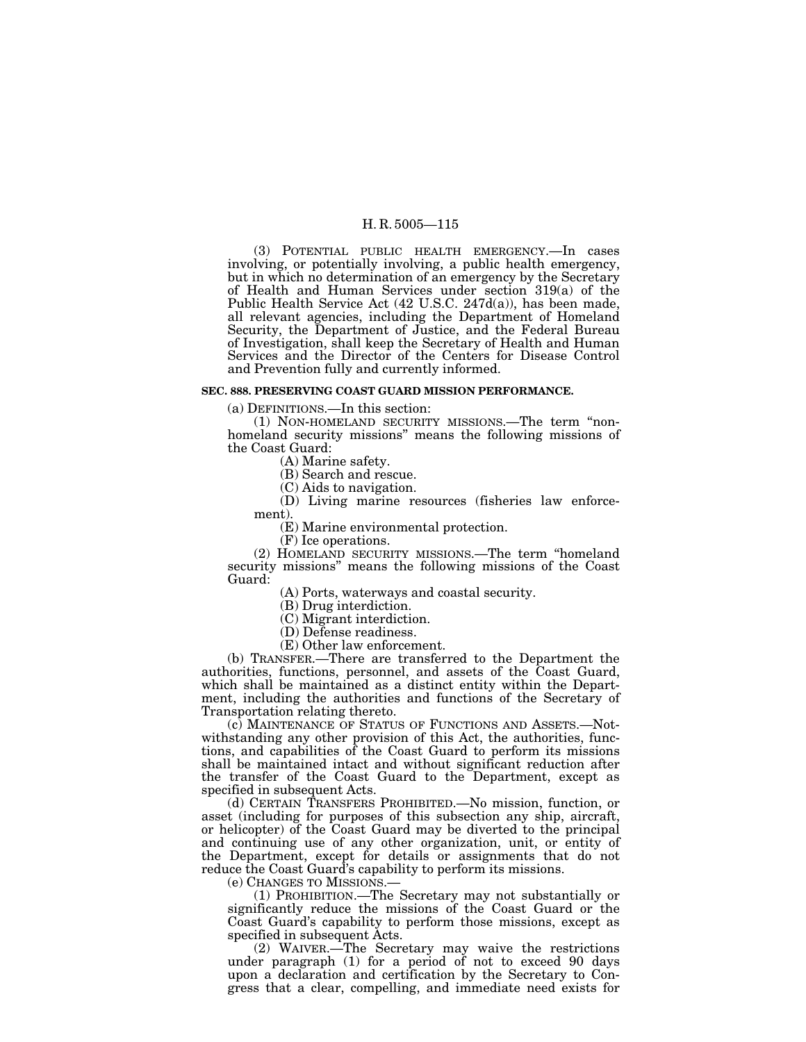(3) POTENTIAL PUBLIC HEALTH EMERGENCY.—In cases involving, or potentially involving, a public health emergency, but in which no determination of an emergency by the Secretary of Health and Human Services under section 319(a) of the Public Health Service Act (42 U.S.C. 247d(a)), has been made, all relevant agencies, including the Department of Homeland Security, the Department of Justice, and the Federal Bureau of Investigation, shall keep the Secretary of Health and Human Services and the Director of the Centers for Disease Control and Prevention fully and currently informed.

### **SEC. 888. PRESERVING COAST GUARD MISSION PERFORMANCE.**

(a) DEFINITIONS.—In this section:

(1) NON-HOMELAND SECURITY MISSIONS.—The term ''nonhomeland security missions'' means the following missions of the Coast Guard:

(A) Marine safety.

(B) Search and rescue.

(C) Aids to navigation.

(D) Living marine resources (fisheries law enforcement).

(E) Marine environmental protection.

(F) Ice operations.

(2) HOMELAND SECURITY MISSIONS.—The term ''homeland security missions'' means the following missions of the Coast Guard:

(A) Ports, waterways and coastal security.

(B) Drug interdiction.

(C) Migrant interdiction.

(D) Defense readiness.

(E) Other law enforcement.

(b) TRANSFER.—There are transferred to the Department the authorities, functions, personnel, and assets of the Coast Guard, which shall be maintained as a distinct entity within the Department, including the authorities and functions of the Secretary of Transportation relating thereto.

(c) MAINTENANCE OF STATUS OF FUNCTIONS AND ASSETS.—Notwithstanding any other provision of this Act, the authorities, functions, and capabilities of the Coast Guard to perform its missions shall be maintained intact and without significant reduction after the transfer of the Coast Guard to the Department, except as specified in subsequent Acts.

(d) CERTAIN TRANSFERS PROHIBITED.—No mission, function, or asset (including for purposes of this subsection any ship, aircraft, or helicopter) of the Coast Guard may be diverted to the principal and continuing use of any other organization, unit, or entity of the Department, except for details or assignments that do not reduce the Coast Guard's capability to perform its missions.

(e) CHANGES TO MISSIONS.—

(1) PROHIBITION.—The Secretary may not substantially or significantly reduce the missions of the Coast Guard or the Coast Guard's capability to perform those missions, except as specified in subsequent Acts.

(2) WAIVER.—The Secretary may waive the restrictions under paragraph (1) for a period of not to exceed 90 days upon a declaration and certification by the Secretary to Congress that a clear, compelling, and immediate need exists for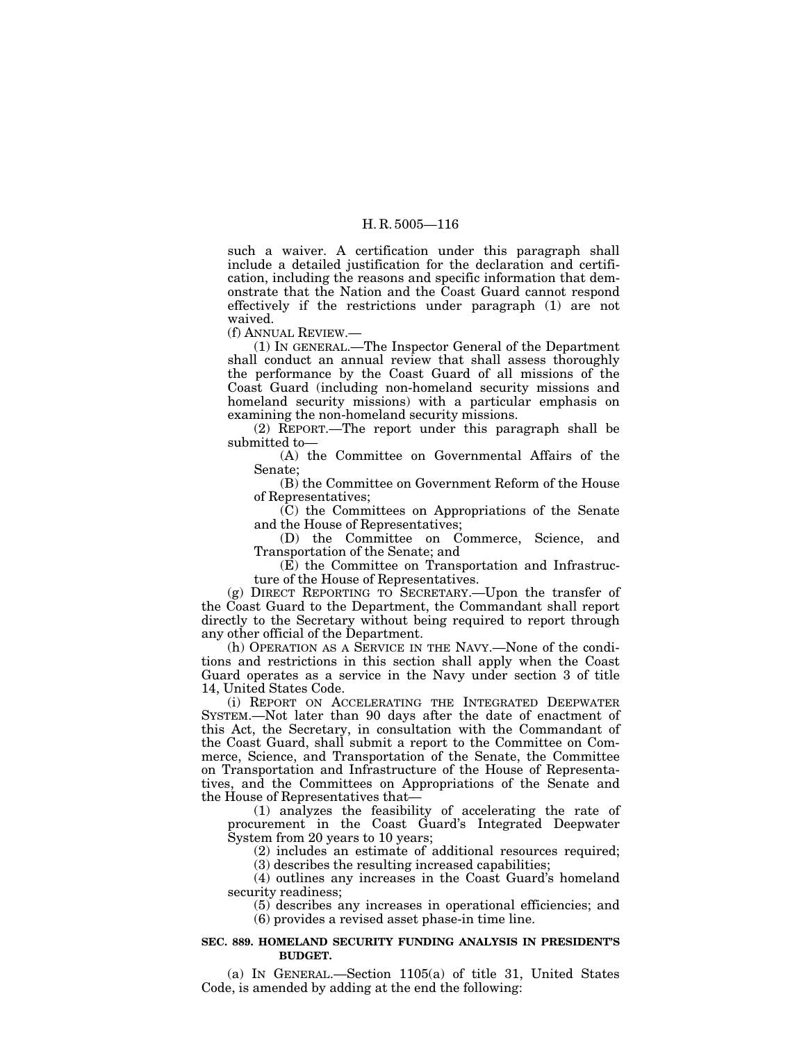such a waiver. A certification under this paragraph shall include a detailed justification for the declaration and certification, including the reasons and specific information that demonstrate that the Nation and the Coast Guard cannot respond effectively if the restrictions under paragraph (1) are not waived.

(f) ANNUAL REVIEW.—

(1) IN GENERAL.—The Inspector General of the Department shall conduct an annual review that shall assess thoroughly the performance by the Coast Guard of all missions of the Coast Guard (including non-homeland security missions and homeland security missions) with a particular emphasis on examining the non-homeland security missions.

(2) REPORT.—The report under this paragraph shall be submitted to—

(A) the Committee on Governmental Affairs of the Senate;

(B) the Committee on Government Reform of the House of Representatives;

(C) the Committees on Appropriations of the Senate and the House of Representatives;

(D) the Committee on Commerce, Science, and Transportation of the Senate; and

(E) the Committee on Transportation and Infrastructure of the House of Representatives.

(g) DIRECT REPORTING TO SECRETARY.—Upon the transfer of the Coast Guard to the Department, the Commandant shall report directly to the Secretary without being required to report through any other official of the Department.

(h) OPERATION AS A SERVICE IN THE NAVY.—None of the conditions and restrictions in this section shall apply when the Coast Guard operates as a service in the Navy under section 3 of title 14, United States Code.

(i) REPORT ON ACCELERATING THE INTEGRATED DEEPWATER SYSTEM.—Not later than 90 days after the date of enactment of this Act, the Secretary, in consultation with the Commandant of the Coast Guard, shall submit a report to the Committee on Commerce, Science, and Transportation of the Senate, the Committee on Transportation and Infrastructure of the House of Representatives, and the Committees on Appropriations of the Senate and the House of Representatives that—

(1) analyzes the feasibility of accelerating the rate of procurement in the Coast Guard's Integrated Deepwater System from 20 years to 10 years;

(2) includes an estimate of additional resources required; (3) describes the resulting increased capabilities;

(4) outlines any increases in the Coast Guard's homeland

security readiness; (5) describes any increases in operational efficiencies; and

(6) provides a revised asset phase-in time line.

### **SEC. 889. HOMELAND SECURITY FUNDING ANALYSIS IN PRESIDENT'S BUDGET.**

(a) IN GENERAL.—Section 1105(a) of title 31, United States Code, is amended by adding at the end the following: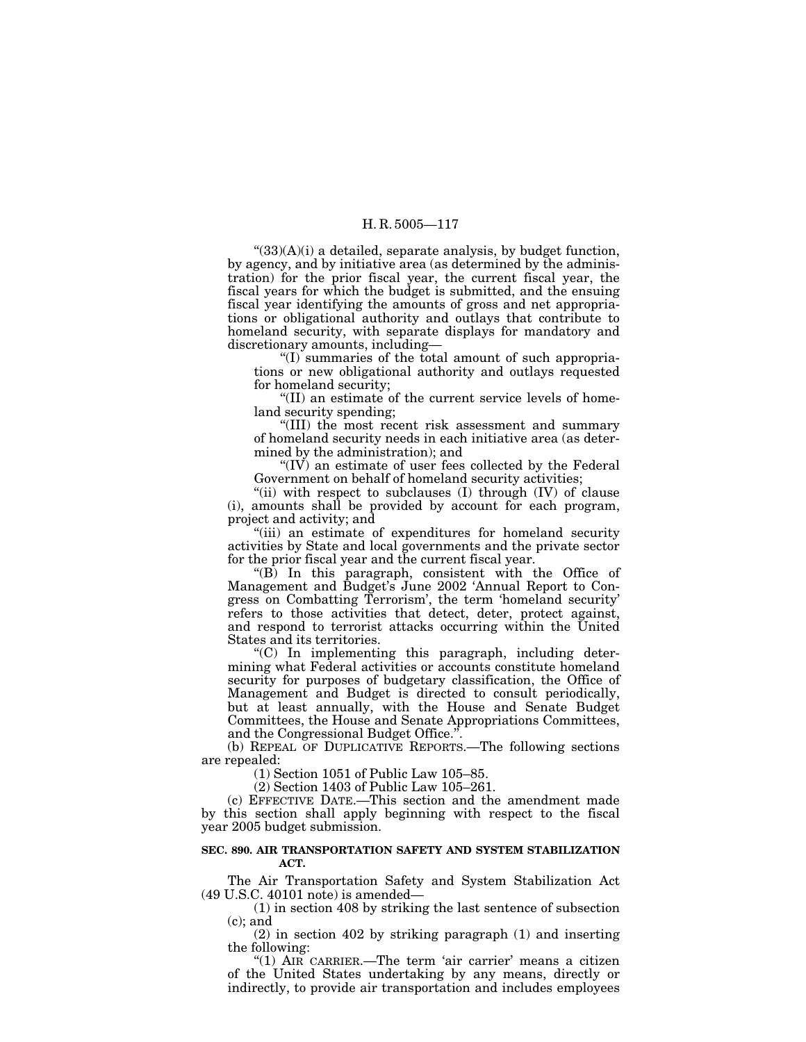$\cdot$ (33)(A)(i) a detailed, separate analysis, by budget function, by agency, and by initiative area (as determined by the administration) for the prior fiscal year, the current fiscal year, the fiscal years for which the budget is submitted, and the ensuing fiscal year identifying the amounts of gross and net appropriations or obligational authority and outlays that contribute to homeland security, with separate displays for mandatory and discretionary amounts, including—

''(I) summaries of the total amount of such appropriations or new obligational authority and outlays requested for homeland security;

''(II) an estimate of the current service levels of homeland security spending;

''(III) the most recent risk assessment and summary of homeland security needs in each initiative area (as determined by the administration); and

" $(IV)$  an estimate of user fees collected by the Federal Government on behalf of homeland security activities;

"(ii) with respect to subclauses (I) through (IV) of clause (i), amounts shall be provided by account for each program, project and activity; and

"(iii) an estimate of expenditures for homeland security activities by State and local governments and the private sector for the prior fiscal year and the current fiscal year.

''(B) In this paragraph, consistent with the Office of Management and Budget's June 2002 'Annual Report to Congress on Combatting Terrorism', the term 'homeland security' refers to those activities that detect, deter, protect against, and respond to terrorist attacks occurring within the United States and its territories.

''(C) In implementing this paragraph, including determining what Federal activities or accounts constitute homeland security for purposes of budgetary classification, the Office of Management and Budget is directed to consult periodically, but at least annually, with the House and Senate Budget Committees, the House and Senate Appropriations Committees, and the Congressional Budget Office."

(b) REPEAL OF DUPLICATIVE REPORTS.—The following sections are repealed:

(1) Section 1051 of Public Law 105–85.

(2) Section 1403 of Public Law 105–261.

(c) EFFECTIVE DATE.—This section and the amendment made by this section shall apply beginning with respect to the fiscal year 2005 budget submission.

### **SEC. 890. AIR TRANSPORTATION SAFETY AND SYSTEM STABILIZATION ACT.**

The Air Transportation Safety and System Stabilization Act (49 U.S.C. 40101 note) is amended—

(1) in section 408 by striking the last sentence of subsection (c); and

(2) in section 402 by striking paragraph (1) and inserting the following:

" $(1)$  AIR CARRIER.—The term 'air carrier' means a citizen of the United States undertaking by any means, directly or indirectly, to provide air transportation and includes employees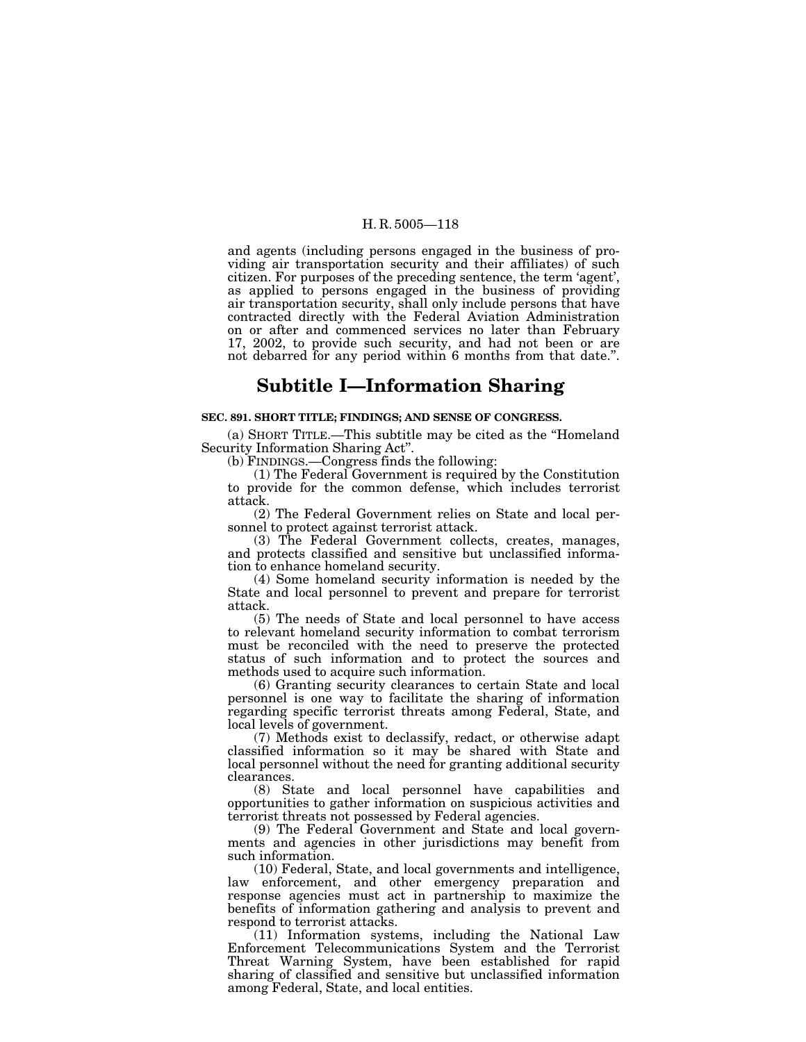and agents (including persons engaged in the business of providing air transportation security and their affiliates) of such citizen. For purposes of the preceding sentence, the term 'agent', as applied to persons engaged in the business of providing air transportation security, shall only include persons that have contracted directly with the Federal Aviation Administration on or after and commenced services no later than February 17, 2002, to provide such security, and had not been or are not debarred for any period within 6 months from that date.''.

## **Subtitle I—Information Sharing**

### **SEC. 891. SHORT TITLE; FINDINGS; AND SENSE OF CONGRESS.**

(a) SHORT TITLE.—This subtitle may be cited as the ''Homeland Security Information Sharing Act''.

(b) FINDINGS.—Congress finds the following:

(1) The Federal Government is required by the Constitution to provide for the common defense, which includes terrorist attack.

(2) The Federal Government relies on State and local personnel to protect against terrorist attack.

(3) The Federal Government collects, creates, manages, and protects classified and sensitive but unclassified information to enhance homeland security.

(4) Some homeland security information is needed by the State and local personnel to prevent and prepare for terrorist attack.

(5) The needs of State and local personnel to have access to relevant homeland security information to combat terrorism must be reconciled with the need to preserve the protected status of such information and to protect the sources and methods used to acquire such information.

(6) Granting security clearances to certain State and local personnel is one way to facilitate the sharing of information regarding specific terrorist threats among Federal, State, and local levels of government.

(7) Methods exist to declassify, redact, or otherwise adapt classified information so it may be shared with State and local personnel without the need for granting additional security clearances.

(8) State and local personnel have capabilities and opportunities to gather information on suspicious activities and terrorist threats not possessed by Federal agencies.

(9) The Federal Government and State and local governments and agencies in other jurisdictions may benefit from such information.

(10) Federal, State, and local governments and intelligence, law enforcement, and other emergency preparation and response agencies must act in partnership to maximize the benefits of information gathering and analysis to prevent and respond to terrorist attacks.

(11) Information systems, including the National Law Enforcement Telecommunications System and the Terrorist Threat Warning System, have been established for rapid sharing of classified and sensitive but unclassified information among Federal, State, and local entities.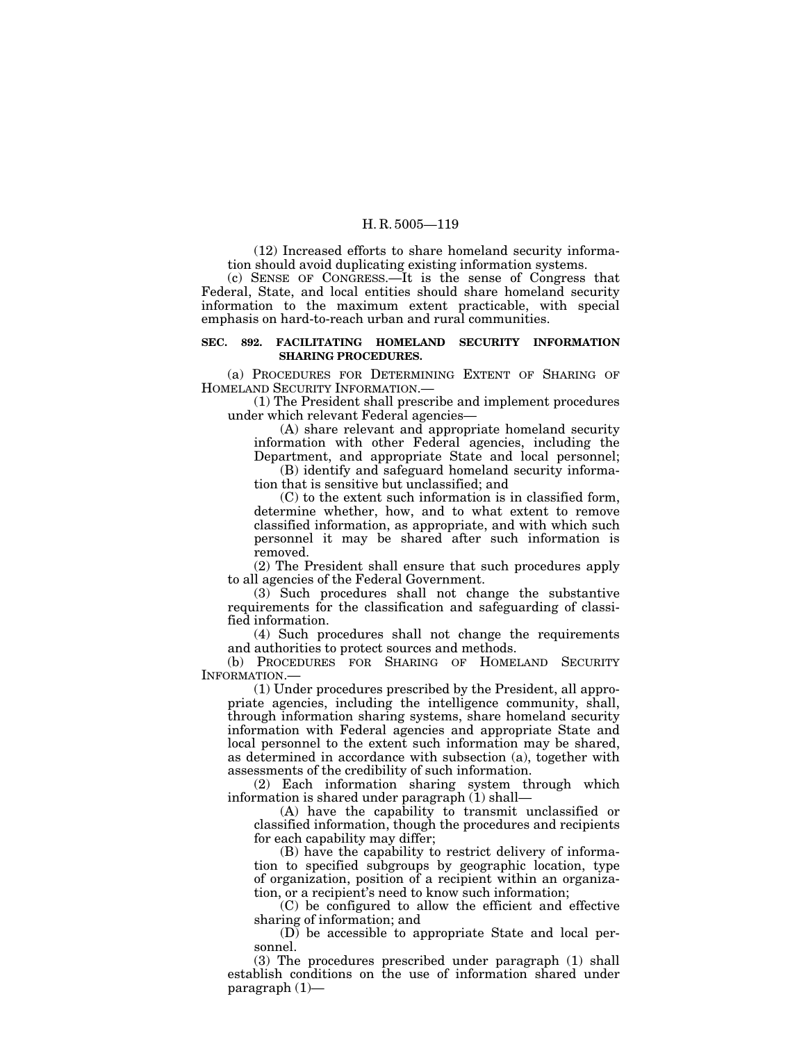(12) Increased efforts to share homeland security information should avoid duplicating existing information systems.

(c) SENSE OF CONGRESS.—It is the sense of Congress that Federal, State, and local entities should share homeland security information to the maximum extent practicable, with special emphasis on hard-to-reach urban and rural communities.

### **SEC. 892. FACILITATING HOMELAND SECURITY INFORMATION SHARING PROCEDURES.**

(a) PROCEDURES FOR DETERMINING EXTENT OF SHARING OF HOMELAND SECURITY INFORMATION.—

(1) The President shall prescribe and implement procedures under which relevant Federal agencies—

(A) share relevant and appropriate homeland security information with other Federal agencies, including the Department, and appropriate State and local personnel;

(B) identify and safeguard homeland security information that is sensitive but unclassified; and

(C) to the extent such information is in classified form, determine whether, how, and to what extent to remove classified information, as appropriate, and with which such personnel it may be shared after such information is removed.

(2) The President shall ensure that such procedures apply to all agencies of the Federal Government.

(3) Such procedures shall not change the substantive requirements for the classification and safeguarding of classified information.

(4) Such procedures shall not change the requirements and authorities to protect sources and methods.

(b) PROCEDURES FOR SHARING OF HOMELAND SECURITY INFORMATION.—

(1) Under procedures prescribed by the President, all appropriate agencies, including the intelligence community, shall, through information sharing systems, share homeland security information with Federal agencies and appropriate State and local personnel to the extent such information may be shared, as determined in accordance with subsection (a), together with assessments of the credibility of such information.

(2) Each information sharing system through which information is shared under paragraph (1) shall-

(A) have the capability to transmit unclassified or classified information, though the procedures and recipients for each capability may differ;

(B) have the capability to restrict delivery of information to specified subgroups by geographic location, type of organization, position of a recipient within an organization, or a recipient's need to know such information;

(C) be configured to allow the efficient and effective sharing of information; and

(D) be accessible to appropriate State and local personnel.

(3) The procedures prescribed under paragraph (1) shall establish conditions on the use of information shared under paragraph (1)—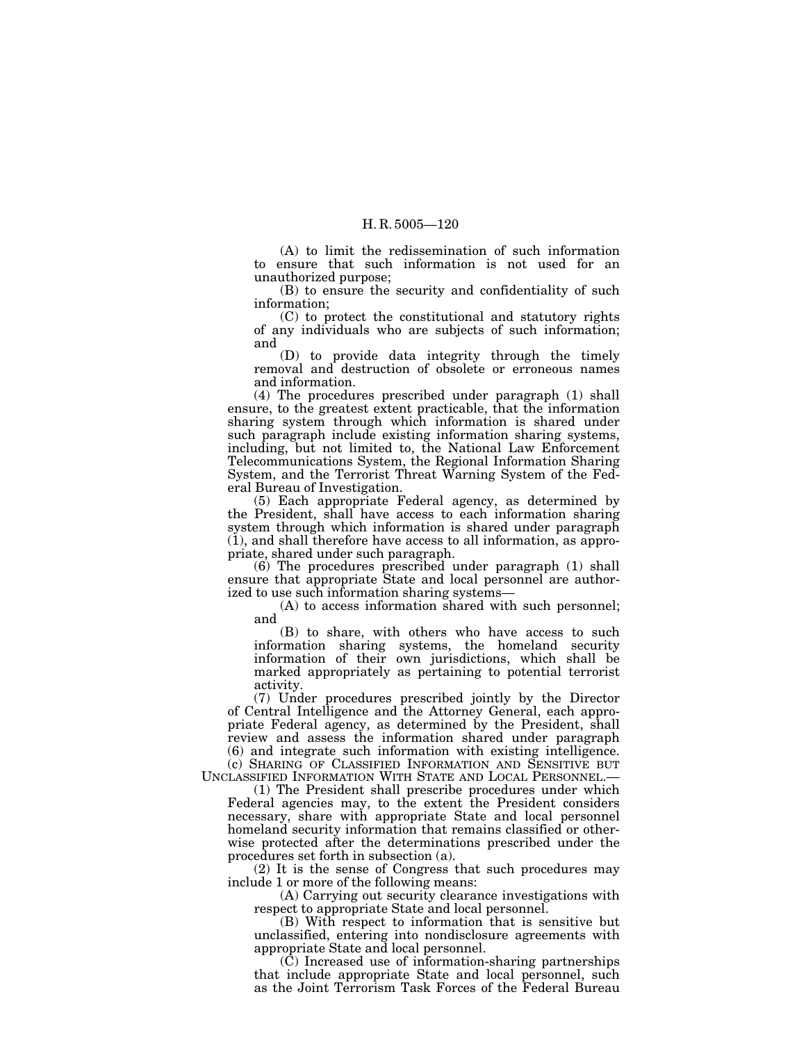(A) to limit the redissemination of such information to ensure that such information is not used for an unauthorized purpose;

(B) to ensure the security and confidentiality of such information;

(C) to protect the constitutional and statutory rights of any individuals who are subjects of such information; and

(D) to provide data integrity through the timely removal and destruction of obsolete or erroneous names and information.

(4) The procedures prescribed under paragraph (1) shall ensure, to the greatest extent practicable, that the information sharing system through which information is shared under such paragraph include existing information sharing systems, including, but not limited to, the National Law Enforcement Telecommunications System, the Regional Information Sharing System, and the Terrorist Threat Warning System of the Federal Bureau of Investigation.

(5) Each appropriate Federal agency, as determined by the President, shall have access to each information sharing system through which information is shared under paragraph (1), and shall therefore have access to all information, as appropriate, shared under such paragraph.

(6) The procedures prescribed under paragraph (1) shall ensure that appropriate State and local personnel are authorized to use such information sharing systems—

(A) to access information shared with such personnel; and

(B) to share, with others who have access to such information sharing systems, the homeland security information of their own jurisdictions, which shall be marked appropriately as pertaining to potential terrorist activity.

(7) Under procedures prescribed jointly by the Director of Central Intelligence and the Attorney General, each appropriate Federal agency, as determined by the President, shall review and assess the information shared under paragraph (6) and integrate such information with existing intelligence. (c) SHARING OF CLASSIFIED INFORMATION AND SENSITIVE BUT

UNCLASSIFIED INFORMATION WITH STATE AND LOCAL PERSONNEL.—

(1) The President shall prescribe procedures under which Federal agencies may, to the extent the President considers necessary, share with appropriate State and local personnel homeland security information that remains classified or otherwise protected after the determinations prescribed under the procedures set forth in subsection (a).

(2) It is the sense of Congress that such procedures may include 1 or more of the following means:

(A) Carrying out security clearance investigations with respect to appropriate State and local personnel.

(B) With respect to information that is sensitive but unclassified, entering into nondisclosure agreements with appropriate State and local personnel.

(C) Increased use of information-sharing partnerships that include appropriate State and local personnel, such as the Joint Terrorism Task Forces of the Federal Bureau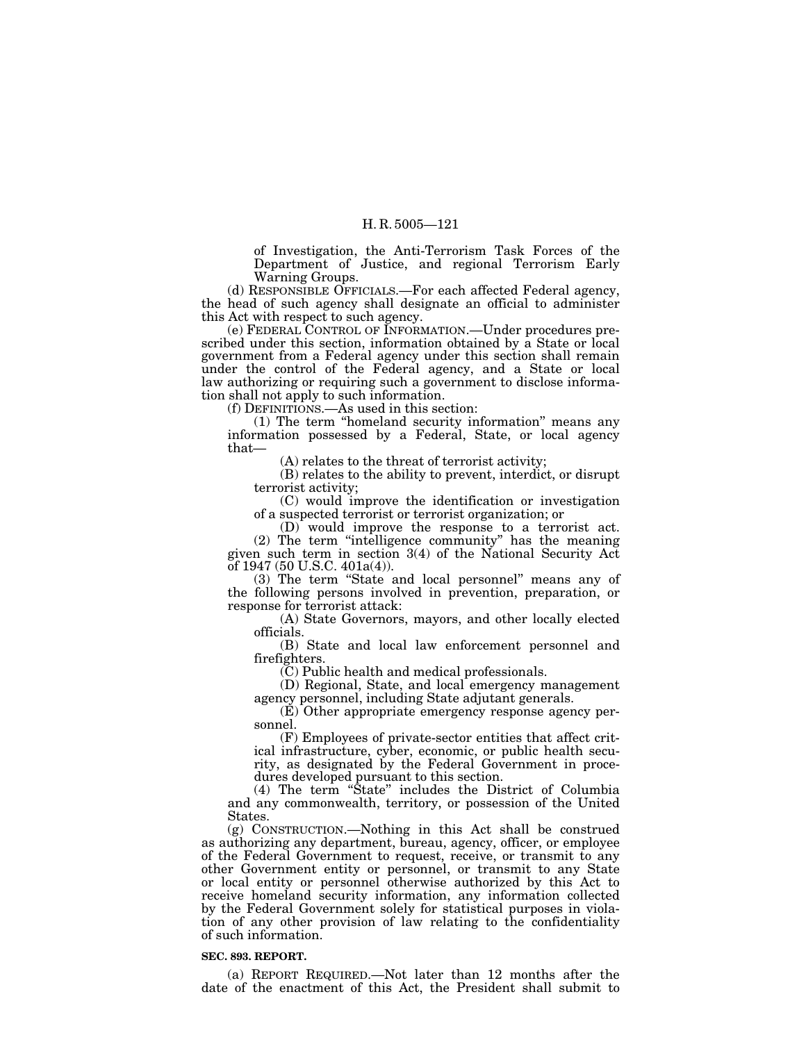of Investigation, the Anti-Terrorism Task Forces of the Department of Justice, and regional Terrorism Early Warning Groups.

(d) RESPONSIBLE OFFICIALS.—For each affected Federal agency, the head of such agency shall designate an official to administer this Act with respect to such agency.

(e) FEDERAL CONTROL OF INFORMATION.—Under procedures prescribed under this section, information obtained by a State or local government from a Federal agency under this section shall remain under the control of the Federal agency, and a State or local law authorizing or requiring such a government to disclose information shall not apply to such information.

(f) DEFINITIONS.—As used in this section:

(1) The term ''homeland security information'' means any information possessed by a Federal, State, or local agency that—

(A) relates to the threat of terrorist activity;

(B) relates to the ability to prevent, interdict, or disrupt terrorist activity;

(C) would improve the identification or investigation of a suspected terrorist or terrorist organization; or

(D) would improve the response to a terrorist act.

(2) The term ''intelligence community'' has the meaning given such term in section 3(4) of the National Security Act of 1947 (50 U.S.C. 401a(4)).

(3) The term ''State and local personnel'' means any of the following persons involved in prevention, preparation, or response for terrorist attack:

(A) State Governors, mayors, and other locally elected officials.

(B) State and local law enforcement personnel and firefighters.

(C) Public health and medical professionals.

(D) Regional, State, and local emergency management agency personnel, including State adjutant generals.

(E) Other appropriate emergency response agency personnel.

(F) Employees of private-sector entities that affect critical infrastructure, cyber, economic, or public health security, as designated by the Federal Government in procedures developed pursuant to this section.

(4) The term ''State'' includes the District of Columbia and any commonwealth, territory, or possession of the United States.

(g) CONSTRUCTION.—Nothing in this Act shall be construed as authorizing any department, bureau, agency, officer, or employee of the Federal Government to request, receive, or transmit to any other Government entity or personnel, or transmit to any State or local entity or personnel otherwise authorized by this Act to receive homeland security information, any information collected by the Federal Government solely for statistical purposes in violation of any other provision of law relating to the confidentiality of such information.

### **SEC. 893. REPORT.**

(a) REPORT REQUIRED.—Not later than 12 months after the date of the enactment of this Act, the President shall submit to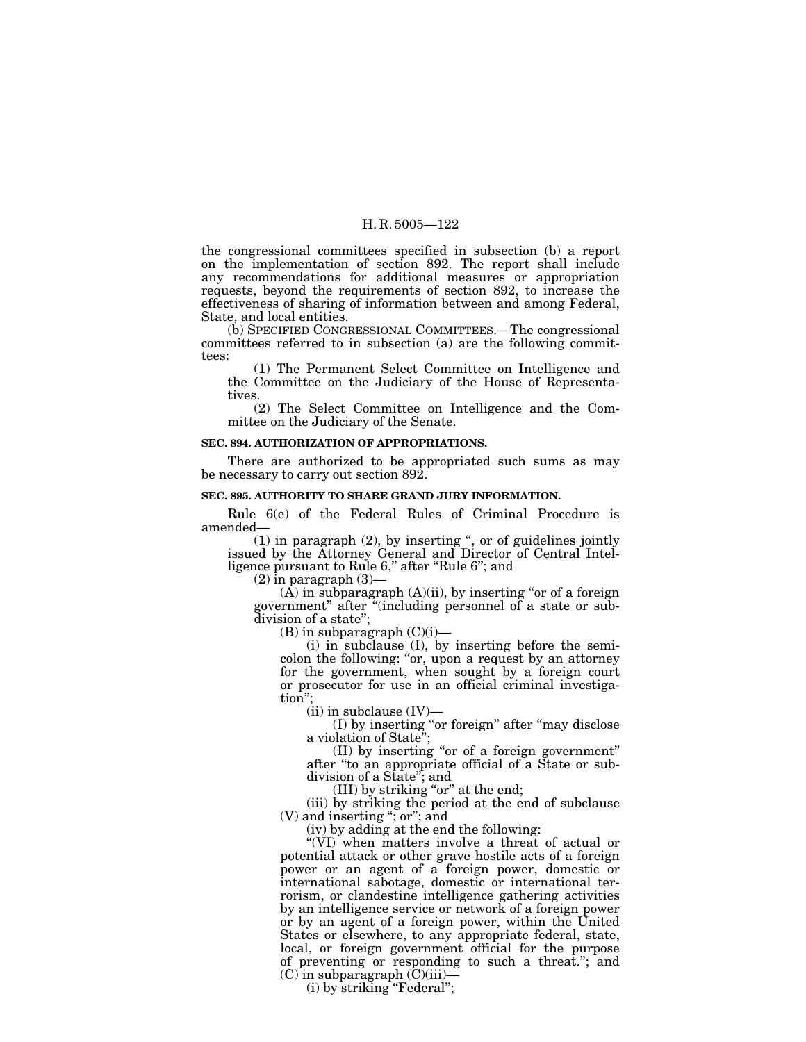the congressional committees specified in subsection (b) a report on the implementation of section 892. The report shall include any recommendations for additional measures or appropriation requests, beyond the requirements of section 892, to increase the effectiveness of sharing of information between and among Federal, State, and local entities.

(b) SPECIFIED CONGRESSIONAL COMMITTEES.—The congressional committees referred to in subsection (a) are the following committees:

(1) The Permanent Select Committee on Intelligence and the Committee on the Judiciary of the House of Representatives.

(2) The Select Committee on Intelligence and the Committee on the Judiciary of the Senate.

### **SEC. 894. AUTHORIZATION OF APPROPRIATIONS.**

There are authorized to be appropriated such sums as may be necessary to carry out section 892.

### **SEC. 895. AUTHORITY TO SHARE GRAND JURY INFORMATION.**

Rule 6(e) of the Federal Rules of Criminal Procedure is amended—

(1) in paragraph (2), by inserting '', or of guidelines jointly issued by the Attorney General and Director of Central Intelligence pursuant to Rule 6," after "Rule 6"; and

 $(2)$  in paragraph  $(3)$ –

 $(\vec{A})$  in subparagraph  $(A)(ii)$ , by inserting "or of a foreign government'' after ''(including personnel of a state or subdivision of a state'';

 $(B)$  in subparagraph  $(C)(i)$ —

(i) in subclause (I), by inserting before the semicolon the following: ''or, upon a request by an attorney for the government, when sought by a foreign court or prosecutor for use in an official criminal investigation'';

 $(ii)$  in subclause  $(IV)$ —

(I) by inserting "or foreign" after "may disclose a violation of State'';

(II) by inserting ''or of a foreign government'' after ''to an appropriate official of a State or subdivision of a State''; and

(III) by striking "or" at the end;

(iii) by striking the period at the end of subclause (V) and inserting ''; or''; and

(iv) by adding at the end the following:

''(VI) when matters involve a threat of actual or potential attack or other grave hostile acts of a foreign power or an agent of a foreign power, domestic or international sabotage, domestic or international terrorism, or clandestine intelligence gathering activities by an intelligence service or network of a foreign power or by an agent of a foreign power, within the United States or elsewhere, to any appropriate federal, state, local, or foreign government official for the purpose of preventing or responding to such a threat.''; and (C) in subparagraph (C)(iii)—

(i) by striking "Federal";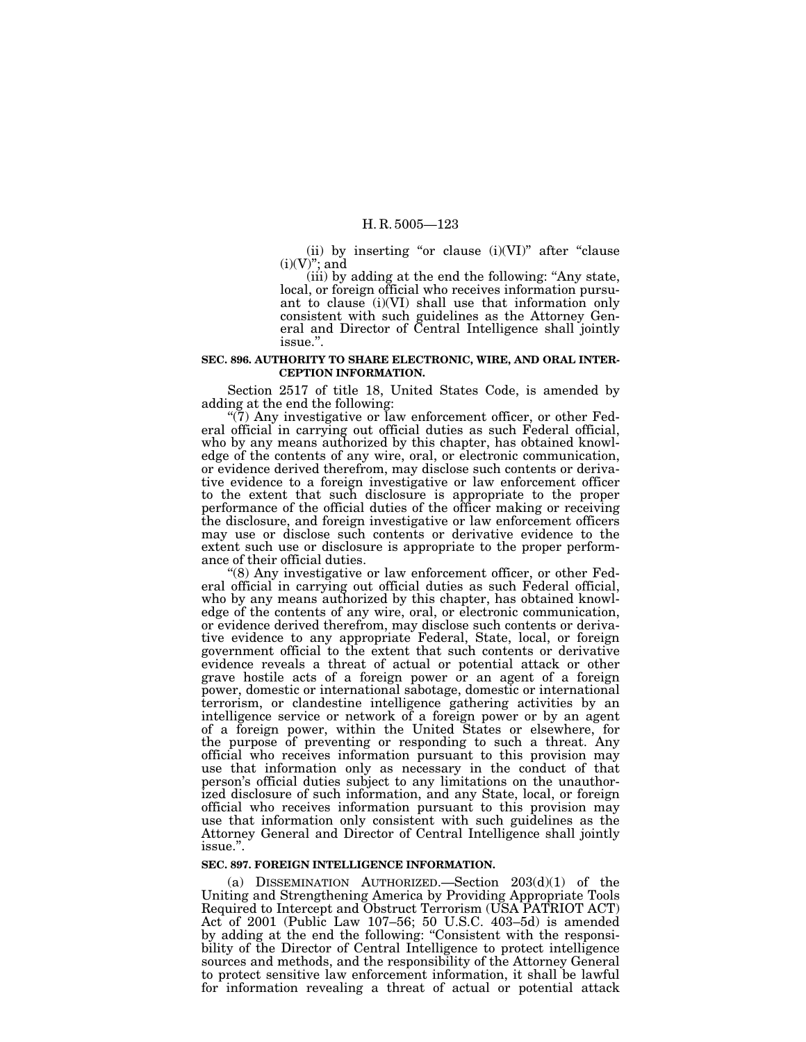(ii) by inserting "or clause  $(i)(VI)$ " after "clause  $(i)(V)$ "; and

(iii) by adding at the end the following: ''Any state, local, or foreign official who receives information pursuant to clause (i)(VI) shall use that information only consistent with such guidelines as the Attorney General and Director of Central Intelligence shall jointly issue.''.

### **SEC. 896. AUTHORITY TO SHARE ELECTRONIC, WIRE, AND ORAL INTER-CEPTION INFORMATION.**

Section 2517 of title 18, United States Code, is amended by adding at the end the following:

"(7) Any investigative or law enforcement officer, or other Federal official in carrying out official duties as such Federal official, who by any means authorized by this chapter, has obtained knowledge of the contents of any wire, oral, or electronic communication, or evidence derived therefrom, may disclose such contents or derivative evidence to a foreign investigative or law enforcement officer to the extent that such disclosure is appropriate to the proper performance of the official duties of the officer making or receiving the disclosure, and foreign investigative or law enforcement officers may use or disclose such contents or derivative evidence to the extent such use or disclosure is appropriate to the proper perform-

" $(8)$  Any investigative or law enforcement officer, or other Federal official in carrying out official duties as such Federal official, who by any means authorized by this chapter, has obtained knowledge of the contents of any wire, oral, or electronic communication, or evidence derived therefrom, may disclose such contents or derivative evidence to any appropriate Federal, State, local, or foreign government official to the extent that such contents or derivative evidence reveals a threat of actual or potential attack or other grave hostile acts of a foreign power or an agent of a foreign power, domestic or international sabotage, domestic or international terrorism, or clandestine intelligence gathering activities by an intelligence service or network of a foreign power or by an agent of a foreign power, within the United States or elsewhere, for the purpose of preventing or responding to such a threat. Any official who receives information pursuant to this provision may use that information only as necessary in the conduct of that person's official duties subject to any limitations on the unauthorized disclosure of such information, and any State, local, or foreign official who receives information pursuant to this provision may use that information only consistent with such guidelines as the Attorney General and Director of Central Intelligence shall jointly issue.''.

#### **SEC. 897. FOREIGN INTELLIGENCE INFORMATION.**

(a) DISSEMINATION AUTHORIZED.—Section 203(d)(1) of the Uniting and Strengthening America by Providing Appropriate Tools Required to Intercept and Obstruct Terrorism (USA PATRIOT ACT) Act of 2001 (Public Law 107–56; 50 U.S.C. 403–5d) is amended by adding at the end the following: ''Consistent with the responsibility of the Director of Central Intelligence to protect intelligence sources and methods, and the responsibility of the Attorney General to protect sensitive law enforcement information, it shall be lawful for information revealing a threat of actual or potential attack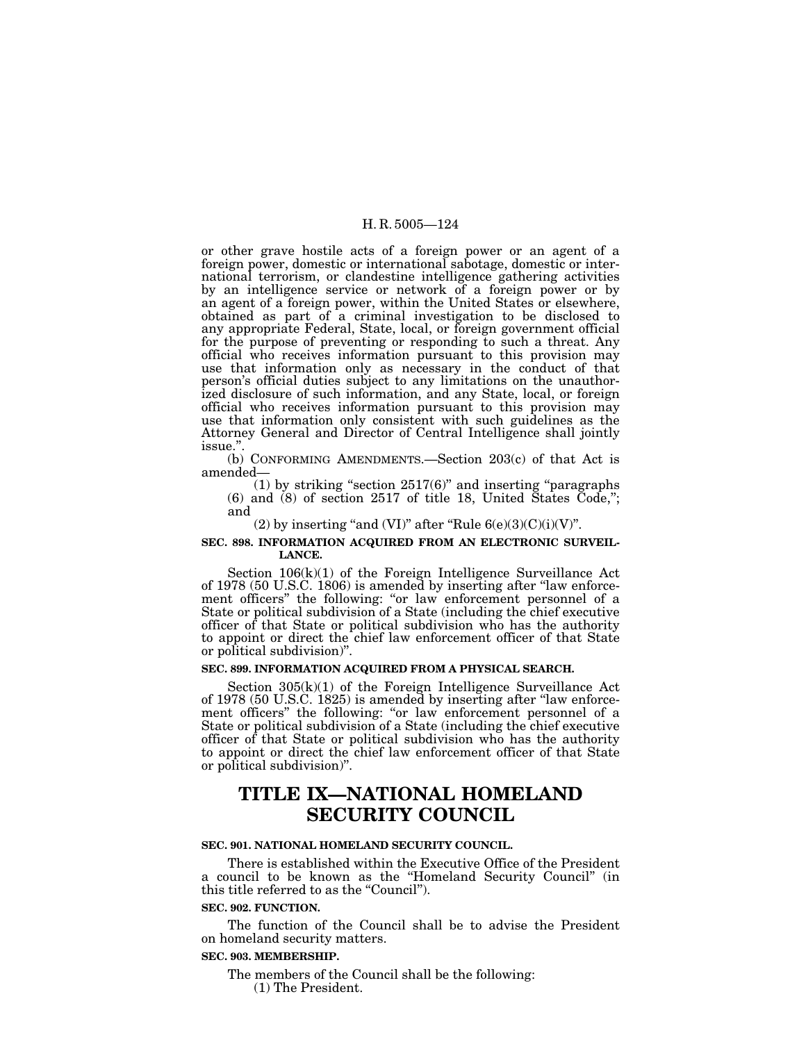or other grave hostile acts of a foreign power or an agent of a foreign power, domestic or international sabotage, domestic or international terrorism, or clandestine intelligence gathering activities by an intelligence service or network of a foreign power or by an agent of a foreign power, within the United States or elsewhere, obtained as part of a criminal investigation to be disclosed to any appropriate Federal, State, local, or foreign government official for the purpose of preventing or responding to such a threat. Any official who receives information pursuant to this provision may use that information only as necessary in the conduct of that person's official duties subject to any limitations on the unauthorized disclosure of such information, and any State, local, or foreign official who receives information pursuant to this provision may use that information only consistent with such guidelines as the Attorney General and Director of Central Intelligence shall jointly

(b) CONFORMING AMENDMENTS.—Section  $203(c)$  of that Act is amended—

(1) by striking ''section 2517(6)'' and inserting ''paragraphs (6) and (8) of section 2517 of title 18, United States Code,''; and

(2) by inserting "and (VI)" after "Rule  $6(e)(3)(C)(i)(V)$ ".

### **SEC. 898. INFORMATION ACQUIRED FROM AN ELECTRONIC SURVEIL-LANCE.**

Section  $106(k)(1)$  of the Foreign Intelligence Surveillance Act of 1978 (50 U.S.C. 1806) is amended by inserting after ''law enforcement officers'' the following: ''or law enforcement personnel of a State or political subdivision of a State (including the chief executive officer of that State or political subdivision who has the authority to appoint or direct the chief law enforcement officer of that State or political subdivision)".

### **SEC. 899. INFORMATION ACQUIRED FROM A PHYSICAL SEARCH.**

Section 305(k)(1) of the Foreign Intelligence Surveillance Act of 1978 (50 U.S.C. 1825) is amended by inserting after ''law enforcement officers" the following: "or law enforcement personnel of a State or political subdivision of a State (including the chief executive officer of that State or political subdivision who has the authority to appoint or direct the chief law enforcement officer of that State or political subdivision)''.

# **TITLE IX—NATIONAL HOMELAND SECURITY COUNCIL**

### **SEC. 901. NATIONAL HOMELAND SECURITY COUNCIL.**

There is established within the Executive Office of the President a council to be known as the ''Homeland Security Council'' (in this title referred to as the "Council").

### **SEC. 902. FUNCTION.**

The function of the Council shall be to advise the President on homeland security matters.

### **SEC. 903. MEMBERSHIP.**

The members of the Council shall be the following: (1) The President.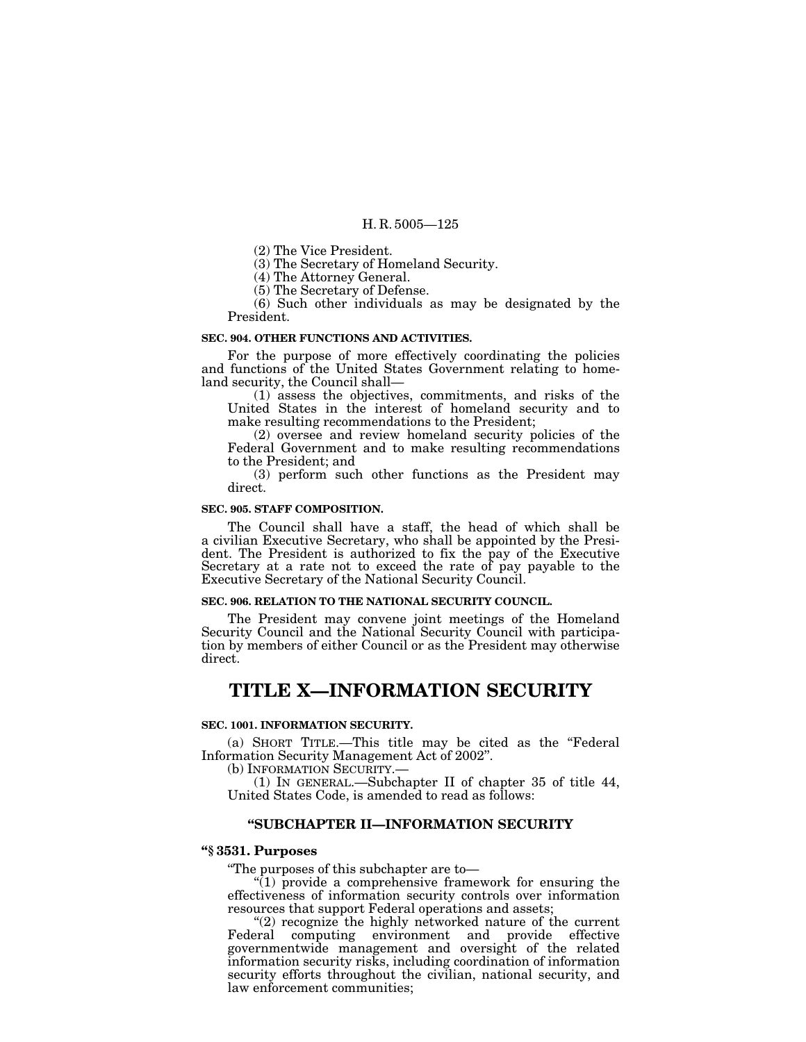(2) The Vice President.

(3) The Secretary of Homeland Security.

(4) The Attorney General.

(5) The Secretary of Defense.

(6) Such other individuals as may be designated by the President.

### **SEC. 904. OTHER FUNCTIONS AND ACTIVITIES.**

For the purpose of more effectively coordinating the policies and functions of the United States Government relating to homeland security, the Council shall—

 $(1)$  assess the objectives, commitments, and risks of the United States in the interest of homeland security and to make resulting recommendations to the President;

(2) oversee and review homeland security policies of the Federal Government and to make resulting recommendations to the President; and

(3) perform such other functions as the President may direct.

#### **SEC. 905. STAFF COMPOSITION.**

The Council shall have a staff, the head of which shall be a civilian Executive Secretary, who shall be appointed by the President. The President is authorized to fix the pay of the Executive Secretary at a rate not to exceed the rate of pay payable to the Executive Secretary of the National Security Council.

## **SEC. 906. RELATION TO THE NATIONAL SECURITY COUNCIL.**

The President may convene joint meetings of the Homeland Security Council and the National Security Council with participation by members of either Council or as the President may otherwise direct.

## **TITLE X—INFORMATION SECURITY**

### **SEC. 1001. INFORMATION SECURITY.**

(a) SHORT TITLE.—This title may be cited as the ''Federal Information Security Management Act of 2002''. (b) INFORMATION SECURITY.—

(1) IN GENERAL.—Subchapter II of chapter 35 of title 44, United States Code, is amended to read as follows:

## **''SUBCHAPTER II—INFORMATION SECURITY**

## **''§ 3531. Purposes**

''The purposes of this subchapter are to—

 $\sqrt{\ }$ (1) provide a comprehensive framework for ensuring the effectiveness of information security controls over information resources that support Federal operations and assets;

"(2) recognize the highly networked nature of the current Federal computing environment and provide effective governmentwide management and oversight of the related information security risks, including coordination of information security efforts throughout the civilian, national security, and law enforcement communities;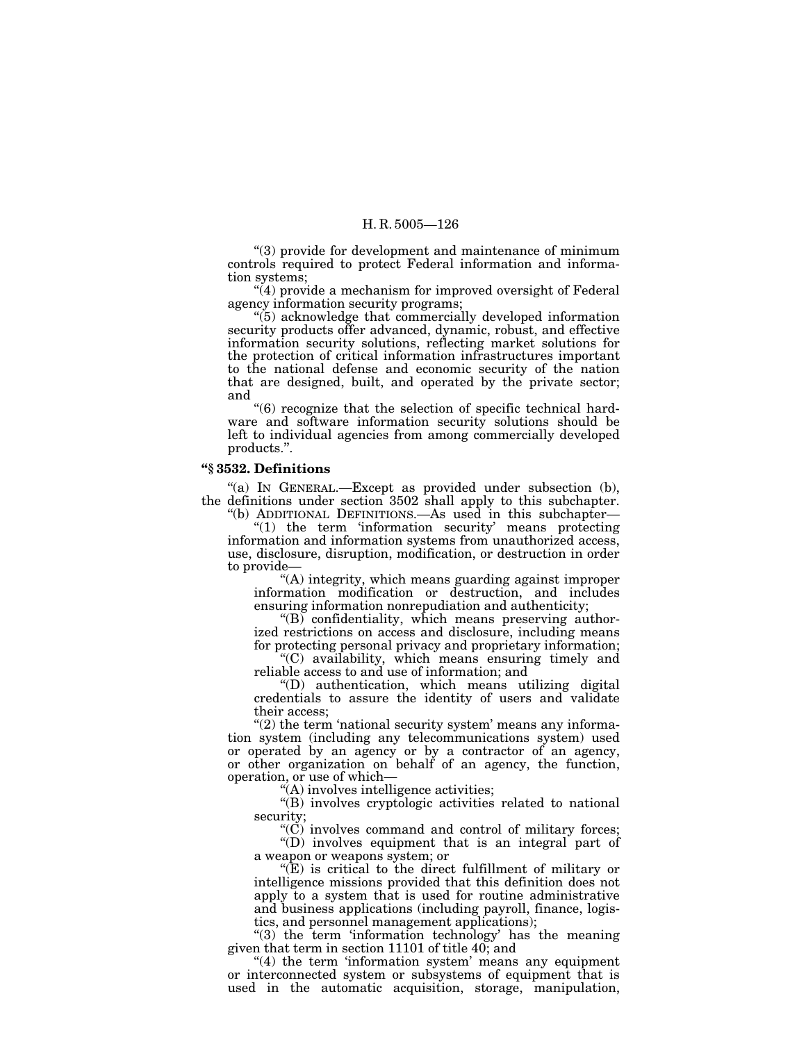''(3) provide for development and maintenance of minimum controls required to protect Federal information and information systems;

''(4) provide a mechanism for improved oversight of Federal agency information security programs;

''(5) acknowledge that commercially developed information security products offer advanced, dynamic, robust, and effective information security solutions, reflecting market solutions for the protection of critical information infrastructures important to the national defense and economic security of the nation that are designed, built, and operated by the private sector; and

''(6) recognize that the selection of specific technical hardware and software information security solutions should be left to individual agencies from among commercially developed products.''.

## **''§ 3532. Definitions**

"(a) IN GENERAL.—Except as provided under subsection (b), the definitions under section 3502 shall apply to this subchapter. ''(b) ADDITIONAL DEFINITIONS.—As used in this subchapter—

''(1) the term 'information security' means protecting information and information systems from unauthorized access, use, disclosure, disruption, modification, or destruction in order to provide—

''(A) integrity, which means guarding against improper information modification or destruction, and includes ensuring information nonrepudiation and authenticity;

"(B) confidentiality, which means preserving authorized restrictions on access and disclosure, including means for protecting personal privacy and proprietary information;

''(C) availability, which means ensuring timely and reliable access to and use of information; and

''(D) authentication, which means utilizing digital credentials to assure the identity of users and validate their access;

 $\degree$ (2) the term 'national security system' means any information system (including any telecommunications system) used or operated by an agency or by a contractor of an agency, or other organization on behalf of an agency, the function, operation, or use of which—

 $\mathcal{H}(A)$  involves intelligence activities;

''(B) involves cryptologic activities related to national security;

 $\mathrm{``}(\check{C})$  involves command and control of military forces;

''(D) involves equipment that is an integral part of a weapon or weapons system; or

 $\sqrt{\text{E}}$ ) is critical to the direct fulfillment of military or intelligence missions provided that this definition does not apply to a system that is used for routine administrative and business applications (including payroll, finance, logistics, and personnel management applications);

" $(3)$  the term 'information technology' has the meaning given that term in section 11101 of title 40; and

 $'(4)$  the term 'information system' means any equipment or interconnected system or subsystems of equipment that is used in the automatic acquisition, storage, manipulation,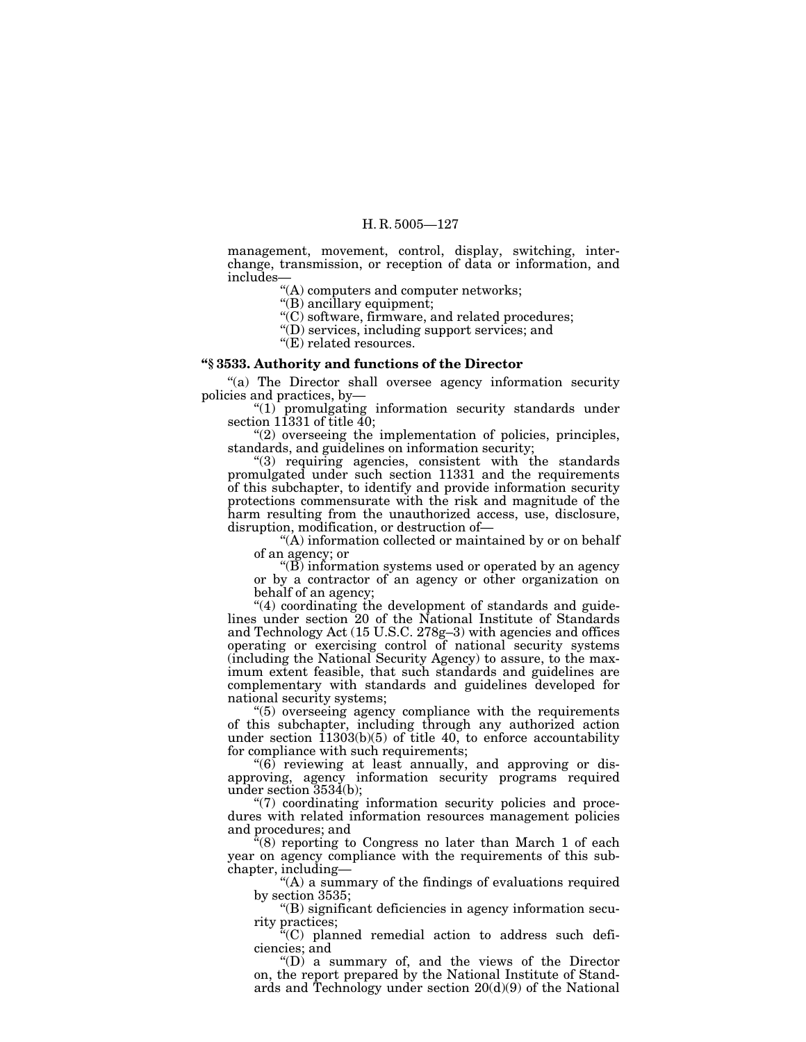management, movement, control, display, switching, interchange, transmission, or reception of data or information, and includes—

''(A) computers and computer networks;

''(B) ancillary equipment;

''(C) software, firmware, and related procedures;

''(D) services, including support services; and

"(E) related resources.

## **''§ 3533. Authority and functions of the Director**

'(a) The Director shall oversee agency information security policies and practices, by—

"(1) promulgating information security standards under section 11331 of title 40;

"(2) overseeing the implementation of policies, principles, standards, and guidelines on information security;

"(3) requiring agencies, consistent with the standards promulgated under such section 11331 and the requirements of this subchapter, to identify and provide information security protections commensurate with the risk and magnitude of the harm resulting from the unauthorized access, use, disclosure, disruption, modification, or destruction of—

''(A) information collected or maintained by or on behalf of an agency; or

 $\mathrm{``(B)}$  information systems used or operated by an agency or by a contractor of an agency or other organization on behalf of an agency;

"(4) coordinating the development of standards and guidelines under section 20 of the National Institute of Standards and Technology Act (15 U.S.C. 278g–3) with agencies and offices operating or exercising control of national security systems (including the National Security Agency) to assure, to the maximum extent feasible, that such standards and guidelines are complementary with standards and guidelines developed for

 $(5)$  overseeing agency compliance with the requirements of this subchapter, including through any authorized action under section  $11303(b)(5)$  of title 40, to enforce accountability for compliance with such requirements;

" $(6)$  reviewing at least annually, and approving or disapproving, agency information security programs required under section  $3534(b)$ :

 $"(7)$  coordinating information security policies and procedures with related information resources management policies and procedures; and

 $\sqrt[4]{(8)}$  reporting to Congress no later than March 1 of each year on agency compliance with the requirements of this subchapter, including—

''(A) a summary of the findings of evaluations required by section 3535;

''(B) significant deficiencies in agency information security practices;

''(C) planned remedial action to address such deficiencies; and

 $f(D)$  a summary of, and the views of the Director on, the report prepared by the National Institute of Standards and Technology under section 20(d)(9) of the National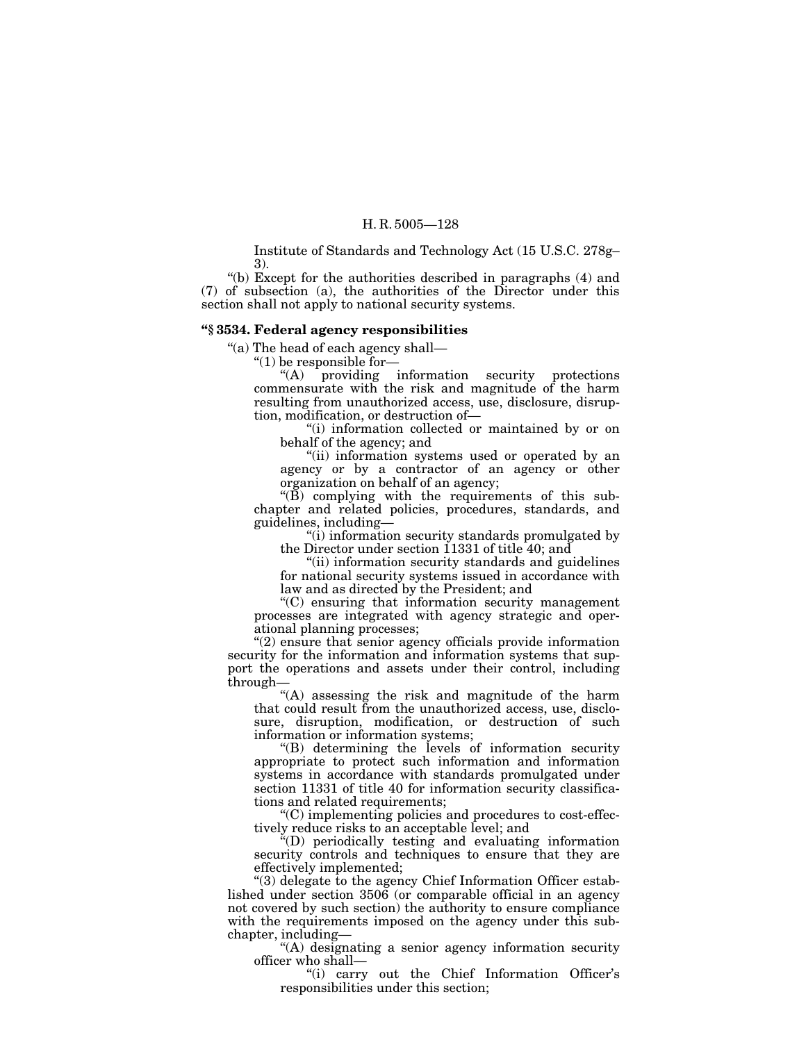Institute of Standards and Technology Act (15 U.S.C. 278g– 3).

"(b) Except for the authorities described in paragraphs (4) and (7) of subsection (a), the authorities of the Director under this section shall not apply to national security systems.

### **''§ 3534. Federal agency responsibilities**

''(a) The head of each agency shall—

 $(1)$  be responsible for-

''(A) providing information security protections commensurate with the risk and magnitude of the harm resulting from unauthorized access, use, disclosure, disruption, modification, or destruction of—

''(i) information collected or maintained by or on behalf of the agency; and

"(ii) information systems used or operated by an agency or by a contractor of an agency or other organization on behalf of an agency;

''(B) complying with the requirements of this subchapter and related policies, procedures, standards, and guidelines, including—

''(i) information security standards promulgated by the Director under section 11331 of title 40; and

''(ii) information security standards and guidelines for national security systems issued in accordance with law and as directed by the President; and

''(C) ensuring that information security management processes are integrated with agency strategic and operational planning processes;

''(2) ensure that senior agency officials provide information security for the information and information systems that support the operations and assets under their control, including through—

''(A) assessing the risk and magnitude of the harm that could result from the unauthorized access, use, disclosure, disruption, modification, or destruction of such information or information systems;

''(B) determining the levels of information security appropriate to protect such information and information systems in accordance with standards promulgated under section 11331 of title 40 for information security classifications and related requirements;

''(C) implementing policies and procedures to cost-effectively reduce risks to an acceptable level; and

''(D) periodically testing and evaluating information security controls and techniques to ensure that they are effectively implemented;

''(3) delegate to the agency Chief Information Officer established under section 3506 (or comparable official in an agency not covered by such section) the authority to ensure compliance with the requirements imposed on the agency under this subchapter, including—

''(A) designating a senior agency information security officer who shall—

''(i) carry out the Chief Information Officer's responsibilities under this section;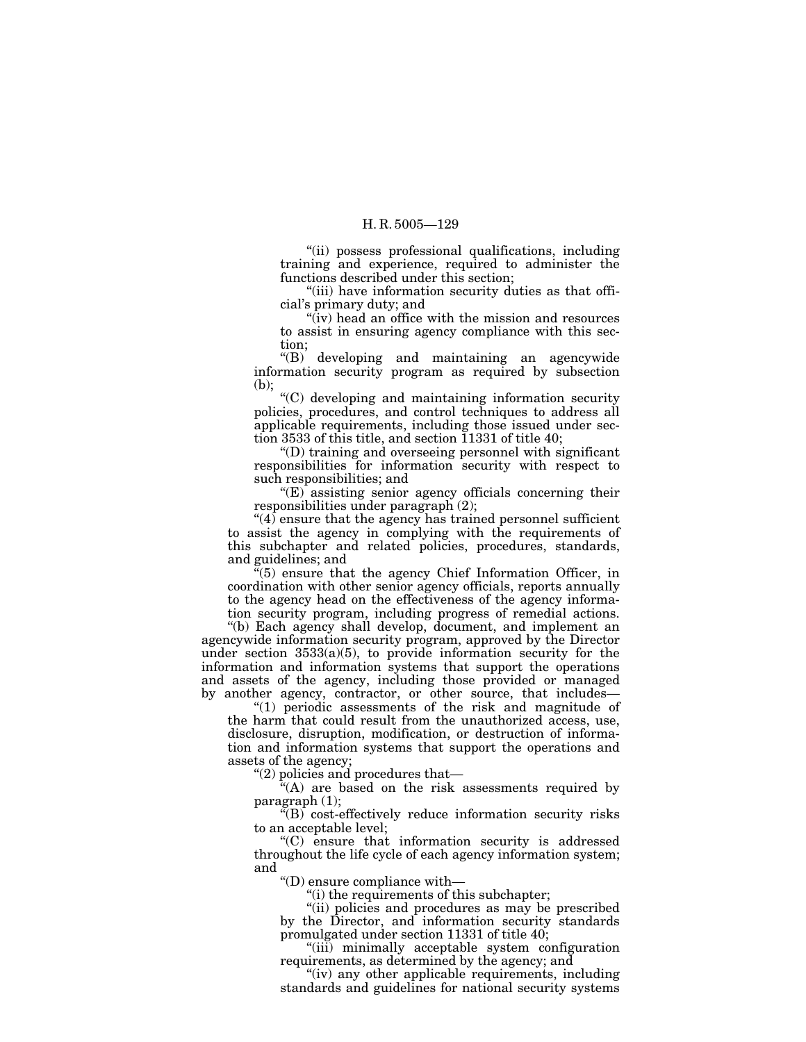''(ii) possess professional qualifications, including training and experience, required to administer the functions described under this section;

"(iii) have information security duties as that official's primary duty; and

''(iv) head an office with the mission and resources to assist in ensuring agency compliance with this section;

''(B) developing and maintaining an agencywide information security program as required by subsection (b);

''(C) developing and maintaining information security policies, procedures, and control techniques to address all applicable requirements, including those issued under section 3533 of this title, and section 11331 of title 40;

''(D) training and overseeing personnel with significant responsibilities for information security with respect to such responsibilities; and

 $E$ <sup>\*</sup>(E)<sup>\*</sup> assisting senior agency officials concerning their responsibilities under paragraph (2);

 $"(4)$  ensure that the agency has trained personnel sufficient to assist the agency in complying with the requirements of this subchapter and related policies, procedures, standards, and guidelines; and

 $\mathbb{F}(5)$  ensure that the agency Chief Information Officer, in coordination with other senior agency officials, reports annually to the agency head on the effectiveness of the agency information security program, including progress of remedial actions.

''(b) Each agency shall develop, document, and implement an agencywide information security program, approved by the Director under section  $3533(a)(5)$ , to provide information security for the information and information systems that support the operations and assets of the agency, including those provided or managed by another agency, contractor, or other source, that includes—

''(1) periodic assessments of the risk and magnitude of the harm that could result from the unauthorized access, use, disclosure, disruption, modification, or destruction of information and information systems that support the operations and assets of the agency;

''(2) policies and procedures that—

 $\mathbf{F}^{\mathsf{r}}(A)$  are based on the risk assessments required by paragraph (1);

 $\widetilde{f}(B)$  cost-effectively reduce information security risks to an acceptable level;

''(C) ensure that information security is addressed throughout the life cycle of each agency information system; and

''(D) ensure compliance with—

''(i) the requirements of this subchapter;

"(ii) policies and procedures as may be prescribed by the Director, and information security standards promulgated under section 11331 of title 40;

''(iii) minimally acceptable system configuration requirements, as determined by the agency; and

"(iv) any other applicable requirements, including standards and guidelines for national security systems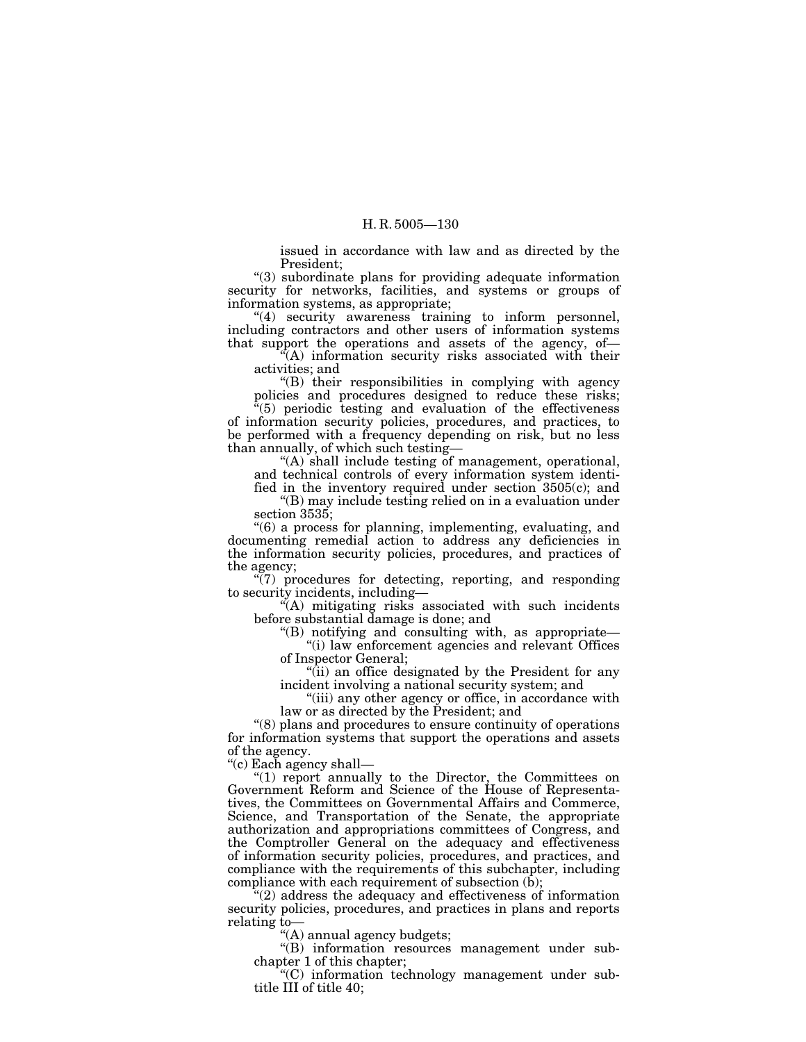issued in accordance with law and as directed by the President;

''(3) subordinate plans for providing adequate information security for networks, facilities, and systems or groups of information systems, as appropriate;

"(4) security awareness training to inform personnel, including contractors and other users of information systems that support the operations and assets of the agency, of—

''(A) information security risks associated with their activities; and

''(B) their responsibilities in complying with agency policies and procedures designed to reduce these risks;

 $*(5)$  periodic testing and evaluation of the effectiveness of information security policies, procedures, and practices, to be performed with a frequency depending on risk, but no less than annually, of which such testing—

''(A) shall include testing of management, operational, and technical controls of every information system identi-

fied in the inventory required under section 3505(c); and ''(B) may include testing relied on in a evaluation under section 3535;

''(6) a process for planning, implementing, evaluating, and documenting remedial action to address any deficiencies in the information security policies, procedures, and practices of the agency;

 $\sqrt[4]{7}$  procedures for detecting, reporting, and responding to security incidents, including—

 $H(A)$  mitigating risks associated with such incidents before substantial damage is done; and

"(B) notifying and consulting with, as appropriate— " $(i)$  law enforcement agencies and relevant Offices of Inspector General;

"(ii) an office designated by the President for any incident involving a national security system; and

"(iii) any other agency or office, in accordance with law or as directed by the President; and

 $\degree$ (8) plans and procedures to ensure continuity of operations for information systems that support the operations and assets of the agency.<br>"(c) Each agency shall-

''(c) Each agency shall— ''(1) report annually to the Director, the Committees on Government Reform and Science of the House of Representatives, the Committees on Governmental Affairs and Commerce, Science, and Transportation of the Senate, the appropriate authorization and appropriations committees of Congress, and the Comptroller General on the adequacy and effectiveness of information security policies, procedures, and practices, and compliance with the requirements of this subchapter, including compliance with each requirement of subsection  $(b)$ ;

''(2) address the adequacy and effectiveness of information security policies, procedures, and practices in plans and reports relating to—

''(A) annual agency budgets;

"(B) information resources management under subchapter 1 of this chapter;

''(C) information technology management under subtitle III of title 40;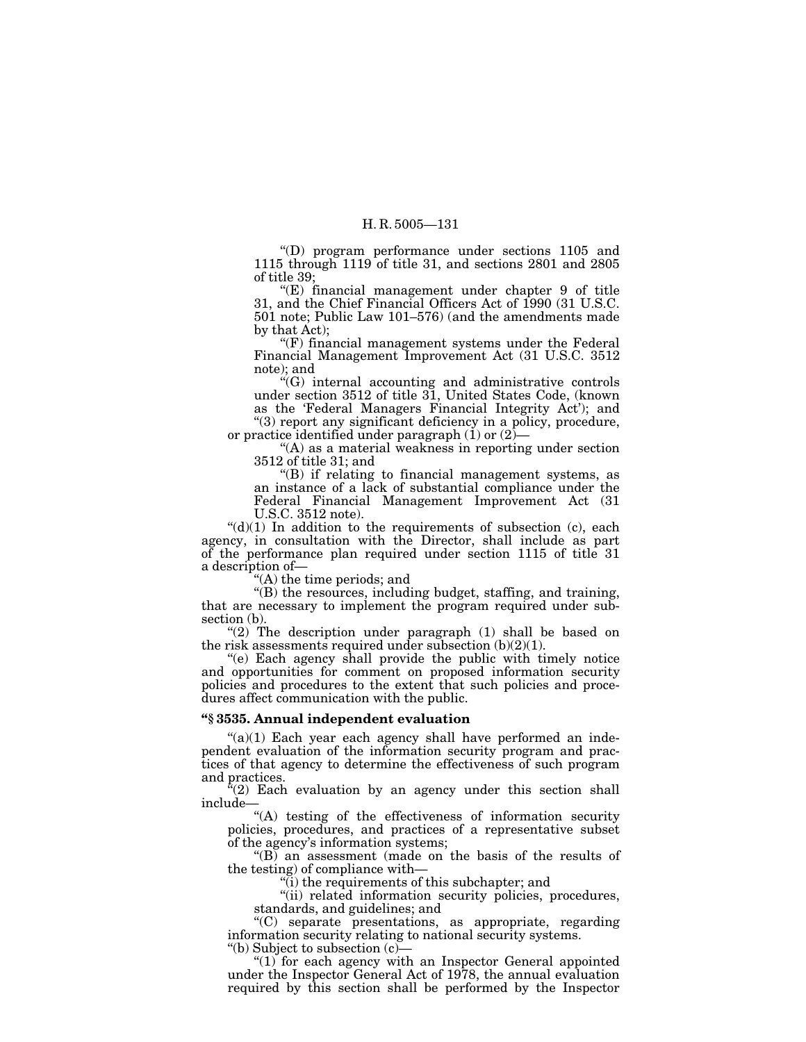''(D) program performance under sections 1105 and 1115 through 1119 of title 31, and sections 2801 and 2805 of title 39;

''(E) financial management under chapter 9 of title 31, and the Chief Financial Officers Act of 1990 (31 U.S.C. 501 note; Public Law 101–576) (and the amendments made by that Act);

''(F) financial management systems under the Federal Financial Management Improvement Act (31 U.S.C. 3512 note); and

''(G) internal accounting and administrative controls under section 3512 of title 31, United States Code, (known as the 'Federal Managers Financial Integrity Act'); and

''(3) report any significant deficiency in a policy, procedure, or practice identified under paragraph  $(1)$  or  $(2)$ —

''(A) as a material weakness in reporting under section 3512 of title 31; and

''(B) if relating to financial management systems, as an instance of a lack of substantial compliance under the Federal Financial Management Improvement Act (31 U.S.C. 3512 note).

 $"(d)(1)$  In addition to the requirements of subsection (c), each agency, in consultation with the Director, shall include as part of the performance plan required under section 1115 of title 31 a description of—

''(A) the time periods; and

''(B) the resources, including budget, staffing, and training, that are necessary to implement the program required under sub-

"(2) The description under paragraph (1) shall be based on the risk assessments required under subsection  $(b)(2)(1)$ .

 $f(e)$  Each agency shall provide the public with timely notice and opportunities for comment on proposed information security policies and procedures to the extent that such policies and procedures affect communication with the public.

### **''§ 3535. Annual independent evaluation**

 $((a)(1)$  Each year each agency shall have performed an independent evaluation of the information security program and practices of that agency to determine the effectiveness of such program

and practices.  $(i2)$  Each evaluation by an agency under this section shall include—

''(A) testing of the effectiveness of information security policies, procedures, and practices of a representative subset of the agency's information systems;

 $f(B)$  an assessment (made on the basis of the results of the testing) of compliance with—

''(i) the requirements of this subchapter; and

''(ii) related information security policies, procedures, standards, and guidelines; and

''(C) separate presentations, as appropriate, regarding information security relating to national security systems.

''(b) Subject to subsection (c)—

"(1) for each agency with an Inspector General appointed under the Inspector General Act of 1978, the annual evaluation required by this section shall be performed by the Inspector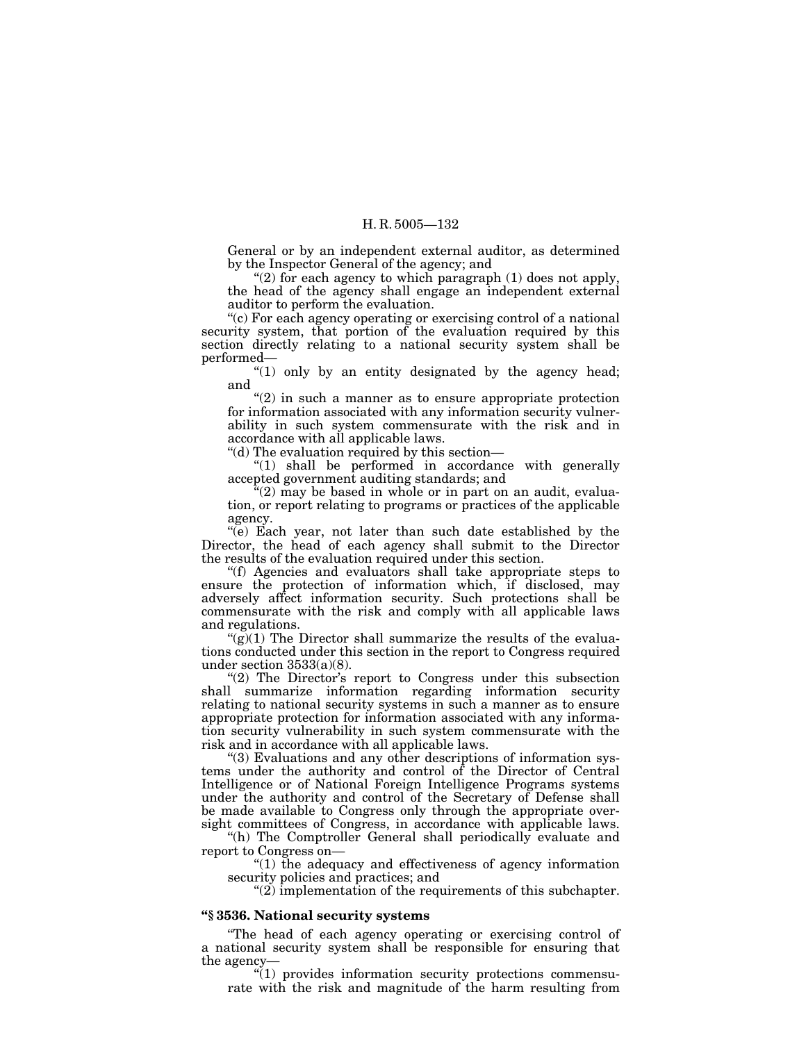General or by an independent external auditor, as determined by the Inspector General of the agency; and

"(2) for each agency to which paragraph  $(1)$  does not apply, the head of the agency shall engage an independent external auditor to perform the evaluation.

''(c) For each agency operating or exercising control of a national security system, that portion of the evaluation required by this section directly relating to a national security system shall be performed—

" $(1)$  only by an entity designated by the agency head; and

 $''(2)$  in such a manner as to ensure appropriate protection for information associated with any information security vulnerability in such system commensurate with the risk and in accordance with all applicable laws.

''(d) The evaluation required by this section—

"(1) shall be performed in accordance with generally accepted government auditing standards; and

 $\ell^2(2)$  may be based in whole or in part on an audit, evaluation, or report relating to programs or practices of the applicable agency.

''(e) Each year, not later than such date established by the Director, the head of each agency shall submit to the Director the results of the evaluation required under this section.

''(f) Agencies and evaluators shall take appropriate steps to ensure the protection of information which, if disclosed, may adversely affect information security. Such protections shall be commensurate with the risk and comply with all applicable laws and regulations.

 $(g(1))$  The Director shall summarize the results of the evaluations conducted under this section in the report to Congress required under section 3533(a)(8).

"(2) The Director's report to Congress under this subsection shall summarize information regarding information security relating to national security systems in such a manner as to ensure appropriate protection for information associated with any information security vulnerability in such system commensurate with the risk and in accordance with all applicable laws.

''(3) Evaluations and any other descriptions of information systems under the authority and control of the Director of Central Intelligence or of National Foreign Intelligence Programs systems under the authority and control of the Secretary of Defense shall be made available to Congress only through the appropriate oversight committees of Congress, in accordance with applicable laws.

"(h) The Comptroller General shall periodically evaluate and report to Congress on—

 $(1)$  the adequacy and effectiveness of agency information security policies and practices; and

 $''(2)$  implementation of the requirements of this subchapter.

## **''§ 3536. National security systems**

''The head of each agency operating or exercising control of a national security system shall be responsible for ensuring that the agency—

 $\mathcal{H}(1)$  provides information security protections commensurate with the risk and magnitude of the harm resulting from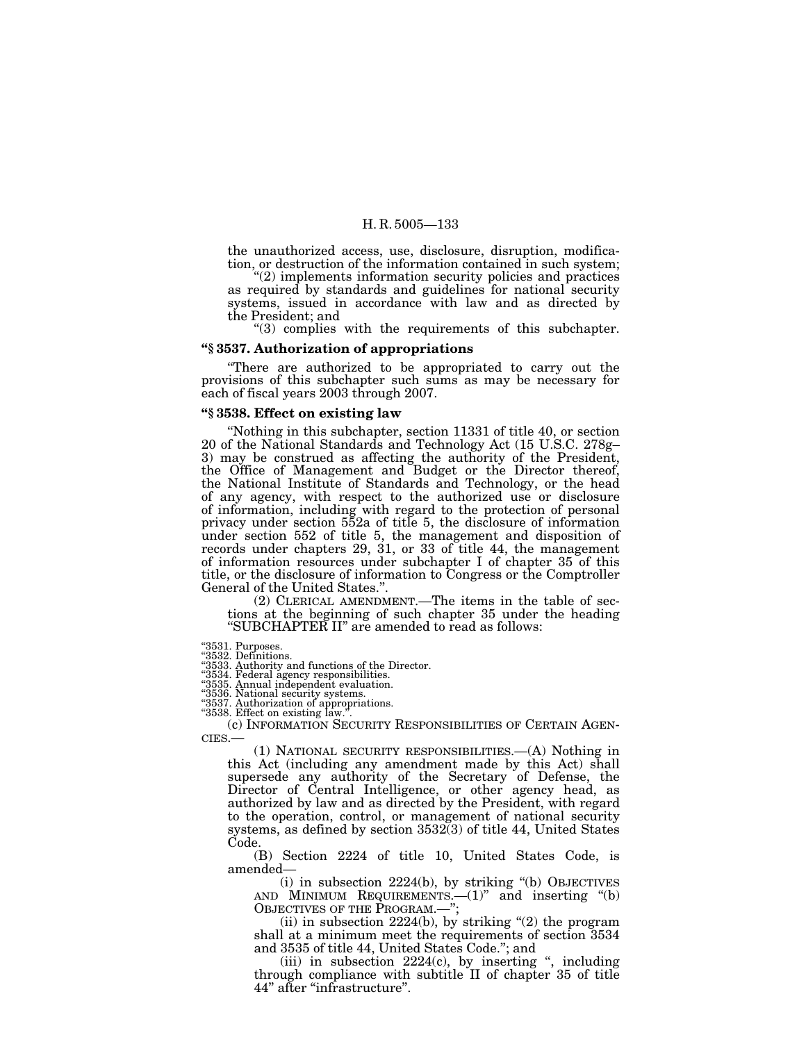the unauthorized access, use, disclosure, disruption, modifica-

 $t''(2)$  implements information security policies and practices as required by standards and guidelines for national security systems, issued in accordance with law and as directed by

 $t(3)$  complies with the requirements of this subchapter.

## **''§ 3537. Authorization of appropriations**

''There are authorized to be appropriated to carry out the provisions of this subchapter such sums as may be necessary for each of fiscal years 2003 through 2007.

### **''§ 3538. Effect on existing law**

''Nothing in this subchapter, section 11331 of title 40, or section 20 of the National Standards and Technology Act (15 U.S.C. 278g– 3) may be construed as affecting the authority of the President, the Office of Management and Budget or the Director thereof, the National Institute of Standards and Technology, or the head of any agency, with respect to the authorized use or disclosure of information, including with regard to the protection of personal privacy under section 552a of title 5, the disclosure of information under section 552 of title 5, the management and disposition of records under chapters 29, 31, or 33 of title 44, the management of information resources under subchapter I of chapter 35 of this title, or the disclosure of information to Congress or the Comptroller

 $(2)$  CLERICAL AMENDMENT.—The items in the table of sections at the beginning of such chapter 35 under the heading ''SUBCHAPTER II'' are amended to read as follows:

''3531. Purposes. ''3532. Definitions.

''3533. Authority and functions of the Director.

''3534. Federal agency responsibilities. ''3535. Annual independent evaluation.

''3536. National security systems. ''3537. Authorization of appropriations. ''3538. Effect on existing law.''.

(c) INFORMATION SECURITY RESPONSIBILITIES OF CERTAIN AGEN-<br>CIES.— (1) NATIONAL SECURITY RESPONSIBILITIES.—(A) Nothing in

this Act (including any amendment made by this Act) shall supersede any authority of the Secretary of Defense, the Director of Central Intelligence, or other agency head, as authorized by law and as directed by the President, with regard to the operation, control, or management of national security systems, as defined by section 3532(3) of title 44, United States Code.

(B) Section 2224 of title 10, United States Code, is amended—

(i) in subsection 2224(b), by striking ''(b) OBJECTIVES AND MINIMUM REQUIREMENTS.—(1)'' and inserting ''(b) OBJECTIVES OF THE PROGRAM.—'';

(ii) in subsection  $2224(b)$ , by striking "(2) the program shall at a minimum meet the requirements of section 3534 and 3535 of title 44, United States Code.''; and

(iii) in subsection  $2224(c)$ , by inserting ", including through compliance with subtitle II of chapter 35 of title 44'' after ''infrastructure''.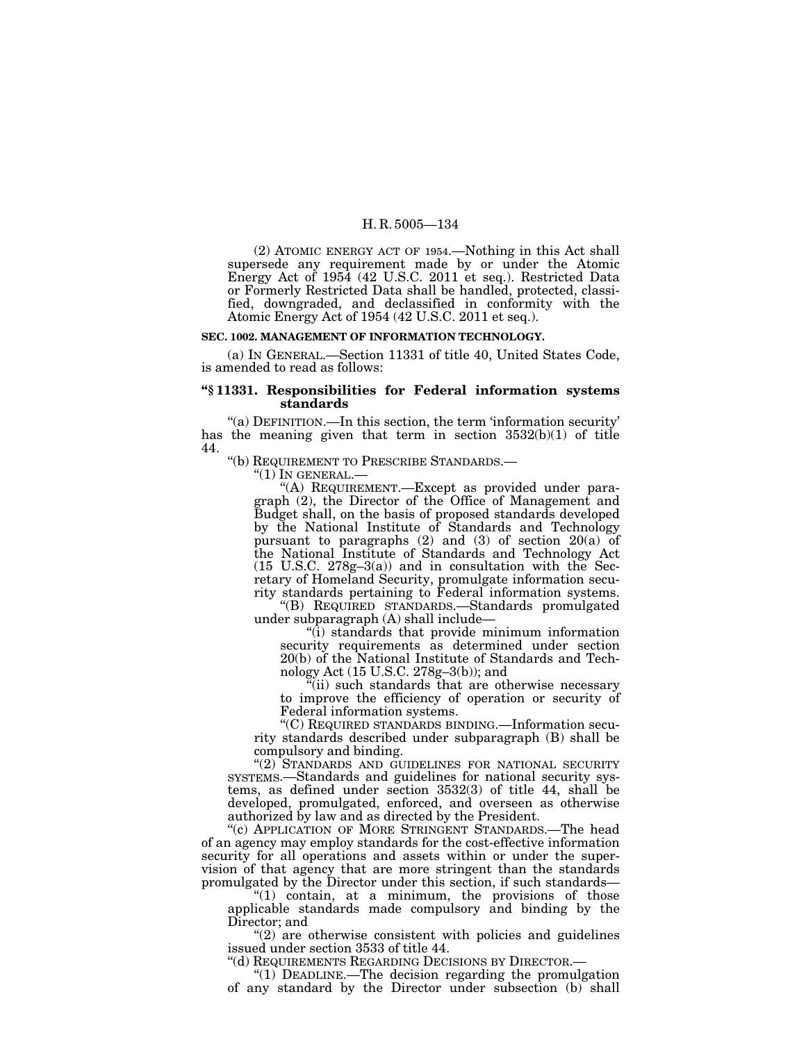(2) ATOMIC ENERGY ACT OF 1954.—Nothing in this Act shall supersede any requirement made by or under the Atomic Energy Act of 1954 (42 U.S.C. 2011 et seq.). Restricted Data or Formerly Restricted Data shall be handled, protected, classified, downgraded, and declassified in conformity with the Atomic Energy Act of 1954 (42 U.S.C. 2011 et seq.).

### **SEC. 1002. MANAGEMENT OF INFORMATION TECHNOLOGY.**

(a) IN GENERAL.—Section 11331 of title 40, United States Code, is amended to read as follows:

### **''§ 11331. Responsibilities for Federal information systems standards**

''(a) DEFINITION.—In this section, the term 'information security' has the meaning given that term in section  $3532(b)(1)$  of title 44.

''(b) REQUIREMENT TO PRESCRIBE STANDARDS.—

''(1) IN GENERAL.—

''(A) REQUIREMENT.—Except as provided under paragraph (2), the Director of the Office of Management and Budget shall, on the basis of proposed standards developed by the National Institute of Standards and Technology pursuant to paragraphs (2) and (3) of section 20(a) of the National Institute of Standards and Technology Act (15 U.S.C. 278g–3(a)) and in consultation with the Secretary of Homeland Security, promulgate information security standards pertaining to Federal information systems.

''(B) REQUIRED STANDARDS.—Standards promulgated under subparagraph (A) shall include—

''(i) standards that provide minimum information security requirements as determined under section 20(b) of the National Institute of Standards and Technology Act (15 U.S.C. 278g–3(b)); and

 $\dddot{\mathbf{r}}$ (ii) such standards that are otherwise necessary to improve the efficiency of operation or security of Federal information systems.

''(C) REQUIRED STANDARDS BINDING.—Information security standards described under subparagraph (B) shall be compulsory and binding.

"(2) STANDARDS AND GUIDELINES FOR NATIONAL SECURITY SYSTEMS.—Standards and guidelines for national security systems, as defined under section 3532(3) of title 44, shall be developed, promulgated, enforced, and overseen as otherwise authorized by law and as directed by the President.

''(c) APPLICATION OF MORE STRINGENT STANDARDS.—The head of an agency may employ standards for the cost-effective information security for all operations and assets within or under the supervision of that agency that are more stringent than the standards promulgated by the Director under this section, if such standards-

"(1) contain, at a minimum, the provisions of those applicable standards made compulsory and binding by the Director; and

 $''(2)$  are otherwise consistent with policies and guidelines issued under section 3533 of title 44.

''(d) REQUIREMENTS REGARDING DECISIONS BY DIRECTOR.—

" $(1)$  DEADLINE.—The decision regarding the promulgation of any standard by the Director under subsection (b) shall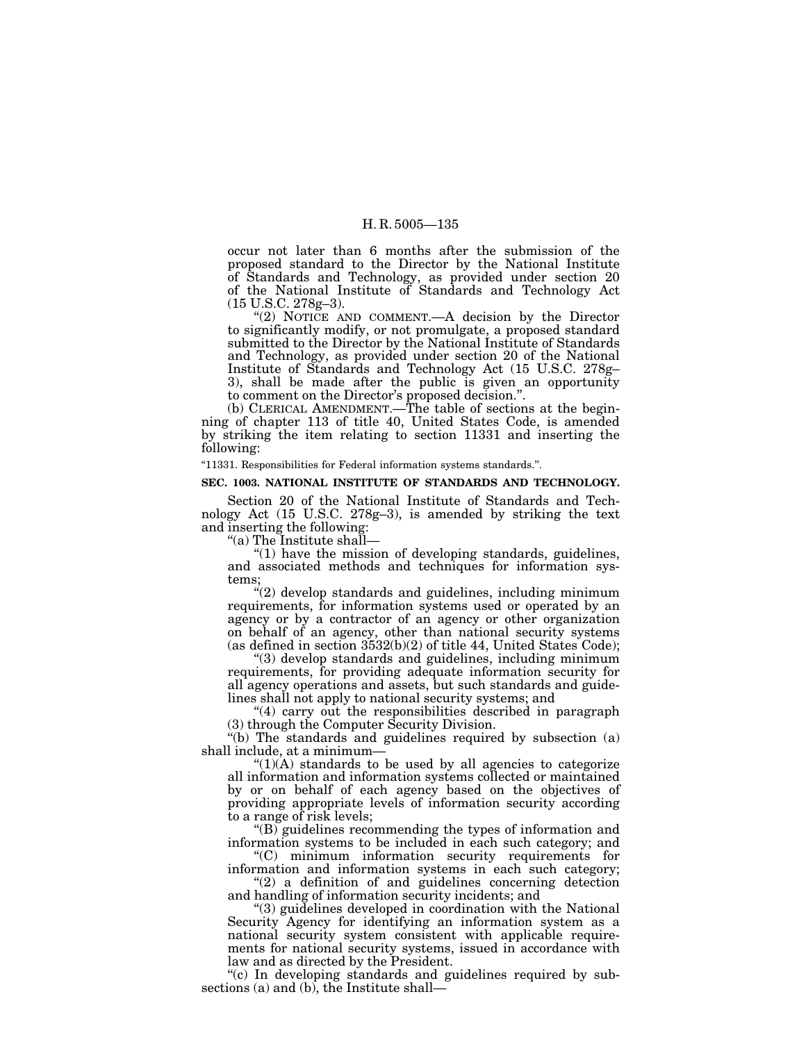occur not later than 6 months after the submission of the proposed standard to the Director by the National Institute of Standards and Technology, as provided under section 20 of the National Institute of Standards and Technology Act (15 U.S.C. 278g–3).

"(2) NOTICE AND COMMENT.—A decision by the Director to significantly modify, or not promulgate, a proposed standard submitted to the Director by the National Institute of Standards and Technology, as provided under section 20 of the National Institute of Standards and Technology Act (15 U.S.C. 278g– 3), shall be made after the public is given an opportunity to comment on the Director's proposed decision.''.

(b) CLERICAL AMENDMENT.—The table of sections at the beginning of chapter 113 of title 40, United States Code, is amended by striking the item relating to section 11331 and inserting the following:

### ''11331. Responsibilities for Federal information systems standards.''.

## **SEC. 1003. NATIONAL INSTITUTE OF STANDARDS AND TECHNOLOGY.**

Section 20 of the National Institute of Standards and Technology Act (15 U.S.C. 278g–3), is amended by striking the text and inserting the following:

''(a) The Institute shall—

 $''(1)$  have the mission of developing standards, guidelines, and associated methods and techniques for information systems;

 $\mathcal{H}(2)$  develop standards and guidelines, including minimum requirements, for information systems used or operated by an agency or by a contractor of an agency or other organization on behalf of an agency, other than national security systems (as defined in section 3532(b)(2) of title 44, United States Code);

''(3) develop standards and guidelines, including minimum requirements, for providing adequate information security for all agency operations and assets, but such standards and guidelines shall not apply to national security systems; and

''(4) carry out the responsibilities described in paragraph (3) through the Computer Security Division.

"(b) The standards and guidelines required by subsection (a) shall include, at a minimum—

 $\mathcal{L}(1)(A)$  standards to be used by all agencies to categorize all information and information systems collected or maintained by or on behalf of each agency based on the objectives of providing appropriate levels of information security according to a range of risk levels;

 $\sqrt{\text{B}}$  guidelines recommending the types of information and information systems to be included in each such category; and

''(C) minimum information security requirements for information and information systems in each such category; "(2) a definition of and guidelines concerning detection

and handling of information security incidents; and

''(3) guidelines developed in coordination with the National Security Agency for identifying an information system as a national security system consistent with applicable requirements for national security systems, issued in accordance with law and as directed by the President.

"(c) In developing standards and guidelines required by subsections (a) and (b), the Institute shall—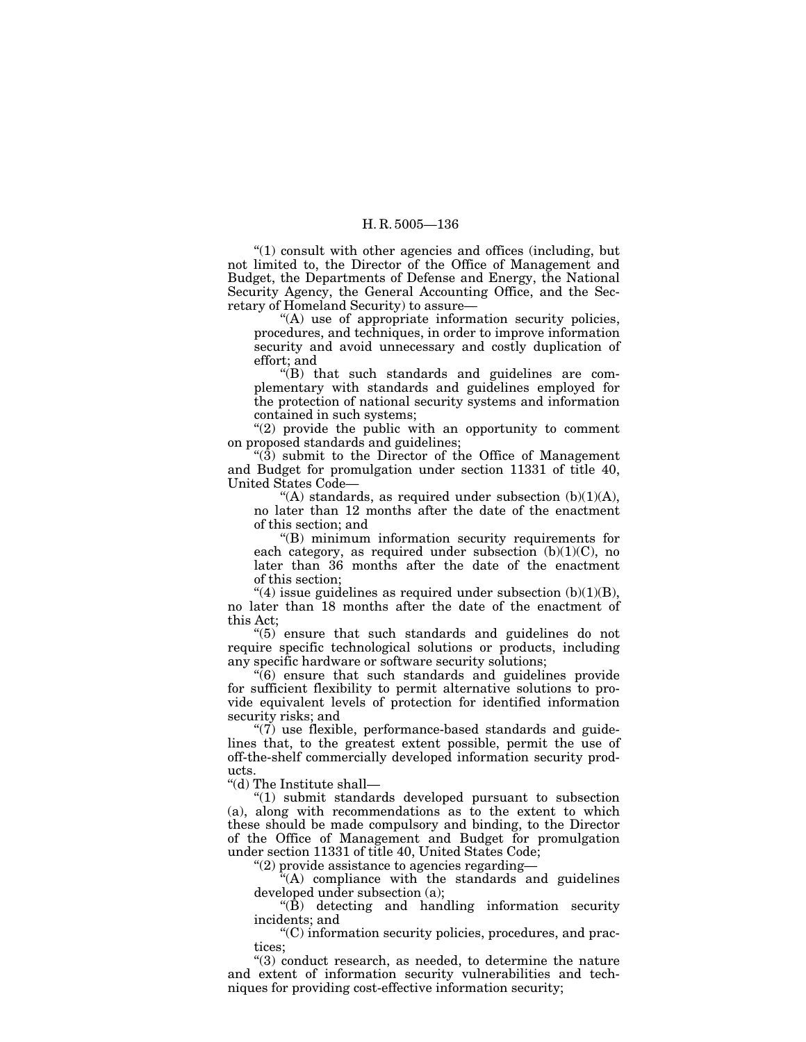''(1) consult with other agencies and offices (including, but not limited to, the Director of the Office of Management and Budget, the Departments of Defense and Energy, the National Security Agency, the General Accounting Office, and the Secretary of Homeland Security) to assure—

"(A) use of appropriate information security policies, procedures, and techniques, in order to improve information security and avoid unnecessary and costly duplication of effort; and

"(B) that such standards and guidelines are complementary with standards and guidelines employed for the protection of national security systems and information contained in such systems;

" $(2)$  provide the public with an opportunity to comment on proposed standards and guidelines;

" $(3)$  submit to the Director of the Office of Management and Budget for promulgation under section 11331 of title 40, United States Code—

"(A) standards, as required under subsection  $(b)(1)(A)$ , no later than 12 months after the date of the enactment of this section; and

''(B) minimum information security requirements for each category, as required under subsection  $(b)(1)(C)$ , no later than 36 months after the date of the enactment of this section;

"(4) issue guidelines as required under subsection  $(b)(1)(B)$ , no later than 18 months after the date of the enactment of this Act;

''(5) ensure that such standards and guidelines do not require specific technological solutions or products, including any specific hardware or software security solutions;

 $\sqrt{6}$  ensure that such standards and guidelines provide for sufficient flexibility to permit alternative solutions to provide equivalent levels of protection for identified information security risks; and

 $\degree$ (7) use flexible, performance-based standards and guidelines that, to the greatest extent possible, permit the use of off-the-shelf commercially developed information security products.

''(d) The Institute shall—

''(1) submit standards developed pursuant to subsection (a), along with recommendations as to the extent to which these should be made compulsory and binding, to the Director of the Office of Management and Budget for promulgation under section 11331 of title 40, United States Code;

''(2) provide assistance to agencies regarding—

 $\mathbf{H}^{\mathsf{u}}(A)$  compliance with the standards and guidelines developed under subsection (a);

 $\angle$ <sup>"(B)</sup> detecting and handling information security incidents; and

''(C) information security policies, procedures, and practices;

''(3) conduct research, as needed, to determine the nature and extent of information security vulnerabilities and techniques for providing cost-effective information security;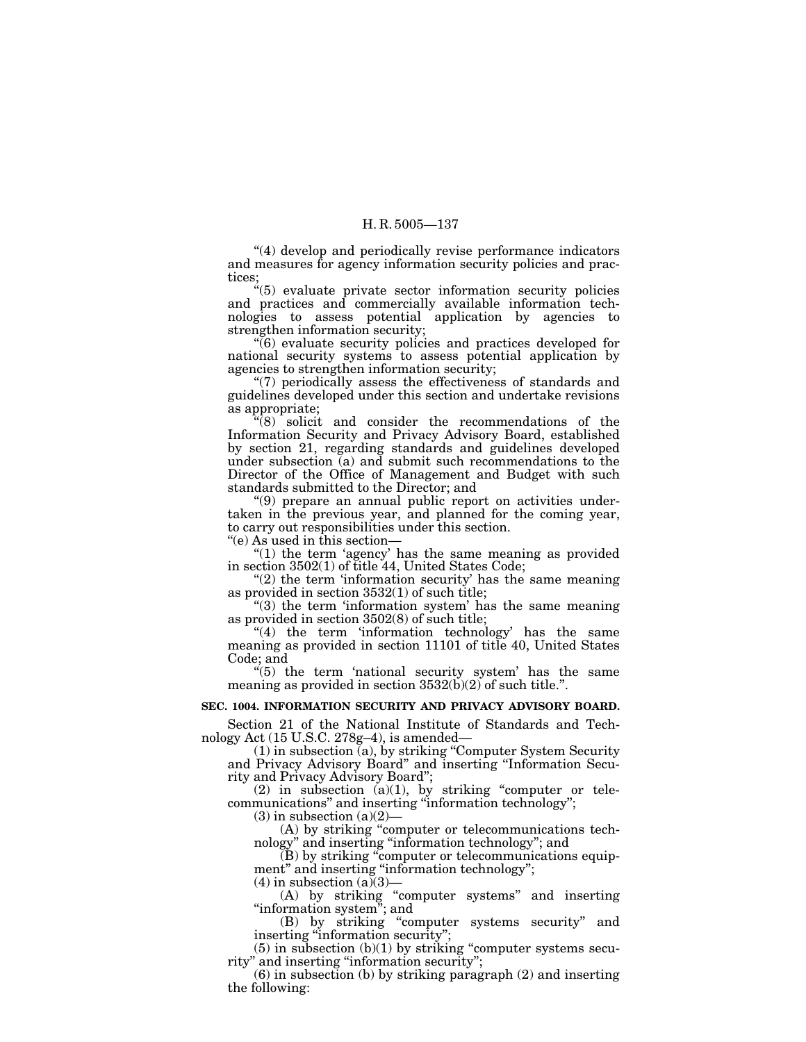"(4) develop and periodically revise performance indicators and measures for agency information security policies and practices;

 $(5)$  evaluate private sector information security policies and practices and commercially available information technologies to assess potential application by agencies to strengthen information security;

''(6) evaluate security policies and practices developed for national security systems to assess potential application by agencies to strengthen information security;

 $'(7)$  periodically assess the effectiveness of standards and guidelines developed under this section and undertake revisions as appropriate;

"(8) solicit and consider the recommendations of the Information Security and Privacy Advisory Board, established by section 21, regarding standards and guidelines developed under subsection (a) and submit such recommendations to the Director of the Office of Management and Budget with such standards submitted to the Director; and

''(9) prepare an annual public report on activities undertaken in the previous year, and planned for the coming year, to carry out responsibilities under this section.

''(e) As used in this section—

" $(1)$  the term 'agency' has the same meaning as provided in section 3502(1) of title 44, United States Code;

" $(2)$  the term 'information security' has the same meaning as provided in section 3532(1) of such title;

 $^{\circ}$  (3) the term 'information system' has the same meaning as provided in section 3502(8) of such title;

" $(4)$  the term 'information technology' has the same meaning as provided in section 11101 of title 40, United States Code; and<br>"(5) the term 'national security system' has the same

meaning as provided in section  $3532(b)(2)$  of such title.".

### **SEC. 1004. INFORMATION SECURITY AND PRIVACY ADVISORY BOARD.**

Section 21 of the National Institute of Standards and Technology Act (15 U.S.C. 278g–4), is amended—

 $(1)$  in subsection  $\overline{a}$ ), by striking "Computer System Security and Privacy Advisory Board'' and inserting ''Information Security and Privacy Advisory Board'';

 $(2)$  in subsection  $(a)(1)$ , by striking "computer or telecommunications'' and inserting ''information technology'';

 $(3)$  in subsection  $(a)(2)$ –

(A) by striking ''computer or telecommunications technology'' and inserting ''information technology''; and

(B) by striking ''computer or telecommunications equipment" and inserting "information technology";

(4) in subsection (a)(3)—<br>(A) by striking "computer systems" and inserting "information system"; and

(B) by striking ''computer systems security'' and inserting ''information security'';

 $(5)$  in subsection  $(b)(1)$  by striking "computer systems security'' and inserting ''information security'';

(6) in subsection (b) by striking paragraph (2) and inserting the following: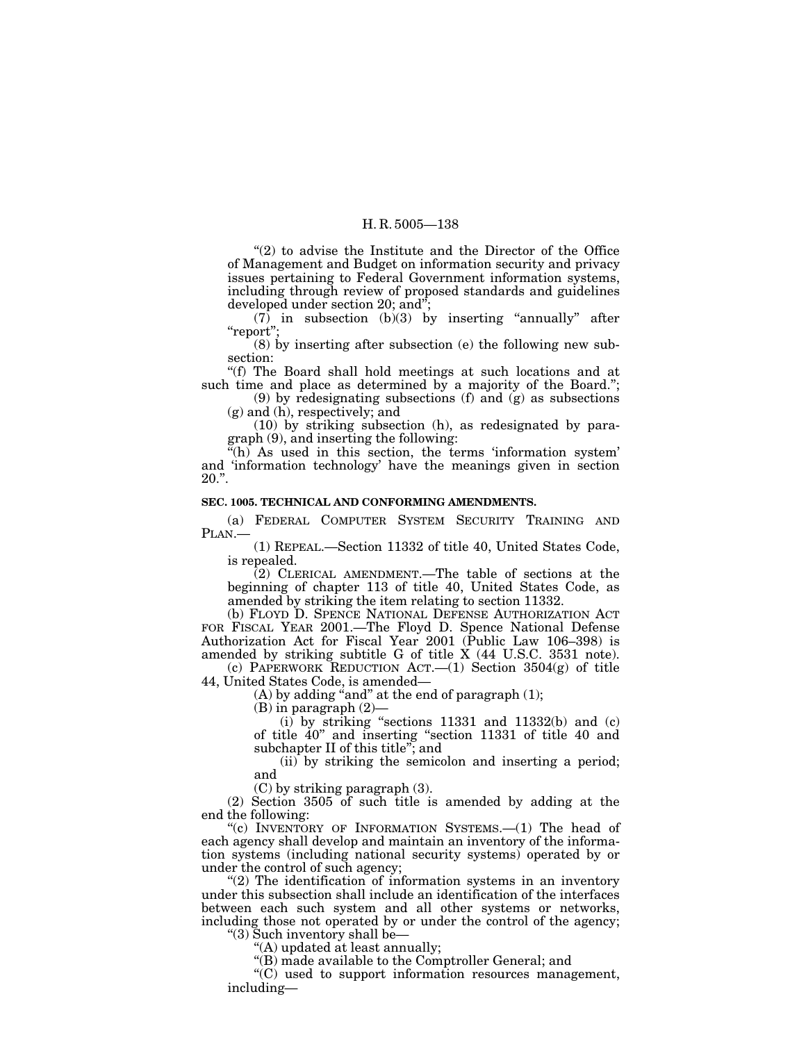"(2) to advise the Institute and the Director of the Office of Management and Budget on information security and privacy issues pertaining to Federal Government information systems, including through review of proposed standards and guidelines developed under section 20; and'';

 $(7)$  in subsection  $(b)(3)$  by inserting "annually" after "report";

(8) by inserting after subsection (e) the following new subsection:

''(f) The Board shall hold meetings at such locations and at such time and place as determined by a majority of the Board.'';

(9) by redesignating subsections (f) and (g) as subsections (g) and (h), respectively; and

(10) by striking subsection (h), as redesignated by paragraph (9), and inserting the following:

"(h) As used in this section, the terms 'information system' and 'information technology' have the meanings given in section  $20.$ ".

## **SEC. 1005. TECHNICAL AND CONFORMING AMENDMENTS.**

(a) FEDERAL COMPUTER SYSTEM SECURITY TRAINING AND PLAN.—

(1) REPEAL.—Section 11332 of title 40, United States Code, is repealed.

(2) CLERICAL AMENDMENT.—The table of sections at the beginning of chapter 113 of title 40, United States Code, as amended by striking the item relating to section 11332.

(b) FLOYD D. SPENCE NATIONAL DEFENSE AUTHORIZATION ACT FOR FISCAL YEAR 2001.—The Floyd D. Spence National Defense Authorization Act for Fiscal Year 2001 (Public Law 106–398) is amended by striking subtitle G of title X (44 U.S.C. 3531 note).

(c) PAPERWORK REDUCTION ACT. $-(1)$  Section 3504 $(g)$  of title 44, United States Code, is amended—

(A) by adding "and" at the end of paragraph  $(1)$ ;

(B) in paragraph (2)—

 $(i)$  by striking "sections 11331 and 11332(b) and (c) of title 40'' and inserting ''section 11331 of title 40 and subchapter II of this title''; and

(ii) by striking the semicolon and inserting a period; and

(C) by striking paragraph (3).

(2) Section 3505 of such title is amended by adding at the end the following:

"(c) INVENTORY OF INFORMATION SYSTEMS.—(1) The head of each agency shall develop and maintain an inventory of the information systems (including national security systems) operated by or under the control of such agency;

 $''(2)$  The identification of information systems in an inventory under this subsection shall include an identification of the interfaces between each such system and all other systems or networks, including those not operated by or under the control of the agency; ''(3) Such inventory shall be—

''(A) updated at least annually;

''(B) made available to the Comptroller General; and

''(C) used to support information resources management, including—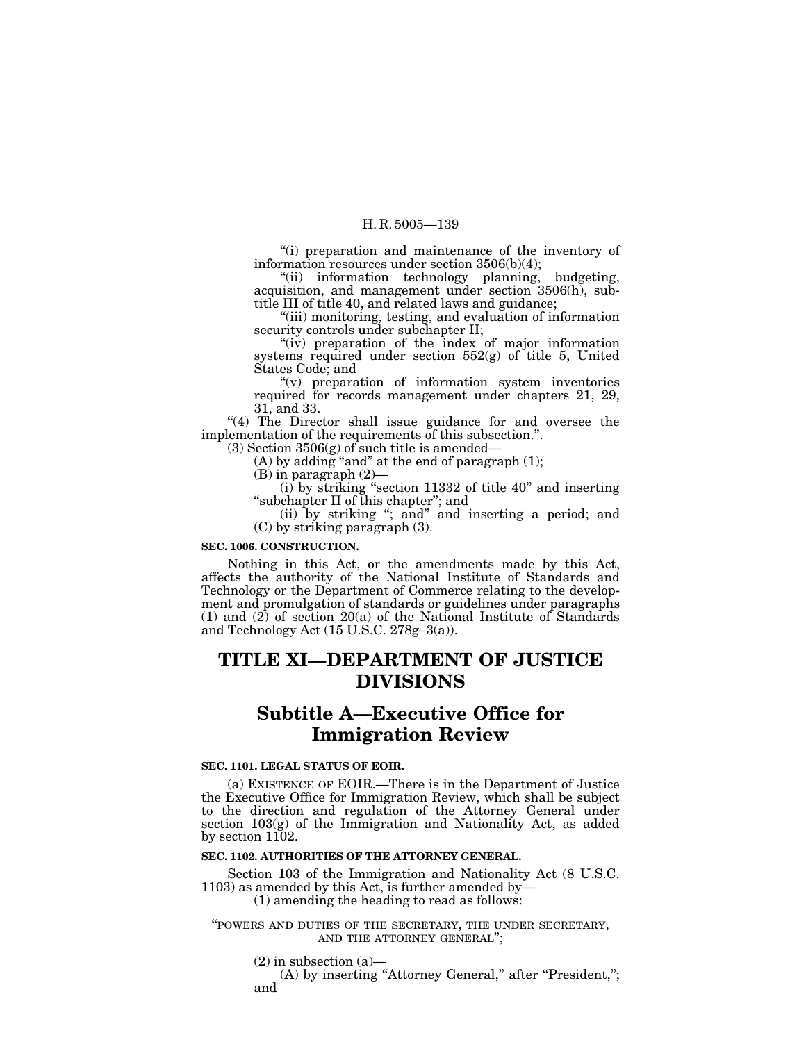''(i) preparation and maintenance of the inventory of information resources under section  $3506(b)(4);$ 

''(ii) information technology planning, budgeting, acquisition, and management under section 3506(h), subtitle III of title 40, and related laws and guidance;

''(iii) monitoring, testing, and evaluation of information security controls under subchapter II;

"(iv) preparation of the index of major information systems required under section  $552(g)$  of title 5, United States Code; and

''(v) preparation of information system inventories required for records management under chapters 21, 29, 31, and 33.

"(4) The Director shall issue guidance for and oversee the implementation of the requirements of this subsection.''.

 $(3)$  Section 3506 $(g)$  of such title is amended—

 $(A)$  by adding "and" at the end of paragraph  $(1)$ ;

(B) in paragraph (2)—

(i) by striking ''section 11332 of title 40'' and inserting "subchapter II of this chapter"; and

(ii) by striking ''; and'' and inserting a period; and (C) by striking paragraph (3).

### **SEC. 1006. CONSTRUCTION.**

Nothing in this Act, or the amendments made by this Act, affects the authority of the National Institute of Standards and Technology or the Department of Commerce relating to the development and promulgation of standards or guidelines under paragraphs  $(1)$  and  $(2)$  of section  $20(a)$  of the National Institute of Standards and Technology Act (15 U.S.C. 278g–3(a)).

# **TITLE XI—DEPARTMENT OF JUSTICE DIVISIONS**

# **Subtitle A—Executive Office for Immigration Review**

## **SEC. 1101. LEGAL STATUS OF EOIR.**

(a) EXISTENCE OF EOIR.—There is in the Department of Justice the Executive Office for Immigration Review, which shall be subject to the direction and regulation of the Attorney General under section 103(g) of the Immigration and Nationality Act, as added by section 1102.

### **SEC. 1102. AUTHORITIES OF THE ATTORNEY GENERAL.**

Section 103 of the Immigration and Nationality Act (8 U.S.C. 1103) as amended by this Act, is further amended by— (1) amending the heading to read as follows:

''POWERS AND DUTIES OF THE SECRETARY, THE UNDER SECRETARY, AND THE ATTORNEY GENERAL'';

(2) in subsection (a)— $(A)$  by inserting "Attorney General," after "President,"; and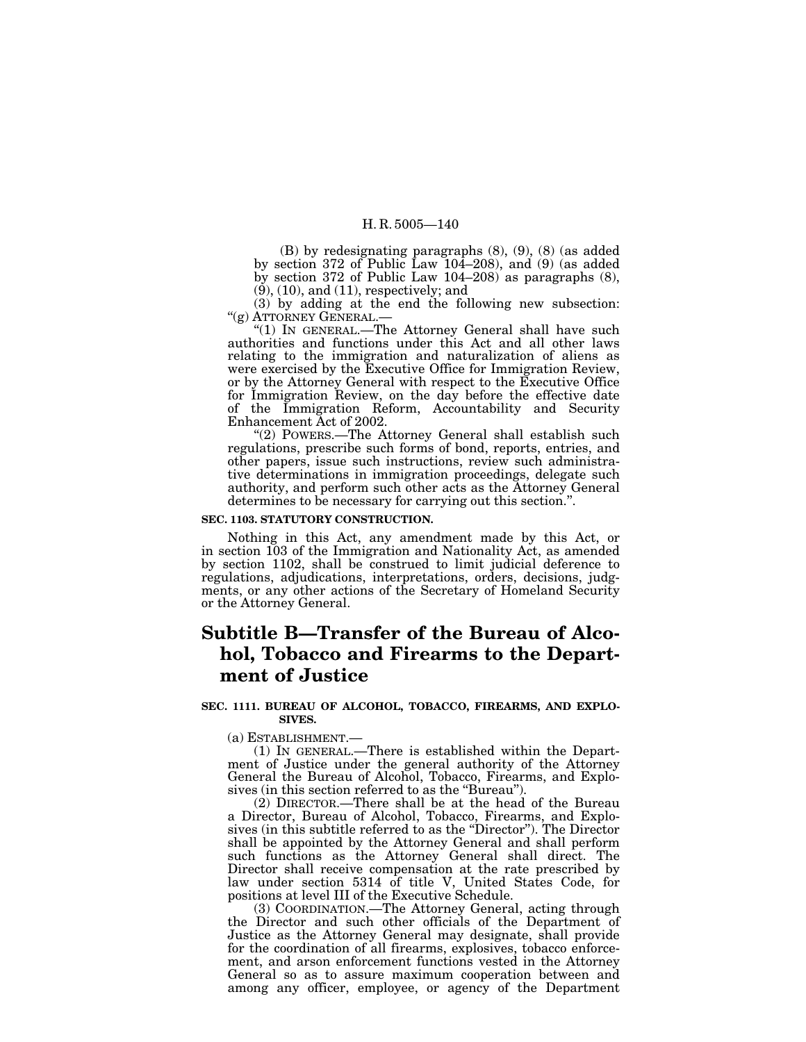(B) by redesignating paragraphs (8), (9), (8) (as added by section 372 of Public Law 104–208), and (9) (as added by section 372 of Public Law 104–208) as paragraphs (8), (9), (10), and (11), respectively; and

(3) by adding at the end the following new subsection: ''(g) ATTORNEY GENERAL.—

"(1) IN GENERAL.—The Attorney General shall have such authorities and functions under this Act and all other laws relating to the immigration and naturalization of aliens as were exercised by the Executive Office for Immigration Review, or by the Attorney General with respect to the Executive Office for Immigration Review, on the day before the effective date of the Immigration Reform, Accountability and Security Enhancement Act of 2002.

"(2) POWERS.-The Attorney General shall establish such regulations, prescribe such forms of bond, reports, entries, and other papers, issue such instructions, review such administrative determinations in immigration proceedings, delegate such authority, and perform such other acts as the Attorney General determines to be necessary for carrying out this section.''.

### **SEC. 1103. STATUTORY CONSTRUCTION.**

Nothing in this Act, any amendment made by this Act, or in section 103 of the Immigration and Nationality Act, as amended by section 1102, shall be construed to limit judicial deference to regulations, adjudications, interpretations, orders, decisions, judgments, or any other actions of the Secretary of Homeland Security or the Attorney General.

# **Subtitle B—Transfer of the Bureau of Alcohol, Tobacco and Firearms to the Department of Justice**

## **SEC. 1111. BUREAU OF ALCOHOL, TOBACCO, FIREARMS, AND EXPLO-SIVES.**

(a) ESTABLISHMENT.—

(1) IN GENERAL.—There is established within the Department of Justice under the general authority of the Attorney General the Bureau of Alcohol, Tobacco, Firearms, and Explosives (in this section referred to as the "Bureau").

(2) DIRECTOR.—There shall be at the head of the Bureau a Director, Bureau of Alcohol, Tobacco, Firearms, and Explosives (in this subtitle referred to as the ''Director''). The Director shall be appointed by the Attorney General and shall perform such functions as the Attorney General shall direct. The Director shall receive compensation at the rate prescribed by law under section 5314 of title V, United States Code, for positions at level III of the Executive Schedule.

(3) COORDINATION.—The Attorney General, acting through the Director and such other officials of the Department of Justice as the Attorney General may designate, shall provide for the coordination of all firearms, explosives, tobacco enforcement, and arson enforcement functions vested in the Attorney General so as to assure maximum cooperation between and among any officer, employee, or agency of the Department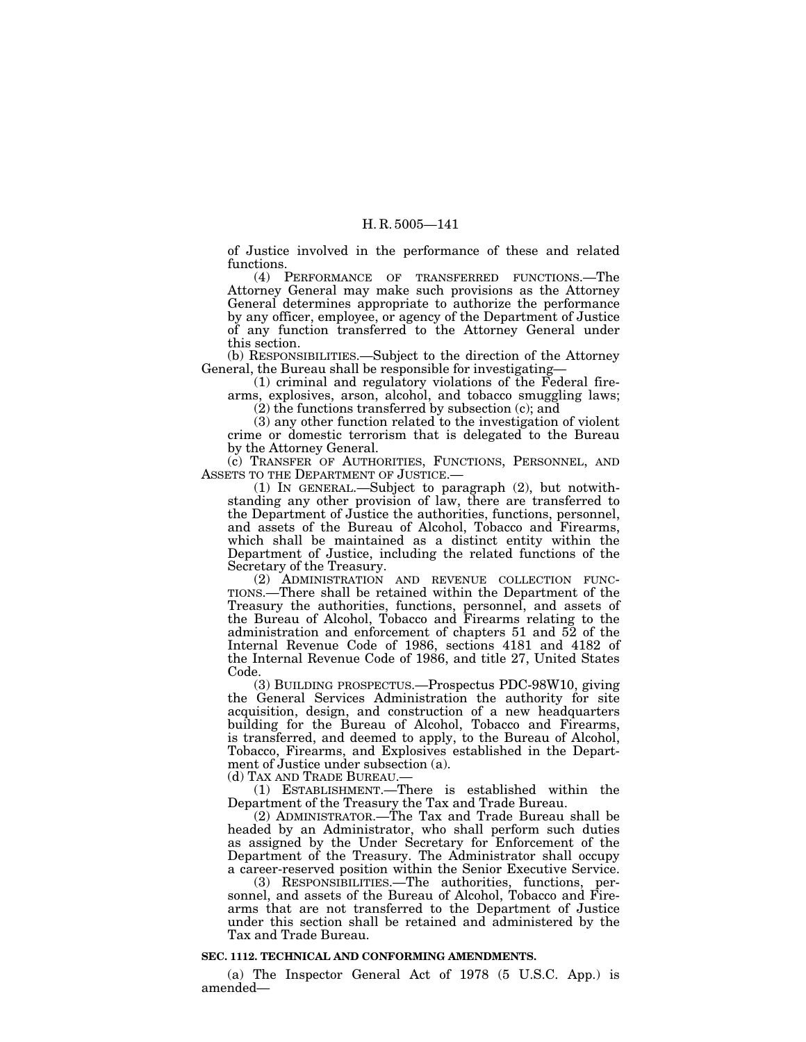of Justice involved in the performance of these and related functions.

(4) PERFORMANCE OF TRANSFERRED FUNCTIONS.—The Attorney General may make such provisions as the Attorney General determines appropriate to authorize the performance by any officer, employee, or agency of the Department of Justice of any function transferred to the Attorney General under this section.

(b) RESPONSIBILITIES.—Subject to the direction of the Attorney General, the Bureau shall be responsible for investigating—

General, the Bureau shall be responsible for investigating— (1) criminal and regulatory violations of the Federal firearms, explosives, arson, alcohol, and tobacco smuggling laws; (2) the functions transferred by subsection (c); and

(3) any other function related to the investigation of violent crime or domestic terrorism that is delegated to the Bureau by the Attorney General.

(c) TRANSFER OF AUTHORITIES, FUNCTIONS, PERSONNEL, AND ASSETS TO THE DEPARTMENT OF JUSTICE.—

(1) IN GENERAL.—Subject to paragraph (2), but notwithstanding any other provision of law, there are transferred to the Department of Justice the authorities, functions, personnel, and assets of the Bureau of Alcohol, Tobacco and Firearms, which shall be maintained as a distinct entity within the Department of Justice, including the related functions of the Secretary of the Treasury.

(2) ADMINISTRATION AND REVENUE COLLECTION FUNC-TIONS.—There shall be retained within the Department of the Treasury the authorities, functions, personnel, and assets of the Bureau of Alcohol, Tobacco and Firearms relating to the administration and enforcement of chapters 51 and 52 of the Internal Revenue Code of 1986, sections 4181 and 4182 of the Internal Revenue Code of 1986, and title 27, United States Code.

(3) BUILDING PROSPECTUS.—Prospectus PDC-98W10, giving the General Services Administration the authority for site acquisition, design, and construction of a new headquarters building for the Bureau of Alcohol, Tobacco and Firearms, is transferred, and deemed to apply, to the Bureau of Alcohol, Tobacco, Firearms, and Explosives established in the Department of Justice under subsection (a).

(d) TAX AND TRADE BUREAU.—

(1) ESTABLISHMENT.—There is established within the Department of the Treasury the Tax and Trade Bureau.

(2) ADMINISTRATOR.—The Tax and Trade Bureau shall be headed by an Administrator, who shall perform such duties as assigned by the Under Secretary for Enforcement of the Department of the Treasury. The Administrator shall occupy a career-reserved position within the Senior Executive Service.

(3) RESPONSIBILITIES.—The authorities, functions, personnel, and assets of the Bureau of Alcohol, Tobacco and Firearms that are not transferred to the Department of Justice under this section shall be retained and administered by the Tax and Trade Bureau.

### **SEC. 1112. TECHNICAL AND CONFORMING AMENDMENTS.**

(a) The Inspector General Act of 1978 (5 U.S.C. App.) is amended—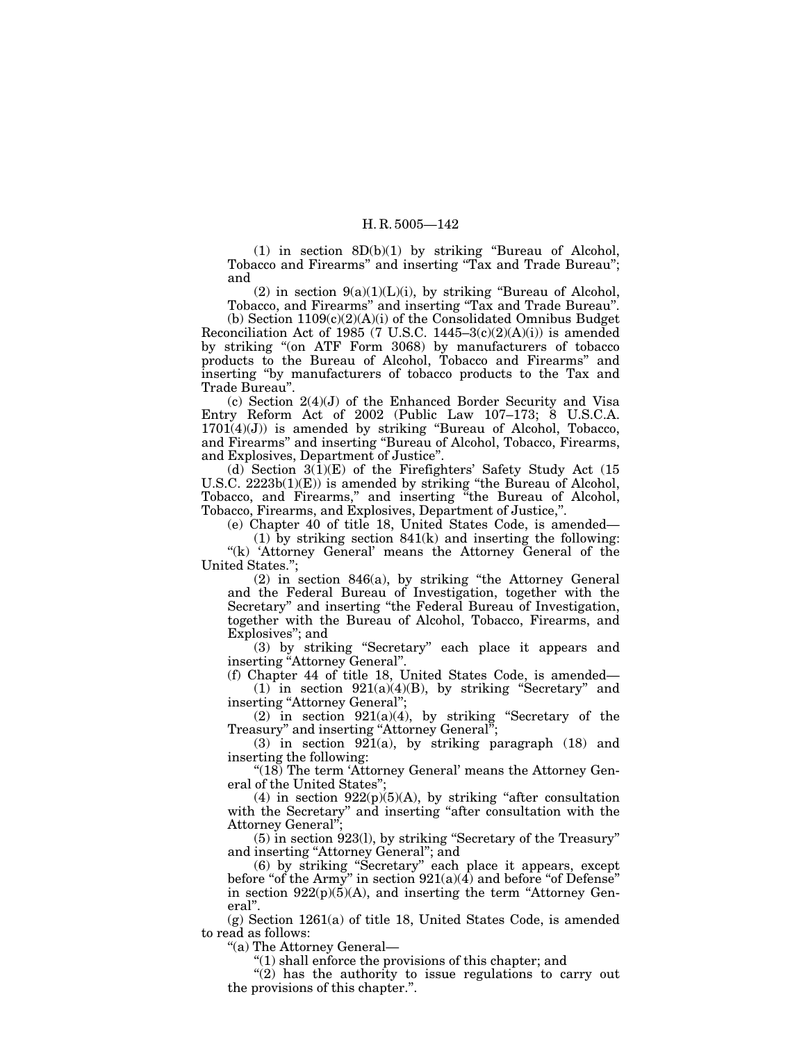(1) in section  $8D(b)(1)$  by striking "Bureau of Alcohol, Tobacco and Firearms'' and inserting ''Tax and Trade Bureau''; and

(2) in section  $9(a)(1)(L)(i)$ , by striking "Bureau of Alcohol, Tobacco, and Firearms'' and inserting ''Tax and Trade Bureau''.

(b) Section  $1109(c)(2)(A)(i)$  of the Consolidated Omnibus Budget Reconciliation Act of 1985 (7 U.S.C. 1445–3(c)(2)(A)(i)) is amended by striking ''(on ATF Form 3068) by manufacturers of tobacco products to the Bureau of Alcohol, Tobacco and Firearms'' and inserting ''by manufacturers of tobacco products to the Tax and Trade Bureau''.

(c) Section 2(4)(J) of the Enhanced Border Security and Visa Entry Reform Act of 2002 (Public Law 107–173; 8 U.S.C.A. 1701(4)(J)) is amended by striking ''Bureau of Alcohol, Tobacco, and Firearms'' and inserting ''Bureau of Alcohol, Tobacco, Firearms, and Explosives, Department of Justice''.

(d) Section 3(1)(E) of the Firefighters' Safety Study Act (15 U.S.C. 2223b(1)(E)) is amended by striking "the Bureau of Alcohol, Tobacco, and Firearms," and inserting "the Bureau of Alcohol, Tobacco, Firearms, and Explosives, Department of Justice,''.

(e) Chapter 40 of title 18, United States Code, is amended—

(1) by striking section 841(k) and inserting the following: "(k) 'Attorney General' means the Attorney General of the United States.'';

(2) in section 846(a), by striking ''the Attorney General and the Federal Bureau of Investigation, together with the Secretary'' and inserting ''the Federal Bureau of Investigation, together with the Bureau of Alcohol, Tobacco, Firearms, and Explosives''; and

(3) by striking ''Secretary'' each place it appears and inserting "Attorney General".

(f) Chapter 44 of title 18, United States Code, is amended—  $(1)$  in section 921(a)(4)(B), by striking "Secretary" and inserting "Attorney General";

(2) in section  $921(a)(4)$ , by striking "Secretary of the Treasury" and inserting "Attorney General";

(3) in section 921(a), by striking paragraph (18) and inserting the following:

"(18) The term 'Attorney General' means the Attorney General of the United States"

(4) in section  $922(p)(5)(A)$ , by striking "after consultation with the Secretary" and inserting "after consultation with the Attorney General'';

 $(5)$  in section  $923(1)$ , by striking "Secretary of the Treasury" and inserting "Attorney General"; and

(6) by striking ''Secretary'' each place it appears, except before "of the Army" in section  $921(a)(4)$  and before "of Defense" in section  $922(p)(5)(A)$ , and inserting the term "Attorney General''.

(g) Section 1261(a) of title 18, United States Code, is amended to read as follows:

''(a) The Attorney General—

''(1) shall enforce the provisions of this chapter; and

" $(2)$  has the authority to issue regulations to carry out the provisions of this chapter.''.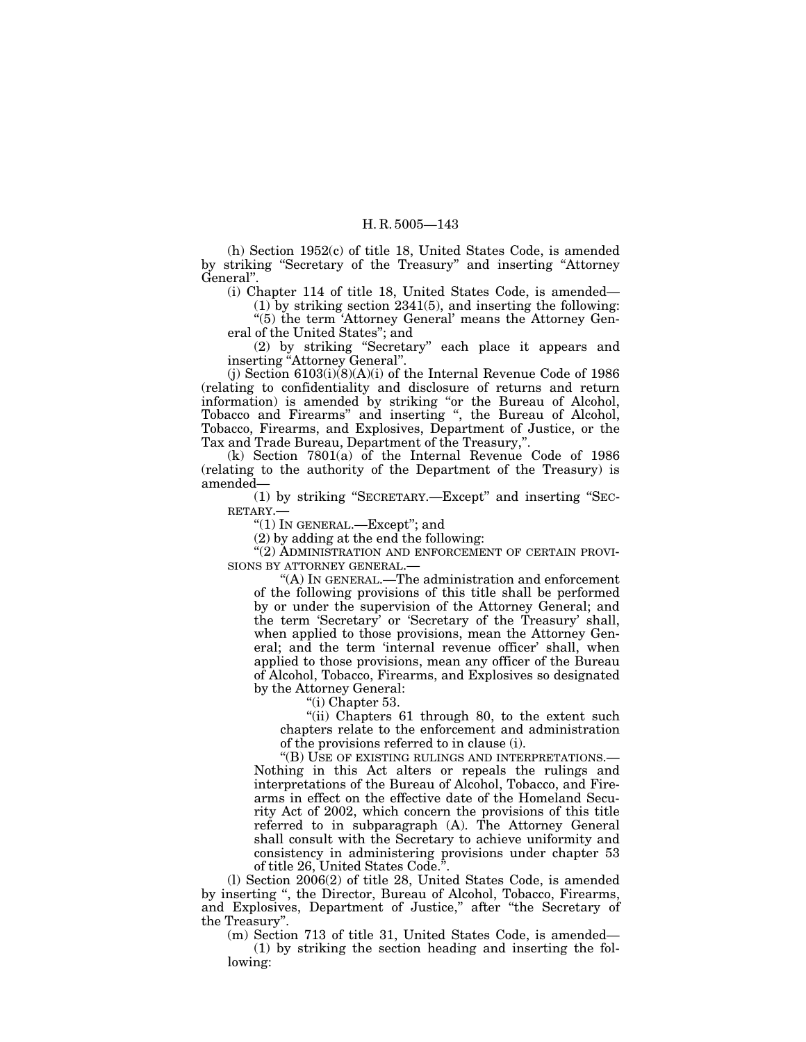(h) Section 1952(c) of title 18, United States Code, is amended by striking ''Secretary of the Treasury'' and inserting ''Attorney General''.

(i) Chapter 114 of title 18, United States Code, is amended—

(1) by striking section 2341(5), and inserting the following:

"(5) the term 'Attorney General' means the Attorney General of the United States''; and

(2) by striking ''Secretary'' each place it appears and inserting ''Attorney General''.

(j) Section  $6103(i)(8)(A)(i)$  of the Internal Revenue Code of 1986 (relating to confidentiality and disclosure of returns and return information) is amended by striking ''or the Bureau of Alcohol, Tobacco and Firearms'' and inserting '', the Bureau of Alcohol, Tobacco, Firearms, and Explosives, Department of Justice, or the Tax and Trade Bureau, Department of the Treasury,''.

(k) Section 7801(a) of the Internal Revenue Code of 1986 (relating to the authority of the Department of the Treasury) is amended—

(1) by striking ''SECRETARY.—Except'' and inserting ''SEC-RETARY.—

''(1) IN GENERAL.—Except''; and

(2) by adding at the end the following:

''(2) ADMINISTRATION AND ENFORCEMENT OF CERTAIN PROVI-SIONS BY ATTORNEY GENERAL.—

''(A) IN GENERAL.—The administration and enforcement of the following provisions of this title shall be performed by or under the supervision of the Attorney General; and the term 'Secretary' or 'Secretary of the Treasury' shall, when applied to those provisions, mean the Attorney General; and the term 'internal revenue officer' shall, when applied to those provisions, mean any officer of the Bureau of Alcohol, Tobacco, Firearms, and Explosives so designated by the Attorney General:

''(i) Chapter 53.

"(ii) Chapters 61 through 80, to the extent such chapters relate to the enforcement and administration of the provisions referred to in clause (i).

''(B) USE OF EXISTING RULINGS AND INTERPRETATIONS.— Nothing in this Act alters or repeals the rulings and interpretations of the Bureau of Alcohol, Tobacco, and Firearms in effect on the effective date of the Homeland Security Act of 2002, which concern the provisions of this title referred to in subparagraph (A). The Attorney General shall consult with the Secretary to achieve uniformity and consistency in administering provisions under chapter 53 of title 26, United States Code.''.

(l) Section 2006(2) of title 28, United States Code, is amended by inserting ", the Director, Bureau of Alcohol, Tobacco, Firearms, and Explosives, Department of Justice,'' after ''the Secretary of the Treasury''.

(m) Section 713 of title 31, United States Code, is amended—

(1) by striking the section heading and inserting the following: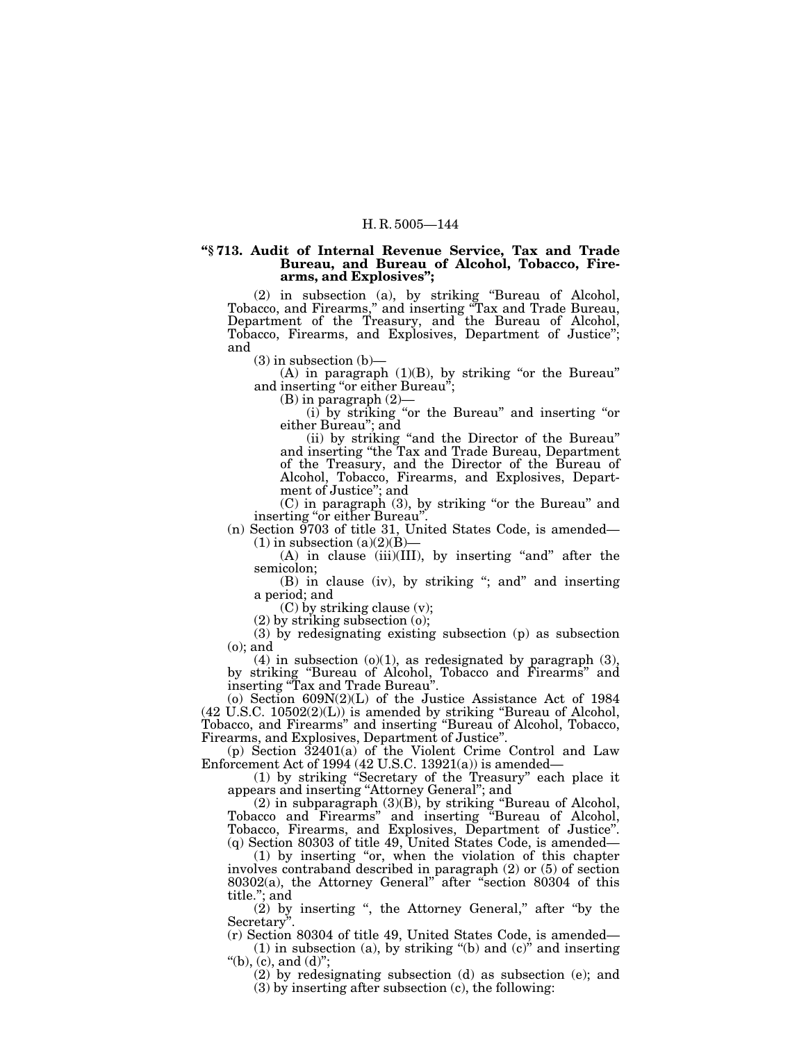### **''§ 713. Audit of Internal Revenue Service, Tax and Trade Bureau, and Bureau of Alcohol, Tobacco, Firearms, and Explosives'';**

(2) in subsection (a), by striking ''Bureau of Alcohol, Tobacco, and Firearms,'' and inserting ''Tax and Trade Bureau, Department of the Treasury, and the Bureau of Alcohol, Tobacco, Firearms, and Explosives, Department of Justice''; and

(3) in subsection (b)—<br>
(A) in paragraph (1)(B), by striking "or the Bureau"<br>
and inserting "or either Bureau";<br>
(B) in paragraph (2)—

 $(i)$  by striking "or the Bureau" and inserting "or either Bureau''; and

(ii) by striking "and the Director of the Bureau"<br>and inserting "the Tax and Trade Bureau, Department of the Treasury, and the Director of the Bureau of Alcohol, Tobacco, Firearms, and Explosives, Department of Justice''; and

(C) in paragraph (3), by striking "or the Bureau" and inserting "or either Bureau".

(n) Section 9703 of title 31, United States Code, is amended— (1) in subsection (a)(2)(B)— (A) in clause (iii)(III), by inserting "and" after the

semicolon;

(B) in clause (iv), by striking ''; and'' and inserting a period; and

(C) by striking clause (v);

(2) by striking subsection (o);

(3) by redesignating existing subsection (p) as subsection (o); and

 $(4)$  in subsection  $(0)(1)$ , as redesignated by paragraph  $(3)$ , by striking ''Bureau of Alcohol, Tobacco and Firearms'' and inserting ''Tax and Trade Bureau''. (o) Section 609N(2)(L) of the Justice Assistance Act of 1984

(6) Section 609N(2)(L) of the Justice Assistance Act of 1984 (42 U.S.C. 10502(2)(L)) is amended by striking "Bureau of Alcohol, Tobacco, and Firearms" and inserting "Bureau of Alcohol, Tobacco, Firearms, and Explosives, Department of Justice". Firearms, and Explosives, Department of Justice''. (p) Section 32401(a) of the Violent Crime Control and Law

Enforcement Act of 1994 (42 U.S.C. 13921(a)) is amended— (1) by striking ''Secretary of the Treasury'' each place it

appears and inserting ''Attorney General''; and

(2) in subparagraph (3)(B), by striking ''Bureau of Alcohol, Tobacco and Firearms'' and inserting ''Bureau of Alcohol, Tobacco, Firearms, and Explosives, Department of Justice''. (q) Section 80303 of title 49, United States Code, is amended—

(1) by inserting ''or, when the violation of this chapter involves contraband described in paragraph (2) or (5) of section 80302(a), the Attorney General'' after ''section 80304 of this title.''; and

(2) by inserting ", the Attorney General," after "by the Secretary'

(r) Section 80304 of title 49, United States Code, is amended— (1) in subsection (a), by striking "(b) and  $(c)$ " and inserting

"(b), (c), and (d)"; (2) by redesignating subsection (d) as subsection (e); and

(3) by inserting after subsection (c), the following: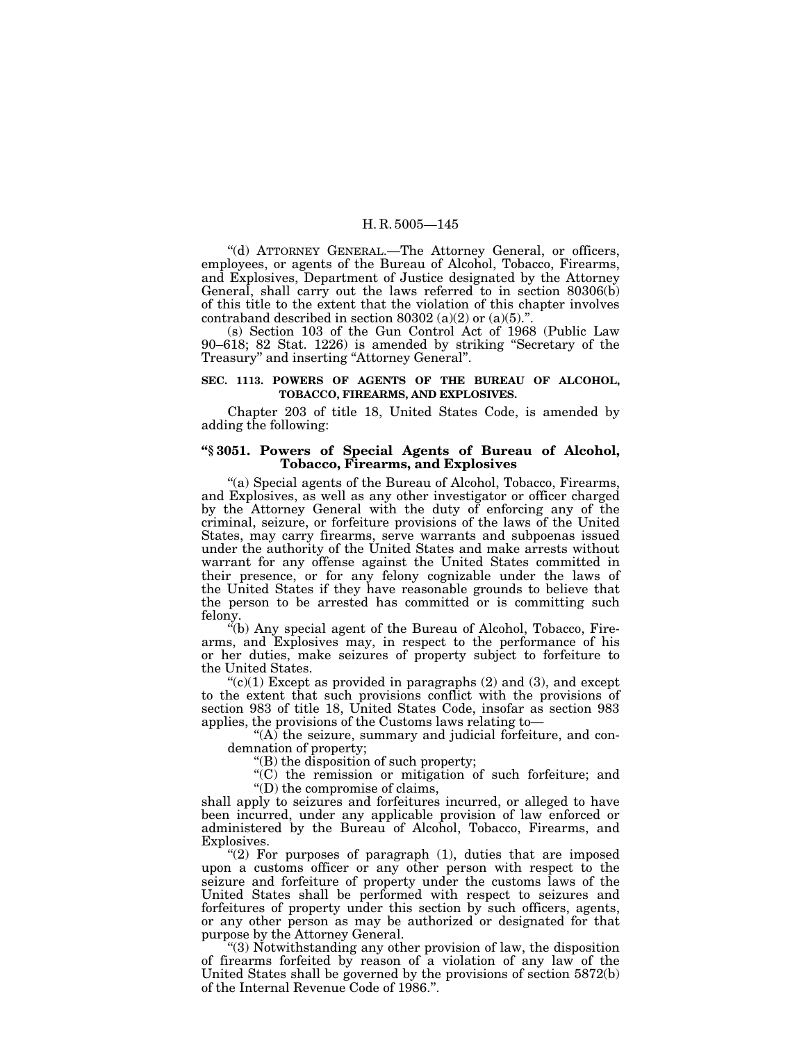''(d) ATTORNEY GENERAL.—The Attorney General, or officers, employees, or agents of the Bureau of Alcohol, Tobacco, Firearms, and Explosives, Department of Justice designated by the Attorney General, shall carry out the laws referred to in section 80306(b) of this title to the extent that the violation of this chapter involves contraband described in section  $80302$  (a)(2) or (a)(5)."

(s) Section 103 of the Gun Control Act of 1968 (Public Law 90–618; 82 Stat. 1226) is amended by striking ''Secretary of the Treasury" and inserting "Attorney General".

#### **SEC. 1113. POWERS OF AGENTS OF THE BUREAU OF ALCOHOL, TOBACCO, FIREARMS, AND EXPLOSIVES.**

Chapter 203 of title 18, United States Code, is amended by adding the following:

# **''§ 3051. Powers of Special Agents of Bureau of Alcohol, Tobacco, Firearms, and Explosives**

''(a) Special agents of the Bureau of Alcohol, Tobacco, Firearms, and Explosives, as well as any other investigator or officer charged by the Attorney General with the duty of enforcing any of the criminal, seizure, or forfeiture provisions of the laws of the United States, may carry firearms, serve warrants and subpoenas issued under the authority of the United States and make arrests without warrant for any offense against the United States committed in their presence, or for any felony cognizable under the laws of the United States if they have reasonable grounds to believe that the person to be arrested has committed or is committing such felony.

"(b) Any special agent of the Bureau of Alcohol, Tobacco, Firearms, and Explosives may, in respect to the performance of his or her duties, make seizures of property subject to forfeiture to the United States.

" $(c)(1)$  Except as provided in paragraphs  $(2)$  and  $(3)$ , and except to the extent that such provisions conflict with the provisions of section 983 of title 18, United States Code, insofar as section 983 applies, the provisions of the Customs laws relating to—

" $(A)$  the seizure, summary and judicial forfeiture, and condemnation of property;

''(B) the disposition of such property;

''(C) the remission or mitigation of such forfeiture; and ''(D) the compromise of claims,

shall apply to seizures and forfeitures incurred, or alleged to have been incurred, under any applicable provision of law enforced or administered by the Bureau of Alcohol, Tobacco, Firearms, and Explosives.

" $(2)$  For purposes of paragraph  $(1)$ , duties that are imposed upon a customs officer or any other person with respect to the seizure and forfeiture of property under the customs laws of the United States shall be performed with respect to seizures and forfeitures of property under this section by such officers, agents, or any other person as may be authorized or designated for that purpose by the Attorney General.

''(3) Notwithstanding any other provision of law, the disposition of firearms forfeited by reason of a violation of any law of the United States shall be governed by the provisions of section 5872(b) of the Internal Revenue Code of 1986.''.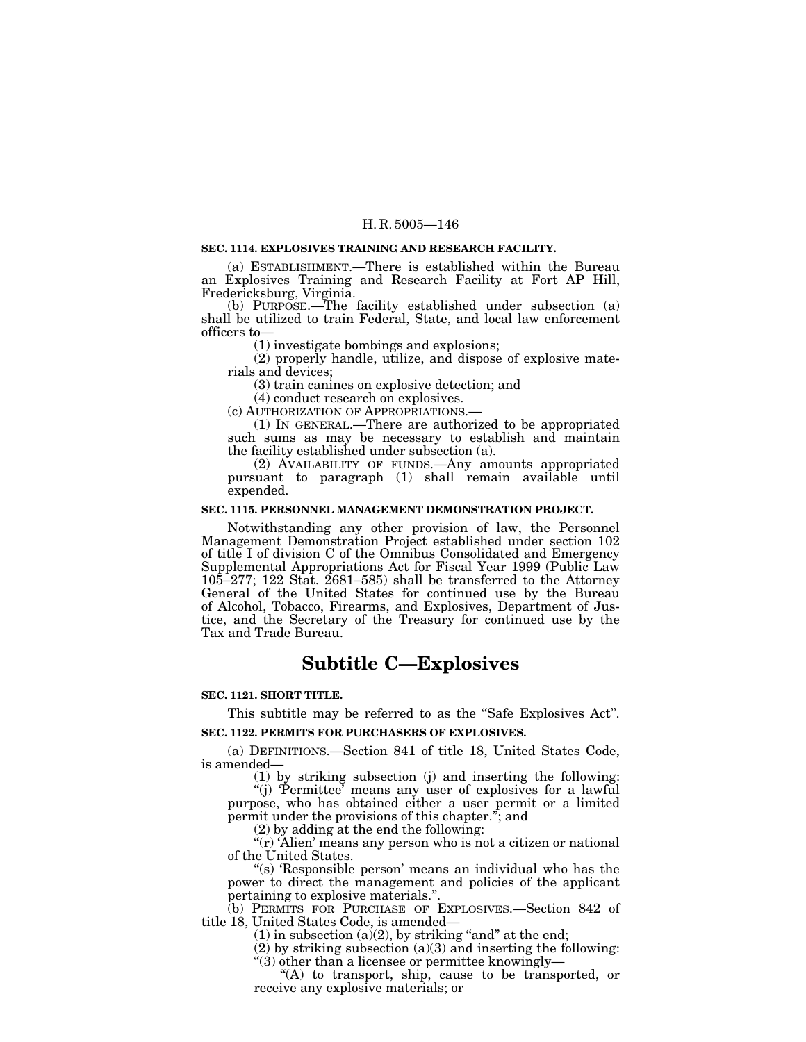### **SEC. 1114. EXPLOSIVES TRAINING AND RESEARCH FACILITY.**

(a) ESTABLISHMENT.—There is established within the Bureau an Explosives Training and Research Facility at Fort AP Hill, Fredericksburg, Virginia.

(b) PURPOSE.—The facility established under subsection (a) shall be utilized to train Federal, State, and local law enforcement officers to—

(1) investigate bombings and explosions;

(2) properly handle, utilize, and dispose of explosive materials and devices;

(3) train canines on explosive detection; and

(4) conduct research on explosives.

(c) AUTHORIZATION OF APPROPRIATIONS.—

(1) IN GENERAL.—There are authorized to be appropriated such sums as may be necessary to establish and maintain the facility established under subsection (a).

(2) AVAILABILITY OF FUNDS.—Any amounts appropriated pursuant to paragraph (1) shall remain available until expended.

#### **SEC. 1115. PERSONNEL MANAGEMENT DEMONSTRATION PROJECT.**

Notwithstanding any other provision of law, the Personnel Management Demonstration Project established under section 102 of title I of division C of the Omnibus Consolidated and Emergency Supplemental Appropriations Act for Fiscal Year 1999 (Public Law 105–277; 122 Stat. 2681–585) shall be transferred to the Attorney General of the United States for continued use by the Bureau of Alcohol, Tobacco, Firearms, and Explosives, Department of Justice, and the Secretary of the Treasury for continued use by the Tax and Trade Bureau.

# **Subtitle C—Explosives**

# **SEC. 1121. SHORT TITLE.**

This subtitle may be referred to as the "Safe Explosives Act".

#### **SEC. 1122. PERMITS FOR PURCHASERS OF EXPLOSIVES.**

(a) DEFINITIONS.—Section 841 of title 18, United States Code, is amended—

(1) by striking subsection (j) and inserting the following: ''(j) 'Permittee' means any user of explosives for a lawful purpose, who has obtained either a user permit or a limited

permit under the provisions of this chapter.''; and

(2) by adding at the end the following:

"(r) 'Alien' means any person who is not a citizen or national of the United States.

''(s) 'Responsible person' means an individual who has the power to direct the management and policies of the applicant pertaining to explosive materials.''.

(b) PERMITS FOR PURCHASE OF EXPLOSIVES.—Section 842 of title 18, United States Code, is amended— $(1)$  in subsection (a)(2), by striking "and" at the end;

(2) by striking subsection (a)(3) and inserting the following: "(3) other than a licensee or permittee knowingly—

"(A) to transport, ship, cause to be transported, or receive any explosive materials; or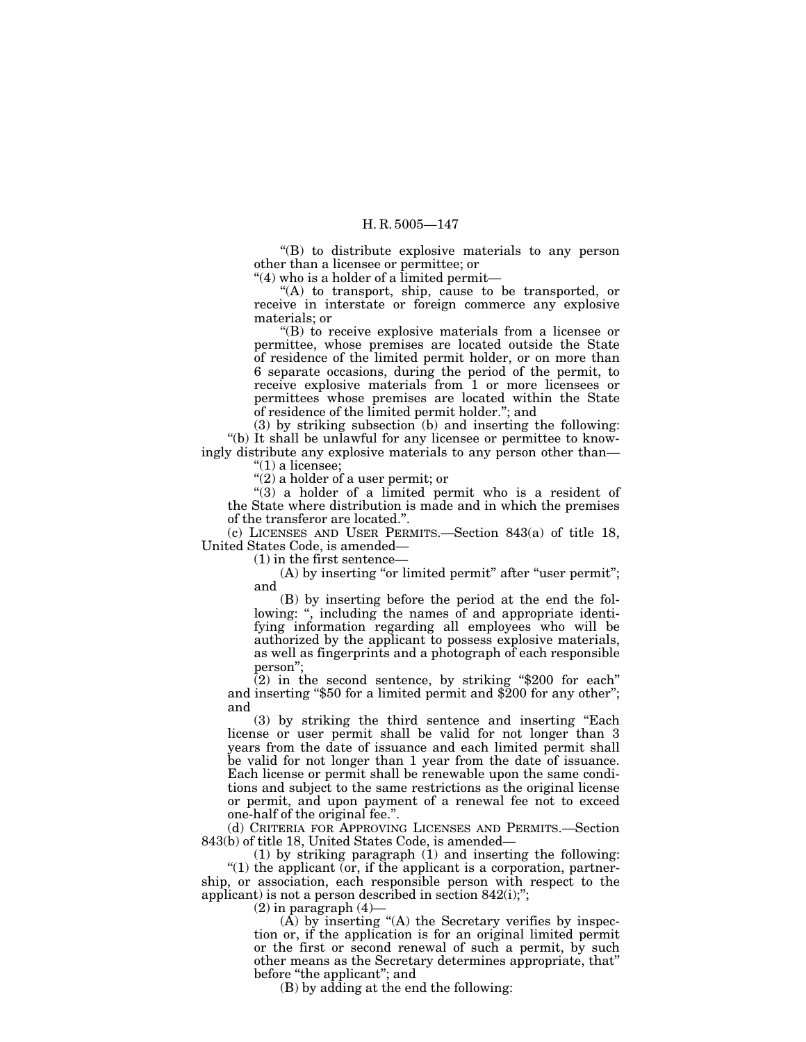''(B) to distribute explosive materials to any person other than a licensee or permittee; or

"(4) who is a holder of a limited permit—

 $f(A)$  to transport, ship, cause to be transported, or receive in interstate or foreign commerce any explosive materials; or

''(B) to receive explosive materials from a licensee or permittee, whose premises are located outside the State of residence of the limited permit holder, or on more than 6 separate occasions, during the period of the permit, to receive explosive materials from 1 or more licensees or permittees whose premises are located within the State of residence of the limited permit holder.''; and

(3) by striking subsection (b) and inserting the following: ''(b) It shall be unlawful for any licensee or permittee to knowingly distribute any explosive materials to any person other than—

''(1) a licensee;

''(2) a holder of a user permit; or

''(3) a holder of a limited permit who is a resident of the State where distribution is made and in which the premises of the transferor are located.''.

(c) LICENSES AND USER PERMITS.—Section 843(a) of title 18, United States Code, is amended—

(1) in the first sentence—

(A) by inserting "or limited permit" after "user permit"; and

(B) by inserting before the period at the end the following: ", including the names of and appropriate identifying information regarding all employees who will be authorized by the applicant to possess explosive materials, as well as fingerprints and a photograph of each responsible person'';

 $(2)$  in the second sentence, by striking "\$200 for each" and inserting "\$50 for a limited permit and \$200 for any other"; and

(3) by striking the third sentence and inserting ''Each license or user permit shall be valid for not longer than 3 years from the date of issuance and each limited permit shall be valid for not longer than 1 year from the date of issuance. Each license or permit shall be renewable upon the same conditions and subject to the same restrictions as the original license or permit, and upon payment of a renewal fee not to exceed one-half of the original fee.''.

(d) CRITERIA FOR APPROVING LICENSES AND PERMITS.—Section 843(b) of title 18, United States Code, is amended—

(1) by striking paragraph (1) and inserting the following: " $(1)$  the applicant (or, if the applicant is a corporation, partnership, or association, each responsible person with respect to the applicant) is not a person described in section 842(i);";

 $(2)$  in paragraph  $(4)$ —

(A) by inserting "(A) the Secretary verifies by inspection or, if the application is for an original limited permit or the first or second renewal of such a permit, by such other means as the Secretary determines appropriate, that'' before "the applicant"; and

(B) by adding at the end the following: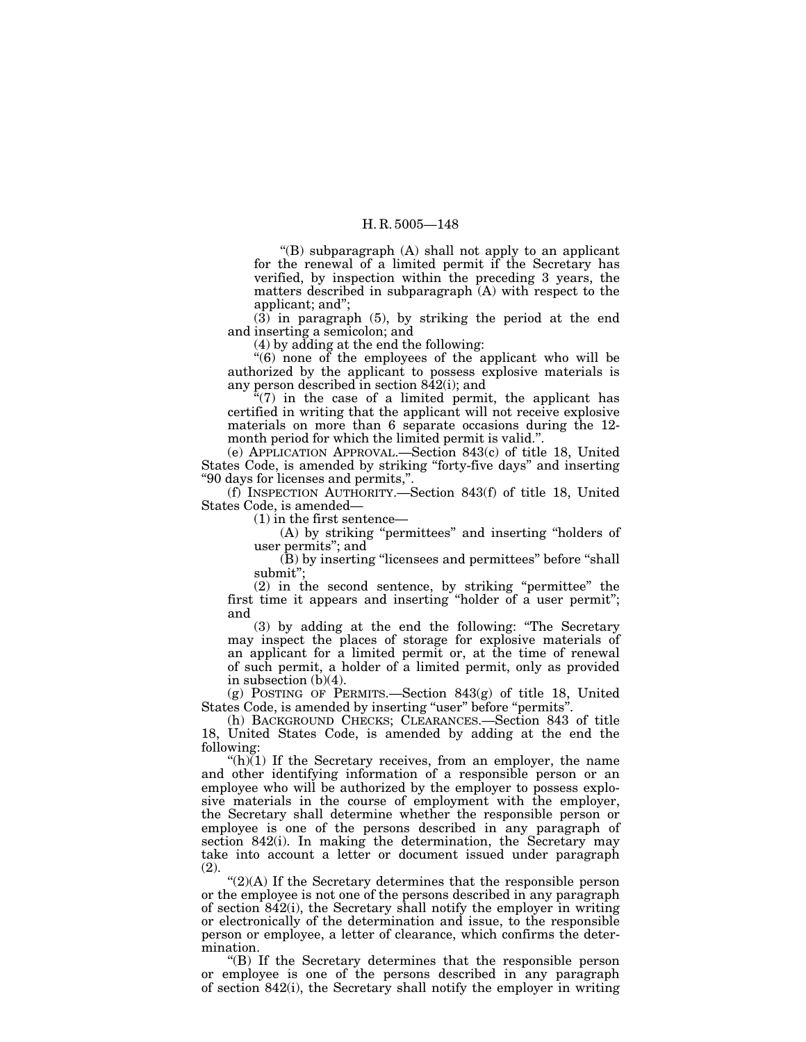''(B) subparagraph (A) shall not apply to an applicant for the renewal of a limited permit if the Secretary has verified, by inspection within the preceding 3 years, the matters described in subparagraph (A) with respect to the applicant; and'';

 $(3)$  in paragraph  $(5)$ , by striking the period at the end and inserting a semicolon; and

(4) by adding at the end the following:

''(6) none of the employees of the applicant who will be authorized by the applicant to possess explosive materials is any person described in section 842(i); and

" $(7)$  in the case of a limited permit, the applicant has certified in writing that the applicant will not receive explosive materials on more than 6 separate occasions during the 12 month period for which the limited permit is valid.".

(e) APPLICATION APPROVAL.—Section 843(c) of title 18, United States Code, is amended by striking "forty-five days" and inserting ''90 days for licenses and permits,''.

(f) INSPECTION AUTHORITY.—Section 843(f) of title 18, United States Code, is amended—

(1) in the first sentence—

(A) by striking ''permittees'' and inserting ''holders of user permits''; and

(B) by inserting ''licensees and permittees'' before ''shall submit'';

(2) in the second sentence, by striking ''permittee'' the first time it appears and inserting ''holder of a user permit''; and

(3) by adding at the end the following: ''The Secretary may inspect the places of storage for explosive materials of an applicant for a limited permit or, at the time of renewal of such permit, a holder of a limited permit, only as provided in subsection (b)(4).

(g) POSTING OF PERMITS.—Section 843(g) of title 18, United States Code, is amended by inserting "user" before "permits".

(h) BACKGROUND CHECKS; CLEARANCES.—Section 843 of title 18, United States Code, is amended by adding at the end the following:

" $(h)$ (1) If the Secretary receives, from an employer, the name and other identifying information of a responsible person or an employee who will be authorized by the employer to possess explosive materials in the course of employment with the employer, the Secretary shall determine whether the responsible person or employee is one of the persons described in any paragraph of section 842(i). In making the determination, the Secretary may take into account a letter or document issued under paragraph (2).

"(2)(A) If the Secretary determines that the responsible person or the employee is not one of the persons described in any paragraph of section 842(i), the Secretary shall notify the employer in writing or electronically of the determination and issue, to the responsible person or employee, a letter of clearance, which confirms the determination.

''(B) If the Secretary determines that the responsible person or employee is one of the persons described in any paragraph of section 842(i), the Secretary shall notify the employer in writing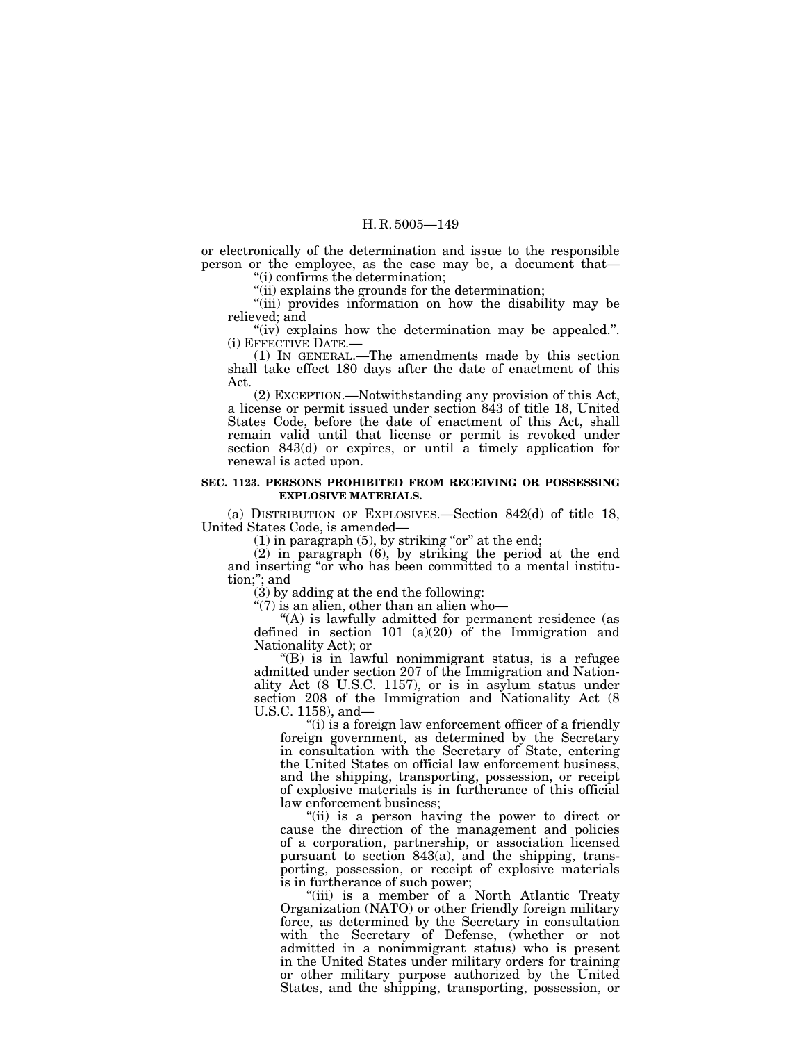or electronically of the determination and issue to the responsible person or the employee, as the case may be, a document that— ''(i) confirms the determination;

''(ii) explains the grounds for the determination; "(iii) provides information on how the disability may be

relieved; and

"(iv) explains how the determination may be appealed.". (i) EFFECTIVE DATE.—

(1) IN GENERAL.—The amendments made by this section shall take effect 180 days after the date of enactment of this Act.

(2) EXCEPTION.—Notwithstanding any provision of this Act, a license or permit issued under section 843 of title 18, United States Code, before the date of enactment of this Act, shall remain valid until that license or permit is revoked under section  $843(d)$  or expires, or until a timely application for renewal is acted upon.

### **SEC. 1123. PERSONS PROHIBITED FROM RECEIVING OR POSSESSING EXPLOSIVE MATERIALS.**

(a) DISTRIBUTION OF EXPLOSIVES.—Section 842(d) of title 18, United States Code, is amended—

 $(1)$  in paragraph $(5)$ , by striking "or" at the end;

(2) in paragraph (6), by striking the period at the end and inserting "or who has been committed to a mental institution;''; and

(3) by adding at the end the following:

" $(7)$  is an alien, other than an alien who-

''(A) is lawfully admitted for permanent residence (as defined in section 101 (a)(20) of the Immigration and Nationality Act); or

''(B) is in lawful nonimmigrant status, is a refugee admitted under section 207 of the Immigration and Nationality Act (8 U.S.C. 1157), or is in asylum status under section 208 of the Immigration and Nationality Act (8 U.S.C. 1158), and—

''(i) is a foreign law enforcement officer of a friendly foreign government, as determined by the Secretary in consultation with the Secretary of State, entering the United States on official law enforcement business, and the shipping, transporting, possession, or receipt of explosive materials is in furtherance of this official law enforcement business;

''(ii) is a person having the power to direct or cause the direction of the management and policies of a corporation, partnership, or association licensed pursuant to section 843(a), and the shipping, transporting, possession, or receipt of explosive materials is in furtherance of such power;

"(iii) is a member of a North Atlantic Treaty Organization (NATO) or other friendly foreign military force, as determined by the Secretary in consultation with the Secretary of Defense, (whether or not admitted in a nonimmigrant status) who is present in the United States under military orders for training or other military purpose authorized by the United States, and the shipping, transporting, possession, or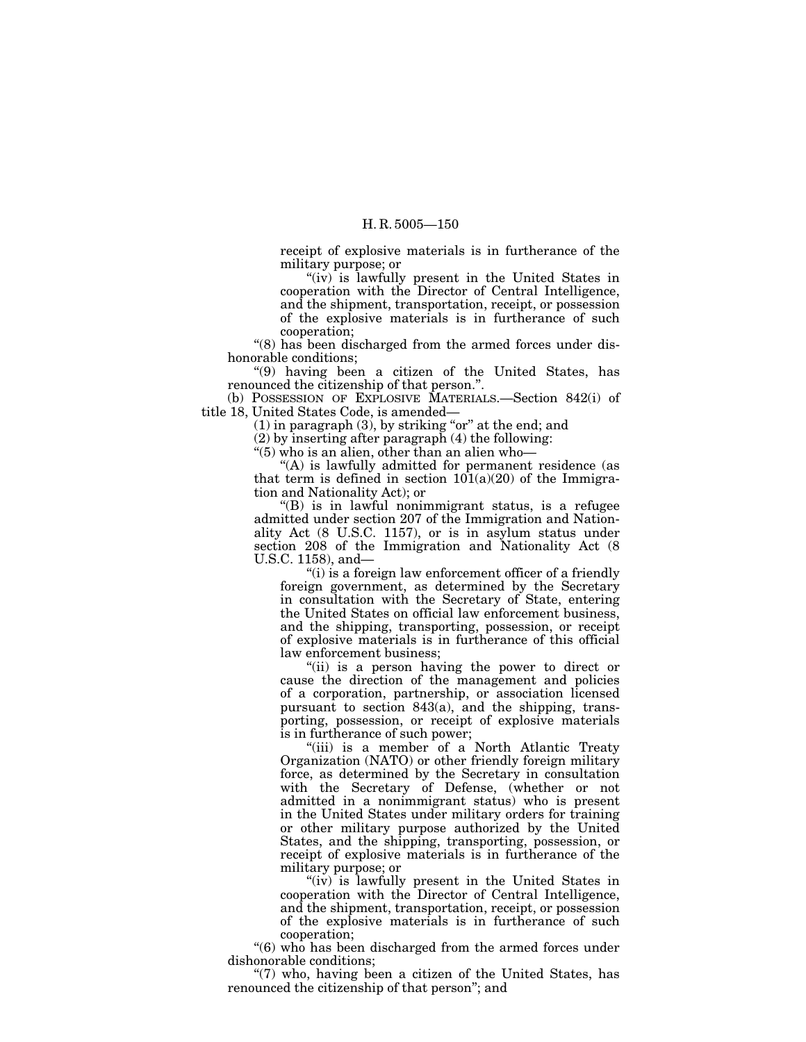receipt of explosive materials is in furtherance of the military purpose; or

"(iv) is lawfully present in the United States in cooperation with the Director of Central Intelligence, and the shipment, transportation, receipt, or possession of the explosive materials is in furtherance of such cooperation;

''(8) has been discharged from the armed forces under dishonorable conditions;

''(9) having been a citizen of the United States, has renounced the citizenship of that person.''.

(b) POSSESSION OF EXPLOSIVE MATERIALS.—Section 842(i) of title 18, United States Code, is amended—

 $(1)$  in paragraph  $(3)$ , by striking "or" at the end; and

(2) by inserting after paragraph (4) the following:

''(5) who is an alien, other than an alien who—

''(A) is lawfully admitted for permanent residence (as that term is defined in section  $101(a)(20)$  of the Immigration and Nationality Act); or

 $'(B)$  is in lawful nonimmigrant status, is a refugee admitted under section 207 of the Immigration and Nationality Act (8 U.S.C. 1157), or is in asylum status under section 208 of the Immigration and Nationality Act (8 U.S.C. 1158), and—

''(i) is a foreign law enforcement officer of a friendly foreign government, as determined by the Secretary in consultation with the Secretary of State, entering the United States on official law enforcement business, and the shipping, transporting, possession, or receipt of explosive materials is in furtherance of this official law enforcement business;

"(ii) is a person having the power to direct or cause the direction of the management and policies of a corporation, partnership, or association licensed pursuant to section 843(a), and the shipping, transporting, possession, or receipt of explosive materials is in furtherance of such power;

"(iii) is a member of a North Atlantic Treaty Organization (NATO) or other friendly foreign military force, as determined by the Secretary in consultation with the Secretary of Defense, (whether or not admitted in a nonimmigrant status) who is present in the United States under military orders for training or other military purpose authorized by the United States, and the shipping, transporting, possession, or receipt of explosive materials is in furtherance of the military purpose; or

''(iv) is lawfully present in the United States in cooperation with the Director of Central Intelligence, and the shipment, transportation, receipt, or possession of the explosive materials is in furtherance of such cooperation;

''(6) who has been discharged from the armed forces under dishonorable conditions;

"(7) who, having been a citizen of the United States, has renounced the citizenship of that person''; and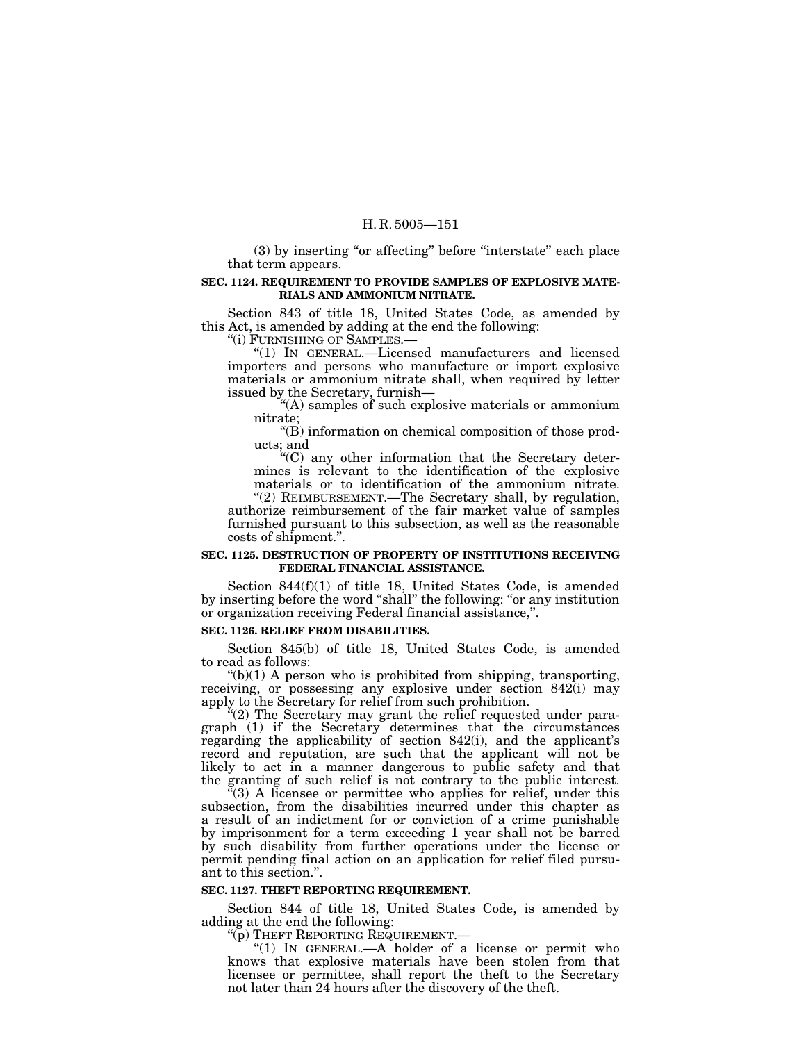(3) by inserting "or affecting" before "interstate" each place that term appears.

## **SEC. 1124. REQUIREMENT TO PROVIDE SAMPLES OF EXPLOSIVE MATE-RIALS AND AMMONIUM NITRATE.**

Section 843 of title 18, United States Code, as amended by this Act, is amended by adding at the end the following:

''(i) FURNISHING OF SAMPLES.—

''(1) IN GENERAL.—Licensed manufacturers and licensed importers and persons who manufacture or import explosive materials or ammonium nitrate shall, when required by letter issued by the Secretary, furnish—

''(A) samples of such explosive materials or ammonium nitrate;

''(B) information on chemical composition of those products; and

''(C) any other information that the Secretary determines is relevant to the identification of the explosive materials or to identification of the ammonium nitrate.

"(2) REIMBURSEMENT.—The Secretary shall, by regulation, authorize reimbursement of the fair market value of samples furnished pursuant to this subsection, as well as the reasonable costs of shipment.''.

### **SEC. 1125. DESTRUCTION OF PROPERTY OF INSTITUTIONS RECEIVING FEDERAL FINANCIAL ASSISTANCE.**

Section 844(f)(1) of title 18, United States Code, is amended by inserting before the word ''shall'' the following: ''or any institution or organization receiving Federal financial assistance,''.

# **SEC. 1126. RELIEF FROM DISABILITIES.**

Section 845(b) of title 18, United States Code, is amended to read as follows:

 $\mathcal{L}(b)(1)$  A person who is prohibited from shipping, transporting, receiving, or possessing any explosive under section 842(i) may apply to the Secretary for relief from such prohibition.

 $\tilde{f}(2)$  The Secretary may grant the relief requested under paragraph (1) if the Secretary determines that the circumstances regarding the applicability of section 842(i), and the applicant's record and reputation, are such that the applicant will not be likely to act in a manner dangerous to public safety and that the granting of such relief is not contrary to the public interest.

 $(3)$  A licensee or permittee who applies for relief, under this subsection, from the disabilities incurred under this chapter as a result of an indictment for or conviction of a crime punishable by imprisonment for a term exceeding 1 year shall not be barred by such disability from further operations under the license or permit pending final action on an application for relief filed pursuant to this section.''.

# **SEC. 1127. THEFT REPORTING REQUIREMENT.**

Section 844 of title 18, United States Code, is amended by adding at the end the following:

"(p) THEFT REPORTING REQUIREMENT.—

" $(1)$  IN GENERAL.—A holder of a license or permit who knows that explosive materials have been stolen from that licensee or permittee, shall report the theft to the Secretary not later than 24 hours after the discovery of the theft.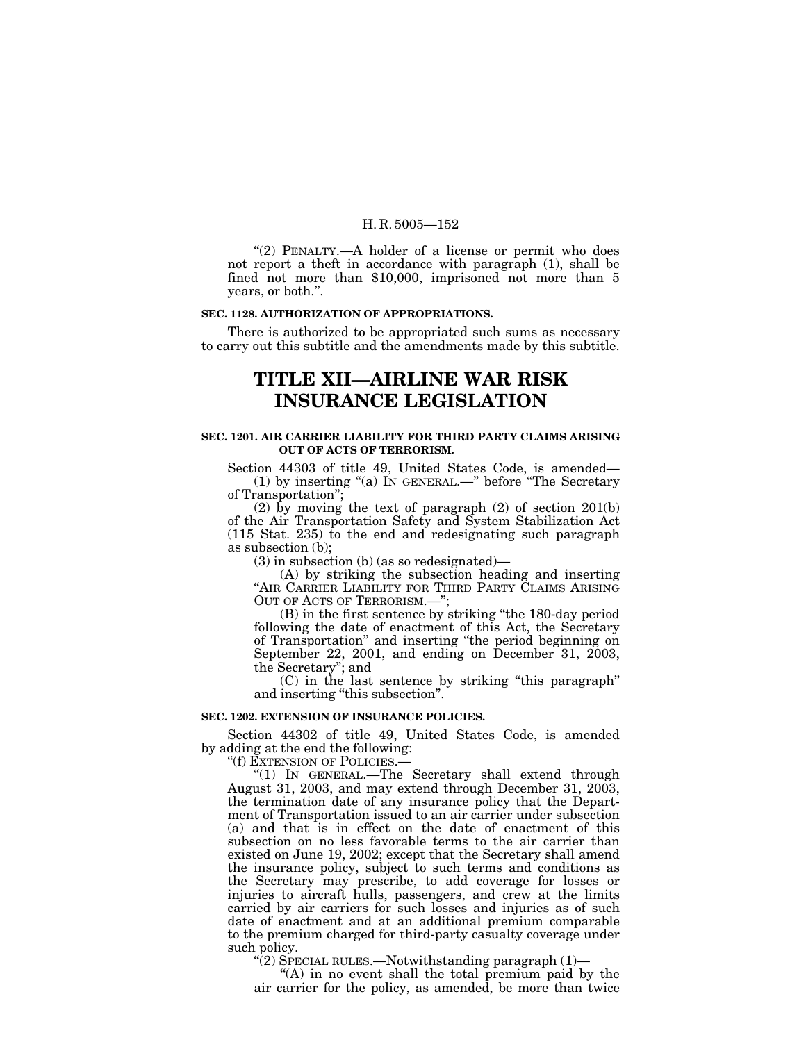"(2) PENALTY.—A holder of a license or permit who does not report a theft in accordance with paragraph (1), shall be fined not more than \$10,000, imprisoned not more than 5 years, or both.''.

### **SEC. 1128. AUTHORIZATION OF APPROPRIATIONS.**

There is authorized to be appropriated such sums as necessary to carry out this subtitle and the amendments made by this subtitle.

# **TITLE XII—AIRLINE WAR RISK INSURANCE LEGISLATION**

## **SEC. 1201. AIR CARRIER LIABILITY FOR THIRD PARTY CLAIMS ARISING OUT OF ACTS OF TERRORISM.**

Section 44303 of title 49, United States Code, is amended— (1) by inserting ''(a) IN GENERAL.—'' before ''The Secretary of Transportation'';

(2) by moving the text of paragraph  $(2)$  of section  $201(b)$ of the Air Transportation Safety and System Stabilization Act (115 Stat. 235) to the end and redesignating such paragraph as subsection (b);

(3) in subsection (b) (as so redesignated)—

(A) by striking the subsection heading and inserting "AIR CARRIER LIABILITY FOR THIRD PARTY CLAIMS ARISING OUT OF ACTS OF TERRORISM.<sup>7</sup>;

(B) in the first sentence by striking ''the 180-day period following the date of enactment of this Act, the Secretary of Transportation'' and inserting ''the period beginning on September 22, 2001, and ending on December 31, 2003, the Secretary''; and

(C) in the last sentence by striking ''this paragraph'' and inserting ''this subsection''.

# **SEC. 1202. EXTENSION OF INSURANCE POLICIES.**

Section 44302 of title 49, United States Code, is amended by adding at the end the following:

''(f) EXTENSION OF POLICIES.—

''(1) IN GENERAL.—The Secretary shall extend through August 31, 2003, and may extend through December 31, 2003, the termination date of any insurance policy that the Department of Transportation issued to an air carrier under subsection (a) and that is in effect on the date of enactment of this subsection on no less favorable terms to the air carrier than existed on June 19, 2002; except that the Secretary shall amend the insurance policy, subject to such terms and conditions as the Secretary may prescribe, to add coverage for losses or injuries to aircraft hulls, passengers, and crew at the limits carried by air carriers for such losses and injuries as of such date of enactment and at an additional premium comparable to the premium charged for third-party casualty coverage under such policy.

 $\mathcal{F}(2)$  SPECIAL RULES.—Notwithstanding paragraph  $(1)$ —

"(A) in no event shall the total premium paid by the air carrier for the policy, as amended, be more than twice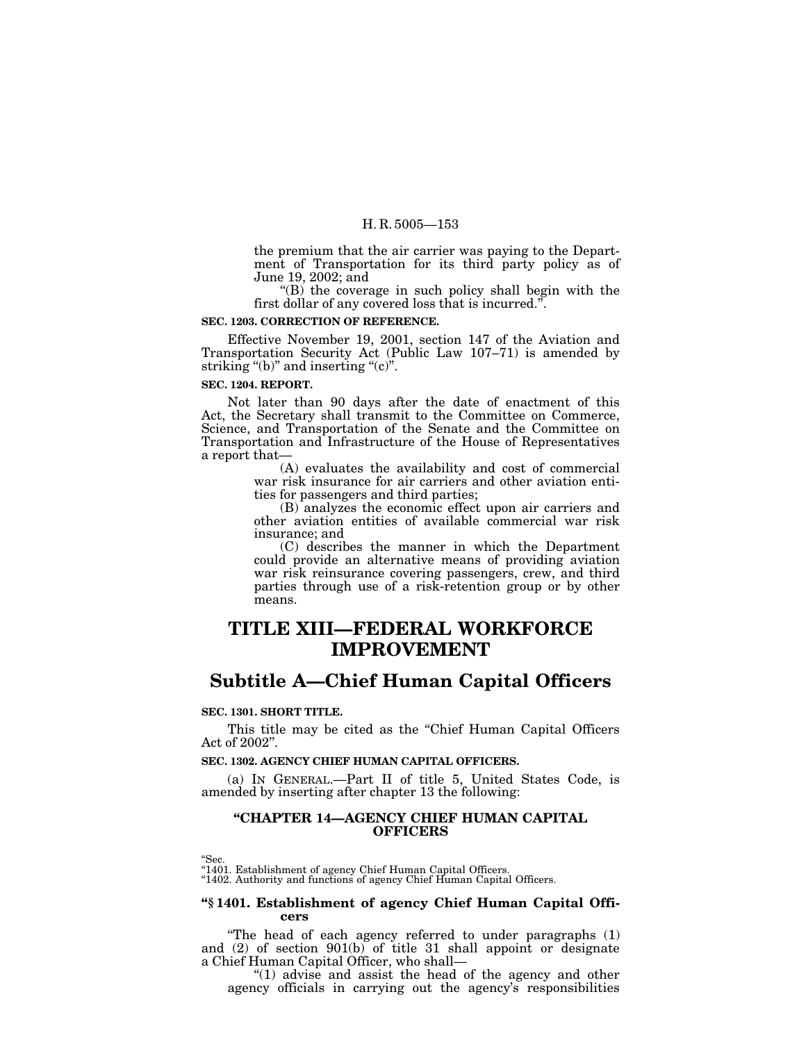the premium that the air carrier was paying to the Department of Transportation for its third party policy as of June 19, 2002; and

"(B) the coverage in such policy shall begin with the first dollar of any covered loss that is incurred.''.

#### **SEC. 1203. CORRECTION OF REFERENCE.**

Effective November 19, 2001, section 147 of the Aviation and Transportation Security Act (Public Law 107–71) is amended by striking " $(b)$ " and inserting " $(c)$ ".

# **SEC. 1204. REPORT.**

Not later than 90 days after the date of enactment of this Act, the Secretary shall transmit to the Committee on Commerce, Science, and Transportation of the Senate and the Committee on Transportation and Infrastructure of the House of Representatives a report that—

(A) evaluates the availability and cost of commercial war risk insurance for air carriers and other aviation entities for passengers and third parties;

(B) analyzes the economic effect upon air carriers and other aviation entities of available commercial war risk insurance; and

(C) describes the manner in which the Department could provide an alternative means of providing aviation war risk reinsurance covering passengers, crew, and third parties through use of a risk-retention group or by other means.

# **TITLE XIII—FEDERAL WORKFORCE IMPROVEMENT**

# **Subtitle A—Chief Human Capital Officers**

#### **SEC. 1301. SHORT TITLE.**

This title may be cited as the "Chief Human Capital Officers Act of 2002''.

# **SEC. 1302. AGENCY CHIEF HUMAN CAPITAL OFFICERS.**

(a) IN GENERAL.—Part II of title 5, United States Code, is amended by inserting after chapter 13 the following:

# **''CHAPTER 14—AGENCY CHIEF HUMAN CAPITAL OFFICERS**

"Sec.<br>"1401. Establishment of agency Chief Human Capital Officers.<br>"1402. Authority and functions of agency Chief Human Capital Officers.

## **''§ 1401. Establishment of agency Chief Human Capital Officers**

"The head of each agency referred to under paragraphs (1) and (2) of section 901(b) of title 31 shall appoint or designate a Chief Human Capital Officer, who shall—

" $(1)$  advise and assist the head of the agency and other agency officials in carrying out the agency's responsibilities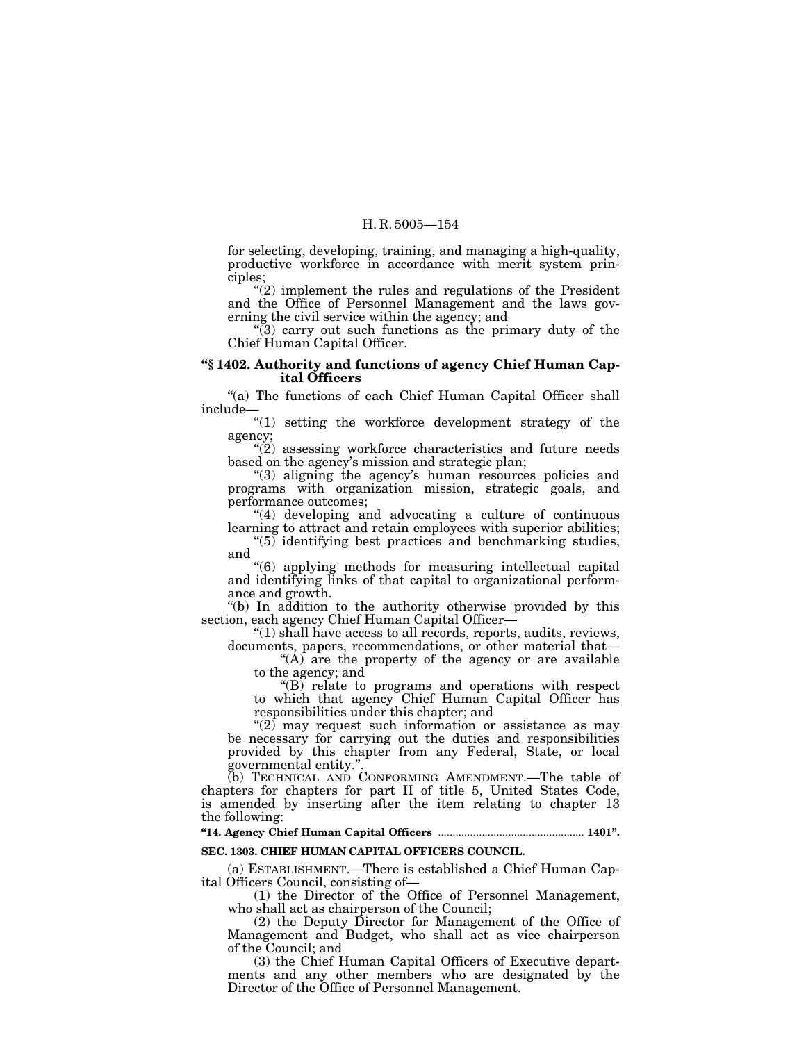for selecting, developing, training, and managing a high-quality, productive workforce in accordance with merit system principles;

 $''(2)$  implement the rules and regulations of the President and the Office of Personnel Management and the laws governing the civil service within the agency; and

''(3) carry out such functions as the primary duty of the Chief Human Capital Officer.

# **''§ 1402. Authority and functions of agency Chief Human Capital Officers**

"(a) The functions of each Chief Human Capital Officer shall include—

"(1) setting the workforce development strategy of the agency;

 $\tilde{Q}$  assessing workforce characteristics and future needs based on the agency's mission and strategic plan;

"(3) aligning the agency's human resources policies and programs with organization mission, strategic goals, and performance outcomes;

''(4) developing and advocating a culture of continuous learning to attract and retain employees with superior abilities;

''(5) identifying best practices and benchmarking studies, and

''(6) applying methods for measuring intellectual capital and identifying links of that capital to organizational performance and growth.

''(b) In addition to the authority otherwise provided by this section, each agency Chief Human Capital Officer-

''(1) shall have access to all records, reports, audits, reviews, documents, papers, recommendations, or other material that—

"(A) are the property of the agency or are available to the agency; and

 $\sqrt{\text{B}}$  relate to programs and operations with respect to which that agency Chief Human Capital Officer has responsibilities under this chapter; and

" $(2)$  may request such information or assistance as may be necessary for carrying out the duties and responsibilities provided by this chapter from any Federal, State, or local governmental entity.''.

(b) TECHNICAL AND CONFORMING AMENDMENT.—The table of chapters for chapters for part II of title 5, United States Code, is amended by inserting after the item relating to chapter 13 the following:

# **''14. Agency Chief Human Capital Officers** .................................................. **1401''.**

#### **SEC. 1303. CHIEF HUMAN CAPITAL OFFICERS COUNCIL.**

(a) ESTABLISHMENT.—There is established a Chief Human Capital Officers Council, consisting of—

(1) the Director of the Office of Personnel Management, who shall act as chairperson of the Council;

(2) the Deputy Director for Management of the Office of Management and Budget, who shall act as vice chairperson of the Council; and

(3) the Chief Human Capital Officers of Executive departments and any other members who are designated by the Director of the Office of Personnel Management.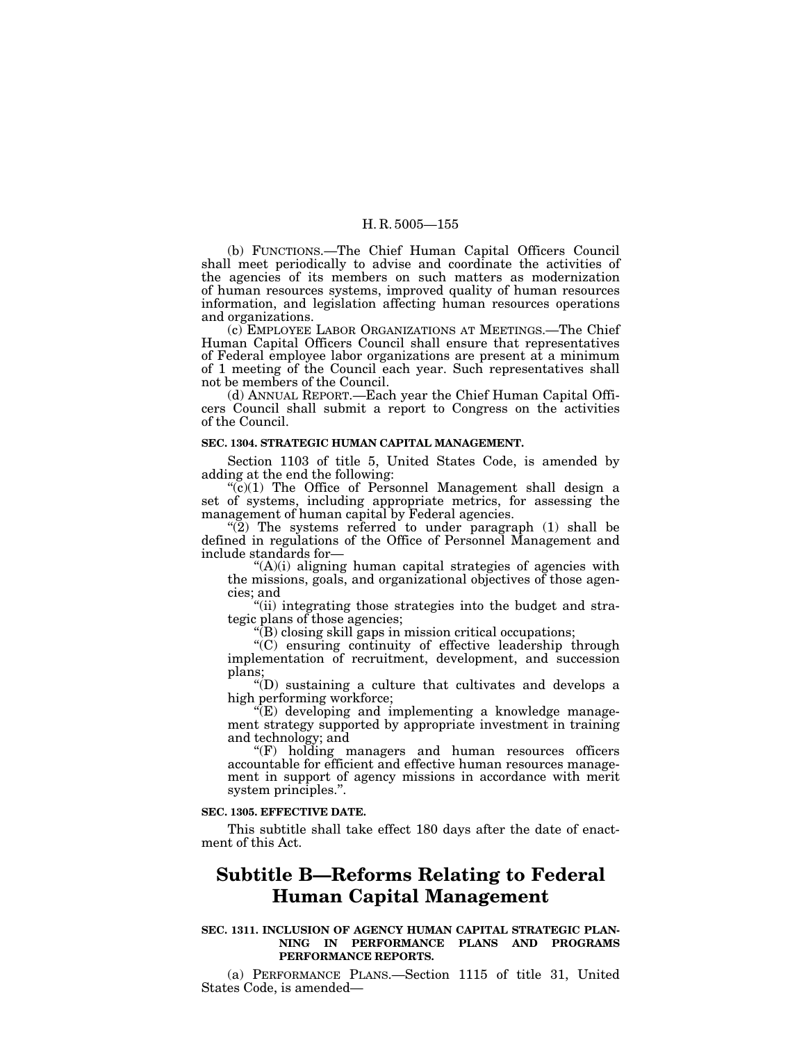(b) FUNCTIONS.—The Chief Human Capital Officers Council shall meet periodically to advise and coordinate the activities of the agencies of its members on such matters as modernization of human resources systems, improved quality of human resources information, and legislation affecting human resources operations and organizations.

(c) EMPLOYEE LABOR ORGANIZATIONS AT MEETINGS.—The Chief Human Capital Officers Council shall ensure that representatives of Federal employee labor organizations are present at a minimum of 1 meeting of the Council each year. Such representatives shall not be members of the Council.

(d) ANNUAL REPORT.—Each year the Chief Human Capital Officers Council shall submit a report to Congress on the activities of the Council.

## **SEC. 1304. STRATEGIC HUMAN CAPITAL MANAGEMENT.**

Section 1103 of title 5, United States Code, is amended by adding at the end the following:

 $\mathcal{C}(c)(1)$  The Office of Personnel Management shall design a set of systems, including appropriate metrics, for assessing the management of human capital by Federal agencies.

" $(2)$  The systems referred to under paragraph  $(1)$  shall be defined in regulations of the Office of Personnel Management and include standards for—

''(A)(i) aligning human capital strategies of agencies with the missions, goals, and organizational objectives of those agencies; and

"(ii) integrating those strategies into the budget and strategic plans of those agencies;

 $\sqrt{\text{B}}$ ) closing skill gaps in mission critical occupations;

''(C) ensuring continuity of effective leadership through implementation of recruitment, development, and succession plans;

''(D) sustaining a culture that cultivates and develops a high performing workforce;

 $\mathcal{F}(E)$  developing and implementing a knowledge management strategy supported by appropriate investment in training and technology; and

''(F) holding managers and human resources officers accountable for efficient and effective human resources management in support of agency missions in accordance with merit system principles.''.

## **SEC. 1305. EFFECTIVE DATE.**

This subtitle shall take effect 180 days after the date of enactment of this Act.

# **Subtitle B—Reforms Relating to Federal Human Capital Management**

#### **SEC. 1311. INCLUSION OF AGENCY HUMAN CAPITAL STRATEGIC PLAN-NING IN PERFORMANCE PLANS AND PROGRAMS PERFORMANCE REPORTS.**

(a) PERFORMANCE PLANS.—Section 1115 of title 31, United States Code, is amended—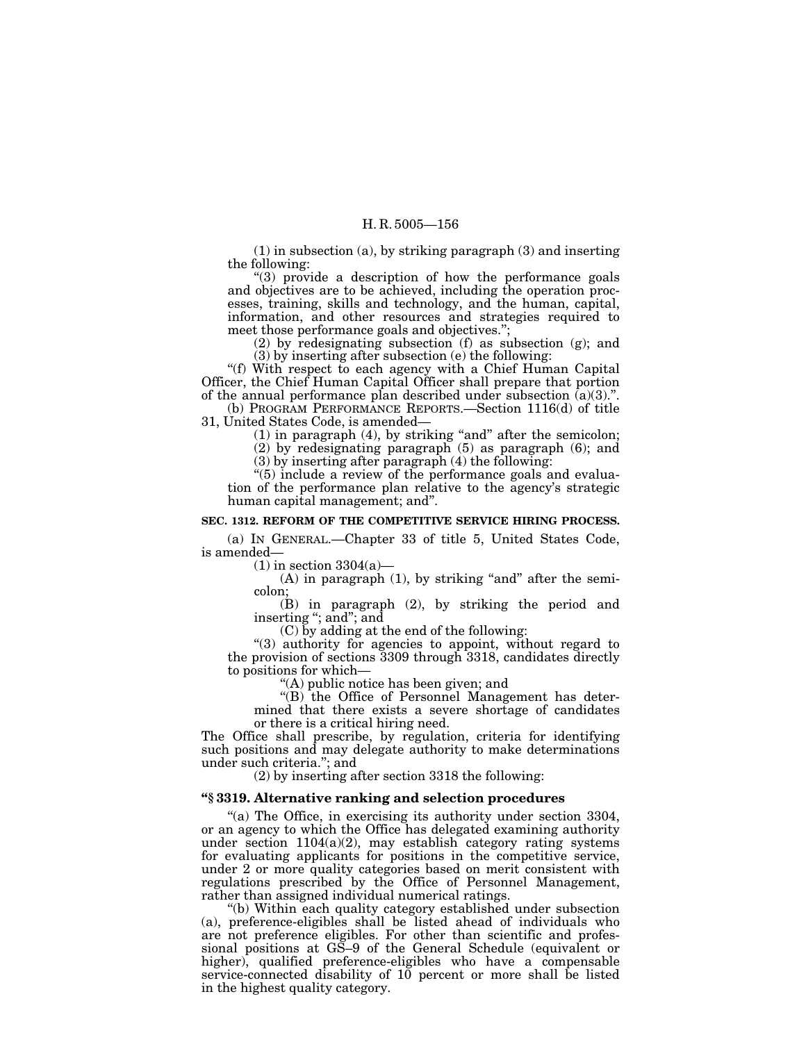(1) in subsection (a), by striking paragraph (3) and inserting the following:

''(3) provide a description of how the performance goals and objectives are to be achieved, including the operation processes, training, skills and technology, and the human, capital, information, and other resources and strategies required to meet those performance goals and objectives.";

(2) by redesignating subsection (f) as subsection (g); and (3) by inserting after subsection (e) the following:

''(f) With respect to each agency with a Chief Human Capital Officer, the Chief Human Capital Officer shall prepare that portion of the annual performance plan described under subsection  $(a)(3)$ .".

(b) PROGRAM PERFORMANCE REPORTS.—Section 1116(d) of title 31, United States Code, is amended—

 $(1)$  in paragraph  $(4)$ , by striking "and" after the semicolon; (2) by redesignating paragraph (5) as paragraph (6); and

(3) by inserting after paragraph (4) the following:

 $*(5)$  include a review of the performance goals and evalua-

tion of the performance plan relative to the agency's strategic human capital management; and''.

# **SEC. 1312. REFORM OF THE COMPETITIVE SERVICE HIRING PROCESS.**

(a) IN GENERAL.—Chapter 33 of title 5, United States Code, is amended—

 $(1)$  in section 3304(a)—

 $(A)$  in paragraph  $(1)$ , by striking "and" after the semicolon;

(B) in paragraph (2), by striking the period and inserting ''; and''; and

(C) by adding at the end of the following:

"(3) authority for agencies to appoint, without regard to the provision of sections 3309 through 3318, candidates directly to positions for which—

''(A) public notice has been given; and

''(B) the Office of Personnel Management has determined that there exists a severe shortage of candidates or there is a critical hiring need.

The Office shall prescribe, by regulation, criteria for identifying such positions and may delegate authority to make determinations under such criteria.''; and

(2) by inserting after section 3318 the following:

# **''§ 3319. Alternative ranking and selection procedures**

"(a) The Office, in exercising its authority under section 3304, or an agency to which the Office has delegated examining authority under section 1104(a)(2), may establish category rating systems for evaluating applicants for positions in the competitive service, under 2 or more quality categories based on merit consistent with regulations prescribed by the Office of Personnel Management, rather than assigned individual numerical ratings.

''(b) Within each quality category established under subsection (a), preference-eligibles shall be listed ahead of individuals who are not preference eligibles. For other than scientific and professional positions at GS–9 of the General Schedule (equivalent or higher), qualified preference-eligibles who have a compensable service-connected disability of 10 percent or more shall be listed in the highest quality category.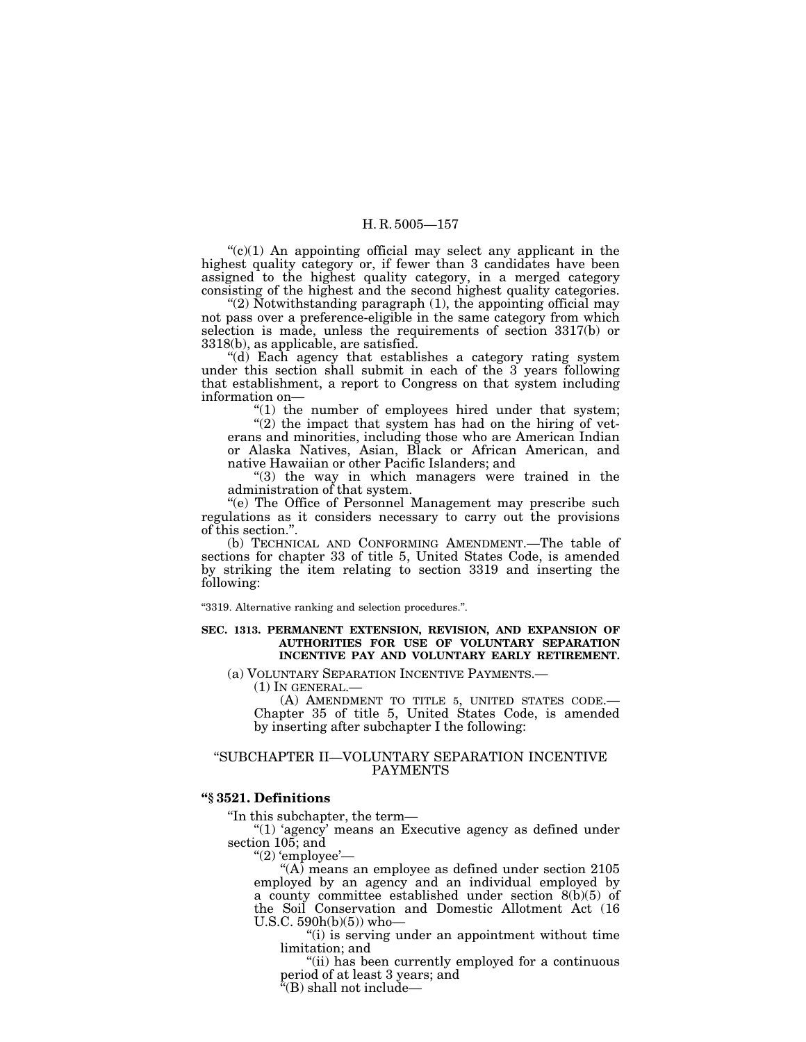$C<sup>(c)</sup>(1)$  An appointing official may select any applicant in the highest quality category or, if fewer than 3 candidates have been assigned to the highest quality category, in a merged category consisting of the highest and the second highest quality categories.

"(2) Notwithstanding paragraph (1), the appointing official may not pass over a preference-eligible in the same category from which selection is made, unless the requirements of section 3317(b) or 3318(b), as applicable, are satisfied.

''(d) Each agency that establishes a category rating system under this section shall submit in each of the 3 years following that establishment, a report to Congress on that system including information on—

 $(1)$  the number of employees hired under that system;

" $(2)$  the impact that system has had on the hiring of veterans and minorities, including those who are American Indian or Alaska Natives, Asian, Black or African American, and native Hawaiian or other Pacific Islanders; and

"(3) the way in which managers were trained in the administration of that system.

''(e) The Office of Personnel Management may prescribe such regulations as it considers necessary to carry out the provisions of this section.''.

(b) TECHNICAL AND CONFORMING AMENDMENT.—The table of sections for chapter 33 of title 5, United States Code, is amended by striking the item relating to section 3319 and inserting the following:

''3319. Alternative ranking and selection procedures.''.

## **SEC. 1313. PERMANENT EXTENSION, REVISION, AND EXPANSION OF AUTHORITIES FOR USE OF VOLUNTARY SEPARATION INCENTIVE PAY AND VOLUNTARY EARLY RETIREMENT.**

(a) VOLUNTARY SEPARATION INCENTIVE PAYMENTS.—

(1) IN GENERAL.—

(A) AMENDMENT TO TITLE 5, UNITED STATES CODE.— Chapter 35 of title 5, United States Code, is amended by inserting after subchapter I the following:

# ''SUBCHAPTER II—VOLUNTARY SEPARATION INCENTIVE PAYMENTS

# **''§ 3521. Definitions**

''In this subchapter, the term—

"(1) 'agency' means an Executive agency as defined under section 105; and

" $(2)$  'employee'—

"(A) means an employee as defined under section  $2105$ employed by an agency and an individual employed by a county committee established under section 8(b)(5) of the Soil Conservation and Domestic Allotment Act (16 U.S.C. 590h(b)(5)) who—<br>"(i) is serving under an appointment without time"

limitation; and<br>"(ii) has been currently employed for a continuous"

period of at least 3 years; and

 $\mathrm{``(B)}$  shall not include—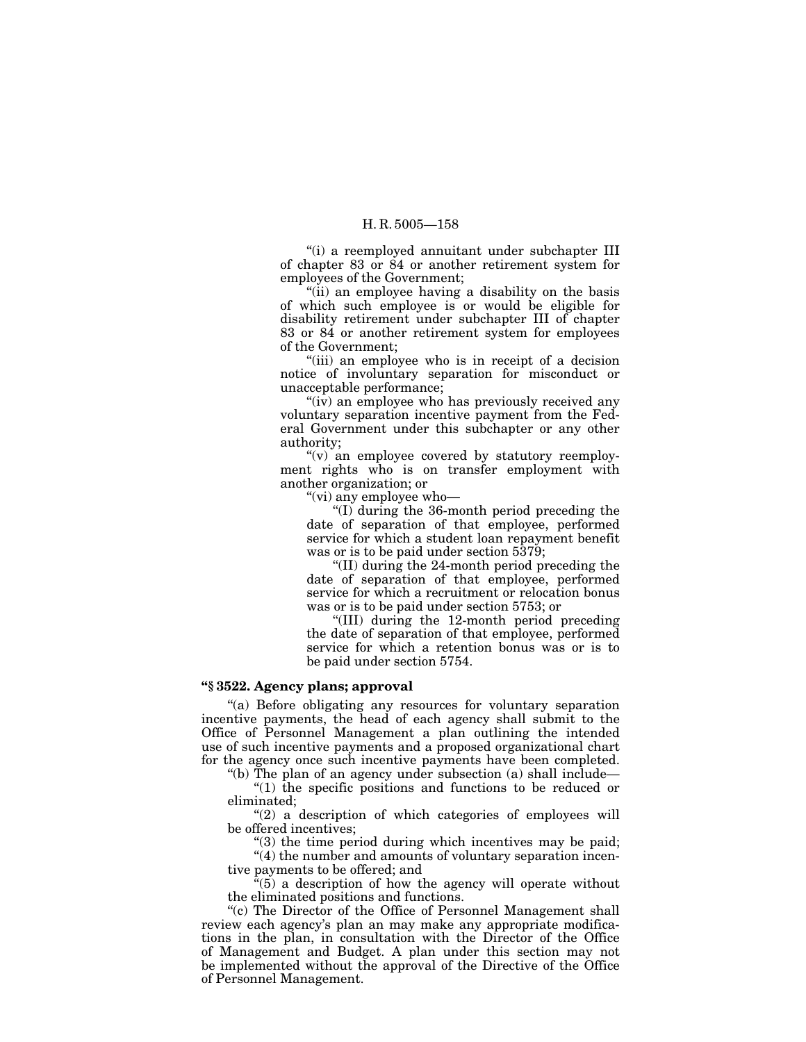''(i) a reemployed annuitant under subchapter III of chapter 83 or 84 or another retirement system for employees of the Government;

''(ii) an employee having a disability on the basis of which such employee is or would be eligible for disability retirement under subchapter III of chapter 83 or 84 or another retirement system for employees of the Government;

''(iii) an employee who is in receipt of a decision notice of involuntary separation for misconduct or unacceptable performance;

"(iv) an employee who has previously received any voluntary separation incentive payment from the Federal Government under this subchapter or any other authority;

"(v) an employee covered by statutory reemployment rights who is on transfer employment with another organization; or

''(vi) any employee who—

''(I) during the 36-month period preceding the date of separation of that employee, performed service for which a student loan repayment benefit was or is to be paid under section 5379;

''(II) during the 24-month period preceding the date of separation of that employee, performed service for which a recruitment or relocation bonus was or is to be paid under section 5753; or

''(III) during the 12-month period preceding the date of separation of that employee, performed service for which a retention bonus was or is to be paid under section 5754.

# **''§ 3522. Agency plans; approval**

''(a) Before obligating any resources for voluntary separation incentive payments, the head of each agency shall submit to the Office of Personnel Management a plan outlining the intended use of such incentive payments and a proposed organizational chart for the agency once such incentive payments have been completed.

''(b) The plan of an agency under subsection (a) shall include— ''(1) the specific positions and functions to be reduced or eliminated;

 $(2)$  a description of which categories of employees will be offered incentives;

"(3) the time period during which incentives may be paid;

''(4) the number and amounts of voluntary separation incentive payments to be offered; and

 $\epsilon$ <sup>'</sup>(5) a description of how the agency will operate without the eliminated positions and functions.

"(c) The Director of the Office of Personnel Management shall review each agency's plan an may make any appropriate modifications in the plan, in consultation with the Director of the Office of Management and Budget. A plan under this section may not be implemented without the approval of the Directive of the Office of Personnel Management.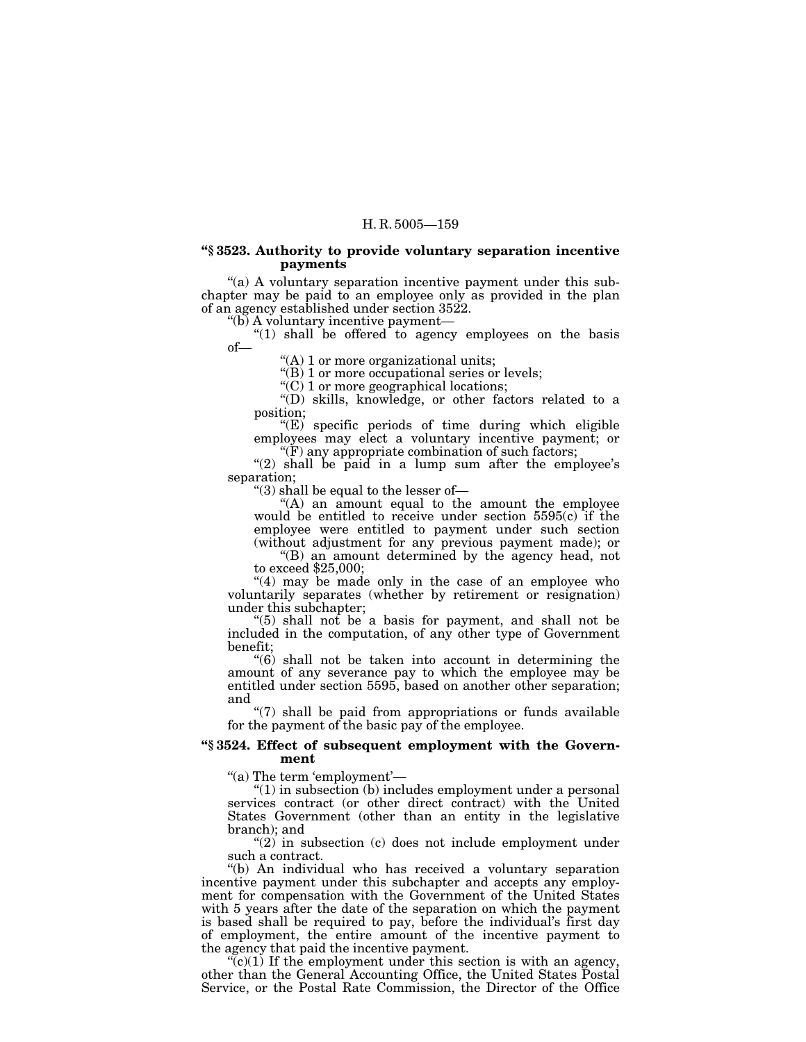## **''§ 3523. Authority to provide voluntary separation incentive payments**

"(a) A voluntary separation incentive payment under this subchapter may be paid to an employee only as provided in the plan of an agency established under section 3522.

"(b) A voluntary incentive payment—<br>"(1) shall be offered to agency employees on the basis of—

"(A) 1 or more organizational units;

"(B) 1 or more occupational series or levels;

"( $\overline{C}$ ) 1 or more geographical locations;

 $\text{``(D)}$  skills, knowledge, or other factors related to a position:

 $"$ (E) specific periods of time during which eligible employees may elect a voluntary incentive payment; or

"(F) any appropriate combination of such factors; "(2) shall be paid in a lump sum after the employee's separation;

"(3) shall be equal to the lesser of—<br>"(A) an amount equal to the amount the employee" would be entitled to receive under section 5595(c) if the employee were entitled to payment under such section (without adjustment for any previous payment made); or

"(B) an amount determined by the agency head, not to exceed \$25,000;

"(4) may be made only in the case of an employee who voluntarily separates (whether by retirement or resignation) under this subchapter:

"(5) shall not be a basis for payment, and shall not be included in the computation, of any other type of Government

 $f(6)$  shall not be taken into account in determining the amount of any severance pay to which the employee may be entitled under section 5595, based on another other separation; and<br>"(7) shall be paid from appropriations or funds available

for the payment of the basic pay of the employee.

# **''§ 3524. Effect of subsequent employment with the Government**

"(a) The term 'employment'—<br>"(1) in subsection (b) includes employment under a personal services contract (or other direct contract) with the United States Government (other than an entity in the legislative branch); and

 $(2)$  in subsection (c) does not include employment under such a contract.

''(b) An individual who has received a voluntary separation incentive payment under this subchapter and accepts any employment for compensation with the Government of the United States with 5 years after the date of the separation on which the payment is based shall be required to pay, before the individual's first day of employment, the entire amount of the incentive payment to the agency that paid the incentive payment.

 $\sqrt{\langle c\rangle}$ (1) If the employment under this section is with an agency, other than the General Accounting Office, the United States Postal Service, or the Postal Rate Commission, the Director of the Office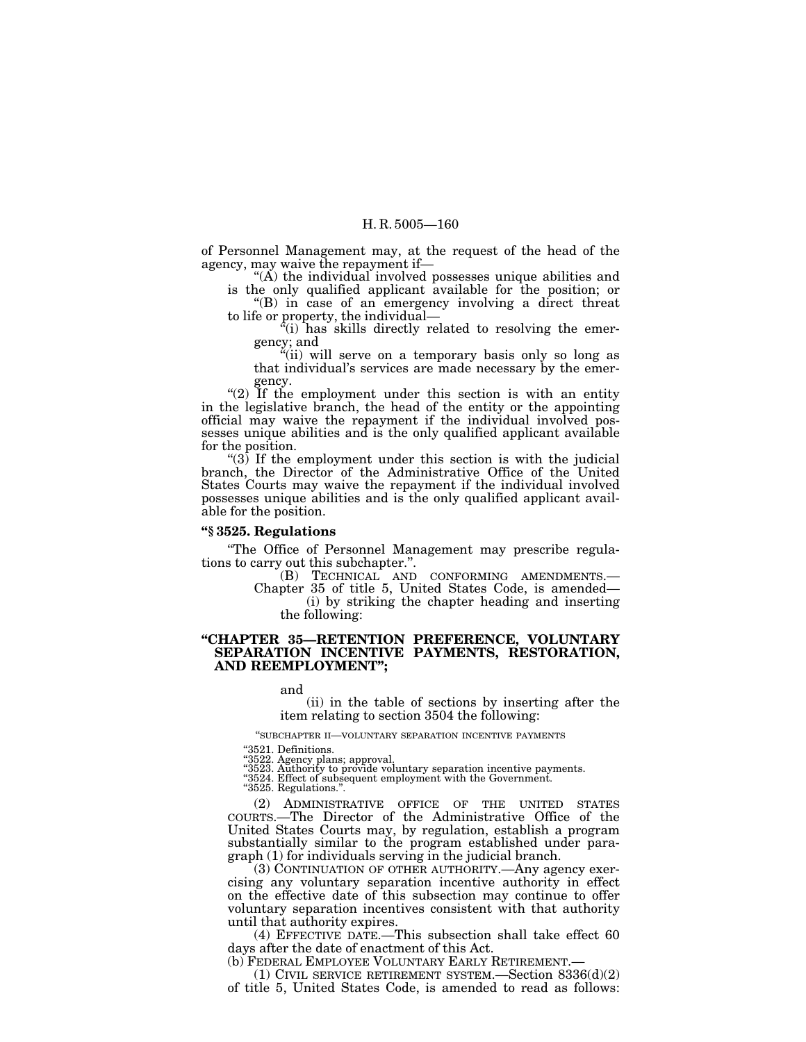of Personnel Management may, at the request of the head of the

"(A) the individual involved possesses unique abilities and

is the only qualified applicant available for the position; or " $(B)$  in case of an emergency involving a direct threat

to life or property, the individual— $($ "(i) has skills directly related to resolving the emer-

gency; and "(ii) will serve on a temporary basis only so long as that individual's services are made necessary by the emer-

gency.<br>"(2) If the employment under this section is with an entity in the legislative branch, the head of the entity or the appointing official may waive the repayment if the individual involved possesses unique abilities and is the only qualified applicant available for the position.

" $(3)$  If the employment under this section is with the judicial branch, the Director of the Administrative Office of the United States Courts may waive the repayment if the individual involved possesses unique abilities and is the only qualified applicant available for the position.

### **''§ 3525. Regulations**

"The Office of Personnel Management may prescribe regulations to carry out this subchapter.".

(B) TECHNICAL AND CONFORMING AMENDMENTS.—<br>Chapter 35 of title 5, United States Code, is amended—<br>(i) by striking the chapter heading and inserting the following:

#### **''CHAPTER 35—RETENTION PREFERENCE, VOLUNTARY SEPARATION INCENTIVE PAYMENTS, RESTORATION, AND REEMPLOYMENT'';**

and

(ii) in the table of sections by inserting after the item relating to section 3504 the following:

''SUBCHAPTER II—VOLUNTARY SEPARATION INCENTIVE PAYMENTS

"3521. Definitions.<br>"3522. Agency plans; approval.<br>"3523. Authority to provide voluntary separation incentive payments.<br>"3524. Effect of subsequent employment with the Government.

''3525. Regulations.''.

(2) ADMINISTRATIVE OFFICE OF THE UNITED STATES COURTS.—The Director of the Administrative Office of the United States Courts may, by regulation, establish a program substantially similar to the program established under paragraph (1) for individuals serving in the judicial branch.

(3) CONTINUATION OF OTHER AUTHORITY.—Any agency exercising any voluntary separation incentive authority in effect on the effective date of this subsection may continue to offer voluntary separation incentives consistent with that authority until that authority expires.

(4) EFFECTIVE DATE.—This subsection shall take effect 60 days after the date of enactment of this Act.

(b) FEDERAL EMPLOYEE VOLUNTARY EARLY RETIREMENT.—

(1) CIVIL SERVICE RETIREMENT SYSTEM.—Section 8336(d)(2) of title 5, United States Code, is amended to read as follows: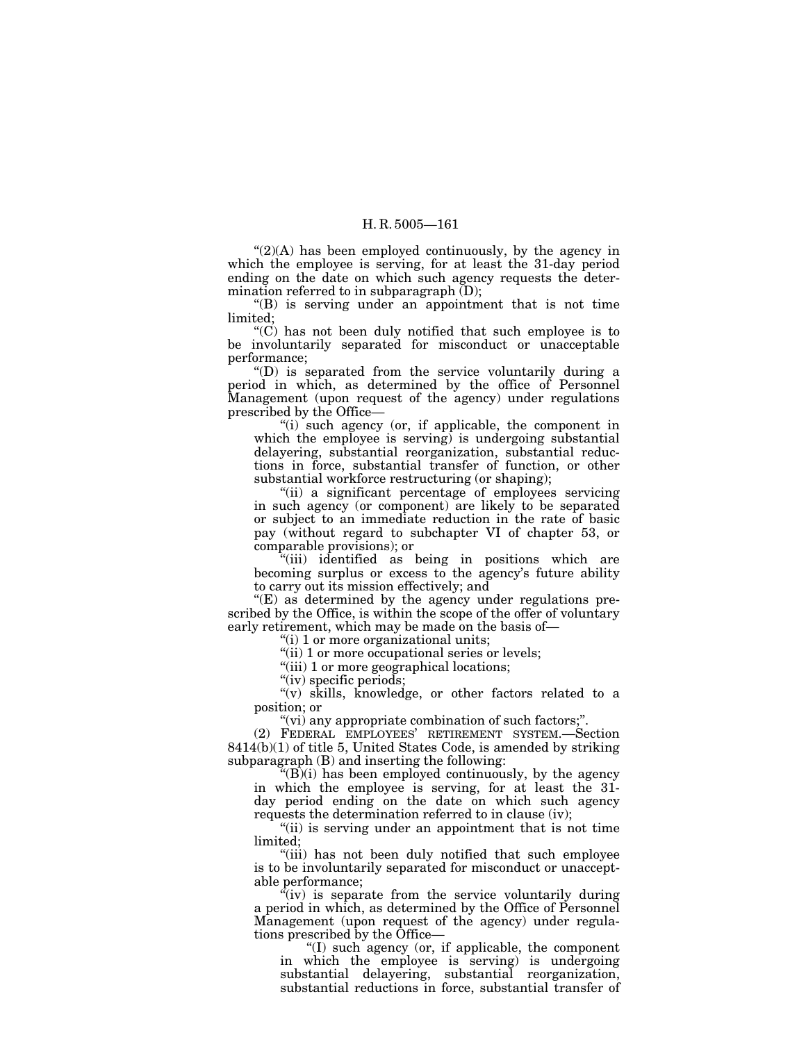$\mathcal{L}(2)(A)$  has been employed continuously, by the agency in which the employee is serving, for at least the 31-day period ending on the date on which such agency requests the determination referred to in subparagraph (D);

''(B) is serving under an appointment that is not time limited;

" $(C)$  has not been duly notified that such employee is to be involuntarily separated for misconduct or unacceptable performance;

''(D) is separated from the service voluntarily during a period in which, as determined by the office of Personnel Management (upon request of the agency) under regulations prescribed by the Office—

"(i) such agency (or, if applicable, the component in which the employee is serving) is undergoing substantial delayering, substantial reorganization, substantial reductions in force, substantial transfer of function, or other substantial workforce restructuring (or shaping);

"(ii) a significant percentage of employees servicing in such agency (or component) are likely to be separated or subject to an immediate reduction in the rate of basic pay (without regard to subchapter VI of chapter 53, or comparable provisions); or

''(iii) identified as being in positions which are becoming surplus or excess to the agency's future ability to carry out its mission effectively; and

 $E(E)$  as determined by the agency under regulations prescribed by the Office, is within the scope of the offer of voluntary early retirement, which may be made on the basis of—

''(i) 1 or more organizational units;

"(ii) 1 or more occupational series or levels;

"(iii) 1 or more geographical locations;

"(iv) specific periods;

"(v) skills, knowledge, or other factors related to a position; or

"(vi) any appropriate combination of such factors;".

(2) FEDERAL EMPLOYEES' RETIREMENT SYSTEM.—Section 8414(b)(1) of title 5, United States Code, is amended by striking subparagraph (B) and inserting the following:

 $\mathcal{F}(B)(i)$  has been employed continuously, by the agency in which the employee is serving, for at least the 31 day period ending on the date on which such agency requests the determination referred to in clause (iv);

''(ii) is serving under an appointment that is not time limited;

''(iii) has not been duly notified that such employee is to be involuntarily separated for misconduct or unacceptable performance;

 $\mathbf{u}(iv)$  is separate from the service voluntarily during a period in which, as determined by the Office of Personnel Management (upon request of the agency) under regulations prescribed by the Office—

''(I) such agency (or, if applicable, the component in which the employee is serving) is undergoing substantial delayering, substantial reorganization, substantial reductions in force, substantial transfer of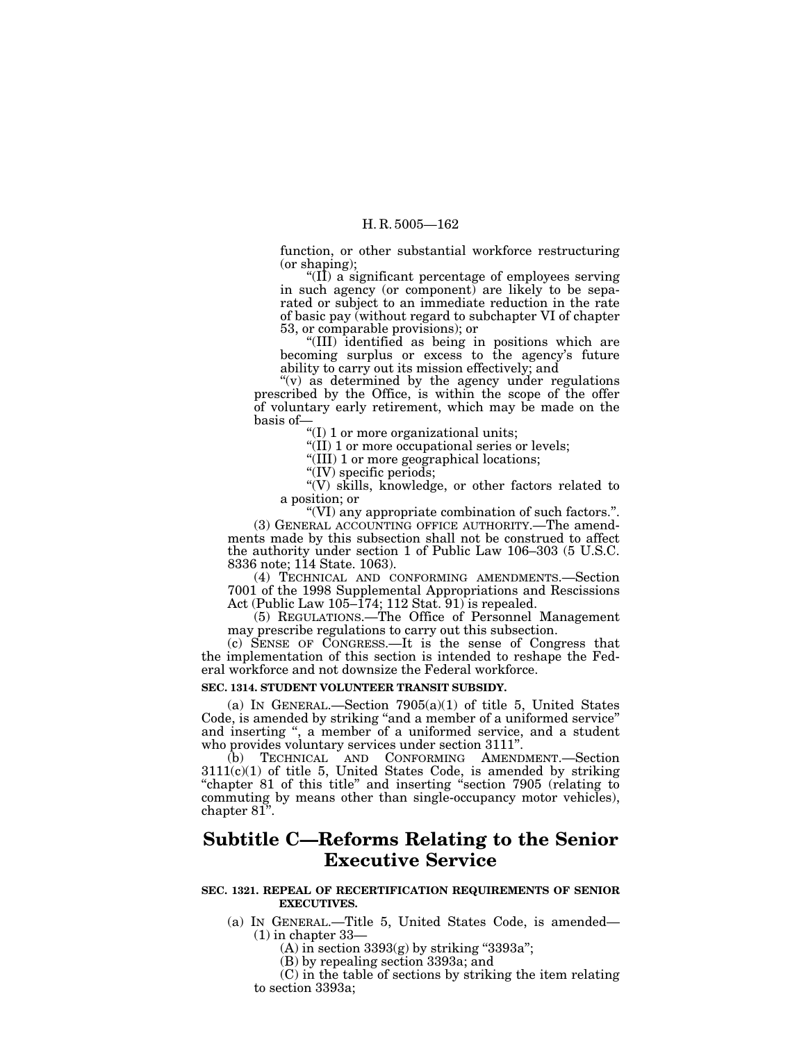function, or other substantial workforce restructuring (or shaping);

"(II) a significant percentage of employees serving in such agency (or component) are likely to be separated or subject to an immediate reduction in the rate of basic pay (without regard to subchapter VI of chapter

"(III) identified as being in positions which are becoming surplus or excess to the agency's future ability to carry out its mission effectively; and

''(v) as determined by the agency under regulations prescribed by the Office, is within the scope of the offer of voluntary early retirement, which may be made on the basis of—

''(I) 1 or more organizational units;

''(II) 1 or more occupational series or levels;

"(III) 1 or more geographical locations;

 $\sqrt{\text{IV}}$  specific periods;

''(V) skills, knowledge, or other factors related to a position; or

''(VI) any appropriate combination of such factors.''.

(3) GENERAL ACCOUNTING OFFICE AUTHORITY.—The amendments made by this subsection shall not be construed to affect the authority under section 1 of Public Law 106–303 (5 U.S.C. 8336 note; 114 State. 1063).

(4) TECHNICAL AND CONFORMING AMENDMENTS.—Section 7001 of the 1998 Supplemental Appropriations and Rescissions Act (Public Law 105–174; 112 Stat. 91) is repealed.

(5) REGULATIONS.—The Office of Personnel Management may prescribe regulations to carry out this subsection.

(c) SENSE OF CONGRESS.—It is the sense of Congress that the implementation of this section is intended to reshape the Federal workforce and not downsize the Federal workforce.

# **SEC. 1314. STUDENT VOLUNTEER TRANSIT SUBSIDY.**

(a) IN GENERAL.—Section 7905(a)(1) of title 5, United States Code, is amended by striking "and a member of a uniformed service" and inserting ", a member of a uniformed service, and a student who provides voluntary services under section 3111''.

(b) TECHNICAL AND CONFORMING AMENDMENT.—Section 3111(c)(1) of title 5, United States Code, is amended by striking ''chapter 81 of this title'' and inserting ''section 7905 (relating to commuting by means other than single-occupancy motor vehicles), chapter 81''.

# **Subtitle C—Reforms Relating to the Senior Executive Service**

# **SEC. 1321. REPEAL OF RECERTIFICATION REQUIREMENTS OF SENIOR EXECUTIVES.**

- (a) IN GENERAL.—Title 5, United States Code, is amended— (1) in chapter 33—
	- (A) in section  $3393(g)$  by striking "3393a";
	- (B) by repealing section 3393a; and

(C) in the table of sections by striking the item relating to section 3393a;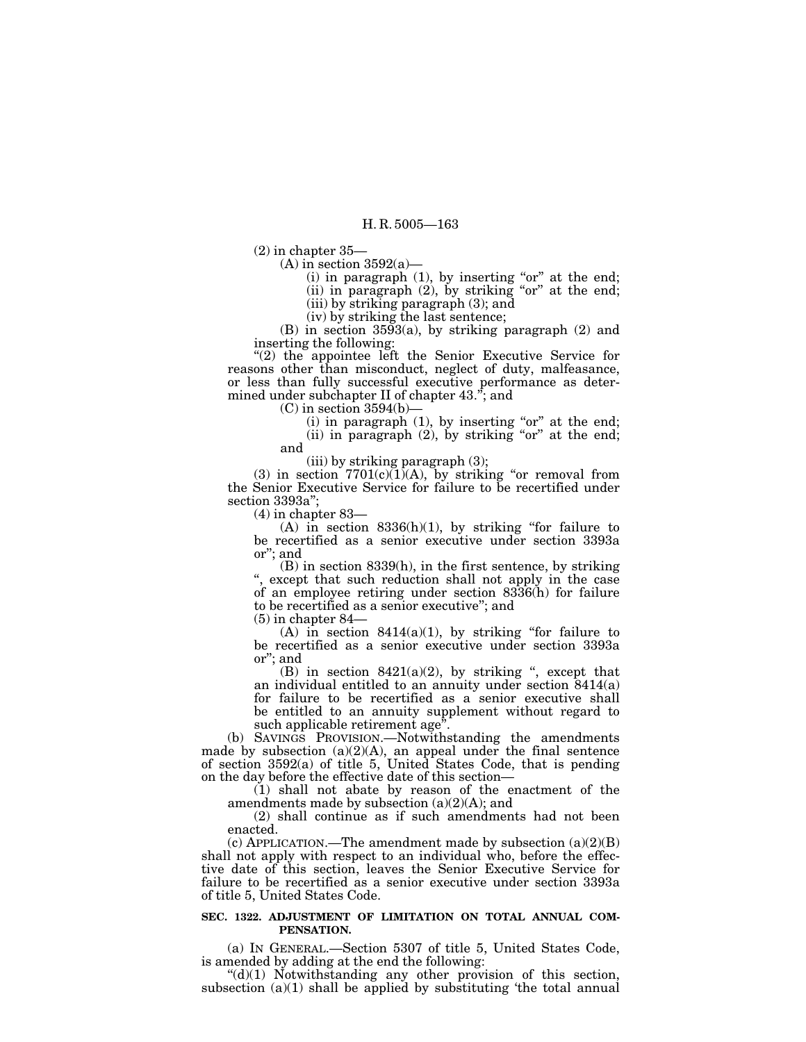(2) in chapter 35—

 $(A)$  in section 3592(a)-

(i) in paragraph  $(1)$ , by inserting "or" at the end;

(ii) in paragraph  $(2)$ , by striking "or" at the end;

(iii) by striking paragraph (3); and

(iv) by striking the last sentence;

(B) in section 3593(a), by striking paragraph (2) and inserting the following:

''(2) the appointee left the Senior Executive Service for reasons other than misconduct, neglect of duty, malfeasance, or less than fully successful executive performance as determined under subchapter II of chapter 43.''; and

 $(C)$  in section 3594(b)–

(i) in paragraph  $(1)$ , by inserting "or" at the end; (ii) in paragraph  $(2)$ , by striking "or" at the end; and

(iii) by striking paragraph (3);

(3) in section  $7701(c)(1)(A)$ , by striking "or removal from the Senior Executive Service for failure to be recertified under section 3393a";

(4) in chapter 83—

(A) in section  $8336(h)(1)$ , by striking "for failure to be recertified as a senior executive under section 3393a or''; and

(B) in section 8339(h), in the first sentence, by striking '', except that such reduction shall not apply in the case of an employee retiring under section 8336(h) for failure to be recertified as a senior executive"; and  $(5)$  in chapter 84—

(A) in section 8414(a)(1), by striking "for failure to be recertified as a senior executive under section 3393a or''; and

(B) in section  $8421(a)(2)$ , by striking ", except that an individual entitled to an annuity under section 8414(a) for failure to be recertified as a senior executive shall be entitled to an annuity supplement without regard to such applicable retirement age".

such applicable retirement age".<br>(b) SAVINGS PROVISION.—Notwithstanding the amendments made by subsection (a)(2)(A), an appeal under the final sentence of section 3592(a) of title 5, United States Code, that is pending on the day before the effective date of this section—

(1) shall not abate by reason of the enactment of the amendments made by subsection (a)(2)(A); and

(2) shall continue as if such amendments had not been enacted.

(c) APPLICATION.—The amendment made by subsection  $(a)(2)(B)$ shall not apply with respect to an individual who, before the effective date of this section, leaves the Senior Executive Service for failure to be recertified as a senior executive under section 3393a of title 5, United States Code.

### **SEC. 1322. ADJUSTMENT OF LIMITATION ON TOTAL ANNUAL COM-PENSATION.**

(a) IN GENERAL.—Section 5307 of title 5, United States Code,

" $(d)(1)$  Notwithstanding any other provision of this section, subsection  $(a)(1)$  shall be applied by substituting 'the total annual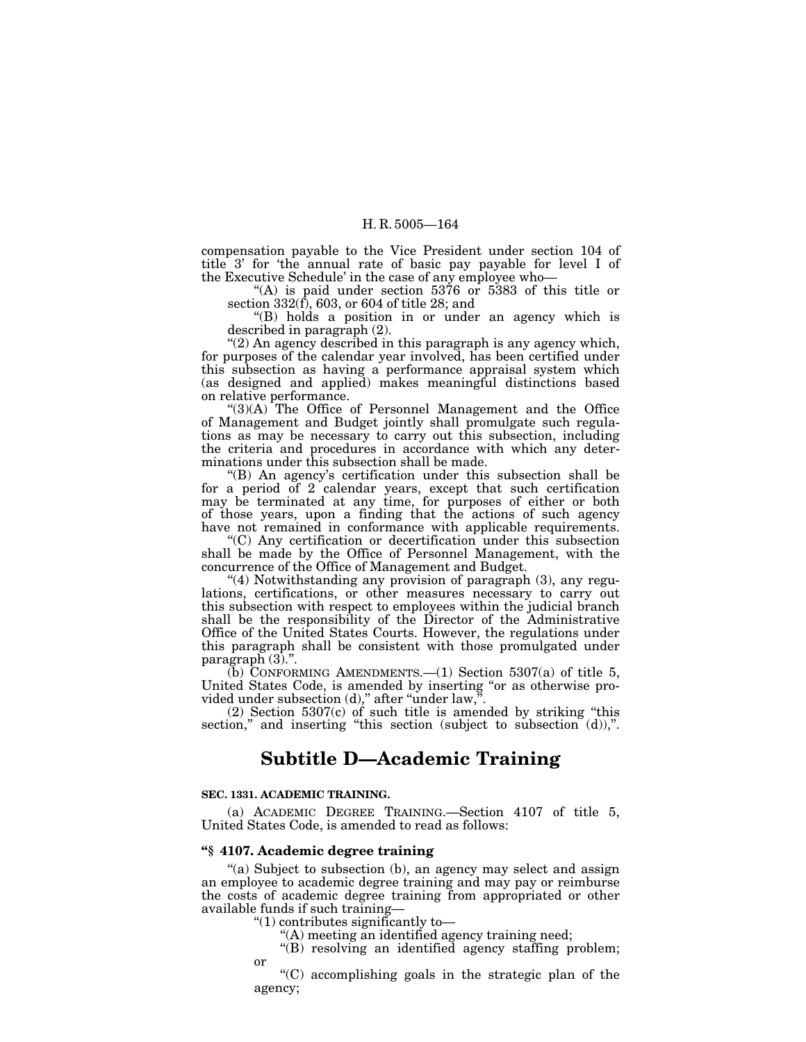compensation payable to the Vice President under section 104 of title 3' for 'the annual rate of basic pay payable for level I of the Executive Schedule' in the case of any employee who—

''(A) is paid under section 5376 or 5383 of this title or section 332(f), 603, or 604 of title 28; and

''(B) holds a position in or under an agency which is described in paragraph (2).

"(2) An agency described in this paragraph is any agency which, for purposes of the calendar year involved, has been certified under this subsection as having a performance appraisal system which (as designed and applied) makes meaningful distinctions based

" $(3)(A)$  The Office of Personnel Management and the Office of Management and Budget jointly shall promulgate such regulations as may be necessary to carry out this subsection, including the criteria and procedures in accordance with which any determinations under this subsection shall be made.

''(B) An agency's certification under this subsection shall be for a period of 2 calendar years, except that such certification may be terminated at any time, for purposes of either or both of those years, upon a finding that the actions of such agency have not remained in conformance with applicable requirements.

''(C) Any certification or decertification under this subsection shall be made by the Office of Personnel Management, with the concurrence of the Office of Management and Budget.

"(4) Notwithstanding any provision of paragraph (3), any regulations, certifications, or other measures necessary to carry out this subsection with respect to employees within the judicial branch shall be the responsibility of the Director of the Administrative Office of the United States Courts. However, the regulations under this paragraph shall be consistent with those promulgated under paragraph (3).''.

(b) CONFORMING AMENDMENTS.— $(1)$  Section 5307 $(a)$  of title 5, United States Code, is amended by inserting ''or as otherwise provided under subsection (d)," after "under law,".<br>(2) Section 5307(c) of such title is amended by striking "this

section," and inserting "this section (subject to subsection  $(d)$ ),".

# **Subtitle D—Academic Training**

# **SEC. 1331. ACADEMIC TRAINING.**

(a) ACADEMIC DEGREE TRAINING.—Section 4107 of title 5, United States Code, is amended to read as follows:

## **''§ 4107. Academic degree training**

"(a) Subject to subsection (b), an agency may select and assign an employee to academic degree training and may pay or reimburse the costs of academic degree training from appropriated or other available funds if such training— ''(1) contributes significantly to—

 $(A)$  meeting an identified agency training need;

"(B) resolving an identified agency staffing problem;

or ''(C) accomplishing goals in the strategic plan of the agency;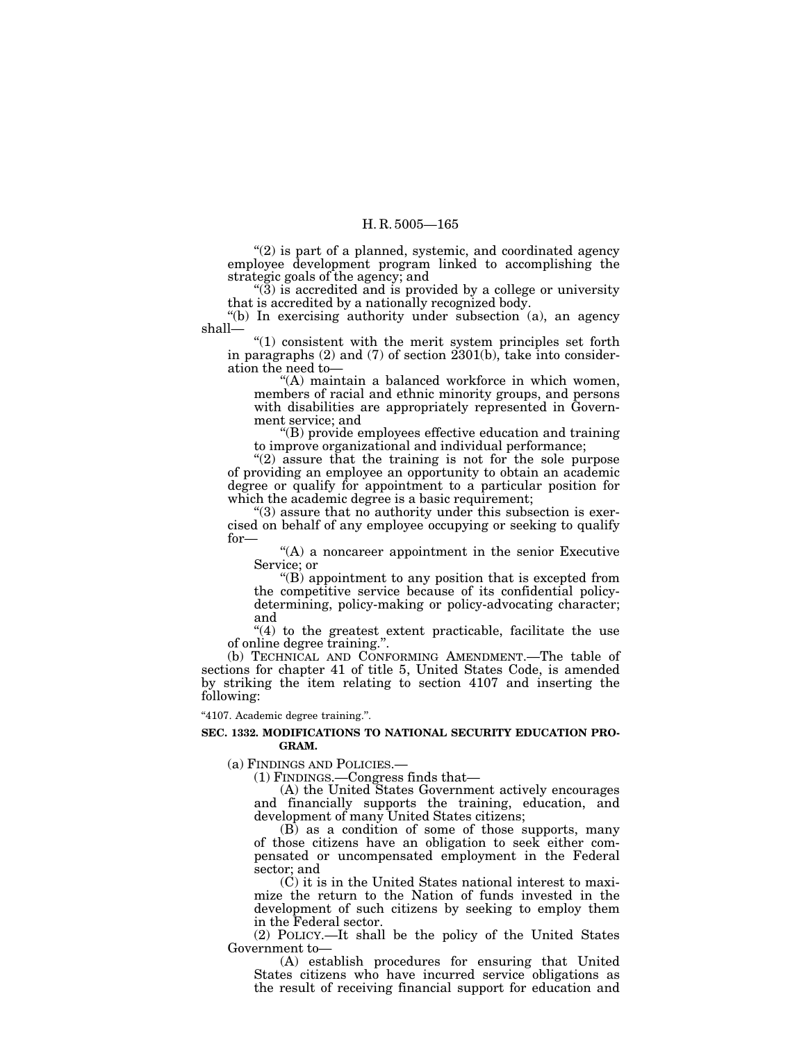$(2)$  is part of a planned, systemic, and coordinated agency employee development program linked to accomplishing the strategic goals of the agency; and

 $\frac{1}{3}$  is accredited and is provided by a college or university that is accredited by a nationally recognized body.

''(b) In exercising authority under subsection (a), an agency

 $"(1)$  consistent with the merit system principles set forth in paragraphs (2) and (7) of section  $2301(b)$ , take into consideration the need to—

"(A) maintain a balanced workforce in which women, members of racial and ethnic minority groups, and persons with disabilities are appropriately represented in Government service; and

" $(B)$  provide employees effective education and training to improve organizational and individual performance;

" $(2)$  assure that the training is not for the sole purpose of providing an employee an opportunity to obtain an academic degree or qualify for appointment to a particular position for which the academic degree is a basic requirement;

 $\degree$ (3) assure that no authority under this subsection is exercised on behalf of any employee occupying or seeking to qualify for—

 $(A)$  a noncareer appointment in the senior Executive Service; or

"(B) appointment to any position that is excepted from the competitive service because of its confidential policydetermining, policy-making or policy-advocating character; and

 $''(4)$  to the greatest extent practicable, facilitate the use of online degree training.''.

(b) TECHNICAL AND CONFORMING AMENDMENT.—The table of sections for chapter 41 of title 5, United States Code, is amended by striking the item relating to section 4107 and inserting the following:

''4107. Academic degree training.''.

## **SEC. 1332. MODIFICATIONS TO NATIONAL SECURITY EDUCATION PRO-GRAM.**

(a) FINDINGS AND POLICIES.— (1) FINDINGS.—Congress finds that— (A) the United States Government actively encourages and financially supports the training, education, and development of many United States citizens;

(B) as a condition of some of those supports, many of those citizens have an obligation to seek either compensated or uncompensated employment in the Federal sector; and

 $(C)$  it is in the United States national interest to maximize the return to the Nation of funds invested in the development of such citizens by seeking to employ them in the Federal sector.

(2) POLICY.—It shall be the policy of the United States Government to—

(A) establish procedures for ensuring that United States citizens who have incurred service obligations as the result of receiving financial support for education and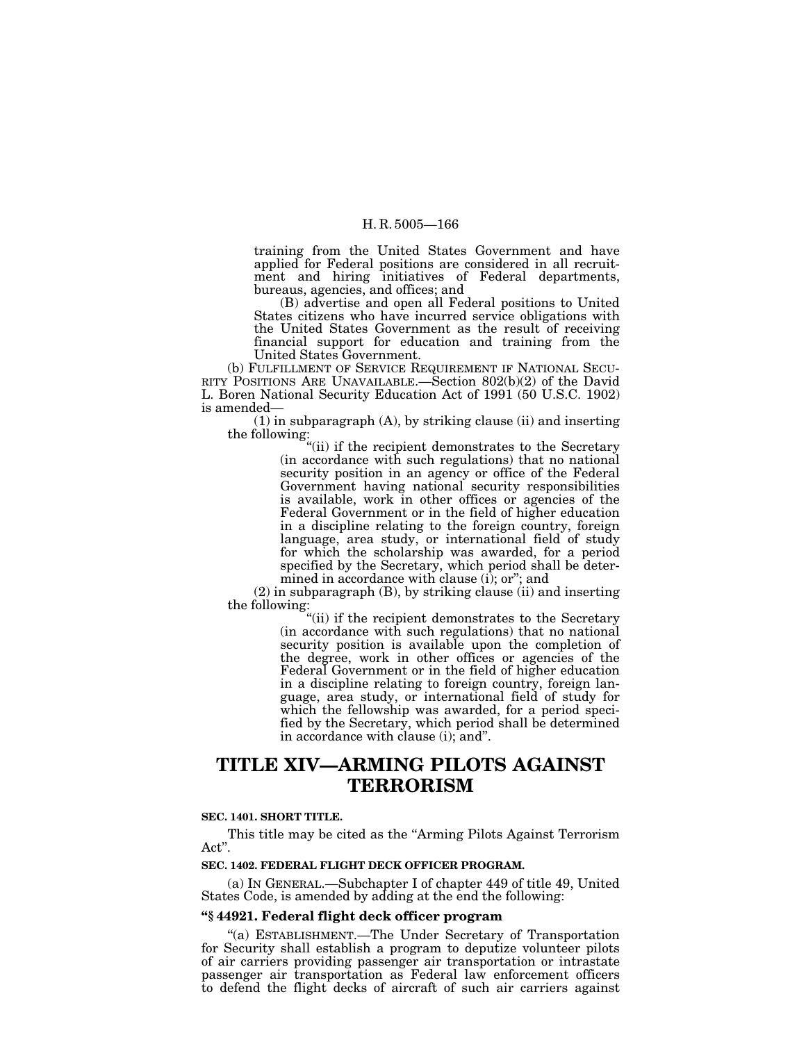training from the United States Government and have applied for Federal positions are considered in all recruitment and hiring initiatives of Federal departments, bureaus, agencies, and offices; and

(B) advertise and open all Federal positions to United States citizens who have incurred service obligations with the United States Government as the result of receiving financial support for education and training from the United States Government.

(b) FULFILLMENT OF SERVICE REQUIREMENT IF NATIONAL SECU-RITY POSITIONS ARE UNAVAILABLE.—Section 802(b)(2) of the David L. Boren National Security Education Act of 1991 (50 U.S.C. 1902) is amended—

(1) in subparagraph (A), by striking clause (ii) and inserting the following:

"(ii) if the recipient demonstrates to the Secretary (in accordance with such regulations) that no national security position in an agency or office of the Federal Government having national security responsibilities is available, work in other offices or agencies of the Federal Government or in the field of higher education in a discipline relating to the foreign country, foreign language, area study, or international field of study for which the scholarship was awarded, for a period specified by the Secretary, which period shall be determined in accordance with clause (i); or"; and

(2) in subparagraph (B), by striking clause (ii) and inserting the following:

''(ii) if the recipient demonstrates to the Secretary (in accordance with such regulations) that no national security position is available upon the completion of the degree, work in other offices or agencies of the Federal Government or in the field of higher education in a discipline relating to foreign country, foreign language, area study, or international field of study for which the fellowship was awarded, for a period specified by the Secretary, which period shall be determined in accordance with clause (i); and''.

# **TITLE XIV—ARMING PILOTS AGAINST TERRORISM**

# **SEC. 1401. SHORT TITLE.**

This title may be cited as the ''Arming Pilots Against Terrorism Act''.

#### **SEC. 1402. FEDERAL FLIGHT DECK OFFICER PROGRAM.**

(a) IN GENERAL.—Subchapter I of chapter 449 of title 49, United States Code, is amended by adding at the end the following:

# **''§ 44921. Federal flight deck officer program**

''(a) ESTABLISHMENT.—The Under Secretary of Transportation for Security shall establish a program to deputize volunteer pilots of air carriers providing passenger air transportation or intrastate passenger air transportation as Federal law enforcement officers to defend the flight decks of aircraft of such air carriers against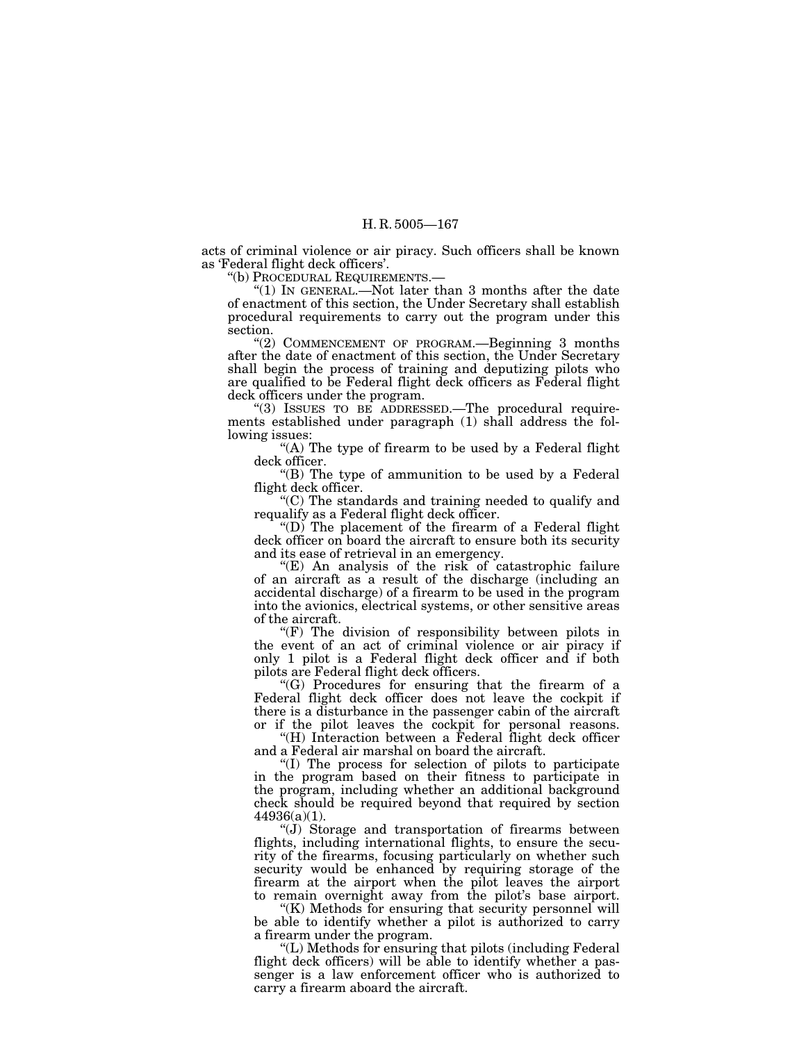acts of criminal violence or air piracy. Such officers shall be known as 'Federal flight deck officers'.

''(b) PROCEDURAL REQUIREMENTS.—

"(1) IN GENERAL.—Not later than 3 months after the date of enactment of this section, the Under Secretary shall establish procedural requirements to carry out the program under this section.

''(2) COMMENCEMENT OF PROGRAM.—Beginning 3 months after the date of enactment of this section, the Under Secretary shall begin the process of training and deputizing pilots who are qualified to be Federal flight deck officers as Federal flight deck officers under the program.

"(3) ISSUES TO BE ADDRESSED.—The procedural requirements established under paragraph (1) shall address the following issues:

"(A) The type of firearm to be used by a Federal flight deck officer.

" $(B)$  The type of ammunition to be used by a Federal flight deck officer.

''(C) The standards and training needed to qualify and requalify as a Federal flight deck officer.

" $(D)$  The placement of the firearm of a Federal flight deck officer on board the aircraft to ensure both its security and its ease of retrieval in an emergency.

" $(E)$  An analysis of the risk of catastrophic failure of an aircraft as a result of the discharge (including an accidental discharge) of a firearm to be used in the program into the avionics, electrical systems, or other sensitive areas of the aircraft.

''(F) The division of responsibility between pilots in the event of an act of criminal violence or air piracy if only 1 pilot is a Federal flight deck officer and if both pilots are Federal flight deck officers.

''(G) Procedures for ensuring that the firearm of a Federal flight deck officer does not leave the cockpit if there is a disturbance in the passenger cabin of the aircraft or if the pilot leaves the cockpit for personal reasons.

''(H) Interaction between a Federal flight deck officer and a Federal air marshal on board the aircraft.

''(I) The process for selection of pilots to participate in the program based on their fitness to participate in the program, including whether an additional background check should be required beyond that required by section 44936(a)(1).

''(J) Storage and transportation of firearms between flights, including international flights, to ensure the security of the firearms, focusing particularly on whether such security would be enhanced by requiring storage of the firearm at the airport when the pilot leaves the airport to remain overnight away from the pilot's base airport.

"(K) Methods for ensuring that security personnel will be able to identify whether a pilot is authorized to carry a firearm under the program.

''(L) Methods for ensuring that pilots (including Federal flight deck officers) will be able to identify whether a passenger is a law enforcement officer who is authorized to carry a firearm aboard the aircraft.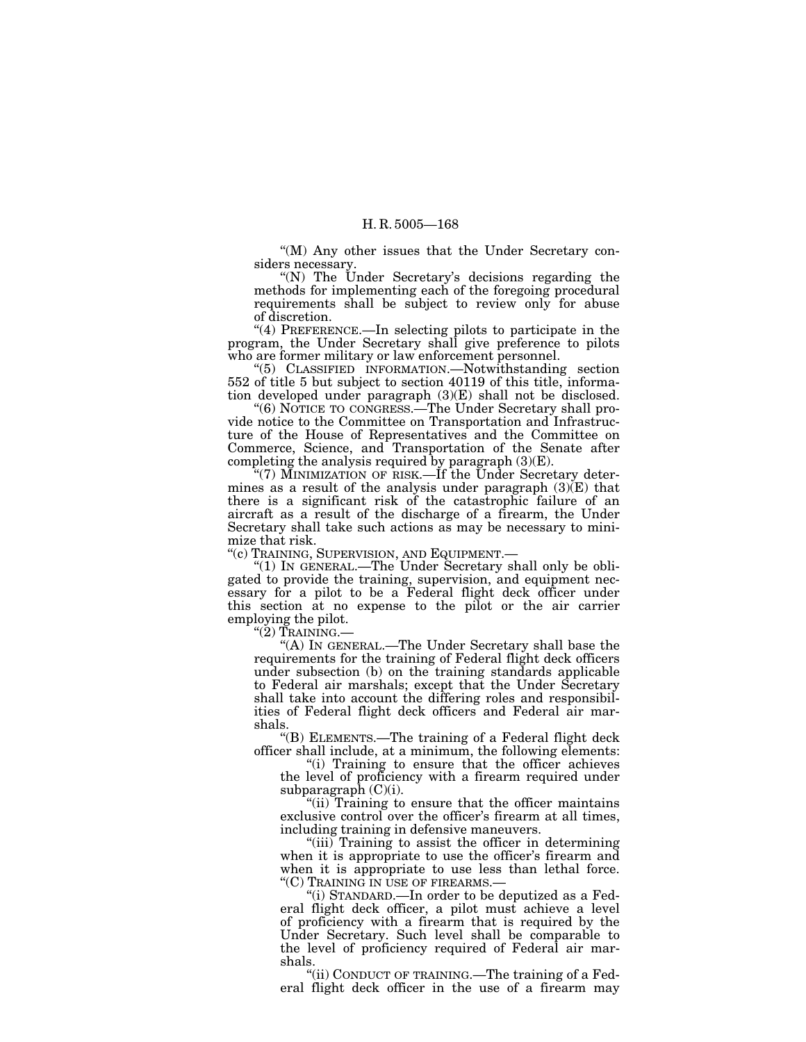"(M) Any other issues that the Under Secretary considers necessary.

" $(N)$  The Under Secretary's decisions regarding the methods for implementing each of the foregoing procedural requirements shall be subject to review only for abuse of discretion.

''(4) PREFERENCE.—In selecting pilots to participate in the program, the Under Secretary shall give preference to pilots who are former military or law enforcement personnel.

''(5) CLASSIFIED INFORMATION.—Notwithstanding section 552 of title 5 but subject to section 40119 of this title, information developed under paragraph (3)(E) shall not be disclosed.

''(6) NOTICE TO CONGRESS.—The Under Secretary shall provide notice to the Committee on Transportation and Infrastructure of the House of Representatives and the Committee on Commerce, Science, and Transportation of the Senate after completing the analysis required by paragraph  $(3)(E)$ .

''(7) MINIMIZATION OF RISK.—If the Under Secretary determines as a result of the analysis under paragraph (3)(E) that there is a significant risk of the catastrophic failure of an aircraft as a result of the discharge of a firearm, the Under Secretary shall take such actions as may be necessary to minimize that risk.

''(c) TRAINING, SUPERVISION, AND EQUIPMENT.—

''(1) IN GENERAL.—The Under Secretary shall only be obligated to provide the training, supervision, and equipment necessary for a pilot to be a Federal flight deck officer under this section at no expense to the pilot or the air carrier employing the pilot.

 $\H``(2)$  Training.—

''(A) IN GENERAL.—The Under Secretary shall base the requirements for the training of Federal flight deck officers under subsection (b) on the training standards applicable to Federal air marshals; except that the Under Secretary shall take into account the differing roles and responsibilities of Federal flight deck officers and Federal air marshals.

''(B) ELEMENTS.—The training of a Federal flight deck officer shall include, at a minimum, the following elements:

''(i) Training to ensure that the officer achieves the level of proficiency with a firearm required under subparagraph (C)(i).

"(ii) Training to ensure that the officer maintains exclusive control over the officer's firearm at all times, including training in defensive maneuvers.<br>"(iii) Training to assist the officer in determining

when it is appropriate to use the officer's firearm and when it is appropriate to use less than lethal force.<br>"(C) TRAINING IN USE OF FIREARMS.—

 $'$ (i) STANDARD.—In order to be deputized as a Federal flight deck officer, a pilot must achieve a level of proficiency with a firearm that is required by the Under Secretary. Such level shall be comparable to the level of proficiency required of Federal air marshals.

"(ii) CONDUCT OF TRAINING.—The training of a Federal flight deck officer in the use of a firearm may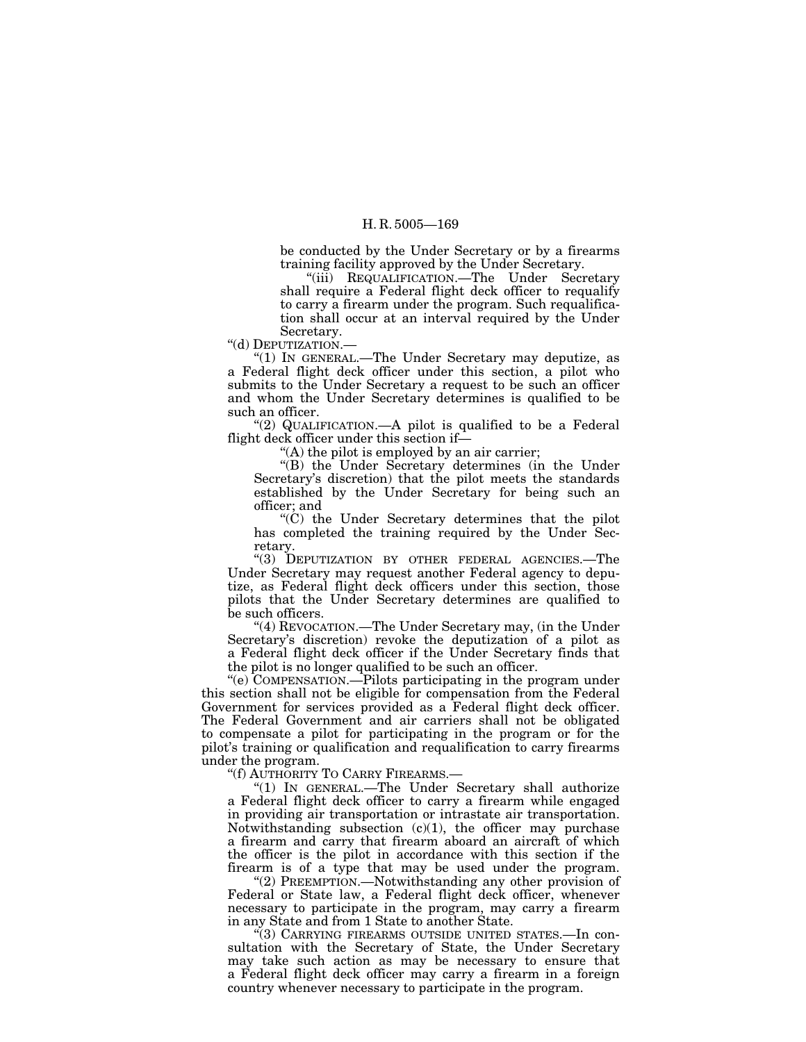be conducted by the Under Secretary or by a firearms training facility approved by the Under Secretary.

''(iii) REQUALIFICATION.—The Under Secretary shall require a Federal flight deck officer to requalify to carry a firearm under the program. Such requalification shall occur at an interval required by the Under Secretary.

"(d) DEPUTIZATION.-

''(1) IN GENERAL.—The Under Secretary may deputize, as a Federal flight deck officer under this section, a pilot who submits to the Under Secretary a request to be such an officer and whom the Under Secretary determines is qualified to be such an officer.

"(2) QUALIFICATION.—A pilot is qualified to be a Federal flight deck officer under this section if—

''(A) the pilot is employed by an air carrier;

''(B) the Under Secretary determines (in the Under Secretary's discretion) that the pilot meets the standards established by the Under Secretary for being such an officer; and

''(C) the Under Secretary determines that the pilot has completed the training required by the Under Secretary.

''(3) DEPUTIZATION BY OTHER FEDERAL AGENCIES.—The Under Secretary may request another Federal agency to deputize, as Federal flight deck officers under this section, those pilots that the Under Secretary determines are qualified to be such officers.

''(4) REVOCATION.—The Under Secretary may, (in the Under Secretary's discretion) revoke the deputization of a pilot as a Federal flight deck officer if the Under Secretary finds that the pilot is no longer qualified to be such an officer.

''(e) COMPENSATION.—Pilots participating in the program under this section shall not be eligible for compensation from the Federal Government for services provided as a Federal flight deck officer. The Federal Government and air carriers shall not be obligated to compensate a pilot for participating in the program or for the pilot's training or qualification and requalification to carry firearms under the program.

''(f) AUTHORITY TO CARRY FIREARMS.—

''(1) IN GENERAL.—The Under Secretary shall authorize a Federal flight deck officer to carry a firearm while engaged in providing air transportation or intrastate air transportation. Notwithstanding subsection  $(c)(1)$ , the officer may purchase a firearm and carry that firearm aboard an aircraft of which the officer is the pilot in accordance with this section if the firearm is of a type that may be used under the program.

''(2) PREEMPTION.—Notwithstanding any other provision of Federal or State law, a Federal flight deck officer, whenever necessary to participate in the program, may carry a firearm in any State and from 1 State to another State.

''(3) CARRYING FIREARMS OUTSIDE UNITED STATES.—In consultation with the Secretary of State, the Under Secretary may take such action as may be necessary to ensure that a Federal flight deck officer may carry a firearm in a foreign country whenever necessary to participate in the program.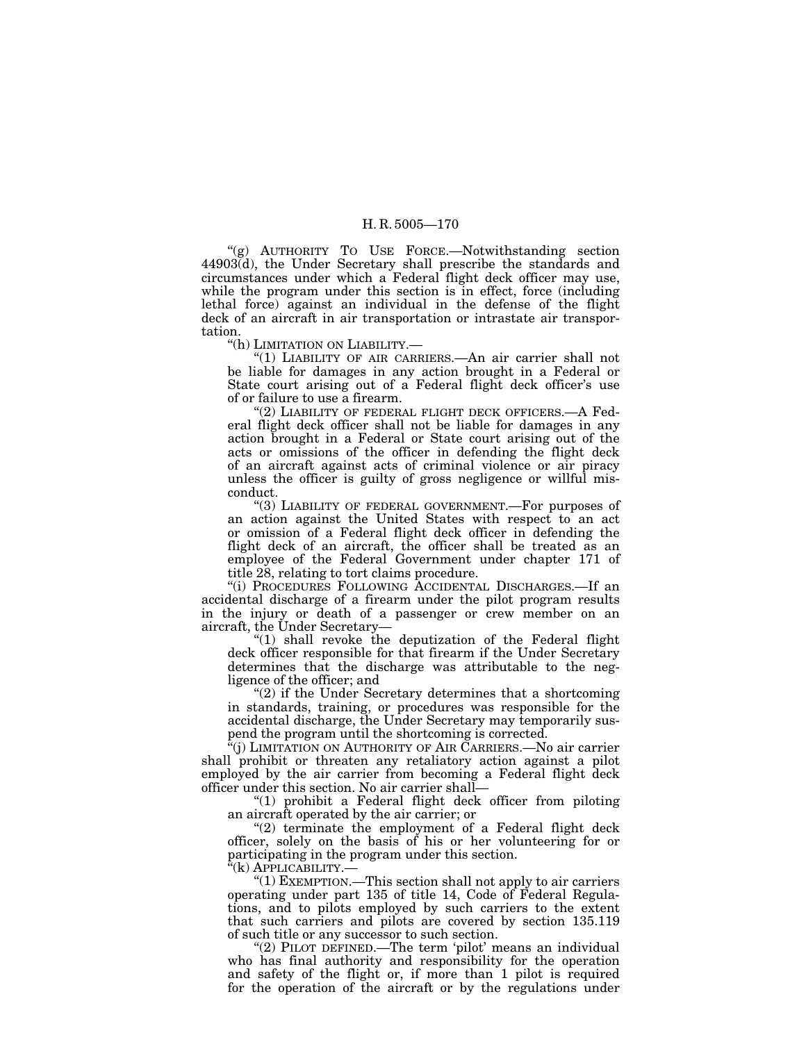''(g) AUTHORITY TO USE FORCE.—Notwithstanding section 44903(d), the Under Secretary shall prescribe the standards and circumstances under which a Federal flight deck officer may use, while the program under this section is in effect, force (including lethal force) against an individual in the defense of the flight deck of an aircraft in air transportation or intrastate air transportation.

''(h) LIMITATION ON LIABILITY.—

''(1) LIABILITY OF AIR CARRIERS.—An air carrier shall not be liable for damages in any action brought in a Federal or State court arising out of a Federal flight deck officer's use of or failure to use a firearm.

"(2) LIABILITY OF FEDERAL FLIGHT DECK OFFICERS.—A Federal flight deck officer shall not be liable for damages in any action brought in a Federal or State court arising out of the acts or omissions of the officer in defending the flight deck of an aircraft against acts of criminal violence or air piracy unless the officer is guilty of gross negligence or willful misconduct.

"(3) LIABILITY OF FEDERAL GOVERNMENT.—For purposes of an action against the United States with respect to an act or omission of a Federal flight deck officer in defending the flight deck of an aircraft, the officer shall be treated as an employee of the Federal Government under chapter 171 of title 28, relating to tort claims procedure.

''(i) PROCEDURES FOLLOWING ACCIDENTAL DISCHARGES.—If an accidental discharge of a firearm under the pilot program results in the injury or death of a passenger or crew member on an aircraft, the Under Secretary—

" $(1)$  shall revoke the deputization of the Federal flight deck officer responsible for that firearm if the Under Secretary determines that the discharge was attributable to the negligence of the officer; and

 $(2)$  if the Under Secretary determines that a shortcoming in standards, training, or procedures was responsible for the accidental discharge, the Under Secretary may temporarily suspend the program until the shortcoming is corrected.

''(j) LIMITATION ON AUTHORITY OF AIR CARRIERS.—No air carrier shall prohibit or threaten any retaliatory action against a pilot employed by the air carrier from becoming a Federal flight deck officer under this section. No air carrier shall—

''(1) prohibit a Federal flight deck officer from piloting an aircraft operated by the air carrier; or

 $(2)$  terminate the employment of a Federal flight deck officer, solely on the basis of his or her volunteering for or participating in the program under this section.

''(k) APPLICABILITY.—

 $(1)$  EXEMPTION.—This section shall not apply to air carriers operating under part 135 of title 14, Code of Federal Regulations, and to pilots employed by such carriers to the extent that such carriers and pilots are covered by section 135.119 of such title or any successor to such section.

"(2) PILOT DEFINED.—The term 'pilot' means an individual who has final authority and responsibility for the operation and safety of the flight or, if more than 1 pilot is required for the operation of the aircraft or by the regulations under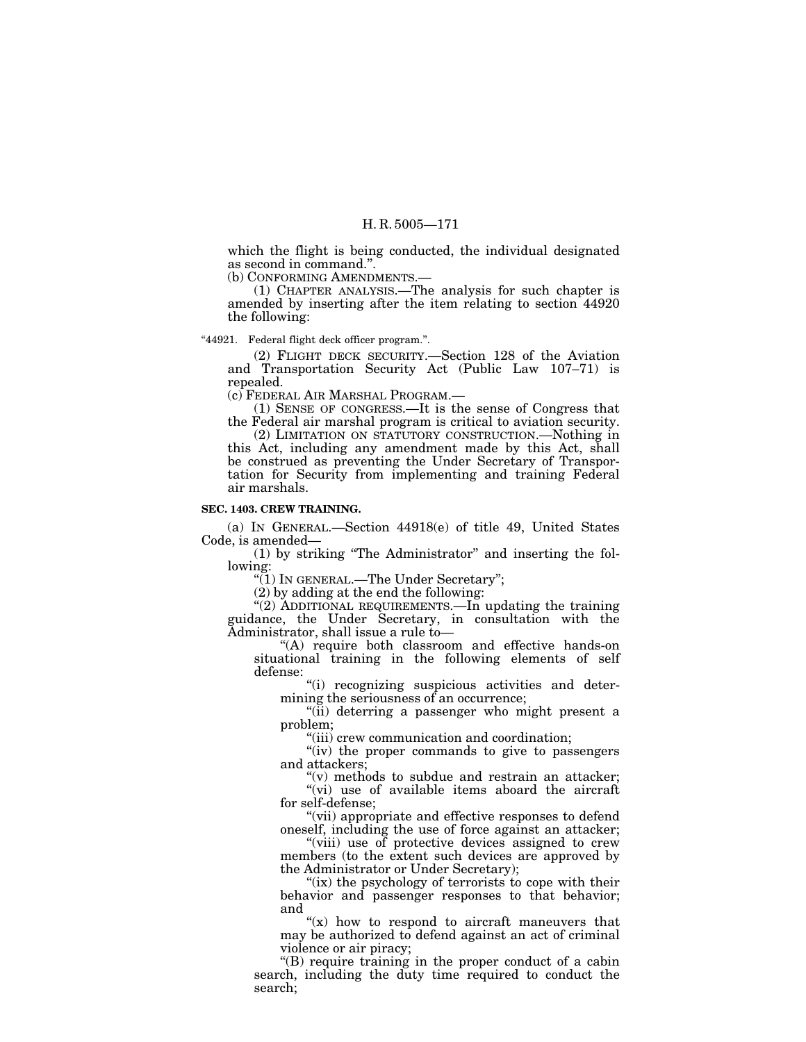which the flight is being conducted, the individual designated as second in command.''.

(b) CONFORMING AMENDMENTS.—

(1) CHAPTER ANALYSIS.—The analysis for such chapter is amended by inserting after the item relating to section 44920 the following:

''44921. Federal flight deck officer program.''.

(2) FLIGHT DECK SECURITY.—Section 128 of the Aviation and Transportation Security Act (Public Law 107–71) is repealed.

(c) FEDERAL AIR MARSHAL PROGRAM.—

(1) SENSE OF CONGRESS.—It is the sense of Congress that the Federal air marshal program is critical to aviation security.

(2) LIMITATION ON STATUTORY CONSTRUCTION.—Nothing in this Act, including any amendment made by this Act, shall be construed as preventing the Under Secretary of Transportation for Security from implementing and training Federal air marshals.

## **SEC. 1403. CREW TRAINING.**

(a) IN GENERAL.—Section 44918(e) of title 49, United States Code, is amended—

(1) by striking ''The Administrator'' and inserting the following:

''(1) IN GENERAL.—The Under Secretary'';

(2) by adding at the end the following:

"(2) ADDITIONAL REQUIREMENTS.—In updating the training guidance, the Under Secretary, in consultation with the Administrator, shall issue a rule to—

''(A) require both classroom and effective hands-on situational training in the following elements of self defense:

''(i) recognizing suspicious activities and determining the seriousness of an occurrence;

"(ii) deterring a passenger who might present a problem;

''(iii) crew communication and coordination;

"(iv) the proper commands to give to passengers and attackers;

 $(y)$  methods to subdue and restrain an attacker; "(vi) use of available items aboard the aircraft for self-defense;

''(vii) appropriate and effective responses to defend oneself, including the use of force against an attacker;

"(viii) use of protective devices assigned to crew members (to the extent such devices are approved by the Administrator or Under Secretary);

"(ix) the psychology of terrorists to cope with their behavior and passenger responses to that behavior; and  $''(x)$  how to respond to aircraft maneuvers that

may be authorized to defend against an act of criminal violence or air piracy;

''(B) require training in the proper conduct of a cabin search, including the duty time required to conduct the search;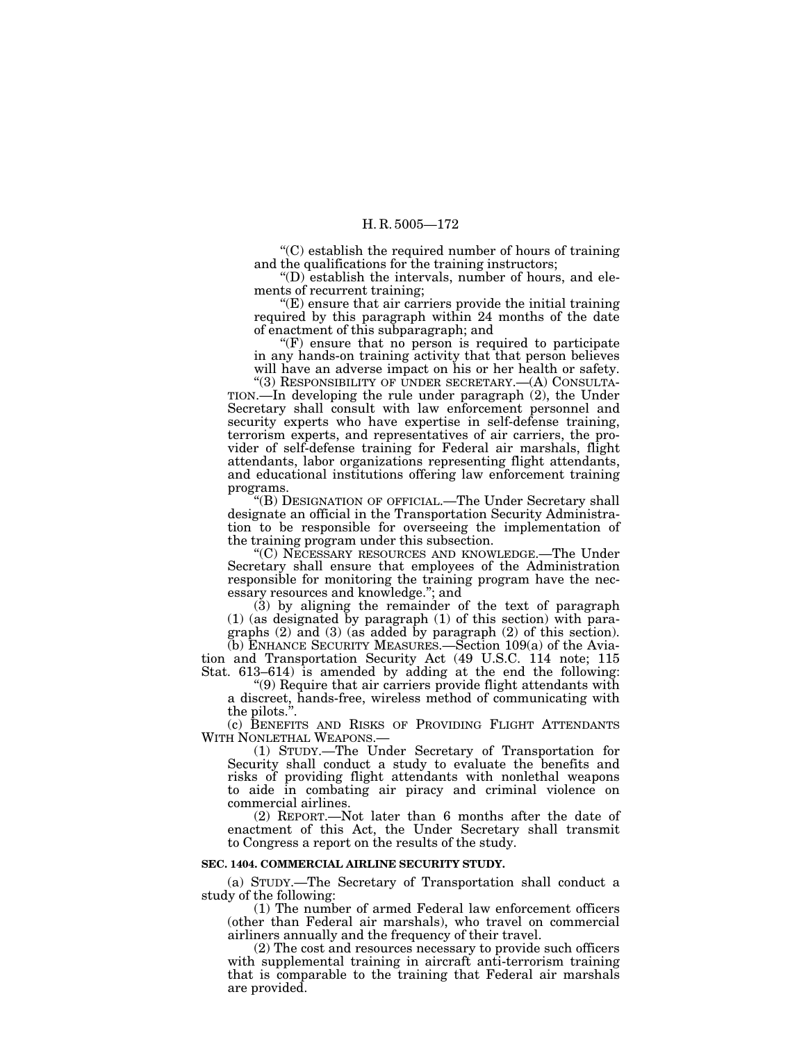''(C) establish the required number of hours of training and the qualifications for the training instructors;

''(D) establish the intervals, number of hours, and elements of recurrent training;

''(E) ensure that air carriers provide the initial training required by this paragraph within 24 months of the date of enactment of this subparagraph; and

 $f(F)$  ensure that no person is required to participate in any hands-on training activity that that person believes will have an adverse impact on his or her health or safety.

''(3) RESPONSIBILITY OF UNDER SECRETARY.—(A) CONSULTA-TION.—In developing the rule under paragraph (2), the Under Secretary shall consult with law enforcement personnel and security experts who have expertise in self-defense training, terrorism experts, and representatives of air carriers, the provider of self-defense training for Federal air marshals, flight attendants, labor organizations representing flight attendants, and educational institutions offering law enforcement training programs.

''(B) DESIGNATION OF OFFICIAL.—The Under Secretary shall designate an official in the Transportation Security Administration to be responsible for overseeing the implementation of the training program under this subsection.

''(C) NECESSARY RESOURCES AND KNOWLEDGE.—The Under Secretary shall ensure that employees of the Administration responsible for monitoring the training program have the necessary resources and knowledge.''; and

(3) by aligning the remainder of the text of paragraph (1) (as designated by paragraph (1) of this section) with paragraphs (2) and (3) (as added by paragraph (2) of this section). (b) ENHANCE SECURITY MEASURES.—Section 109(a) of the Avia-

tion and Transportation Security Act (49 U.S.C. 114 note; 115 Stat. 613–614) is amended by adding at the end the following:

''(9) Require that air carriers provide flight attendants with a discreet, hands-free, wireless method of communicating with the pilots.''.

(c) BENEFITS AND RISKS OF PROVIDING FLIGHT ATTENDANTS WITH NONLETHAL WEAPONS.—

(1) STUDY.—The Under Secretary of Transportation for Security shall conduct a study to evaluate the benefits and risks of providing flight attendants with nonlethal weapons to aide in combating air piracy and criminal violence on commercial airlines.

(2) REPORT.—Not later than 6 months after the date of enactment of this Act, the Under Secretary shall transmit to Congress a report on the results of the study.

#### **SEC. 1404. COMMERCIAL AIRLINE SECURITY STUDY.**

(a) STUDY.—The Secretary of Transportation shall conduct a study of the following:

(1) The number of armed Federal law enforcement officers (other than Federal air marshals), who travel on commercial airliners annually and the frequency of their travel.

(2) The cost and resources necessary to provide such officers with supplemental training in aircraft anti-terrorism training that is comparable to the training that Federal air marshals are provided.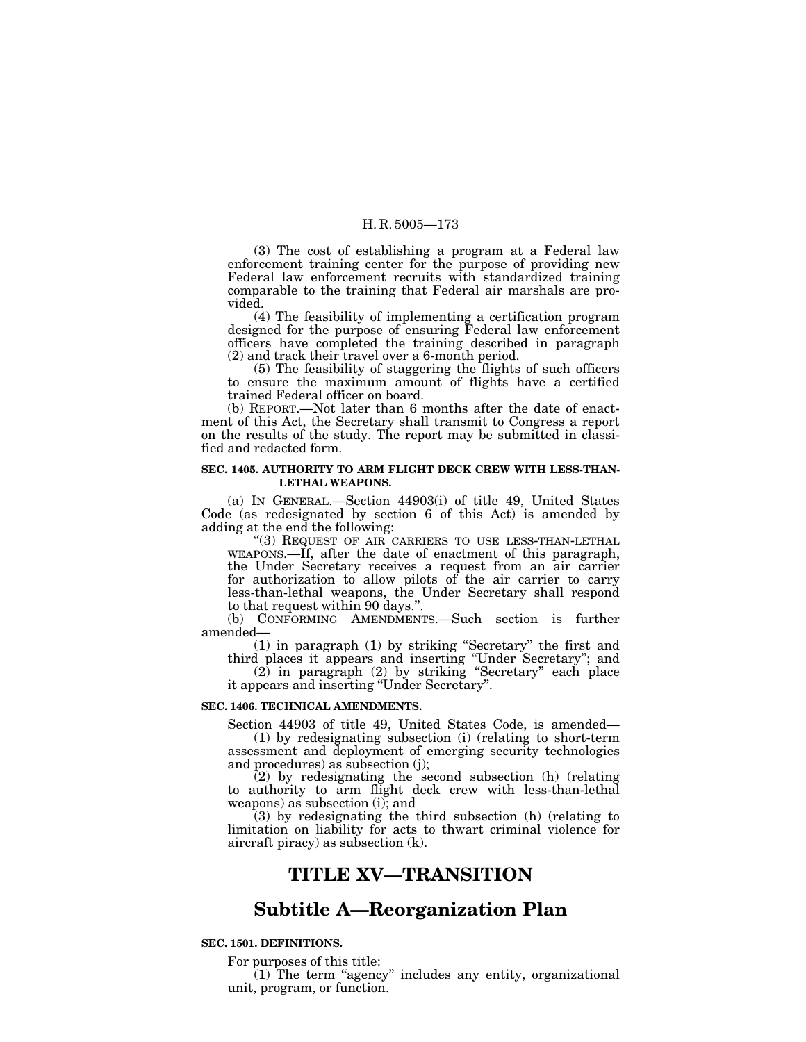(3) The cost of establishing a program at a Federal law enforcement training center for the purpose of providing new Federal law enforcement recruits with standardized training comparable to the training that Federal air marshals are provided.

(4) The feasibility of implementing a certification program designed for the purpose of ensuring Federal law enforcement officers have completed the training described in paragraph (2) and track their travel over a 6-month period.

(5) The feasibility of staggering the flights of such officers to ensure the maximum amount of flights have a certified trained Federal officer on board.

(b) REPORT.—Not later than 6 months after the date of enactment of this Act, the Secretary shall transmit to Congress a report on the results of the study. The report may be submitted in classified and redacted form.

# **SEC. 1405. AUTHORITY TO ARM FLIGHT DECK CREW WITH LESS-THAN-LETHAL WEAPONS.**

(a) IN GENERAL.—Section 44903(i) of title 49, United States Code (as redesignated by section 6 of this Act) is amended by adding at the end the following:

''(3) REQUEST OF AIR CARRIERS TO USE LESS-THAN-LETHAL WEAPONS.—If, after the date of enactment of this paragraph, the Under Secretary receives a request from an air carrier for authorization to allow pilots of the air carrier to carry less-than-lethal weapons, the Under Secretary shall respond to that request within 90 days.''.

(b) CONFORMING AMENDMENTS.—Such section is further amended—

(1) in paragraph (1) by striking ''Secretary'' the first and third places it appears and inserting ''Under Secretary''; and (2) in paragraph (2) by striking ''Secretary'' each place

it appears and inserting ''Under Secretary''.

# **SEC. 1406. TECHNICAL AMENDMENTS.**

Section 44903 of title 49, United States Code, is amended— (1) by redesignating subsection (i) (relating to short-term assessment and deployment of emerging security technologies and procedures) as subsection (j);

(2) by redesignating the second subsection (h) (relating to authority to arm flight deck crew with less-than-lethal weapons) as subsection (i); and

(3) by redesignating the third subsection (h) (relating to limitation on liability for acts to thwart criminal violence for aircraft piracy) as subsection (k).

# **TITLE XV—TRANSITION**

# **Subtitle A—Reorganization Plan**

# **SEC. 1501. DEFINITIONS.**

For purposes of this title:

(1) The term ''agency'' includes any entity, organizational unit, program, or function.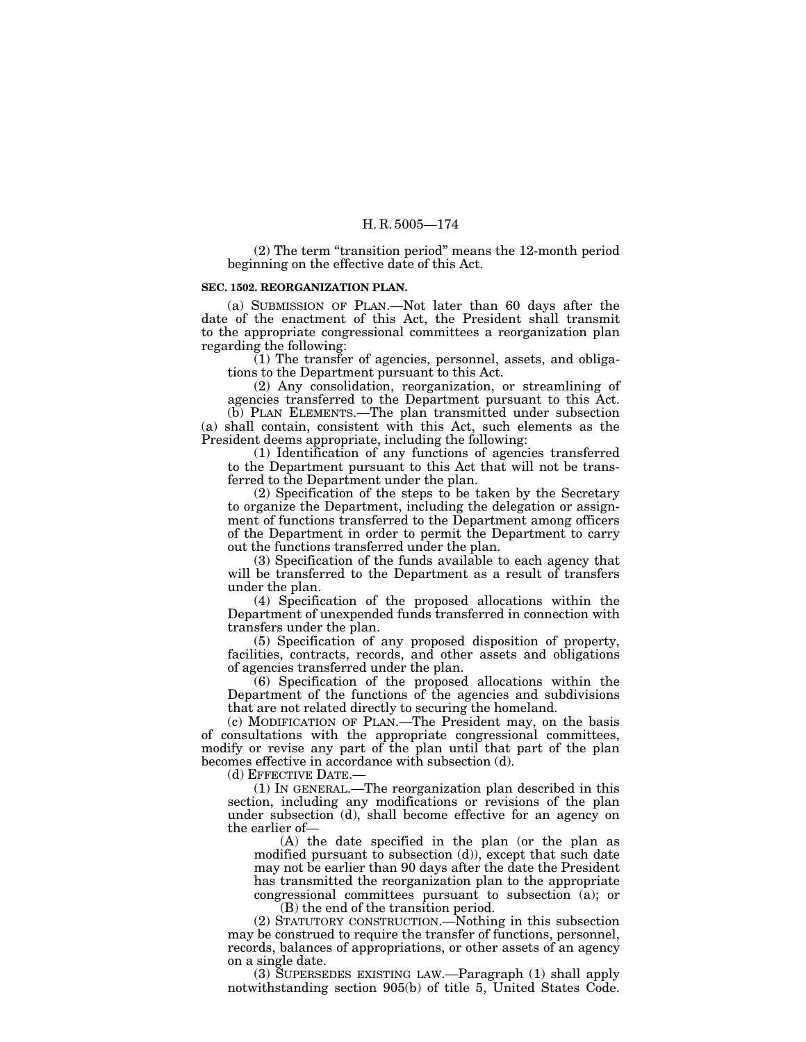(2) The term ''transition period'' means the 12-month period beginning on the effective date of this Act.

#### **SEC. 1502. REORGANIZATION PLAN.**

(a) SUBMISSION OF PLAN.—Not later than 60 days after the date of the enactment of this Act, the President shall transmit to the appropriate congressional committees a reorganization plan regarding the following:

(1) The transfer of agencies, personnel, assets, and obligations to the Department pursuant to this Act.

(2) Any consolidation, reorganization, or streamlining of agencies transferred to the Department pursuant to this Act.

(b) PLAN ELEMENTS.—The plan transmitted under subsection (a) shall contain, consistent with this Act, such elements as the President deems appropriate, including the following:

(1) Identification of any functions of agencies transferred to the Department pursuant to this Act that will not be transferred to the Department under the plan.

(2) Specification of the steps to be taken by the Secretary to organize the Department, including the delegation or assignment of functions transferred to the Department among officers of the Department in order to permit the Department to carry out the functions transferred under the plan.

(3) Specification of the funds available to each agency that will be transferred to the Department as a result of transfers under the plan.

(4) Specification of the proposed allocations within the Department of unexpended funds transferred in connection with transfers under the plan.

(5) Specification of any proposed disposition of property, facilities, contracts, records, and other assets and obligations of agencies transferred under the plan.

(6) Specification of the proposed allocations within the Department of the functions of the agencies and subdivisions that are not related directly to securing the homeland.

(c) MODIFICATION OF PLAN.—The President may, on the basis of consultations with the appropriate congressional committees, modify or revise any part of the plan until that part of the plan becomes effective in accordance with subsection (d).

(d) EFFECTIVE DATE.—

(1) IN GENERAL.—The reorganization plan described in this section, including any modifications or revisions of the plan under subsection (d), shall become effective for an agency on the earlier of—

(A) the date specified in the plan (or the plan as modified pursuant to subsection (d)), except that such date may not be earlier than 90 days after the date the President has transmitted the reorganization plan to the appropriate congressional committees pursuant to subsection (a); or

(B) the end of the transition period.

(2) STATUTORY CONSTRUCTION.—Nothing in this subsection may be construed to require the transfer of functions, personnel, records, balances of appropriations, or other assets of an agency on a single date.

(3) SUPERSEDES EXISTING LAW.—Paragraph (1) shall apply notwithstanding section 905(b) of title 5, United States Code.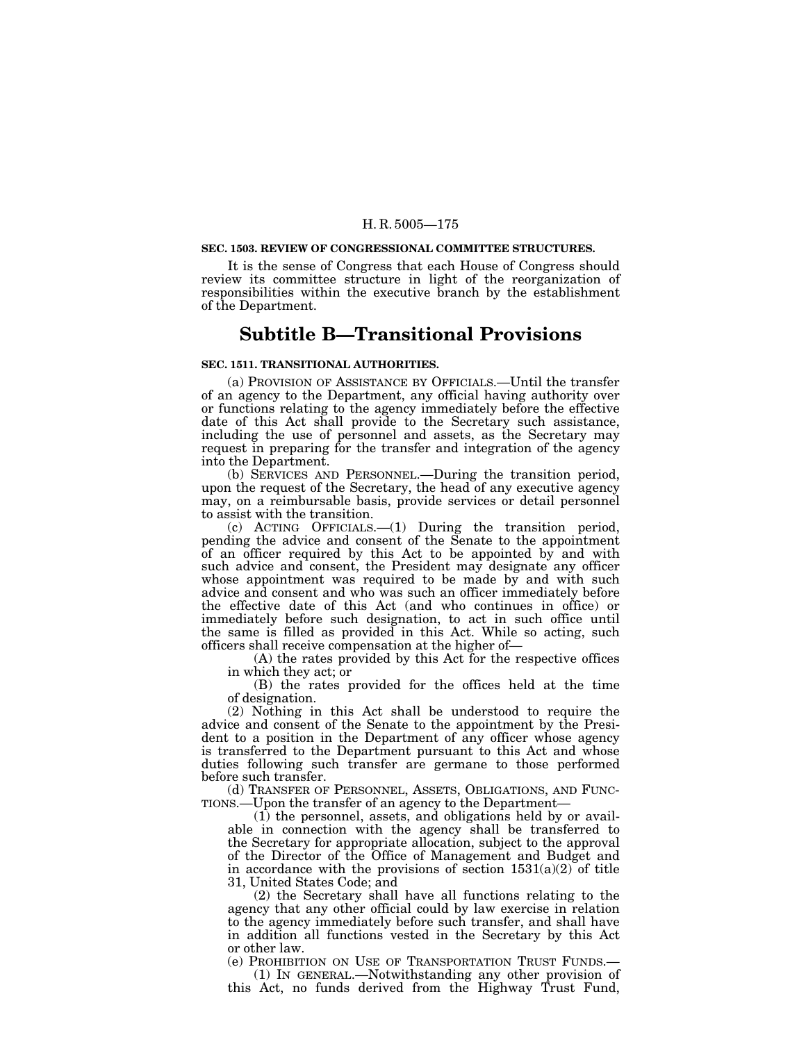### **SEC. 1503. REVIEW OF CONGRESSIONAL COMMITTEE STRUCTURES.**

It is the sense of Congress that each House of Congress should review its committee structure in light of the reorganization of responsibilities within the executive branch by the establishment of the Department.

# **Subtitle B—Transitional Provisions**

#### **SEC. 1511. TRANSITIONAL AUTHORITIES.**

(a) PROVISION OF ASSISTANCE BY OFFICIALS.—Until the transfer of an agency to the Department, any official having authority over or functions relating to the agency immediately before the effective date of this Act shall provide to the Secretary such assistance, including the use of personnel and assets, as the Secretary may request in preparing for the transfer and integration of the agency into the Department.

(b) SERVICES AND PERSONNEL.—During the transition period, upon the request of the Secretary, the head of any executive agency may, on a reimbursable basis, provide services or detail personnel to assist with the transition.

(c) ACTING OFFICIALS.—(1) During the transition period, pending the advice and consent of the Senate to the appointment of an officer required by this Act to be appointed by and with such advice and consent, the President may designate any officer whose appointment was required to be made by and with such advice and consent and who was such an officer immediately before the effective date of this Act (and who continues in office) or immediately before such designation, to act in such office until the same is filled as provided in this Act. While so acting, such officers shall receive compensation at the higher of—

(A) the rates provided by this Act for the respective offices in which they act; or

(B) the rates provided for the offices held at the time of designation.

(2) Nothing in this Act shall be understood to require the advice and consent of the Senate to the appointment by the President to a position in the Department of any officer whose agency is transferred to the Department pursuant to this Act and whose duties following such transfer are germane to those performed before such transfer.

(d) TRANSFER OF PERSONNEL, ASSETS, OBLIGATIONS, AND FUNC-TIONS.—Upon the transfer of an agency to the Department—

(1) the personnel, assets, and obligations held by or available in connection with the agency shall be transferred to the Secretary for appropriate allocation, subject to the approval of the Director of the Office of Management and Budget and in accordance with the provisions of section  $1531(a)(2)$  of title 31, United States Code; and

(2) the Secretary shall have all functions relating to the agency that any other official could by law exercise in relation to the agency immediately before such transfer, and shall have in addition all functions vested in the Secretary by this Act or other law.

(e) PROHIBITION ON USE OF TRANSPORTATION TRUST FUNDS.—

(1) IN GENERAL.—Notwithstanding any other provision of this Act, no funds derived from the Highway Trust Fund,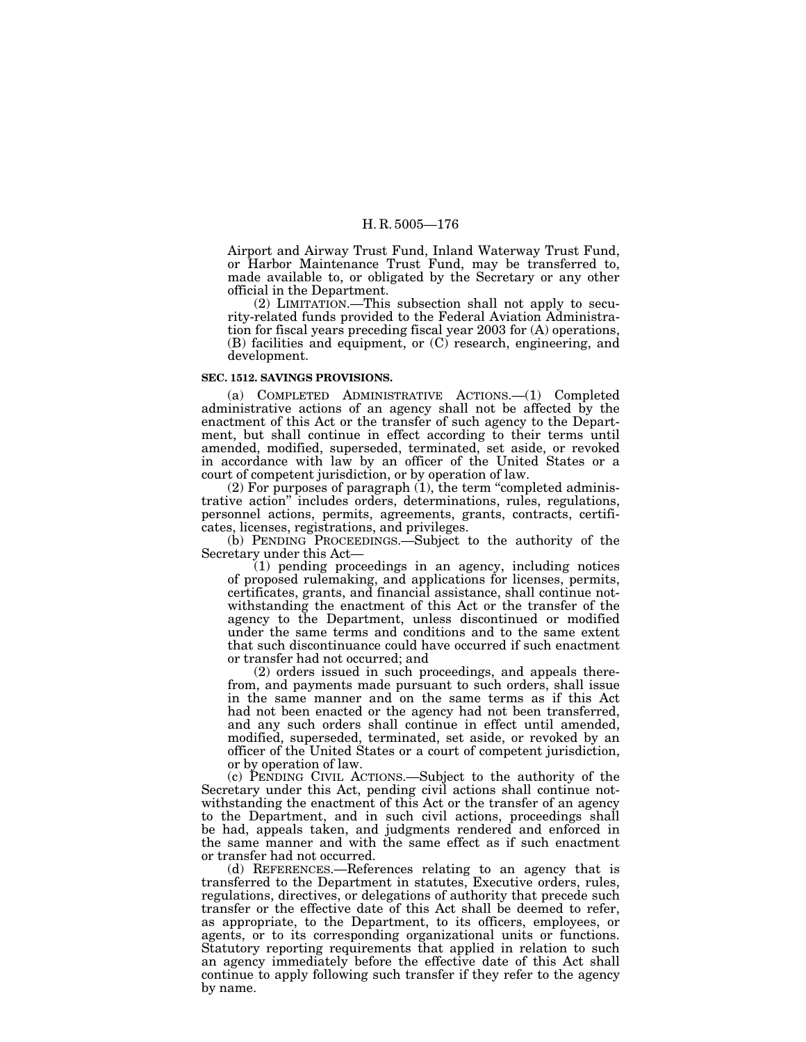Airport and Airway Trust Fund, Inland Waterway Trust Fund, or Harbor Maintenance Trust Fund, may be transferred to, made available to, or obligated by the Secretary or any other official in the Department.

(2) LIMITATION.—This subsection shall not apply to security-related funds provided to the Federal Aviation Administration for fiscal years preceding fiscal year 2003 for (A) operations, (B) facilities and equipment, or (C) research, engineering, and development.

#### **SEC. 1512. SAVINGS PROVISIONS.**

(a) COMPLETED ADMINISTRATIVE ACTIONS.—(1) Completed administrative actions of an agency shall not be affected by the enactment of this Act or the transfer of such agency to the Department, but shall continue in effect according to their terms until amended, modified, superseded, terminated, set aside, or revoked in accordance with law by an officer of the United States or a court of competent jurisdiction, or by operation of law.

 $(2)$  For purposes of paragraph  $(1)$ , the term "completed administrative action'' includes orders, determinations, rules, regulations, personnel actions, permits, agreements, grants, contracts, certificates, licenses, registrations, and privileges.

(b) PENDING PROCEEDINGS.—Subject to the authority of the Secretary under this Act—

(1) pending proceedings in an agency, including notices of proposed rulemaking, and applications for licenses, permits, certificates, grants, and financial assistance, shall continue notwithstanding the enactment of this Act or the transfer of the agency to the Department, unless discontinued or modified under the same terms and conditions and to the same extent that such discontinuance could have occurred if such enactment or transfer had not occurred; and

(2) orders issued in such proceedings, and appeals therefrom, and payments made pursuant to such orders, shall issue in the same manner and on the same terms as if this Act had not been enacted or the agency had not been transferred, and any such orders shall continue in effect until amended, modified, superseded, terminated, set aside, or revoked by an officer of the United States or a court of competent jurisdiction, or by operation of law.

(c) PENDING CIVIL ACTIONS.—Subject to the authority of the Secretary under this Act, pending civil actions shall continue notwithstanding the enactment of this Act or the transfer of an agency to the Department, and in such civil actions, proceedings shall be had, appeals taken, and judgments rendered and enforced in the same manner and with the same effect as if such enactment or transfer had not occurred.

(d) REFERENCES.—References relating to an agency that is transferred to the Department in statutes, Executive orders, rules, regulations, directives, or delegations of authority that precede such transfer or the effective date of this Act shall be deemed to refer, as appropriate, to the Department, to its officers, employees, or agents, or to its corresponding organizational units or functions. Statutory reporting requirements that applied in relation to such an agency immediately before the effective date of this Act shall continue to apply following such transfer if they refer to the agency by name.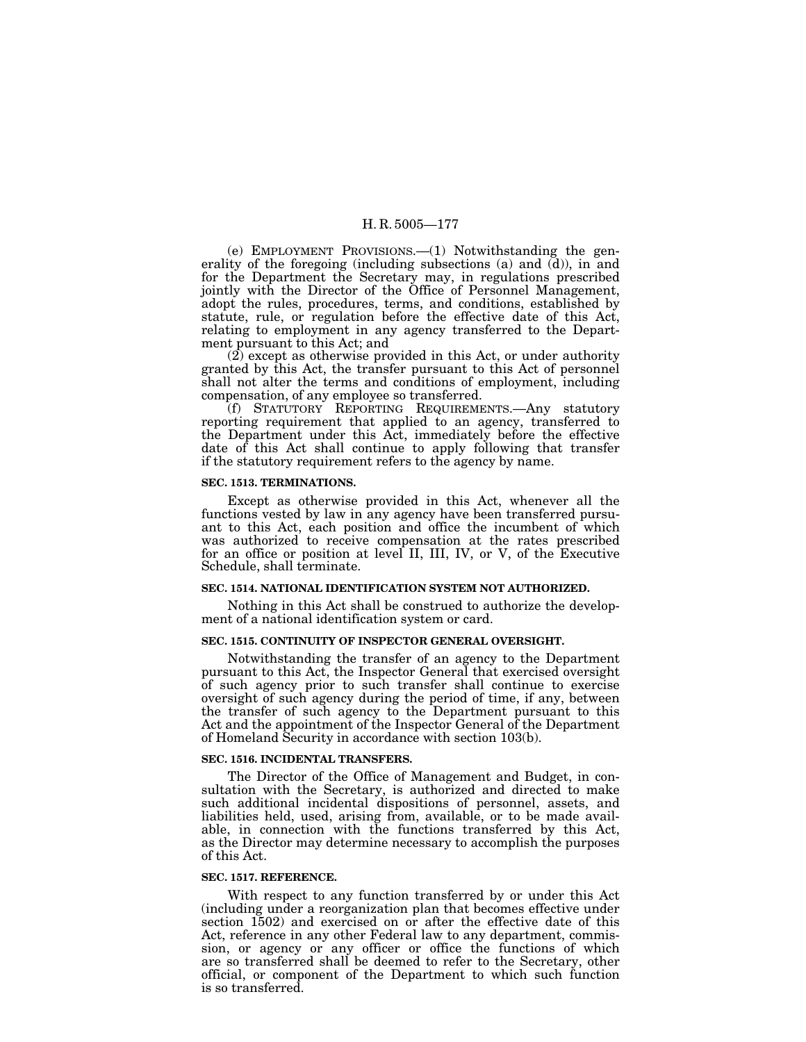(e) EMPLOYMENT PROVISIONS.—(1) Notwithstanding the generality of the foregoing (including subsections (a) and (d)), in and for the Department the Secretary may, in regulations prescribed jointly with the Director of the Office of Personnel Management, adopt the rules, procedures, terms, and conditions, established by statute, rule, or regulation before the effective date of this Act, relating to employment in any agency transferred to the Department pursuant to this Act; and

(2) except as otherwise provided in this Act, or under authority granted by this Act, the transfer pursuant to this Act of personnel shall not alter the terms and conditions of employment, including compensation, of any employee so transferred.

(f) STATUTORY REPORTING REQUIREMENTS.—Any statutory reporting requirement that applied to an agency, transferred to the Department under this Act, immediately before the effective date of this Act shall continue to apply following that transfer if the statutory requirement refers to the agency by name.

#### **SEC. 1513. TERMINATIONS.**

Except as otherwise provided in this Act, whenever all the functions vested by law in any agency have been transferred pursuant to this Act, each position and office the incumbent of which was authorized to receive compensation at the rates prescribed for an office or position at level II, III, IV, or V, of the Executive Schedule, shall terminate.

## **SEC. 1514. NATIONAL IDENTIFICATION SYSTEM NOT AUTHORIZED.**

Nothing in this Act shall be construed to authorize the development of a national identification system or card.

# **SEC. 1515. CONTINUITY OF INSPECTOR GENERAL OVERSIGHT.**

Notwithstanding the transfer of an agency to the Department pursuant to this Act, the Inspector General that exercised oversight of such agency prior to such transfer shall continue to exercise oversight of such agency during the period of time, if any, between the transfer of such agency to the Department pursuant to this Act and the appointment of the Inspector General of the Department of Homeland Security in accordance with section 103(b).

### **SEC. 1516. INCIDENTAL TRANSFERS.**

The Director of the Office of Management and Budget, in consultation with the Secretary, is authorized and directed to make such additional incidental dispositions of personnel, assets, and liabilities held, used, arising from, available, or to be made available, in connection with the functions transferred by this Act, as the Director may determine necessary to accomplish the purposes of this Act.

#### **SEC. 1517. REFERENCE.**

With respect to any function transferred by or under this Act (including under a reorganization plan that becomes effective under section 1502) and exercised on or after the effective date of this Act, reference in any other Federal law to any department, commission, or agency or any officer or office the functions of which are so transferred shall be deemed to refer to the Secretary, other official, or component of the Department to which such function is so transferred.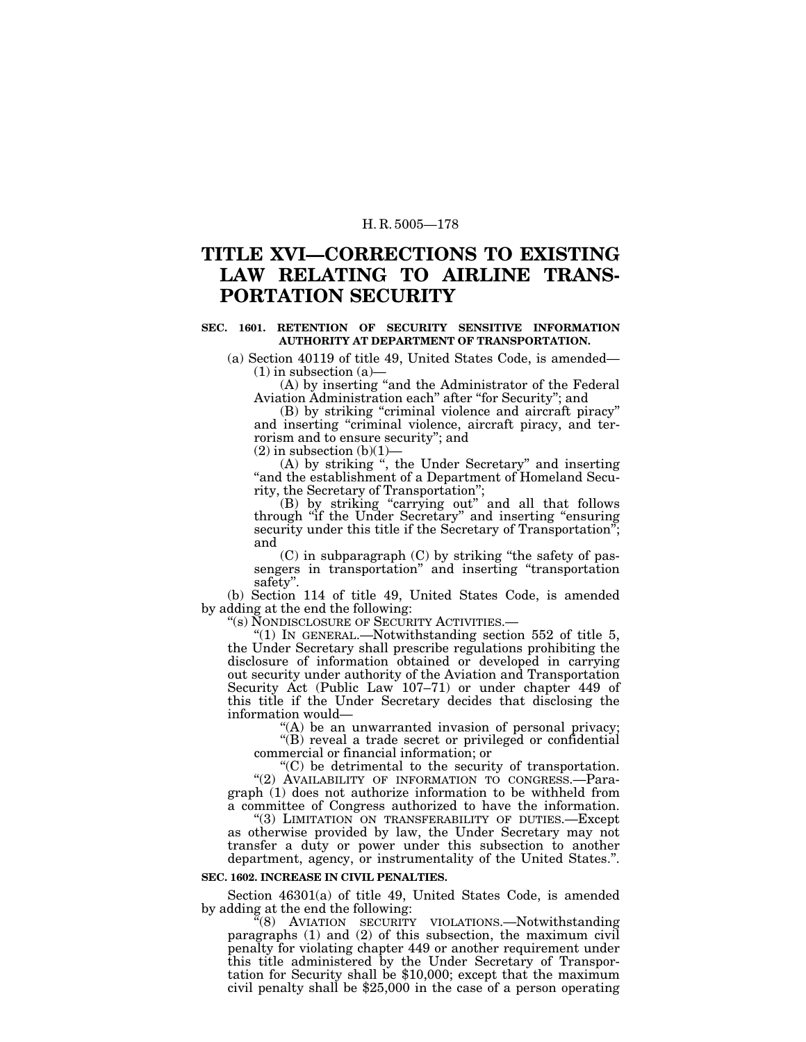# **TITLE XVI—CORRECTIONS TO EXISTING LAW RELATING TO AIRLINE TRANS-PORTATION SECURITY**

## **SEC. 1601. RETENTION OF SECURITY SENSITIVE INFORMATION AUTHORITY AT DEPARTMENT OF TRANSPORTATION.**

(a) Section 40119 of title 49, United States Code, is amended—<br>(1) in subsection (a)—<br>(A) by inserting "and the Administrator of the Federal

Aviation Administration each" after "for Security"; and<br>(B) by striking "criminal violence and aircraft piracy"

(B) by striking "criminal violence and aircraft piracy" and inserting "criminal violence, aircraft piracy, and terrorism and to ensure security''; and

(2) in subsection (b)(1)—<br>(A) by striking ", the Under Secretary" and inserting "and the establishment of a Department of Homeland Security, the Secretary of Transportation'';

(B) by striking "carrying out" and all that follows through ''if the Under Secretary'' and inserting ''ensuring security under this title if the Secretary of Transportation"; and

(C) in subparagraph (C) by striking ''the safety of passengers in transportation'' and inserting ''transportation safety''.

(b) Section 114 of title 49, United States Code, is amended by adding at the end the following:

''(s) NONDISCLOSURE OF SECURITY ACTIVITIES.—

"(1) IN GENERAL.—Notwithstanding section  $552$  of title 5, the Under Secretary shall prescribe regulations prohibiting the disclosure of information obtained or developed in carrying out security under authority of the Aviation and Transportation Security Act (Public Law 107–71) or under chapter 449 of this title if the Under Secretary decides that disclosing the information would—

"(A) be an unwarranted invasion of personal privacy; ''(B) reveal a trade secret or privileged or confidential commercial or financial information; or

''(C) be detrimental to the security of transportation. "(2) AVAILABILITY OF INFORMATION TO CONGRESS.—Paragraph (1) does not authorize information to be withheld from a committee of Congress authorized to have the information.

"(3) LIMITATION ON TRANSFERABILITY OF DUTIES.—Except as otherwise provided by law, the Under Secretary may not transfer a duty or power under this subsection to another department, agency, or instrumentality of the United States.''.

# **SEC. 1602. INCREASE IN CIVIL PENALTIES.**

Section 46301(a) of title 49, United States Code, is amended by adding at the end the following:

<sup>"(8)</sup> AVIATION SECURITY VIOLATIONS.—Notwithstanding paragraphs (1) and (2) of this subsection, the maximum civil penalty for violating chapter 449 or another requirement under this title administered by the Under Secretary of Transportation for Security shall be \$10,000; except that the maximum civil penalty shall be \$25,000 in the case of a person operating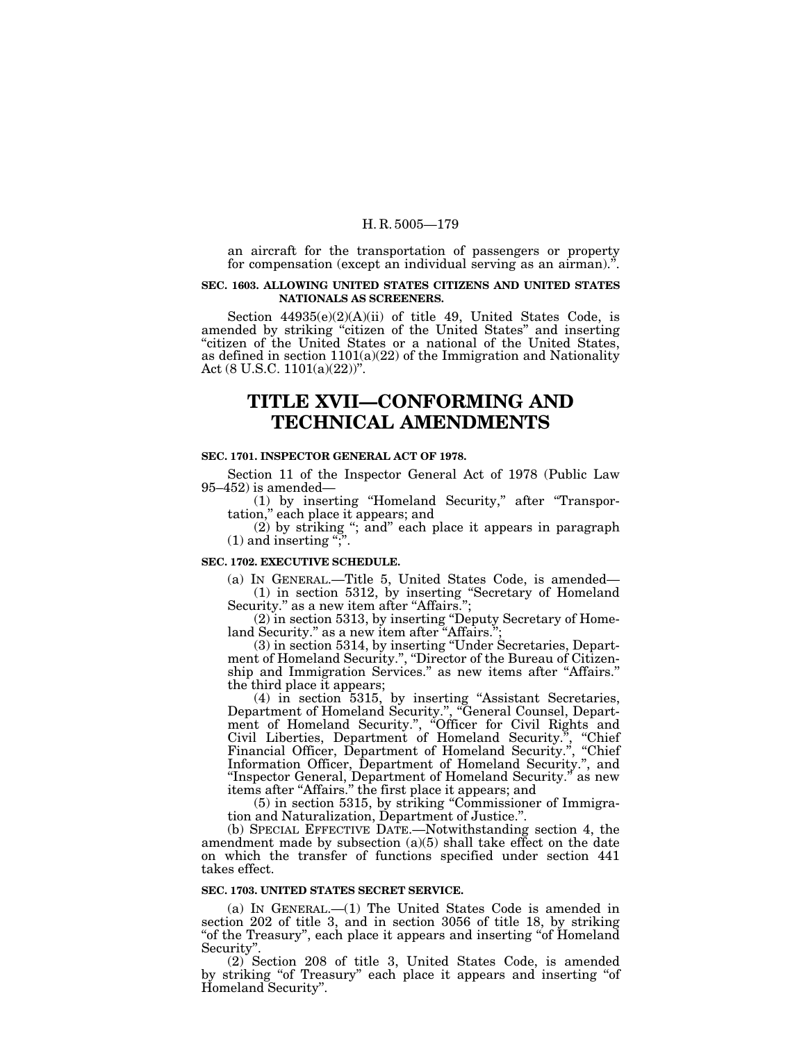an aircraft for the transportation of passengers or property for compensation (except an individual serving as an airman).''.

### **SEC. 1603. ALLOWING UNITED STATES CITIZENS AND UNITED STATES NATIONALS AS SCREENERS.**

Section 44935(e)(2)(A)(ii) of title 49, United States Code, is amended by striking ''citizen of the United States'' and inserting ''citizen of the United States or a national of the United States, as defined in section  $1101(a)(22)$  of the Immigration and Nationality Act (8 U.S.C. 1101(a)(22))''.

# **TITLE XVII—CONFORMING AND TECHNICAL AMENDMENTS**

# **SEC. 1701. INSPECTOR GENERAL ACT OF 1978.**

Section 11 of the Inspector General Act of 1978 (Public Law 95–452) is amended—

(1) by inserting ''Homeland Security,'' after ''Transportation,'' each place it appears; and

(2) by striking "; and" each place it appears in paragraph<br>and inserting ";"  $(1)$  and inserting ";"

### **SEC. 1702. EXECUTIVE SCHEDULE.**

(a) IN GENERAL.—Title 5, United States Code, is amended— (1) in section 5312, by inserting ''Secretary of Homeland Security.'' as a new item after ''Affairs.'';

(2) in section 5313, by inserting ''Deputy Secretary of Homeland Security.'' as a new item after ''Affairs.'';

(3) in section 5314, by inserting ''Under Secretaries, Department of Homeland Security.'', ''Director of the Bureau of Citizenship and Immigration Services.'' as new items after ''Affairs.'' the third place it appears;

(4) in section 5315, by inserting "Assistant Secretaries, Department of Homeland Security.", "General Counsel, Depart-Department of Homeland Security.'', ''General Counsel, Department of Homeland Security.'', ''Officer for Civil Rights and Civil Liberties, Department of Homeland Security.'', ''Chief Financial Officer, Department of Homeland Security.", "Chief Information Officer, Department of Homeland Security.'', and ''Inspector General, Department of Homeland Security.'' as new items after "Affairs." the first place it appears; and

(5) in section 5315, by striking ''Commissioner of Immigration and Naturalization, Department of Justice.''.

(b) SPECIAL EFFECTIVE DATE.—Notwithstanding section 4, the amendment made by subsection  $(a)(5)$  shall take effect on the date on which the transfer of functions specified under section 441 takes effect.

#### **SEC. 1703. UNITED STATES SECRET SERVICE.**

(a) IN GENERAL.—(1) The United States Code is amended in section 202 of title 3, and in section 3056 of title 18, by striking "of the Treasury", each place it appears and inserting "of Homeland<br>Security".

 $(2)$  Section 208 of title 3, United States Code, is amended by striking "of Treasury" each place it appears and inserting "of Homeland Security''.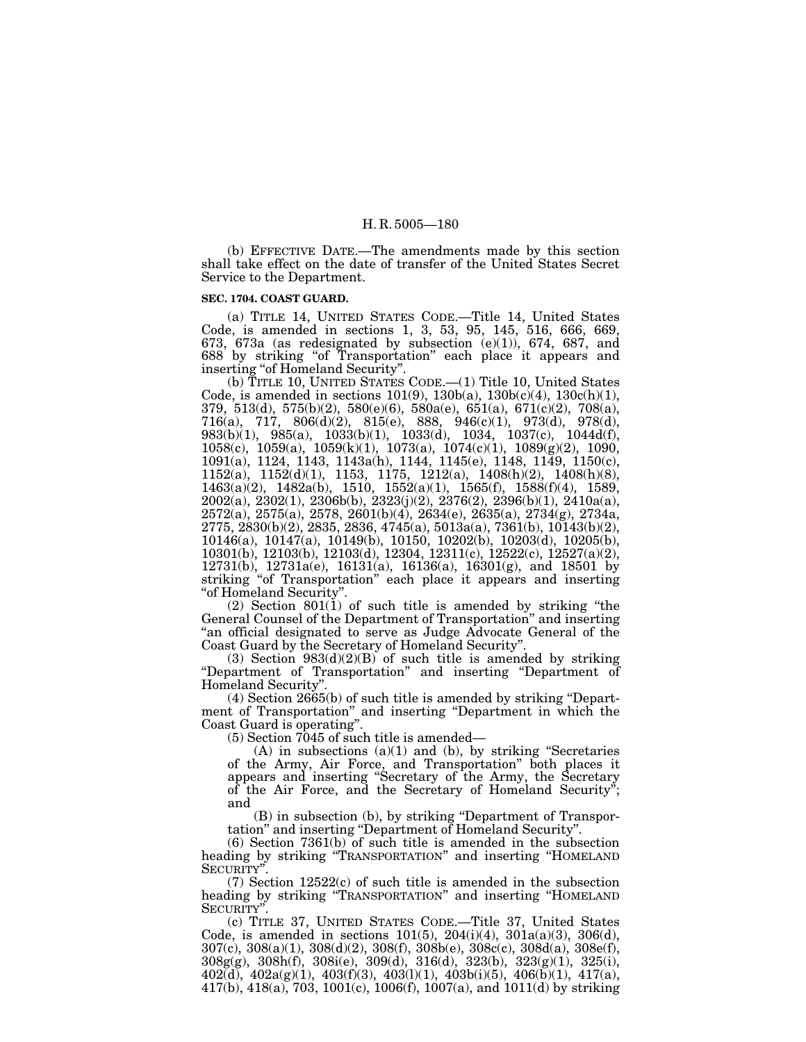(b) EFFECTIVE DATE.—The amendments made by this section shall take effect on the date of transfer of the United States Secret Service to the Department.

#### **SEC. 1704. COAST GUARD.**

(a) TITLE 14, UNITED STATES CODE.—Title 14, United States Code, is amended in sections 1, 3, 53, 95, 145, 516, 666, 669, 673, 673a (as redesignated by subsection  $(e)(1)$ ), 674, 687, and 688 by striking ''of Transportation'' each place it appears and inserting "of Homeland Security".

(b) TITLE 10, UNITED STATES CODE.—(1) Title 10, United States Code, is amended in sections  $101(9)$ ,  $130b(a)$ ,  $130b(c)(4)$ ,  $130c(h)(1)$ ,  $379, 513(d), 575(b)(2), 580(e)(6), 580a(e), 651(a), 671(c)(2), 708(a),$ 716(a), 717, 806(d)(2), 815(e), 888, 946(c)(1), 973(d), 978(d), 983(b)(1), 985(a), 1033(b)(1), 1033(d), 1034, 1037(c), 1044d(f), 1058(c), 1059(a), 1059(k)(1), 1073(a), 1074(c)(1), 1089(g)(2), 1090, 1091(a), 1124, 1143, 1143a(h), 1144, 1145(e), 1148, 1149, 1150(c), 1152(a), 1152(d)(1), 1153, 1175, 1212(a), 1408(h)(2), 1408(h)(8), 1463(a)(2), 1482a(b), 1510, 1552(a)(1), 1565(f), 1588(f)(4), 1589, 2002(a), 2302(1), 2306b(b), 2323(j)(2), 2376(2), 2396(b)(1), 2410a(a), 2572(a), 2575(a), 2578, 2601(b)(4), 2634(e), 2635(a), 2734(g), 2734a,  $2775,\,2830(\mathrm{b})(2),\,2835,\,2836,\,4745(\mathrm{a}),\,5013\mathrm{a}(\mathrm{a}),\,7361(\mathrm{b}),\,10143(\mathrm{b})(2),$ 10146(a), 10147(a), 10149(b), 10150, 10202(b), 10203(d), 10205(b), 10301(b), 12103(b), 12103(d), 12304, 12311(c), 12522(c), 12527(a)(2), 12731(b), 12731a(e), 16131(a), 16136(a), 16301(g), and 18501 by striking "of Transportation" each place it appears and inserting ''of Homeland Security''.

 $(2)$  Section  $801(1)$  of such title is amended by striking "the General Counsel of the Department of Transportation'' and inserting ''an official designated to serve as Judge Advocate General of the Coast Guard by the Secretary of Homeland Security''.

(3) Section  $983(d)(2)(B)$  of such title is amended by striking ''Department of Transportation'' and inserting ''Department of Homeland Security''.

(4) Section 2665(b) of such title is amended by striking ''Department of Transportation'' and inserting ''Department in which the Coast Guard is operating''.

(5) Section 7045 of such title is amended—

 $(A)$  in subsections  $(a)(1)$  and  $(b)$ , by striking "Secretaries of the Army, Air Force, and Transportation'' both places it appears and inserting ''Secretary of the Army, the Secretary of the Air Force, and the Secretary of Homeland Security''; and

(B) in subsection (b), by striking ''Department of Transportation'' and inserting ''Department of Homeland Security''.

(6) Section 7361(b) of such title is amended in the subsection heading by striking "TRANSPORTATION" and inserting "HOMELAND SECURITY"

(7) Section 12522(c) of such title is amended in the subsection heading by striking ''TRANSPORTATION'' and inserting ''HOMELAND SECURITY"

(c) TITLE 37, UNITED STATES CODE.—Title 37, United States Code, is amended in sections  $101(5)$ ,  $204(i)(4)$ ,  $301a(a)(3)$ ,  $306(d)$ ,  $307(c)$ ,  $308(a)(1)$ ,  $308(d)(2)$ ,  $308(f)$ ,  $308b(e)$ ,  $308c(c)$ ,  $308d(a)$ ,  $308e(f)$ ,  $308g(g),\ \ 308h(f),\ \ 308i(e),\ \ 309(d),\ \ 316(d),\ \ 323(b),\ \ 323(g)(1),\ \ 325(i),$  $402(d), 402a(g)(1), 403(f)(3), 403(l)(1), 403b(i)(5), 406(b)(1), 417(a),$ 417(b), 418(a), 703, 1001(c), 1006(f), 1007(a), and 1011(d) by striking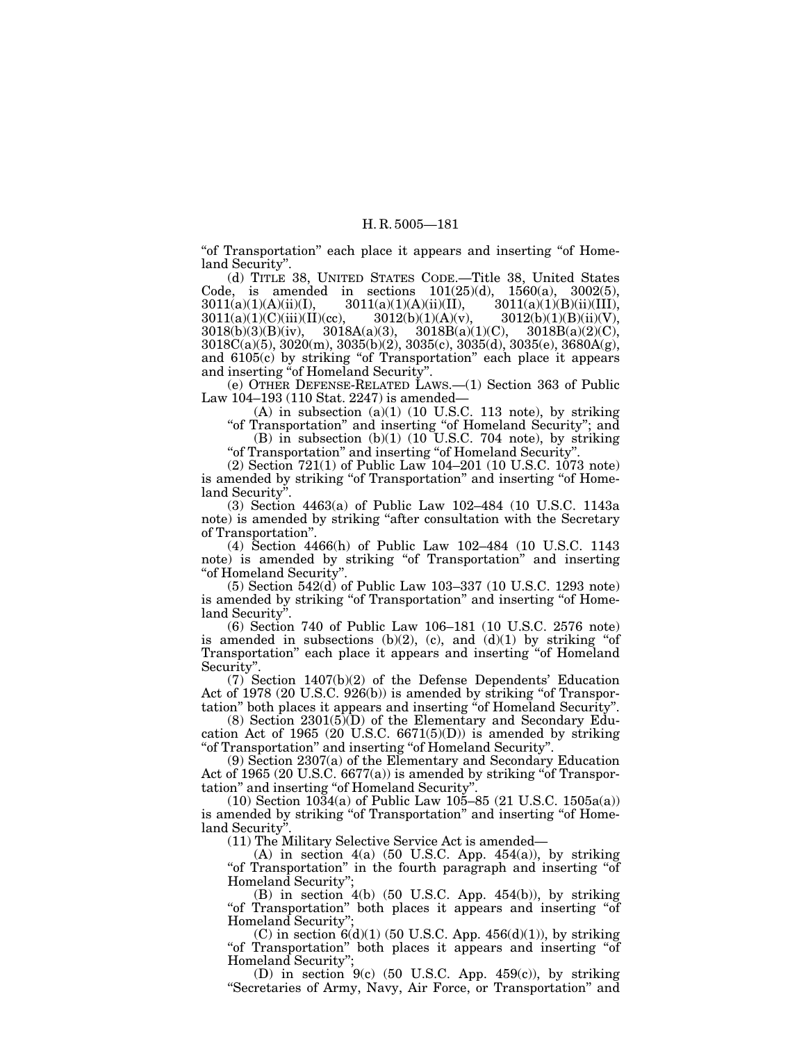" of Transportation" each place it appears and inserting "of Homeland Security''.

(d) TITLE 38, UNITED STATES CODE.—Title 38, United States Code, is amended in sections  $101(25)(d)$ ,  $1560(a)$ ,  $3002(5)$ ,  $3011(a)(1)(A)(ii)(I)$ ,  $3011(a)(1)(B)(ii)(III)$ ,  $3011(a)(1)(A)(ii)(I),$   $3011(a)(1)(A)(ii)(II),$   $3011(a)(1)(B)(ii)(III),$ <br> $3011(a)(1)(C)(iii)(II)(cc),$   $3012(b)(1)(A)(v),$   $3012(b)(1)(B)(ii)(V),$  $3011(a)(1)(C)(iii)(II)(cc), 3012(8)$ <br> $3018(b)(3)(B)(iv), 3018A(a)(3),$  $3018B(a)(1)(C), 3018B(a)(2)(C),$ 3018C(a)(5), 3020(m), 3035(b)(2), 3035(c), 3035(d), 3035(e), 3680A(g), and  $6105(c)$  by striking "of Transportation" each place it appears and inserting ''of Homeland Security''.

(e) OTHER DEFENSE-RELATED LAWS.—(1) Section 363 of Public Law 104–193 (110 Stat. 2247) is amended—

 $(A)$  in subsection  $(a)(1)$   $(10 \text{ U.S.C. } 113 \text{ note})$ , by striking "of Transportation" and inserting "of Homeland Security"; and

(B) in subsection (b)(1) (10 U.S.C. 704 note), by striking

"of Transportation" and inserting "of Homeland Security"

(2) Section 721(1) of Public Law 104–201 (10 U.S.C. 1073 note) is amended by striking "of Transportation" and inserting "of Homeland Security<sup>3</sup>

(3) Section 4463(a) of Public Law 102–484 (10 U.S.C. 1143a note) is amended by striking "after consultation with the Secretary of Transportation''.

(4) Section 4466(h) of Public Law 102–484 (10 U.S.C. 1143 note) is amended by striking "of Transportation" and inserting ''of Homeland Security''.

(5) Section 542(d) of Public Law 103–337 (10 U.S.C. 1293 note) is amended by striking "of Transportation" and inserting "of Homeland Security''.

(6) Section 740 of Public Law 106–181 (10 U.S.C. 2576 note) is amended in subsections  $(b)(2)$ ,  $(c)$ , and  $(d)(1)$  by striking "of Transportation" each place it appears and inserting "of Homeland" Security''.

(7) Section 1407(b)(2) of the Defense Dependents' Education Act of 1978 (20 U.S.C. 926(b)) is amended by striking "of Transportation" both places it appears and inserting "of Homeland Security".

(8) Section 2301(5)(D) of the Elementary and Secondary Education Act of 1965 (20 U.S.C.  $6671(5)(D)$ ) is amended by striking ''of Transportation'' and inserting ''of Homeland Security''.

(9) Section 2307(a) of the Elementary and Secondary Education Act of 1965 (20 U.S.C. 6677(a)) is amended by striking "of Transportation" and inserting "of Homeland Security".

(10) Section  $10\overline{3}4(a)$  of Public Law  $10\overline{5}$ –85 (21 U.S.C. 1505a(a)) is amended by striking "of Transportation" and inserting "of Homeland Security''.

(11) The Military Selective Service Act is amended—

(A) in section  $4(a)$  (50 U.S.C. App.  $454(a)$ ), by striking ''of Transportation'' in the fourth paragraph and inserting ''of Homeland Security'';

(B) in section 4(b) (50 U.S.C. App. 454(b)), by striking ''of Transportation'' both places it appears and inserting ''of Homeland Security'';

(C) in section  $6(d)(1)$  (50 U.S.C. App. 456(d)(1)), by striking "of Transportation" both places it appears and inserting "of Homeland Security'';

(D) in section 9(c) (50 U.S.C. App. 459(c)), by striking "Secretaries of Army, Navy, Air Force, or Transportation" and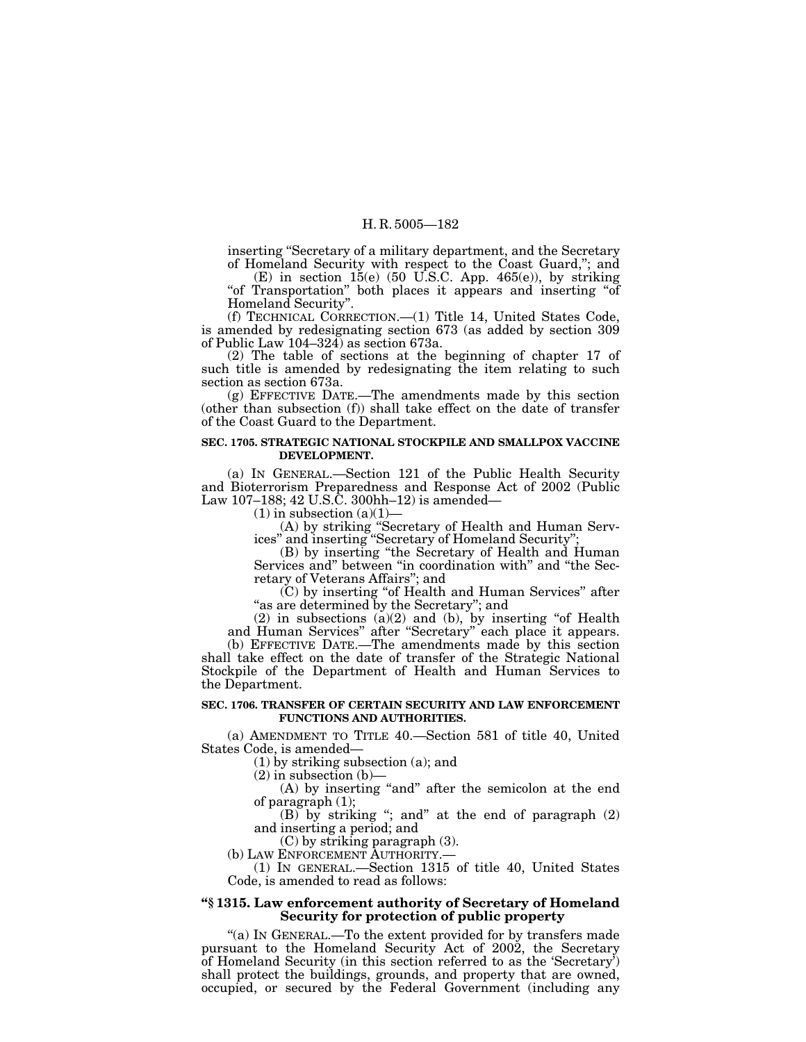inserting "Secretary of a military department, and the Secretary of Homeland Security with respect to the Coast Guard,''; and

 $(E)$  in section 15(e) (50 U.S.C. App. 465(e)), by striking ''of Transportation'' both places it appears and inserting ''of Homeland Security''.

(f) TECHNICAL CORRECTION.—(1) Title 14, United States Code, is amended by redesignating section 673 (as added by section 309 of Public Law 104–324) as section 673a.

(2) The table of sections at the beginning of chapter 17 of such title is amended by redesignating the item relating to such section as section 673a.

(g) EFFECTIVE DATE.—The amendments made by this section (other than subsection (f)) shall take effect on the date of transfer of the Coast Guard to the Department.

#### **SEC. 1705. STRATEGIC NATIONAL STOCKPILE AND SMALLPOX VACCINE DEVELOPMENT.**

(a) IN GENERAL.—Section 121 of the Public Health Security and Bioterrorism Preparedness and Response Act of 2002 (Public Law 107–188; 42 U.S.C. 300hh–12) is amended— Law 107–188; 42 U.S.C. 300hh–12) is amended—<br>
(1) in subsection (a)(1)—<br>
(A) by striking "Secretary of Health and Human Serv-

ices'' and inserting ''Secretary of Homeland Security'';

(B) by inserting ''the Secretary of Health and Human Services and'' between ''in coordination with'' and ''the Secretary of Veterans Affairs''; and

(C) by inserting "of Health and Human Services" after "as are determined by the Secretary"; and

 $(2)$  in subsections  $(a)(2)$  and  $(b)$ , by inserting "of Health and Human Services'' after ''Secretary'' each place it appears. (b) EFFECTIVE DATE.—The amendments made by this section shall take effect on the date of transfer of the Strategic National Stockpile of the Department of Health and Human Services to the Department.

#### **SEC. 1706. TRANSFER OF CERTAIN SECURITY AND LAW ENFORCEMENT FUNCTIONS AND AUTHORITIES.**

(a) AMENDMENT TO TITLE 40.—Section 581 of title 40, United States Code, is amended—<br>
(1) by striking subsection (a); and<br>
(2) in subsection (b)—

(A) by inserting "and" after the semicolon at the end of paragraph (1);

 $(B)$  by striking "; and" at the end of paragraph  $(2)$ and inserting a period; and

(C) by striking paragraph (3).

(b) LAW ENFORCEMENT AUTHORITY.—

(1) IN GENERAL.—Section 1315 of title 40, United States Code, is amended to read as follows:

## **''§ 1315. Law enforcement authority of Secretary of Homeland Security for protection of public property**

"(a) IN GENERAL.—To the extent provided for by transfers made pursuant to the Homeland Security Act of 2002, the Secretary of Homeland Security (in this section referred to as the 'Secretary') shall protect the buildings, grounds, and property that are owned, occupied, or secured by the Federal Government (including any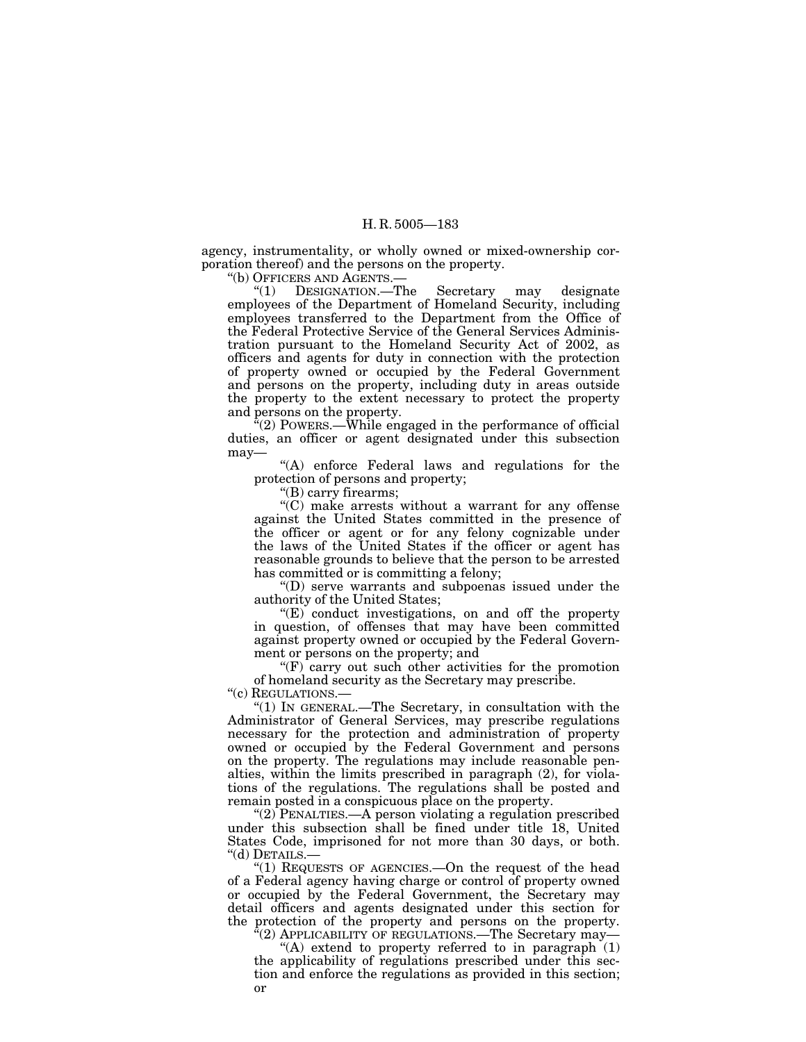agency, instrumentality, or wholly owned or mixed-ownership corporation thereof) and the persons on the property.

''(b) OFFICERS AND AGENTS.—

''(1) DESIGNATION.—The Secretary may designate employees of the Department of Homeland Security, including employees transferred to the Department from the Office of the Federal Protective Service of the General Services Administration pursuant to the Homeland Security Act of 2002, as officers and agents for duty in connection with the protection of property owned or occupied by the Federal Government and persons on the property, including duty in areas outside the property to the extent necessary to protect the property and persons on the property.

"(2) POWERS.—While engaged in the performance of official duties, an officer or agent designated under this subsection may—

''(A) enforce Federal laws and regulations for the protection of persons and property;

''(B) carry firearms;

''(C) make arrests without a warrant for any offense against the United States committed in the presence of the officer or agent or for any felony cognizable under the laws of the United States if the officer or agent has reasonable grounds to believe that the person to be arrested has committed or is committing a felony;

''(D) serve warrants and subpoenas issued under the authority of the United States;

"(E) conduct investigations, on and off the property in question, of offenses that may have been committed against property owned or occupied by the Federal Government or persons on the property; and

 $\mathcal{F}(F)$  carry out such other activities for the promotion of homeland security as the Secretary may prescribe.

"(c) REGULATIONS.

''(1) IN GENERAL.—The Secretary, in consultation with the Administrator of General Services, may prescribe regulations necessary for the protection and administration of property owned or occupied by the Federal Government and persons on the property. The regulations may include reasonable penalties, within the limits prescribed in paragraph (2), for violations of the regulations. The regulations shall be posted and remain posted in a conspicuous place on the property.

" $(2)$  PENALTIES.—A person violating a regulation prescribed under this subsection shall be fined under title 18, United States Code, imprisoned for not more than 30 days, or both. ''(d) DETAILS.—

"(1) REQUESTS OF AGENCIES.—On the request of the head of a Federal agency having charge or control of property owned or occupied by the Federal Government, the Secretary may detail officers and agents designated under this section for the protection of the property and persons on the property.

 $F(2)$  APPLICABILITY OF REGULATIONS.—The Secretary may—

"(A) extend to property referred to in paragraph  $(1)$ the applicability of regulations prescribed under this section and enforce the regulations as provided in this section; or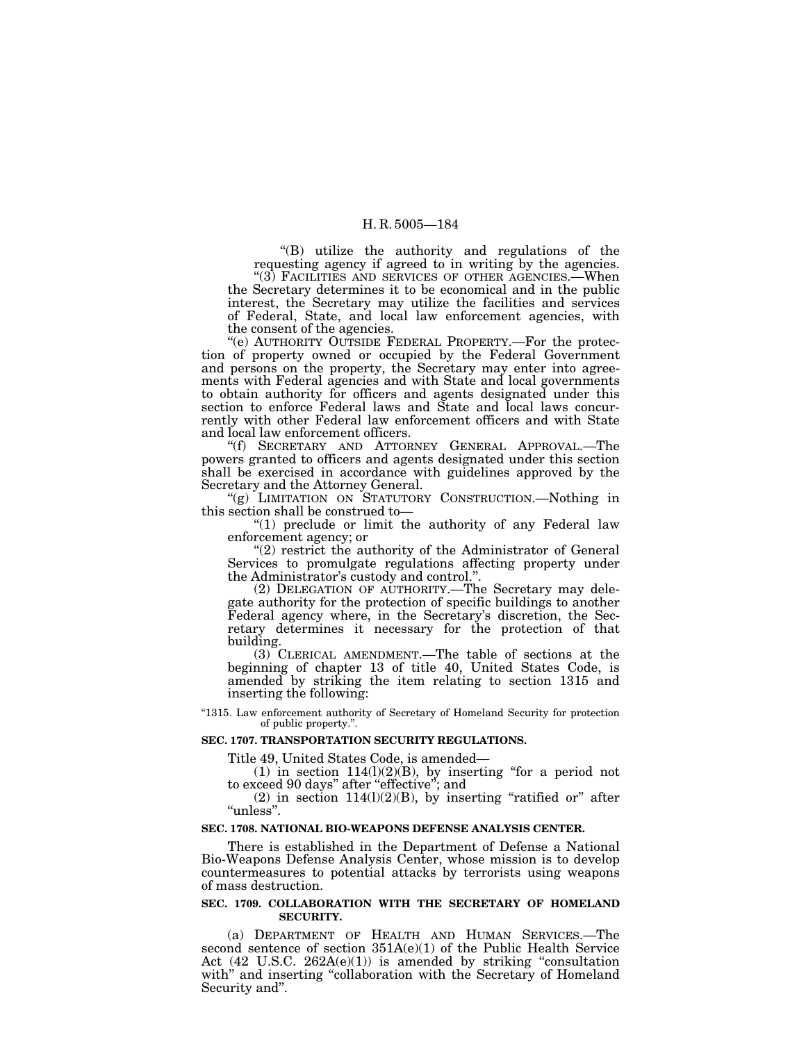''(B) utilize the authority and regulations of the requesting agency if agreed to in writing by the agencies.

"(3) FACILITIES AND SERVICES OF OTHER AGENCIES.—When the Secretary determines it to be economical and in the public interest, the Secretary may utilize the facilities and services of Federal, State, and local law enforcement agencies, with the consent of the agencies.

"(e) AUTHORITY OUTSIDE FEDERAL PROPERTY.—For the protection of property owned or occupied by the Federal Government and persons on the property, the Secretary may enter into agreements with Federal agencies and with State and local governments to obtain authority for officers and agents designated under this section to enforce Federal laws and State and local laws concurrently with other Federal law enforcement officers and with State

"(f) SECRETARY AND ATTORNEY GENERAL APPROVAL.—The powers granted to officers and agents designated under this section shall be exercised in accordance with guidelines approved by the

Secretary and the Attorney General.<br>
"(g) LIMITATION ON STATUTORY CONSTRUCTION.—Nothing in this section shall be construed to—

"(1) preclude or limit the authority of any Federal law enforcement agency; or  $\degree$ (2) restrict the authority of the Administrator of General

Services to promulgate regulations affecting property under the Administrator's custody and control.".

(2) DELEGATION OF AUTHORITY.—The Secretary may delegate authority for the protection of specific buildings to another Federal agency where, in the Secretary's discretion, the Secretary determines it necessary for the protection of that building.

(3) CLERICAL AMENDMENT.—The table of sections at the beginning of chapter 13 of title 40, United States Code, is amended by striking the item relating to section 1315 and inserting the following:

''1315. Law enforcement authority of Secretary of Homeland Security for protection of public property.''.

#### **SEC. 1707. TRANSPORTATION SECURITY REGULATIONS.**

Title 49, United States Code, is amended—<br>(1) in section  $114(1)(2)(B)$ , by inserting "for a period not to exceed 90 days'' after ''effective''; and

 $(2)$  in section  $114(1)(2)(B)$ , by inserting "ratified or" after ''unless''.

#### **SEC. 1708. NATIONAL BIO-WEAPONS DEFENSE ANALYSIS CENTER.**

There is established in the Department of Defense a National Bio-Weapons Defense Analysis Center, whose mission is to develop countermeasures to potential attacks by terrorists using weapons of mass destruction.

## **SEC. 1709. COLLABORATION WITH THE SECRETARY OF HOMELAND SECURITY.**

(a) DEPARTMENT OF HEALTH AND HUMAN SERVICES.—The second sentence of section 351A(e)(1) of the Public Health Service Act  $(42 \text{ U.S.C. } 262A(e)(1))$  is amended by striking "consultation" with" and inserting "collaboration with the Secretary of Homeland Security and''.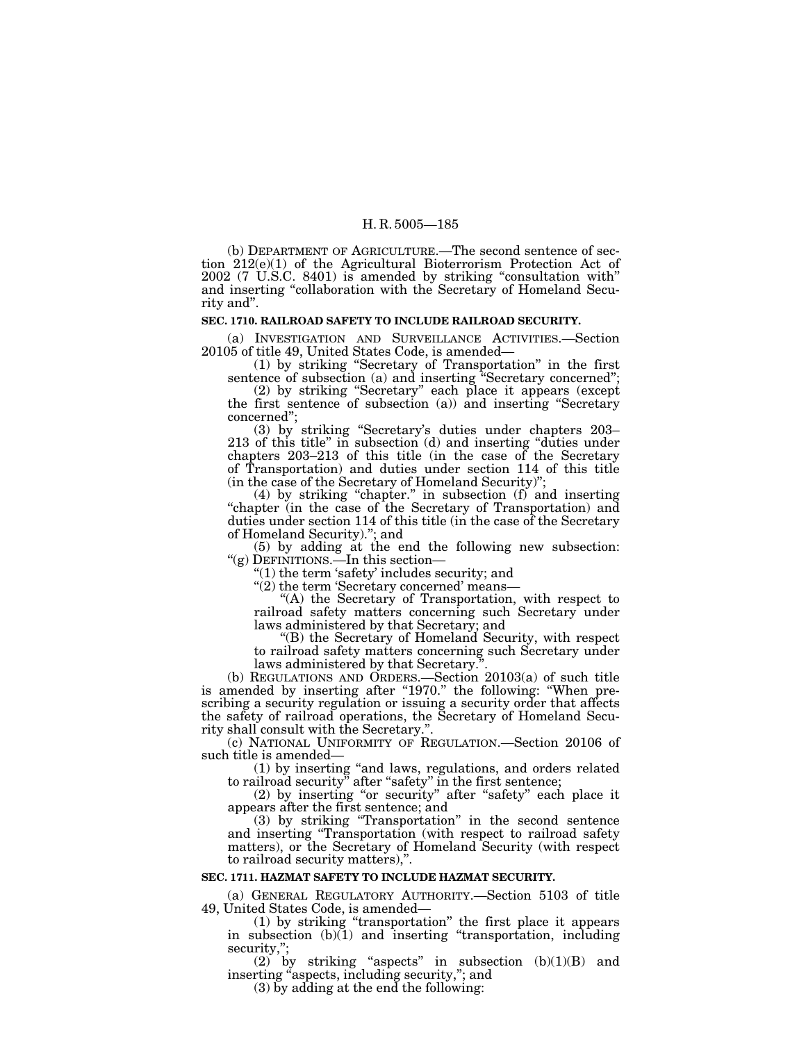(b) DEPARTMENT OF AGRICULTURE.—The second sentence of section 212(e)(1) of the Agricultural Bioterrorism Protection Act of 2002 (7 U.S.C. 8401) is amended by striking ''consultation with'' and inserting ''collaboration with the Secretary of Homeland Security and''.

#### **SEC. 1710. RAILROAD SAFETY TO INCLUDE RAILROAD SECURITY.**

(a) INVESTIGATION AND SURVEILLANCE ACTIVITIES.—Section 20105 of title 49, United States Code, is amended— (1) by striking ''Secretary of Transportation'' in the first

sentence of subsection (a) and inserting ''Secretary concerned'';

(2) by striking ''Secretary'' each place it appears (except the first sentence of subsection (a)) and inserting ''Secretary concerned'';

(3) by striking ''Secretary's duties under chapters 203– 213 of this title'' in subsection (d) and inserting ''duties under chapters 203–213 of this title (in the case of the Secretary of Transportation) and duties under section 114 of this title (in the case of the Secretary of Homeland Security)";<br>(4) by striking "chapter." in subsection (f) and inserting

"chapter (in the case of the Secretary of Transportation) and duties under section 114 of this title (in the case of the Secretary of Homeland Security).''; and

(5) by adding at the end the following new subsection:<br>
"(g) DEFINITIONS.—In this section—<br>
"(1) the term 'safety' includes security; and<br>
"(2) the term 'Secretary concerned' means—<br>
"(A) the Secretary of Transportation,

"(A) the Secretary of Transportation, with respect to railroad safety matters concerning such Secretary under laws administered by that Secretary; and "(B) the Secretary of Homeland Security, with respect

to railroad safety matters concerning such Secretary under

laws administered by that Secretary.".<br>
(b) REGULATIONS AND ORDERS.—Section 20103(a) of such title is amended by inserting after "1970." the following: "When prescribing a security regulation or issuing a security order that affects the safety of railroad operations, the Secretary of Homeland Security shall consult with the Secretary.''. (c) NATIONAL UNIFORMITY OF REGULATION.—Section 20106 of

such title is amended— (1) by inserting ''and laws, regulations, and orders related to railroad security" after "safety" in the first sentence;

 $(2)$  by inserting "or security" after "safety" each place it appears after the first sentence; and

(3) by striking ''Transportation'' in the second sentence and inserting ''Transportation (with respect to railroad safety matters), or the Secretary of Homeland Security (with respect to railroad security matters),''.

## **SEC. 1711. HAZMAT SAFETY TO INCLUDE HAZMAT SECURITY.**

(a) GENERAL REGULATORY AUTHORITY.—Section 5103 of title 49, United States Code, is amended—

(1) by striking ''transportation'' the first place it appears in subsection (b)(1) and inserting ''transportation, including security,'';

(2) by striking "aspects" in subsection  $(b)(1)(B)$  and inserting "aspects, including security,"; and

 $(3)$  by adding at the end the following: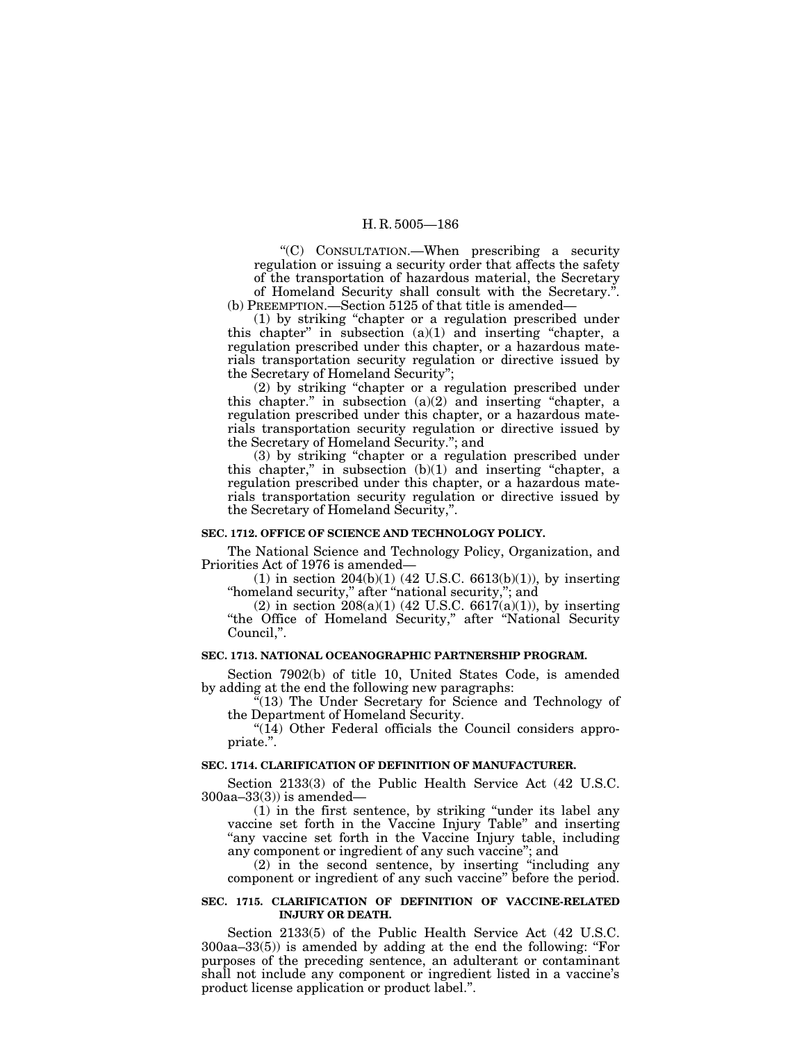''(C) CONSULTATION.—When prescribing a security regulation or issuing a security order that affects the safety of the transportation of hazardous material, the Secretary

of Homeland Security shall consult with the Secretary.''. (b) PREEMPTION.—Section 5125 of that title is amended—

(1) by striking ''chapter or a regulation prescribed under this chapter'' in subsection (a)(1) and inserting ''chapter, a regulation prescribed under this chapter, or a hazardous materials transportation security regulation or directive issued by the Secretary of Homeland Security'';

(2) by striking ''chapter or a regulation prescribed under this chapter.'' in subsection (a)(2) and inserting ''chapter, a regulation prescribed under this chapter, or a hazardous materials transportation security regulation or directive issued by the Secretary of Homeland Security.''; and

(3) by striking ''chapter or a regulation prescribed under this chapter," in subsection  $(b)(1)$  and inserting "chapter, a regulation prescribed under this chapter, or a hazardous materials transportation security regulation or directive issued by the Secretary of Homeland Security,''.

# **SEC. 1712. OFFICE OF SCIENCE AND TECHNOLOGY POLICY.**

The National Science and Technology Policy, Organization, and Priorities Act of 1976 is amended—

(1) in section  $204(b)(1)$  (42 U.S.C. 6613(b)(1)), by inserting "homeland security," after "national security,"; and

(2) in section  $208(a)(1)$  (42 U.S.C. 6617(a)(1)), by inserting "the Office of Homeland Security," after "National Security Council,''.

#### **SEC. 1713. NATIONAL OCEANOGRAPHIC PARTNERSHIP PROGRAM.**

Section 7902(b) of title 10, United States Code, is amended by adding at the end the following new paragraphs:

"(13) The Under Secretary for Science and Technology of the Department of Homeland Security.

"(14) Other Federal officials the Council considers appropriate.''.

# **SEC. 1714. CLARIFICATION OF DEFINITION OF MANUFACTURER.**

Section 2133(3) of the Public Health Service Act (42 U.S.C. 300aa–33(3)) is amended—

(1) in the first sentence, by striking ''under its label any vaccine set forth in the Vaccine Injury Table'' and inserting "any vaccine set forth in the Vaccine Injury table, including any component or ingredient of any such vaccine''; and

(2) in the second sentence, by inserting ''including any component or ingredient of any such vaccine'' before the period.

#### **SEC. 1715. CLARIFICATION OF DEFINITION OF VACCINE-RELATED INJURY OR DEATH.**

Section 2133(5) of the Public Health Service Act (42 U.S.C. 300aa–33(5)) is amended by adding at the end the following: ''For purposes of the preceding sentence, an adulterant or contaminant shall not include any component or ingredient listed in a vaccine's product license application or product label.''.